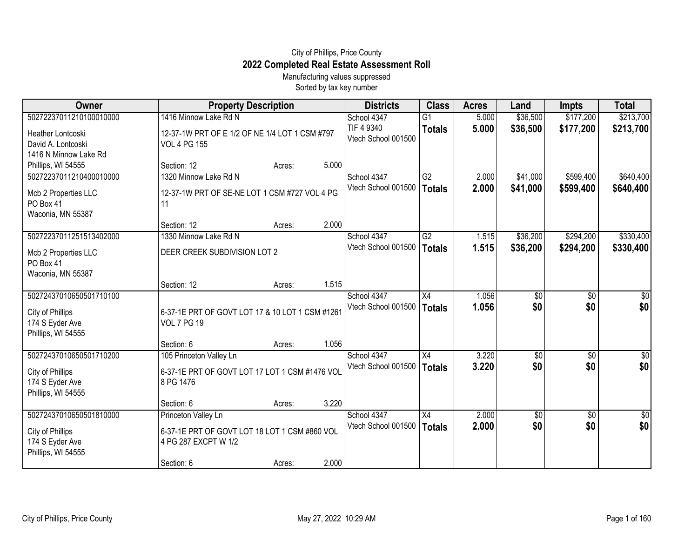## City of Phillips, Price County **2022 Completed Real Estate Assessment Roll**

Manufacturing values suppressed Sorted by tax key number

| Owner                                                                                | <b>Property Description</b>                                           |        |       | <b>Districts</b>                   | <b>Class</b>        | <b>Acres</b>   | Land            | <b>Impts</b> | <b>Total</b>     |
|--------------------------------------------------------------------------------------|-----------------------------------------------------------------------|--------|-------|------------------------------------|---------------------|----------------|-----------------|--------------|------------------|
| 50272237011210100010000                                                              | 1416 Minnow Lake Rd N                                                 |        |       | School 4347                        | $\overline{G1}$     | 5.000          | \$36,500        | \$177,200    | \$213,700        |
| Heather Lontcoski<br>David A. Lontcoski<br>1416 N Minnow Lake Rd                     | 12-37-1W PRT OF E 1/2 OF NE 1/4 LOT 1 CSM #797<br><b>VOL 4 PG 155</b> |        |       | TIF 4 9340<br>Vtech School 001500  | <b>Totals</b>       | 5.000          | \$36,500        | \$177,200    | \$213,700        |
| Phillips, WI 54555                                                                   | Section: 12                                                           | Acres: | 5.000 |                                    |                     |                |                 |              |                  |
| 50272237011210400010000                                                              | 1320 Minnow Lake Rd N                                                 |        |       | School 4347                        | G2                  | 2.000          | \$41,000        | \$599,400    | \$640,400        |
| Mcb 2 Properties LLC<br>PO Box 41<br>Waconia, MN 55387                               | 12-37-1W PRT OF SE-NE LOT 1 CSM #727 VOL 4 PG<br>11                   |        |       | Vtech School 001500                | <b>Totals</b>       | 2.000          | \$41,000        | \$599,400    | \$640,400        |
|                                                                                      | Section: 12                                                           | Acres: | 2.000 |                                    |                     |                |                 |              |                  |
| 50272237011251513402000                                                              | 1330 Minnow Lake Rd N                                                 |        |       | School 4347                        | G2                  | 1.515          | \$36,200        | \$294,200    | \$330,400        |
| Mcb 2 Properties LLC<br>PO Box 41<br>Waconia, MN 55387                               | DEER CREEK SUBDIVISION LOT 2                                          |        |       | Vtech School 001500                | <b>Totals</b>       | 1.515          | \$36,200        | \$294,200    | \$330,400        |
|                                                                                      | Section: 12                                                           | Acres: | 1.515 |                                    |                     |                |                 |              |                  |
| 50272437010650501710100<br>City of Phillips<br>174 S Eyder Ave<br>Phillips, WI 54555 | 6-37-1E PRT OF GOVT LOT 17 & 10 LOT 1 CSM #1261<br><b>VOL 7 PG 19</b> |        |       | School 4347<br>Vtech School 001500 | X4<br><b>Totals</b> | 1.056<br>1.056 | \$0<br>\$0      | \$0<br>\$0   | \$0<br>\$0       |
|                                                                                      | Section: 6                                                            | Acres: | 1.056 |                                    |                     |                |                 |              |                  |
| 50272437010650501710200                                                              | 105 Princeton Valley Ln                                               |        |       | School 4347                        | X4                  | 3.220          | \$0             | \$0          | $\overline{50}$  |
| City of Phillips<br>174 S Eyder Ave<br>Phillips, WI 54555                            | 6-37-1E PRT OF GOVT LOT 17 LOT 1 CSM #1476 VOL<br>8 PG 1476           |        |       | Vtech School 001500                | <b>Totals</b>       | 3.220          | \$0             | \$0          | \$0              |
|                                                                                      | Section: 6                                                            | Acres: | 3.220 |                                    |                     |                |                 |              |                  |
| 50272437010650501810000                                                              | Princeton Valley Ln                                                   |        |       | School 4347                        | X4                  | 2.000          | $\overline{50}$ | \$0          | $\overline{\$0}$ |
| City of Phillips<br>174 S Eyder Ave<br>Phillips, WI 54555                            | 6-37-1E PRT OF GOVT LOT 18 LOT 1 CSM #860 VOL<br>4 PG 287 EXCPT W 1/2 |        |       | Vtech School 001500                | <b>Totals</b>       | 2.000          | \$0             | \$0          | \$0              |
|                                                                                      | Section: 6                                                            | Acres: | 2.000 |                                    |                     |                |                 |              |                  |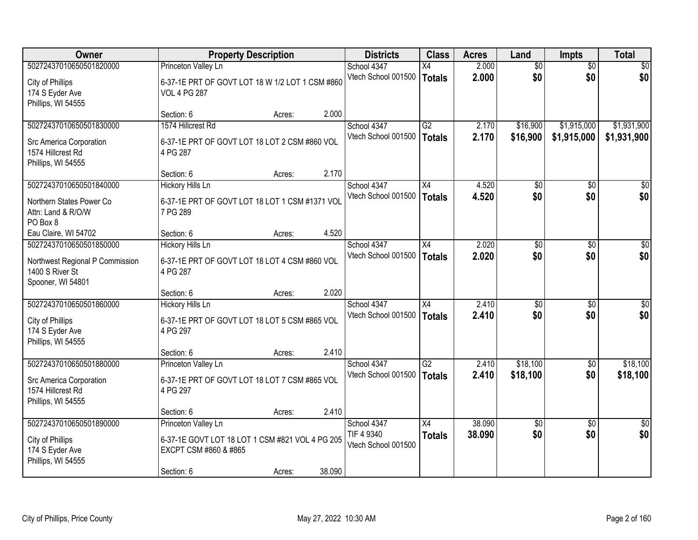| Owner                                                                   |                                                                          | <b>Property Description</b> |        | <b>Districts</b>                  | <b>Class</b>    | <b>Acres</b> | Land            | <b>Impts</b>    | <b>Total</b>    |
|-------------------------------------------------------------------------|--------------------------------------------------------------------------|-----------------------------|--------|-----------------------------------|-----------------|--------------|-----------------|-----------------|-----------------|
| 50272437010650501820000                                                 | Princeton Valley Ln                                                      |                             |        | School 4347                       | X4              | 2.000        | $\overline{50}$ | $\overline{50}$ | \$0             |
| City of Phillips<br>174 S Eyder Ave<br>Phillips, WI 54555               | 6-37-1E PRT OF GOVT LOT 18 W 1/2 LOT 1 CSM #860<br><b>VOL 4 PG 287</b>   |                             |        | Vtech School 001500               | <b>Totals</b>   | 2.000        | \$0             | \$0             | \$0             |
|                                                                         | Section: 6                                                               | Acres:                      | 2.000  |                                   |                 |              |                 |                 |                 |
| 50272437010650501830000                                                 | 1574 Hillcrest Rd                                                        |                             |        | School 4347                       | $\overline{G2}$ | 2.170        | \$16,900        | \$1,915,000     | \$1,931,900     |
| Src America Corporation<br>1574 Hillcrest Rd<br>Phillips, WI 54555      | 6-37-1E PRT OF GOVT LOT 18 LOT 2 CSM #860 VOL<br>4 PG 287                |                             |        | Vtech School 001500               | Totals          | 2.170        | \$16,900        | \$1,915,000     | \$1,931,900     |
|                                                                         | Section: 6                                                               | Acres:                      | 2.170  |                                   |                 |              |                 |                 |                 |
| 50272437010650501840000                                                 | <b>Hickory Hills Ln</b>                                                  |                             |        | School 4347                       | X4              | 4.520        | \$0             | \$0             | \$0             |
| Northern States Power Co<br>Attn: Land & R/O/W<br>PO Box 8              | 6-37-1E PRT OF GOVT LOT 18 LOT 1 CSM #1371 VOL<br>7 PG 289               |                             |        | Vtech School 001500               | <b>Totals</b>   | 4.520        | \$0             | \$0             | \$0             |
| Eau Claire, WI 54702                                                    | Section: 6                                                               | Acres:                      | 4.520  |                                   |                 |              |                 |                 |                 |
| 50272437010650501850000                                                 | <b>Hickory Hills Ln</b>                                                  |                             |        | School 4347                       | X4              | 2.020        | \$0             | \$0             | \$0             |
| Northwest Regional P Commission<br>1400 S River St<br>Spooner, WI 54801 | 6-37-1E PRT OF GOVT LOT 18 LOT 4 CSM #860 VOL<br>4 PG 287                |                             |        | Vtech School 001500               | <b>Totals</b>   | 2.020        | \$0             | \$0             | \$0             |
|                                                                         | Section: 6                                                               | Acres:                      | 2.020  |                                   |                 |              |                 |                 |                 |
| 50272437010650501860000                                                 | <b>Hickory Hills Ln</b>                                                  |                             |        | School 4347                       | $\overline{X4}$ | 2.410        | $\overline{50}$ | $\overline{50}$ | $\overline{50}$ |
| City of Phillips<br>174 S Eyder Ave<br>Phillips, WI 54555               | 6-37-1E PRT OF GOVT LOT 18 LOT 5 CSM #865 VOL<br>4 PG 297                |                             |        | Vtech School 001500               | <b>Totals</b>   | 2.410        | \$0             | \$0             | \$0             |
|                                                                         | Section: 6                                                               | Acres:                      | 2.410  |                                   |                 |              |                 |                 |                 |
| 50272437010650501880000                                                 | Princeton Valley Ln                                                      |                             |        | School 4347                       | $\overline{G2}$ | 2.410        | \$18,100        | \$0             | \$18,100        |
| Src America Corporation<br>1574 Hillcrest Rd<br>Phillips, WI 54555      | 6-37-1E PRT OF GOVT LOT 18 LOT 7 CSM #865 VOL<br>4 PG 297                |                             |        | Vtech School 001500               | <b>Totals</b>   | 2.410        | \$18,100        | \$0             | \$18,100        |
|                                                                         | Section: 6                                                               | Acres:                      | 2.410  |                                   |                 |              |                 |                 |                 |
| 50272437010650501890000                                                 | Princeton Valley Ln                                                      |                             |        | School 4347                       | $\overline{X4}$ | 38.090       | \$0             | $\overline{30}$ | $\overline{30}$ |
| City of Phillips<br>174 S Eyder Ave<br>Phillips, WI 54555               | 6-37-1E GOVT LOT 18 LOT 1 CSM #821 VOL 4 PG 205<br>EXCPT CSM #860 & #865 |                             |        | TIF 4 9340<br>Vtech School 001500 | <b>Totals</b>   | 38.090       | \$0             | \$0             | \$0             |
|                                                                         | Section: 6                                                               | Acres:                      | 38.090 |                                   |                 |              |                 |                 |                 |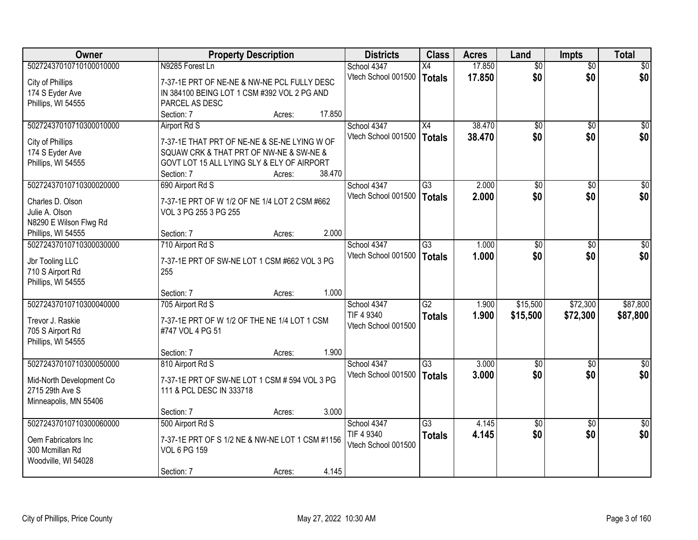| Owner                    | <b>Property Description</b>                     |        | <b>Districts</b>    | <b>Class</b>    | <b>Acres</b> | Land            | <b>Impts</b>    | <b>Total</b>    |
|--------------------------|-------------------------------------------------|--------|---------------------|-----------------|--------------|-----------------|-----------------|-----------------|
| 50272437010710100010000  | N9285 Forest Ln                                 |        | School 4347         | X4              | 17.850       | $\overline{50}$ | $\overline{50}$ | \$0             |
| City of Phillips         | 7-37-1E PRT OF NE-NE & NW-NE PCL FULLY DESC     |        | Vtech School 001500 | Totals          | 17.850       | \$0             | \$0             | \$0             |
| 174 S Eyder Ave          | IN 384100 BEING LOT 1 CSM #392 VOL 2 PG AND     |        |                     |                 |              |                 |                 |                 |
| Phillips, WI 54555       | PARCEL AS DESC                                  |        |                     |                 |              |                 |                 |                 |
|                          | Section: 7<br>Acres:                            | 17.850 |                     |                 |              |                 |                 |                 |
| 50272437010710300010000  | Airport Rd S                                    |        | School 4347         | $\overline{X4}$ | 38.470       | $\overline{50}$ | $\overline{50}$ | \$0             |
|                          |                                                 |        | Vtech School 001500 | Totals          | 38.470       | \$0             | \$0             | \$0             |
| City of Phillips         | 7-37-1E THAT PRT OF NE-NE & SE-NE LYING W OF    |        |                     |                 |              |                 |                 |                 |
| 174 S Eyder Ave          | SQUAW CRK & THAT PRT OF NW-NE & SW-NE &         |        |                     |                 |              |                 |                 |                 |
| Phillips, WI 54555       | GOVT LOT 15 ALL LYING SLY & ELY OF AIRPORT      |        |                     |                 |              |                 |                 |                 |
|                          | Section: 7<br>Acres:                            | 38.470 |                     |                 |              |                 |                 |                 |
| 50272437010710300020000  | 690 Airport Rd S                                |        | School 4347         | $\overline{G3}$ | 2.000        | $\overline{50}$ | \$0             | $\overline{50}$ |
| Charles D. Olson         | 7-37-1E PRT OF W 1/2 OF NE 1/4 LOT 2 CSM #662   |        | Vtech School 001500 | Totals          | 2.000        | \$0             | \$0             | \$0             |
| Julie A. Olson           | VOL 3 PG 255 3 PG 255                           |        |                     |                 |              |                 |                 |                 |
| N8290 E Wilson Flwg Rd   |                                                 |        |                     |                 |              |                 |                 |                 |
| Phillips, WI 54555       | Section: 7<br>Acres:                            | 2.000  |                     |                 |              |                 |                 |                 |
| 50272437010710300030000  | 710 Airport Rd S                                |        | School 4347         | $\overline{G3}$ | 1.000        | $\overline{50}$ | \$0             | $\sqrt{50}$     |
|                          |                                                 |        | Vtech School 001500 | <b>Totals</b>   | 1.000        | \$0             | \$0             | \$0             |
| Jbr Tooling LLC          | 7-37-1E PRT OF SW-NE LOT 1 CSM #662 VOL 3 PG    |        |                     |                 |              |                 |                 |                 |
| 710 S Airport Rd         | 255                                             |        |                     |                 |              |                 |                 |                 |
| Phillips, WI 54555       |                                                 |        |                     |                 |              |                 |                 |                 |
|                          | Section: 7<br>Acres:                            | 1.000  |                     |                 |              |                 |                 |                 |
| 50272437010710300040000  | 705 Airport Rd S                                |        | School 4347         | $\overline{G2}$ | 1.900        | \$15,500        | \$72,300        | \$87,800        |
| Trevor J. Raskie         | 7-37-1E PRT OF W 1/2 OF THE NE 1/4 LOT 1 CSM    |        | TIF 4 9340          | <b>Totals</b>   | 1.900        | \$15,500        | \$72,300        | \$87,800        |
| 705 S Airport Rd         | #747 VOL 4 PG 51                                |        | Vtech School 001500 |                 |              |                 |                 |                 |
| Phillips, WI 54555       |                                                 |        |                     |                 |              |                 |                 |                 |
|                          | Section: 7<br>Acres:                            | 1.900  |                     |                 |              |                 |                 |                 |
| 50272437010710300050000  | 810 Airport Rd S                                |        | School 4347         | $\overline{G3}$ | 3.000        | $\overline{50}$ | \$0             | \$0             |
|                          |                                                 |        | Vtech School 001500 | Totals          | 3.000        | \$0             | \$0             | \$0             |
| Mid-North Development Co | 7-37-1E PRT OF SW-NE LOT 1 CSM # 594 VOL 3 PG   |        |                     |                 |              |                 |                 |                 |
| 2715 29th Ave S          | 111 & PCL DESC IN 333718                        |        |                     |                 |              |                 |                 |                 |
| Minneapolis, MN 55406    |                                                 |        |                     |                 |              |                 |                 |                 |
|                          | Section: 7<br>Acres:                            | 3.000  |                     |                 |              |                 |                 |                 |
| 50272437010710300060000  | 500 Airport Rd S                                |        | School 4347         | $\overline{G3}$ | 4.145        | $\overline{50}$ | $\overline{50}$ | $\overline{50}$ |
| Oem Fabricators Inc      | 7-37-1E PRT OF S 1/2 NE & NW-NE LOT 1 CSM #1156 |        | TIF 4 9340          | <b>Totals</b>   | 4.145        | \$0             | \$0             | \$0             |
| 300 Mcmillan Rd          | <b>VOL 6 PG 159</b>                             |        | Vtech School 001500 |                 |              |                 |                 |                 |
| Woodville, WI 54028      |                                                 |        |                     |                 |              |                 |                 |                 |
|                          | Section: 7<br>Acres:                            | 4.145  |                     |                 |              |                 |                 |                 |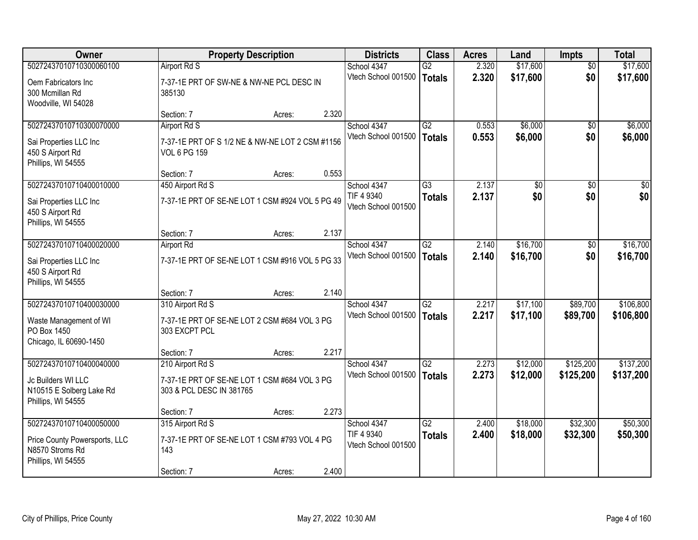| <b>Owner</b>                                                                                      |                                                                                              | <b>Property Description</b> |       | <b>Districts</b>                                 | <b>Class</b>                     | <b>Acres</b>   | Land                 | <b>Impts</b>           | <b>Total</b>           |
|---------------------------------------------------------------------------------------------------|----------------------------------------------------------------------------------------------|-----------------------------|-------|--------------------------------------------------|----------------------------------|----------------|----------------------|------------------------|------------------------|
| 50272437010710300060100<br>Oem Fabricators Inc<br>300 Mcmillan Rd<br>Woodville, WI 54028          | Airport Rd S<br>7-37-1E PRT OF SW-NE & NW-NE PCL DESC IN<br>385130                           |                             |       | School 4347<br>Vtech School 001500               | G2<br><b>Totals</b>              | 2.320<br>2.320 | \$17,600<br>\$17,600 | $\overline{50}$<br>\$0 | \$17,600<br>\$17,600   |
|                                                                                                   | Section: 7                                                                                   | Acres:                      | 2.320 |                                                  |                                  |                |                      |                        |                        |
| 50272437010710300070000<br>Sai Properties LLC Inc<br>450 S Airport Rd<br>Phillips, WI 54555       | Airport Rd S<br>7-37-1E PRT OF S 1/2 NE & NW-NE LOT 2 CSM #1156<br><b>VOL 6 PG 159</b>       |                             |       | School 4347<br>Vtech School 001500               | G2<br><b>Totals</b>              | 0.553<br>0.553 | \$6,000<br>\$6,000   | \$0<br>\$0             | \$6,000<br>\$6,000     |
| 50272437010710400010000                                                                           | Section: 7                                                                                   | Acres:                      | 0.553 | School 4347                                      | G3                               | 2.137          | \$0                  |                        | $\overline{30}$        |
| Sai Properties LLC Inc<br>450 S Airport Rd<br>Phillips, WI 54555                                  | 450 Airport Rd S<br>7-37-1E PRT OF SE-NE LOT 1 CSM #924 VOL 5 PG 49                          |                             |       | TIF 4 9340<br>Vtech School 001500                | <b>Totals</b>                    | 2.137          | \$0                  | \$0<br>\$0             | \$0                    |
|                                                                                                   | Section: 7                                                                                   | Acres:                      | 2.137 |                                                  |                                  |                |                      |                        |                        |
| 50272437010710400020000<br>Sai Properties LLC Inc<br>450 S Airport Rd<br>Phillips, WI 54555       | <b>Airport Rd</b><br>7-37-1E PRT OF SE-NE LOT 1 CSM #916 VOL 5 PG 33                         |                             |       | School 4347<br>Vtech School 001500               | $\overline{G2}$<br><b>Totals</b> | 2.140<br>2.140 | \$16,700<br>\$16,700 | $\sqrt[6]{3}$<br>\$0   | \$16,700<br>\$16,700   |
|                                                                                                   | Section: 7                                                                                   | Acres:                      | 2.140 |                                                  |                                  |                |                      |                        |                        |
| 50272437010710400030000<br>Waste Management of WI<br>PO Box 1450<br>Chicago, IL 60690-1450        | 310 Airport Rd S<br>7-37-1E PRT OF SE-NE LOT 2 CSM #684 VOL 3 PG<br>303 EXCPT PCL            |                             |       | School 4347<br>Vtech School 001500               | $\overline{G2}$<br><b>Totals</b> | 2.217<br>2.217 | \$17,100<br>\$17,100 | \$89,700<br>\$89,700   | \$106,800<br>\$106,800 |
|                                                                                                   | Section: 7                                                                                   | Acres:                      | 2.217 |                                                  |                                  |                |                      |                        |                        |
| 50272437010710400040000<br>Jc Builders WI LLC<br>N10515 E Solberg Lake Rd<br>Phillips, WI 54555   | 210 Airport Rd S<br>7-37-1E PRT OF SE-NE LOT 1 CSM #684 VOL 3 PG<br>303 & PCL DESC IN 381765 |                             |       | School 4347<br>Vtech School 001500               | $\overline{G2}$<br><b>Totals</b> | 2.273<br>2.273 | \$12,000<br>\$12,000 | \$125,200<br>\$125,200 | \$137,200<br>\$137,200 |
|                                                                                                   | Section: 7                                                                                   | Acres:                      | 2.273 |                                                  |                                  |                |                      |                        |                        |
| 50272437010710400050000<br>Price County Powersports, LLC<br>N8570 Stroms Rd<br>Phillips, WI 54555 | 315 Airport Rd S<br>7-37-1E PRT OF SE-NE LOT 1 CSM #793 VOL 4 PG<br>143<br>Section: 7        | Acres:                      | 2.400 | School 4347<br>TIF 4 9340<br>Vtech School 001500 | $\overline{G2}$<br><b>Totals</b> | 2.400<br>2.400 | \$18,000<br>\$18,000 | \$32,300<br>\$32,300   | \$50,300<br>\$50,300   |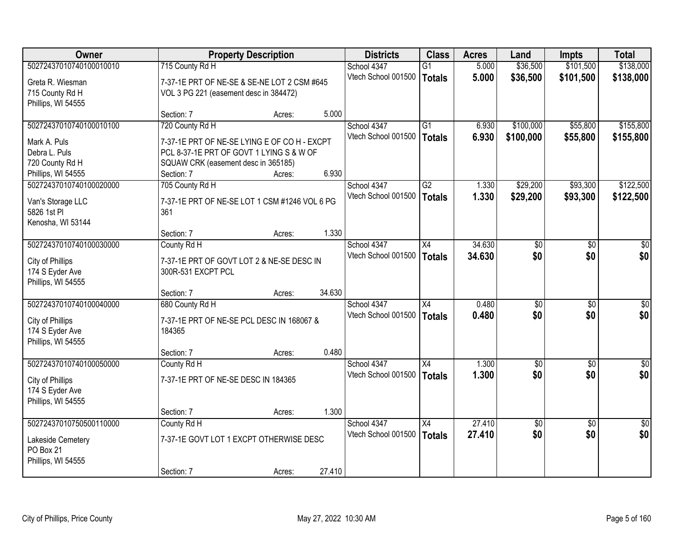| Owner                                 |                                                                 | <b>Property Description</b> |        | <b>Districts</b>    | <b>Class</b>    | <b>Acres</b> | Land            | <b>Impts</b>    | <b>Total</b>    |
|---------------------------------------|-----------------------------------------------------------------|-----------------------------|--------|---------------------|-----------------|--------------|-----------------|-----------------|-----------------|
| 50272437010740100010010               | 715 County Rd H                                                 |                             |        | School 4347         | $\overline{G1}$ | 5.000        | \$36,500        | \$101,500       | \$138,000       |
| Greta R. Wiesman                      | 7-37-1E PRT OF NE-SE & SE-NE LOT 2 CSM #645                     |                             |        | Vtech School 001500 | <b>Totals</b>   | 5.000        | \$36,500        | \$101,500       | \$138,000       |
| 715 County Rd H                       | VOL 3 PG 221 (easement desc in 384472)                          |                             |        |                     |                 |              |                 |                 |                 |
| Phillips, WI 54555                    |                                                                 |                             |        |                     |                 |              |                 |                 |                 |
|                                       | Section: 7                                                      | Acres:                      | 5.000  |                     |                 |              |                 |                 |                 |
| 50272437010740100010100               | 720 County Rd H                                                 |                             |        | School 4347         | $\overline{G1}$ | 6.930        | \$100,000       | \$55,800        | \$155,800       |
| Mark A. Puls                          | 7-37-1E PRT OF NE-SE LYING E OF CO H - EXCPT                    |                             |        | Vtech School 001500 | <b>Totals</b>   | 6.930        | \$100,000       | \$55,800        | \$155,800       |
| Debra L. Puls                         | PCL 8-37-1E PRT OF GOVT 1 LYING S & W OF                        |                             |        |                     |                 |              |                 |                 |                 |
| 720 County Rd H                       | SQUAW CRK (easement desc in 365185)                             |                             |        |                     |                 |              |                 |                 |                 |
| Phillips, WI 54555                    | Section: 7                                                      | Acres:                      | 6.930  |                     |                 |              |                 |                 |                 |
| 50272437010740100020000               | 705 County Rd H                                                 |                             |        | School 4347         | G2              | 1.330        | \$29,200        | \$93,300        | \$122,500       |
| Van's Storage LLC                     | 7-37-1E PRT OF NE-SE LOT 1 CSM #1246 VOL 6 PG                   |                             |        | Vtech School 001500 | <b>Totals</b>   | 1.330        | \$29,200        | \$93,300        | \$122,500       |
| 5826 1st Pl                           | 361                                                             |                             |        |                     |                 |              |                 |                 |                 |
| Kenosha, WI 53144                     |                                                                 |                             |        |                     |                 |              |                 |                 |                 |
|                                       | Section: 7                                                      | Acres:                      | 1.330  |                     |                 |              |                 |                 |                 |
| 50272437010740100030000               | County Rd H                                                     |                             |        | School 4347         | X4              | 34.630       | \$0             | \$0             | \$0             |
|                                       |                                                                 |                             |        | Vtech School 001500 | <b>Totals</b>   | 34.630       | \$0             | \$0             | \$0             |
| City of Phillips<br>174 S Eyder Ave   | 7-37-1E PRT OF GOVT LOT 2 & NE-SE DESC IN<br>300R-531 EXCPT PCL |                             |        |                     |                 |              |                 |                 |                 |
| Phillips, WI 54555                    |                                                                 |                             |        |                     |                 |              |                 |                 |                 |
|                                       | Section: 7                                                      | Acres:                      | 34.630 |                     |                 |              |                 |                 |                 |
| 50272437010740100040000               | 680 County Rd H                                                 |                             |        | School 4347         | $\overline{X4}$ | 0.480        | $\overline{50}$ | $\overline{50}$ | $\overline{50}$ |
|                                       |                                                                 |                             |        | Vtech School 001500 | <b>Totals</b>   | 0.480        | \$0             | \$0             | \$0             |
| City of Phillips                      | 7-37-1E PRT OF NE-SE PCL DESC IN 168067 &<br>184365             |                             |        |                     |                 |              |                 |                 |                 |
| 174 S Eyder Ave<br>Phillips, WI 54555 |                                                                 |                             |        |                     |                 |              |                 |                 |                 |
|                                       | Section: 7                                                      | Acres:                      | 0.480  |                     |                 |              |                 |                 |                 |
| 50272437010740100050000               | County Rd H                                                     |                             |        | School 4347         | $\overline{X4}$ | 1.300        | $\sqrt{6}$      | $\overline{50}$ | \$0             |
|                                       |                                                                 |                             |        | Vtech School 001500 | <b>Totals</b>   | 1.300        | \$0             | \$0             | \$0             |
| City of Phillips                      | 7-37-1E PRT OF NE-SE DESC IN 184365                             |                             |        |                     |                 |              |                 |                 |                 |
| 174 S Eyder Ave                       |                                                                 |                             |        |                     |                 |              |                 |                 |                 |
| Phillips, WI 54555                    | Section: 7                                                      | Acres:                      | 1.300  |                     |                 |              |                 |                 |                 |
| 50272437010750500110000               | County Rd H                                                     |                             |        | School 4347         | $\overline{X4}$ | 27.410       | \$0             | $\overline{30}$ | \$0             |
|                                       |                                                                 |                             |        | Vtech School 001500 | <b>Totals</b>   | 27.410       | \$0             | \$0             | \$0             |
| Lakeside Cemetery                     | 7-37-1E GOVT LOT 1 EXCPT OTHERWISE DESC                         |                             |        |                     |                 |              |                 |                 |                 |
| PO Box 21                             |                                                                 |                             |        |                     |                 |              |                 |                 |                 |
| Phillips, WI 54555                    |                                                                 |                             |        |                     |                 |              |                 |                 |                 |
|                                       | Section: 7                                                      | Acres:                      | 27.410 |                     |                 |              |                 |                 |                 |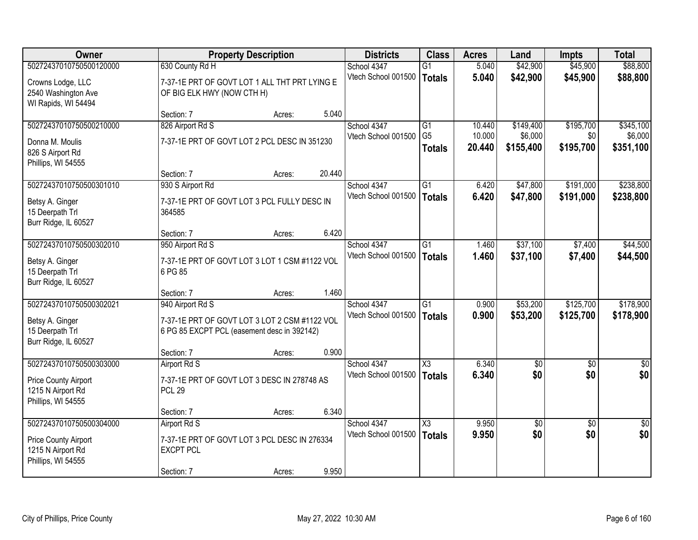| Owner                                   |                                               | <b>Property Description</b> |        | <b>Districts</b>                   | <b>Class</b>           | <b>Acres</b>     | Land                 | <b>Impts</b>     | <b>Total</b>         |
|-----------------------------------------|-----------------------------------------------|-----------------------------|--------|------------------------------------|------------------------|------------------|----------------------|------------------|----------------------|
| 50272437010750500120000                 | 630 County Rd H                               |                             |        | School 4347                        | G1                     | 5.040            | \$42,900             | \$45,900         | \$88,800             |
| Crowns Lodge, LLC                       | 7-37-1E PRT OF GOVT LOT 1 ALL THT PRT LYING E |                             |        | Vtech School 001500                | <b>Totals</b>          | 5.040            | \$42,900             | \$45,900         | \$88,800             |
| 2540 Washington Ave                     | OF BIG ELK HWY (NOW CTH H)                    |                             |        |                                    |                        |                  |                      |                  |                      |
| WI Rapids, WI 54494                     |                                               |                             |        |                                    |                        |                  |                      |                  |                      |
|                                         | Section: 7                                    | Acres:                      | 5.040  |                                    |                        |                  |                      |                  |                      |
| 50272437010750500210000                 | 826 Airport Rd S                              |                             |        | School 4347                        | $\overline{G1}$        | 10.440           | \$149,400            | \$195,700        | \$345,100            |
| Donna M. Moulis                         | 7-37-1E PRT OF GOVT LOT 2 PCL DESC IN 351230  |                             |        | Vtech School 001500                | G <sub>5</sub>         | 10.000<br>20.440 | \$6,000<br>\$155,400 | \$0<br>\$195,700 | \$6,000<br>\$351,100 |
| 826 S Airport Rd                        |                                               |                             |        |                                    | <b>Totals</b>          |                  |                      |                  |                      |
| Phillips, WI 54555                      |                                               |                             |        |                                    |                        |                  |                      |                  |                      |
|                                         | Section: 7                                    | Acres:                      | 20.440 |                                    |                        |                  |                      |                  |                      |
| 50272437010750500301010                 | 930 S Airport Rd                              |                             |        | School 4347<br>Vtech School 001500 | G1                     | 6.420<br>6.420   | \$47,800             | \$191,000        | \$238,800            |
| Betsy A. Ginger                         | 7-37-1E PRT OF GOVT LOT 3 PCL FULLY DESC IN   |                             |        |                                    | <b>Totals</b>          |                  | \$47,800             | \$191,000        | \$238,800            |
| 15 Deerpath Trl                         | 364585                                        |                             |        |                                    |                        |                  |                      |                  |                      |
| Burr Ridge, IL 60527                    |                                               |                             | 6.420  |                                    |                        |                  |                      |                  |                      |
| 50272437010750500302010                 | Section: 7<br>950 Airport Rd S                | Acres:                      |        | School 4347                        | G1                     | 1.460            | \$37,100             | \$7,400          | \$44,500             |
|                                         |                                               |                             |        | Vtech School 001500                | <b>Totals</b>          | 1.460            | \$37,100             | \$7,400          | \$44,500             |
| Betsy A. Ginger                         | 7-37-1E PRT OF GOVT LOT 3 LOT 1 CSM #1122 VOL |                             |        |                                    |                        |                  |                      |                  |                      |
| 15 Deerpath Trl                         | 6 PG 85                                       |                             |        |                                    |                        |                  |                      |                  |                      |
| Burr Ridge, IL 60527                    | Section: 7                                    | Acres:                      | 1.460  |                                    |                        |                  |                      |                  |                      |
| 50272437010750500302021                 | 940 Airport Rd S                              |                             |        | School 4347                        | $\overline{G1}$        | 0.900            | \$53,200             | \$125,700        | \$178,900            |
|                                         |                                               |                             |        | Vtech School 001500                | <b>Totals</b>          | 0.900            | \$53,200             | \$125,700        | \$178,900            |
| Betsy A. Ginger                         | 7-37-1E PRT OF GOVT LOT 3 LOT 2 CSM #1122 VOL |                             |        |                                    |                        |                  |                      |                  |                      |
| 15 Deerpath Trl<br>Burr Ridge, IL 60527 | 6 PG 85 EXCPT PCL (easement desc in 392142)   |                             |        |                                    |                        |                  |                      |                  |                      |
|                                         | Section: 7                                    | Acres:                      | 0.900  |                                    |                        |                  |                      |                  |                      |
| 50272437010750500303000                 | Airport Rd S                                  |                             |        | School 4347                        | $\overline{\text{X3}}$ | 6.340            | $\overline{50}$      | $\overline{50}$  | $\overline{50}$      |
| Price County Airport                    | 7-37-1E PRT OF GOVT LOT 3 DESC IN 278748 AS   |                             |        | Vtech School 001500                | <b>Totals</b>          | 6.340            | \$0                  | \$0              | \$0                  |
| 1215 N Airport Rd                       | <b>PCL 29</b>                                 |                             |        |                                    |                        |                  |                      |                  |                      |
| Phillips, WI 54555                      |                                               |                             |        |                                    |                        |                  |                      |                  |                      |
|                                         | Section: 7                                    | Acres:                      | 6.340  |                                    |                        |                  |                      |                  |                      |
| 50272437010750500304000                 | Airport Rd S                                  |                             |        | School 4347                        | X3                     | 9.950            | $\sqrt{50}$          | $\overline{50}$  | $\overline{50}$      |
| Price County Airport                    | 7-37-1E PRT OF GOVT LOT 3 PCL DESC IN 276334  |                             |        | Vtech School 001500                | <b>Totals</b>          | 9.950            | \$0                  | \$0              | \$0                  |
| 1215 N Airport Rd                       | <b>EXCPT PCL</b>                              |                             |        |                                    |                        |                  |                      |                  |                      |
| Phillips, WI 54555                      |                                               |                             |        |                                    |                        |                  |                      |                  |                      |
|                                         | Section: 7                                    | Acres:                      | 9.950  |                                    |                        |                  |                      |                  |                      |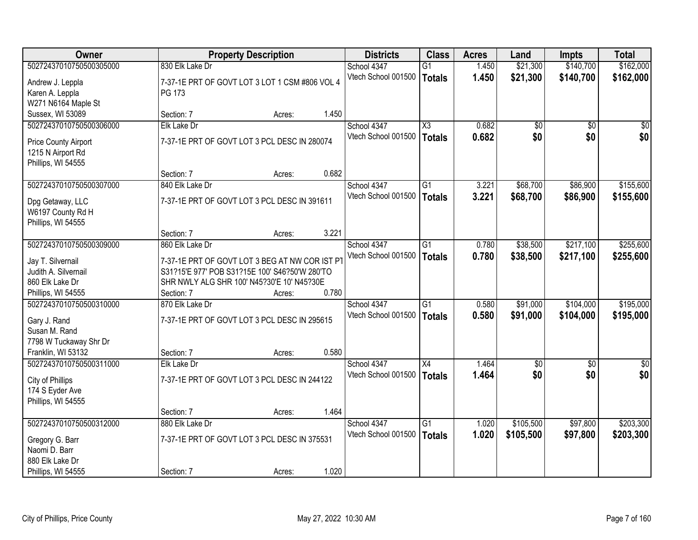| <b>Owner</b>                                 |                                                                                              | <b>Property Description</b> |       | <b>Districts</b>                   | <b>Class</b>    | <b>Acres</b>   | Land                   | Impts                | <b>Total</b>    |
|----------------------------------------------|----------------------------------------------------------------------------------------------|-----------------------------|-------|------------------------------------|-----------------|----------------|------------------------|----------------------|-----------------|
| 50272437010750500305000                      | 830 Elk Lake Dr                                                                              |                             |       | School 4347                        | $\overline{G1}$ | 1.450          | \$21,300               | \$140,700            | \$162,000       |
| Andrew J. Leppla                             | 7-37-1E PRT OF GOVT LOT 3 LOT 1 CSM #806 VOL 4                                               |                             |       | Vtech School 001500                | Totals          | 1.450          | \$21,300               | \$140,700            | \$162,000       |
| Karen A. Leppla                              | PG 173                                                                                       |                             |       |                                    |                 |                |                        |                      |                 |
| W271 N6164 Maple St                          |                                                                                              |                             |       |                                    |                 |                |                        |                      |                 |
| Sussex, WI 53089                             | Section: 7                                                                                   | Acres:                      | 1.450 |                                    |                 |                |                        |                      |                 |
| 50272437010750500306000                      | Elk Lake Dr                                                                                  |                             |       | School 4347                        | X3              | 0.682          | \$0                    | $\overline{50}$      | $\overline{50}$ |
| Price County Airport                         | 7-37-1E PRT OF GOVT LOT 3 PCL DESC IN 280074                                                 |                             |       | Vtech School 001500                | Totals          | 0.682          | \$0                    | \$0                  | \$0             |
| 1215 N Airport Rd                            |                                                                                              |                             |       |                                    |                 |                |                        |                      |                 |
| Phillips, WI 54555                           |                                                                                              |                             |       |                                    |                 |                |                        |                      |                 |
|                                              | Section: 7                                                                                   | Acres:                      | 0.682 |                                    |                 |                |                        |                      |                 |
| 50272437010750500307000                      | 840 Elk Lake Dr                                                                              |                             |       | School 4347                        | G1              | 3.221          | \$68,700               | \$86,900             | \$155,600       |
|                                              |                                                                                              |                             |       | Vtech School 001500                | Totals          | 3.221          | \$68,700               | \$86,900             | \$155,600       |
| Dpg Getaway, LLC<br>W6197 County Rd H        | 7-37-1E PRT OF GOVT LOT 3 PCL DESC IN 391611                                                 |                             |       |                                    |                 |                |                        |                      |                 |
| Phillips, WI 54555                           |                                                                                              |                             |       |                                    |                 |                |                        |                      |                 |
|                                              | Section: 7                                                                                   | Acres:                      | 3.221 |                                    |                 |                |                        |                      |                 |
| 50272437010750500309000                      | 860 Elk Lake Dr                                                                              |                             |       | School 4347                        | $\overline{G1}$ | 0.780          | \$38,500               | \$217,100            | \$255,600       |
|                                              |                                                                                              |                             |       | Vtech School 001500                | Totals          | 0.780          | \$38,500               | \$217,100            | \$255,600       |
| Jay T. Silvernail                            | 7-37-1E PRT OF GOVT LOT 3 BEG AT NW COR IST PT                                               |                             |       |                                    |                 |                |                        |                      |                 |
| Judith A. Silvernail<br>860 Elk Lake Dr      | S31?15'E 977' POB S31?15E 100' S46?50'W 280'TO<br>SHR NWLY ALG SHR 100' N45?30'E 10' N45?30E |                             |       |                                    |                 |                |                        |                      |                 |
| Phillips, WI 54555                           | Section: 7                                                                                   | Acres:                      | 0.780 |                                    |                 |                |                        |                      |                 |
| 50272437010750500310000                      | 870 Elk Lake Dr                                                                              |                             |       | School 4347                        | $\overline{G1}$ | 0.580          | \$91,000               | \$104,000            | \$195,000       |
|                                              |                                                                                              |                             |       | Vtech School 001500                | <b>Totals</b>   | 0.580          | \$91,000               | \$104,000            | \$195,000       |
| Gary J. Rand                                 | 7-37-1E PRT OF GOVT LOT 3 PCL DESC IN 295615                                                 |                             |       |                                    |                 |                |                        |                      |                 |
| Susan M. Rand                                |                                                                                              |                             |       |                                    |                 |                |                        |                      |                 |
| 7798 W Tuckaway Shr Dr<br>Franklin, WI 53132 |                                                                                              |                             | 0.580 |                                    |                 |                |                        |                      |                 |
| 50272437010750500311000                      | Section: 7<br><b>Elk Lake Dr</b>                                                             | Acres:                      |       | School 4347                        | $\overline{X4}$ | 1.464          | $\overline{50}$        | $\overline{50}$      | $\overline{50}$ |
|                                              |                                                                                              |                             |       | Vtech School 001500                | Totals          | 1.464          | \$0                    | \$0                  | \$0             |
| City of Phillips                             | 7-37-1E PRT OF GOVT LOT 3 PCL DESC IN 244122                                                 |                             |       |                                    |                 |                |                        |                      |                 |
| 174 S Eyder Ave                              |                                                                                              |                             |       |                                    |                 |                |                        |                      |                 |
| Phillips, WI 54555                           |                                                                                              |                             |       |                                    |                 |                |                        |                      |                 |
| 50272437010750500312000                      | Section: 7                                                                                   | Acres:                      | 1.464 |                                    | $\overline{G1}$ |                |                        |                      | \$203,300       |
|                                              | 880 Elk Lake Dr                                                                              |                             |       | School 4347<br>Vtech School 001500 |                 | 1.020<br>1.020 | \$105,500<br>\$105,500 | \$97,800<br>\$97,800 |                 |
| Gregory G. Barr                              | 7-37-1E PRT OF GOVT LOT 3 PCL DESC IN 375531                                                 |                             |       |                                    | Totals          |                |                        |                      | \$203,300       |
| Naomi D. Barr                                |                                                                                              |                             |       |                                    |                 |                |                        |                      |                 |
| 880 Elk Lake Dr                              |                                                                                              |                             |       |                                    |                 |                |                        |                      |                 |
| Phillips, WI 54555                           | Section: 7                                                                                   | Acres:                      | 1.020 |                                    |                 |                |                        |                      |                 |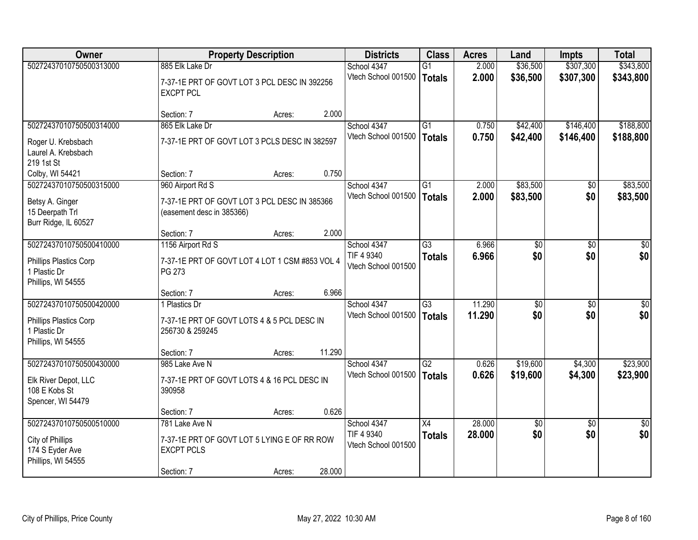| Owner                                                                                |                                                                                                  | <b>Property Description</b> |        | <b>Districts</b>                                 | <b>Class</b>                     | <b>Acres</b>     | Land                   | <b>Impts</b>           | <b>Total</b>           |
|--------------------------------------------------------------------------------------|--------------------------------------------------------------------------------------------------|-----------------------------|--------|--------------------------------------------------|----------------------------------|------------------|------------------------|------------------------|------------------------|
| 50272437010750500313000                                                              | 885 Elk Lake Dr<br>7-37-1E PRT OF GOVT LOT 3 PCL DESC IN 392256<br><b>EXCPT PCL</b>              |                             |        | School 4347<br>Vtech School 001500               | $\overline{G1}$<br><b>Totals</b> | 2.000<br>2.000   | \$36,500<br>\$36,500   | \$307,300<br>\$307,300 | \$343,800<br>\$343,800 |
|                                                                                      | Section: 7                                                                                       | Acres:                      | 2.000  |                                                  |                                  |                  |                        |                        |                        |
| 50272437010750500314000                                                              | 865 Elk Lake Dr                                                                                  |                             |        | School 4347                                      | $\overline{G1}$                  | 0.750            | \$42,400               | \$146,400              | \$188,800              |
| Roger U. Krebsbach<br>Laurel A. Krebsbach<br>219 1st St                              | 7-37-1E PRT OF GOVT LOT 3 PCLS DESC IN 382597                                                    |                             |        | Vtech School 001500                              | <b>Totals</b>                    | 0.750            | \$42,400               | \$146,400              | \$188,800              |
| Colby, WI 54421                                                                      | Section: 7                                                                                       | Acres:                      | 0.750  |                                                  |                                  |                  |                        |                        |                        |
| 50272437010750500315000                                                              | 960 Airport Rd S                                                                                 |                             |        | School 4347                                      | G1                               | 2.000            | \$83,500               | \$0                    | \$83,500               |
| Betsy A. Ginger<br>15 Deerpath Trl<br>Burr Ridge, IL 60527                           | 7-37-1E PRT OF GOVT LOT 3 PCL DESC IN 385366<br>(easement desc in 385366)                        |                             |        | Vtech School 001500                              | <b>Totals</b>                    | 2.000            | \$83,500               | \$0                    | \$83,500               |
|                                                                                      | Section: 7                                                                                       | Acres:                      | 2.000  |                                                  |                                  |                  |                        |                        |                        |
| 50272437010750500410000                                                              | 1156 Airport Rd S                                                                                |                             |        | School 4347                                      | $\overline{G3}$                  | 6.966            | \$0                    | \$0                    | \$0                    |
| Phillips Plastics Corp<br>1 Plastic Dr<br>Phillips, WI 54555                         | 7-37-1E PRT OF GOVT LOT 4 LOT 1 CSM #853 VOL 4<br>PG 273                                         |                             |        | TIF 4 9340<br>Vtech School 001500                | <b>Totals</b>                    | 6.966            | \$0                    | \$0                    | \$0                    |
|                                                                                      | Section: 7                                                                                       | Acres:                      | 6.966  |                                                  |                                  |                  |                        |                        |                        |
| 50272437010750500420000                                                              | 1 Plastics Dr                                                                                    |                             |        | School 4347                                      | $\overline{G3}$                  | 11.290           | \$0                    | \$0                    | \$0                    |
| Phillips Plastics Corp<br>1 Plastic Dr<br>Phillips, WI 54555                         | 7-37-1E PRT OF GOVT LOTS 4 & 5 PCL DESC IN<br>256730 & 259245                                    |                             |        | Vtech School 001500                              | <b>Totals</b>                    | 11.290           | \$0                    | \$0                    | \$0                    |
|                                                                                      | Section: 7                                                                                       | Acres:                      | 11.290 |                                                  |                                  |                  |                        |                        |                        |
| 50272437010750500430000                                                              | 985 Lake Ave N                                                                                   |                             |        | School 4347                                      | $\overline{G2}$                  | 0.626            | \$19,600               | \$4,300                | \$23,900               |
| Elk River Depot, LLC<br>108 E Kobs St<br>Spencer, WI 54479                           | 7-37-1E PRT OF GOVT LOTS 4 & 16 PCL DESC IN<br>390958                                            |                             |        | Vtech School 001500                              | <b>Totals</b>                    | 0.626            | \$19,600               | \$4,300                | \$23,900               |
|                                                                                      | Section: 7                                                                                       | Acres:                      | 0.626  |                                                  |                                  |                  |                        |                        |                        |
| 50272437010750500510000<br>City of Phillips<br>174 S Eyder Ave<br>Phillips, WI 54555 | 781 Lake Ave N<br>7-37-1E PRT OF GOVT LOT 5 LYING E OF RR ROW<br><b>EXCPT PCLS</b><br>Section: 7 | Acres:                      | 28.000 | School 4347<br>TIF 4 9340<br>Vtech School 001500 | $\overline{X4}$<br><b>Totals</b> | 28,000<br>28.000 | $\overline{50}$<br>\$0 | $\overline{30}$<br>\$0 | $\overline{30}$<br>\$0 |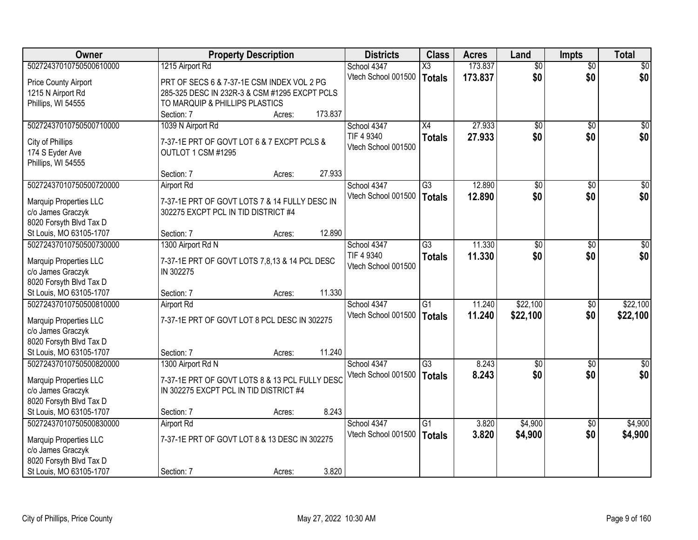| <b>Owner</b>                                 | <b>Property Description</b>                    | <b>Districts</b>    | <b>Class</b>           | <b>Acres</b> | Land            | <b>Impts</b>    | <b>Total</b>     |
|----------------------------------------------|------------------------------------------------|---------------------|------------------------|--------------|-----------------|-----------------|------------------|
| 50272437010750500610000                      | 1215 Airport Rd                                | School 4347         | $\overline{\text{X3}}$ | 173.837      | $\overline{50}$ | \$0             | $\overline{30}$  |
| Price County Airport                         | PRT OF SECS 6 & 7-37-1E CSM INDEX VOL 2 PG     | Vtech School 001500 | <b>Totals</b>          | 173.837      | \$0             | \$0             | \$0              |
| 1215 N Airport Rd                            | 285-325 DESC IN 232R-3 & CSM #1295 EXCPT PCLS  |                     |                        |              |                 |                 |                  |
| Phillips, WI 54555                           | TO MARQUIP & PHILLIPS PLASTICS                 |                     |                        |              |                 |                 |                  |
|                                              | 173.837<br>Section: 7<br>Acres:                |                     |                        |              |                 |                 |                  |
| 50272437010750500710000                      | 1039 N Airport Rd                              | School 4347         | X4                     | 27.933       | \$0             | $\overline{50}$ | \$0              |
|                                              |                                                | TIF 4 9340          | <b>Totals</b>          | 27,933       | \$0             | \$0             | \$0              |
| City of Phillips                             | 7-37-1E PRT OF GOVT LOT 6 & 7 EXCPT PCLS &     | Vtech School 001500 |                        |              |                 |                 |                  |
| 174 S Eyder Ave                              | OUTLOT 1 CSM #1295                             |                     |                        |              |                 |                 |                  |
| Phillips, WI 54555                           |                                                |                     |                        |              |                 |                 |                  |
|                                              | 27.933<br>Section: 7<br>Acres:                 |                     |                        |              |                 |                 |                  |
| 50272437010750500720000                      | <b>Airport Rd</b>                              | School 4347         | $\overline{G3}$        | 12.890       | $\overline{50}$ | \$0             | $\overline{50}$  |
| <b>Marquip Properties LLC</b>                | 7-37-1E PRT OF GOVT LOTS 7 & 14 FULLY DESC IN  | Vtech School 001500 | <b>Totals</b>          | 12.890       | \$0             | \$0             | \$0              |
| c/o James Graczyk                            | 302275 EXCPT PCL IN TID DISTRICT #4            |                     |                        |              |                 |                 |                  |
| 8020 Forsyth Blvd Tax D                      |                                                |                     |                        |              |                 |                 |                  |
| St Louis, MO 63105-1707                      | 12.890<br>Section: 7<br>Acres:                 |                     |                        |              |                 |                 |                  |
| 50272437010750500730000                      | 1300 Airport Rd N                              | School 4347         | $\overline{G3}$        | 11.330       | $\overline{50}$ | \$0             | $\sqrt{50}$      |
|                                              |                                                | TIF 4 9340          | <b>Totals</b>          | 11.330       | \$0             | \$0             | \$0              |
| <b>Marquip Properties LLC</b>                | 7-37-1E PRT OF GOVT LOTS 7,8,13 & 14 PCL DESC  | Vtech School 001500 |                        |              |                 |                 |                  |
| c/o James Graczyk<br>8020 Forsyth Blvd Tax D | IN 302275                                      |                     |                        |              |                 |                 |                  |
| St Louis, MO 63105-1707                      | 11.330<br>Section: 7                           |                     |                        |              |                 |                 |                  |
| 50272437010750500810000                      | Acres:<br><b>Airport Rd</b>                    | School 4347         | $\overline{G1}$        | 11.240       | \$22,100        | \$0             | \$22,100         |
|                                              |                                                | Vtech School 001500 |                        |              |                 |                 |                  |
| Marquip Properties LLC                       | 7-37-1E PRT OF GOVT LOT 8 PCL DESC IN 302275   |                     | <b>Totals</b>          | 11.240       | \$22,100        | \$0             | \$22,100         |
| c/o James Graczyk                            |                                                |                     |                        |              |                 |                 |                  |
| 8020 Forsyth Blvd Tax D                      |                                                |                     |                        |              |                 |                 |                  |
| St Louis, MO 63105-1707                      | 11.240<br>Section: 7<br>Acres:                 |                     |                        |              |                 |                 |                  |
| 50272437010750500820000                      | 1300 Airport Rd N                              | School 4347         | $\overline{G3}$        | 8.243        | $\overline{50}$ | $\overline{50}$ | $\overline{\$0}$ |
| Marquip Properties LLC                       | 7-37-1E PRT OF GOVT LOTS 8 & 13 PCL FULLY DESC | Vtech School 001500 | <b>Totals</b>          | 8.243        | \$0             | \$0             | \$0              |
| c/o James Graczyk                            | IN 302275 EXCPT PCL IN TID DISTRICT #4         |                     |                        |              |                 |                 |                  |
| 8020 Forsyth Blvd Tax D                      |                                                |                     |                        |              |                 |                 |                  |
| St Louis, MO 63105-1707                      | 8.243<br>Section: 7<br>Acres:                  |                     |                        |              |                 |                 |                  |
| 50272437010750500830000                      | <b>Airport Rd</b>                              | School 4347         | $\overline{G1}$        | 3.820        | \$4,900         | $\overline{50}$ | \$4,900          |
|                                              |                                                | Vtech School 001500 | <b>Totals</b>          | 3.820        | \$4,900         | \$0             | \$4,900          |
| Marquip Properties LLC                       | 7-37-1E PRT OF GOVT LOT 8 & 13 DESC IN 302275  |                     |                        |              |                 |                 |                  |
| c/o James Graczyk                            |                                                |                     |                        |              |                 |                 |                  |
| 8020 Forsyth Blvd Tax D                      |                                                |                     |                        |              |                 |                 |                  |
| St Louis, MO 63105-1707                      | 3.820<br>Section: 7<br>Acres:                  |                     |                        |              |                 |                 |                  |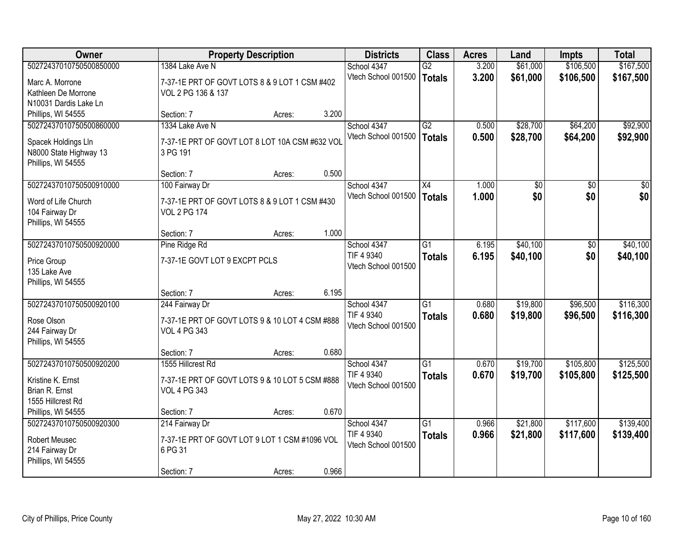| Owner                                | <b>Property Description</b>                                           |                 | <b>Districts</b>    | <b>Class</b>    | <b>Acres</b> | Land            | <b>Impts</b>  | <b>Total</b> |
|--------------------------------------|-----------------------------------------------------------------------|-----------------|---------------------|-----------------|--------------|-----------------|---------------|--------------|
| 50272437010750500850000              | 1384 Lake Ave N                                                       |                 | School 4347         | G2              | 3.200        | \$61,000        | \$106,500     | \$167,500    |
| Marc A. Morrone                      | 7-37-1E PRT OF GOVT LOTS 8 & 9 LOT 1 CSM #402                         |                 | Vtech School 001500 | <b>Totals</b>   | 3.200        | \$61,000        | \$106,500     | \$167,500    |
| Kathleen De Morrone                  | VOL 2 PG 136 & 137                                                    |                 |                     |                 |              |                 |               |              |
| N10031 Dardis Lake Ln                |                                                                       |                 |                     |                 |              |                 |               |              |
| Phillips, WI 54555                   | Section: 7                                                            | 3.200<br>Acres: |                     |                 |              |                 |               |              |
| 50272437010750500860000              | 1334 Lake Ave N                                                       |                 | School 4347         | G2              | 0.500        | \$28,700        | \$64,200      | \$92,900     |
| Spacek Holdings Lln                  | 7-37-1E PRT OF GOVT LOT 8 LOT 10A CSM #632 VOL                        |                 | Vtech School 001500 | <b>Totals</b>   | 0.500        | \$28,700        | \$64,200      | \$92,900     |
| N8000 State Highway 13               | 3 PG 191                                                              |                 |                     |                 |              |                 |               |              |
| Phillips, WI 54555                   |                                                                       |                 |                     |                 |              |                 |               |              |
|                                      | Section: 7                                                            | 0.500<br>Acres: |                     |                 |              |                 |               |              |
| 50272437010750500910000              | 100 Fairway Dr                                                        |                 | School 4347         | X4              | 1.000        | $\overline{50}$ | \$0           | $\sqrt{50}$  |
| Word of Life Church                  | 7-37-1E PRT OF GOVT LOTS 8 & 9 LOT 1 CSM #430                         |                 | Vtech School 001500 | <b>Totals</b>   | 1.000        | \$0             | \$0           | \$0          |
| 104 Fairway Dr                       | <b>VOL 2 PG 174</b>                                                   |                 |                     |                 |              |                 |               |              |
| Phillips, WI 54555                   |                                                                       |                 |                     |                 |              |                 |               |              |
|                                      | Section: 7                                                            | 1.000<br>Acres: |                     |                 |              |                 |               |              |
| 50272437010750500920000              | Pine Ridge Rd                                                         |                 | School 4347         | G <sub>1</sub>  | 6.195        | \$40,100        | $\sqrt[6]{3}$ | \$40,100     |
|                                      | 7-37-1E GOVT LOT 9 EXCPT PCLS                                         |                 | TIF 4 9340          | <b>Totals</b>   | 6.195        | \$40,100        | \$0           | \$40,100     |
| Price Group<br>135 Lake Ave          |                                                                       |                 | Vtech School 001500 |                 |              |                 |               |              |
| Phillips, WI 54555                   |                                                                       |                 |                     |                 |              |                 |               |              |
|                                      | Section: 7                                                            | 6.195<br>Acres: |                     |                 |              |                 |               |              |
| 50272437010750500920100              | 244 Fairway Dr                                                        |                 | School 4347         | $\overline{G1}$ | 0.680        | \$19,800        | \$96,500      | \$116,300    |
|                                      |                                                                       |                 | TIF 4 9340          | <b>Totals</b>   | 0.680        | \$19,800        | \$96,500      | \$116,300    |
| Rose Olson<br>244 Fairway Dr         | 7-37-1E PRT OF GOVT LOTS 9 & 10 LOT 4 CSM #888<br><b>VOL 4 PG 343</b> |                 | Vtech School 001500 |                 |              |                 |               |              |
| Phillips, WI 54555                   |                                                                       |                 |                     |                 |              |                 |               |              |
|                                      | Section: 7                                                            | 0.680<br>Acres: |                     |                 |              |                 |               |              |
| 50272437010750500920200              | 1555 Hillcrest Rd                                                     |                 | School 4347         | G1              | 0.670        | \$19,700        | \$105,800     | \$125,500    |
|                                      |                                                                       |                 | TIF 4 9340          | <b>Totals</b>   | 0.670        | \$19,700        | \$105,800     | \$125,500    |
| Kristine K. Ernst<br>Brian R. Ernst  | 7-37-1E PRT OF GOVT LOTS 9 & 10 LOT 5 CSM #888<br><b>VOL 4 PG 343</b> |                 | Vtech School 001500 |                 |              |                 |               |              |
| 1555 Hillcrest Rd                    |                                                                       |                 |                     |                 |              |                 |               |              |
| Phillips, WI 54555                   | Section: 7                                                            | 0.670<br>Acres: |                     |                 |              |                 |               |              |
| 50272437010750500920300              | 214 Fairway Dr                                                        |                 | School 4347         | $\overline{G1}$ | 0.966        | \$21,800        | \$117,600     | \$139,400    |
|                                      |                                                                       |                 | TIF 4 9340          | <b>Totals</b>   | 0.966        | \$21,800        | \$117,600     | \$139,400    |
| Robert Meusec                        | 7-37-1E PRT OF GOVT LOT 9 LOT 1 CSM #1096 VOL                         |                 | Vtech School 001500 |                 |              |                 |               |              |
| 214 Fairway Dr<br>Phillips, WI 54555 | 6 PG 31                                                               |                 |                     |                 |              |                 |               |              |
|                                      | Section: 7                                                            | 0.966<br>Acres: |                     |                 |              |                 |               |              |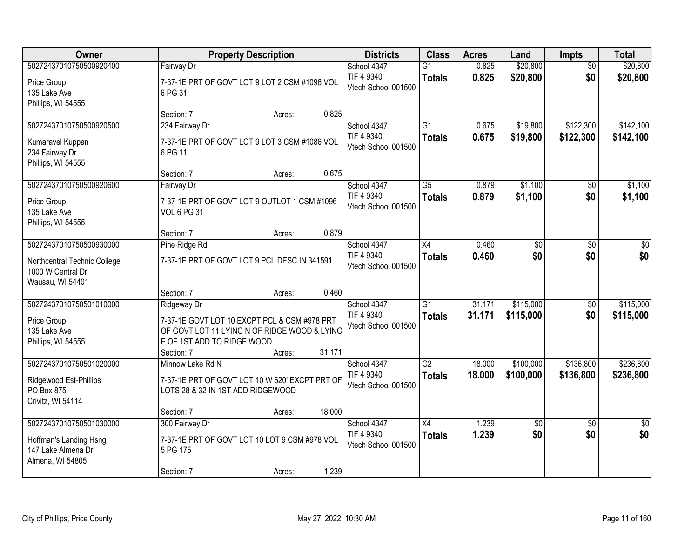| Owner                                                                                            |                                                                                                                                                         | <b>Property Description</b> |        | <b>Districts</b>                                 | <b>Class</b>                     | <b>Acres</b>     | Land                   | Impts                  | <b>Total</b>           |
|--------------------------------------------------------------------------------------------------|---------------------------------------------------------------------------------------------------------------------------------------------------------|-----------------------------|--------|--------------------------------------------------|----------------------------------|------------------|------------------------|------------------------|------------------------|
| 50272437010750500920400<br>Price Group<br>135 Lake Ave<br>Phillips, WI 54555                     | Fairway Dr<br>7-37-1E PRT OF GOVT LOT 9 LOT 2 CSM #1096 VOL<br>6 PG 31                                                                                  |                             |        | School 4347<br>TIF 4 9340<br>Vtech School 001500 | $\overline{G1}$<br><b>Totals</b> | 0.825<br>0.825   | \$20,800<br>\$20,800   | $\overline{50}$<br>\$0 | \$20,800<br>\$20,800   |
|                                                                                                  | Section: 7                                                                                                                                              | Acres:                      | 0.825  |                                                  |                                  |                  |                        |                        |                        |
| 50272437010750500920500<br>Kumaravel Kuppan<br>234 Fairway Dr<br>Phillips, WI 54555              | 234 Fairway Dr<br>7-37-1E PRT OF GOVT LOT 9 LOT 3 CSM #1086 VOL<br>6 PG 11                                                                              |                             |        | School 4347<br>TIF 4 9340<br>Vtech School 001500 | $\overline{G1}$<br><b>Totals</b> | 0.675<br>0.675   | \$19,800<br>\$19,800   | \$122,300<br>\$122,300 | \$142,100<br>\$142,100 |
| 50272437010750500920600                                                                          | Section: 7<br>Fairway Dr                                                                                                                                | Acres:                      | 0.675  | School 4347                                      | $\overline{G5}$                  | 0.879            | \$1,100                | \$0                    | \$1,100                |
| Price Group<br>135 Lake Ave<br>Phillips, WI 54555                                                | 7-37-1E PRT OF GOVT LOT 9 OUTLOT 1 CSM #1096<br><b>VOL 6 PG 31</b>                                                                                      |                             |        | TIF 4 9340<br>Vtech School 001500                | <b>Totals</b>                    | 0.879            | \$1,100                | \$0                    | \$1,100                |
|                                                                                                  | Section: 7                                                                                                                                              | Acres:                      | 0.879  |                                                  |                                  |                  |                        |                        |                        |
| 50272437010750500930000<br>Northcentral Technic College<br>1000 W Central Dr<br>Wausau, WI 54401 | Pine Ridge Rd<br>7-37-1E PRT OF GOVT LOT 9 PCL DESC IN 341591                                                                                           |                             |        | School 4347<br>TIF 4 9340<br>Vtech School 001500 | X4<br><b>Totals</b>              | 0.460<br>0.460   | \$0<br>\$0             | \$0<br>\$0             | \$0<br>\$0             |
|                                                                                                  | Section: 7                                                                                                                                              | Acres:                      | 0.460  |                                                  |                                  |                  |                        |                        |                        |
| 50272437010750501010000<br>Price Group<br>135 Lake Ave<br>Phillips, WI 54555                     | Ridgeway Dr<br>7-37-1E GOVT LOT 10 EXCPT PCL & CSM #978 PRT<br>OF GOVT LOT 11 LYING N OF RIDGE WOOD & LYING<br>E OF 1ST ADD TO RIDGE WOOD<br>Section: 7 | Acres:                      | 31.171 | School 4347<br>TIF 4 9340<br>Vtech School 001500 | $\overline{G1}$<br><b>Totals</b> | 31.171<br>31.171 | \$115,000<br>\$115,000 | $\overline{50}$<br>\$0 | \$115,000<br>\$115,000 |
| 50272437010750501020000                                                                          | Minnow Lake Rd N                                                                                                                                        |                             |        | School 4347                                      | $\overline{G2}$                  | 18.000           | \$100,000              | \$136,800              | \$236,800              |
| Ridgewood Est-Phillips<br>PO Box 875<br>Crivitz, WI 54114                                        | 7-37-1E PRT OF GOVT LOT 10 W 620' EXCPT PRT OF<br>LOTS 28 & 32 IN 1ST ADD RIDGEWOOD                                                                     |                             |        | TIF 4 9340<br>Vtech School 001500                | <b>Totals</b>                    | 18.000           | \$100,000              | \$136,800              | \$236,800              |
| 50272437010750501030000                                                                          | Section: 7<br>300 Fairway Dr                                                                                                                            | Acres:                      | 18.000 | School 4347                                      | $\overline{X4}$                  | 1.239            | $\overline{50}$        | $\overline{50}$        | $\overline{50}$        |
| Hoffman's Landing Hsng<br>147 Lake Almena Dr<br>Almena, WI 54805                                 | 7-37-1E PRT OF GOVT LOT 10 LOT 9 CSM #978 VOL<br>5 PG 175                                                                                               |                             |        | TIF 4 9340<br>Vtech School 001500                | <b>Totals</b>                    | 1.239            | \$0                    | \$0                    | \$0                    |
|                                                                                                  | Section: 7                                                                                                                                              | Acres:                      | 1.239  |                                                  |                                  |                  |                        |                        |                        |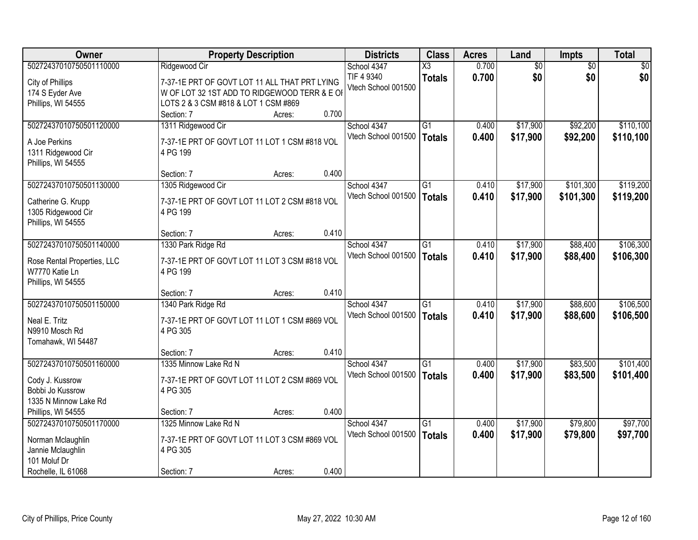| Owner                                    | <b>Property Description</b>                   |        |       | <b>Districts</b>    | <b>Class</b>           | <b>Acres</b> | Land            | Impts           | <b>Total</b> |
|------------------------------------------|-----------------------------------------------|--------|-------|---------------------|------------------------|--------------|-----------------|-----------------|--------------|
| 50272437010750501110000                  | Ridgewood Cir                                 |        |       | School 4347         | $\overline{\text{X3}}$ | 0.700        | $\overline{60}$ | $\overline{30}$ | \$0          |
| City of Phillips                         | 7-37-1E PRT OF GOVT LOT 11 ALL THAT PRT LYING |        |       | TIF 4 9340          | <b>Totals</b>          | 0.700        | \$0             | \$0             | \$0          |
| 174 S Eyder Ave                          | W OF LOT 32 1ST ADD TO RIDGEWOOD TERR & E OF  |        |       | Vtech School 001500 |                        |              |                 |                 |              |
| Phillips, WI 54555                       | LOTS 2 & 3 CSM #818 & LOT 1 CSM #869          |        |       |                     |                        |              |                 |                 |              |
|                                          | Section: 7                                    | Acres: | 0.700 |                     |                        |              |                 |                 |              |
| 50272437010750501120000                  | 1311 Ridgewood Cir                            |        |       | School 4347         | $\overline{G1}$        | 0.400        | \$17,900        | \$92,200        | \$110,100    |
| A Joe Perkins                            | 7-37-1E PRT OF GOVT LOT 11 LOT 1 CSM #818 VOL |        |       | Vtech School 001500 | <b>Totals</b>          | 0.400        | \$17,900        | \$92,200        | \$110,100    |
| 1311 Ridgewood Cir                       | 4 PG 199                                      |        |       |                     |                        |              |                 |                 |              |
| Phillips, WI 54555                       |                                               |        |       |                     |                        |              |                 |                 |              |
|                                          | Section: 7                                    | Acres: | 0.400 |                     |                        |              |                 |                 |              |
| 50272437010750501130000                  | 1305 Ridgewood Cir                            |        |       | School 4347         | $\overline{G1}$        | 0.410        | \$17,900        | \$101,300       | \$119,200    |
|                                          |                                               |        |       | Vtech School 001500 | <b>Totals</b>          | 0.410        | \$17,900        | \$101,300       | \$119,200    |
| Catherine G. Krupp                       | 7-37-1E PRT OF GOVT LOT 11 LOT 2 CSM #818 VOL |        |       |                     |                        |              |                 |                 |              |
| 1305 Ridgewood Cir<br>Phillips, WI 54555 | 4 PG 199                                      |        |       |                     |                        |              |                 |                 |              |
|                                          | Section: 7                                    | Acres: | 0.410 |                     |                        |              |                 |                 |              |
| 50272437010750501140000                  | 1330 Park Ridge Rd                            |        |       | School 4347         | G1                     | 0.410        | \$17,900        | \$88,400        | \$106,300    |
|                                          |                                               |        |       | Vtech School 001500 | <b>Totals</b>          | 0.410        | \$17,900        | \$88,400        | \$106,300    |
| Rose Rental Properties, LLC              | 7-37-1E PRT OF GOVT LOT 11 LOT 3 CSM #818 VOL |        |       |                     |                        |              |                 |                 |              |
| W7770 Katie Ln                           | 4 PG 199                                      |        |       |                     |                        |              |                 |                 |              |
| Phillips, WI 54555                       |                                               |        |       |                     |                        |              |                 |                 |              |
|                                          | Section: 7                                    | Acres: | 0.410 |                     |                        |              |                 |                 |              |
| 50272437010750501150000                  | 1340 Park Ridge Rd                            |        |       | School 4347         | $\overline{G1}$        | 0.410        | \$17,900        | \$88,600        | \$106,500    |
| Neal E. Tritz                            | 7-37-1E PRT OF GOVT LOT 11 LOT 1 CSM #869 VOL |        |       | Vtech School 001500 | <b>Totals</b>          | 0.410        | \$17,900        | \$88,600        | \$106,500    |
| N9910 Mosch Rd                           | 4 PG 305                                      |        |       |                     |                        |              |                 |                 |              |
| Tomahawk, WI 54487                       |                                               |        |       |                     |                        |              |                 |                 |              |
|                                          | Section: 7                                    | Acres: | 0.410 |                     |                        |              |                 |                 |              |
| 50272437010750501160000                  | 1335 Minnow Lake Rd N                         |        |       | School 4347         | G1                     | 0.400        | \$17,900        | \$83,500        | \$101,400    |
| Cody J. Kussrow                          | 7-37-1E PRT OF GOVT LOT 11 LOT 2 CSM #869 VOL |        |       | Vtech School 001500 | <b>Totals</b>          | 0.400        | \$17,900        | \$83,500        | \$101,400    |
| Bobbi Jo Kussrow                         | 4 PG 305                                      |        |       |                     |                        |              |                 |                 |              |
| 1335 N Minnow Lake Rd                    |                                               |        |       |                     |                        |              |                 |                 |              |
| Phillips, WI 54555                       | Section: 7                                    | Acres: | 0.400 |                     |                        |              |                 |                 |              |
| 50272437010750501170000                  | 1325 Minnow Lake Rd N                         |        |       | School 4347         | $\overline{G1}$        | 0.400        | \$17,900        | \$79,800        | \$97,700     |
| Norman Mclaughlin                        | 7-37-1E PRT OF GOVT LOT 11 LOT 3 CSM #869 VOL |        |       | Vtech School 001500 | <b>Totals</b>          | 0.400        | \$17,900        | \$79,800        | \$97,700     |
| Jannie Mclaughlin                        | 4 PG 305                                      |        |       |                     |                        |              |                 |                 |              |
| 101 Moluf Dr                             |                                               |        |       |                     |                        |              |                 |                 |              |
| Rochelle, IL 61068                       | Section: 7                                    | Acres: | 0.400 |                     |                        |              |                 |                 |              |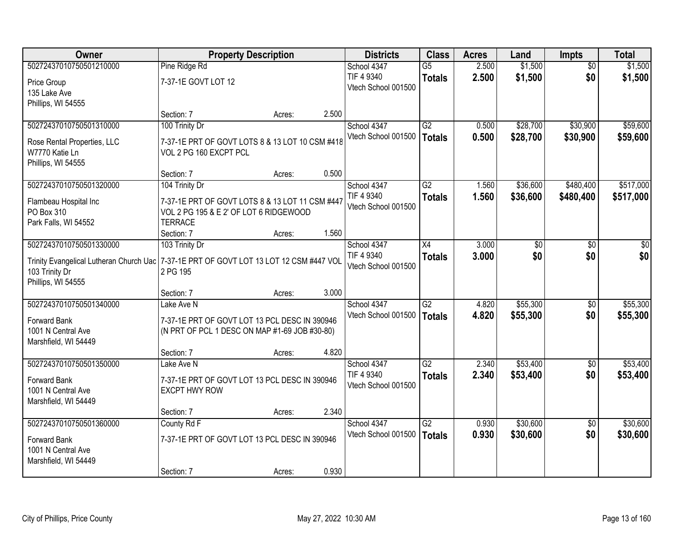| Owner                                                                                                                                                       |                                                                                                                               | <b>Property Description</b> |       | <b>Districts</b>                                 | <b>Class</b>                     | <b>Acres</b>   | Land                 | <b>Impts</b>           | <b>Total</b>           |
|-------------------------------------------------------------------------------------------------------------------------------------------------------------|-------------------------------------------------------------------------------------------------------------------------------|-----------------------------|-------|--------------------------------------------------|----------------------------------|----------------|----------------------|------------------------|------------------------|
| 50272437010750501210000<br>Price Group<br>135 Lake Ave<br>Phillips, WI 54555                                                                                | Pine Ridge Rd<br>7-37-1E GOVT LOT 12                                                                                          |                             |       | School 4347<br>TIF 4 9340<br>Vtech School 001500 | $\overline{G5}$<br><b>Totals</b> | 2.500<br>2.500 | \$1,500<br>\$1,500   | $\overline{30}$<br>\$0 | \$1,500<br>\$1,500     |
|                                                                                                                                                             | Section: 7                                                                                                                    | Acres:                      | 2.500 |                                                  |                                  |                |                      |                        |                        |
| 50272437010750501310000<br>Rose Rental Properties, LLC<br>W7770 Katie Ln<br>Phillips, WI 54555                                                              | 100 Trinity Dr<br>7-37-1E PRT OF GOVT LOTS 8 & 13 LOT 10 CSM #418<br>VOL 2 PG 160 EXCPT PCL                                   |                             |       | School 4347<br>Vtech School 001500               | G2<br>Totals                     | 0.500<br>0.500 | \$28,700<br>\$28,700 | \$30,900<br>\$30,900   | \$59,600<br>\$59,600   |
|                                                                                                                                                             | Section: 7                                                                                                                    | Acres:                      | 0.500 |                                                  |                                  |                |                      |                        |                        |
| 50272437010750501320000<br>Flambeau Hospital Inc<br>PO Box 310<br>Park Falls, WI 54552                                                                      | 104 Trinity Dr<br>7-37-1E PRT OF GOVT LOTS 8 & 13 LOT 11 CSM #447<br>VOL 2 PG 195 & E 2' OF LOT 6 RIDGEWOOD<br><b>TERRACE</b> |                             |       | School 4347<br>TIF 4 9340<br>Vtech School 001500 | G2<br><b>Totals</b>              | 1.560<br>1.560 | \$36,600<br>\$36,600 | \$480,400<br>\$480,400 | \$517,000<br>\$517,000 |
|                                                                                                                                                             | Section: 7                                                                                                                    | Acres:                      | 1.560 |                                                  |                                  |                |                      |                        |                        |
| 50272437010750501330000<br>Trinity Evangelical Lutheran Church Uac   7-37-1E PRT OF GOVT LOT 13 LOT 12 CSM #447 VOL<br>103 Trinity Dr<br>Phillips, WI 54555 | 103 Trinity Dr<br>2 PG 195                                                                                                    |                             |       | School 4347<br>TIF 4 9340<br>Vtech School 001500 | X4<br><b>Totals</b>              | 3.000<br>3.000 | \$0<br>\$0           | \$0<br>\$0             | \$0<br>\$0             |
|                                                                                                                                                             | Section: 7                                                                                                                    | Acres:                      | 3.000 |                                                  |                                  |                |                      |                        |                        |
| 50272437010750501340000<br>Forward Bank<br>1001 N Central Ave<br>Marshfield, WI 54449                                                                       | Lake Ave N<br>7-37-1E PRT OF GOVT LOT 13 PCL DESC IN 390946<br>(N PRT OF PCL 1 DESC ON MAP #1-69 JOB #30-80)<br>Section: 7    | Acres:                      | 4.820 | School 4347<br>Vtech School 001500               | $\overline{G2}$<br>Totals        | 4.820<br>4.820 | \$55,300<br>\$55,300 | \$0<br>\$0             | \$55,300<br>\$55,300   |
| 50272437010750501350000                                                                                                                                     | Lake Ave N                                                                                                                    |                             |       | School 4347                                      | G2                               | 2.340          | \$53,400             | \$0                    | \$53,400               |
| Forward Bank<br>1001 N Central Ave<br>Marshfield, WI 54449                                                                                                  | 7-37-1E PRT OF GOVT LOT 13 PCL DESC IN 390946<br><b>EXCPT HWY ROW</b>                                                         |                             |       | TIF 4 9340<br>Vtech School 001500                | <b>Totals</b>                    | 2.340          | \$53,400             | \$0                    | \$53,400               |
|                                                                                                                                                             | Section: 7                                                                                                                    | Acres:                      | 2.340 |                                                  |                                  |                |                      |                        |                        |
| 50272437010750501360000<br>Forward Bank<br>1001 N Central Ave<br>Marshfield, WI 54449                                                                       | County Rd F<br>7-37-1E PRT OF GOVT LOT 13 PCL DESC IN 390946<br>Section: 7                                                    | Acres:                      | 0.930 | School 4347<br>Vtech School 001500               | $\overline{G2}$<br>Totals        | 0.930<br>0.930 | \$30,600<br>\$30,600 | $\overline{50}$<br>\$0 | \$30,600<br>\$30,600   |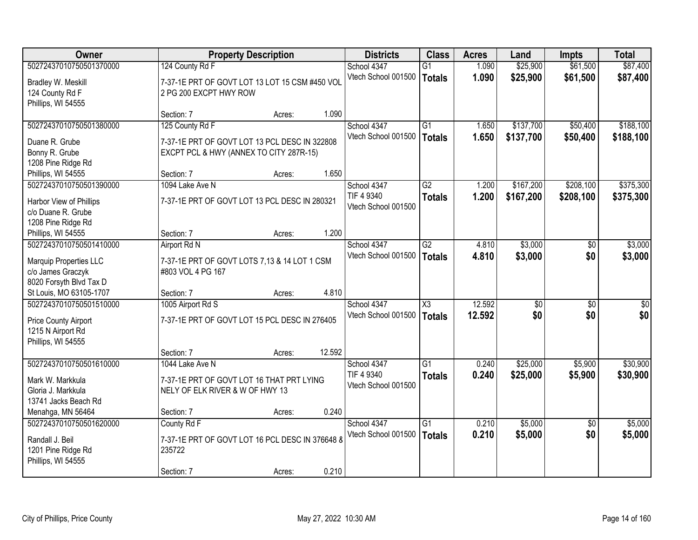| Owner                                              | <b>Property Description</b>                     |        |        | <b>Districts</b>    | <b>Class</b><br><b>Acres</b> |        | Land            | <b>Impts</b>    | <b>Total</b>    |
|----------------------------------------------------|-------------------------------------------------|--------|--------|---------------------|------------------------------|--------|-----------------|-----------------|-----------------|
| 50272437010750501370000                            | 124 County Rd F                                 |        |        | School 4347         | G1                           | 1.090  | \$25,900        | \$61,500        | \$87,400        |
| Bradley W. Meskill                                 | 7-37-1E PRT OF GOVT LOT 13 LOT 15 CSM #450 VOL  |        |        | Vtech School 001500 | <b>Totals</b>                | 1.090  | \$25,900        | \$61,500        | \$87,400        |
| 124 County Rd F                                    | 2 PG 200 EXCPT HWY ROW                          |        |        |                     |                              |        |                 |                 |                 |
| Phillips, WI 54555                                 |                                                 |        |        |                     |                              |        |                 |                 |                 |
|                                                    | Section: 7                                      | Acres: | 1.090  |                     |                              |        |                 |                 |                 |
| 50272437010750501380000                            | 125 County Rd F                                 |        |        | School 4347         | $\overline{G1}$              | 1.650  | \$137,700       | \$50,400        | \$188,100       |
| Duane R. Grube                                     | 7-37-1E PRT OF GOVT LOT 13 PCL DESC IN 322808   |        |        | Vtech School 001500 | <b>Totals</b>                | 1.650  | \$137,700       | \$50,400        | \$188,100       |
| Bonny R. Grube                                     | EXCPT PCL & HWY (ANNEX TO CITY 287R-15)         |        |        |                     |                              |        |                 |                 |                 |
| 1208 Pine Ridge Rd                                 |                                                 |        |        |                     |                              |        |                 |                 |                 |
| Phillips, WI 54555                                 | Section: 7                                      | Acres: | 1.650  |                     |                              |        |                 |                 |                 |
| 50272437010750501390000                            | 1094 Lake Ave N                                 |        |        | School 4347         | $\overline{G2}$              | 1.200  | \$167,200       | \$208,100       | \$375,300       |
| Harbor View of Phillips                            | 7-37-1E PRT OF GOVT LOT 13 PCL DESC IN 280321   |        |        | TIF 4 9340          | <b>Totals</b>                | 1.200  | \$167,200       | \$208,100       | \$375,300       |
| c/o Duane R. Grube                                 |                                                 |        |        | Vtech School 001500 |                              |        |                 |                 |                 |
| 1208 Pine Ridge Rd                                 |                                                 |        |        |                     |                              |        |                 |                 |                 |
| Phillips, WI 54555                                 | Section: 7                                      | Acres: | 1.200  |                     |                              |        |                 |                 |                 |
| 50272437010750501410000                            | Airport Rd N                                    |        |        | School 4347         | $\overline{G2}$              | 4.810  | \$3,000         | \$0             | \$3,000         |
|                                                    |                                                 |        |        | Vtech School 001500 | <b>Totals</b>                | 4.810  | \$3,000         | \$0             | \$3,000         |
| Marquip Properties LLC                             | 7-37-1E PRT OF GOVT LOTS 7,13 & 14 LOT 1 CSM    |        |        |                     |                              |        |                 |                 |                 |
| c/o James Graczyk                                  | #803 VOL 4 PG 167                               |        |        |                     |                              |        |                 |                 |                 |
| 8020 Forsyth Blvd Tax D<br>St Louis, MO 63105-1707 | Section: 7                                      |        | 4.810  |                     |                              |        |                 |                 |                 |
| 50272437010750501510000                            | 1005 Airport Rd S                               | Acres: |        | School 4347         | $\overline{\chi_3}$          | 12.592 | $\overline{50}$ | $\overline{50}$ | $\overline{50}$ |
|                                                    |                                                 |        |        | Vtech School 001500 |                              | 12.592 | \$0             | \$0             | \$0             |
| Price County Airport                               | 7-37-1E PRT OF GOVT LOT 15 PCL DESC IN 276405   |        |        |                     | <b>Totals</b>                |        |                 |                 |                 |
| 1215 N Airport Rd                                  |                                                 |        |        |                     |                              |        |                 |                 |                 |
| Phillips, WI 54555                                 |                                                 |        |        |                     |                              |        |                 |                 |                 |
|                                                    | Section: 7                                      | Acres: | 12.592 |                     |                              |        |                 |                 |                 |
| 50272437010750501610000                            | 1044 Lake Ave N                                 |        |        | School 4347         | $\overline{G1}$              | 0.240  | \$25,000        | \$5,900         | \$30,900        |
| Mark W. Markkula                                   | 7-37-1E PRT OF GOVT LOT 16 THAT PRT LYING       |        |        | TIF 4 9340          | <b>Totals</b>                | 0.240  | \$25,000        | \$5,900         | \$30,900        |
| Gloria J. Markkula                                 | NELY OF ELK RIVER & W OF HWY 13                 |        |        | Vtech School 001500 |                              |        |                 |                 |                 |
| 13741 Jacks Beach Rd                               |                                                 |        |        |                     |                              |        |                 |                 |                 |
| Menahga, MN 56464                                  | Section: 7                                      | Acres: | 0.240  |                     |                              |        |                 |                 |                 |
| 50272437010750501620000                            | County Rd F                                     |        |        | School 4347         | $\overline{G1}$              | 0.210  | \$5,000         | $\overline{50}$ | \$5,000         |
| Randall J. Beil                                    | 7-37-1E PRT OF GOVT LOT 16 PCL DESC IN 376648 8 |        |        | Vtech School 001500 | <b>Totals</b>                | 0.210  | \$5,000         | \$0             | \$5,000         |
| 1201 Pine Ridge Rd                                 | 235722                                          |        |        |                     |                              |        |                 |                 |                 |
| Phillips, WI 54555                                 |                                                 |        |        |                     |                              |        |                 |                 |                 |
|                                                    | Section: 7                                      | Acres: | 0.210  |                     |                              |        |                 |                 |                 |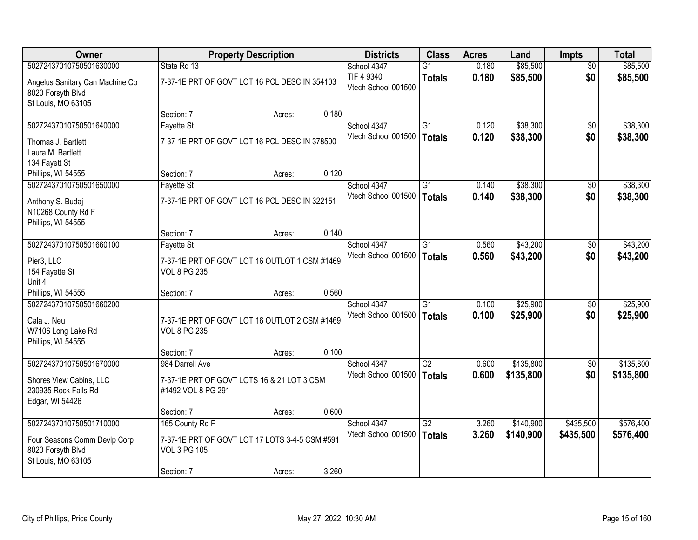| <b>Owner</b>                                                                       |                                                                       | <b>Property Description</b> |       | <b>Districts</b>                   | <b>Class</b>              | <b>Acres</b>   | Land                 | <b>Impts</b> | <b>Total</b>         |
|------------------------------------------------------------------------------------|-----------------------------------------------------------------------|-----------------------------|-------|------------------------------------|---------------------------|----------------|----------------------|--------------|----------------------|
| 50272437010750501630000                                                            | State Rd 13                                                           |                             |       | School 4347                        | G <sub>1</sub>            | 0.180          | \$85,500             | \$0          | \$85,500             |
| Angelus Sanitary Can Machine Co<br>8020 Forsyth Blvd<br>St Louis, MO 63105         | 7-37-1E PRT OF GOVT LOT 16 PCL DESC IN 354103                         |                             |       | TIF 4 9340<br>Vtech School 001500  | <b>Totals</b>             | 0.180          | \$85,500             | \$0          | \$85,500             |
|                                                                                    | Section: 7                                                            | Acres:                      | 0.180 |                                    |                           |                |                      |              |                      |
| 50272437010750501640000                                                            | <b>Fayette St</b>                                                     |                             |       | School 4347                        | $\overline{G1}$           | 0.120          | \$38,300             | \$0          | \$38,300             |
| Thomas J. Bartlett<br>Laura M. Bartlett<br>134 Fayett St                           | 7-37-1E PRT OF GOVT LOT 16 PCL DESC IN 378500                         |                             |       | Vtech School 001500                | <b>Totals</b>             | 0.120          | \$38,300             | \$0          | \$38,300             |
| Phillips, WI 54555                                                                 | Section: 7                                                            | Acres:                      | 0.120 |                                    |                           |                |                      |              |                      |
| 50272437010750501650000                                                            | Fayette St                                                            |                             |       | School 4347                        | G1                        | 0.140          | \$38,300             | \$0          | \$38,300             |
| Anthony S. Budaj<br>N10268 County Rd F<br>Phillips, WI 54555                       | 7-37-1E PRT OF GOVT LOT 16 PCL DESC IN 322151                         |                             |       | Vtech School 001500                | <b>Totals</b>             | 0.140          | \$38,300             | \$0          | \$38,300             |
|                                                                                    | Section: 7                                                            | Acres:                      | 0.140 |                                    |                           |                |                      |              |                      |
| 50272437010750501660100                                                            | <b>Fayette St</b>                                                     |                             |       | School 4347                        | $\overline{G1}$           | 0.560          | \$43,200             | $\sqrt{6}$   | \$43,200             |
| Pier3, LLC<br>154 Fayette St<br>Unit 4                                             | 7-37-1E PRT OF GOVT LOT 16 OUTLOT 1 CSM #1469<br><b>VOL 8 PG 235</b>  |                             |       | Vtech School 001500                | <b>Totals</b>             | 0.560          | \$43,200             | \$0          | \$43,200             |
| Phillips, WI 54555                                                                 | Section: 7                                                            | Acres:                      | 0.560 |                                    |                           |                |                      |              |                      |
| 50272437010750501660200<br>Cala J. Neu<br>W7106 Long Lake Rd<br>Phillips, WI 54555 | 7-37-1E PRT OF GOVT LOT 16 OUTLOT 2 CSM #1469<br><b>VOL 8 PG 235</b>  |                             |       | School 4347<br>Vtech School 001500 | $\overline{G1}$<br>Totals | 0.100<br>0.100 | \$25,900<br>\$25,900 | \$0<br>\$0   | \$25,900<br>\$25,900 |
|                                                                                    | Section: 7                                                            | Acres:                      | 0.100 |                                    |                           |                |                      |              |                      |
| 50272437010750501670000                                                            | 984 Darrell Ave                                                       |                             |       | School 4347                        | $\overline{G2}$           | 0.600          | \$135,800            | \$0          | \$135,800            |
| Shores View Cabins, LLC<br>230935 Rock Falls Rd<br>Edgar, WI 54426                 | 7-37-1E PRT OF GOVT LOTS 16 & 21 LOT 3 CSM<br>#1492 VOL 8 PG 291      |                             |       | Vtech School 001500                | <b>Totals</b>             | 0.600          | \$135,800            | \$0          | \$135,800            |
|                                                                                    | Section: 7                                                            | Acres:                      | 0.600 |                                    |                           |                |                      |              |                      |
| 50272437010750501710000                                                            | 165 County Rd F                                                       |                             |       | School 4347                        | $\overline{G2}$           | 3.260          | \$140,900            | \$435,500    | \$576,400            |
| Four Seasons Comm Devlp Corp<br>8020 Forsyth Blvd<br>St Louis, MO 63105            | 7-37-1E PRT OF GOVT LOT 17 LOTS 3-4-5 CSM #591<br><b>VOL 3 PG 105</b> |                             |       | Vtech School 001500                | <b>Totals</b>             | 3.260          | \$140,900            | \$435,500    | \$576,400            |
|                                                                                    | Section: 7                                                            | Acres:                      | 3.260 |                                    |                           |                |                      |              |                      |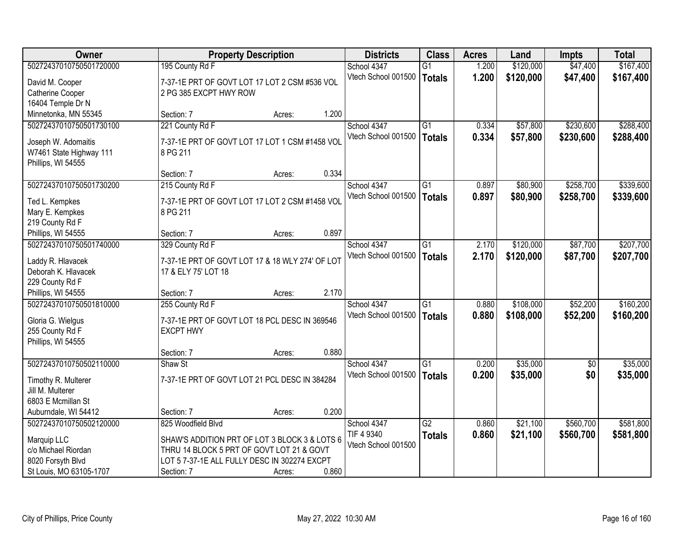| <b>Owner</b>                      |                                                 | <b>Property Description</b> |       | <b>Districts</b>    | <b>Class</b>    | <b>Acres</b> | Land      | <b>Impts</b> | <b>Total</b> |
|-----------------------------------|-------------------------------------------------|-----------------------------|-------|---------------------|-----------------|--------------|-----------|--------------|--------------|
| 50272437010750501720000           | 195 County Rd F                                 |                             |       | School 4347         | $\overline{G1}$ | 1.200        | \$120,000 | \$47,400     | \$167,400    |
| David M. Cooper                   | 7-37-1E PRT OF GOVT LOT 17 LOT 2 CSM #536 VOL   |                             |       | Vtech School 001500 | <b>Totals</b>   | 1.200        | \$120,000 | \$47,400     | \$167,400    |
| Catherine Cooper                  | 2 PG 385 EXCPT HWY ROW                          |                             |       |                     |                 |              |           |              |              |
| 16404 Temple Dr N                 |                                                 |                             |       |                     |                 |              |           |              |              |
| Minnetonka, MN 55345              | Section: 7                                      | Acres:                      | 1.200 |                     |                 |              |           |              |              |
| 50272437010750501730100           | 221 County Rd F                                 |                             |       | School 4347         | $\overline{G1}$ | 0.334        | \$57,800  | \$230,600    | \$288,400    |
| Joseph W. Adomaitis               | 7-37-1E PRT OF GOVT LOT 17 LOT 1 CSM #1458 VOL  |                             |       | Vtech School 001500 | <b>Totals</b>   | 0.334        | \$57,800  | \$230,600    | \$288,400    |
| W7461 State Highway 111           | 8 PG 211                                        |                             |       |                     |                 |              |           |              |              |
| Phillips, WI 54555                |                                                 |                             |       |                     |                 |              |           |              |              |
|                                   | Section: 7                                      | Acres:                      | 0.334 |                     |                 |              |           |              |              |
| 50272437010750501730200           | 215 County Rd F                                 |                             |       | School 4347         | G1              | 0.897        | \$80,900  | \$258,700    | \$339,600    |
|                                   | 7-37-1E PRT OF GOVT LOT 17 LOT 2 CSM #1458 VOL  |                             |       | Vtech School 001500 | <b>Totals</b>   | 0.897        | \$80,900  | \$258,700    | \$339,600    |
| Ted L. Kempkes<br>Mary E. Kempkes | 8 PG 211                                        |                             |       |                     |                 |              |           |              |              |
| 219 County Rd F                   |                                                 |                             |       |                     |                 |              |           |              |              |
| Phillips, WI 54555                | Section: 7                                      | Acres:                      | 0.897 |                     |                 |              |           |              |              |
| 50272437010750501740000           | 329 County Rd F                                 |                             |       | School 4347         | G1              | 2.170        | \$120,000 | \$87,700     | \$207,700    |
|                                   |                                                 |                             |       | Vtech School 001500 | <b>Totals</b>   | 2.170        | \$120,000 | \$87,700     | \$207,700    |
| Laddy R. Hlavacek                 | 7-37-1E PRT OF GOVT LOT 17 & 18 WLY 274' OF LOT |                             |       |                     |                 |              |           |              |              |
| Deborah K. Hlavacek               | 17 & ELY 75' LOT 18                             |                             |       |                     |                 |              |           |              |              |
| 229 County Rd F                   |                                                 |                             |       |                     |                 |              |           |              |              |
| Phillips, WI 54555                | Section: 7                                      | Acres:                      | 2.170 |                     |                 |              |           |              |              |
| 50272437010750501810000           | 255 County Rd F                                 |                             |       | School 4347         | $\overline{G1}$ | 0.880        | \$108,000 | \$52,200     | \$160,200    |
| Gloria G. Wielgus                 | 7-37-1E PRT OF GOVT LOT 18 PCL DESC IN 369546   |                             |       | Vtech School 001500 | <b>Totals</b>   | 0.880        | \$108,000 | \$52,200     | \$160,200    |
| 255 County Rd F                   | <b>EXCPT HWY</b>                                |                             |       |                     |                 |              |           |              |              |
| Phillips, WI 54555                |                                                 |                             |       |                     |                 |              |           |              |              |
|                                   | Section: 7                                      | Acres:                      | 0.880 |                     |                 |              |           |              |              |
| 50272437010750502110000           | Shaw St                                         |                             |       | School 4347         | $\overline{G1}$ | 0.200        | \$35,000  | \$0          | \$35,000     |
| Timothy R. Multerer               | 7-37-1E PRT OF GOVT LOT 21 PCL DESC IN 384284   |                             |       | Vtech School 001500 | Totals          | 0.200        | \$35,000  | \$0          | \$35,000     |
| Jill M. Multerer                  |                                                 |                             |       |                     |                 |              |           |              |              |
| 6803 E Mcmillan St                |                                                 |                             |       |                     |                 |              |           |              |              |
| Auburndale, WI 54412              | Section: 7                                      | Acres:                      | 0.200 |                     |                 |              |           |              |              |
| 50272437010750502120000           | 825 Woodfield Blvd                              |                             |       | School 4347         | $\overline{G2}$ | 0.860        | \$21,100  | \$560,700    | \$581,800    |
| Marquip LLC                       | SHAW'S ADDITION PRT OF LOT 3 BLOCK 3 & LOTS 6   |                             |       | TIF 4 9340          | <b>Totals</b>   | 0.860        | \$21,100  | \$560,700    | \$581,800    |
| c/o Michael Riordan               | THRU 14 BLOCK 5 PRT OF GOVT LOT 21 & GOVT       |                             |       | Vtech School 001500 |                 |              |           |              |              |
| 8020 Forsyth Blvd                 | LOT 5 7-37-1E ALL FULLY DESC IN 302274 EXCPT    |                             |       |                     |                 |              |           |              |              |
| St Louis, MO 63105-1707           | Section: 7                                      | Acres:                      | 0.860 |                     |                 |              |           |              |              |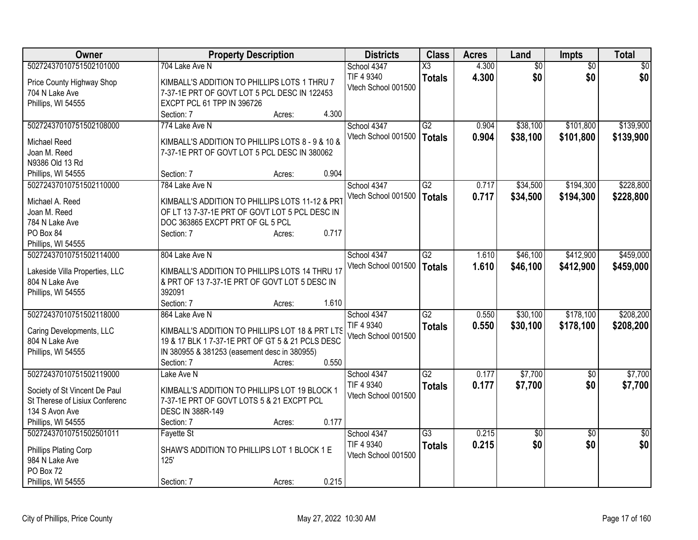| Owner                          | <b>Property Description</b>                      | <b>Districts</b>    | <b>Class</b>    | <b>Acres</b> | Land            | Impts           | <b>Total</b>    |
|--------------------------------|--------------------------------------------------|---------------------|-----------------|--------------|-----------------|-----------------|-----------------|
| 50272437010751502101000        | 704 Lake Ave N                                   | School 4347         | X3              | 4.300        | $\overline{60}$ | $\overline{50}$ | $\overline{50}$ |
| Price County Highway Shop      | KIMBALL'S ADDITION TO PHILLIPS LOTS 1 THRU 7     | TIF 4 9340          | <b>Totals</b>   | 4.300        | \$0             | \$0             | \$0             |
| 704 N Lake Ave                 | 7-37-1E PRT OF GOVT LOT 5 PCL DESC IN 122453     | Vtech School 001500 |                 |              |                 |                 |                 |
| Phillips, WI 54555             | EXCPT PCL 61 TPP IN 396726                       |                     |                 |              |                 |                 |                 |
|                                | 4.300<br>Section: 7<br>Acres:                    |                     |                 |              |                 |                 |                 |
| 50272437010751502108000        | 774 Lake Ave N                                   | School 4347         | $\overline{G2}$ | 0.904        | \$38,100        | \$101,800       | \$139,900       |
|                                |                                                  | Vtech School 001500 | <b>Totals</b>   | 0.904        | \$38,100        | \$101,800       | \$139,900       |
| Michael Reed                   | KIMBALL'S ADDITION TO PHILLIPS LOTS 8 - 9 & 10 & |                     |                 |              |                 |                 |                 |
| Joan M. Reed                   | 7-37-1E PRT OF GOVT LOT 5 PCL DESC IN 380062     |                     |                 |              |                 |                 |                 |
| N9386 Old 13 Rd                | 0.904                                            |                     |                 |              |                 |                 |                 |
| Phillips, WI 54555             | Section: 7<br>Acres:                             |                     |                 |              |                 |                 |                 |
| 50272437010751502110000        | 784 Lake Ave N                                   | School 4347         | $\overline{G2}$ | 0.717        | \$34,500        | \$194,300       | \$228,800       |
| Michael A. Reed                | KIMBALL'S ADDITION TO PHILLIPS LOTS 11-12 & PRT  | Vtech School 001500 | <b>Totals</b>   | 0.717        | \$34,500        | \$194,300       | \$228,800       |
| Joan M. Reed                   | OF LT 13 7-37-1E PRT OF GOVT LOT 5 PCL DESC IN   |                     |                 |              |                 |                 |                 |
| 784 N Lake Ave                 | DOC 363865 EXCPT PRT OF GL 5 PCL                 |                     |                 |              |                 |                 |                 |
| PO Box 84                      | 0.717<br>Section: 7<br>Acres:                    |                     |                 |              |                 |                 |                 |
| Phillips, WI 54555             |                                                  |                     |                 |              |                 |                 |                 |
| 50272437010751502114000        | 804 Lake Ave N                                   | School 4347         | G2              | 1.610        | \$46,100        | \$412,900       | \$459,000       |
| Lakeside Villa Properties, LLC | KIMBALL'S ADDITION TO PHILLIPS LOTS 14 THRU 17   | Vtech School 001500 | <b>Totals</b>   | 1.610        | \$46,100        | \$412,900       | \$459,000       |
| 804 N Lake Ave                 | & PRT OF 13 7-37-1E PRT OF GOVT LOT 5 DESC IN    |                     |                 |              |                 |                 |                 |
| Phillips, WI 54555             | 392091                                           |                     |                 |              |                 |                 |                 |
|                                | 1.610<br>Section: 7<br>Acres:                    |                     |                 |              |                 |                 |                 |
| 50272437010751502118000        | 864 Lake Ave N                                   | School 4347         | $\overline{G2}$ | 0.550        | \$30,100        | \$178,100       | \$208,200       |
|                                |                                                  | TIF 4 9340          |                 | 0.550        | \$30,100        | \$178,100       | \$208,200       |
| Caring Developments, LLC       | KIMBALL'S ADDITION TO PHILLIPS LOT 18 & PRT LTS  | Vtech School 001500 | <b>Totals</b>   |              |                 |                 |                 |
| 804 N Lake Ave                 | 19 & 17 BLK 1 7-37-1E PRT OF GT 5 & 21 PCLS DESC |                     |                 |              |                 |                 |                 |
| Phillips, WI 54555             | IN 380955 & 381253 (easement desc in 380955)     |                     |                 |              |                 |                 |                 |
|                                | 0.550<br>Section: 7<br>Acres:                    |                     |                 |              |                 |                 |                 |
| 50272437010751502119000        | Lake Ave N                                       | School 4347         | $\overline{G2}$ | 0.177        | \$7,700         | $\overline{30}$ | \$7,700         |
| Society of St Vincent De Paul  | KIMBALL'S ADDITION TO PHILLIPS LOT 19 BLOCK 1    | TIF 4 9340          | <b>Totals</b>   | 0.177        | \$7,700         | \$0             | \$7,700         |
| St Therese of Lisiux Conferenc | 7-37-1E PRT OF GOVT LOTS 5 & 21 EXCPT PCL        | Vtech School 001500 |                 |              |                 |                 |                 |
| 134 S Avon Ave                 | <b>DESC IN 388R-149</b>                          |                     |                 |              |                 |                 |                 |
| Phillips, WI 54555             | 0.177<br>Section: 7<br>Acres:                    |                     |                 |              |                 |                 |                 |
| 50272437010751502501011        | <b>Fayette St</b>                                | School 4347         | $\overline{G3}$ | 0.215        | $\sqrt{50}$     | $\overline{30}$ | $\overline{50}$ |
|                                |                                                  | TIF 4 9340          | <b>Totals</b>   | 0.215        | \$0             | \$0             | \$0             |
| Phillips Plating Corp          | SHAW'S ADDITION TO PHILLIPS LOT 1 BLOCK 1 E      | Vtech School 001500 |                 |              |                 |                 |                 |
| 984 N Lake Ave                 | 125'                                             |                     |                 |              |                 |                 |                 |
| PO Box 72                      |                                                  |                     |                 |              |                 |                 |                 |
| Phillips, WI 54555             | 0.215<br>Section: 7<br>Acres:                    |                     |                 |              |                 |                 |                 |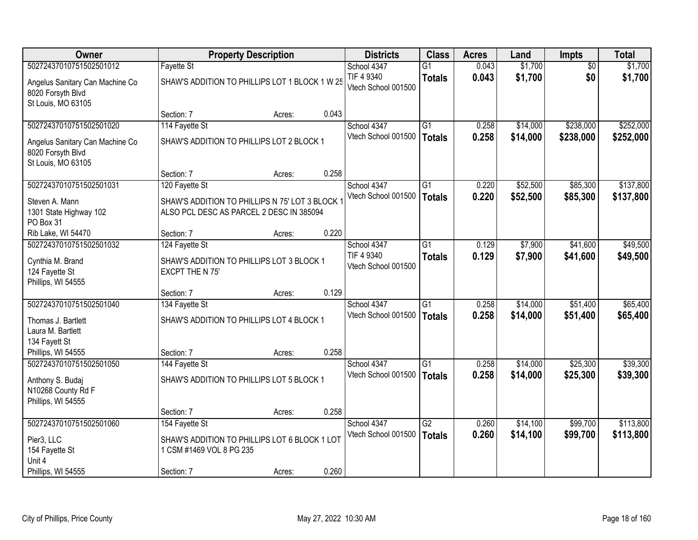| Owner                                                                               |                                                                                             | <b>Property Description</b> |       | <b>Districts</b>                   | <b>Class</b>                     | <b>Acres</b>   | Land                 | <b>Impts</b>         | <b>Total</b>         |
|-------------------------------------------------------------------------------------|---------------------------------------------------------------------------------------------|-----------------------------|-------|------------------------------------|----------------------------------|----------------|----------------------|----------------------|----------------------|
| 50272437010751502501012                                                             | <b>Fayette St</b>                                                                           |                             |       | School 4347                        | G <sub>1</sub>                   | 0.043          | \$1,700              | $\overline{50}$      | \$1,700              |
| Angelus Sanitary Can Machine Co<br>8020 Forsyth Blvd<br>St Louis, MO 63105          | SHAW'S ADDITION TO PHILLIPS LOT 1 BLOCK 1 W 25                                              |                             |       | TIF 4 9340<br>Vtech School 001500  | <b>Totals</b>                    | 0.043          | \$1,700              | \$0                  | \$1,700              |
|                                                                                     | Section: 7                                                                                  | Acres:                      | 0.043 |                                    |                                  |                |                      |                      |                      |
| 50272437010751502501020                                                             | 114 Fayette St                                                                              |                             |       | School 4347                        | $\overline{G1}$                  | 0.258          | \$14,000             | \$238,000            | \$252,000            |
| Angelus Sanitary Can Machine Co<br>8020 Forsyth Blvd<br>St Louis, MO 63105          | SHAW'S ADDITION TO PHILLIPS LOT 2 BLOCK 1                                                   |                             |       | Vtech School 001500                | <b>Totals</b>                    | 0.258          | \$14,000             | \$238,000            | \$252,000            |
|                                                                                     | Section: 7                                                                                  | Acres:                      | 0.258 |                                    |                                  |                |                      |                      |                      |
| 50272437010751502501031                                                             | 120 Fayette St                                                                              |                             |       | School 4347                        | G1                               | 0.220          | \$52,500             | \$85,300             | \$137,800            |
| Steven A. Mann<br>1301 State Highway 102<br>PO Box 31                               | SHAW'S ADDITION TO PHILLIPS N 75' LOT 3 BLOCK 1<br>ALSO PCL DESC AS PARCEL 2 DESC IN 385094 |                             |       | Vtech School 001500                | Totals                           | 0.220          | \$52,500             | \$85,300             | \$137,800            |
| Rib Lake, WI 54470                                                                  | Section: 7                                                                                  | Acres:                      | 0.220 |                                    |                                  |                |                      |                      |                      |
| 50272437010751502501032                                                             | 124 Fayette St                                                                              |                             |       | School 4347                        | $\overline{G1}$                  | 0.129          | \$7,900              | \$41,600             | \$49,500             |
| Cynthia M. Brand<br>124 Fayette St<br>Phillips, WI 54555                            | SHAW'S ADDITION TO PHILLIPS LOT 3 BLOCK 1<br>EXCPT THE N 75'                                |                             |       | TIF 4 9340<br>Vtech School 001500  | <b>Totals</b>                    | 0.129          | \$7,900              | \$41,600             | \$49,500             |
|                                                                                     | Section: 7                                                                                  | Acres:                      | 0.129 |                                    |                                  |                |                      |                      |                      |
| 50272437010751502501040<br>Thomas J. Bartlett<br>Laura M. Bartlett<br>134 Fayett St | 134 Fayette St<br>SHAW'S ADDITION TO PHILLIPS LOT 4 BLOCK 1                                 |                             |       | School 4347<br>Vtech School 001500 | $\overline{G1}$<br><b>Totals</b> | 0.258<br>0.258 | \$14,000<br>\$14,000 | \$51,400<br>\$51,400 | \$65,400<br>\$65,400 |
| Phillips, WI 54555                                                                  | Section: 7                                                                                  | Acres:                      | 0.258 |                                    |                                  |                |                      |                      |                      |
| 50272437010751502501050                                                             | 144 Fayette St                                                                              |                             |       | School 4347                        | $\overline{G1}$                  | 0.258          | \$14,000             | \$25,300             | \$39,300             |
| Anthony S. Budaj<br>N10268 County Rd F<br>Phillips, WI 54555                        | SHAW'S ADDITION TO PHILLIPS LOT 5 BLOCK 1                                                   |                             |       | Vtech School 001500                | Totals                           | 0.258          | \$14,000             | \$25,300             | \$39,300             |
|                                                                                     | Section: 7                                                                                  | Acres:                      | 0.258 |                                    |                                  |                |                      |                      |                      |
| 50272437010751502501060                                                             | 154 Fayette St                                                                              |                             |       | School 4347                        | $\overline{G2}$                  | 0.260          | \$14,100             | \$99,700             | \$113,800            |
| Pier3, LLC<br>154 Fayette St<br>Unit 4                                              | SHAW'S ADDITION TO PHILLIPS LOT 6 BLOCK 1 LOT<br>1 CSM #1469 VOL 8 PG 235                   |                             |       | Vtech School 001500                | Totals                           | 0.260          | \$14,100             | \$99,700             | \$113,800            |
| Phillips, WI 54555                                                                  | Section: 7                                                                                  | Acres:                      | 0.260 |                                    |                                  |                |                      |                      |                      |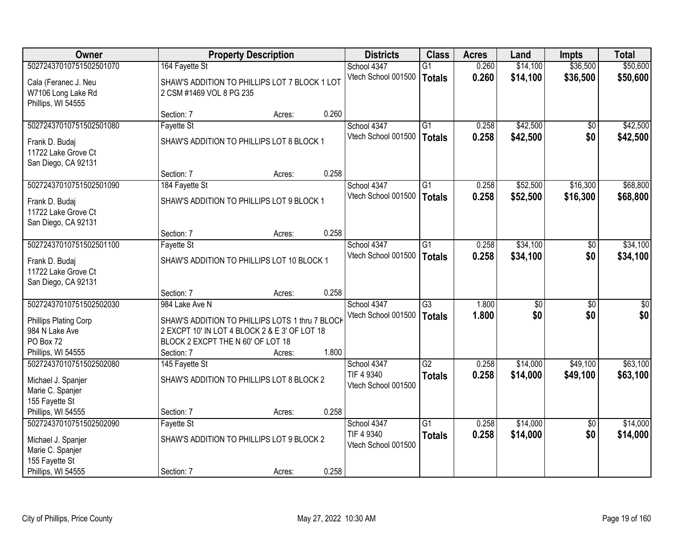| <b>Owner</b>                                                                                              |                                                                                                                                                                       | <b>Property Description</b> |       | <b>Districts</b>                                 | <b>Class</b>                     | <b>Acres</b>   | Land                 | <b>Impts</b>           | <b>Total</b>         |
|-----------------------------------------------------------------------------------------------------------|-----------------------------------------------------------------------------------------------------------------------------------------------------------------------|-----------------------------|-------|--------------------------------------------------|----------------------------------|----------------|----------------------|------------------------|----------------------|
| 50272437010751502501070                                                                                   | 164 Fayette St                                                                                                                                                        |                             |       | School 4347                                      | $\overline{G1}$                  | 0.260          | \$14,100             | \$36,500               | \$50,600             |
| Cala (Feranec J. Neu<br>W7106 Long Lake Rd<br>Phillips, WI 54555                                          | SHAW'S ADDITION TO PHILLIPS LOT 7 BLOCK 1 LOT<br>2 CSM #1469 VOL 8 PG 235                                                                                             |                             |       | Vtech School 001500                              | <b>Totals</b>                    | 0.260          | \$14,100             | \$36,500               | \$50,600             |
|                                                                                                           | Section: 7                                                                                                                                                            | Acres:                      | 0.260 |                                                  |                                  |                |                      |                        |                      |
| 50272437010751502501080                                                                                   | Fayette St                                                                                                                                                            |                             |       | School 4347                                      | $\overline{G1}$                  | 0.258          | \$42,500             | \$0                    | \$42,500             |
| Frank D. Budaj<br>11722 Lake Grove Ct<br>San Diego, CA 92131                                              | SHAW'S ADDITION TO PHILLIPS LOT 8 BLOCK 1                                                                                                                             |                             |       | Vtech School 001500                              | <b>Totals</b>                    | 0.258          | \$42,500             | \$0                    | \$42,500             |
|                                                                                                           | Section: 7                                                                                                                                                            | Acres:                      | 0.258 |                                                  |                                  |                |                      |                        |                      |
| 50272437010751502501090                                                                                   | 184 Fayette St                                                                                                                                                        |                             |       | School 4347                                      | G1                               | 0.258          | \$52,500             | \$16,300               | \$68,800             |
| Frank D. Budaj<br>11722 Lake Grove Ct<br>San Diego, CA 92131                                              | SHAW'S ADDITION TO PHILLIPS LOT 9 BLOCK 1                                                                                                                             |                             |       | Vtech School 001500                              | <b>Totals</b>                    | 0.258          | \$52,500             | \$16,300               | \$68,800             |
|                                                                                                           | Section: 7                                                                                                                                                            | Acres:                      | 0.258 |                                                  |                                  |                |                      |                        |                      |
| 50272437010751502501100                                                                                   | <b>Fayette St</b>                                                                                                                                                     |                             |       | School 4347                                      | $\overline{G1}$                  | 0.258          | \$34,100             | \$0                    | \$34,100             |
| Frank D. Budaj<br>11722 Lake Grove Ct<br>San Diego, CA 92131                                              | SHAW'S ADDITION TO PHILLIPS LOT 10 BLOCK 1                                                                                                                            |                             |       | Vtech School 001500                              | <b>Totals</b>                    | 0.258          | \$34,100             | \$0                    | \$34,100             |
|                                                                                                           | Section: 7                                                                                                                                                            | Acres:                      | 0.258 |                                                  |                                  |                |                      |                        |                      |
| 50272437010751502502030<br>Phillips Plating Corp<br>984 N Lake Ave<br>PO Box 72<br>Phillips, WI 54555     | 984 Lake Ave N<br>SHAW'S ADDITION TO PHILLIPS LOTS 1 thru 7 BLOCK<br>2 EXCPT 10' IN LOT 4 BLOCK 2 & E 3' OF LOT 18<br>BLOCK 2 EXCPT THE N 60' OF LOT 18<br>Section: 7 | Acres:                      | 1.800 | School 4347<br>Vtech School 001500               | $\overline{G3}$<br><b>Totals</b> | 1.800<br>1.800 | \$0<br>\$0           | $\overline{60}$<br>\$0 | \$0<br>\$0           |
| 50272437010751502502080                                                                                   | 145 Fayette St                                                                                                                                                        |                             |       | School 4347                                      | $\overline{G2}$                  | 0.258          | \$14,000             | \$49,100               | \$63,100             |
| Michael J. Spanjer<br>Marie C. Spanjer<br>155 Fayette St                                                  | SHAW'S ADDITION TO PHILLIPS LOT 8 BLOCK 2                                                                                                                             |                             |       | TIF 4 9340<br>Vtech School 001500                | <b>Totals</b>                    | 0.258          | \$14,000             | \$49,100               | \$63,100             |
| Phillips, WI 54555                                                                                        | Section: 7                                                                                                                                                            | Acres:                      | 0.258 |                                                  |                                  |                |                      |                        |                      |
| 50272437010751502502090<br>Michael J. Spanjer<br>Marie C. Spanjer<br>155 Fayette St<br>Phillips, WI 54555 | <b>Fayette St</b><br>SHAW'S ADDITION TO PHILLIPS LOT 9 BLOCK 2<br>Section: 7                                                                                          | Acres:                      | 0.258 | School 4347<br>TIF 4 9340<br>Vtech School 001500 | $\overline{G1}$<br><b>Totals</b> | 0.258<br>0.258 | \$14,000<br>\$14,000 | $\overline{50}$<br>\$0 | \$14,000<br>\$14,000 |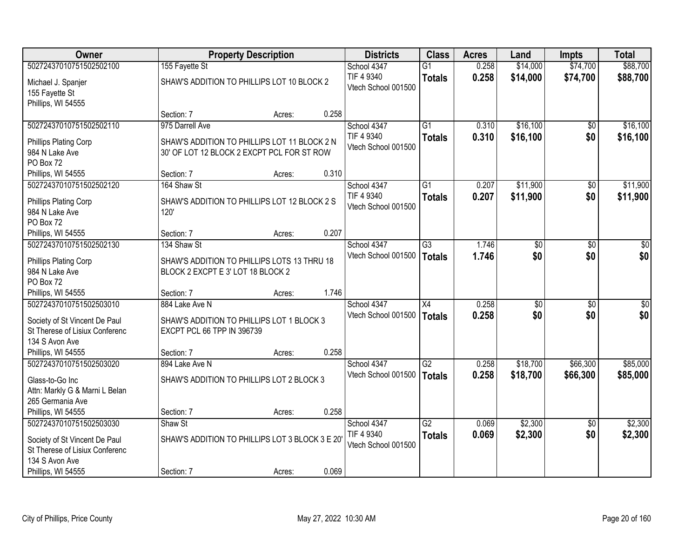| <b>Owner</b>                                                    |                                                | <b>Property Description</b> |       | <b>Districts</b>    | <b>Class</b>    | <b>Acres</b> | Land            | <b>Impts</b>    | <b>Total</b> |
|-----------------------------------------------------------------|------------------------------------------------|-----------------------------|-------|---------------------|-----------------|--------------|-----------------|-----------------|--------------|
| 50272437010751502502100                                         | 155 Fayette St                                 |                             |       | School 4347         | $\overline{G1}$ | 0.258        | \$14,000        | \$74,700        | \$88,700     |
| Michael J. Spanjer                                              | SHAW'S ADDITION TO PHILLIPS LOT 10 BLOCK 2     |                             |       | TIF 4 9340          | <b>Totals</b>   | 0.258        | \$14,000        | \$74,700        | \$88,700     |
| 155 Fayette St                                                  |                                                |                             |       | Vtech School 001500 |                 |              |                 |                 |              |
| Phillips, WI 54555                                              |                                                |                             |       |                     |                 |              |                 |                 |              |
|                                                                 | Section: 7                                     | Acres:                      | 0.258 |                     |                 |              |                 |                 |              |
| 50272437010751502502110                                         | 975 Darrell Ave                                |                             |       | School 4347         | $\overline{G1}$ | 0.310        | \$16,100        | $\overline{50}$ | \$16,100     |
| Phillips Plating Corp                                           | SHAW'S ADDITION TO PHILLIPS LOT 11 BLOCK 2 N   |                             |       | TIF 4 9340          | <b>Totals</b>   | 0.310        | \$16,100        | \$0             | \$16,100     |
| 984 N Lake Ave                                                  | 30' OF LOT 12 BLOCK 2 EXCPT PCL FOR ST ROW     |                             |       | Vtech School 001500 |                 |              |                 |                 |              |
| PO Box 72                                                       |                                                |                             |       |                     |                 |              |                 |                 |              |
| Phillips, WI 54555                                              | Section: 7                                     | Acres:                      | 0.310 |                     |                 |              |                 |                 |              |
| 50272437010751502502120                                         | 164 Shaw St                                    |                             |       | School 4347         | $\overline{G1}$ | 0.207        | \$11,900        | \$0             | \$11,900     |
| Phillips Plating Corp                                           | SHAW'S ADDITION TO PHILLIPS LOT 12 BLOCK 2 S   |                             |       | TIF 4 9340          | <b>Totals</b>   | 0.207        | \$11,900        | \$0             | \$11,900     |
| 984 N Lake Ave                                                  | 120'                                           |                             |       | Vtech School 001500 |                 |              |                 |                 |              |
| PO Box 72                                                       |                                                |                             |       |                     |                 |              |                 |                 |              |
| Phillips, WI 54555                                              | Section: 7                                     | Acres:                      | 0.207 |                     |                 |              |                 |                 |              |
| 50272437010751502502130                                         | 134 Shaw St                                    |                             |       | School 4347         | $\overline{G3}$ | 1.746        | $\overline{50}$ | \$0             | \$0          |
| Phillips Plating Corp                                           | SHAW'S ADDITION TO PHILLIPS LOTS 13 THRU 18    |                             |       | Vtech School 001500 | <b>Totals</b>   | 1.746        | \$0             | \$0             | \$0          |
| 984 N Lake Ave                                                  | BLOCK 2 EXCPT E 3' LOT 18 BLOCK 2              |                             |       |                     |                 |              |                 |                 |              |
| PO Box 72                                                       |                                                |                             |       |                     |                 |              |                 |                 |              |
| Phillips, WI 54555                                              | Section: 7                                     | Acres:                      | 1.746 |                     |                 |              |                 |                 |              |
| 50272437010751502503010                                         | 884 Lake Ave N                                 |                             |       | School 4347         | X4              | 0.258        | \$0             | $\overline{50}$ | $\sqrt{50}$  |
| Society of St Vincent De Paul                                   | SHAW'S ADDITION TO PHILLIPS LOT 1 BLOCK 3      |                             |       | Vtech School 001500 | Totals          | 0.258        | \$0             | \$0             | \$0          |
| St Therese of Lisiux Conferenc                                  | EXCPT PCL 66 TPP IN 396739                     |                             |       |                     |                 |              |                 |                 |              |
| 134 S Avon Ave                                                  |                                                |                             |       |                     |                 |              |                 |                 |              |
| Phillips, WI 54555                                              | Section: 7                                     | Acres:                      | 0.258 |                     |                 |              |                 |                 |              |
| 50272437010751502503020                                         | 894 Lake Ave N                                 |                             |       | School 4347         | G2              | 0.258        | \$18,700        | \$66,300        | \$85,000     |
| Glass-to-Go Inc                                                 | SHAW'S ADDITION TO PHILLIPS LOT 2 BLOCK 3      |                             |       | Vtech School 001500 | Totals          | 0.258        | \$18,700        | \$66,300        | \$85,000     |
| Attn: Markly G & Marni L Belan                                  |                                                |                             |       |                     |                 |              |                 |                 |              |
| 265 Germania Ave                                                |                                                |                             |       |                     |                 |              |                 |                 |              |
| Phillips, WI 54555                                              | Section: 7                                     | Acres:                      | 0.258 |                     |                 |              |                 |                 |              |
| 50272437010751502503030                                         | Shaw St                                        |                             |       | School 4347         | $\overline{G2}$ | 0.069        | \$2,300         | $\overline{30}$ | \$2,300      |
|                                                                 |                                                |                             |       | TIF 4 9340          | <b>Totals</b>   | 0.069        | \$2,300         | \$0             | \$2,300      |
| Society of St Vincent De Paul<br>St Therese of Lisiux Conferenc | SHAW'S ADDITION TO PHILLIPS LOT 3 BLOCK 3 E 20 |                             |       | Vtech School 001500 |                 |              |                 |                 |              |
| 134 S Avon Ave                                                  |                                                |                             |       |                     |                 |              |                 |                 |              |
| Phillips, WI 54555                                              | Section: 7                                     | Acres:                      | 0.069 |                     |                 |              |                 |                 |              |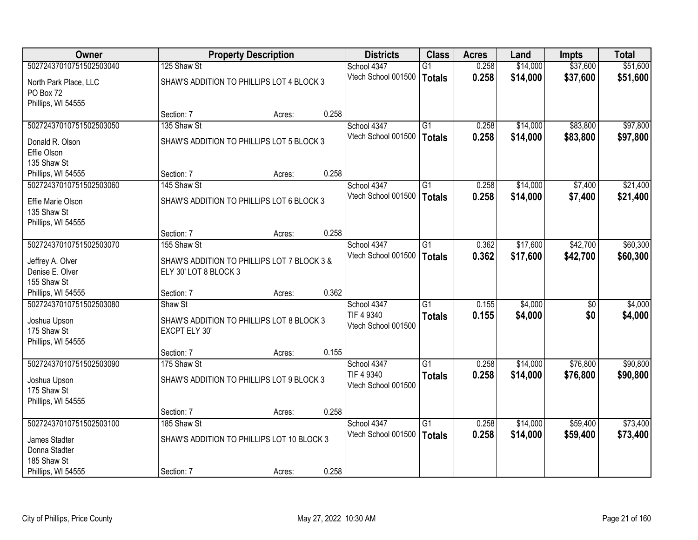| Owner                   |                                             | <b>Property Description</b> |       | <b>Districts</b>                  | <b>Class</b>    | <b>Acres</b> | Land     | <b>Impts</b>    | <b>Total</b> |
|-------------------------|---------------------------------------------|-----------------------------|-------|-----------------------------------|-----------------|--------------|----------|-----------------|--------------|
| 50272437010751502503040 | 125 Shaw St                                 |                             |       | School 4347                       | $\overline{G1}$ | 0.258        | \$14,000 | \$37,600        | \$51,600     |
| North Park Place, LLC   | SHAW'S ADDITION TO PHILLIPS LOT 4 BLOCK 3   |                             |       | Vtech School 001500               | <b>Totals</b>   | 0.258        | \$14,000 | \$37,600        | \$51,600     |
| PO Box 72               |                                             |                             |       |                                   |                 |              |          |                 |              |
| Phillips, WI 54555      |                                             |                             |       |                                   |                 |              |          |                 |              |
|                         | Section: 7                                  | Acres:                      | 0.258 |                                   |                 |              |          |                 |              |
| 50272437010751502503050 | 135 Shaw St                                 |                             |       | School 4347                       | G1              | 0.258        | \$14,000 | \$83,800        | \$97,800     |
| Donald R. Olson         | SHAW'S ADDITION TO PHILLIPS LOT 5 BLOCK 3   |                             |       | Vtech School 001500               | <b>Totals</b>   | 0.258        | \$14,000 | \$83,800        | \$97,800     |
| Effie Olson             |                                             |                             |       |                                   |                 |              |          |                 |              |
| 135 Shaw St             |                                             |                             |       |                                   |                 |              |          |                 |              |
| Phillips, WI 54555      | Section: 7                                  | Acres:                      | 0.258 |                                   |                 |              |          |                 |              |
| 50272437010751502503060 | 145 Shaw St                                 |                             |       | School 4347                       | G1              | 0.258        | \$14,000 | \$7,400         | \$21,400     |
| Effie Marie Olson       | SHAW'S ADDITION TO PHILLIPS LOT 6 BLOCK 3   |                             |       | Vtech School 001500               | <b>Totals</b>   | 0.258        | \$14,000 | \$7,400         | \$21,400     |
| 135 Shaw St             |                                             |                             |       |                                   |                 |              |          |                 |              |
| Phillips, WI 54555      |                                             |                             |       |                                   |                 |              |          |                 |              |
|                         | Section: 7                                  | Acres:                      | 0.258 |                                   |                 |              |          |                 |              |
| 50272437010751502503070 | 155 Shaw St                                 |                             |       | School 4347                       | $\overline{G1}$ | 0.362        | \$17,600 | \$42,700        | \$60,300     |
| Jeffrey A. Olver        | SHAW'S ADDITION TO PHILLIPS LOT 7 BLOCK 3 & |                             |       | Vtech School 001500               | <b>Totals</b>   | 0.362        | \$17,600 | \$42,700        | \$60,300     |
| Denise E. Olver         | ELY 30' LOT 8 BLOCK 3                       |                             |       |                                   |                 |              |          |                 |              |
| 155 Shaw St             |                                             |                             |       |                                   |                 |              |          |                 |              |
| Phillips, WI 54555      | Section: 7                                  | Acres:                      | 0.362 |                                   |                 |              |          |                 |              |
| 50272437010751502503080 | Shaw St                                     |                             |       | School 4347                       | $\overline{G1}$ | 0.155        | \$4,000  | $\overline{50}$ | \$4,000      |
| Joshua Upson            | SHAW'S ADDITION TO PHILLIPS LOT 8 BLOCK 3   |                             |       | TIF 4 9340<br>Vtech School 001500 | <b>Totals</b>   | 0.155        | \$4,000  | \$0             | \$4,000      |
| 175 Shaw St             | EXCPT ELY 30'                               |                             |       |                                   |                 |              |          |                 |              |
| Phillips, WI 54555      |                                             |                             |       |                                   |                 |              |          |                 |              |
|                         | Section: 7                                  | Acres:                      | 0.155 |                                   |                 |              |          |                 |              |
| 50272437010751502503090 | 175 Shaw St                                 |                             |       | School 4347                       | G1              | 0.258        | \$14,000 | \$76,800        | \$90,800     |
| Joshua Upson            | SHAW'S ADDITION TO PHILLIPS LOT 9 BLOCK 3   |                             |       | TIF 4 9340<br>Vtech School 001500 | <b>Totals</b>   | 0.258        | \$14,000 | \$76,800        | \$90,800     |
| 175 Shaw St             |                                             |                             |       |                                   |                 |              |          |                 |              |
| Phillips, WI 54555      |                                             |                             |       |                                   |                 |              |          |                 |              |
|                         | Section: 7                                  | Acres:                      | 0.258 |                                   |                 |              |          |                 |              |
| 50272437010751502503100 | 185 Shaw St                                 |                             |       | School 4347                       | $\overline{G1}$ | 0.258        | \$14,000 | \$59,400        | \$73,400     |
| James Stadter           | SHAW'S ADDITION TO PHILLIPS LOT 10 BLOCK 3  |                             |       | Vtech School 001500               | <b>Totals</b>   | 0.258        | \$14,000 | \$59,400        | \$73,400     |
| Donna Stadter           |                                             |                             |       |                                   |                 |              |          |                 |              |
| 185 Shaw St             |                                             |                             |       |                                   |                 |              |          |                 |              |
| Phillips, WI 54555      | Section: 7                                  | Acres:                      | 0.258 |                                   |                 |              |          |                 |              |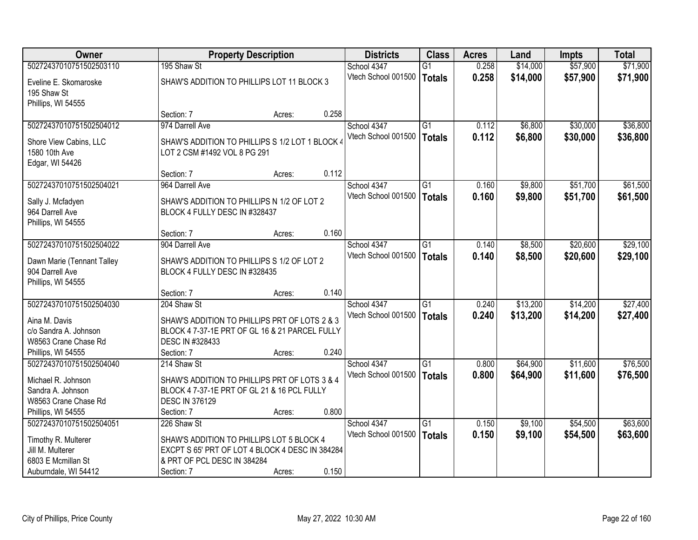| Owner                                                                                                           |                                                                                                                                                 | <b>Property Description</b> |       | <b>Districts</b>                   | <b>Class</b>                     | <b>Acres</b>   | Land                 | <b>Impts</b>         | <b>Total</b>         |
|-----------------------------------------------------------------------------------------------------------------|-------------------------------------------------------------------------------------------------------------------------------------------------|-----------------------------|-------|------------------------------------|----------------------------------|----------------|----------------------|----------------------|----------------------|
| 50272437010751502503110                                                                                         | 195 Shaw St                                                                                                                                     |                             |       | School 4347                        | $\overline{G1}$                  | 0.258          | \$14,000             | \$57,900             | \$71,900             |
| Eveline E. Skomaroske<br>195 Shaw St<br>Phillips, WI 54555                                                      | SHAW'S ADDITION TO PHILLIPS LOT 11 BLOCK 3                                                                                                      |                             |       | Vtech School 001500                | <b>Totals</b>                    | 0.258          | \$14,000             | \$57,900             | \$71,900             |
|                                                                                                                 | Section: 7                                                                                                                                      | Acres:                      | 0.258 |                                    |                                  |                |                      |                      |                      |
| 50272437010751502504012                                                                                         | 974 Darrell Ave                                                                                                                                 |                             |       | School 4347                        | $\overline{G1}$                  | 0.112          | \$6,800              | \$30,000             | \$36,800             |
| Shore View Cabins, LLC<br>1580 10th Ave<br>Edgar, WI 54426                                                      | SHAW'S ADDITION TO PHILLIPS S 1/2 LOT 1 BLOCK 4<br>LOT 2 CSM #1492 VOL 8 PG 291                                                                 |                             |       | Vtech School 001500                | <b>Totals</b>                    | 0.112          | \$6,800              | \$30,000             | \$36,800             |
|                                                                                                                 | Section: 7                                                                                                                                      | Acres:                      | 0.112 |                                    |                                  |                |                      |                      |                      |
| 50272437010751502504021                                                                                         | 964 Darrell Ave                                                                                                                                 |                             |       | School 4347                        | G1                               | 0.160          | \$9,800              | \$51,700             | \$61,500             |
| Sally J. Mcfadyen<br>964 Darrell Ave<br>Phillips, WI 54555                                                      | SHAW'S ADDITION TO PHILLIPS N 1/2 OF LOT 2<br>BLOCK 4 FULLY DESC IN #328437                                                                     |                             |       | Vtech School 001500                | <b>Totals</b>                    | 0.160          | \$9,800              | \$51,700             | \$61,500             |
|                                                                                                                 | Section: 7                                                                                                                                      | Acres:                      | 0.160 |                                    |                                  |                |                      |                      |                      |
| 50272437010751502504022                                                                                         | 904 Darrell Ave                                                                                                                                 |                             |       | School 4347                        | G1                               | 0.140          | \$8,500              | \$20,600             | \$29,100             |
| Dawn Marie (Tennant Talley<br>904 Darrell Ave<br>Phillips, WI 54555                                             | SHAW'S ADDITION TO PHILLIPS S 1/2 OF LOT 2<br>BLOCK 4 FULLY DESC IN #328435                                                                     |                             |       | Vtech School 001500                | <b>Totals</b>                    | 0.140          | \$8,500              | \$20,600             | \$29,100             |
|                                                                                                                 | Section: 7                                                                                                                                      | Acres:                      | 0.140 |                                    |                                  |                |                      |                      |                      |
| 50272437010751502504030<br>Aina M. Davis<br>c/o Sandra A. Johnson<br>W8563 Crane Chase Rd<br>Phillips, WI 54555 | 204 Shaw St<br>SHAW'S ADDITION TO PHILLIPS PRT OF LOTS 2 & 3<br>BLOCK 4 7-37-1E PRT OF GL 16 & 21 PARCEL FULLY<br>DESC IN #328433<br>Section: 7 | Acres:                      | 0.240 | School 4347<br>Vtech School 001500 | $\overline{G1}$<br><b>Totals</b> | 0.240<br>0.240 | \$13,200<br>\$13,200 | \$14,200<br>\$14,200 | \$27,400<br>\$27,400 |
| 50272437010751502504040                                                                                         | 214 Shaw St                                                                                                                                     |                             |       | School 4347                        | $\overline{G1}$                  | 0.800          | \$64,900             | \$11,600             | \$76,500             |
| Michael R. Johnson<br>Sandra A. Johnson<br>W8563 Crane Chase Rd                                                 | SHAW'S ADDITION TO PHILLIPS PRT OF LOTS 3 & 4<br>BLOCK 4 7-37-1E PRT OF GL 21 & 16 PCL FULLY<br><b>DESC IN 376129</b>                           |                             |       | Vtech School 001500                | <b>Totals</b>                    | 0.800          | \$64,900             | \$11,600             | \$76,500             |
| Phillips, WI 54555                                                                                              | Section: 7                                                                                                                                      | Acres:                      | 0.800 |                                    |                                  |                |                      |                      |                      |
| 50272437010751502504051<br>Timothy R. Multerer<br>Jill M. Multerer<br>6803 E Mcmillan St                        | 226 Shaw St<br>SHAW'S ADDITION TO PHILLIPS LOT 5 BLOCK 4<br>EXCPT S 65' PRT OF LOT 4 BLOCK 4 DESC IN 384284<br>& PRT OF PCL DESC IN 384284      |                             |       | School 4347<br>Vtech School 001500 | $\overline{G1}$<br><b>Totals</b> | 0.150<br>0.150 | \$9,100<br>\$9,100   | \$54,500<br>\$54,500 | \$63,600<br>\$63,600 |
| Auburndale, WI 54412                                                                                            | Section: 7                                                                                                                                      | Acres:                      | 0.150 |                                    |                                  |                |                      |                      |                      |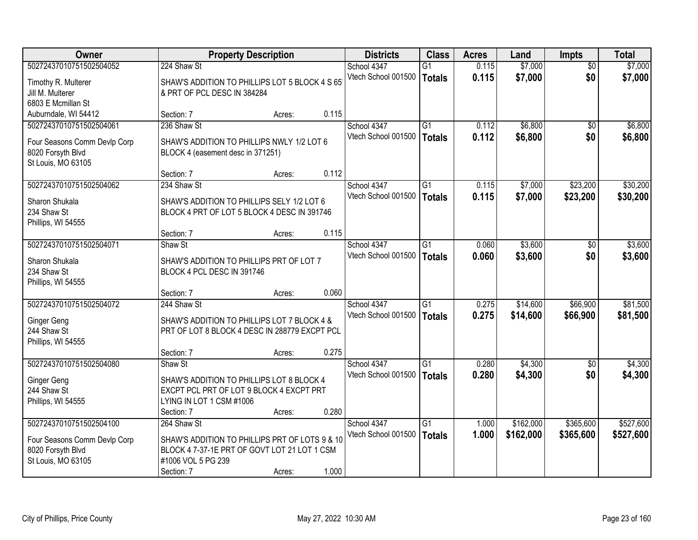| Owner                                                                                              |                                                                                                                                    | <b>Property Description</b> |       | <b>Districts</b>                   | <b>Class</b>                     | <b>Acres</b>   | Land                 | <b>Impts</b>           | <b>Total</b>         |
|----------------------------------------------------------------------------------------------------|------------------------------------------------------------------------------------------------------------------------------------|-----------------------------|-------|------------------------------------|----------------------------------|----------------|----------------------|------------------------|----------------------|
| 50272437010751502504052<br>Timothy R. Multerer<br>Jill M. Multerer                                 | 224 Shaw St<br>SHAW'S ADDITION TO PHILLIPS LOT 5 BLOCK 4 S 65<br>& PRT OF PCL DESC IN 384284                                       |                             |       | School 4347<br>Vtech School 001500 | $\overline{G1}$<br><b>Totals</b> | 0.115<br>0.115 | \$7,000<br>\$7,000   | $\overline{50}$<br>\$0 | \$7,000<br>\$7,000   |
| 6803 E Mcmillan St<br>Auburndale, WI 54412                                                         | Section: 7                                                                                                                         | Acres:                      | 0.115 |                                    |                                  |                |                      |                        |                      |
| 50272437010751502504061<br>Four Seasons Comm Devlp Corp<br>8020 Forsyth Blvd<br>St Louis, MO 63105 | 236 Shaw St<br>SHAW'S ADDITION TO PHILLIPS NWLY 1/2 LOT 6<br>BLOCK 4 (easement desc in 371251)                                     |                             |       | School 4347<br>Vtech School 001500 | $\overline{G1}$<br><b>Totals</b> | 0.112<br>0.112 | \$6,800<br>\$6,800   | $\overline{50}$<br>\$0 | \$6,800<br>\$6,800   |
|                                                                                                    | Section: 7                                                                                                                         | Acres:                      | 0.112 |                                    | $\overline{G1}$                  |                |                      |                        |                      |
| 50272437010751502504062<br>Sharon Shukala<br>234 Shaw St<br>Phillips, WI 54555                     | 234 Shaw St<br>SHAW'S ADDITION TO PHILLIPS SELY 1/2 LOT 6<br>BLOCK 4 PRT OF LOT 5 BLOCK 4 DESC IN 391746                           |                             |       | School 4347<br>Vtech School 001500 | <b>Totals</b>                    | 0.115<br>0.115 | \$7,000<br>\$7,000   | \$23,200<br>\$23,200   | \$30,200<br>\$30,200 |
|                                                                                                    | Section: 7                                                                                                                         | Acres:                      | 0.115 |                                    |                                  |                |                      |                        |                      |
| 50272437010751502504071<br>Sharon Shukala<br>234 Shaw St<br>Phillips, WI 54555                     | Shaw St<br>SHAW'S ADDITION TO PHILLIPS PRT OF LOT 7<br>BLOCK 4 PCL DESC IN 391746                                                  |                             |       | School 4347<br>Vtech School 001500 | G1<br><b>Totals</b>              | 0.060<br>0.060 | \$3,600<br>\$3,600   | $\sqrt[6]{}$<br>\$0    | \$3,600<br>\$3,600   |
|                                                                                                    | Section: 7                                                                                                                         | Acres:                      | 0.060 |                                    |                                  |                |                      |                        |                      |
| 50272437010751502504072<br>Ginger Geng<br>244 Shaw St<br>Phillips, WI 54555                        | 244 Shaw St<br>SHAW'S ADDITION TO PHILLIPS LOT 7 BLOCK 4 &<br>PRT OF LOT 8 BLOCK 4 DESC IN 288779 EXCPT PCL                        |                             | 0.275 | School 4347<br>Vtech School 001500 | $\overline{G1}$<br><b>Totals</b> | 0.275<br>0.275 | \$14,600<br>\$14,600 | \$66,900<br>\$66,900   | \$81,500<br>\$81,500 |
| 50272437010751502504080                                                                            | Section: 7<br>Shaw St                                                                                                              | Acres:                      |       | School 4347                        | G1                               | 0.280          | \$4,300              | \$0                    | \$4,300              |
| Ginger Geng<br>244 Shaw St<br>Phillips, WI 54555                                                   | SHAW'S ADDITION TO PHILLIPS LOT 8 BLOCK 4<br>EXCPT PCL PRT OF LOT 9 BLOCK 4 EXCPT PRT<br>LYING IN LOT 1 CSM #1006                  |                             |       | Vtech School 001500                | <b>Totals</b>                    | 0.280          | \$4,300              | \$0                    | \$4,300              |
| 50272437010751502504100                                                                            | Section: 7<br>264 Shaw St                                                                                                          | Acres:                      | 0.280 | School 4347                        | $\overline{G1}$                  | 1.000          | \$162,000            | \$365,600              | \$527,600            |
| Four Seasons Comm Devlp Corp<br>8020 Forsyth Blvd<br>St Louis, MO 63105                            | SHAW'S ADDITION TO PHILLIPS PRT OF LOTS 9 & 10<br>BLOCK 4 7-37-1E PRT OF GOVT LOT 21 LOT 1 CSM<br>#1006 VOL 5 PG 239<br>Section: 7 | Acres:                      | 1.000 | Vtech School 001500                | <b>Totals</b>                    | 1.000          | \$162,000            | \$365,600              | \$527,600            |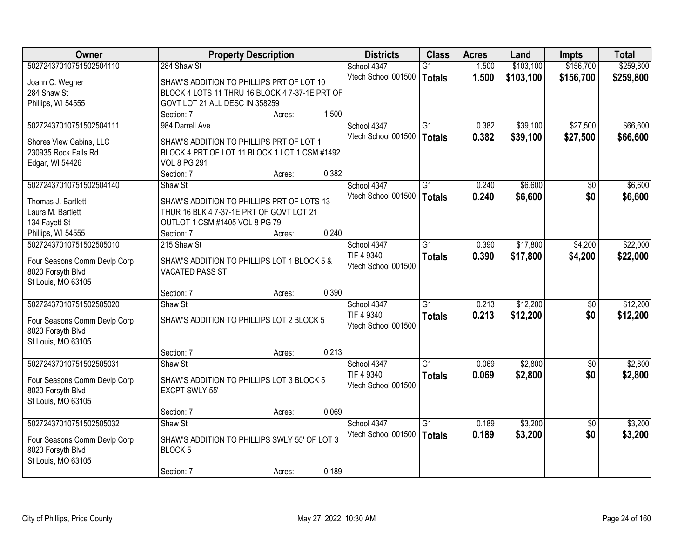| <b>Owner</b>                 | <b>Property Description</b>                    |        | <b>Districts</b>    | <b>Class</b>    | <b>Acres</b> | Land      | <b>Impts</b>    | <b>Total</b> |
|------------------------------|------------------------------------------------|--------|---------------------|-----------------|--------------|-----------|-----------------|--------------|
| 50272437010751502504110      | 284 Shaw St                                    |        | School 4347         | $\overline{G1}$ | 1.500        | \$103,100 | \$156,700       | \$259,800    |
| Joann C. Wegner              | SHAW'S ADDITION TO PHILLIPS PRT OF LOT 10      |        | Vtech School 001500 | Totals          | 1.500        | \$103,100 | \$156,700       | \$259,800    |
| 284 Shaw St                  | BLOCK 4 LOTS 11 THRU 16 BLOCK 4 7-37-1E PRT OF |        |                     |                 |              |           |                 |              |
| Phillips, WI 54555           | GOVT LOT 21 ALL DESC IN 358259                 |        |                     |                 |              |           |                 |              |
|                              | Section: 7                                     | Acres: | 1.500               |                 |              |           |                 |              |
| 50272437010751502504111      | 984 Darrell Ave                                |        | School 4347         | $\overline{G1}$ | 0.382        | \$39,100  | \$27,500        | \$66,600     |
|                              |                                                |        | Vtech School 001500 | Totals          | 0.382        | \$39,100  | \$27,500        | \$66,600     |
| Shores View Cabins, LLC      | SHAW'S ADDITION TO PHILLIPS PRT OF LOT 1       |        |                     |                 |              |           |                 |              |
| 230935 Rock Falls Rd         | BLOCK 4 PRT OF LOT 11 BLOCK 1 LOT 1 CSM #1492  |        |                     |                 |              |           |                 |              |
| Edgar, WI 54426              | <b>VOL 8 PG 291</b>                            |        | 0.382               |                 |              |           |                 |              |
|                              | Section: 7                                     | Acres: |                     |                 |              |           |                 |              |
| 50272437010751502504140      | Shaw St                                        |        | School 4347         | G1              | 0.240        | \$6,600   | $\sqrt{6}$      | \$6,600      |
| Thomas J. Bartlett           | SHAW'S ADDITION TO PHILLIPS PRT OF LOTS 13     |        | Vtech School 001500 | <b>Totals</b>   | 0.240        | \$6,600   | \$0             | \$6,600      |
| Laura M. Bartlett            | THUR 16 BLK 4 7-37-1E PRT OF GOVT LOT 21       |        |                     |                 |              |           |                 |              |
| 134 Fayett St                | OUTLOT 1 CSM #1405 VOL 8 PG 79                 |        |                     |                 |              |           |                 |              |
| Phillips, WI 54555           | Section: 7                                     | Acres: | 0.240               |                 |              |           |                 |              |
| 50272437010751502505010      | 215 Shaw St                                    |        | School 4347         | G1              | 0.390        | \$17,800  | \$4,200         | \$22,000     |
|                              |                                                |        | TIF 4 9340          | <b>Totals</b>   | 0.390        | \$17,800  | \$4,200         | \$22,000     |
| Four Seasons Comm Devlp Corp | SHAW'S ADDITION TO PHILLIPS LOT 1 BLOCK 5 &    |        | Vtech School 001500 |                 |              |           |                 |              |
| 8020 Forsyth Blvd            | <b>VACATED PASS ST</b>                         |        |                     |                 |              |           |                 |              |
| St Louis, MO 63105           |                                                |        | 0.390               |                 |              |           |                 |              |
|                              | Section: 7                                     | Acres: |                     |                 |              |           |                 |              |
| 50272437010751502505020      | Shaw St                                        |        | School 4347         | $\overline{G1}$ | 0.213        | \$12,200  | $\overline{30}$ | \$12,200     |
| Four Seasons Comm Devlp Corp | SHAW'S ADDITION TO PHILLIPS LOT 2 BLOCK 5      |        | TIF 4 9340          | <b>Totals</b>   | 0.213        | \$12,200  | \$0             | \$12,200     |
| 8020 Forsyth Blvd            |                                                |        | Vtech School 001500 |                 |              |           |                 |              |
| St Louis, MO 63105           |                                                |        |                     |                 |              |           |                 |              |
|                              | Section: 7                                     | Acres: | 0.213               |                 |              |           |                 |              |
| 50272437010751502505031      | Shaw St                                        |        | School 4347         | $\overline{G1}$ | 0.069        | \$2,800   | $\overline{50}$ | \$2,800      |
| Four Seasons Comm Devlp Corp | SHAW'S ADDITION TO PHILLIPS LOT 3 BLOCK 5      |        | TIF 4 9340          | <b>Totals</b>   | 0.069        | \$2,800   | \$0             | \$2,800      |
| 8020 Forsyth Blvd            | <b>EXCPT SWLY 55'</b>                          |        | Vtech School 001500 |                 |              |           |                 |              |
| St Louis, MO 63105           |                                                |        |                     |                 |              |           |                 |              |
|                              | Section: 7                                     | Acres: | 0.069               |                 |              |           |                 |              |
| 50272437010751502505032      | Shaw St                                        |        | School 4347         | $\overline{G1}$ | 0.189        | \$3,200   | $\overline{50}$ | \$3,200      |
|                              |                                                |        | Vtech School 001500 | <b>Totals</b>   | 0.189        | \$3,200   | \$0             | \$3,200      |
| Four Seasons Comm Devlp Corp | SHAW'S ADDITION TO PHILLIPS SWLY 55' OF LOT 3  |        |                     |                 |              |           |                 |              |
| 8020 Forsyth Blvd            | BLOCK <sub>5</sub>                             |        |                     |                 |              |           |                 |              |
| St Louis, MO 63105           |                                                |        |                     |                 |              |           |                 |              |
|                              | Section: 7                                     | Acres: | 0.189               |                 |              |           |                 |              |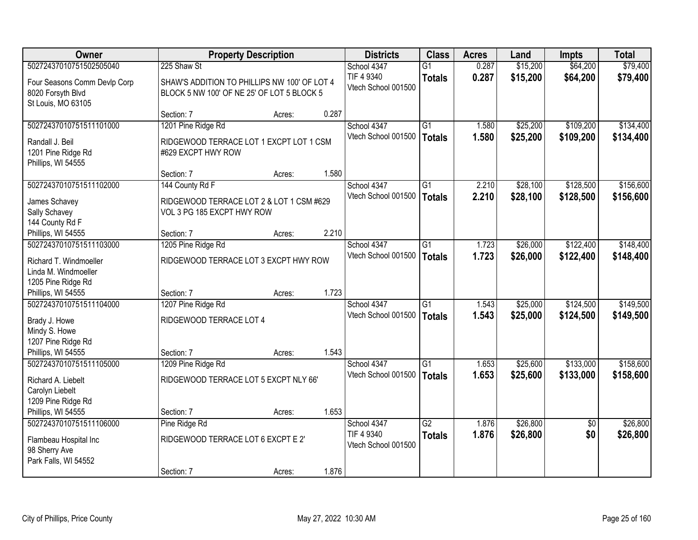| \$64,200<br>50272437010751502505040<br>225 Shaw St<br>$\overline{G1}$<br>0.287<br>\$15,200<br>School 4347                                                           | \$79,400                    |
|---------------------------------------------------------------------------------------------------------------------------------------------------------------------|-----------------------------|
| 0.287<br>TIF 4 9340<br>\$15,200<br>\$64,200<br><b>Totals</b><br>Four Seasons Comm Devlp Corp<br>SHAW'S ADDITION TO PHILLIPS NW 100' OF LOT 4<br>Vtech School 001500 | \$79,400                    |
| 8020 Forsyth Blvd<br>BLOCK 5 NW 100' OF NE 25' OF LOT 5 BLOCK 5<br>St Louis, MO 63105                                                                               |                             |
| 0.287<br>Section: 7<br>Acres:                                                                                                                                       |                             |
| 50272437010751511101000<br>1201 Pine Ridge Rd<br>\$25,200<br>\$109,200<br>School 4347<br>$\overline{G1}$<br>1.580                                                   | \$134,400                   |
| 1.580<br>\$25,200<br>\$109,200<br>Vtech School 001500<br><b>Totals</b><br>Randall J. Beil<br>RIDGEWOOD TERRACE LOT 1 EXCPT LOT 1 CSM                                | \$134,400                   |
| 1201 Pine Ridge Rd<br>#629 EXCPT HWY ROW                                                                                                                            |                             |
| Phillips, WI 54555                                                                                                                                                  |                             |
| 1.580<br>Section: 7<br>Acres:                                                                                                                                       |                             |
| 50272437010751511102000<br>\$28,100<br>\$128,500<br>School 4347<br>G1<br>2.210<br>144 County Rd F                                                                   | \$156,600                   |
| Vtech School 001500<br>2.210<br>\$28,100<br>\$128,500<br><b>Totals</b><br>James Schavey<br>RIDGEWOOD TERRACE LOT 2 & LOT 1 CSM #629                                 | \$156,600                   |
| VOL 3 PG 185 EXCPT HWY ROW<br>Sally Schavey                                                                                                                         |                             |
| 144 County Rd F                                                                                                                                                     |                             |
| 2.210<br>Phillips, WI 54555<br>Section: 7<br>Acres:<br>\$26,000<br>\$122,400<br>50272437010751511103000<br>School 4347<br>$\overline{G1}$                           | \$148,400                   |
| 1205 Pine Ridge Rd<br>1.723<br>Vtech School 001500<br>1.723<br>\$26,000<br>\$122,400                                                                                | \$148,400                   |
| <b>Totals</b><br>RIDGEWOOD TERRACE LOT 3 EXCPT HWY ROW<br>Richard T. Windmoeller                                                                                    |                             |
| Linda M. Windmoeller                                                                                                                                                |                             |
| 1205 Pine Ridge Rd<br>1.723                                                                                                                                         |                             |
| Phillips, WI 54555<br>Section: 7<br>Acres:<br>50272437010751511104000<br>$\overline{G1}$<br>\$25,000<br>\$124,500<br>1207 Pine Ridge Rd<br>School 4347<br>1.543     | \$149,500                   |
| Vtech School 001500<br>1.543<br>\$25,000<br>\$124,500<br><b>Totals</b>                                                                                              | \$149,500                   |
| RIDGEWOOD TERRACE LOT 4<br>Brady J. Howe                                                                                                                            |                             |
| Mindy S. Howe                                                                                                                                                       |                             |
| 1207 Pine Ridge Rd<br>1.543                                                                                                                                         |                             |
| Phillips, WI 54555<br>Section: 7<br>Acres:<br>\$133,000<br>50272437010751511105000<br>School 4347<br>$\overline{G1}$<br>\$25,600<br>1209 Pine Ridge Rd<br>1.653     | \$158,600                   |
| Vtech School 001500<br>1.653<br>\$25,600<br>\$133,000<br><b>Totals</b>                                                                                              | \$158,600                   |
| RIDGEWOOD TERRACE LOT 5 EXCPT NLY 66'<br>Richard A. Liebelt                                                                                                         |                             |
| Carolyn Liebelt                                                                                                                                                     |                             |
| 1209 Pine Ridge Rd<br>1.653<br>Phillips, WI 54555<br>Section: 7<br>Acres:                                                                                           |                             |
| 50272437010751511106000<br>$\overline{G2}$<br>\$26,800<br>Pine Ridge Rd<br>1.876<br>School 4347                                                                     | \$26,800<br>$\overline{30}$ |
| 1.876<br>TIF 4 9340<br>\$26,800<br><b>Totals</b>                                                                                                                    | \$0<br>\$26,800             |
| RIDGEWOOD TERRACE LOT 6 EXCPT E 2'<br>Flambeau Hospital Inc<br>Vtech School 001500                                                                                  |                             |
| 98 Sherry Ave<br>Park Falls, WI 54552                                                                                                                               |                             |
| 1.876<br>Section: 7<br>Acres:                                                                                                                                       |                             |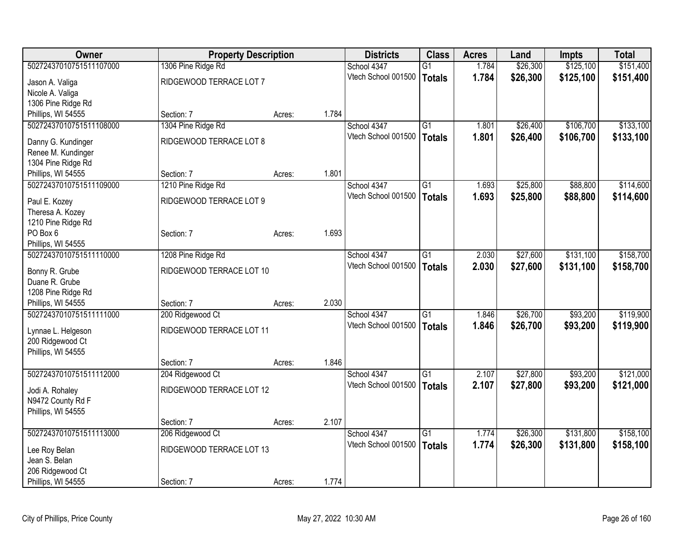| Owner                                    |                          | <b>Property Description</b> |       | <b>Districts</b>    | <b>Class</b>    | <b>Acres</b> | Land     | Impts     | <b>Total</b> |
|------------------------------------------|--------------------------|-----------------------------|-------|---------------------|-----------------|--------------|----------|-----------|--------------|
| 50272437010751511107000                  | 1306 Pine Ridge Rd       |                             |       | School 4347         | $\overline{G1}$ | 1.784        | \$26,300 | \$125,100 | \$151,400    |
| Jason A. Valiga                          | RIDGEWOOD TERRACE LOT 7  |                             |       | Vtech School 001500 | <b>Totals</b>   | 1.784        | \$26,300 | \$125,100 | \$151,400    |
| Nicole A. Valiga                         |                          |                             |       |                     |                 |              |          |           |              |
| 1306 Pine Ridge Rd                       |                          |                             |       |                     |                 |              |          |           |              |
| Phillips, WI 54555                       | Section: 7               | Acres:                      | 1.784 |                     |                 |              |          |           |              |
| 50272437010751511108000                  | 1304 Pine Ridge Rd       |                             |       | School 4347         | G1              | 1.801        | \$26,400 | \$106,700 | \$133,100    |
|                                          |                          |                             |       | Vtech School 001500 | <b>Totals</b>   | 1.801        | \$26,400 | \$106,700 | \$133,100    |
| Danny G. Kundinger                       | RIDGEWOOD TERRACE LOT 8  |                             |       |                     |                 |              |          |           |              |
| Renee M. Kundinger<br>1304 Pine Ridge Rd |                          |                             |       |                     |                 |              |          |           |              |
| Phillips, WI 54555                       | Section: 7               | Acres:                      | 1.801 |                     |                 |              |          |           |              |
| 50272437010751511109000                  | 1210 Pine Ridge Rd       |                             |       | School 4347         | $\overline{G1}$ | 1.693        | \$25,800 | \$88,800  | \$114,600    |
|                                          |                          |                             |       | Vtech School 001500 | <b>Totals</b>   | 1.693        | \$25,800 | \$88,800  | \$114,600    |
| Paul E. Kozey                            | RIDGEWOOD TERRACE LOT 9  |                             |       |                     |                 |              |          |           |              |
| Theresa A. Kozey                         |                          |                             |       |                     |                 |              |          |           |              |
| 1210 Pine Ridge Rd                       |                          |                             |       |                     |                 |              |          |           |              |
| PO Box 6                                 | Section: 7               | Acres:                      | 1.693 |                     |                 |              |          |           |              |
| Phillips, WI 54555                       |                          |                             |       |                     |                 |              |          |           |              |
| 50272437010751511110000                  | 1208 Pine Ridge Rd       |                             |       | School 4347         | $\overline{G1}$ | 2.030        | \$27,600 | \$131,100 | \$158,700    |
| Bonny R. Grube                           | RIDGEWOOD TERRACE LOT 10 |                             |       | Vtech School 001500 | <b>Totals</b>   | 2.030        | \$27,600 | \$131,100 | \$158,700    |
| Duane R. Grube                           |                          |                             |       |                     |                 |              |          |           |              |
| 1208 Pine Ridge Rd                       |                          |                             |       |                     |                 |              |          |           |              |
| Phillips, WI 54555                       | Section: 7               | Acres:                      | 2.030 |                     |                 |              |          |           |              |
| 50272437010751511111000                  | 200 Ridgewood Ct         |                             |       | School 4347         | G1              | 1.846        | \$26,700 | \$93,200  | \$119,900    |
|                                          | RIDGEWOOD TERRACE LOT 11 |                             |       | Vtech School 001500 | <b>Totals</b>   | 1.846        | \$26,700 | \$93,200  | \$119,900    |
| Lynnae L. Helgeson<br>200 Ridgewood Ct   |                          |                             |       |                     |                 |              |          |           |              |
| Phillips, WI 54555                       |                          |                             |       |                     |                 |              |          |           |              |
|                                          | Section: 7               | Acres:                      | 1.846 |                     |                 |              |          |           |              |
| 50272437010751511112000                  | 204 Ridgewood Ct         |                             |       | School 4347         | $\overline{G1}$ | 2.107        | \$27,800 | \$93,200  | \$121,000    |
|                                          |                          |                             |       | Vtech School 001500 | <b>Totals</b>   | 2.107        | \$27,800 | \$93,200  | \$121,000    |
| Jodi A. Rohaley                          | RIDGEWOOD TERRACE LOT 12 |                             |       |                     |                 |              |          |           |              |
| N9472 County Rd F                        |                          |                             |       |                     |                 |              |          |           |              |
| Phillips, WI 54555                       |                          |                             |       |                     |                 |              |          |           |              |
|                                          | Section: 7               | Acres:                      | 2.107 |                     |                 |              |          |           |              |
| 50272437010751511113000                  | 206 Ridgewood Ct         |                             |       | School 4347         | $\overline{G1}$ | 1.774        | \$26,300 | \$131,800 | \$158,100    |
| Lee Roy Belan                            | RIDGEWOOD TERRACE LOT 13 |                             |       | Vtech School 001500 | <b>Totals</b>   | 1.774        | \$26,300 | \$131,800 | \$158,100    |
| Jean S. Belan                            |                          |                             |       |                     |                 |              |          |           |              |
| 206 Ridgewood Ct                         |                          |                             |       |                     |                 |              |          |           |              |
| Phillips, WI 54555                       | Section: 7               | Acres:                      | 1.774 |                     |                 |              |          |           |              |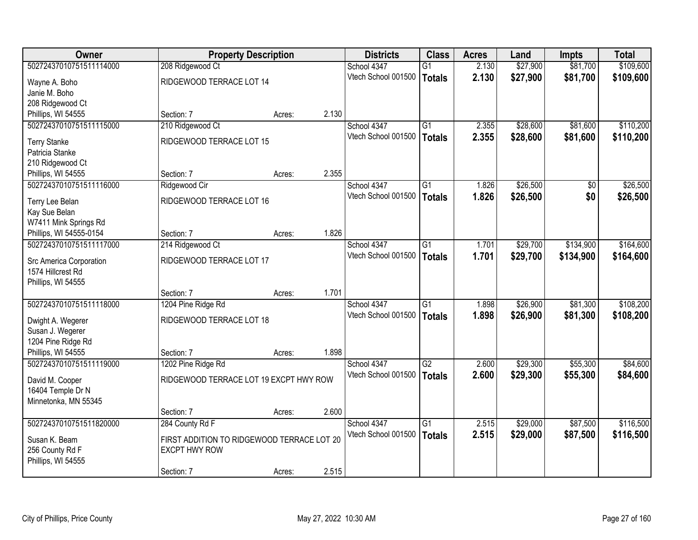| <b>Owner</b>                             |                                            | <b>Property Description</b> |       | <b>Districts</b>                   | <b>Class</b>    | <b>Acres</b>   | Land     | <b>Impts</b>    | <b>Total</b> |
|------------------------------------------|--------------------------------------------|-----------------------------|-------|------------------------------------|-----------------|----------------|----------|-----------------|--------------|
| 50272437010751511114000                  | 208 Ridgewood Ct                           |                             |       | School 4347                        | $\overline{G1}$ | 2.130          | \$27,900 | \$81,700        | \$109,600    |
| Wayne A. Boho                            | RIDGEWOOD TERRACE LOT 14                   |                             |       | Vtech School 001500                | Totals          | 2.130          | \$27,900 | \$81,700        | \$109,600    |
| Janie M. Boho                            |                                            |                             |       |                                    |                 |                |          |                 |              |
| 208 Ridgewood Ct                         |                                            |                             |       |                                    |                 |                |          |                 |              |
| Phillips, WI 54555                       | Section: 7                                 | Acres:                      | 2.130 |                                    |                 |                |          |                 |              |
| 50272437010751511115000                  | 210 Ridgewood Ct                           |                             |       | School 4347                        | $\overline{G1}$ | 2.355          | \$28,600 | \$81,600        | \$110,200    |
| <b>Terry Stanke</b>                      | RIDGEWOOD TERRACE LOT 15                   |                             |       | Vtech School 001500                | <b>Totals</b>   | 2.355          | \$28,600 | \$81,600        | \$110,200    |
| Patricia Stanke                          |                                            |                             |       |                                    |                 |                |          |                 |              |
| 210 Ridgewood Ct                         |                                            |                             |       |                                    |                 |                |          |                 |              |
| Phillips, WI 54555                       | Section: 7                                 | Acres:                      | 2.355 |                                    |                 |                |          |                 |              |
| 50272437010751511116000                  | Ridgewood Cir                              |                             |       | School 4347                        | $\overline{G1}$ | 1.826          | \$26,500 | $\overline{50}$ | \$26,500     |
|                                          |                                            |                             |       | Vtech School 001500                | Totals          | 1.826          | \$26,500 | \$0             | \$26,500     |
| Terry Lee Belan<br>Kay Sue Belan         | RIDGEWOOD TERRACE LOT 16                   |                             |       |                                    |                 |                |          |                 |              |
| W7411 Mink Springs Rd                    |                                            |                             |       |                                    |                 |                |          |                 |              |
| Phillips, WI 54555-0154                  | Section: 7                                 | Acres:                      | 1.826 |                                    |                 |                |          |                 |              |
| 50272437010751511117000                  | 214 Ridgewood Ct                           |                             |       | School 4347                        | $\overline{G1}$ | 1.701          | \$29,700 | \$134,900       | \$164,600    |
|                                          |                                            |                             |       | Vtech School 001500                | Totals          | 1.701          | \$29,700 | \$134,900       | \$164,600    |
| <b>Src America Corporation</b>           | RIDGEWOOD TERRACE LOT 17                   |                             |       |                                    |                 |                |          |                 |              |
| 1574 Hillcrest Rd<br>Phillips, WI 54555  |                                            |                             |       |                                    |                 |                |          |                 |              |
|                                          | Section: 7                                 | Acres:                      | 1.701 |                                    |                 |                |          |                 |              |
| 50272437010751511118000                  | 1204 Pine Ridge Rd                         |                             |       | School 4347                        | $\overline{G1}$ | 1.898          | \$26,900 | \$81,300        | \$108,200    |
|                                          |                                            |                             |       | Vtech School 001500                | Totals          | 1.898          | \$26,900 | \$81,300        | \$108,200    |
| Dwight A. Wegerer                        | RIDGEWOOD TERRACE LOT 18                   |                             |       |                                    |                 |                |          |                 |              |
| Susan J. Wegerer                         |                                            |                             |       |                                    |                 |                |          |                 |              |
| 1204 Pine Ridge Rd<br>Phillips, WI 54555 | Section: 7                                 | Acres:                      | 1.898 |                                    |                 |                |          |                 |              |
| 50272437010751511119000                  | 1202 Pine Ridge Rd                         |                             |       | School 4347                        | G2              | 2.600          | \$29,300 | \$55,300        | \$84,600     |
|                                          |                                            |                             |       | Vtech School 001500                | <b>Totals</b>   | 2.600          | \$29,300 | \$55,300        | \$84,600     |
| David M. Cooper                          | RIDGEWOOD TERRACE LOT 19 EXCPT HWY ROW     |                             |       |                                    |                 |                |          |                 |              |
| 16404 Temple Dr N                        |                                            |                             |       |                                    |                 |                |          |                 |              |
| Minnetonka, MN 55345                     |                                            |                             |       |                                    |                 |                |          |                 |              |
| 50272437010751511820000                  | Section: 7                                 | Acres:                      | 2.600 |                                    |                 |                | \$29,000 | \$87,500        | \$116,500    |
|                                          | 284 County Rd F                            |                             |       | School 4347<br>Vtech School 001500 | $\overline{G1}$ | 2.515<br>2.515 |          |                 |              |
| Susan K. Beam                            | FIRST ADDITION TO RIDGEWOOD TERRACE LOT 20 |                             |       |                                    | Totals          |                | \$29,000 | \$87,500        | \$116,500    |
| 256 County Rd F                          | <b>EXCPT HWY ROW</b>                       |                             |       |                                    |                 |                |          |                 |              |
| Phillips, WI 54555                       |                                            |                             |       |                                    |                 |                |          |                 |              |
|                                          | Section: 7                                 | Acres:                      | 2.515 |                                    |                 |                |          |                 |              |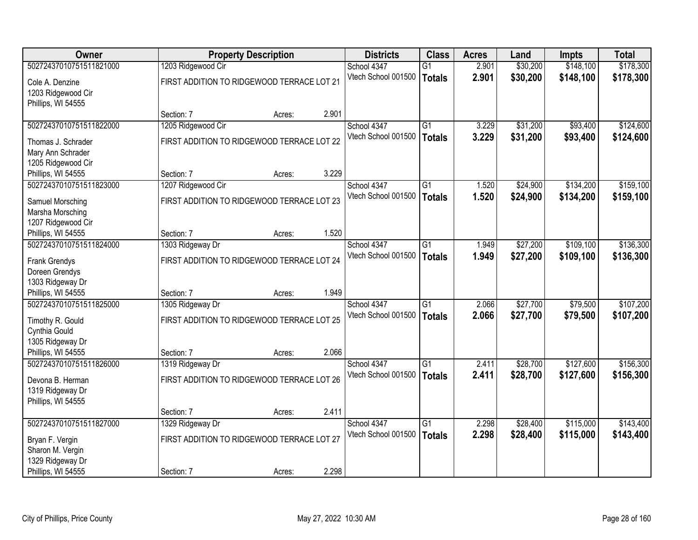| Owner                               |                                            | <b>Property Description</b> |       | <b>Districts</b>    | <b>Class</b>    | <b>Acres</b> | Land     | <b>Impts</b> | <b>Total</b> |
|-------------------------------------|--------------------------------------------|-----------------------------|-------|---------------------|-----------------|--------------|----------|--------------|--------------|
| 50272437010751511821000             | 1203 Ridgewood Cir                         |                             |       | School 4347         | $\overline{G1}$ | 2.901        | \$30,200 | \$148,100    | \$178,300    |
| Cole A. Denzine                     | FIRST ADDITION TO RIDGEWOOD TERRACE LOT 21 |                             |       | Vtech School 001500 | <b>Totals</b>   | 2.901        | \$30,200 | \$148,100    | \$178,300    |
| 1203 Ridgewood Cir                  |                                            |                             |       |                     |                 |              |          |              |              |
| Phillips, WI 54555                  |                                            |                             |       |                     |                 |              |          |              |              |
|                                     | Section: 7                                 | Acres:                      | 2.901 |                     |                 |              |          |              |              |
| 50272437010751511822000             | 1205 Ridgewood Cir                         |                             |       | School 4347         | $\overline{G1}$ | 3.229        | \$31,200 | \$93,400     | \$124,600    |
| Thomas J. Schrader                  | FIRST ADDITION TO RIDGEWOOD TERRACE LOT 22 |                             |       | Vtech School 001500 | <b>Totals</b>   | 3.229        | \$31,200 | \$93,400     | \$124,600    |
| Mary Ann Schrader                   |                                            |                             |       |                     |                 |              |          |              |              |
| 1205 Ridgewood Cir                  |                                            |                             |       |                     |                 |              |          |              |              |
| Phillips, WI 54555                  | Section: 7                                 | Acres:                      | 3.229 |                     |                 |              |          |              |              |
| 50272437010751511823000             | 1207 Ridgewood Cir                         |                             |       | School 4347         | $\overline{G1}$ | 1.520        | \$24,900 | \$134,200    | \$159,100    |
| Samuel Morsching                    | FIRST ADDITION TO RIDGEWOOD TERRACE LOT 23 |                             |       | Vtech School 001500 | <b>Totals</b>   | 1.520        | \$24,900 | \$134,200    | \$159,100    |
| Marsha Morsching                    |                                            |                             |       |                     |                 |              |          |              |              |
| 1207 Ridgewood Cir                  |                                            |                             |       |                     |                 |              |          |              |              |
| Phillips, WI 54555                  | Section: 7                                 | Acres:                      | 1.520 |                     |                 |              |          |              |              |
| 50272437010751511824000             | 1303 Ridgeway Dr                           |                             |       | School 4347         | $\overline{G1}$ | 1.949        | \$27,200 | \$109,100    | \$136,300    |
| Frank Grendys                       | FIRST ADDITION TO RIDGEWOOD TERRACE LOT 24 |                             |       | Vtech School 001500 | <b>Totals</b>   | 1.949        | \$27,200 | \$109,100    | \$136,300    |
| Doreen Grendys                      |                                            |                             |       |                     |                 |              |          |              |              |
| 1303 Ridgeway Dr                    |                                            |                             |       |                     |                 |              |          |              |              |
| Phillips, WI 54555                  | Section: 7                                 | Acres:                      | 1.949 |                     |                 |              |          |              |              |
| 50272437010751511825000             | 1305 Ridgeway Dr                           |                             |       | School 4347         | $\overline{G1}$ | 2.066        | \$27,700 | \$79,500     | \$107,200    |
| Timothy R. Gould                    | FIRST ADDITION TO RIDGEWOOD TERRACE LOT 25 |                             |       | Vtech School 001500 | <b>Totals</b>   | 2.066        | \$27,700 | \$79,500     | \$107,200    |
| Cynthia Gould                       |                                            |                             |       |                     |                 |              |          |              |              |
| 1305 Ridgeway Dr                    |                                            |                             |       |                     |                 |              |          |              |              |
| Phillips, WI 54555                  | Section: 7                                 | Acres:                      | 2.066 |                     |                 |              |          |              |              |
| 50272437010751511826000             | 1319 Ridgeway Dr                           |                             |       | School 4347         | $\overline{G1}$ | 2.411        | \$28,700 | \$127,600    | \$156,300    |
| Devona B. Herman                    | FIRST ADDITION TO RIDGEWOOD TERRACE LOT 26 |                             |       | Vtech School 001500 | <b>Totals</b>   | 2.411        | \$28,700 | \$127,600    | \$156,300    |
| 1319 Ridgeway Dr                    |                                            |                             |       |                     |                 |              |          |              |              |
| Phillips, WI 54555                  |                                            |                             |       |                     |                 |              |          |              |              |
|                                     | Section: 7                                 | Acres:                      | 2.411 |                     |                 |              |          |              |              |
| 50272437010751511827000             | 1329 Ridgeway Dr                           |                             |       | School 4347         | $\overline{G1}$ | 2.298        | \$28,400 | \$115,000    | \$143,400    |
|                                     | FIRST ADDITION TO RIDGEWOOD TERRACE LOT 27 |                             |       | Vtech School 001500 | <b>Totals</b>   | 2.298        | \$28,400 | \$115,000    | \$143,400    |
| Bryan F. Vergin<br>Sharon M. Vergin |                                            |                             |       |                     |                 |              |          |              |              |
| 1329 Ridgeway Dr                    |                                            |                             |       |                     |                 |              |          |              |              |
| Phillips, WI 54555                  | Section: 7                                 | Acres:                      | 2.298 |                     |                 |              |          |              |              |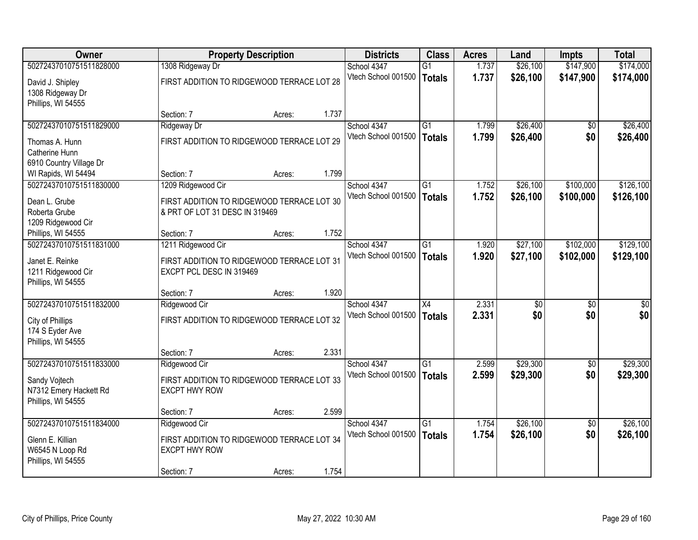| <b>Owner</b>            |                                            | <b>Property Description</b> |       | <b>Districts</b>    | <b>Class</b>    | <b>Acres</b> | Land     | <b>Impts</b>    | <b>Total</b> |
|-------------------------|--------------------------------------------|-----------------------------|-------|---------------------|-----------------|--------------|----------|-----------------|--------------|
| 50272437010751511828000 | 1308 Ridgeway Dr                           |                             |       | School 4347         | $\overline{G1}$ | 1.737        | \$26,100 | \$147,900       | \$174,000    |
| David J. Shipley        | FIRST ADDITION TO RIDGEWOOD TERRACE LOT 28 |                             |       | Vtech School 001500 | Totals          | 1.737        | \$26,100 | \$147,900       | \$174,000    |
| 1308 Ridgeway Dr        |                                            |                             |       |                     |                 |              |          |                 |              |
| Phillips, WI 54555      |                                            |                             |       |                     |                 |              |          |                 |              |
|                         | Section: 7                                 | Acres:                      | 1.737 |                     |                 |              |          |                 |              |
| 50272437010751511829000 | Ridgeway Dr                                |                             |       | School 4347         | $\overline{G1}$ | 1.799        | \$26,400 | $\overline{50}$ | \$26,400     |
| Thomas A. Hunn          | FIRST ADDITION TO RIDGEWOOD TERRACE LOT 29 |                             |       | Vtech School 001500 | <b>Totals</b>   | 1.799        | \$26,400 | \$0             | \$26,400     |
| Catherine Hunn          |                                            |                             |       |                     |                 |              |          |                 |              |
| 6910 Country Village Dr |                                            |                             |       |                     |                 |              |          |                 |              |
| WI Rapids, WI 54494     | Section: 7                                 | Acres:                      | 1.799 |                     |                 |              |          |                 |              |
| 50272437010751511830000 | 1209 Ridgewood Cir                         |                             |       | School 4347         | G1              | 1.752        | \$26,100 | \$100,000       | \$126,100    |
| Dean L. Grube           | FIRST ADDITION TO RIDGEWOOD TERRACE LOT 30 |                             |       | Vtech School 001500 | Totals          | 1.752        | \$26,100 | \$100,000       | \$126,100    |
| Roberta Grube           | & PRT OF LOT 31 DESC IN 319469             |                             |       |                     |                 |              |          |                 |              |
| 1209 Ridgewood Cir      |                                            |                             |       |                     |                 |              |          |                 |              |
| Phillips, WI 54555      | Section: 7                                 | Acres:                      | 1.752 |                     |                 |              |          |                 |              |
| 50272437010751511831000 | 1211 Ridgewood Cir                         |                             |       | School 4347         | $\overline{G1}$ | 1.920        | \$27,100 | \$102,000       | \$129,100    |
| Janet E. Reinke         | FIRST ADDITION TO RIDGEWOOD TERRACE LOT 31 |                             |       | Vtech School 001500 | Totals          | 1.920        | \$27,100 | \$102,000       | \$129,100    |
| 1211 Ridgewood Cir      | EXCPT PCL DESC IN 319469                   |                             |       |                     |                 |              |          |                 |              |
| Phillips, WI 54555      |                                            |                             |       |                     |                 |              |          |                 |              |
|                         | Section: 7                                 | Acres:                      | 1.920 |                     |                 |              |          |                 |              |
| 50272437010751511832000 | Ridgewood Cir                              |                             |       | School 4347         | $\overline{X4}$ | 2.331        | \$0      | $\overline{50}$ | $\sqrt{50}$  |
| City of Phillips        | FIRST ADDITION TO RIDGEWOOD TERRACE LOT 32 |                             |       | Vtech School 001500 | Totals          | 2.331        | \$0      | \$0             | \$0          |
| 174 S Eyder Ave         |                                            |                             |       |                     |                 |              |          |                 |              |
| Phillips, WI 54555      |                                            |                             |       |                     |                 |              |          |                 |              |
|                         | Section: 7                                 | Acres:                      | 2.331 |                     |                 |              |          |                 |              |
| 50272437010751511833000 | Ridgewood Cir                              |                             |       | School 4347         | G1              | 2.599        | \$29,300 | \$0             | \$29,300     |
| Sandy Vojtech           | FIRST ADDITION TO RIDGEWOOD TERRACE LOT 33 |                             |       | Vtech School 001500 | Totals          | 2.599        | \$29,300 | \$0             | \$29,300     |
| N7312 Emery Hackett Rd  | <b>EXCPT HWY ROW</b>                       |                             |       |                     |                 |              |          |                 |              |
| Phillips, WI 54555      |                                            |                             |       |                     |                 |              |          |                 |              |
|                         | Section: 7                                 | Acres:                      | 2.599 |                     |                 |              |          |                 |              |
| 50272437010751511834000 | Ridgewood Cir                              |                             |       | School 4347         | $\overline{G1}$ | 1.754        | \$26,100 | $\overline{50}$ | \$26,100     |
| Glenn E. Killian        | FIRST ADDITION TO RIDGEWOOD TERRACE LOT 34 |                             |       | Vtech School 001500 | Totals          | 1.754        | \$26,100 | \$0             | \$26,100     |
| W6545 N Loop Rd         | <b>EXCPT HWY ROW</b>                       |                             |       |                     |                 |              |          |                 |              |
| Phillips, WI 54555      |                                            |                             |       |                     |                 |              |          |                 |              |
|                         | Section: 7                                 | Acres:                      | 1.754 |                     |                 |              |          |                 |              |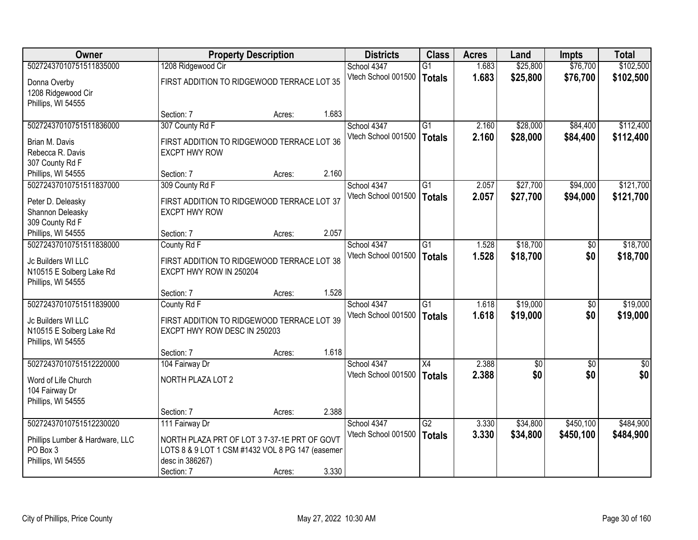| <b>Owner</b>                    |                                                  | <b>Property Description</b> |       | <b>Districts</b>    | <b>Class</b>    | <b>Acres</b> | Land            | <b>Impts</b>    | <b>Total</b> |
|---------------------------------|--------------------------------------------------|-----------------------------|-------|---------------------|-----------------|--------------|-----------------|-----------------|--------------|
| 50272437010751511835000         | 1208 Ridgewood Cir                               |                             |       | School 4347         | $\overline{G1}$ | 1.683        | \$25,800        | \$76,700        | \$102,500    |
| Donna Overby                    | FIRST ADDITION TO RIDGEWOOD TERRACE LOT 35       |                             |       | Vtech School 001500 | <b>Totals</b>   | 1.683        | \$25,800        | \$76,700        | \$102,500    |
| 1208 Ridgewood Cir              |                                                  |                             |       |                     |                 |              |                 |                 |              |
| Phillips, WI 54555              |                                                  |                             |       |                     |                 |              |                 |                 |              |
|                                 | Section: 7                                       | Acres:                      | 1.683 |                     |                 |              |                 |                 |              |
| 50272437010751511836000         | 307 County Rd F                                  |                             |       | School 4347         | $\overline{G1}$ | 2.160        | \$28,000        | \$84,400        | \$112,400    |
| Brian M. Davis                  | FIRST ADDITION TO RIDGEWOOD TERRACE LOT 36       |                             |       | Vtech School 001500 | <b>Totals</b>   | 2.160        | \$28,000        | \$84,400        | \$112,400    |
| Rebecca R. Davis                | <b>EXCPT HWY ROW</b>                             |                             |       |                     |                 |              |                 |                 |              |
| 307 County Rd F                 |                                                  |                             |       |                     |                 |              |                 |                 |              |
| Phillips, WI 54555              | Section: 7                                       | Acres:                      | 2.160 |                     |                 |              |                 |                 |              |
| 50272437010751511837000         | 309 County Rd F                                  |                             |       | School 4347         | G1              | 2.057        | \$27,700        | \$94,000        | \$121,700    |
| Peter D. Deleasky               | FIRST ADDITION TO RIDGEWOOD TERRACE LOT 37       |                             |       | Vtech School 001500 | <b>Totals</b>   | 2.057        | \$27,700        | \$94,000        | \$121,700    |
| Shannon Deleasky                | <b>EXCPT HWY ROW</b>                             |                             |       |                     |                 |              |                 |                 |              |
| 309 County Rd F                 |                                                  |                             |       |                     |                 |              |                 |                 |              |
| Phillips, WI 54555              | Section: 7                                       | Acres:                      | 2.057 |                     |                 |              |                 |                 |              |
| 50272437010751511838000         | County Rd F                                      |                             |       | School 4347         | $\overline{G1}$ | 1.528        | \$18,700        | \$0             | \$18,700     |
| Jc Builders WI LLC              | FIRST ADDITION TO RIDGEWOOD TERRACE LOT 38       |                             |       | Vtech School 001500 | <b>Totals</b>   | 1.528        | \$18,700        | \$0             | \$18,700     |
| N10515 E Solberg Lake Rd        | EXCPT HWY ROW IN 250204                          |                             |       |                     |                 |              |                 |                 |              |
| Phillips, WI 54555              |                                                  |                             |       |                     |                 |              |                 |                 |              |
|                                 | Section: 7                                       | Acres:                      | 1.528 |                     |                 |              |                 |                 |              |
| 50272437010751511839000         | County Rd F                                      |                             |       | School 4347         | $\overline{G1}$ | 1.618        | \$19,000        | \$0             | \$19,000     |
| Jc Builders WI LLC              | FIRST ADDITION TO RIDGEWOOD TERRACE LOT 39       |                             |       | Vtech School 001500 | <b>Totals</b>   | 1.618        | \$19,000        | \$0             | \$19,000     |
| N10515 E Solberg Lake Rd        | EXCPT HWY ROW DESC IN 250203                     |                             |       |                     |                 |              |                 |                 |              |
| Phillips, WI 54555              |                                                  |                             |       |                     |                 |              |                 |                 |              |
|                                 | Section: 7                                       | Acres:                      | 1.618 |                     |                 |              |                 |                 |              |
| 50272437010751512220000         | 104 Fairway Dr                                   |                             |       | School 4347         | $\overline{X4}$ | 2.388        | $\overline{50}$ | $\overline{50}$ | \$0          |
| Word of Life Church             | NORTH PLAZA LOT 2                                |                             |       | Vtech School 001500 | <b>Totals</b>   | 2.388        | \$0             | \$0             | \$0          |
| 104 Fairway Dr                  |                                                  |                             |       |                     |                 |              |                 |                 |              |
| Phillips, WI 54555              |                                                  |                             |       |                     |                 |              |                 |                 |              |
|                                 | Section: 7                                       | Acres:                      | 2.388 |                     |                 |              |                 |                 |              |
| 50272437010751512230020         | 111 Fairway Dr                                   |                             |       | School 4347         | $\overline{G2}$ | 3.330        | \$34,800        | \$450,100       | \$484,900    |
| Phillips Lumber & Hardware, LLC | NORTH PLAZA PRT OF LOT 37-37-1E PRT OF GOVT      |                             |       | Vtech School 001500 | <b>Totals</b>   | 3.330        | \$34,800        | \$450,100       | \$484,900    |
| PO Box 3                        | LOTS 8 & 9 LOT 1 CSM #1432 VOL 8 PG 147 (easemen |                             |       |                     |                 |              |                 |                 |              |
| Phillips, WI 54555              | desc in 386267)                                  |                             |       |                     |                 |              |                 |                 |              |
|                                 | Section: 7                                       | Acres:                      | 3.330 |                     |                 |              |                 |                 |              |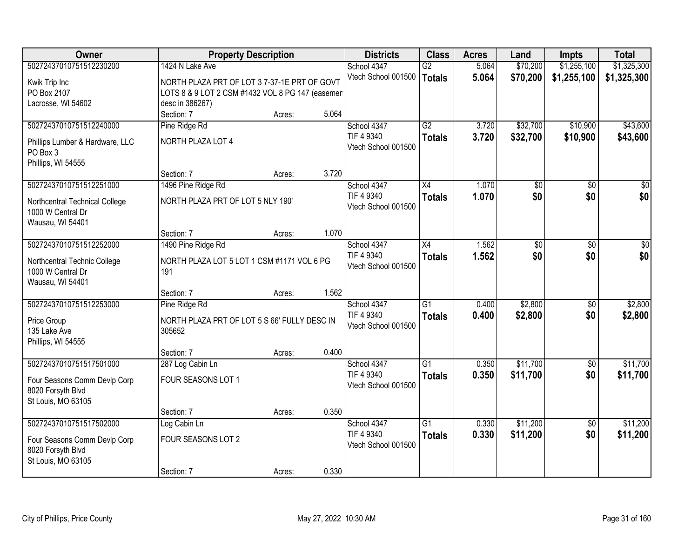| <b>Owner</b>                                        | <b>Property Description</b>                      |        |       | <b>Districts</b>          | <b>Class</b>    | <b>Acres</b> | Land            | <b>Impts</b>    | <b>Total</b>    |
|-----------------------------------------------------|--------------------------------------------------|--------|-------|---------------------------|-----------------|--------------|-----------------|-----------------|-----------------|
| 50272437010751512230200                             | 1424 N Lake Ave                                  |        |       | School 4347               | $\overline{G2}$ | 5.064        | \$70,200        | \$1,255,100     | \$1,325,300     |
| Kwik Trip Inc                                       | NORTH PLAZA PRT OF LOT 37-37-1E PRT OF GOVT      |        |       | Vtech School 001500       | <b>Totals</b>   | 5.064        | \$70,200        | \$1,255,100     | \$1,325,300     |
| PO Box 2107                                         | LOTS 8 & 9 LOT 2 CSM #1432 VOL 8 PG 147 (easemen |        |       |                           |                 |              |                 |                 |                 |
| Lacrosse, WI 54602                                  | desc in 386267)                                  |        |       |                           |                 |              |                 |                 |                 |
|                                                     | Section: 7                                       | Acres: | 5.064 |                           |                 |              |                 |                 |                 |
| 50272437010751512240000                             | Pine Ridge Rd                                    |        |       | School 4347               | $\overline{G2}$ | 3.720        | \$32,700        | \$10,900        | \$43,600        |
|                                                     | <b>NORTH PLAZA LOT 4</b>                         |        |       | TIF 4 9340                | <b>Totals</b>   | 3.720        | \$32,700        | \$10,900        | \$43,600        |
| Phillips Lumber & Hardware, LLC<br>PO Box 3         |                                                  |        |       | Vtech School 001500       |                 |              |                 |                 |                 |
| Phillips, WI 54555                                  |                                                  |        |       |                           |                 |              |                 |                 |                 |
|                                                     | Section: 7                                       | Acres: | 3.720 |                           |                 |              |                 |                 |                 |
| 50272437010751512251000                             | 1496 Pine Ridge Rd                               |        |       | School 4347               | $\overline{X4}$ | 1.070        | \$0             | \$0             | \$0             |
|                                                     |                                                  |        |       | TIF 4 9340                | <b>Totals</b>   | 1.070        | \$0             | \$0             | \$0             |
| Northcentral Technical College<br>1000 W Central Dr | NORTH PLAZA PRT OF LOT 5 NLY 190'                |        |       | Vtech School 001500       |                 |              |                 |                 |                 |
| Wausau, WI 54401                                    |                                                  |        |       |                           |                 |              |                 |                 |                 |
|                                                     | Section: 7                                       | Acres: | 1.070 |                           |                 |              |                 |                 |                 |
| 50272437010751512252000                             | 1490 Pine Ridge Rd                               |        |       | School 4347               | $\overline{X4}$ | 1.562        | $\overline{50}$ | \$0             | $\overline{50}$ |
|                                                     |                                                  |        |       | TIF 4 9340                | <b>Totals</b>   | 1.562        | \$0             | \$0             | \$0             |
| Northcentral Technic College                        | NORTH PLAZA LOT 5 LOT 1 CSM #1171 VOL 6 PG       |        |       | Vtech School 001500       |                 |              |                 |                 |                 |
| 1000 W Central Dr                                   | 191                                              |        |       |                           |                 |              |                 |                 |                 |
| Wausau, WI 54401                                    |                                                  |        | 1.562 |                           |                 |              |                 |                 |                 |
| 50272437010751512253000                             | Section: 7                                       | Acres: |       |                           | $\overline{G1}$ | 0.400        | \$2,800         |                 | \$2,800         |
|                                                     | Pine Ridge Rd                                    |        |       | School 4347<br>TIF 4 9340 |                 | 0.400        |                 | \$0<br>\$0      |                 |
| Price Group                                         | NORTH PLAZA PRT OF LOT 5 S 66' FULLY DESC IN     |        |       | Vtech School 001500       | <b>Totals</b>   |              | \$2,800         |                 | \$2,800         |
| 135 Lake Ave                                        | 305652                                           |        |       |                           |                 |              |                 |                 |                 |
| Phillips, WI 54555                                  |                                                  |        |       |                           |                 |              |                 |                 |                 |
|                                                     | Section: 7                                       | Acres: | 0.400 |                           |                 |              |                 |                 |                 |
| 50272437010751517501000                             | 287 Log Cabin Ln                                 |        |       | School 4347               | $\overline{G1}$ | 0.350        | \$11,700        | $\overline{50}$ | \$11,700        |
| Four Seasons Comm Devlp Corp                        | FOUR SEASONS LOT 1                               |        |       | TIF 4 9340                | <b>Totals</b>   | 0.350        | \$11,700        | \$0             | \$11,700        |
| 8020 Forsyth Blvd                                   |                                                  |        |       | Vtech School 001500       |                 |              |                 |                 |                 |
| St Louis, MO 63105                                  |                                                  |        |       |                           |                 |              |                 |                 |                 |
|                                                     | Section: 7                                       | Acres: | 0.350 |                           |                 |              |                 |                 |                 |
| 50272437010751517502000                             | Log Cabin Ln                                     |        |       | School 4347               | $\overline{G1}$ | 0.330        | \$11,200        | $\overline{50}$ | \$11,200        |
| Four Seasons Comm Devlp Corp                        | FOUR SEASONS LOT 2                               |        |       | TIF 4 9340                | <b>Totals</b>   | 0.330        | \$11,200        | \$0             | \$11,200        |
| 8020 Forsyth Blvd                                   |                                                  |        |       | Vtech School 001500       |                 |              |                 |                 |                 |
| St Louis, MO 63105                                  |                                                  |        |       |                           |                 |              |                 |                 |                 |
|                                                     | Section: 7                                       | Acres: | 0.330 |                           |                 |              |                 |                 |                 |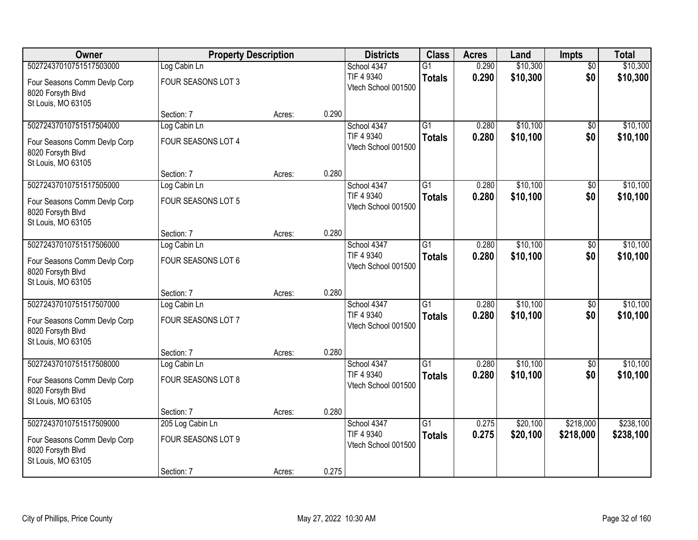| Owner                                                                   | <b>Property Description</b> |        |       | <b>Districts</b>                  | <b>Class</b>    | <b>Acres</b> | Land     | <b>Impts</b>    | <b>Total</b> |
|-------------------------------------------------------------------------|-----------------------------|--------|-------|-----------------------------------|-----------------|--------------|----------|-----------------|--------------|
| 50272437010751517503000                                                 | Log Cabin Ln                |        |       | School 4347                       | $\overline{G1}$ | 0.290        | \$10,300 | $\overline{50}$ | \$10,300     |
| Four Seasons Comm Devlp Corp<br>8020 Forsyth Blvd                       | FOUR SEASONS LOT 3          |        |       | TIF 4 9340<br>Vtech School 001500 | <b>Totals</b>   | 0.290        | \$10,300 | \$0             | \$10,300     |
| St Louis, MO 63105                                                      | Section: 7                  | Acres: | 0.290 |                                   |                 |              |          |                 |              |
| 50272437010751517504000                                                 | Log Cabin Ln                |        |       | School 4347                       | $\overline{G1}$ | 0.280        | \$10,100 | \$0             | \$10,100     |
| Four Seasons Comm Devlp Corp<br>8020 Forsyth Blvd<br>St Louis, MO 63105 | FOUR SEASONS LOT 4          |        |       | TIF 4 9340<br>Vtech School 001500 | <b>Totals</b>   | 0.280        | \$10,100 | \$0             | \$10,100     |
|                                                                         | Section: 7                  | Acres: | 0.280 |                                   |                 |              |          |                 |              |
| 50272437010751517505000                                                 | Log Cabin Ln                |        |       | School 4347                       | $\overline{G1}$ | 0.280        | \$10,100 | \$0             | \$10,100     |
| Four Seasons Comm Devlp Corp<br>8020 Forsyth Blvd<br>St Louis, MO 63105 | FOUR SEASONS LOT 5          |        |       | TIF 4 9340<br>Vtech School 001500 | <b>Totals</b>   | 0.280        | \$10,100 | \$0             | \$10,100     |
|                                                                         | Section: 7                  | Acres: | 0.280 |                                   |                 |              |          |                 |              |
| 50272437010751517506000                                                 | Log Cabin Ln                |        |       | School 4347                       | $\overline{G1}$ | 0.280        | \$10,100 | \$0             | \$10,100     |
| Four Seasons Comm Devlp Corp<br>8020 Forsyth Blvd<br>St Louis, MO 63105 | FOUR SEASONS LOT 6          |        |       | TIF 4 9340<br>Vtech School 001500 | <b>Totals</b>   | 0.280        | \$10,100 | \$0             | \$10,100     |
|                                                                         | Section: 7                  | Acres: | 0.280 |                                   |                 |              |          |                 |              |
| 50272437010751517507000                                                 | Log Cabin Ln                |        |       | School 4347                       | $\overline{G1}$ | 0.280        | \$10,100 | \$0             | \$10,100     |
| Four Seasons Comm Devlp Corp<br>8020 Forsyth Blvd<br>St Louis, MO 63105 | FOUR SEASONS LOT 7          |        |       | TIF 4 9340<br>Vtech School 001500 | <b>Totals</b>   | 0.280        | \$10,100 | \$0             | \$10,100     |
|                                                                         | Section: 7                  | Acres: | 0.280 |                                   |                 |              |          |                 |              |
| 50272437010751517508000                                                 | Log Cabin Ln                |        |       | School 4347                       | $\overline{G1}$ | 0.280        | \$10,100 | $\overline{50}$ | \$10,100     |
| Four Seasons Comm Devlp Corp<br>8020 Forsyth Blvd<br>St Louis, MO 63105 | FOUR SEASONS LOT 8          |        |       | TIF 4 9340<br>Vtech School 001500 | <b>Totals</b>   | 0.280        | \$10,100 | \$0             | \$10,100     |
|                                                                         | Section: 7                  | Acres: | 0.280 |                                   |                 |              |          |                 |              |
| 50272437010751517509000                                                 | 205 Log Cabin Ln            |        |       | School 4347                       | $\overline{G1}$ | 0.275        | \$20,100 | \$218,000       | \$238,100    |
| Four Seasons Comm Devlp Corp<br>8020 Forsyth Blvd<br>St Louis, MO 63105 | FOUR SEASONS LOT 9          |        |       | TIF 4 9340<br>Vtech School 001500 | <b>Totals</b>   | 0.275        | \$20,100 | \$218,000       | \$238,100    |
|                                                                         | Section: 7                  | Acres: | 0.275 |                                   |                 |              |          |                 |              |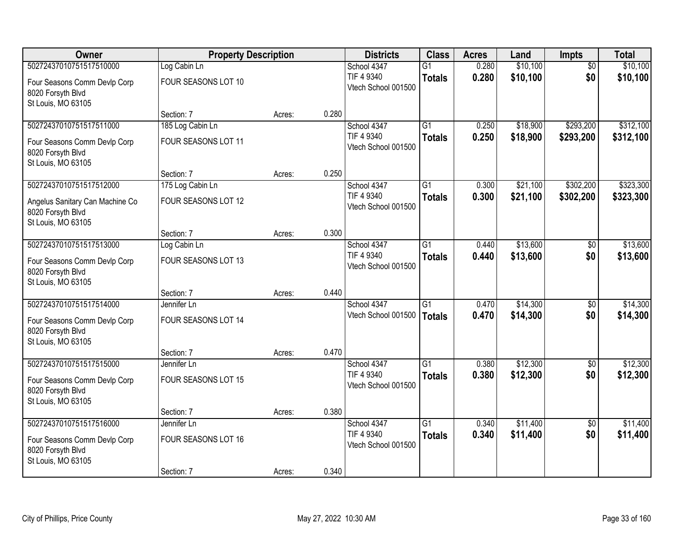| Owner                                             | <b>Property Description</b>    |        |       | <b>Districts</b>                  | <b>Class</b>    | <b>Acres</b> | Land     | <b>Impts</b>    | <b>Total</b> |
|---------------------------------------------------|--------------------------------|--------|-------|-----------------------------------|-----------------|--------------|----------|-----------------|--------------|
| 50272437010751517510000                           | Log Cabin Ln                   |        |       | School 4347                       | $\overline{G1}$ | 0.280        | \$10,100 | $\overline{50}$ | \$10,100     |
| Four Seasons Comm Devlp Corp                      | FOUR SEASONS LOT 10            |        |       | TIF 4 9340                        | <b>Totals</b>   | 0.280        | \$10,100 | \$0             | \$10,100     |
| 8020 Forsyth Blvd                                 |                                |        |       | Vtech School 001500               |                 |              |          |                 |              |
| St Louis, MO 63105                                |                                |        |       |                                   |                 |              |          |                 |              |
|                                                   | Section: 7                     | Acres: | 0.280 |                                   |                 |              |          |                 |              |
| 50272437010751517511000                           | 185 Log Cabin Ln               |        |       | School 4347<br>TIF 4 9340         | $\overline{G1}$ | 0.250        | \$18,900 | \$293,200       | \$312,100    |
| Four Seasons Comm Devlp Corp                      | <b>FOUR SEASONS LOT 11</b>     |        |       | Vtech School 001500               | <b>Totals</b>   | 0.250        | \$18,900 | \$293,200       | \$312,100    |
| 8020 Forsyth Blvd                                 |                                |        |       |                                   |                 |              |          |                 |              |
| St Louis, MO 63105                                |                                |        | 0.250 |                                   |                 |              |          |                 |              |
| 50272437010751517512000                           | Section: 7<br>175 Log Cabin Ln | Acres: |       | School 4347                       | $\overline{G1}$ | 0.300        | \$21,100 | \$302,200       | \$323,300    |
|                                                   |                                |        |       | TIF 4 9340                        | <b>Totals</b>   | 0.300        | \$21,100 | \$302,200       | \$323,300    |
| Angelus Sanitary Can Machine Co                   | FOUR SEASONS LOT 12            |        |       | Vtech School 001500               |                 |              |          |                 |              |
| 8020 Forsyth Blvd                                 |                                |        |       |                                   |                 |              |          |                 |              |
| St Louis, MO 63105                                | Section: 7                     | Acres: | 0.300 |                                   |                 |              |          |                 |              |
| 50272437010751517513000                           | Log Cabin Ln                   |        |       | School 4347                       | G1              | 0.440        | \$13,600 | $\frac{1}{20}$  | \$13,600     |
|                                                   |                                |        |       | TIF 4 9340                        | <b>Totals</b>   | 0.440        | \$13,600 | \$0             | \$13,600     |
| Four Seasons Comm Devlp Corp<br>8020 Forsyth Blvd | FOUR SEASONS LOT 13            |        |       | Vtech School 001500               |                 |              |          |                 |              |
| St Louis, MO 63105                                |                                |        |       |                                   |                 |              |          |                 |              |
|                                                   | Section: 7                     | Acres: | 0.440 |                                   |                 |              |          |                 |              |
| 50272437010751517514000                           | Jennifer Ln                    |        |       | School 4347                       | $\overline{G1}$ | 0.470        | \$14,300 | $\overline{50}$ | \$14,300     |
| Four Seasons Comm Devlp Corp                      | FOUR SEASONS LOT 14            |        |       | Vtech School 001500               | <b>Totals</b>   | 0.470        | \$14,300 | \$0             | \$14,300     |
| 8020 Forsyth Blvd                                 |                                |        |       |                                   |                 |              |          |                 |              |
| St Louis, MO 63105                                |                                |        |       |                                   |                 |              |          |                 |              |
|                                                   | Section: 7                     | Acres: | 0.470 |                                   |                 |              |          |                 |              |
| 50272437010751517515000                           | Jennifer Ln                    |        |       | School 4347                       | $\overline{G1}$ | 0.380        | \$12,300 | $\overline{60}$ | \$12,300     |
| Four Seasons Comm Devlp Corp                      | FOUR SEASONS LOT 15            |        |       | TIF 4 9340                        | <b>Totals</b>   | 0.380        | \$12,300 | \$0             | \$12,300     |
| 8020 Forsyth Blvd                                 |                                |        |       | Vtech School 001500               |                 |              |          |                 |              |
| St Louis, MO 63105                                |                                |        |       |                                   |                 |              |          |                 |              |
|                                                   | Section: 7                     | Acres: | 0.380 |                                   |                 |              |          |                 |              |
| 50272437010751517516000                           | Jennifer Ln                    |        |       | School 4347                       | $\overline{G1}$ | 0.340        | \$11,400 | $\overline{30}$ | \$11,400     |
| Four Seasons Comm Devlp Corp                      | FOUR SEASONS LOT 16            |        |       | TIF 4 9340<br>Vtech School 001500 | <b>Totals</b>   | 0.340        | \$11,400 | \$0             | \$11,400     |
| 8020 Forsyth Blvd                                 |                                |        |       |                                   |                 |              |          |                 |              |
| St Louis, MO 63105                                |                                |        |       |                                   |                 |              |          |                 |              |
|                                                   | Section: 7                     | Acres: | 0.340 |                                   |                 |              |          |                 |              |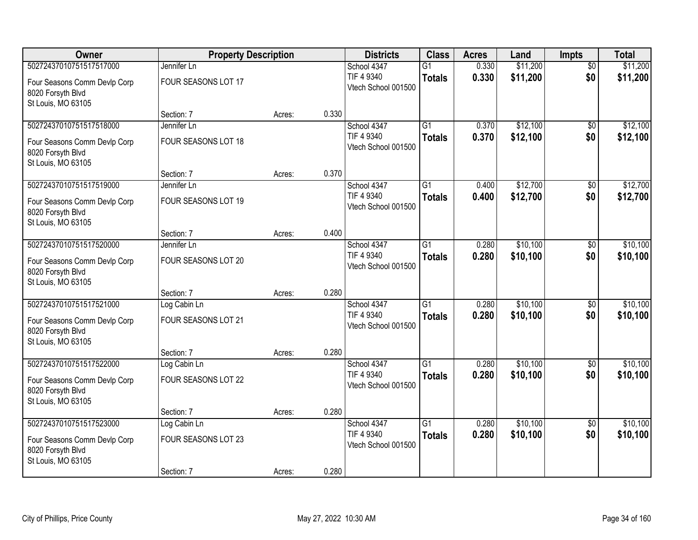| Owner                                                                   | <b>Property Description</b> |        |       | <b>Districts</b>                  | <b>Class</b>    | <b>Acres</b> | Land     | <b>Impts</b>    | <b>Total</b> |
|-------------------------------------------------------------------------|-----------------------------|--------|-------|-----------------------------------|-----------------|--------------|----------|-----------------|--------------|
| 50272437010751517517000                                                 | Jennifer Ln                 |        |       | School 4347                       | $\overline{G1}$ | 0.330        | \$11,200 | $\overline{50}$ | \$11,200     |
| Four Seasons Comm Devlp Corp<br>8020 Forsyth Blvd                       | FOUR SEASONS LOT 17         |        |       | TIF 4 9340<br>Vtech School 001500 | <b>Totals</b>   | 0.330        | \$11,200 | \$0             | \$11,200     |
| St Louis, MO 63105                                                      |                             |        | 0.330 |                                   |                 |              |          |                 |              |
| 50272437010751517518000                                                 | Section: 7<br>Jennifer Ln   | Acres: |       | School 4347                       | $\overline{G1}$ | 0.370        | \$12,100 | \$0             | \$12,100     |
|                                                                         |                             |        |       | TIF 4 9340                        | <b>Totals</b>   | 0.370        | \$12,100 | \$0             | \$12,100     |
| Four Seasons Comm Devlp Corp<br>8020 Forsyth Blvd                       | FOUR SEASONS LOT 18         |        |       | Vtech School 001500               |                 |              |          |                 |              |
| St Louis, MO 63105                                                      | Section: 7                  | Acres: | 0.370 |                                   |                 |              |          |                 |              |
| 50272437010751517519000                                                 | Jennifer Ln                 |        |       | School 4347                       | $\overline{G1}$ | 0.400        | \$12,700 | \$0             | \$12,700     |
| Four Seasons Comm Devlp Corp<br>8020 Forsyth Blvd                       | FOUR SEASONS LOT 19         |        |       | TIF 4 9340<br>Vtech School 001500 | <b>Totals</b>   | 0.400        | \$12,700 | \$0             | \$12,700     |
| St Louis, MO 63105                                                      | Section: 7                  | Acres: | 0.400 |                                   |                 |              |          |                 |              |
| 50272437010751517520000                                                 | Jennifer Ln                 |        |       | School 4347                       | G1              | 0.280        | \$10,100 | \$0             | \$10,100     |
| Four Seasons Comm Devlp Corp<br>8020 Forsyth Blvd<br>St Louis, MO 63105 | FOUR SEASONS LOT 20         |        |       | TIF 4 9340<br>Vtech School 001500 | <b>Totals</b>   | 0.280        | \$10,100 | \$0             | \$10,100     |
|                                                                         | Section: 7                  | Acres: | 0.280 |                                   |                 |              |          |                 |              |
| 50272437010751517521000                                                 | Log Cabin Ln                |        |       | School 4347                       | $\overline{G1}$ | 0.280        | \$10,100 | $\overline{50}$ | \$10,100     |
| Four Seasons Comm Devlp Corp<br>8020 Forsyth Blvd<br>St Louis, MO 63105 | FOUR SEASONS LOT 21         |        |       | TIF 4 9340<br>Vtech School 001500 | <b>Totals</b>   | 0.280        | \$10,100 | \$0             | \$10,100     |
|                                                                         | Section: 7                  | Acres: | 0.280 |                                   |                 |              |          |                 |              |
| 50272437010751517522000                                                 | Log Cabin Ln                |        |       | School 4347                       | $\overline{G1}$ | 0.280        | \$10,100 | $\overline{50}$ | \$10,100     |
| Four Seasons Comm Devlp Corp<br>8020 Forsyth Blvd<br>St Louis, MO 63105 | FOUR SEASONS LOT 22         |        |       | TIF 4 9340<br>Vtech School 001500 | <b>Totals</b>   | 0.280        | \$10,100 | \$0             | \$10,100     |
|                                                                         | Section: 7                  | Acres: | 0.280 |                                   |                 |              |          |                 |              |
| 50272437010751517523000                                                 | Log Cabin Ln                |        |       | School 4347                       | $\overline{G1}$ | 0.280        | \$10,100 | $\overline{30}$ | \$10,100     |
| Four Seasons Comm Devlp Corp<br>8020 Forsyth Blvd<br>St Louis, MO 63105 | FOUR SEASONS LOT 23         |        |       | TIF 4 9340<br>Vtech School 001500 | <b>Totals</b>   | 0.280        | \$10,100 | \$0             | \$10,100     |
|                                                                         | Section: 7                  | Acres: | 0.280 |                                   |                 |              |          |                 |              |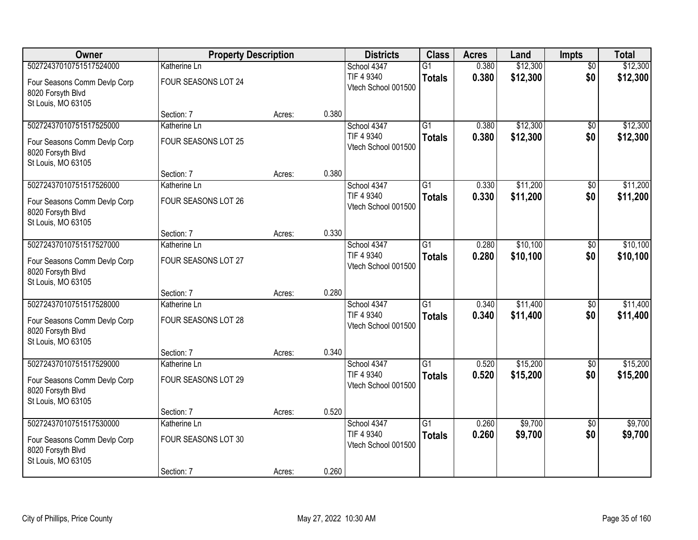| Owner                                                                   | <b>Property Description</b> |        |       | <b>Districts</b>                  | <b>Class</b>    | <b>Acres</b> | Land     | <b>Impts</b>    | <b>Total</b> |
|-------------------------------------------------------------------------|-----------------------------|--------|-------|-----------------------------------|-----------------|--------------|----------|-----------------|--------------|
| 50272437010751517524000                                                 | Katherine Ln                |        |       | School 4347                       | $\overline{G1}$ | 0.380        | \$12,300 | $\overline{50}$ | \$12,300     |
| Four Seasons Comm Devlp Corp<br>8020 Forsyth Blvd<br>St Louis, MO 63105 | FOUR SEASONS LOT 24         |        |       | TIF 4 9340<br>Vtech School 001500 | <b>Totals</b>   | 0.380        | \$12,300 | \$0             | \$12,300     |
|                                                                         | Section: 7                  | Acres: | 0.380 |                                   |                 |              |          |                 |              |
| 50272437010751517525000                                                 | Katherine Ln                |        |       | School 4347                       | $\overline{G1}$ | 0.380        | \$12,300 | \$0             | \$12,300     |
| Four Seasons Comm Devlp Corp<br>8020 Forsyth Blvd<br>St Louis, MO 63105 | FOUR SEASONS LOT 25         |        |       | TIF 4 9340<br>Vtech School 001500 | <b>Totals</b>   | 0.380        | \$12,300 | \$0             | \$12,300     |
|                                                                         | Section: 7                  | Acres: | 0.380 |                                   |                 |              |          |                 |              |
| 50272437010751517526000                                                 | Katherine Ln                |        |       | School 4347                       | $\overline{G1}$ | 0.330        | \$11,200 | \$0             | \$11,200     |
| Four Seasons Comm Devlp Corp<br>8020 Forsyth Blvd<br>St Louis, MO 63105 | FOUR SEASONS LOT 26         |        |       | TIF 4 9340<br>Vtech School 001500 | <b>Totals</b>   | 0.330        | \$11,200 | \$0             | \$11,200     |
|                                                                         | Section: 7                  | Acres: | 0.330 |                                   |                 |              |          |                 |              |
| 50272437010751517527000                                                 | Katherine Ln                |        |       | School 4347                       | $\overline{G1}$ | 0.280        | \$10,100 | \$0             | \$10,100     |
| Four Seasons Comm Devlp Corp<br>8020 Forsyth Blvd<br>St Louis, MO 63105 | FOUR SEASONS LOT 27         |        |       | TIF 4 9340<br>Vtech School 001500 | <b>Totals</b>   | 0.280        | \$10,100 | \$0             | \$10,100     |
|                                                                         | Section: 7                  | Acres: | 0.280 |                                   |                 |              |          |                 |              |
| 50272437010751517528000                                                 | Katherine Ln                |        |       | School 4347                       | $\overline{G1}$ | 0.340        | \$11,400 | \$0             | \$11,400     |
| Four Seasons Comm Devlp Corp<br>8020 Forsyth Blvd<br>St Louis, MO 63105 | FOUR SEASONS LOT 28         |        |       | TIF 4 9340<br>Vtech School 001500 | <b>Totals</b>   | 0.340        | \$11,400 | \$0             | \$11,400     |
|                                                                         | Section: 7                  | Acres: | 0.340 |                                   |                 |              |          |                 |              |
| 50272437010751517529000                                                 | Katherine Ln                |        |       | School 4347                       | $\overline{G1}$ | 0.520        | \$15,200 | $\overline{50}$ | \$15,200     |
| Four Seasons Comm Devlp Corp<br>8020 Forsyth Blvd<br>St Louis, MO 63105 | FOUR SEASONS LOT 29         |        |       | TIF 4 9340<br>Vtech School 001500 | <b>Totals</b>   | 0.520        | \$15,200 | \$0             | \$15,200     |
|                                                                         | Section: 7                  | Acres: | 0.520 |                                   |                 |              |          |                 |              |
| 50272437010751517530000                                                 | Katherine Ln                |        |       | School 4347                       | $\overline{G1}$ | 0.260        | \$9,700  | $\overline{50}$ | \$9,700      |
| Four Seasons Comm Devlp Corp<br>8020 Forsyth Blvd<br>St Louis, MO 63105 | FOUR SEASONS LOT 30         |        |       | TIF 4 9340<br>Vtech School 001500 | <b>Totals</b>   | 0.260        | \$9,700  | \$0             | \$9,700      |
|                                                                         | Section: 7                  | Acres: | 0.260 |                                   |                 |              |          |                 |              |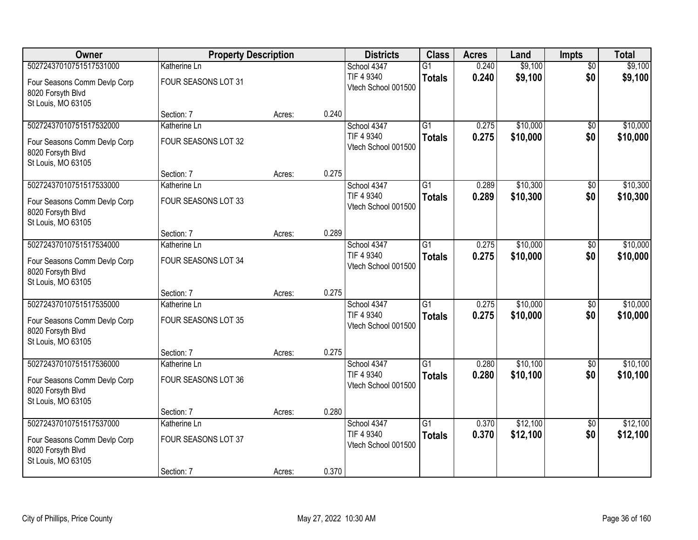| Owner                                                                   | <b>Property Description</b> |        |       | <b>Districts</b>                  | <b>Class</b>    | <b>Acres</b> | Land     | <b>Impts</b>    | <b>Total</b> |
|-------------------------------------------------------------------------|-----------------------------|--------|-------|-----------------------------------|-----------------|--------------|----------|-----------------|--------------|
| 50272437010751517531000                                                 | Katherine Ln                |        |       | School 4347                       | G1              | 0.240        | \$9,100  | $\overline{50}$ | \$9,100      |
| Four Seasons Comm Devlp Corp<br>8020 Forsyth Blvd<br>St Louis, MO 63105 | FOUR SEASONS LOT 31         |        |       | TIF 4 9340<br>Vtech School 001500 | <b>Totals</b>   | 0.240        | \$9,100  | \$0             | \$9,100      |
|                                                                         | Section: 7                  | Acres: | 0.240 |                                   |                 |              |          |                 |              |
| 50272437010751517532000                                                 | Katherine Ln                |        |       | School 4347                       | $\overline{G1}$ | 0.275        | \$10,000 | \$0             | \$10,000     |
| Four Seasons Comm Devlp Corp<br>8020 Forsyth Blvd<br>St Louis, MO 63105 | FOUR SEASONS LOT 32         |        |       | TIF 4 9340<br>Vtech School 001500 | <b>Totals</b>   | 0.275        | \$10,000 | \$0             | \$10,000     |
|                                                                         | Section: 7                  | Acres: | 0.275 |                                   |                 |              |          |                 |              |
| 50272437010751517533000                                                 | Katherine Ln                |        |       | School 4347                       | $\overline{G1}$ | 0.289        | \$10,300 | \$0             | \$10,300     |
| Four Seasons Comm Devlp Corp<br>8020 Forsyth Blvd<br>St Louis, MO 63105 | FOUR SEASONS LOT 33         |        |       | TIF 4 9340<br>Vtech School 001500 | <b>Totals</b>   | 0.289        | \$10,300 | \$0             | \$10,300     |
|                                                                         | Section: 7                  | Acres: | 0.289 |                                   |                 |              |          |                 |              |
| 50272437010751517534000                                                 | Katherine Ln                |        |       | School 4347                       | $\overline{G1}$ | 0.275        | \$10,000 | \$0             | \$10,000     |
| Four Seasons Comm Devlp Corp<br>8020 Forsyth Blvd<br>St Louis, MO 63105 | FOUR SEASONS LOT 34         |        |       | TIF 4 9340<br>Vtech School 001500 | <b>Totals</b>   | 0.275        | \$10,000 | \$0             | \$10,000     |
|                                                                         | Section: 7                  | Acres: | 0.275 |                                   |                 |              |          |                 |              |
| 50272437010751517535000                                                 | Katherine Ln                |        |       | School 4347                       | $\overline{G1}$ | 0.275        | \$10,000 | \$0             | \$10,000     |
| Four Seasons Comm Devlp Corp<br>8020 Forsyth Blvd<br>St Louis, MO 63105 | FOUR SEASONS LOT 35         |        |       | TIF 4 9340<br>Vtech School 001500 | <b>Totals</b>   | 0.275        | \$10,000 | \$0             | \$10,000     |
|                                                                         | Section: 7                  | Acres: | 0.275 |                                   |                 |              |          |                 |              |
| 50272437010751517536000                                                 | Katherine Ln                |        |       | School 4347                       | $\overline{G1}$ | 0.280        | \$10,100 | $\overline{50}$ | \$10,100     |
| Four Seasons Comm Devlp Corp<br>8020 Forsyth Blvd<br>St Louis, MO 63105 | FOUR SEASONS LOT 36         |        |       | TIF 4 9340<br>Vtech School 001500 | <b>Totals</b>   | 0.280        | \$10,100 | \$0             | \$10,100     |
|                                                                         | Section: 7                  | Acres: | 0.280 |                                   |                 |              |          |                 |              |
| 50272437010751517537000                                                 | Katherine Ln                |        |       | School 4347                       | $\overline{G1}$ | 0.370        | \$12,100 | $\overline{50}$ | \$12,100     |
| Four Seasons Comm Devlp Corp<br>8020 Forsyth Blvd<br>St Louis, MO 63105 | FOUR SEASONS LOT 37         |        |       | TIF 4 9340<br>Vtech School 001500 | <b>Totals</b>   | 0.370        | \$12,100 | \$0             | \$12,100     |
|                                                                         | Section: 7                  | Acres: | 0.370 |                                   |                 |              |          |                 |              |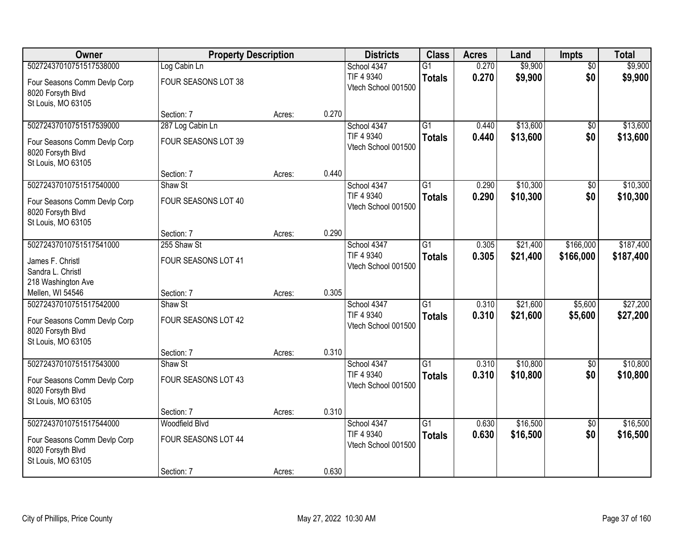| Owner                                             | <b>Property Description</b> |        |       | <b>Districts</b>                  | <b>Class</b>    | <b>Acres</b> | Land     | <b>Impts</b>           | <b>Total</b> |
|---------------------------------------------------|-----------------------------|--------|-------|-----------------------------------|-----------------|--------------|----------|------------------------|--------------|
| 50272437010751517538000                           | Log Cabin Ln                |        |       | School 4347                       | $\overline{G1}$ | 0.270        | \$9,900  | $\overline{50}$        | \$9,900      |
| Four Seasons Comm Devlp Corp<br>8020 Forsyth Blvd | FOUR SEASONS LOT 38         |        |       | TIF 4 9340<br>Vtech School 001500 | <b>Totals</b>   | 0.270        | \$9,900  | \$0                    | \$9,900      |
| St Louis, MO 63105                                |                             |        |       |                                   |                 |              |          |                        |              |
|                                                   | Section: 7                  | Acres: | 0.270 |                                   |                 |              |          |                        |              |
| 50272437010751517539000                           | 287 Log Cabin Ln            |        |       | School 4347                       | $\overline{G1}$ | 0.440        | \$13,600 | $\overline{50}$        | \$13,600     |
| Four Seasons Comm Devlp Corp<br>8020 Forsyth Blvd | FOUR SEASONS LOT 39         |        |       | TIF 4 9340<br>Vtech School 001500 | <b>Totals</b>   | 0.440        | \$13,600 | \$0                    | \$13,600     |
| St Louis, MO 63105                                |                             |        |       |                                   |                 |              |          |                        |              |
|                                                   | Section: 7                  | Acres: | 0.440 |                                   |                 |              |          |                        |              |
| 50272437010751517540000                           | Shaw St                     |        |       | School 4347                       | $\overline{G1}$ | 0.290        | \$10,300 | \$0                    | \$10,300     |
| Four Seasons Comm Devlp Corp                      | FOUR SEASONS LOT 40         |        |       | TIF 4 9340<br>Vtech School 001500 | <b>Totals</b>   | 0.290        | \$10,300 | \$0                    | \$10,300     |
| 8020 Forsyth Blvd                                 |                             |        |       |                                   |                 |              |          |                        |              |
| St Louis, MO 63105                                | Section: 7                  | Acres: | 0.290 |                                   |                 |              |          |                        |              |
| 50272437010751517541000                           | 255 Shaw St                 |        |       | School 4347                       | G1              | 0.305        | \$21,400 | \$166,000              | \$187,400    |
|                                                   |                             |        |       | TIF 4 9340                        | <b>Totals</b>   | 0.305        | \$21,400 | \$166,000              | \$187,400    |
| James F. Christl<br>Sandra L. Christl             | FOUR SEASONS LOT 41         |        |       | Vtech School 001500               |                 |              |          |                        |              |
| 218 Washington Ave                                |                             |        |       |                                   |                 |              |          |                        |              |
| Mellen, WI 54546                                  | Section: 7                  | Acres: | 0.305 |                                   |                 |              |          |                        |              |
| 50272437010751517542000                           | Shaw St                     |        |       | School 4347                       | $\overline{G1}$ | 0.310        | \$21,600 | \$5,600                | \$27,200     |
| Four Seasons Comm Devlp Corp                      | FOUR SEASONS LOT 42         |        |       | TIF 4 9340                        | <b>Totals</b>   | 0.310        | \$21,600 | \$5,600                | \$27,200     |
| 8020 Forsyth Blvd                                 |                             |        |       | Vtech School 001500               |                 |              |          |                        |              |
| St Louis, MO 63105                                |                             |        |       |                                   |                 |              |          |                        |              |
|                                                   | Section: 7                  | Acres: | 0.310 |                                   |                 |              |          |                        |              |
| 50272437010751517543000                           | Shaw St                     |        |       | School 4347                       | $\overline{G1}$ | 0.310        | \$10,800 | $\sqrt{6}$             | \$10,800     |
| Four Seasons Comm Devlp Corp                      | FOUR SEASONS LOT 43         |        |       | TIF 4 9340                        | <b>Totals</b>   | 0.310        | \$10,800 | \$0                    | \$10,800     |
| 8020 Forsyth Blvd                                 |                             |        |       | Vtech School 001500               |                 |              |          |                        |              |
| St Louis, MO 63105                                |                             |        |       |                                   |                 |              |          |                        |              |
|                                                   | Section: 7                  | Acres: | 0.310 |                                   |                 |              |          |                        |              |
| 50272437010751517544000                           | Woodfield Blvd              |        |       | School 4347<br>TIF 4 9340         | $\overline{G1}$ | 0.630        | \$16,500 | $\overline{50}$<br>\$0 | \$16,500     |
| Four Seasons Comm Devlp Corp                      | FOUR SEASONS LOT 44         |        |       | Vtech School 001500               | <b>Totals</b>   | 0.630        | \$16,500 |                        | \$16,500     |
| 8020 Forsyth Blvd                                 |                             |        |       |                                   |                 |              |          |                        |              |
| St Louis, MO 63105                                | Section: 7                  | Acres: | 0.630 |                                   |                 |              |          |                        |              |
|                                                   |                             |        |       |                                   |                 |              |          |                        |              |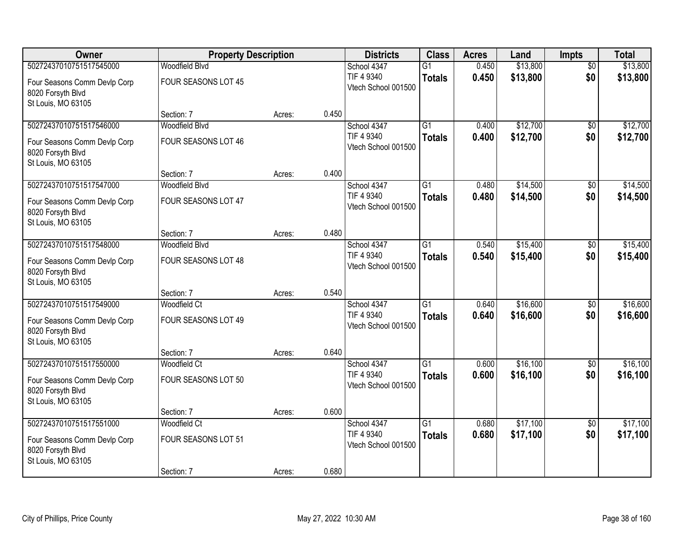| Owner                                             | <b>Property Description</b>         |        |       | <b>Districts</b>                  | <b>Class</b>    | <b>Acres</b> | Land     | <b>Impts</b>           | <b>Total</b> |
|---------------------------------------------------|-------------------------------------|--------|-------|-----------------------------------|-----------------|--------------|----------|------------------------|--------------|
| 50272437010751517545000                           | <b>Woodfield Blvd</b>               |        |       | School 4347                       | $\overline{G1}$ | 0.450        | \$13,800 | $\overline{50}$        | \$13,800     |
| Four Seasons Comm Devlp Corp                      | FOUR SEASONS LOT 45                 |        |       | TIF 4 9340<br>Vtech School 001500 | <b>Totals</b>   | 0.450        | \$13,800 | \$0                    | \$13,800     |
| 8020 Forsyth Blvd                                 |                                     |        |       |                                   |                 |              |          |                        |              |
| St Louis, MO 63105                                |                                     |        |       |                                   |                 |              |          |                        |              |
| 50272437010751517546000                           | Section: 7<br><b>Woodfield Blvd</b> | Acres: | 0.450 | School 4347                       | $\overline{G1}$ | 0.400        | \$12,700 | \$0                    | \$12,700     |
|                                                   |                                     |        |       | TIF 4 9340                        | <b>Totals</b>   | 0.400        | \$12,700 | \$0                    | \$12,700     |
| Four Seasons Comm Devlp Corp                      | FOUR SEASONS LOT 46                 |        |       | Vtech School 001500               |                 |              |          |                        |              |
| 8020 Forsyth Blvd<br>St Louis, MO 63105           |                                     |        |       |                                   |                 |              |          |                        |              |
|                                                   | Section: 7                          | Acres: | 0.400 |                                   |                 |              |          |                        |              |
| 50272437010751517547000                           | Woodfield Blvd                      |        |       | School 4347                       | $\overline{G1}$ | 0.480        | \$14,500 | \$0                    | \$14,500     |
| Four Seasons Comm Devlp Corp                      | FOUR SEASONS LOT 47                 |        |       | TIF 4 9340                        | <b>Totals</b>   | 0.480        | \$14,500 | \$0                    | \$14,500     |
| 8020 Forsyth Blvd                                 |                                     |        |       | Vtech School 001500               |                 |              |          |                        |              |
| St Louis, MO 63105                                |                                     |        |       |                                   |                 |              |          |                        |              |
|                                                   | Section: 7                          | Acres: | 0.480 |                                   |                 |              |          |                        |              |
| 50272437010751517548000                           | Woodfield Blvd                      |        |       | School 4347<br>TIF 4 9340         | G1              | 0.540        | \$15,400 | \$0                    | \$15,400     |
| Four Seasons Comm Devlp Corp                      | FOUR SEASONS LOT 48                 |        |       | Vtech School 001500               | <b>Totals</b>   | 0.540        | \$15,400 | \$0                    | \$15,400     |
| 8020 Forsyth Blvd                                 |                                     |        |       |                                   |                 |              |          |                        |              |
| St Louis, MO 63105                                | Section: 7                          | Acres: | 0.540 |                                   |                 |              |          |                        |              |
| 50272437010751517549000                           | Woodfield Ct                        |        |       | School 4347                       | $\overline{G1}$ | 0.640        | \$16,600 | $\overline{50}$        | \$16,600     |
|                                                   |                                     |        |       | TIF 4 9340                        | <b>Totals</b>   | 0.640        | \$16,600 | \$0                    | \$16,600     |
| Four Seasons Comm Devlp Corp<br>8020 Forsyth Blvd | FOUR SEASONS LOT 49                 |        |       | Vtech School 001500               |                 |              |          |                        |              |
| St Louis, MO 63105                                |                                     |        |       |                                   |                 |              |          |                        |              |
|                                                   | Section: 7                          | Acres: | 0.640 |                                   |                 |              |          |                        |              |
| 50272437010751517550000                           | <b>Woodfield Ct</b>                 |        |       | School 4347                       | $\overline{G1}$ | 0.600        | \$16,100 | $\overline{60}$        | \$16,100     |
| Four Seasons Comm Devlp Corp                      | FOUR SEASONS LOT 50                 |        |       | TIF 4 9340                        | <b>Totals</b>   | 0.600        | \$16,100 | \$0                    | \$16,100     |
| 8020 Forsyth Blvd                                 |                                     |        |       | Vtech School 001500               |                 |              |          |                        |              |
| St Louis, MO 63105                                |                                     |        |       |                                   |                 |              |          |                        |              |
| 50272437010751517551000                           | Section: 7                          | Acres: | 0.600 |                                   | $\overline{G1}$ | 0.680        | \$17,100 |                        | \$17,100     |
|                                                   | Woodfield Ct                        |        |       | School 4347<br>TIF 4 9340         | <b>Totals</b>   | 0.680        | \$17,100 | $\overline{30}$<br>\$0 | \$17,100     |
| Four Seasons Comm Devlp Corp                      | FOUR SEASONS LOT 51                 |        |       | Vtech School 001500               |                 |              |          |                        |              |
| 8020 Forsyth Blvd<br>St Louis, MO 63105           |                                     |        |       |                                   |                 |              |          |                        |              |
|                                                   | Section: 7                          | Acres: | 0.680 |                                   |                 |              |          |                        |              |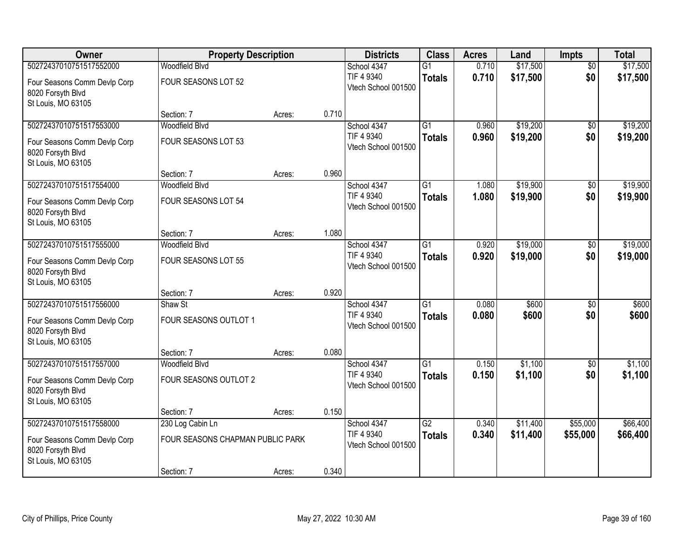| Owner                                                                   | <b>Property Description</b>      |        |       | <b>Districts</b>                  | <b>Class</b>    | <b>Acres</b> | Land     | <b>Impts</b>    | <b>Total</b> |
|-------------------------------------------------------------------------|----------------------------------|--------|-------|-----------------------------------|-----------------|--------------|----------|-----------------|--------------|
| 50272437010751517552000                                                 | <b>Woodfield Blvd</b>            |        |       | School 4347                       | $\overline{G1}$ | 0.710        | \$17,500 | $\overline{50}$ | \$17,500     |
| Four Seasons Comm Devlp Corp<br>8020 Forsyth Blvd                       | FOUR SEASONS LOT 52              |        |       | TIF 4 9340<br>Vtech School 001500 | <b>Totals</b>   | 0.710        | \$17,500 | \$0             | \$17,500     |
| St Louis, MO 63105                                                      | Section: 7                       | Acres: | 0.710 |                                   |                 |              |          |                 |              |
| 50272437010751517553000                                                 | <b>Woodfield Blvd</b>            |        |       | School 4347                       | $\overline{G1}$ | 0.960        | \$19,200 | $\overline{30}$ | \$19,200     |
| Four Seasons Comm Devlp Corp<br>8020 Forsyth Blvd<br>St Louis, MO 63105 | FOUR SEASONS LOT 53              |        |       | TIF 4 9340<br>Vtech School 001500 | <b>Totals</b>   | 0.960        | \$19,200 | \$0             | \$19,200     |
|                                                                         | Section: 7                       | Acres: | 0.960 |                                   |                 |              |          |                 |              |
| 50272437010751517554000                                                 | <b>Woodfield Blvd</b>            |        |       | School 4347                       | $\overline{G1}$ | 1.080        | \$19,900 | \$0             | \$19,900     |
| Four Seasons Comm Devlp Corp<br>8020 Forsyth Blvd<br>St Louis, MO 63105 | FOUR SEASONS LOT 54              |        |       | TIF 4 9340<br>Vtech School 001500 | <b>Totals</b>   | 1.080        | \$19,900 | \$0             | \$19,900     |
|                                                                         | Section: 7                       | Acres: | 1.080 |                                   |                 |              |          |                 |              |
| 50272437010751517555000                                                 | Woodfield Blvd                   |        |       | School 4347                       | $\overline{G1}$ | 0.920        | \$19,000 | \$0             | \$19,000     |
| Four Seasons Comm Devlp Corp<br>8020 Forsyth Blvd<br>St Louis, MO 63105 | FOUR SEASONS LOT 55              |        |       | TIF 4 9340<br>Vtech School 001500 | <b>Totals</b>   | 0.920        | \$19,000 | \$0             | \$19,000     |
|                                                                         | Section: 7                       | Acres: | 0.920 |                                   |                 |              |          |                 |              |
| 50272437010751517556000                                                 | Shaw St                          |        |       | School 4347                       | $\overline{G1}$ | 0.080        | \$600    | $\overline{50}$ | \$600        |
| Four Seasons Comm Devlp Corp<br>8020 Forsyth Blvd<br>St Louis, MO 63105 | FOUR SEASONS OUTLOT 1            |        |       | TIF 4 9340<br>Vtech School 001500 | <b>Totals</b>   | 0.080        | \$600    | \$0             | \$600        |
|                                                                         | Section: 7                       | Acres: | 0.080 |                                   |                 |              |          |                 |              |
| 50272437010751517557000                                                 | <b>Woodfield Blvd</b>            |        |       | School 4347                       | $\overline{G1}$ | 0.150        | \$1,100  | $\sqrt{6}$      | \$1,100      |
| Four Seasons Comm Devlp Corp<br>8020 Forsyth Blvd<br>St Louis, MO 63105 | FOUR SEASONS OUTLOT 2            |        |       | TIF 4 9340<br>Vtech School 001500 | <b>Totals</b>   | 0.150        | \$1,100  | \$0             | \$1,100      |
|                                                                         | Section: 7                       | Acres: | 0.150 |                                   |                 |              |          |                 |              |
| 50272437010751517558000                                                 | 230 Log Cabin Ln                 |        |       | School 4347                       | $\overline{G2}$ | 0.340        | \$11,400 | \$55,000        | \$66,400     |
| Four Seasons Comm Devlp Corp<br>8020 Forsyth Blvd<br>St Louis, MO 63105 | FOUR SEASONS CHAPMAN PUBLIC PARK |        |       | TIF 4 9340<br>Vtech School 001500 | <b>Totals</b>   | 0.340        | \$11,400 | \$55,000        | \$66,400     |
|                                                                         | Section: 7                       | Acres: | 0.340 |                                   |                 |              |          |                 |              |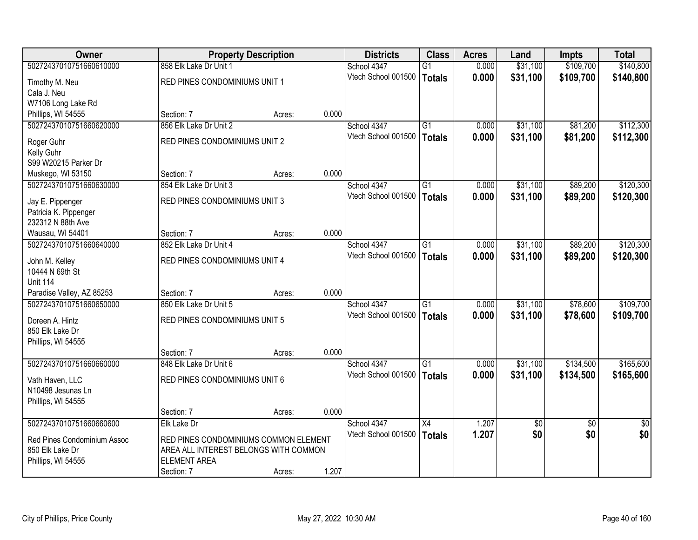| <b>Owner</b>                |                                       | <b>Property Description</b> |       | <b>Districts</b>    | <b>Class</b>    | <b>Acres</b> | Land            | <b>Impts</b>    | <b>Total</b>    |
|-----------------------------|---------------------------------------|-----------------------------|-------|---------------------|-----------------|--------------|-----------------|-----------------|-----------------|
| 50272437010751660610000     | 858 Elk Lake Dr Unit 1                |                             |       | School 4347         | $\overline{G1}$ | 0.000        | \$31,100        | \$109,700       | \$140,800       |
| Timothy M. Neu              | RED PINES CONDOMINIUMS UNIT 1         |                             |       | Vtech School 001500 | Totals          | 0.000        | \$31,100        | \$109,700       | \$140,800       |
| Cala J. Neu                 |                                       |                             |       |                     |                 |              |                 |                 |                 |
| W7106 Long Lake Rd          |                                       |                             |       |                     |                 |              |                 |                 |                 |
| Phillips, WI 54555          | Section: 7                            | Acres:                      | 0.000 |                     |                 |              |                 |                 |                 |
| 50272437010751660620000     | 856 Elk Lake Dr Unit 2                |                             |       | School 4347         | $\overline{G1}$ | 0.000        | \$31,100        | \$81,200        | \$112,300       |
| Roger Guhr                  | RED PINES CONDOMINIUMS UNIT 2         |                             |       | Vtech School 001500 | <b>Totals</b>   | 0.000        | \$31,100        | \$81,200        | \$112,300       |
| Kelly Guhr                  |                                       |                             |       |                     |                 |              |                 |                 |                 |
| S99 W20215 Parker Dr        |                                       |                             |       |                     |                 |              |                 |                 |                 |
| Muskego, WI 53150           | Section: 7                            | Acres:                      | 0.000 |                     |                 |              |                 |                 |                 |
| 50272437010751660630000     | 854 Elk Lake Dr Unit 3                |                             |       | School 4347         | G1              | 0.000        | \$31,100        | \$89,200        | \$120,300       |
| Jay E. Pippenger            | RED PINES CONDOMINIUMS UNIT 3         |                             |       | Vtech School 001500 | Totals          | 0.000        | \$31,100        | \$89,200        | \$120,300       |
| Patricia K. Pippenger       |                                       |                             |       |                     |                 |              |                 |                 |                 |
| 232312 N 88th Ave           |                                       |                             |       |                     |                 |              |                 |                 |                 |
| Wausau, WI 54401            | Section: 7                            | Acres:                      | 0.000 |                     |                 |              |                 |                 |                 |
| 50272437010751660640000     | 852 Elk Lake Dr Unit 4                |                             |       | School 4347         | G1              | 0.000        | \$31,100        | \$89,200        | \$120,300       |
| John M. Kelley              | RED PINES CONDOMINIUMS UNIT 4         |                             |       | Vtech School 001500 | <b>Totals</b>   | 0.000        | \$31,100        | \$89,200        | \$120,300       |
| 10444 N 69th St             |                                       |                             |       |                     |                 |              |                 |                 |                 |
| <b>Unit 114</b>             |                                       |                             |       |                     |                 |              |                 |                 |                 |
| Paradise Valley, AZ 85253   | Section: 7                            | Acres:                      | 0.000 |                     |                 |              |                 |                 |                 |
| 50272437010751660650000     | 850 Elk Lake Dr Unit 5                |                             |       | School 4347         | $\overline{G1}$ | 0.000        | \$31,100        | \$78,600        | \$109,700       |
| Doreen A. Hintz             | RED PINES CONDOMINIUMS UNIT 5         |                             |       | Vtech School 001500 | Totals          | 0.000        | \$31,100        | \$78,600        | \$109,700       |
| 850 Elk Lake Dr             |                                       |                             |       |                     |                 |              |                 |                 |                 |
| Phillips, WI 54555          |                                       |                             |       |                     |                 |              |                 |                 |                 |
|                             | Section: 7                            | Acres:                      | 0.000 |                     |                 |              |                 |                 |                 |
| 50272437010751660660000     | 848 Elk Lake Dr Unit 6                |                             |       | School 4347         | $\overline{G1}$ | 0.000        | \$31,100        | \$134,500       | \$165,600       |
| Vath Haven, LLC             | RED PINES CONDOMINIUMS UNIT 6         |                             |       | Vtech School 001500 | Totals          | 0.000        | \$31,100        | \$134,500       | \$165,600       |
| N10498 Jesunas Ln           |                                       |                             |       |                     |                 |              |                 |                 |                 |
| Phillips, WI 54555          |                                       |                             |       |                     |                 |              |                 |                 |                 |
|                             | Section: 7                            | Acres:                      | 0.000 |                     |                 |              |                 |                 |                 |
| 50272437010751660660600     | Elk Lake Dr                           |                             |       | School 4347         | $\overline{X4}$ | 1.207        | $\overline{50}$ | $\overline{50}$ | $\overline{50}$ |
| Red Pines Condominium Assoc | RED PINES CONDOMINIUMS COMMON ELEMENT |                             |       | Vtech School 001500 | Totals          | 1.207        | \$0             | \$0             | \$0             |
| 850 Elk Lake Dr             | AREA ALL INTEREST BELONGS WITH COMMON |                             |       |                     |                 |              |                 |                 |                 |
| Phillips, WI 54555          | <b>ELEMENT AREA</b>                   |                             |       |                     |                 |              |                 |                 |                 |
|                             | Section: 7                            | Acres:                      | 1.207 |                     |                 |              |                 |                 |                 |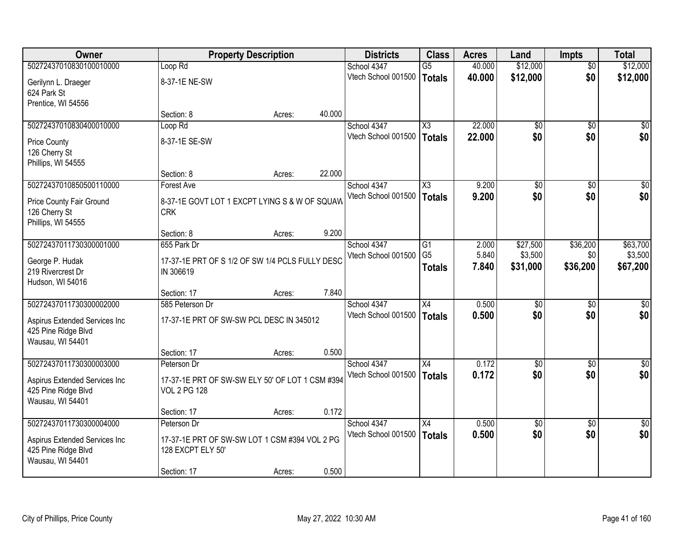| Owner                                                |                                                 | <b>Property Description</b> |        | <b>Districts</b>                   | <b>Class</b>                     | <b>Acres</b>   | Land            | <b>Impts</b>    | <b>Total</b>     |
|------------------------------------------------------|-------------------------------------------------|-----------------------------|--------|------------------------------------|----------------------------------|----------------|-----------------|-----------------|------------------|
| 50272437010830100010000                              | Loop Rd                                         |                             |        | School 4347                        | $\overline{G5}$                  | 40.000         | \$12,000        | $\overline{50}$ | \$12,000         |
| Gerilynn L. Draeger                                  | 8-37-1E NE-SW                                   |                             |        | Vtech School 001500                | Totals                           | 40.000         | \$12,000        | \$0             | \$12,000         |
| 624 Park St                                          |                                                 |                             |        |                                    |                                  |                |                 |                 |                  |
| Prentice, WI 54556                                   |                                                 |                             |        |                                    |                                  |                |                 |                 |                  |
|                                                      | Section: 8                                      | Acres:                      | 40.000 |                                    |                                  |                |                 |                 |                  |
| 50272437010830400010000                              | Loop Rd                                         |                             |        | School 4347                        | $\overline{\chi_3}$              | 22.000         | $\overline{50}$ | $\overline{50}$ | \$0              |
| <b>Price County</b>                                  | 8-37-1E SE-SW                                   |                             |        | Vtech School 001500                | Totals                           | 22.000         | \$0             | \$0             | \$0              |
| 126 Cherry St                                        |                                                 |                             |        |                                    |                                  |                |                 |                 |                  |
| Phillips, WI 54555                                   |                                                 |                             |        |                                    |                                  |                |                 |                 |                  |
| 50272437010850500110000                              | Section: 8                                      | Acres:                      | 22.000 |                                    |                                  |                |                 |                 | $\overline{50}$  |
|                                                      | Forest Ave                                      |                             |        | School 4347<br>Vtech School 001500 | $\overline{\text{X3}}$<br>Totals | 9.200<br>9.200 | \$0<br>\$0      | \$0<br>\$0      | \$0              |
| Price County Fair Ground                             | 8-37-1E GOVT LOT 1 EXCPT LYING S & W OF SQUAW   |                             |        |                                    |                                  |                |                 |                 |                  |
| 126 Cherry St                                        | <b>CRK</b>                                      |                             |        |                                    |                                  |                |                 |                 |                  |
| Phillips, WI 54555                                   | Section: 8                                      | Acres:                      | 9.200  |                                    |                                  |                |                 |                 |                  |
| 50272437011730300001000                              | 655 Park Dr                                     |                             |        | School 4347                        | G1                               | 2.000          | \$27,500        | \$36,200        | \$63,700         |
|                                                      |                                                 |                             |        | Vtech School 001500                | G <sub>5</sub>                   | 5.840          | \$3,500         | \$0             | \$3,500          |
| George P. Hudak                                      | 17-37-1E PRT OF S 1/2 OF SW 1/4 PCLS FULLY DESC |                             |        |                                    | <b>Totals</b>                    | 7.840          | \$31,000        | \$36,200        | \$67,200         |
| 219 Rivercrest Dr<br>Hudson, WI 54016                | IN 306619                                       |                             |        |                                    |                                  |                |                 |                 |                  |
|                                                      | Section: 17                                     | Acres:                      | 7.840  |                                    |                                  |                |                 |                 |                  |
| 50272437011730300002000                              | 585 Peterson Dr                                 |                             |        | School 4347                        | $\overline{X4}$                  | 0.500          | $\overline{50}$ | $\overline{50}$ | $\overline{50}$  |
|                                                      |                                                 |                             |        | Vtech School 001500                | Totals                           | 0.500          | \$0             | \$0             | \$0              |
| Aspirus Extended Services Inc<br>425 Pine Ridge Blvd | 17-37-1E PRT OF SW-SW PCL DESC IN 345012        |                             |        |                                    |                                  |                |                 |                 |                  |
| Wausau, WI 54401                                     |                                                 |                             |        |                                    |                                  |                |                 |                 |                  |
|                                                      | Section: 17                                     | Acres:                      | 0.500  |                                    |                                  |                |                 |                 |                  |
| 50272437011730300003000                              | Peterson Dr                                     |                             |        | School 4347                        | X4                               | 0.172          | $\overline{50}$ | $\overline{30}$ | $\overline{\$0}$ |
| Aspirus Extended Services Inc                        | 17-37-1E PRT OF SW-SW ELY 50' OF LOT 1 CSM #394 |                             |        | Vtech School 001500                | Totals                           | 0.172          | \$0             | \$0             | \$0              |
| 425 Pine Ridge Blvd                                  | <b>VOL 2 PG 128</b>                             |                             |        |                                    |                                  |                |                 |                 |                  |
| Wausau, WI 54401                                     |                                                 |                             |        |                                    |                                  |                |                 |                 |                  |
|                                                      | Section: 17                                     | Acres:                      | 0.172  |                                    |                                  |                |                 |                 |                  |
| 50272437011730300004000                              | Peterson Dr                                     |                             |        | School 4347                        | X4                               | 0.500          | $\overline{50}$ | $\overline{50}$ | $\overline{30}$  |
| Aspirus Extended Services Inc                        | 17-37-1E PRT OF SW-SW LOT 1 CSM #394 VOL 2 PG   |                             |        | Vtech School 001500                | Totals                           | 0.500          | \$0             | \$0             | \$0              |
| 425 Pine Ridge Blvd                                  | 128 EXCPT ELY 50'                               |                             |        |                                    |                                  |                |                 |                 |                  |
| Wausau, WI 54401                                     |                                                 |                             |        |                                    |                                  |                |                 |                 |                  |
|                                                      | Section: 17                                     | Acres:                      | 0.500  |                                    |                                  |                |                 |                 |                  |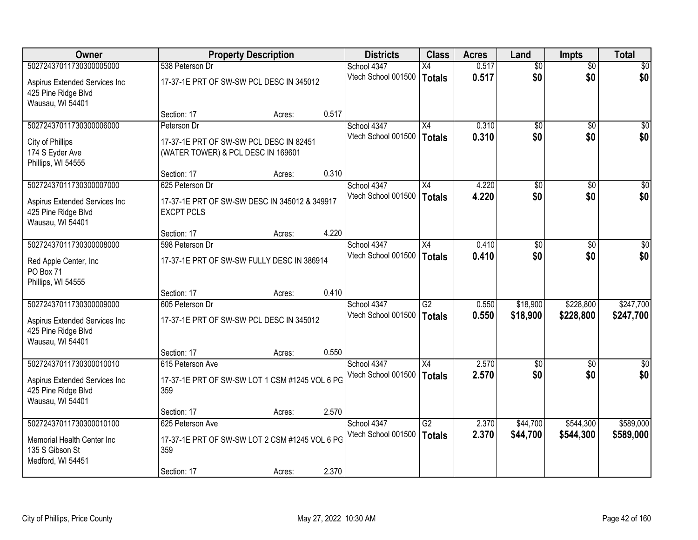| Owner                                                                    |                                                                               | <b>Property Description</b> |       | <b>Districts</b>    | <b>Class</b>    | <b>Acres</b> | Land            | <b>Impts</b>    | <b>Total</b>    |
|--------------------------------------------------------------------------|-------------------------------------------------------------------------------|-----------------------------|-------|---------------------|-----------------|--------------|-----------------|-----------------|-----------------|
| 50272437011730300005000                                                  | 538 Peterson Dr                                                               |                             |       | School 4347         | X4              | 0.517        | $\overline{50}$ | $\overline{50}$ | \$0             |
| Aspirus Extended Services Inc<br>425 Pine Ridge Blvd<br>Wausau, WI 54401 | 17-37-1E PRT OF SW-SW PCL DESC IN 345012                                      |                             |       | Vtech School 001500 | Totals          | 0.517        | \$0             | \$0             | \$0             |
|                                                                          | Section: 17                                                                   | Acres:                      | 0.517 |                     |                 |              |                 |                 |                 |
| 50272437011730300006000                                                  | Peterson Dr                                                                   |                             |       | School 4347         | $\overline{X4}$ | 0.310        | \$0             | $\overline{50}$ | \$0             |
| City of Phillips<br>174 S Eyder Ave<br>Phillips, WI 54555                | 17-37-1E PRT OF SW-SW PCL DESC IN 82451<br>(WATER TOWER) & PCL DESC IN 169601 |                             |       | Vtech School 001500 | Totals          | 0.310        | \$0             | \$0             | \$0             |
|                                                                          | Section: 17                                                                   | Acres:                      | 0.310 |                     |                 |              |                 |                 |                 |
| 50272437011730300007000                                                  | 625 Peterson Dr                                                               |                             |       | School 4347         | X4              | 4.220        | $\overline{50}$ | \$0             | $\overline{50}$ |
| Aspirus Extended Services Inc<br>425 Pine Ridge Blvd<br>Wausau, WI 54401 | 17-37-1E PRT OF SW-SW DESC IN 345012 & 349917<br><b>EXCPT PCLS</b>            |                             |       | Vtech School 001500 | Totals          | 4.220        | \$0             | \$0             | \$0             |
|                                                                          | Section: 17                                                                   | Acres:                      | 4.220 |                     |                 |              |                 |                 |                 |
| 50272437011730300008000                                                  | 598 Peterson Dr                                                               |                             |       | School 4347         | X4              | 0.410        | \$0             | \$0             | \$0             |
| Red Apple Center, Inc.<br>PO Box 71<br>Phillips, WI 54555                | 17-37-1E PRT OF SW-SW FULLY DESC IN 386914                                    |                             |       | Vtech School 001500 | Totals          | 0.410        | \$0             | \$0             | \$0             |
|                                                                          | Section: 17                                                                   | Acres:                      | 0.410 |                     |                 |              |                 |                 |                 |
| 50272437011730300009000                                                  | 605 Peterson Dr                                                               |                             |       | School 4347         | $\overline{G2}$ | 0.550        | \$18,900        | \$228,800       | \$247,700       |
| Aspirus Extended Services Inc<br>425 Pine Ridge Blvd<br>Wausau, WI 54401 | 17-37-1E PRT OF SW-SW PCL DESC IN 345012                                      |                             |       | Vtech School 001500 | Totals          | 0.550        | \$18,900        | \$228,800       | \$247,700       |
|                                                                          | Section: 17                                                                   | Acres:                      | 0.550 |                     |                 |              |                 |                 |                 |
| 50272437011730300010010                                                  | 615 Peterson Ave                                                              |                             |       | School 4347         | $\overline{X4}$ | 2.570        | $\overline{50}$ | \$0             | \$0             |
| Aspirus Extended Services Inc<br>425 Pine Ridge Blvd<br>Wausau, WI 54401 | 17-37-1E PRT OF SW-SW LOT 1 CSM #1245 VOL 6 PG<br>359                         |                             |       | Vtech School 001500 | Totals          | 2.570        | \$0             | \$0             | \$0             |
|                                                                          | Section: 17                                                                   | Acres:                      | 2.570 |                     |                 |              |                 |                 |                 |
| 50272437011730300010100                                                  | 625 Peterson Ave                                                              |                             |       | School 4347         | $\overline{G2}$ | 2.370        | \$44,700        | \$544,300       | \$589,000       |
| Memorial Health Center Inc<br>135 S Gibson St<br>Medford, WI 54451       | 17-37-1E PRT OF SW-SW LOT 2 CSM #1245 VOL 6 PG<br>359                         |                             |       | Vtech School 001500 | Totals          | 2.370        | \$44,700        | \$544,300       | \$589,000       |
|                                                                          | Section: 17                                                                   | Acres:                      | 2.370 |                     |                 |              |                 |                 |                 |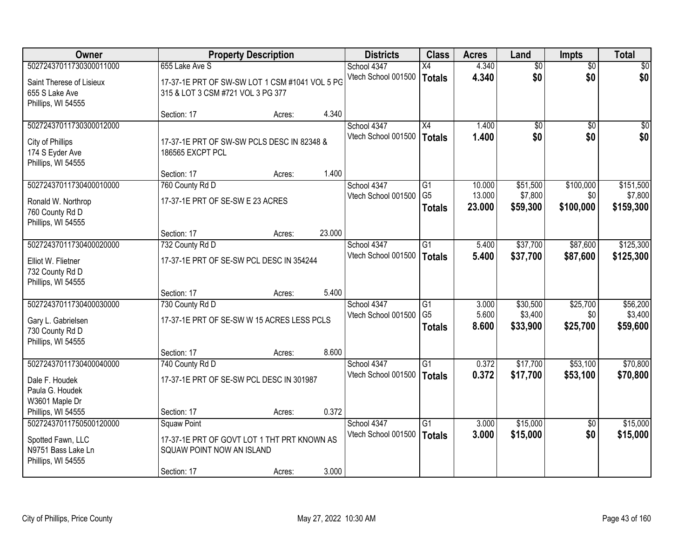| Owner                    |                                                | <b>Property Description</b> |        | <b>Districts</b>                   | <b>Class</b>    | <b>Acres</b> | Land     | <b>Impts</b>           | <b>Total</b> |
|--------------------------|------------------------------------------------|-----------------------------|--------|------------------------------------|-----------------|--------------|----------|------------------------|--------------|
| 50272437011730300011000  | 655 Lake Ave S                                 |                             |        | School 4347                        | X4              | 4.340        | \$0      | $\overline{50}$        | \$0          |
| Saint Therese of Lisieux | 17-37-1E PRT OF SW-SW LOT 1 CSM #1041 VOL 5 PG |                             |        | Vtech School 001500                | <b>Totals</b>   | 4.340        | \$0      | \$0                    | \$0          |
| 655 S Lake Ave           | 315 & LOT 3 CSM #721 VOL 3 PG 377              |                             |        |                                    |                 |              |          |                        |              |
| Phillips, WI 54555       | Section: 17                                    |                             | 4.340  |                                    |                 |              |          |                        |              |
| 50272437011730300012000  |                                                | Acres:                      |        | School 4347                        | $\overline{X4}$ | 1.400        | \$0      | \$0                    | \$0          |
|                          |                                                |                             |        | Vtech School 001500                | <b>Totals</b>   | 1.400        | \$0      | \$0                    | \$0          |
| City of Phillips         | 17-37-1E PRT OF SW-SW PCLS DESC IN 82348 &     |                             |        |                                    |                 |              |          |                        |              |
| 174 S Eyder Ave          | 186565 EXCPT PCL                               |                             |        |                                    |                 |              |          |                        |              |
| Phillips, WI 54555       | Section: 17                                    | Acres:                      | 1.400  |                                    |                 |              |          |                        |              |
| 50272437011730400010000  | 760 County Rd D                                |                             |        | School 4347                        | $\overline{G1}$ | 10.000       | \$51,500 | \$100,000              | \$151,500    |
| Ronald W. Northrop       | 17-37-1E PRT OF SE-SW E 23 ACRES               |                             |        | Vtech School 001500                | G <sub>5</sub>  | 13.000       | \$7,800  | \$0                    | \$7,800      |
| 760 County Rd D          |                                                |                             |        |                                    | <b>Totals</b>   | 23.000       | \$59,300 | \$100,000              | \$159,300    |
| Phillips, WI 54555       |                                                |                             |        |                                    |                 |              |          |                        |              |
|                          | Section: 17                                    | Acres:                      | 23.000 |                                    |                 |              |          |                        |              |
| 50272437011730400020000  | 732 County Rd D                                |                             |        | School 4347                        | G1              | 5.400        | \$37,700 | \$87,600               | \$125,300    |
| Elliot W. Flietner       | 17-37-1E PRT OF SE-SW PCL DESC IN 354244       |                             |        | Vtech School 001500                | <b>Totals</b>   | 5.400        | \$37,700 | \$87,600               | \$125,300    |
| 732 County Rd D          |                                                |                             |        |                                    |                 |              |          |                        |              |
| Phillips, WI 54555       |                                                |                             |        |                                    |                 |              |          |                        |              |
|                          | Section: 17                                    | Acres:                      | 5.400  |                                    |                 |              |          |                        |              |
| 50272437011730400030000  | 730 County Rd D                                |                             |        | School 4347                        | $\overline{G1}$ | 3.000        | \$30,500 | \$25,700               | \$56,200     |
| Gary L. Gabrielsen       | 17-37-1E PRT OF SE-SW W 15 ACRES LESS PCLS     |                             |        | Vtech School 001500                | G <sub>5</sub>  | 5.600        | \$3,400  | \$0                    | \$3,400      |
| 730 County Rd D          |                                                |                             |        |                                    | <b>Totals</b>   | 8.600        | \$33,900 | \$25,700               | \$59,600     |
| Phillips, WI 54555       |                                                |                             |        |                                    |                 |              |          |                        |              |
|                          | Section: 17                                    | Acres:                      | 8.600  |                                    |                 |              |          |                        |              |
| 50272437011730400040000  | 740 County Rd D                                |                             |        | School 4347                        | G1              | 0.372        | \$17,700 | \$53,100               | \$70,800     |
| Dale F. Houdek           | 17-37-1E PRT OF SE-SW PCL DESC IN 301987       |                             |        | Vtech School 001500                | <b>Totals</b>   | 0.372        | \$17,700 | \$53,100               | \$70,800     |
| Paula G. Houdek          |                                                |                             |        |                                    |                 |              |          |                        |              |
| W3601 Maple Dr           |                                                |                             |        |                                    |                 |              |          |                        |              |
| Phillips, WI 54555       | Section: 17                                    | Acres:                      | 0.372  |                                    |                 |              |          |                        |              |
| 50272437011750500120000  | <b>Squaw Point</b>                             |                             |        | School 4347<br>Vtech School 001500 | $\overline{G1}$ | 3.000        | \$15,000 | $\overline{50}$<br>\$0 | \$15,000     |
| Spotted Fawn, LLC        | 17-37-1E PRT OF GOVT LOT 1 THT PRT KNOWN AS    |                             |        |                                    | <b>Totals</b>   | 3.000        | \$15,000 |                        | \$15,000     |
| N9751 Bass Lake Ln       | SQUAW POINT NOW AN ISLAND                      |                             |        |                                    |                 |              |          |                        |              |
| Phillips, WI 54555       |                                                |                             |        |                                    |                 |              |          |                        |              |
|                          | Section: 17                                    | Acres:                      | 3.000  |                                    |                 |              |          |                        |              |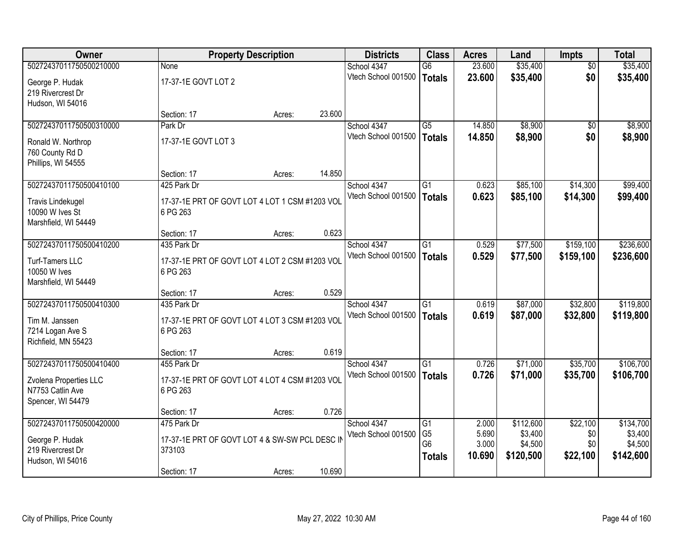| Owner                    |                                                | <b>Property Description</b> |        | <b>Districts</b>    | <b>Class</b>    | <b>Acres</b>    | Land                 | Impts           | <b>Total</b> |
|--------------------------|------------------------------------------------|-----------------------------|--------|---------------------|-----------------|-----------------|----------------------|-----------------|--------------|
| 50272437011750500210000  | None                                           |                             |        | School 4347         | $\overline{G6}$ | 23.600          | \$35,400             | $\overline{50}$ | \$35,400     |
| George P. Hudak          | 17-37-1E GOVT LOT 2                            |                             |        | Vtech School 001500 | <b>Totals</b>   | 23.600          | \$35,400             | \$0             | \$35,400     |
| 219 Rivercrest Dr        |                                                |                             |        |                     |                 |                 |                      |                 |              |
| Hudson, WI 54016         |                                                |                             |        |                     |                 |                 |                      |                 |              |
|                          | Section: 17                                    | Acres:                      | 23.600 |                     |                 |                 |                      |                 |              |
| 50272437011750500310000  | Park Dr                                        |                             |        | School 4347         | $\overline{G5}$ | 14.850          | \$8,900              | $\overline{50}$ | \$8,900      |
| Ronald W. Northrop       | 17-37-1E GOVT LOT 3                            |                             |        | Vtech School 001500 | <b>Totals</b>   | 14.850          | \$8,900              | \$0             | \$8,900      |
| 760 County Rd D          |                                                |                             |        |                     |                 |                 |                      |                 |              |
| Phillips, WI 54555       |                                                |                             |        |                     |                 |                 |                      |                 |              |
|                          | Section: 17                                    | Acres:                      | 14.850 |                     |                 |                 |                      |                 |              |
| 50272437011750500410100  | 425 Park Dr                                    |                             |        | School 4347         | G1              | 0.623           | \$85,100             | \$14,300        | \$99,400     |
| <b>Travis Lindekugel</b> | 17-37-1E PRT OF GOVT LOT 4 LOT 1 CSM #1203 VOL |                             |        | Vtech School 001500 | <b>Totals</b>   | 0.623           | \$85,100             | \$14,300        | \$99,400     |
| 10090 W Ives St          | 6 PG 263                                       |                             |        |                     |                 |                 |                      |                 |              |
| Marshfield, WI 54449     |                                                |                             |        |                     |                 |                 |                      |                 |              |
|                          | Section: 17                                    | Acres:                      | 0.623  |                     |                 |                 |                      |                 |              |
| 50272437011750500410200  | 435 Park Dr                                    |                             |        | School 4347         | G1              | 0.529           | \$77,500             | \$159,100       | \$236,600    |
| Turf-Tamers LLC          | 17-37-1E PRT OF GOVT LOT 4 LOT 2 CSM #1203 VOL |                             |        | Vtech School 001500 | <b>Totals</b>   | 0.529           | \$77,500             | \$159,100       | \$236,600    |
| 10050 W Ives             | 6 PG 263                                       |                             |        |                     |                 |                 |                      |                 |              |
| Marshfield, WI 54449     |                                                |                             |        |                     |                 |                 |                      |                 |              |
|                          | Section: 17                                    | Acres:                      | 0.529  |                     |                 |                 |                      |                 |              |
| 50272437011750500410300  | 435 Park Dr                                    |                             |        | School 4347         | $\overline{G1}$ | 0.619           | \$87,000             | \$32,800        | \$119,800    |
| Tim M. Janssen           | 17-37-1E PRT OF GOVT LOT 4 LOT 3 CSM #1203 VOL |                             |        | Vtech School 001500 | <b>Totals</b>   | 0.619           | \$87,000             | \$32,800        | \$119,800    |
| 7214 Logan Ave S         | 6 PG 263                                       |                             |        |                     |                 |                 |                      |                 |              |
| Richfield, MN 55423      |                                                |                             |        |                     |                 |                 |                      |                 |              |
|                          | Section: 17                                    | Acres:                      | 0.619  |                     |                 |                 |                      |                 |              |
| 50272437011750500410400  | 455 Park Dr                                    |                             |        | School 4347         | $\overline{G1}$ | 0.726           | \$71,000             | \$35,700        | \$106,700    |
| Zvolena Properties LLC   | 17-37-1E PRT OF GOVT LOT 4 LOT 4 CSM #1203 VOL |                             |        | Vtech School 001500 | <b>Totals</b>   | 0.726           | \$71,000             | \$35,700        | \$106,700    |
| N7753 Catlin Ave         | 6 PG 263                                       |                             |        |                     |                 |                 |                      |                 |              |
| Spencer, WI 54479        |                                                |                             |        |                     |                 |                 |                      |                 |              |
|                          | Section: 17                                    | Acres:                      | 0.726  |                     |                 |                 |                      |                 |              |
| 50272437011750500420000  | 475 Park Dr                                    |                             |        | School 4347         | G1              | 2.000           | \$112,600            | \$22,100        | \$134,700    |
| George P. Hudak          | 17-37-1E PRT OF GOVT LOT 4 & SW-SW PCL DESC IN |                             |        | Vtech School 001500 | G <sub>5</sub>  | 5.690           | \$3,400              | \$0             | \$3,400      |
| 219 Rivercrest Dr        | 373103                                         |                             |        |                     | G <sub>6</sub>  | 3.000<br>10.690 | \$4,500<br>\$120,500 | \$0<br>\$22,100 | \$4,500      |
| Hudson, WI 54016         |                                                |                             |        |                     | <b>Totals</b>   |                 |                      |                 | \$142,600    |
|                          | Section: 17                                    | Acres:                      | 10.690 |                     |                 |                 |                      |                 |              |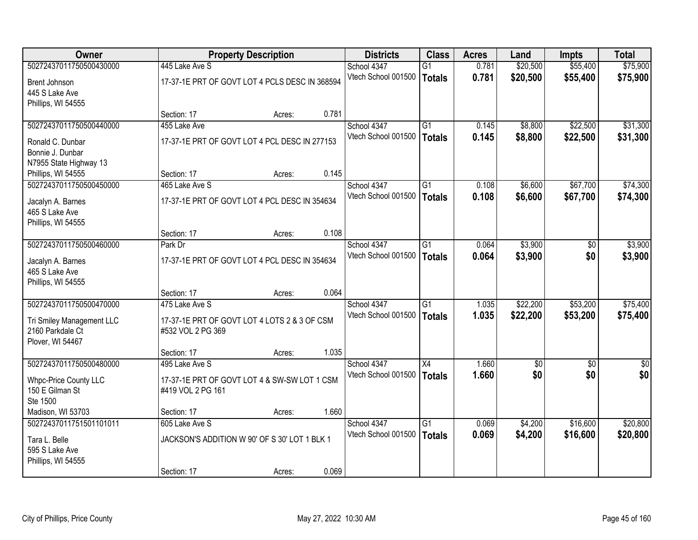| Owner                     |                                                | <b>Property Description</b> |       | <b>Districts</b>    | <b>Class</b>    | <b>Acres</b> | Land     | <b>Impts</b>    | <b>Total</b>    |
|---------------------------|------------------------------------------------|-----------------------------|-------|---------------------|-----------------|--------------|----------|-----------------|-----------------|
| 50272437011750500430000   | 445 Lake Ave S                                 |                             |       | School 4347         | G1              | 0.781        | \$20,500 | \$55,400        | \$75,900        |
| Brent Johnson             | 17-37-1E PRT OF GOVT LOT 4 PCLS DESC IN 368594 |                             |       | Vtech School 001500 | <b>Totals</b>   | 0.781        | \$20,500 | \$55,400        | \$75,900        |
| 445 S Lake Ave            |                                                |                             |       |                     |                 |              |          |                 |                 |
| Phillips, WI 54555        |                                                |                             |       |                     |                 |              |          |                 |                 |
|                           | Section: 17                                    | Acres:                      | 0.781 |                     |                 |              |          |                 |                 |
| 50272437011750500440000   | 455 Lake Ave                                   |                             |       | School 4347         | $\overline{G1}$ | 0.145        | \$8,800  | \$22,500        | \$31,300        |
| Ronald C. Dunbar          | 17-37-1E PRT OF GOVT LOT 4 PCL DESC IN 277153  |                             |       | Vtech School 001500 | <b>Totals</b>   | 0.145        | \$8,800  | \$22,500        | \$31,300        |
| Bonnie J. Dunbar          |                                                |                             |       |                     |                 |              |          |                 |                 |
| N7955 State Highway 13    |                                                |                             |       |                     |                 |              |          |                 |                 |
| Phillips, WI 54555        | Section: 17                                    | Acres:                      | 0.145 |                     |                 |              |          |                 |                 |
| 50272437011750500450000   | 465 Lake Ave S                                 |                             |       | School 4347         | G1              | 0.108        | \$6,600  | \$67,700        | \$74,300        |
| Jacalyn A. Barnes         | 17-37-1E PRT OF GOVT LOT 4 PCL DESC IN 354634  |                             |       | Vtech School 001500 | <b>Totals</b>   | 0.108        | \$6,600  | \$67,700        | \$74,300        |
| 465 S Lake Ave            |                                                |                             |       |                     |                 |              |          |                 |                 |
| Phillips, WI 54555        |                                                |                             |       |                     |                 |              |          |                 |                 |
|                           | Section: 17                                    | Acres:                      | 0.108 |                     |                 |              |          |                 |                 |
| 50272437011750500460000   | Park Dr                                        |                             |       | School 4347         | G1              | 0.064        | \$3,900  | \$0             | \$3,900         |
| Jacalyn A. Barnes         | 17-37-1E PRT OF GOVT LOT 4 PCL DESC IN 354634  |                             |       | Vtech School 001500 | <b>Totals</b>   | 0.064        | \$3,900  | \$0             | \$3,900         |
| 465 S Lake Ave            |                                                |                             |       |                     |                 |              |          |                 |                 |
| Phillips, WI 54555        |                                                |                             |       |                     |                 |              |          |                 |                 |
|                           | Section: 17                                    | Acres:                      | 0.064 |                     |                 |              |          |                 |                 |
| 50272437011750500470000   | 475 Lake Ave S                                 |                             |       | School 4347         | $\overline{G1}$ | 1.035        | \$22,200 | \$53,200        | \$75,400        |
| Tri Smiley Management LLC | 17-37-1E PRT OF GOVT LOT 4 LOTS 2 & 3 OF CSM   |                             |       | Vtech School 001500 | <b>Totals</b>   | 1.035        | \$22,200 | \$53,200        | \$75,400        |
| 2160 Parkdale Ct          | #532 VOL 2 PG 369                              |                             |       |                     |                 |              |          |                 |                 |
| Plover, WI 54467          |                                                |                             |       |                     |                 |              |          |                 |                 |
|                           | Section: 17                                    | Acres:                      | 1.035 |                     |                 |              |          |                 |                 |
| 50272437011750500480000   | 495 Lake Ave S                                 |                             |       | School 4347         | X4              | 1.660        | \$0      | $\overline{30}$ | $\overline{50}$ |
| Whpc-Price County LLC     | 17-37-1E PRT OF GOVT LOT 4 & SW-SW LOT 1 CSM   |                             |       | Vtech School 001500 | <b>Totals</b>   | 1.660        | \$0      | \$0             | \$0             |
| 150 E Gilman St           | #419 VOL 2 PG 161                              |                             |       |                     |                 |              |          |                 |                 |
| Ste 1500                  |                                                |                             |       |                     |                 |              |          |                 |                 |
| Madison, WI 53703         | Section: 17                                    | Acres:                      | 1.660 |                     |                 |              |          |                 |                 |
| 50272437011751501101011   | 605 Lake Ave S                                 |                             |       | School 4347         | $\overline{G1}$ | 0.069        | \$4,200  | \$16,600        | \$20,800        |
| Tara L. Belle             | JACKSON'S ADDITION W 90' OF S 30' LOT 1 BLK 1  |                             |       | Vtech School 001500 | <b>Totals</b>   | 0.069        | \$4,200  | \$16,600        | \$20,800        |
| 595 S Lake Ave            |                                                |                             |       |                     |                 |              |          |                 |                 |
| Phillips, WI 54555        |                                                |                             |       |                     |                 |              |          |                 |                 |
|                           | Section: 17                                    | Acres:                      | 0.069 |                     |                 |              |          |                 |                 |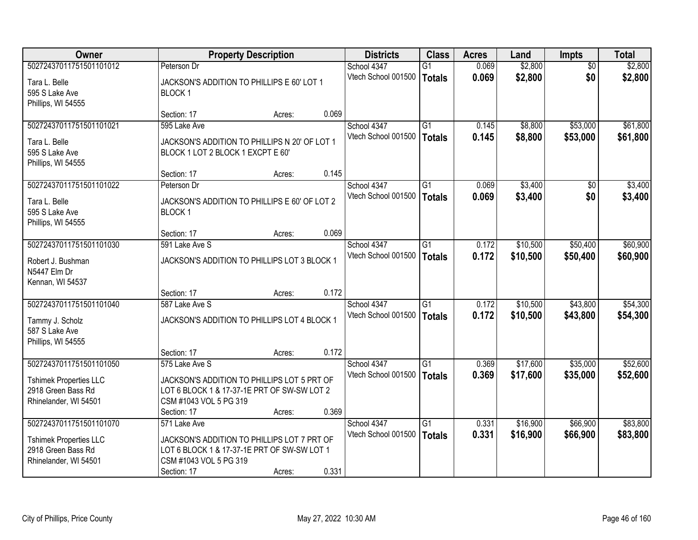| <b>Owner</b>                  |                                               | <b>Property Description</b> |       | <b>Districts</b>    | <b>Class</b>    | <b>Acres</b> | Land     | <b>Impts</b> | <b>Total</b> |
|-------------------------------|-----------------------------------------------|-----------------------------|-------|---------------------|-----------------|--------------|----------|--------------|--------------|
| 50272437011751501101012       | Peterson Dr                                   |                             |       | School 4347         | $\overline{G1}$ | 0.069        | \$2,800  | \$0          | \$2,800      |
| Tara L. Belle                 | JACKSON'S ADDITION TO PHILLIPS E 60' LOT 1    |                             |       | Vtech School 001500 | <b>Totals</b>   | 0.069        | \$2,800  | \$0          | \$2,800      |
| 595 S Lake Ave                | <b>BLOCK1</b>                                 |                             |       |                     |                 |              |          |              |              |
| Phillips, WI 54555            |                                               |                             |       |                     |                 |              |          |              |              |
|                               | Section: 17                                   | Acres:                      | 0.069 |                     |                 |              |          |              |              |
| 50272437011751501101021       | 595 Lake Ave                                  |                             |       | School 4347         | $\overline{G1}$ | 0.145        | \$8,800  | \$53,000     | \$61,800     |
| Tara L. Belle                 | JACKSON'S ADDITION TO PHILLIPS N 20' OF LOT 1 |                             |       | Vtech School 001500 | <b>Totals</b>   | 0.145        | \$8,800  | \$53,000     | \$61,800     |
| 595 S Lake Ave                | BLOCK 1 LOT 2 BLOCK 1 EXCPT E 60'             |                             |       |                     |                 |              |          |              |              |
| Phillips, WI 54555            |                                               |                             |       |                     |                 |              |          |              |              |
|                               | Section: 17                                   | Acres:                      | 0.145 |                     |                 |              |          |              |              |
| 50272437011751501101022       | Peterson Dr                                   |                             |       | School 4347         | G1              | 0.069        | \$3,400  | \$0          | \$3,400      |
| Tara L. Belle                 | JACKSON'S ADDITION TO PHILLIPS E 60' OF LOT 2 |                             |       | Vtech School 001500 | <b>Totals</b>   | 0.069        | \$3,400  | \$0          | \$3,400      |
| 595 S Lake Ave                | BLOCK <sub>1</sub>                            |                             |       |                     |                 |              |          |              |              |
| Phillips, WI 54555            |                                               |                             |       |                     |                 |              |          |              |              |
|                               | Section: 17                                   | Acres:                      | 0.069 |                     |                 |              |          |              |              |
| 50272437011751501101030       | 591 Lake Ave S                                |                             |       | School 4347         | $\overline{G1}$ | 0.172        | \$10,500 | \$50,400     | \$60,900     |
| Robert J. Bushman             | JACKSON'S ADDITION TO PHILLIPS LOT 3 BLOCK 1  |                             |       | Vtech School 001500 | <b>Totals</b>   | 0.172        | \$10,500 | \$50,400     | \$60,900     |
| N5447 Elm Dr                  |                                               |                             |       |                     |                 |              |          |              |              |
| Kennan, WI 54537              |                                               |                             |       |                     |                 |              |          |              |              |
|                               | Section: 17                                   | Acres:                      | 0.172 |                     |                 |              |          |              |              |
| 50272437011751501101040       | 587 Lake Ave S                                |                             |       | School 4347         | $\overline{G1}$ | 0.172        | \$10,500 | \$43,800     | \$54,300     |
| Tammy J. Scholz               | JACKSON'S ADDITION TO PHILLIPS LOT 4 BLOCK 1  |                             |       | Vtech School 001500 | <b>Totals</b>   | 0.172        | \$10,500 | \$43,800     | \$54,300     |
| 587 S Lake Ave                |                                               |                             |       |                     |                 |              |          |              |              |
| Phillips, WI 54555            |                                               |                             |       |                     |                 |              |          |              |              |
|                               | Section: 17                                   | Acres:                      | 0.172 |                     |                 |              |          |              |              |
| 50272437011751501101050       | 575 Lake Ave S                                |                             |       | School 4347         | G1              | 0.369        | \$17,600 | \$35,000     | \$52,600     |
| <b>Tshimek Properties LLC</b> | JACKSON'S ADDITION TO PHILLIPS LOT 5 PRT OF   |                             |       | Vtech School 001500 | <b>Totals</b>   | 0.369        | \$17,600 | \$35,000     | \$52,600     |
| 2918 Green Bass Rd            | LOT 6 BLOCK 1 & 17-37-1E PRT OF SW-SW LOT 2   |                             |       |                     |                 |              |          |              |              |
| Rhinelander, WI 54501         | CSM #1043 VOL 5 PG 319                        |                             |       |                     |                 |              |          |              |              |
|                               | Section: 17                                   | Acres:                      | 0.369 |                     |                 |              |          |              |              |
| 50272437011751501101070       | 571 Lake Ave                                  |                             |       | School 4347         | $\overline{G1}$ | 0.331        | \$16,900 | \$66,900     | \$83,800     |
| <b>Tshimek Properties LLC</b> | JACKSON'S ADDITION TO PHILLIPS LOT 7 PRT OF   |                             |       | Vtech School 001500 | <b>Totals</b>   | 0.331        | \$16,900 | \$66,900     | \$83,800     |
| 2918 Green Bass Rd            | LOT 6 BLOCK 1 & 17-37-1E PRT OF SW-SW LOT 1   |                             |       |                     |                 |              |          |              |              |
| Rhinelander, WI 54501         | CSM #1043 VOL 5 PG 319                        |                             |       |                     |                 |              |          |              |              |
|                               | Section: 17                                   | Acres:                      | 0.331 |                     |                 |              |          |              |              |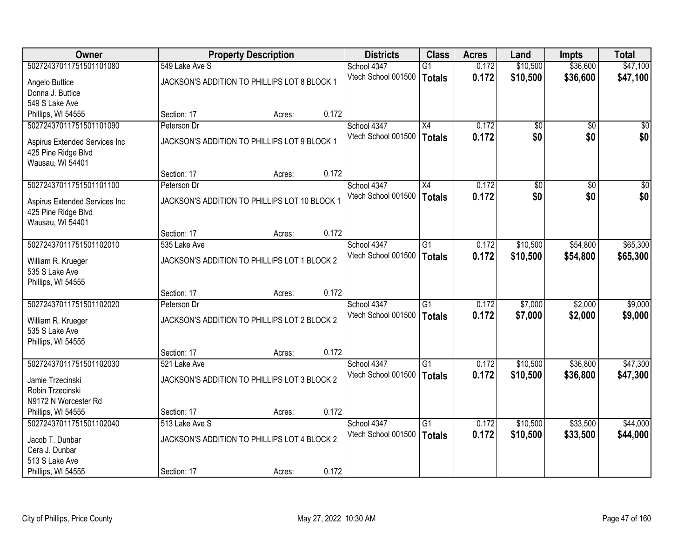| <b>Owner</b>                  |                | <b>Property Description</b>                   |       | <b>Districts</b>    | <b>Class</b>    | <b>Acres</b> | Land            | Impts           | <b>Total</b>    |
|-------------------------------|----------------|-----------------------------------------------|-------|---------------------|-----------------|--------------|-----------------|-----------------|-----------------|
| 50272437011751501101080       | 549 Lake Ave S |                                               |       | School 4347         | $\overline{G1}$ | 0.172        | \$10,500        | \$36,600        | \$47,100        |
| Angelo Buttice                |                | JACKSON'S ADDITION TO PHILLIPS LOT 8 BLOCK 1  |       | Vtech School 001500 | <b>Totals</b>   | 0.172        | \$10,500        | \$36,600        | \$47,100        |
| Donna J. Buttice              |                |                                               |       |                     |                 |              |                 |                 |                 |
| 549 S Lake Ave                |                |                                               |       |                     |                 |              |                 |                 |                 |
| Phillips, WI 54555            | Section: 17    | Acres:                                        | 0.172 |                     |                 |              |                 |                 |                 |
| 50272437011751501101090       | Peterson Dr    |                                               |       | School 4347         | $\overline{X4}$ | 0.172        | $\overline{50}$ | $\overline{50}$ | $\overline{50}$ |
| Aspirus Extended Services Inc |                | JACKSON'S ADDITION TO PHILLIPS LOT 9 BLOCK 1  |       | Vtech School 001500 | <b>Totals</b>   | 0.172        | \$0             | \$0             | \$0             |
| 425 Pine Ridge Blvd           |                |                                               |       |                     |                 |              |                 |                 |                 |
| Wausau, WI 54401              |                |                                               |       |                     |                 |              |                 |                 |                 |
|                               | Section: 17    | Acres:                                        | 0.172 |                     |                 |              |                 |                 |                 |
| 50272437011751501101100       | Peterson Dr    |                                               |       | School 4347         | X4              | 0.172        | $\overline{60}$ | $\overline{50}$ | $\overline{50}$ |
| Aspirus Extended Services Inc |                | JACKSON'S ADDITION TO PHILLIPS LOT 10 BLOCK 1 |       | Vtech School 001500 | <b>Totals</b>   | 0.172        | \$0             | \$0             | \$0             |
| 425 Pine Ridge Blvd           |                |                                               |       |                     |                 |              |                 |                 |                 |
| Wausau, WI 54401              |                |                                               |       |                     |                 |              |                 |                 |                 |
|                               | Section: 17    | Acres:                                        | 0.172 |                     |                 |              |                 |                 |                 |
| 50272437011751501102010       | 535 Lake Ave   |                                               |       | School 4347         | $\overline{G1}$ | 0.172        | \$10,500        | \$54,800        | \$65,300        |
| William R. Krueger            |                | JACKSON'S ADDITION TO PHILLIPS LOT 1 BLOCK 2  |       | Vtech School 001500 | <b>Totals</b>   | 0.172        | \$10,500        | \$54,800        | \$65,300        |
| 535 S Lake Ave                |                |                                               |       |                     |                 |              |                 |                 |                 |
| Phillips, WI 54555            |                |                                               |       |                     |                 |              |                 |                 |                 |
|                               | Section: 17    | Acres:                                        | 0.172 |                     |                 |              |                 |                 |                 |
| 50272437011751501102020       | Peterson Dr    |                                               |       | School 4347         | $\overline{G1}$ | 0.172        | \$7,000         | \$2,000         | \$9,000         |
| William R. Krueger            |                | JACKSON'S ADDITION TO PHILLIPS LOT 2 BLOCK 2  |       | Vtech School 001500 | <b>Totals</b>   | 0.172        | \$7,000         | \$2,000         | \$9,000         |
| 535 S Lake Ave                |                |                                               |       |                     |                 |              |                 |                 |                 |
| Phillips, WI 54555            |                |                                               |       |                     |                 |              |                 |                 |                 |
|                               | Section: 17    | Acres:                                        | 0.172 |                     |                 |              |                 |                 |                 |
| 50272437011751501102030       | 521 Lake Ave   |                                               |       | School 4347         | G1              | 0.172        | \$10,500        | \$36,800        | \$47,300        |
| Jamie Trzecinski              |                | JACKSON'S ADDITION TO PHILLIPS LOT 3 BLOCK 2  |       | Vtech School 001500 | <b>Totals</b>   | 0.172        | \$10,500        | \$36,800        | \$47,300        |
| Robin Trzecinski              |                |                                               |       |                     |                 |              |                 |                 |                 |
| N9172 N Worcester Rd          |                |                                               |       |                     |                 |              |                 |                 |                 |
| Phillips, WI 54555            | Section: 17    | Acres:                                        | 0.172 |                     |                 |              |                 |                 |                 |
| 50272437011751501102040       | 513 Lake Ave S |                                               |       | School 4347         | $\overline{G1}$ | 0.172        | \$10,500        | \$33,500        | \$44,000        |
| Jacob T. Dunbar               |                | JACKSON'S ADDITION TO PHILLIPS LOT 4 BLOCK 2  |       | Vtech School 001500 | <b>Totals</b>   | 0.172        | \$10,500        | \$33,500        | \$44,000        |
| Cera J. Dunbar                |                |                                               |       |                     |                 |              |                 |                 |                 |
| 513 S Lake Ave                |                |                                               |       |                     |                 |              |                 |                 |                 |
| Phillips, WI 54555            | Section: 17    | Acres:                                        | 0.172 |                     |                 |              |                 |                 |                 |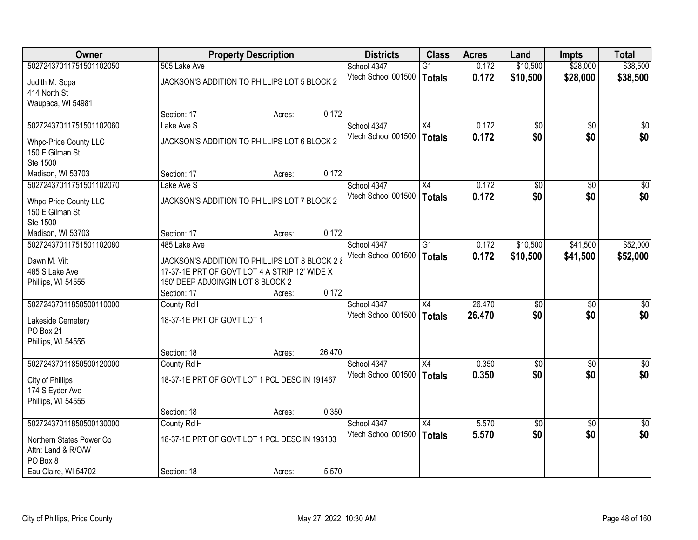| Owner                    |                                                | <b>Property Description</b> |        | <b>Districts</b>    | <b>Class</b>    | <b>Acres</b> | Land            | Impts           | <b>Total</b>     |
|--------------------------|------------------------------------------------|-----------------------------|--------|---------------------|-----------------|--------------|-----------------|-----------------|------------------|
| 50272437011751501102050  | 505 Lake Ave                                   |                             |        | School 4347         | G1              | 0.172        | \$10,500        | \$28,000        | \$38,500         |
| Judith M. Sopa           | JACKSON'S ADDITION TO PHILLIPS LOT 5 BLOCK 2   |                             |        | Vtech School 001500 | Totals          | 0.172        | \$10,500        | \$28,000        | \$38,500         |
| 414 North St             |                                                |                             |        |                     |                 |              |                 |                 |                  |
| Waupaca, WI 54981        |                                                |                             |        |                     |                 |              |                 |                 |                  |
|                          | Section: 17                                    | Acres:                      | 0.172  |                     |                 |              |                 |                 |                  |
| 50272437011751501102060  | Lake Ave S                                     |                             |        | School 4347         | X4              | 0.172        | $\overline{50}$ | $\overline{50}$ | \$0              |
| Whpc-Price County LLC    | JACKSON'S ADDITION TO PHILLIPS LOT 6 BLOCK 2   |                             |        | Vtech School 001500 | Totals          | 0.172        | \$0             | \$0             | \$0              |
| 150 E Gilman St          |                                                |                             |        |                     |                 |              |                 |                 |                  |
| Ste 1500                 |                                                |                             |        |                     |                 |              |                 |                 |                  |
| Madison, WI 53703        | Section: 17                                    | Acres:                      | 0.172  |                     |                 |              |                 |                 |                  |
| 50272437011751501102070  | Lake Ave S                                     |                             |        | School 4347         | X4              | 0.172        | $\overline{50}$ | $\overline{50}$ | $\overline{\$0}$ |
| Whpc-Price County LLC    | JACKSON'S ADDITION TO PHILLIPS LOT 7 BLOCK 2   |                             |        | Vtech School 001500 | <b>Totals</b>   | 0.172        | \$0             | \$0             | \$0              |
| 150 E Gilman St          |                                                |                             |        |                     |                 |              |                 |                 |                  |
| Ste 1500                 |                                                |                             |        |                     |                 |              |                 |                 |                  |
| Madison, WI 53703        | Section: 17                                    | Acres:                      | 0.172  |                     |                 |              |                 |                 |                  |
| 50272437011751501102080  | 485 Lake Ave                                   |                             |        | School 4347         | $\overline{G1}$ | 0.172        | \$10,500        | \$41,500        | \$52,000         |
| Dawn M. Vilt             | JACKSON'S ADDITION TO PHILLIPS LOT 8 BLOCK 2 8 |                             |        | Vtech School 001500 | Totals          | 0.172        | \$10,500        | \$41,500        | \$52,000         |
| 485 S Lake Ave           | 17-37-1E PRT OF GOVT LOT 4 A STRIP 12' WIDE X  |                             |        |                     |                 |              |                 |                 |                  |
| Phillips, WI 54555       | 150' DEEP ADJOINGIN LOT 8 BLOCK 2              |                             |        |                     |                 |              |                 |                 |                  |
|                          | Section: 17                                    | Acres:                      | 0.172  |                     |                 |              |                 |                 |                  |
| 50272437011850500110000  | County Rd H                                    |                             |        | School 4347         | $\overline{X4}$ | 26.470       | \$0             | \$0             | \$0              |
| Lakeside Cemetery        | 18-37-1E PRT OF GOVT LOT 1                     |                             |        | Vtech School 001500 | Totals          | 26.470       | \$0             | \$0             | \$0              |
| PO Box 21                |                                                |                             |        |                     |                 |              |                 |                 |                  |
| Phillips, WI 54555       |                                                |                             |        |                     |                 |              |                 |                 |                  |
|                          | Section: 18                                    | Acres:                      | 26.470 |                     |                 |              |                 |                 |                  |
| 50272437011850500120000  | County Rd H                                    |                             |        | School 4347         | X4              | 0.350        | $\overline{50}$ | $\overline{50}$ | $\sqrt{50}$      |
| City of Phillips         | 18-37-1E PRT OF GOVT LOT 1 PCL DESC IN 191467  |                             |        | Vtech School 001500 | Totals          | 0.350        | \$0             | \$0             | \$0              |
| 174 S Eyder Ave          |                                                |                             |        |                     |                 |              |                 |                 |                  |
| Phillips, WI 54555       |                                                |                             |        |                     |                 |              |                 |                 |                  |
|                          | Section: 18                                    | Acres:                      | 0.350  |                     |                 |              |                 |                 |                  |
| 50272437011850500130000  | County Rd H                                    |                             |        | School 4347         | $\overline{X4}$ | 5.570        | $\overline{50}$ | $\overline{50}$ | $\frac{1}{2}$    |
| Northern States Power Co | 18-37-1E PRT OF GOVT LOT 1 PCL DESC IN 193103  |                             |        | Vtech School 001500 | <b>Totals</b>   | 5.570        | \$0             | \$0             | \$0              |
| Attn: Land & R/O/W       |                                                |                             |        |                     |                 |              |                 |                 |                  |
| PO Box 8                 |                                                |                             |        |                     |                 |              |                 |                 |                  |
| Eau Claire, WI 54702     | Section: 18                                    | Acres:                      | 5.570  |                     |                 |              |                 |                 |                  |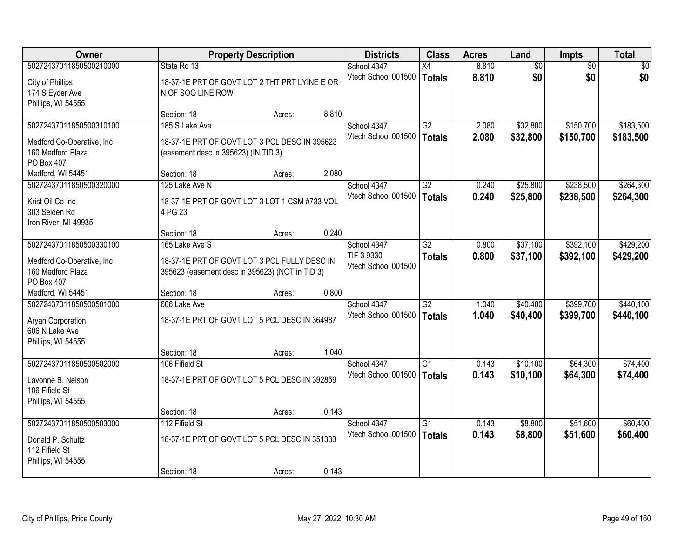| Owner                                                                                   |                                                                                                         | <b>Property Description</b> |       | <b>Districts</b>                   | <b>Class</b>                     | <b>Acres</b>   | Land                 | Impts                  | <b>Total</b>           |
|-----------------------------------------------------------------------------------------|---------------------------------------------------------------------------------------------------------|-----------------------------|-------|------------------------------------|----------------------------------|----------------|----------------------|------------------------|------------------------|
| 50272437011850500210000                                                                 | State Rd 13                                                                                             |                             |       | School 4347                        | X4                               | 8.810          | $\overline{60}$      | $\overline{50}$        | \$0                    |
| City of Phillips<br>174 S Eyder Ave<br>Phillips, WI 54555                               | 18-37-1E PRT OF GOVT LOT 2 THT PRT LYINE E OR<br>N OF SOO LINE ROW                                      |                             |       | Vtech School 001500                | <b>Totals</b>                    | 8.810          | \$0                  | \$0                    | \$0                    |
|                                                                                         | Section: 18                                                                                             | Acres:                      | 8.810 |                                    |                                  |                |                      |                        |                        |
| 50272437011850500310100<br>Medford Co-Operative, Inc<br>160 Medford Plaza<br>PO Box 407 | 185 S Lake Ave<br>18-37-1E PRT OF GOVT LOT 3 PCL DESC IN 395623<br>(easement desc in 395623) (IN TID 3) |                             |       | School 4347<br>Vtech School 001500 | G2<br><b>Totals</b>              | 2.080<br>2.080 | \$32,800<br>\$32,800 | \$150,700<br>\$150,700 | \$183,500<br>\$183,500 |
| Medford, WI 54451                                                                       | Section: 18                                                                                             | Acres:                      | 2.080 |                                    |                                  |                |                      |                        |                        |
| 50272437011850500320000                                                                 | 125 Lake Ave N                                                                                          |                             |       | School 4347                        | G2                               | 0.240          | \$25,800             | \$238,500              | \$264,300              |
| Krist Oil Co Inc<br>303 Selden Rd<br>Iron River, MI 49935                               | 18-37-1E PRT OF GOVT LOT 3 LOT 1 CSM #733 VOL<br>4 PG 23                                                |                             |       | Vtech School 001500                | <b>Totals</b>                    | 0.240          | \$25,800             | \$238,500              | \$264,300              |
|                                                                                         | Section: 18                                                                                             | Acres:                      | 0.240 |                                    |                                  |                |                      |                        |                        |
| 50272437011850500330100                                                                 | 165 Lake Ave S                                                                                          |                             |       | School 4347                        | $\overline{G2}$                  | 0.800          | \$37,100             | \$392,100              | \$429,200              |
| Medford Co-Operative, Inc<br>160 Medford Plaza<br>PO Box 407                            | 18-37-1E PRT OF GOVT LOT 3 PCL FULLY DESC IN<br>395623 (easement desc in 395623) (NOT in TID 3)         |                             |       | TIF 3 9330<br>Vtech School 001500  | <b>Totals</b>                    | 0.800          | \$37,100             | \$392,100              | \$429,200              |
| Medford, WI 54451                                                                       | Section: 18                                                                                             | Acres:                      | 0.800 |                                    |                                  |                |                      |                        |                        |
| 50272437011850500501000<br>Aryan Corporation<br>606 N Lake Ave<br>Phillips, WI 54555    | 606 Lake Ave<br>18-37-1E PRT OF GOVT LOT 5 PCL DESC IN 364987                                           |                             |       | School 4347<br>Vtech School 001500 | $\overline{G2}$<br><b>Totals</b> | 1.040<br>1.040 | \$40,400<br>\$40,400 | \$399,700<br>\$399,700 | \$440,100<br>\$440,100 |
|                                                                                         | Section: 18                                                                                             | Acres:                      | 1.040 |                                    |                                  |                |                      |                        |                        |
| 50272437011850500502000<br>Lavonne B. Nelson<br>106 Fifield St<br>Phillips, WI 54555    | 106 Fifield St<br>18-37-1E PRT OF GOVT LOT 5 PCL DESC IN 392859                                         |                             |       | School 4347<br>Vtech School 001500 | G1<br><b>Totals</b>              | 0.143<br>0.143 | \$10,100<br>\$10,100 | \$64,300<br>\$64,300   | \$74,400<br>\$74,400   |
|                                                                                         | Section: 18                                                                                             | Acres:                      | 0.143 |                                    |                                  |                |                      |                        |                        |
| 50272437011850500503000                                                                 | 112 Fifield St                                                                                          |                             |       | School 4347<br>Vtech School 001500 | $\overline{G1}$<br><b>Totals</b> | 0.143<br>0.143 | \$8,800<br>\$8,800   | \$51,600<br>\$51,600   | \$60,400<br>\$60,400   |
| Donald P. Schultz<br>112 Fifield St<br>Phillips, WI 54555                               | 18-37-1E PRT OF GOVT LOT 5 PCL DESC IN 351333                                                           |                             |       |                                    |                                  |                |                      |                        |                        |
|                                                                                         | Section: 18                                                                                             | Acres:                      | 0.143 |                                    |                                  |                |                      |                        |                        |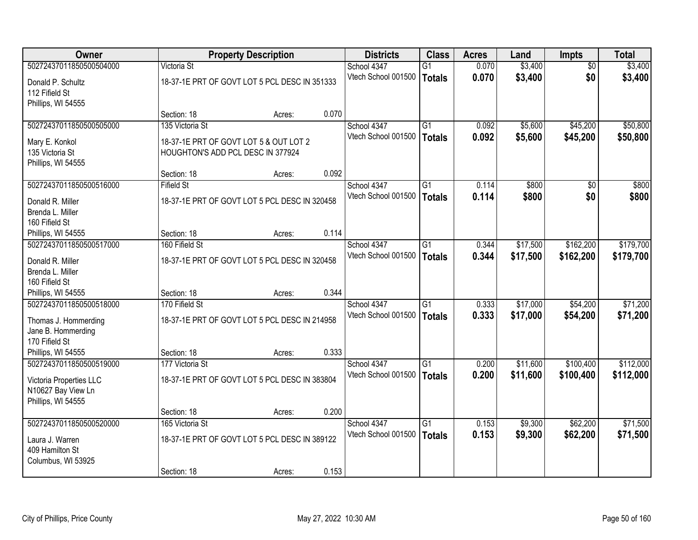| Owner                   |                                   | <b>Property Description</b>                   |       | <b>Districts</b>    | <b>Class</b>    | <b>Acres</b> | Land     | <b>Impts</b>    | <b>Total</b> |
|-------------------------|-----------------------------------|-----------------------------------------------|-------|---------------------|-----------------|--------------|----------|-----------------|--------------|
| 50272437011850500504000 | Victoria St                       |                                               |       | School 4347         | $\overline{G1}$ | 0.070        | \$3,400  | $\overline{30}$ | \$3,400      |
| Donald P. Schultz       |                                   | 18-37-1E PRT OF GOVT LOT 5 PCL DESC IN 351333 |       | Vtech School 001500 | Totals          | 0.070        | \$3,400  | \$0             | \$3,400      |
| 112 Fifield St          |                                   |                                               |       |                     |                 |              |          |                 |              |
| Phillips, WI 54555      |                                   |                                               |       |                     |                 |              |          |                 |              |
|                         | Section: 18                       | Acres:                                        | 0.070 |                     |                 |              |          |                 |              |
| 50272437011850500505000 | 135 Victoria St                   |                                               |       | School 4347         | $\overline{G1}$ | 0.092        | \$5,600  | \$45,200        | \$50,800     |
| Mary E. Konkol          |                                   | 18-37-1E PRT OF GOVT LOT 5 & OUT LOT 2        |       | Vtech School 001500 | <b>Totals</b>   | 0.092        | \$5,600  | \$45,200        | \$50,800     |
| 135 Victoria St         | HOUGHTON'S ADD PCL DESC IN 377924 |                                               |       |                     |                 |              |          |                 |              |
| Phillips, WI 54555      |                                   |                                               |       |                     |                 |              |          |                 |              |
|                         | Section: 18                       | Acres:                                        | 0.092 |                     |                 |              |          |                 |              |
| 50272437011850500516000 | <b>Fifield St</b>                 |                                               |       | School 4347         | G1              | 0.114        | \$800    | \$0             | \$800        |
| Donald R. Miller        |                                   | 18-37-1E PRT OF GOVT LOT 5 PCL DESC IN 320458 |       | Vtech School 001500 | Totals          | 0.114        | \$800    | \$0             | \$800        |
| Brenda L. Miller        |                                   |                                               |       |                     |                 |              |          |                 |              |
| 160 Fifield St          |                                   |                                               |       |                     |                 |              |          |                 |              |
| Phillips, WI 54555      | Section: 18                       | Acres:                                        | 0.114 |                     |                 |              |          |                 |              |
| 50272437011850500517000 | 160 Fifield St                    |                                               |       | School 4347         | G1              | 0.344        | \$17,500 | \$162,200       | \$179,700    |
| Donald R. Miller        |                                   | 18-37-1E PRT OF GOVT LOT 5 PCL DESC IN 320458 |       | Vtech School 001500 | <b>Totals</b>   | 0.344        | \$17,500 | \$162,200       | \$179,700    |
| Brenda L. Miller        |                                   |                                               |       |                     |                 |              |          |                 |              |
| 160 Fifield St          |                                   |                                               |       |                     |                 |              |          |                 |              |
| Phillips, WI 54555      | Section: 18                       | Acres:                                        | 0.344 |                     |                 |              |          |                 |              |
| 50272437011850500518000 | 170 Fifield St                    |                                               |       | School 4347         | $\overline{G1}$ | 0.333        | \$17,000 | \$54,200        | \$71,200     |
| Thomas J. Hommerding    |                                   | 18-37-1E PRT OF GOVT LOT 5 PCL DESC IN 214958 |       | Vtech School 001500 | Totals          | 0.333        | \$17,000 | \$54,200        | \$71,200     |
| Jane B. Hommerding      |                                   |                                               |       |                     |                 |              |          |                 |              |
| 170 Fifield St          |                                   |                                               |       |                     |                 |              |          |                 |              |
| Phillips, WI 54555      | Section: 18                       | Acres:                                        | 0.333 |                     |                 |              |          |                 |              |
| 50272437011850500519000 | 177 Victoria St                   |                                               |       | School 4347         | G1              | 0.200        | \$11,600 | \$100,400       | \$112,000    |
| Victoria Properties LLC |                                   | 18-37-1E PRT OF GOVT LOT 5 PCL DESC IN 383804 |       | Vtech School 001500 | Totals          | 0.200        | \$11,600 | \$100,400       | \$112,000    |
| N10627 Bay View Ln      |                                   |                                               |       |                     |                 |              |          |                 |              |
| Phillips, WI 54555      |                                   |                                               |       |                     |                 |              |          |                 |              |
|                         | Section: 18                       | Acres:                                        | 0.200 |                     |                 |              |          |                 |              |
| 50272437011850500520000 | 165 Victoria St                   |                                               |       | School 4347         | $\overline{G1}$ | 0.153        | \$9,300  | \$62,200        | \$71,500     |
| Laura J. Warren         |                                   | 18-37-1E PRT OF GOVT LOT 5 PCL DESC IN 389122 |       | Vtech School 001500 | Totals          | 0.153        | \$9,300  | \$62,200        | \$71,500     |
| 409 Hamilton St         |                                   |                                               |       |                     |                 |              |          |                 |              |
| Columbus, WI 53925      |                                   |                                               |       |                     |                 |              |          |                 |              |
|                         | Section: 18                       | Acres:                                        | 0.153 |                     |                 |              |          |                 |              |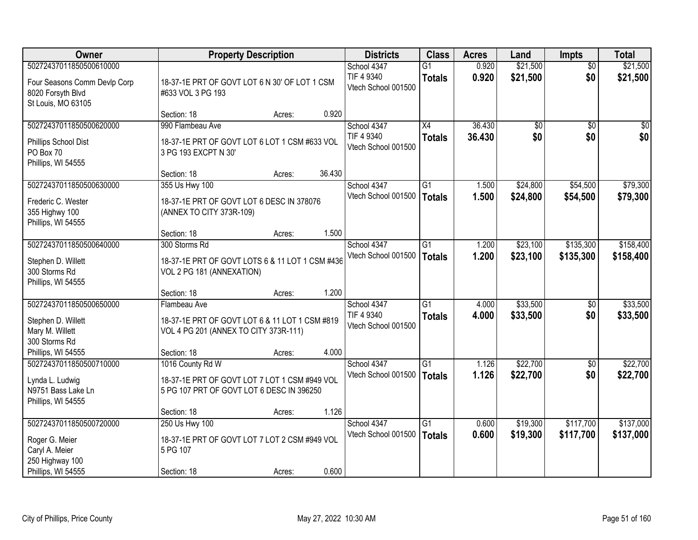| <b>Owner</b>                                                                                         | <b>Property Description</b>                                                                                    |        |        | <b>Districts</b>                                 | <b>Class</b>                     | <b>Acres</b>     | Land                   | <b>Impts</b>           | <b>Total</b>           |
|------------------------------------------------------------------------------------------------------|----------------------------------------------------------------------------------------------------------------|--------|--------|--------------------------------------------------|----------------------------------|------------------|------------------------|------------------------|------------------------|
| 50272437011850500610000<br>Four Seasons Comm Devlp Corp<br>8020 Forsyth Blvd<br>St Louis, MO 63105   | 18-37-1E PRT OF GOVT LOT 6 N 30' OF LOT 1 CSM<br>#633 VOL 3 PG 193                                             |        |        | School 4347<br>TIF 4 9340<br>Vtech School 001500 | $\overline{G1}$<br><b>Totals</b> | 0.920<br>0.920   | \$21,500<br>\$21,500   | $\overline{50}$<br>\$0 | \$21,500<br>\$21,500   |
|                                                                                                      | Section: 18                                                                                                    | Acres: | 0.920  |                                                  |                                  |                  |                        |                        |                        |
| 50272437011850500620000<br>Phillips School Dist<br>PO Box 70<br>Phillips, WI 54555                   | 990 Flambeau Ave<br>18-37-1E PRT OF GOVT LOT 6 LOT 1 CSM #633 VOL<br>3 PG 193 EXCPT N 30'                      |        |        | School 4347<br>TIF 4 9340<br>Vtech School 001500 | $\overline{X4}$<br><b>Totals</b> | 36.430<br>36.430 | $\overline{50}$<br>\$0 | $\overline{50}$<br>\$0 | \$0<br>\$0             |
|                                                                                                      | Section: 18                                                                                                    | Acres: | 36.430 |                                                  |                                  |                  |                        |                        |                        |
| 50272437011850500630000<br>Frederic C. Wester<br>355 Highwy 100<br>Phillips, WI 54555                | 355 Us Hwy 100<br>18-37-1E PRT OF GOVT LOT 6 DESC IN 378076<br>(ANNEX TO CITY 373R-109)                        |        |        | School 4347<br>Vtech School 001500               | G1<br><b>Totals</b>              | 1.500<br>1.500   | \$24,800<br>\$24,800   | \$54,500<br>\$54,500   | \$79,300<br>\$79,300   |
|                                                                                                      | Section: 18                                                                                                    | Acres: | 1.500  |                                                  |                                  |                  |                        |                        |                        |
| 50272437011850500640000<br>Stephen D. Willett<br>300 Storms Rd<br>Phillips, WI 54555                 | 300 Storms Rd<br>18-37-1E PRT OF GOVT LOTS 6 & 11 LOT 1 CSM #436<br>VOL 2 PG 181 (ANNEXATION)                  |        |        | School 4347<br>Vtech School 001500               | G1<br><b>Totals</b>              | 1.200<br>1.200   | \$23,100<br>\$23,100   | \$135,300<br>\$135,300 | \$158,400<br>\$158,400 |
|                                                                                                      | Section: 18                                                                                                    | Acres: | 1.200  |                                                  |                                  |                  |                        |                        |                        |
| 50272437011850500650000<br>Stephen D. Willett<br>Mary M. Willett<br>300 Storms Rd                    | Flambeau Ave<br>18-37-1E PRT OF GOVT LOT 6 & 11 LOT 1 CSM #819<br>VOL 4 PG 201 (ANNEX TO CITY 373R-111)        |        |        | School 4347<br>TIF 4 9340<br>Vtech School 001500 | $\overline{G1}$<br><b>Totals</b> | 4.000<br>4.000   | \$33,500<br>\$33,500   | $\overline{60}$<br>\$0 | \$33,500<br>\$33,500   |
| Phillips, WI 54555                                                                                   | Section: 18                                                                                                    | Acres: | 4.000  |                                                  |                                  |                  |                        |                        |                        |
| 50272437011850500710000<br>Lynda L. Ludwig<br>N9751 Bass Lake Ln<br>Phillips, WI 54555               | 1016 County Rd W<br>18-37-1E PRT OF GOVT LOT 7 LOT 1 CSM #949 VOL<br>5 PG 107 PRT OF GOVT LOT 6 DESC IN 396250 |        |        | School 4347<br>Vtech School 001500               | $\overline{G1}$<br><b>Totals</b> | 1.126<br>1.126   | \$22,700<br>\$22,700   | $\overline{50}$<br>\$0 | \$22,700<br>\$22,700   |
|                                                                                                      | Section: 18                                                                                                    | Acres: | 1.126  |                                                  |                                  |                  |                        |                        |                        |
| 50272437011850500720000<br>Roger G. Meier<br>Caryl A. Meier<br>250 Highway 100<br>Phillips, WI 54555 | 250 Us Hwy 100<br>18-37-1E PRT OF GOVT LOT 7 LOT 2 CSM #949 VOL<br>5 PG 107<br>Section: 18                     | Acres: | 0.600  | School 4347<br>Vtech School 001500               | $\overline{G1}$<br><b>Totals</b> | 0.600<br>0.600   | \$19,300<br>\$19,300   | \$117,700<br>\$117,700 | \$137,000<br>\$137,000 |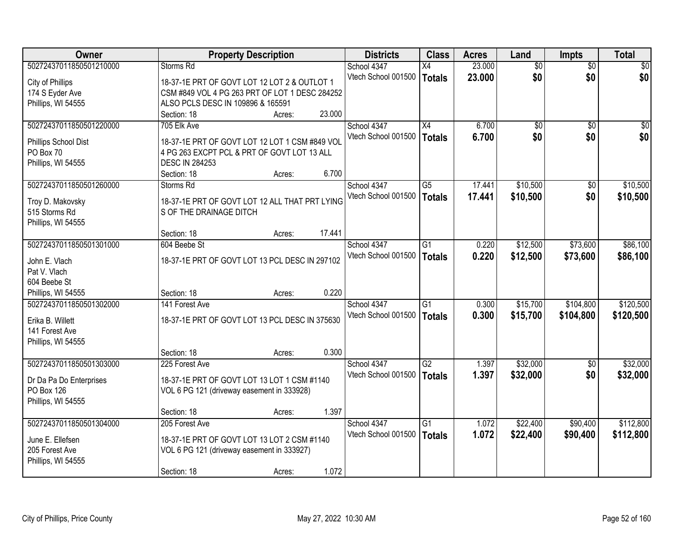| Owner                   |                                                | <b>Property Description</b> |        | <b>Districts</b>    | <b>Class</b>    | <b>Acres</b> | Land            | <b>Impts</b>    | <b>Total</b> |
|-------------------------|------------------------------------------------|-----------------------------|--------|---------------------|-----------------|--------------|-----------------|-----------------|--------------|
| 50272437011850501210000 | Storms Rd                                      |                             |        | School 4347         | X4              | 23.000       | $\overline{50}$ | $\overline{50}$ | $\sqrt{30}$  |
| City of Phillips        | 18-37-1E PRT OF GOVT LOT 12 LOT 2 & OUTLOT 1   |                             |        | Vtech School 001500 | Totals          | 23.000       | \$0             | \$0             | \$0          |
| 174 S Eyder Ave         | CSM #849 VOL 4 PG 263 PRT OF LOT 1 DESC 284252 |                             |        |                     |                 |              |                 |                 |              |
| Phillips, WI 54555      | ALSO PCLS DESC IN 109896 & 165591              |                             |        |                     |                 |              |                 |                 |              |
|                         | Section: 18                                    | Acres:                      | 23.000 |                     |                 |              |                 |                 |              |
| 50272437011850501220000 | 705 Elk Ave                                    |                             |        | School 4347         | $\overline{X4}$ | 6.700        | $\overline{50}$ | $\overline{50}$ | $\sqrt{50}$  |
|                         |                                                |                             |        | Vtech School 001500 | Totals          | 6.700        | \$0             | \$0             | \$0          |
| Phillips School Dist    | 18-37-1E PRT OF GOVT LOT 12 LOT 1 CSM #849 VOL |                             |        |                     |                 |              |                 |                 |              |
| PO Box 70               | 4 PG 263 EXCPT PCL & PRT OF GOVT LOT 13 ALL    |                             |        |                     |                 |              |                 |                 |              |
| Phillips, WI 54555      | <b>DESC IN 284253</b>                          |                             |        |                     |                 |              |                 |                 |              |
|                         | Section: 18                                    | Acres:                      | 6.700  |                     |                 |              |                 |                 |              |
| 50272437011850501260000 | Storms Rd                                      |                             |        | School 4347         | $\overline{G5}$ | 17.441       | \$10,500        | \$0             | \$10,500     |
| Troy D. Makovsky        | 18-37-1E PRT OF GOVT LOT 12 ALL THAT PRT LYING |                             |        | Vtech School 001500 | <b>Totals</b>   | 17.441       | \$10,500        | \$0             | \$10,500     |
| 515 Storms Rd           | S OF THE DRAINAGE DITCH                        |                             |        |                     |                 |              |                 |                 |              |
| Phillips, WI 54555      |                                                |                             |        |                     |                 |              |                 |                 |              |
|                         | Section: 18                                    | Acres:                      | 17.441 |                     |                 |              |                 |                 |              |
| 50272437011850501301000 | 604 Beebe St                                   |                             |        | School 4347         | G1              | 0.220        | \$12,500        | \$73,600        | \$86,100     |
| John E. Vlach           | 18-37-1E PRT OF GOVT LOT 13 PCL DESC IN 297102 |                             |        | Vtech School 001500 | <b>Totals</b>   | 0.220        | \$12,500        | \$73,600        | \$86,100     |
| Pat V. Vlach            |                                                |                             |        |                     |                 |              |                 |                 |              |
| 604 Beebe St            |                                                |                             |        |                     |                 |              |                 |                 |              |
| Phillips, WI 54555      | Section: 18                                    | Acres:                      | 0.220  |                     |                 |              |                 |                 |              |
| 50272437011850501302000 | 141 Forest Ave                                 |                             |        | School 4347         | $\overline{G1}$ | 0.300        | \$15,700        | \$104,800       | \$120,500    |
|                         |                                                |                             |        | Vtech School 001500 | <b>Totals</b>   | 0.300        | \$15,700        | \$104,800       | \$120,500    |
| Erika B. Willett        | 18-37-1E PRT OF GOVT LOT 13 PCL DESC IN 375630 |                             |        |                     |                 |              |                 |                 |              |
| 141 Forest Ave          |                                                |                             |        |                     |                 |              |                 |                 |              |
| Phillips, WI 54555      |                                                |                             |        |                     |                 |              |                 |                 |              |
|                         | Section: 18                                    | Acres:                      | 0.300  |                     |                 |              |                 |                 |              |
| 50272437011850501303000 | 225 Forest Ave                                 |                             |        | School 4347         | G2              | 1.397        | \$32,000        | \$0             | \$32,000     |
| Dr Da Pa Do Enterprises | 18-37-1E PRT OF GOVT LOT 13 LOT 1 CSM #1140    |                             |        | Vtech School 001500 | Totals          | 1.397        | \$32,000        | \$0             | \$32,000     |
| <b>PO Box 126</b>       | VOL 6 PG 121 (driveway easement in 333928)     |                             |        |                     |                 |              |                 |                 |              |
| Phillips, WI 54555      |                                                |                             |        |                     |                 |              |                 |                 |              |
|                         | Section: 18                                    | Acres:                      | 1.397  |                     |                 |              |                 |                 |              |
| 50272437011850501304000 | 205 Forest Ave                                 |                             |        | School 4347         | $\overline{G1}$ | 1.072        | \$22,400        | \$90,400        | \$112,800    |
|                         |                                                |                             |        | Vtech School 001500 | Totals          | 1.072        | \$22,400        | \$90,400        | \$112,800    |
| June E. Ellefsen        | 18-37-1E PRT OF GOVT LOT 13 LOT 2 CSM #1140    |                             |        |                     |                 |              |                 |                 |              |
| 205 Forest Ave          | VOL 6 PG 121 (driveway easement in 333927)     |                             |        |                     |                 |              |                 |                 |              |
| Phillips, WI 54555      |                                                |                             |        |                     |                 |              |                 |                 |              |
|                         | Section: 18                                    | Acres:                      | 1.072  |                     |                 |              |                 |                 |              |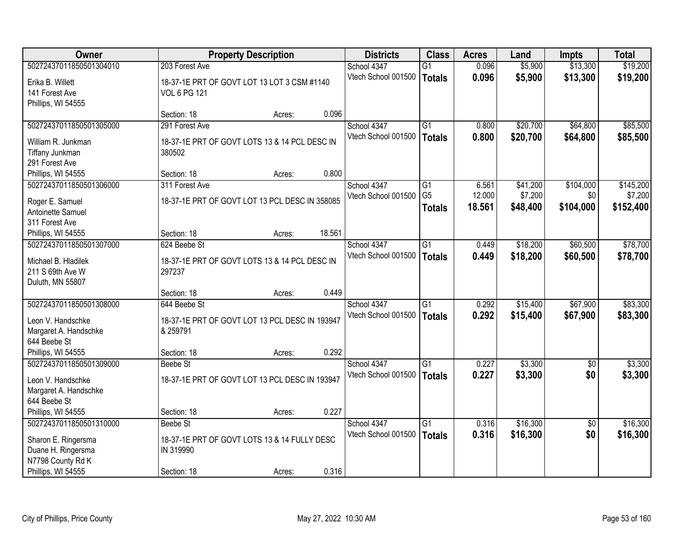| <b>Owner</b>            |                                                | <b>Property Description</b> |        | <b>Districts</b>    | <b>Class</b>    | <b>Acres</b> | Land     | <b>Impts</b>    | <b>Total</b> |
|-------------------------|------------------------------------------------|-----------------------------|--------|---------------------|-----------------|--------------|----------|-----------------|--------------|
| 50272437011850501304010 | 203 Forest Ave                                 |                             |        | School 4347         | $\overline{G1}$ | 0.096        | \$5,900  | \$13,300        | \$19,200     |
| Erika B. Willett        | 18-37-1E PRT OF GOVT LOT 13 LOT 3 CSM #1140    |                             |        | Vtech School 001500 | <b>Totals</b>   | 0.096        | \$5,900  | \$13,300        | \$19,200     |
| 141 Forest Ave          | <b>VOL 6 PG 121</b>                            |                             |        |                     |                 |              |          |                 |              |
| Phillips, WI 54555      |                                                |                             |        |                     |                 |              |          |                 |              |
|                         | Section: 18                                    | Acres:                      | 0.096  |                     |                 |              |          |                 |              |
| 50272437011850501305000 | 291 Forest Ave                                 |                             |        | School 4347         | $\overline{G1}$ | 0.800        | \$20,700 | \$64,800        | \$85,500     |
| William R. Junkman      | 18-37-1E PRT OF GOVT LOTS 13 & 14 PCL DESC IN  |                             |        | Vtech School 001500 | <b>Totals</b>   | 0.800        | \$20,700 | \$64,800        | \$85,500     |
| Tiffany Junkman         | 380502                                         |                             |        |                     |                 |              |          |                 |              |
| 291 Forest Ave          |                                                |                             |        |                     |                 |              |          |                 |              |
| Phillips, WI 54555      | Section: 18                                    | Acres:                      | 0.800  |                     |                 |              |          |                 |              |
| 50272437011850501306000 | 311 Forest Ave                                 |                             |        | School 4347         | G1              | 6.561        | \$41,200 | \$104,000       | \$145,200    |
| Roger E. Samuel         | 18-37-1E PRT OF GOVT LOT 13 PCL DESC IN 358085 |                             |        | Vtech School 001500 | G <sub>5</sub>  | 12.000       | \$7,200  | \$0             | \$7,200      |
| Antoinette Samuel       |                                                |                             |        |                     | <b>Totals</b>   | 18.561       | \$48,400 | \$104,000       | \$152,400    |
| 311 Forest Ave          |                                                |                             |        |                     |                 |              |          |                 |              |
| Phillips, WI 54555      | Section: 18                                    | Acres:                      | 18.561 |                     |                 |              |          |                 |              |
| 50272437011850501307000 | 624 Beebe St                                   |                             |        | School 4347         | $\overline{G1}$ | 0.449        | \$18,200 | \$60,500        | \$78,700     |
| Michael B. Hladilek     | 18-37-1E PRT OF GOVT LOTS 13 & 14 PCL DESC IN  |                             |        | Vtech School 001500 | <b>Totals</b>   | 0.449        | \$18,200 | \$60,500        | \$78,700     |
| 211 S 69th Ave W        | 297237                                         |                             |        |                     |                 |              |          |                 |              |
| Duluth, MN 55807        |                                                |                             |        |                     |                 |              |          |                 |              |
|                         | Section: 18                                    | Acres:                      | 0.449  |                     |                 |              |          |                 |              |
| 50272437011850501308000 | 644 Beebe St                                   |                             |        | School 4347         | $\overline{G1}$ | 0.292        | \$15,400 | \$67,900        | \$83,300     |
| Leon V. Handschke       | 18-37-1E PRT OF GOVT LOT 13 PCL DESC IN 193947 |                             |        | Vtech School 001500 | <b>Totals</b>   | 0.292        | \$15,400 | \$67,900        | \$83,300     |
| Margaret A. Handschke   | & 259791                                       |                             |        |                     |                 |              |          |                 |              |
| 644 Beebe St            |                                                |                             |        |                     |                 |              |          |                 |              |
| Phillips, WI 54555      | Section: 18                                    | Acres:                      | 0.292  |                     |                 |              |          |                 |              |
| 50272437011850501309000 | <b>Beebe St</b>                                |                             |        | School 4347         | $\overline{G1}$ | 0.227        | \$3,300  | $\sqrt{6}$      | \$3,300      |
| Leon V. Handschke       | 18-37-1E PRT OF GOVT LOT 13 PCL DESC IN 193947 |                             |        | Vtech School 001500 | <b>Totals</b>   | 0.227        | \$3,300  | \$0             | \$3,300      |
| Margaret A. Handschke   |                                                |                             |        |                     |                 |              |          |                 |              |
| 644 Beebe St            |                                                |                             |        |                     |                 |              |          |                 |              |
| Phillips, WI 54555      | Section: 18                                    | Acres:                      | 0.227  |                     |                 |              |          |                 |              |
| 50272437011850501310000 | Beebe St                                       |                             |        | School 4347         | $\overline{G1}$ | 0.316        | \$16,300 | $\overline{50}$ | \$16,300     |
| Sharon E. Ringersma     | 18-37-1E PRT OF GOVT LOTS 13 & 14 FULLY DESC   |                             |        | Vtech School 001500 | <b>Totals</b>   | 0.316        | \$16,300 | \$0             | \$16,300     |
| Duane H. Ringersma      | IN 319990                                      |                             |        |                     |                 |              |          |                 |              |
| N7798 County Rd K       |                                                |                             |        |                     |                 |              |          |                 |              |
| Phillips, WI 54555      | Section: 18                                    | Acres:                      | 0.316  |                     |                 |              |          |                 |              |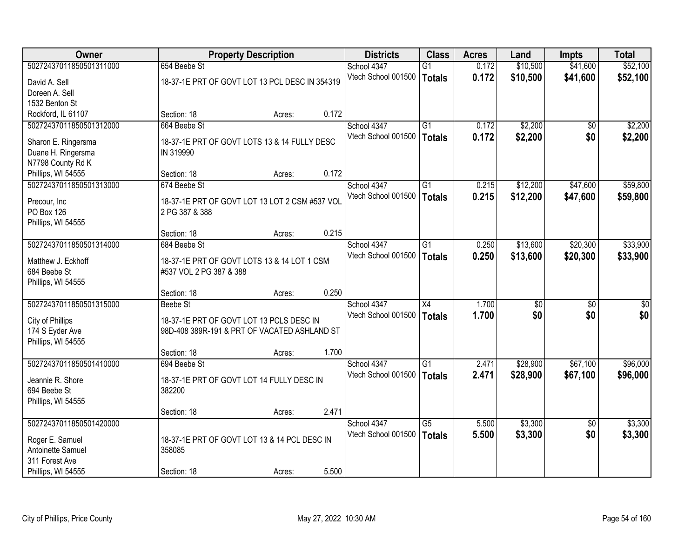| <b>Owner</b>                         |                                                                                          | <b>Property Description</b> |       | <b>Districts</b>    | <b>Class</b>    | <b>Acres</b> | Land     | <b>Impts</b>    | <b>Total</b> |
|--------------------------------------|------------------------------------------------------------------------------------------|-----------------------------|-------|---------------------|-----------------|--------------|----------|-----------------|--------------|
| 50272437011850501311000              | 654 Beebe St                                                                             |                             |       | School 4347         | $\overline{G1}$ | 0.172        | \$10,500 | \$41,600        | \$52,100     |
| David A. Sell                        | 18-37-1E PRT OF GOVT LOT 13 PCL DESC IN 354319                                           |                             |       | Vtech School 001500 | <b>Totals</b>   | 0.172        | \$10,500 | \$41,600        | \$52,100     |
| Doreen A. Sell                       |                                                                                          |                             |       |                     |                 |              |          |                 |              |
| 1532 Benton St                       |                                                                                          |                             |       |                     |                 |              |          |                 |              |
| Rockford, IL 61107                   | Section: 18                                                                              | Acres:                      | 0.172 |                     |                 |              |          |                 |              |
| 50272437011850501312000              | 664 Beebe St                                                                             |                             |       | School 4347         | $\overline{G1}$ | 0.172        | \$2,200  | \$0             | \$2,200      |
| Sharon E. Ringersma                  | 18-37-1E PRT OF GOVT LOTS 13 & 14 FULLY DESC                                             |                             |       | Vtech School 001500 | <b>Totals</b>   | 0.172        | \$2,200  | \$0             | \$2,200      |
| Duane H. Ringersma                   | IN 319990                                                                                |                             |       |                     |                 |              |          |                 |              |
| N7798 County Rd K                    |                                                                                          |                             |       |                     |                 |              |          |                 |              |
| Phillips, WI 54555                   | Section: 18                                                                              | Acres:                      | 0.172 |                     |                 |              |          |                 |              |
| 50272437011850501313000              | 674 Beebe St                                                                             |                             |       | School 4347         | G1              | 0.215        | \$12,200 | \$47,600        | \$59,800     |
| Precour, Inc                         | 18-37-1E PRT OF GOVT LOT 13 LOT 2 CSM #537 VOL                                           |                             |       | Vtech School 001500 | <b>Totals</b>   | 0.215        | \$12,200 | \$47,600        | \$59,800     |
| PO Box 126                           | 2 PG 387 & 388                                                                           |                             |       |                     |                 |              |          |                 |              |
| Phillips, WI 54555                   |                                                                                          |                             |       |                     |                 |              |          |                 |              |
|                                      | Section: 18                                                                              | Acres:                      | 0.215 |                     |                 |              |          |                 |              |
| 50272437011850501314000              | 684 Beebe St                                                                             |                             |       | School 4347         | $\overline{G1}$ | 0.250        | \$13,600 | \$20,300        | \$33,900     |
| Matthew J. Eckhoff                   | 18-37-1E PRT OF GOVT LOTS 13 & 14 LOT 1 CSM                                              |                             |       | Vtech School 001500 | <b>Totals</b>   | 0.250        | \$13,600 | \$20,300        | \$33,900     |
| 684 Beebe St                         | #537 VOL 2 PG 387 & 388                                                                  |                             |       |                     |                 |              |          |                 |              |
| Phillips, WI 54555                   |                                                                                          |                             |       |                     |                 |              |          |                 |              |
|                                      | Section: 18                                                                              | Acres:                      | 0.250 |                     |                 |              |          |                 |              |
| 50272437011850501315000              | Beebe St                                                                                 |                             |       | School 4347         | $\overline{X4}$ | 1.700        | \$0      | \$0             | \$0          |
|                                      |                                                                                          |                             |       | Vtech School 001500 | <b>Totals</b>   | 1.700        | \$0      | \$0             | \$0          |
| City of Phillips<br>174 S Eyder Ave  | 18-37-1E PRT OF GOVT LOT 13 PCLS DESC IN<br>98D-408 389R-191 & PRT OF VACATED ASHLAND ST |                             |       |                     |                 |              |          |                 |              |
| Phillips, WI 54555                   |                                                                                          |                             |       |                     |                 |              |          |                 |              |
|                                      | Section: 18                                                                              | Acres:                      | 1.700 |                     |                 |              |          |                 |              |
| 50272437011850501410000              | 694 Beebe St                                                                             |                             |       | School 4347         | $\overline{G1}$ | 2.471        | \$28,900 | \$67,100        | \$96,000     |
|                                      |                                                                                          |                             |       | Vtech School 001500 | <b>Totals</b>   | 2.471        | \$28,900 | \$67,100        | \$96,000     |
| Jeannie R. Shore<br>694 Beebe St     | 18-37-1E PRT OF GOVT LOT 14 FULLY DESC IN<br>382200                                      |                             |       |                     |                 |              |          |                 |              |
| Phillips, WI 54555                   |                                                                                          |                             |       |                     |                 |              |          |                 |              |
|                                      | Section: 18                                                                              | Acres:                      | 2.471 |                     |                 |              |          |                 |              |
| 50272437011850501420000              |                                                                                          |                             |       | School 4347         | $\overline{G5}$ | 5.500        | \$3,300  | $\overline{50}$ | \$3,300      |
|                                      |                                                                                          |                             |       | Vtech School 001500 | <b>Totals</b>   | 5.500        | \$3,300  | \$0             | \$3,300      |
| Roger E. Samuel<br>Antoinette Samuel | 18-37-1E PRT OF GOVT LOT 13 & 14 PCL DESC IN<br>358085                                   |                             |       |                     |                 |              |          |                 |              |
| 311 Forest Ave                       |                                                                                          |                             |       |                     |                 |              |          |                 |              |
| Phillips, WI 54555                   | Section: 18                                                                              | Acres:                      | 5.500 |                     |                 |              |          |                 |              |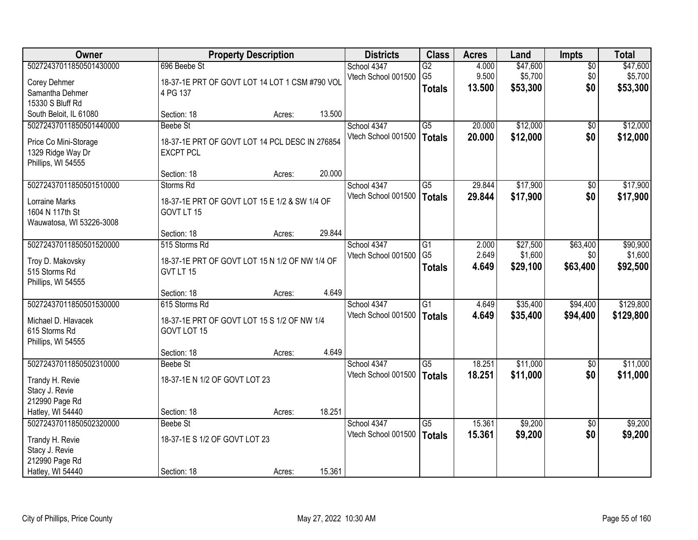| Owner                    |                                                | <b>Property Description</b> |        | <b>Districts</b>    | <b>Class</b>    | <b>Acres</b> | Land     | <b>Impts</b>    | <b>Total</b> |
|--------------------------|------------------------------------------------|-----------------------------|--------|---------------------|-----------------|--------------|----------|-----------------|--------------|
| 50272437011850501430000  | 696 Beebe St                                   |                             |        | School 4347         | $\overline{G2}$ | 4.000        | \$47,600 | $\overline{50}$ | \$47,600     |
| Corey Dehmer             | 18-37-1E PRT OF GOVT LOT 14 LOT 1 CSM #790 VOL |                             |        | Vtech School 001500 | G <sub>5</sub>  | 9.500        | \$5,700  | \$0             | \$5,700      |
| Samantha Dehmer          | 4 PG 137                                       |                             |        |                     | <b>Totals</b>   | 13.500       | \$53,300 | \$0             | \$53,300     |
| 15330 S Bluff Rd         |                                                |                             |        |                     |                 |              |          |                 |              |
| South Beloit, IL 61080   | Section: 18                                    | Acres:                      | 13.500 |                     |                 |              |          |                 |              |
| 50272437011850501440000  | <b>Beebe St</b>                                |                             |        | School 4347         | $\overline{G5}$ | 20.000       | \$12,000 | \$0             | \$12,000     |
|                          |                                                |                             |        | Vtech School 001500 | <b>Totals</b>   | 20.000       | \$12,000 | \$0             | \$12,000     |
| Price Co Mini-Storage    | 18-37-1E PRT OF GOVT LOT 14 PCL DESC IN 276854 |                             |        |                     |                 |              |          |                 |              |
| 1329 Ridge Way Dr        | <b>EXCPT PCL</b>                               |                             |        |                     |                 |              |          |                 |              |
| Phillips, WI 54555       |                                                |                             | 20.000 |                     |                 |              |          |                 |              |
| 50272437011850501510000  | Section: 18<br>Storms Rd                       | Acres:                      |        |                     | G5              | 29.844       | \$17,900 |                 |              |
|                          |                                                |                             |        | School 4347         |                 |              |          | \$0             | \$17,900     |
| Lorraine Marks           | 18-37-1E PRT OF GOVT LOT 15 E 1/2 & SW 1/4 OF  |                             |        | Vtech School 001500 | <b>Totals</b>   | 29.844       | \$17,900 | \$0             | \$17,900     |
| 1604 N 117th St          | GOVT LT 15                                     |                             |        |                     |                 |              |          |                 |              |
| Wauwatosa, WI 53226-3008 |                                                |                             |        |                     |                 |              |          |                 |              |
|                          | Section: 18                                    | Acres:                      | 29.844 |                     |                 |              |          |                 |              |
| 50272437011850501520000  | 515 Storms Rd                                  |                             |        | School 4347         | G1              | 2.000        | \$27,500 | \$63,400        | \$90,900     |
| Troy D. Makovsky         | 18-37-1E PRT OF GOVT LOT 15 N 1/2 OF NW 1/4 OF |                             |        | Vtech School 001500 | G <sub>5</sub>  | 2.649        | \$1,600  | \$0             | \$1,600      |
| 515 Storms Rd            | GVT LT 15                                      |                             |        |                     | <b>Totals</b>   | 4.649        | \$29,100 | \$63,400        | \$92,500     |
| Phillips, WI 54555       |                                                |                             |        |                     |                 |              |          |                 |              |
|                          | Section: 18                                    | Acres:                      | 4.649  |                     |                 |              |          |                 |              |
| 50272437011850501530000  | 615 Storms Rd                                  |                             |        | School 4347         | $\overline{G1}$ | 4.649        | \$35,400 | \$94,400        | \$129,800    |
|                          |                                                |                             |        | Vtech School 001500 | <b>Totals</b>   | 4.649        | \$35,400 | \$94,400        | \$129,800    |
| Michael D. Hlavacek      | 18-37-1E PRT OF GOVT LOT 15 S 1/2 OF NW 1/4    |                             |        |                     |                 |              |          |                 |              |
| 615 Storms Rd            | GOVT LOT 15                                    |                             |        |                     |                 |              |          |                 |              |
| Phillips, WI 54555       | Section: 18                                    |                             | 4.649  |                     |                 |              |          |                 |              |
| 50272437011850502310000  | Beebe St                                       | Acres:                      |        | School 4347         | $\overline{G5}$ | 18.251       | \$11,000 | $\sqrt{6}$      | \$11,000     |
|                          |                                                |                             |        | Vtech School 001500 |                 | 18.251       |          | \$0             |              |
| Trandy H. Revie          | 18-37-1E N 1/2 OF GOVT LOT 23                  |                             |        |                     | <b>Totals</b>   |              | \$11,000 |                 | \$11,000     |
| Stacy J. Revie           |                                                |                             |        |                     |                 |              |          |                 |              |
| 212990 Page Rd           |                                                |                             |        |                     |                 |              |          |                 |              |
| Hatley, WI 54440         | Section: 18                                    | Acres:                      | 18.251 |                     |                 |              |          |                 |              |
| 50272437011850502320000  | Beebe St                                       |                             |        | School 4347         | $\overline{G5}$ | 15.361       | \$9,200  | $\overline{50}$ | \$9,200      |
| Trandy H. Revie          | 18-37-1E S 1/2 OF GOVT LOT 23                  |                             |        | Vtech School 001500 | <b>Totals</b>   | 15.361       | \$9,200  | \$0             | \$9,200      |
| Stacy J. Revie           |                                                |                             |        |                     |                 |              |          |                 |              |
| 212990 Page Rd           |                                                |                             |        |                     |                 |              |          |                 |              |
| Hatley, WI 54440         | Section: 18                                    | Acres:                      | 15.361 |                     |                 |              |          |                 |              |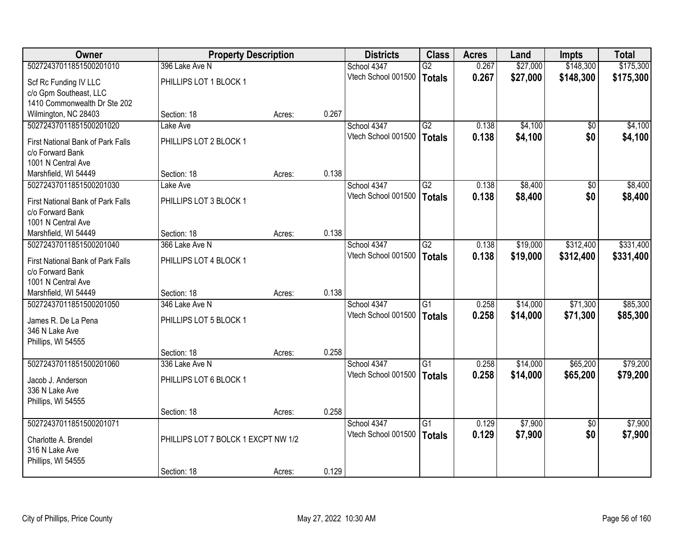| Owner                                    | <b>Property Description</b>         |        |       | <b>Districts</b>    | <b>Class</b>    | <b>Acres</b> | Land     | <b>Impts</b>    | <b>Total</b> |
|------------------------------------------|-------------------------------------|--------|-------|---------------------|-----------------|--------------|----------|-----------------|--------------|
| 50272437011851500201010                  | 396 Lake Ave N                      |        |       | School 4347         | $\overline{G2}$ | 0.267        | \$27,000 | \$148,300       | \$175,300    |
| Scf Rc Funding IV LLC                    | PHILLIPS LOT 1 BLOCK 1              |        |       | Vtech School 001500 | Totals          | 0.267        | \$27,000 | \$148,300       | \$175,300    |
| c/o Gpm Southeast, LLC                   |                                     |        |       |                     |                 |              |          |                 |              |
| 1410 Commonwealth Dr Ste 202             |                                     |        |       |                     |                 |              |          |                 |              |
| Wilmington, NC 28403                     | Section: 18                         | Acres: | 0.267 |                     |                 |              |          |                 |              |
| 50272437011851500201020                  | Lake Ave                            |        |       | School 4347         | G2              | 0.138        | \$4,100  | \$0             | \$4,100      |
| First National Bank of Park Falls        | PHILLIPS LOT 2 BLOCK 1              |        |       | Vtech School 001500 | <b>Totals</b>   | 0.138        | \$4,100  | \$0             | \$4,100      |
| c/o Forward Bank                         |                                     |        |       |                     |                 |              |          |                 |              |
| 1001 N Central Ave                       |                                     |        |       |                     |                 |              |          |                 |              |
| Marshfield, WI 54449                     | Section: 18                         | Acres: | 0.138 |                     |                 |              |          |                 |              |
| 50272437011851500201030                  | Lake Ave                            |        |       | School 4347         | G2              | 0.138        | \$8,400  | $\overline{50}$ | \$8,400      |
| <b>First National Bank of Park Falls</b> | PHILLIPS LOT 3 BLOCK 1              |        |       | Vtech School 001500 | Totals          | 0.138        | \$8,400  | \$0             | \$8,400      |
| c/o Forward Bank                         |                                     |        |       |                     |                 |              |          |                 |              |
| 1001 N Central Ave                       |                                     |        |       |                     |                 |              |          |                 |              |
| Marshfield, WI 54449                     | Section: 18                         | Acres: | 0.138 |                     |                 |              |          |                 |              |
| 50272437011851500201040                  | 366 Lake Ave N                      |        |       | School 4347         | $\overline{G2}$ | 0.138        | \$19,000 | \$312,400       | \$331,400    |
| <b>First National Bank of Park Falls</b> | PHILLIPS LOT 4 BLOCK 1              |        |       | Vtech School 001500 | Totals          | 0.138        | \$19,000 | \$312,400       | \$331,400    |
| c/o Forward Bank                         |                                     |        |       |                     |                 |              |          |                 |              |
| 1001 N Central Ave                       |                                     |        |       |                     |                 |              |          |                 |              |
| Marshfield, WI 54449                     | Section: 18                         | Acres: | 0.138 |                     |                 |              |          |                 |              |
| 50272437011851500201050                  | 346 Lake Ave N                      |        |       | School 4347         | $\overline{G1}$ | 0.258        | \$14,000 | \$71,300        | \$85,300     |
|                                          |                                     |        |       | Vtech School 001500 | Totals          | 0.258        | \$14,000 | \$71,300        | \$85,300     |
| James R. De La Pena<br>346 N Lake Ave    | PHILLIPS LOT 5 BLOCK 1              |        |       |                     |                 |              |          |                 |              |
| Phillips, WI 54555                       |                                     |        |       |                     |                 |              |          |                 |              |
|                                          | Section: 18                         | Acres: | 0.258 |                     |                 |              |          |                 |              |
| 50272437011851500201060                  | 336 Lake Ave N                      |        |       | School 4347         | G1              | 0.258        | \$14,000 | \$65,200        | \$79,200     |
|                                          |                                     |        |       | Vtech School 001500 | Totals          | 0.258        | \$14,000 | \$65,200        | \$79,200     |
| Jacob J. Anderson<br>336 N Lake Ave      | PHILLIPS LOT 6 BLOCK 1              |        |       |                     |                 |              |          |                 |              |
| Phillips, WI 54555                       |                                     |        |       |                     |                 |              |          |                 |              |
|                                          | Section: 18                         | Acres: | 0.258 |                     |                 |              |          |                 |              |
| 50272437011851500201071                  |                                     |        |       | School 4347         | $\overline{G1}$ | 0.129        | \$7,900  | $\overline{50}$ | \$7,900      |
|                                          |                                     |        |       | Vtech School 001500 | Totals          | 0.129        | \$7,900  | \$0             | \$7,900      |
| Charlotte A. Brendel<br>316 N Lake Ave   | PHILLIPS LOT 7 BOLCK 1 EXCPT NW 1/2 |        |       |                     |                 |              |          |                 |              |
| Phillips, WI 54555                       |                                     |        |       |                     |                 |              |          |                 |              |
|                                          | Section: 18                         | Acres: | 0.129 |                     |                 |              |          |                 |              |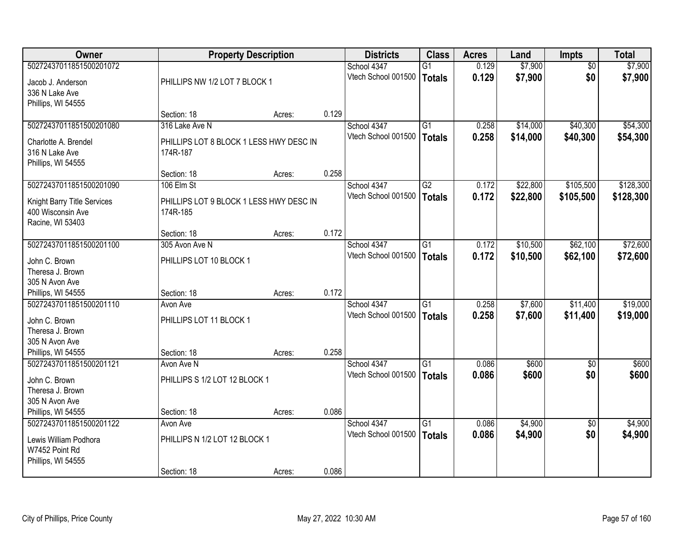| Owner                       | <b>Property Description</b>             |        |       | <b>Districts</b>    | <b>Class</b>    | <b>Acres</b> | Land     | <b>Impts</b>    | <b>Total</b> |
|-----------------------------|-----------------------------------------|--------|-------|---------------------|-----------------|--------------|----------|-----------------|--------------|
| 50272437011851500201072     |                                         |        |       | School 4347         | G1              | 0.129        | \$7,900  | $\overline{30}$ | \$7,900      |
| Jacob J. Anderson           | PHILLIPS NW 1/2 LOT 7 BLOCK 1           |        |       | Vtech School 001500 | Totals          | 0.129        | \$7,900  | \$0             | \$7,900      |
| 336 N Lake Ave              |                                         |        |       |                     |                 |              |          |                 |              |
| Phillips, WI 54555          |                                         |        |       |                     |                 |              |          |                 |              |
|                             | Section: 18                             | Acres: | 0.129 |                     |                 |              |          |                 |              |
| 50272437011851500201080     | 316 Lake Ave N                          |        |       | School 4347         | $\overline{G1}$ | 0.258        | \$14,000 | \$40,300        | \$54,300     |
| Charlotte A. Brendel        | PHILLIPS LOT 8 BLOCK 1 LESS HWY DESC IN |        |       | Vtech School 001500 | Totals          | 0.258        | \$14,000 | \$40,300        | \$54,300     |
| 316 N Lake Ave              | 174R-187                                |        |       |                     |                 |              |          |                 |              |
| Phillips, WI 54555          |                                         |        |       |                     |                 |              |          |                 |              |
|                             | Section: 18                             | Acres: | 0.258 |                     |                 |              |          |                 |              |
| 50272437011851500201090     | 106 Elm St                              |        |       | School 4347         | G2              | 0.172        | \$22,800 | \$105,500       | \$128,300    |
| Knight Barry Title Services | PHILLIPS LOT 9 BLOCK 1 LESS HWY DESC IN |        |       | Vtech School 001500 | <b>Totals</b>   | 0.172        | \$22,800 | \$105,500       | \$128,300    |
| 400 Wisconsin Ave           | 174R-185                                |        |       |                     |                 |              |          |                 |              |
| Racine, WI 53403            |                                         |        |       |                     |                 |              |          |                 |              |
|                             | Section: 18                             | Acres: | 0.172 |                     |                 |              |          |                 |              |
| 50272437011851500201100     | 305 Avon Ave N                          |        |       | School 4347         | G1              | 0.172        | \$10,500 | \$62,100        | \$72,600     |
| John C. Brown               | PHILLIPS LOT 10 BLOCK 1                 |        |       | Vtech School 001500 | <b>Totals</b>   | 0.172        | \$10,500 | \$62,100        | \$72,600     |
| Theresa J. Brown            |                                         |        |       |                     |                 |              |          |                 |              |
| 305 N Avon Ave              |                                         |        |       |                     |                 |              |          |                 |              |
| Phillips, WI 54555          | Section: 18                             | Acres: | 0.172 |                     |                 |              |          |                 |              |
| 50272437011851500201110     | Avon Ave                                |        |       | School 4347         | $\overline{G1}$ | 0.258        | \$7,600  | \$11,400        | \$19,000     |
| John C. Brown               | PHILLIPS LOT 11 BLOCK 1                 |        |       | Vtech School 001500 | Totals          | 0.258        | \$7,600  | \$11,400        | \$19,000     |
| Theresa J. Brown            |                                         |        |       |                     |                 |              |          |                 |              |
| 305 N Avon Ave              |                                         |        |       |                     |                 |              |          |                 |              |
| Phillips, WI 54555          | Section: 18                             | Acres: | 0.258 |                     |                 |              |          |                 |              |
| 50272437011851500201121     | Avon Ave N                              |        |       | School 4347         | $\overline{G1}$ | 0.086        | \$600    | \$0             | \$600        |
| John C. Brown               | PHILLIPS S 1/2 LOT 12 BLOCK 1           |        |       | Vtech School 001500 | <b>Totals</b>   | 0.086        | \$600    | \$0             | \$600        |
| Theresa J. Brown            |                                         |        |       |                     |                 |              |          |                 |              |
| 305 N Avon Ave              |                                         |        |       |                     |                 |              |          |                 |              |
| Phillips, WI 54555          | Section: 18                             | Acres: | 0.086 |                     |                 |              |          |                 |              |
| 50272437011851500201122     | Avon Ave                                |        |       | School 4347         | $\overline{G1}$ | 0.086        | \$4,900  | $\overline{50}$ | \$4,900      |
| Lewis William Podhora       | PHILLIPS N 1/2 LOT 12 BLOCK 1           |        |       | Vtech School 001500 | <b>Totals</b>   | 0.086        | \$4,900  | \$0             | \$4,900      |
| W7452 Point Rd              |                                         |        |       |                     |                 |              |          |                 |              |
| Phillips, WI 54555          |                                         |        |       |                     |                 |              |          |                 |              |
|                             | Section: 18                             | Acres: | 0.086 |                     |                 |              |          |                 |              |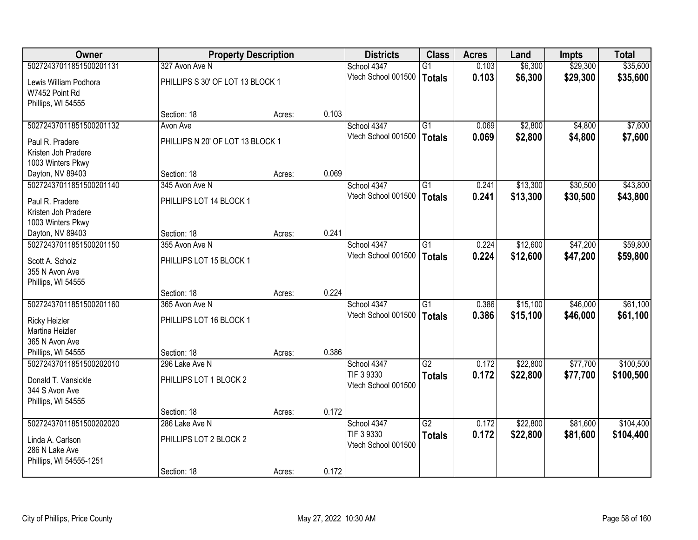| Owner                   |                                  | <b>Property Description</b> |       | <b>Districts</b>    | <b>Class</b>    | <b>Acres</b> | Land     | <b>Impts</b> | <b>Total</b> |
|-------------------------|----------------------------------|-----------------------------|-------|---------------------|-----------------|--------------|----------|--------------|--------------|
| 50272437011851500201131 | 327 Avon Ave N                   |                             |       | School 4347         | $\overline{G1}$ | 0.103        | \$6,300  | \$29,300     | \$35,600     |
| Lewis William Podhora   | PHILLIPS S 30' OF LOT 13 BLOCK 1 |                             |       | Vtech School 001500 | <b>Totals</b>   | 0.103        | \$6,300  | \$29,300     | \$35,600     |
| W7452 Point Rd          |                                  |                             |       |                     |                 |              |          |              |              |
| Phillips, WI 54555      |                                  |                             |       |                     |                 |              |          |              |              |
|                         | Section: 18                      | Acres:                      | 0.103 |                     |                 |              |          |              |              |
| 50272437011851500201132 | Avon Ave                         |                             |       | School 4347         | $\overline{G1}$ | 0.069        | \$2,800  | \$4,800      | \$7,600      |
| Paul R. Pradere         | PHILLIPS N 20' OF LOT 13 BLOCK 1 |                             |       | Vtech School 001500 | <b>Totals</b>   | 0.069        | \$2,800  | \$4,800      | \$7,600      |
| Kristen Joh Pradere     |                                  |                             |       |                     |                 |              |          |              |              |
| 1003 Winters Pkwy       |                                  |                             |       |                     |                 |              |          |              |              |
| Dayton, NV 89403        | Section: 18                      | Acres:                      | 0.069 |                     |                 |              |          |              |              |
| 50272437011851500201140 | 345 Avon Ave N                   |                             |       | School 4347         | $\overline{G1}$ | 0.241        | \$13,300 | \$30,500     | \$43,800     |
| Paul R. Pradere         | PHILLIPS LOT 14 BLOCK 1          |                             |       | Vtech School 001500 | <b>Totals</b>   | 0.241        | \$13,300 | \$30,500     | \$43,800     |
| Kristen Joh Pradere     |                                  |                             |       |                     |                 |              |          |              |              |
| 1003 Winters Pkwy       |                                  |                             |       |                     |                 |              |          |              |              |
| Dayton, NV 89403        | Section: 18                      | Acres:                      | 0.241 |                     |                 |              |          |              |              |
| 50272437011851500201150 | 355 Avon Ave N                   |                             |       | School 4347         | G1              | 0.224        | \$12,600 | \$47,200     | \$59,800     |
| Scott A. Scholz         | PHILLIPS LOT 15 BLOCK 1          |                             |       | Vtech School 001500 | <b>Totals</b>   | 0.224        | \$12,600 | \$47,200     | \$59,800     |
| 355 N Avon Ave          |                                  |                             |       |                     |                 |              |          |              |              |
| Phillips, WI 54555      |                                  |                             |       |                     |                 |              |          |              |              |
|                         | Section: 18                      | Acres:                      | 0.224 |                     |                 |              |          |              |              |
| 50272437011851500201160 | 365 Avon Ave N                   |                             |       | School 4347         | $\overline{G1}$ | 0.386        | \$15,100 | \$46,000     | \$61,100     |
| <b>Ricky Heizler</b>    | PHILLIPS LOT 16 BLOCK 1          |                             |       | Vtech School 001500 | <b>Totals</b>   | 0.386        | \$15,100 | \$46,000     | \$61,100     |
| Martina Heizler         |                                  |                             |       |                     |                 |              |          |              |              |
| 365 N Avon Ave          |                                  |                             |       |                     |                 |              |          |              |              |
| Phillips, WI 54555      | Section: 18                      | Acres:                      | 0.386 |                     |                 |              |          |              |              |
| 50272437011851500202010 | 296 Lake Ave N                   |                             |       | School 4347         | $\overline{G2}$ | 0.172        | \$22,800 | \$77,700     | \$100,500    |
| Donald T. Vansickle     | PHILLIPS LOT 1 BLOCK 2           |                             |       | TIF 3 9330          | <b>Totals</b>   | 0.172        | \$22,800 | \$77,700     | \$100,500    |
| 344 S Avon Ave          |                                  |                             |       | Vtech School 001500 |                 |              |          |              |              |
| Phillips, WI 54555      |                                  |                             |       |                     |                 |              |          |              |              |
|                         | Section: 18                      | Acres:                      | 0.172 |                     |                 |              |          |              |              |
| 50272437011851500202020 | 286 Lake Ave N                   |                             |       | School 4347         | $\overline{G2}$ | 0.172        | \$22,800 | \$81,600     | \$104,400    |
| Linda A. Carlson        | PHILLIPS LOT 2 BLOCK 2           |                             |       | TIF 3 9330          | <b>Totals</b>   | 0.172        | \$22,800 | \$81,600     | \$104,400    |
| 286 N Lake Ave          |                                  |                             |       | Vtech School 001500 |                 |              |          |              |              |
| Phillips, WI 54555-1251 |                                  |                             |       |                     |                 |              |          |              |              |
|                         | Section: 18                      | Acres:                      | 0.172 |                     |                 |              |          |              |              |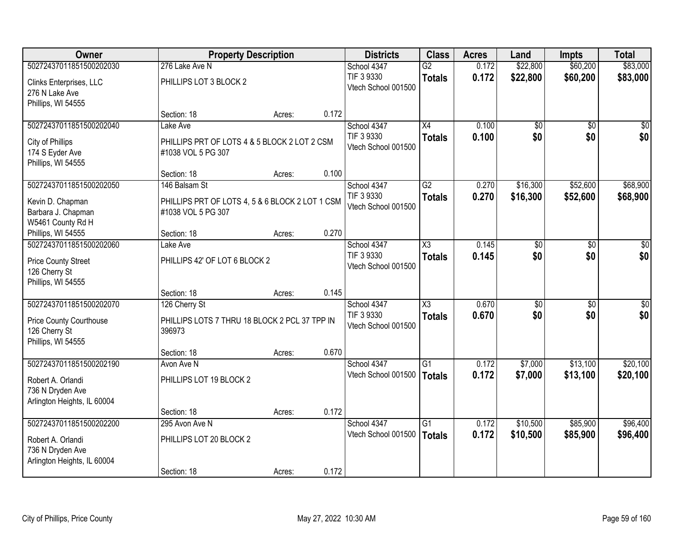| <b>Owner</b>                   |                                                 | <b>Property Description</b> |       | <b>Districts</b>                  | <b>Class</b>           | <b>Acres</b> | Land            | <b>Impts</b>    | <b>Total</b>    |
|--------------------------------|-------------------------------------------------|-----------------------------|-------|-----------------------------------|------------------------|--------------|-----------------|-----------------|-----------------|
| 50272437011851500202030        | 276 Lake Ave N                                  |                             |       | School 4347                       | $\overline{G2}$        | 0.172        | \$22,800        | \$60,200        | \$83,000        |
| Clinks Enterprises, LLC        | PHILLIPS LOT 3 BLOCK 2                          |                             |       | TIF 3 9330                        | <b>Totals</b>          | 0.172        | \$22,800        | \$60,200        | \$83,000        |
| 276 N Lake Ave                 |                                                 |                             |       | Vtech School 001500               |                        |              |                 |                 |                 |
| Phillips, WI 54555             |                                                 |                             |       |                                   |                        |              |                 |                 |                 |
|                                | Section: 18                                     | Acres:                      | 0.172 |                                   |                        |              |                 |                 |                 |
| 50272437011851500202040        | Lake Ave                                        |                             |       | School 4347                       | $\overline{X4}$        | 0.100        | \$0             | $\overline{50}$ | \$0             |
| City of Phillips               | PHILLIPS PRT OF LOTS 4 & 5 BLOCK 2 LOT 2 CSM    |                             |       | TIF 3 9330<br>Vtech School 001500 | <b>Totals</b>          | 0.100        | \$0             | \$0             | \$0             |
| 174 S Eyder Ave                | #1038 VOL 5 PG 307                              |                             |       |                                   |                        |              |                 |                 |                 |
| Phillips, WI 54555             |                                                 |                             |       |                                   |                        |              |                 |                 |                 |
|                                | Section: 18                                     | Acres:                      | 0.100 |                                   |                        |              |                 |                 |                 |
| 50272437011851500202050        | 146 Balsam St                                   |                             |       | School 4347                       | $\overline{G2}$        | 0.270        | \$16,300        | \$52,600        | \$68,900        |
| Kevin D. Chapman               | PHILLIPS PRT OF LOTS 4, 5 & 6 BLOCK 2 LOT 1 CSM |                             |       | TIF 3 9330<br>Vtech School 001500 | <b>Totals</b>          | 0.270        | \$16,300        | \$52,600        | \$68,900        |
| Barbara J. Chapman             | #1038 VOL 5 PG 307                              |                             |       |                                   |                        |              |                 |                 |                 |
| W5461 County Rd H              |                                                 |                             |       |                                   |                        |              |                 |                 |                 |
| Phillips, WI 54555             | Section: 18                                     | Acres:                      | 0.270 |                                   |                        |              |                 |                 |                 |
| 50272437011851500202060        | Lake Ave                                        |                             |       | School 4347                       | X3                     | 0.145        | \$0             | \$0             | \$0             |
| <b>Price County Street</b>     | PHILLIPS 42' OF LOT 6 BLOCK 2                   |                             |       | TIF 3 9330<br>Vtech School 001500 | <b>Totals</b>          | 0.145        | \$0             | \$0             | \$0             |
| 126 Cherry St                  |                                                 |                             |       |                                   |                        |              |                 |                 |                 |
| Phillips, WI 54555             |                                                 |                             |       |                                   |                        |              |                 |                 |                 |
|                                | Section: 18                                     | Acres:                      | 0.145 |                                   |                        |              |                 |                 |                 |
| 50272437011851500202070        | 126 Cherry St                                   |                             |       | School 4347                       | $\overline{\text{X3}}$ | 0.670        | $\overline{50}$ | $\overline{30}$ | $\overline{30}$ |
| <b>Price County Courthouse</b> | PHILLIPS LOTS 7 THRU 18 BLOCK 2 PCL 37 TPP IN   |                             |       | TIF 3 9330<br>Vtech School 001500 | <b>Totals</b>          | 0.670        | \$0             | \$0             | \$0             |
| 126 Cherry St                  | 396973                                          |                             |       |                                   |                        |              |                 |                 |                 |
| Phillips, WI 54555             |                                                 |                             |       |                                   |                        |              |                 |                 |                 |
|                                | Section: 18                                     | Acres:                      | 0.670 |                                   |                        |              |                 |                 |                 |
| 50272437011851500202190        | Avon Ave N                                      |                             |       | School 4347                       | $\overline{G1}$        | 0.172        | \$7,000         | \$13,100        | \$20,100        |
| Robert A. Orlandi              | PHILLIPS LOT 19 BLOCK 2                         |                             |       | Vtech School 001500               | Totals                 | 0.172        | \$7,000         | \$13,100        | \$20,100        |
| 736 N Dryden Ave               |                                                 |                             |       |                                   |                        |              |                 |                 |                 |
| Arlington Heights, IL 60004    |                                                 |                             |       |                                   |                        |              |                 |                 |                 |
|                                | Section: 18                                     | Acres:                      | 0.172 |                                   |                        |              |                 |                 |                 |
| 50272437011851500202200        | 295 Avon Ave N                                  |                             |       | School 4347                       | $\overline{G1}$        | 0.172        | \$10,500        | \$85,900        | \$96,400        |
| Robert A. Orlandi              | PHILLIPS LOT 20 BLOCK 2                         |                             |       | Vtech School 001500               | Totals                 | 0.172        | \$10,500        | \$85,900        | \$96,400        |
| 736 N Dryden Ave               |                                                 |                             |       |                                   |                        |              |                 |                 |                 |
| Arlington Heights, IL 60004    |                                                 |                             |       |                                   |                        |              |                 |                 |                 |
|                                | Section: 18                                     | Acres:                      | 0.172 |                                   |                        |              |                 |                 |                 |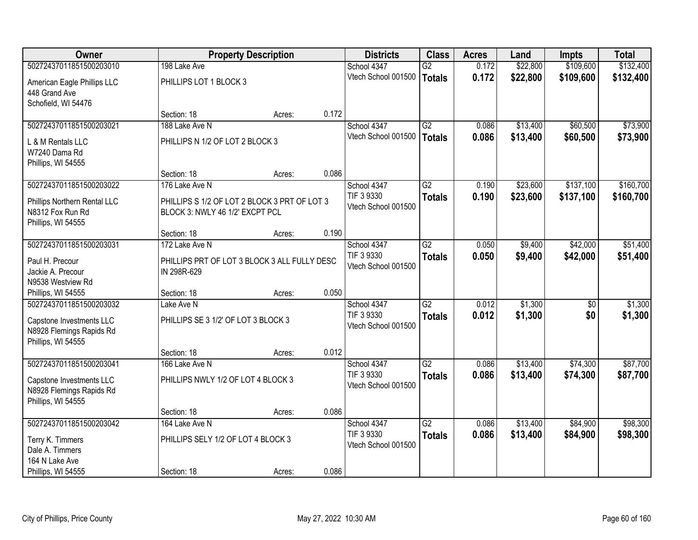| Owner                                                                                                 |                                                                                 | <b>Property Description</b> |       | <b>Districts</b>                                 | <b>Class</b>                     | <b>Acres</b>   | Land               | <b>Impts</b> | <b>Total</b>       |
|-------------------------------------------------------------------------------------------------------|---------------------------------------------------------------------------------|-----------------------------|-------|--------------------------------------------------|----------------------------------|----------------|--------------------|--------------|--------------------|
| 50272437011851500203010                                                                               | 198 Lake Ave                                                                    |                             |       | School 4347                                      | G2                               | 0.172          | \$22,800           | \$109,600    | \$132,400          |
| American Eagle Phillips LLC<br>448 Grand Ave<br>Schofield, WI 54476                                   | PHILLIPS LOT 1 BLOCK 3                                                          |                             |       | Vtech School 001500                              | <b>Totals</b>                    | 0.172          | \$22,800           | \$109,600    | \$132,400          |
|                                                                                                       | Section: 18                                                                     | Acres:                      | 0.172 |                                                  |                                  |                |                    |              |                    |
| 50272437011851500203021                                                                               | 188 Lake Ave N                                                                  |                             |       | School 4347                                      | $\overline{G2}$                  | 0.086          | \$13,400           | \$60,500     | \$73,900           |
| L & M Rentals LLC<br>W7240 Dama Rd<br>Phillips, WI 54555                                              | PHILLIPS N 1/2 OF LOT 2 BLOCK 3                                                 |                             |       | Vtech School 001500                              | <b>Totals</b>                    | 0.086          | \$13,400           | \$60,500     | \$73,900           |
|                                                                                                       | Section: 18                                                                     | Acres:                      | 0.086 |                                                  |                                  |                |                    |              |                    |
| 50272437011851500203022                                                                               | 176 Lake Ave N                                                                  |                             |       | School 4347                                      | $\overline{G2}$                  | 0.190          | \$23,600           | \$137,100    | \$160,700          |
| Phillips Northern Rental LLC<br>N8312 Fox Run Rd<br>Phillips, WI 54555                                | PHILLIPS S 1/2 OF LOT 2 BLOCK 3 PRT OF LOT 3<br>BLOCK 3: NWLY 46 1/2' EXCPT PCL |                             |       | TIF 3 9330<br>Vtech School 001500                | <b>Totals</b>                    | 0.190          | \$23,600           | \$137,100    | \$160,700          |
|                                                                                                       | Section: 18                                                                     | Acres:                      | 0.190 |                                                  |                                  |                |                    |              |                    |
| 50272437011851500203031                                                                               | 172 Lake Ave N                                                                  |                             |       | School 4347                                      | $\overline{G2}$                  | 0.050          | \$9,400            | \$42,000     | \$51,400           |
| Paul H. Precour<br>Jackie A. Precour<br>N9538 Westview Rd                                             | PHILLIPS PRT OF LOT 3 BLOCK 3 ALL FULLY DESC<br>IN 298R-629                     |                             |       | TIF 3 9330<br>Vtech School 001500                | <b>Totals</b>                    | 0.050          | \$9,400            | \$42,000     | \$51,400           |
| Phillips, WI 54555                                                                                    | Section: 18                                                                     | Acres:                      | 0.050 |                                                  |                                  |                |                    |              |                    |
| 50272437011851500203032<br>Capstone Investments LLC<br>N8928 Flemings Rapids Rd<br>Phillips, WI 54555 | Lake Ave N<br>PHILLIPS SE 3 1/2' OF LOT 3 BLOCK 3                               |                             |       | School 4347<br>TIF 3 9330<br>Vtech School 001500 | $\overline{G2}$<br><b>Totals</b> | 0.012<br>0.012 | \$1,300<br>\$1,300 | \$0<br>\$0   | \$1,300<br>\$1,300 |
|                                                                                                       | Section: 18                                                                     | Acres:                      | 0.012 |                                                  |                                  |                |                    |              |                    |
| 50272437011851500203041                                                                               | 166 Lake Ave N                                                                  |                             |       | School 4347                                      | $\overline{G2}$                  | 0.086          | \$13,400           | \$74,300     | \$87,700           |
| Capstone Investments LLC<br>N8928 Flemings Rapids Rd<br>Phillips, WI 54555                            | PHILLIPS NWLY 1/2 OF LOT 4 BLOCK 3                                              |                             |       | TIF 3 9330<br>Vtech School 001500                | <b>Totals</b>                    | 0.086          | \$13,400           | \$74,300     | \$87,700           |
|                                                                                                       | Section: 18                                                                     | Acres:                      | 0.086 |                                                  |                                  |                |                    |              |                    |
| 50272437011851500203042                                                                               | 164 Lake Ave N                                                                  |                             |       | School 4347                                      | $\overline{G2}$                  | 0.086          | \$13,400           | \$84,900     | \$98,300           |
| Terry K. Timmers<br>Dale A. Timmers<br>164 N Lake Ave                                                 | PHILLIPS SELY 1/2 OF LOT 4 BLOCK 3                                              |                             |       | TIF 3 9330<br>Vtech School 001500                | <b>Totals</b>                    | 0.086          | \$13,400           | \$84,900     | \$98,300           |
| Phillips, WI 54555                                                                                    | Section: 18                                                                     | Acres:                      | 0.086 |                                                  |                                  |                |                    |              |                    |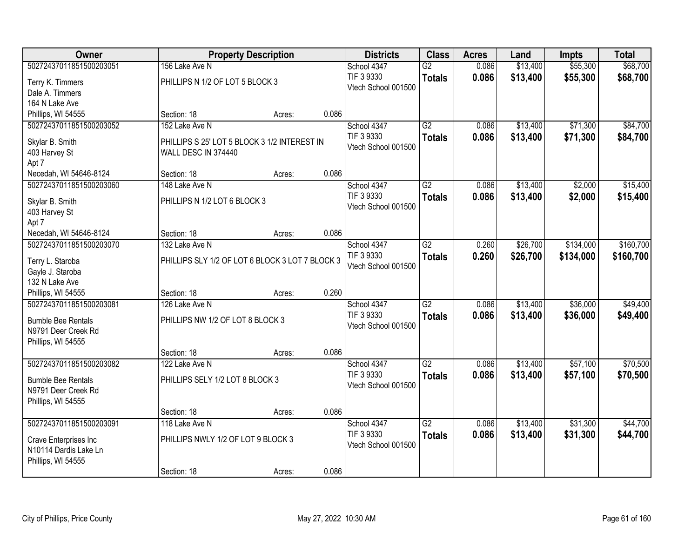| Owner                              |                                                 | <b>Property Description</b> |       | <b>Districts</b>          | <b>Class</b>    | <b>Acres</b> | Land     | <b>Impts</b> | <b>Total</b> |
|------------------------------------|-------------------------------------------------|-----------------------------|-------|---------------------------|-----------------|--------------|----------|--------------|--------------|
| 50272437011851500203051            | 156 Lake Ave N                                  |                             |       | School 4347               | $\overline{G2}$ | 0.086        | \$13,400 | \$55,300     | \$68,700     |
| Terry K. Timmers                   | PHILLIPS N 1/2 OF LOT 5 BLOCK 3                 |                             |       | TIF 3 9330                | <b>Totals</b>   | 0.086        | \$13,400 | \$55,300     | \$68,700     |
| Dale A. Timmers                    |                                                 |                             |       | Vtech School 001500       |                 |              |          |              |              |
| 164 N Lake Ave                     |                                                 |                             |       |                           |                 |              |          |              |              |
| Phillips, WI 54555                 | Section: 18                                     | Acres:                      | 0.086 |                           |                 |              |          |              |              |
| 50272437011851500203052            | 152 Lake Ave N                                  |                             |       | School 4347               | $\overline{G2}$ | 0.086        | \$13,400 | \$71,300     | \$84,700     |
| Skylar B. Smith                    | PHILLIPS S 25' LOT 5 BLOCK 3 1/2 INTEREST IN    |                             |       | TIF 3 9330                | <b>Totals</b>   | 0.086        | \$13,400 | \$71,300     | \$84,700     |
| 403 Harvey St                      | WALL DESC IN 374440                             |                             |       | Vtech School 001500       |                 |              |          |              |              |
| Apt 7                              |                                                 |                             |       |                           |                 |              |          |              |              |
| Necedah, WI 54646-8124             | Section: 18                                     | Acres:                      | 0.086 |                           |                 |              |          |              |              |
| 50272437011851500203060            | 148 Lake Ave N                                  |                             |       | School 4347               | G2              | 0.086        | \$13,400 | \$2,000      | \$15,400     |
| Skylar B. Smith                    | PHILLIPS N 1/2 LOT 6 BLOCK 3                    |                             |       | TIF 3 9330                | <b>Totals</b>   | 0.086        | \$13,400 | \$2,000      | \$15,400     |
| 403 Harvey St                      |                                                 |                             |       | Vtech School 001500       |                 |              |          |              |              |
| Apt 7                              |                                                 |                             |       |                           |                 |              |          |              |              |
| Necedah, WI 54646-8124             | Section: 18                                     | Acres:                      | 0.086 |                           |                 |              |          |              |              |
| 50272437011851500203070            | 132 Lake Ave N                                  |                             |       | School 4347               | $\overline{G2}$ | 0.260        | \$26,700 | \$134,000    | \$160,700    |
|                                    |                                                 |                             |       | TIF 3 9330                | <b>Totals</b>   | 0.260        | \$26,700 | \$134,000    | \$160,700    |
| Terry L. Staroba                   | PHILLIPS SLY 1/2 OF LOT 6 BLOCK 3 LOT 7 BLOCK 3 |                             |       | Vtech School 001500       |                 |              |          |              |              |
| Gayle J. Staroba<br>132 N Lake Ave |                                                 |                             |       |                           |                 |              |          |              |              |
| Phillips, WI 54555                 | Section: 18                                     | Acres:                      | 0.260 |                           |                 |              |          |              |              |
| 50272437011851500203081            | 126 Lake Ave N                                  |                             |       | School 4347               | $\overline{G2}$ | 0.086        | \$13,400 | \$36,000     | \$49,400     |
|                                    |                                                 |                             |       | TIF 3 9330                | <b>Totals</b>   | 0.086        | \$13,400 | \$36,000     | \$49,400     |
| <b>Bumble Bee Rentals</b>          | PHILLIPS NW 1/2 OF LOT 8 BLOCK 3                |                             |       | Vtech School 001500       |                 |              |          |              |              |
| N9791 Deer Creek Rd                |                                                 |                             |       |                           |                 |              |          |              |              |
| Phillips, WI 54555                 |                                                 |                             |       |                           |                 |              |          |              |              |
|                                    | Section: 18                                     | Acres:                      | 0.086 |                           |                 |              |          |              |              |
| 50272437011851500203082            | 122 Lake Ave N                                  |                             |       | School 4347<br>TIF 3 9330 | G2              | 0.086        | \$13,400 | \$57,100     | \$70,500     |
| <b>Bumble Bee Rentals</b>          | PHILLIPS SELY 1/2 LOT 8 BLOCK 3                 |                             |       | Vtech School 001500       | <b>Totals</b>   | 0.086        | \$13,400 | \$57,100     | \$70,500     |
| N9791 Deer Creek Rd                |                                                 |                             |       |                           |                 |              |          |              |              |
| Phillips, WI 54555                 |                                                 |                             |       |                           |                 |              |          |              |              |
|                                    | Section: 18                                     | Acres:                      | 0.086 |                           |                 |              |          |              |              |
| 50272437011851500203091            | 118 Lake Ave N                                  |                             |       | School 4347               | $\overline{G2}$ | 0.086        | \$13,400 | \$31,300     | \$44,700     |
| Crave Enterprises Inc              | PHILLIPS NWLY 1/2 OF LOT 9 BLOCK 3              |                             |       | TIF 3 9330                | <b>Totals</b>   | 0.086        | \$13,400 | \$31,300     | \$44,700     |
| N10114 Dardis Lake Ln              |                                                 |                             |       | Vtech School 001500       |                 |              |          |              |              |
| Phillips, WI 54555                 |                                                 |                             |       |                           |                 |              |          |              |              |
|                                    | Section: 18                                     | Acres:                      | 0.086 |                           |                 |              |          |              |              |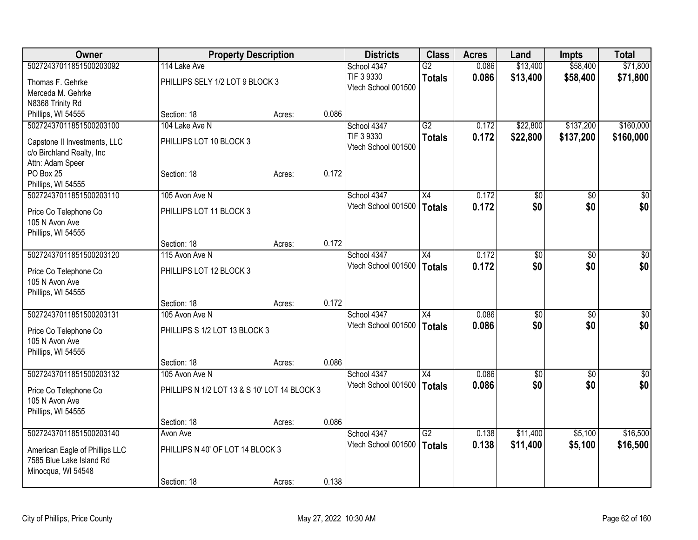| Owner                                         | <b>Property Description</b>                  |        | <b>Districts</b>    | <b>Class</b>    | <b>Acres</b> | Land            | <b>Impts</b>    | <b>Total</b>    |
|-----------------------------------------------|----------------------------------------------|--------|---------------------|-----------------|--------------|-----------------|-----------------|-----------------|
| 50272437011851500203092                       | 114 Lake Ave                                 |        | School 4347         | $\overline{G2}$ | 0.086        | \$13,400        | \$58,400        | \$71,800        |
| Thomas F. Gehrke                              | PHILLIPS SELY 1/2 LOT 9 BLOCK 3              |        | TIF 3 9330          | <b>Totals</b>   | 0.086        | \$13,400        | \$58,400        | \$71,800        |
| Merceda M. Gehrke                             |                                              |        | Vtech School 001500 |                 |              |                 |                 |                 |
| N8368 Trinity Rd                              |                                              |        |                     |                 |              |                 |                 |                 |
| Phillips, WI 54555                            | Section: 18                                  | Acres: | 0.086               |                 |              |                 |                 |                 |
| 50272437011851500203100                       | 104 Lake Ave N                               |        | School 4347         | $\overline{G2}$ | 0.172        | \$22,800        | \$137,200       | \$160,000       |
|                                               | PHILLIPS LOT 10 BLOCK 3                      |        | TIF 3 9330          | <b>Totals</b>   | 0.172        | \$22,800        | \$137,200       | \$160,000       |
| Capstone II Investments, LLC                  |                                              |        | Vtech School 001500 |                 |              |                 |                 |                 |
| c/o Birchland Realty, Inc<br>Attn: Adam Speer |                                              |        |                     |                 |              |                 |                 |                 |
| PO Box 25                                     | Section: 18                                  | Acres: | 0.172               |                 |              |                 |                 |                 |
| Phillips, WI 54555                            |                                              |        |                     |                 |              |                 |                 |                 |
| 50272437011851500203110                       | 105 Avon Ave N                               |        | School 4347         | X4              | 0.172        | \$0             | $\sqrt[6]{}$    | \$0             |
|                                               |                                              |        | Vtech School 001500 | <b>Totals</b>   | 0.172        | \$0             | \$0             | \$0             |
| Price Co Telephone Co                         | PHILLIPS LOT 11 BLOCK 3                      |        |                     |                 |              |                 |                 |                 |
| 105 N Avon Ave                                |                                              |        |                     |                 |              |                 |                 |                 |
| Phillips, WI 54555                            |                                              |        |                     |                 |              |                 |                 |                 |
|                                               | Section: 18                                  | Acres: | 0.172               |                 |              |                 |                 |                 |
| 50272437011851500203120                       | 115 Avon Ave N                               |        | School 4347         | X4              | 0.172        | \$0             | \$0             | \$0             |
| Price Co Telephone Co                         | PHILLIPS LOT 12 BLOCK 3                      |        | Vtech School 001500 | <b>Totals</b>   | 0.172        | \$0             | \$0             | \$0             |
| 105 N Avon Ave                                |                                              |        |                     |                 |              |                 |                 |                 |
| Phillips, WI 54555                            |                                              |        |                     |                 |              |                 |                 |                 |
|                                               | Section: 18                                  | Acres: | 0.172               |                 |              |                 |                 |                 |
| 50272437011851500203131                       | 105 Avon Ave N                               |        | School 4347         | X4              | 0.086        | \$0             | \$0             | $\overline{50}$ |
|                                               |                                              |        | Vtech School 001500 | <b>Totals</b>   | 0.086        | \$0             | \$0             | \$0             |
| Price Co Telephone Co<br>105 N Avon Ave       | PHILLIPS S 1/2 LOT 13 BLOCK 3                |        |                     |                 |              |                 |                 |                 |
|                                               |                                              |        |                     |                 |              |                 |                 |                 |
| Phillips, WI 54555                            | Section: 18                                  | Acres: | 0.086               |                 |              |                 |                 |                 |
| 50272437011851500203132                       | 105 Avon Ave N                               |        | School 4347         | $\overline{X4}$ | 0.086        | $\overline{30}$ | $\overline{50}$ | $\sqrt{50}$     |
|                                               |                                              |        | Vtech School 001500 | <b>Totals</b>   | 0.086        | \$0             | \$0             | \$0             |
| Price Co Telephone Co                         | PHILLIPS N 1/2 LOT 13 & S 10' LOT 14 BLOCK 3 |        |                     |                 |              |                 |                 |                 |
| 105 N Avon Ave                                |                                              |        |                     |                 |              |                 |                 |                 |
| Phillips, WI 54555                            |                                              |        |                     |                 |              |                 |                 |                 |
|                                               | Section: 18                                  | Acres: | 0.086               |                 |              |                 |                 |                 |
| 50272437011851500203140                       | Avon Ave                                     |        | School 4347         | $\overline{G2}$ | 0.138        | \$11,400        | \$5,100         | \$16,500        |
| American Eagle of Phillips LLC                | PHILLIPS N 40' OF LOT 14 BLOCK 3             |        | Vtech School 001500 | <b>Totals</b>   | 0.138        | \$11,400        | \$5,100         | \$16,500        |
| 7585 Blue Lake Island Rd                      |                                              |        |                     |                 |              |                 |                 |                 |
| Minocqua, WI 54548                            |                                              |        |                     |                 |              |                 |                 |                 |
|                                               | Section: 18                                  | Acres: | 0.138               |                 |              |                 |                 |                 |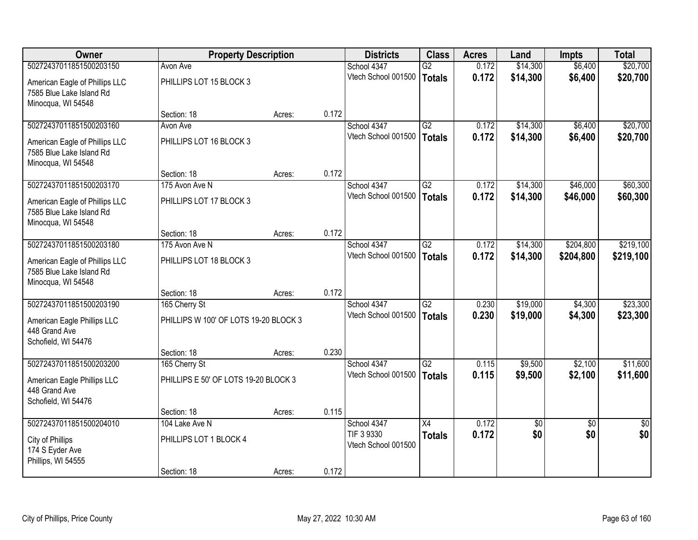| <b>Owner</b>                                                                     | <b>Property Description</b>           |        |       | <b>Districts</b>                  | <b>Class</b>    | <b>Acres</b> | Land            | <b>Impts</b>    | <b>Total</b>    |
|----------------------------------------------------------------------------------|---------------------------------------|--------|-------|-----------------------------------|-----------------|--------------|-----------------|-----------------|-----------------|
| 50272437011851500203150                                                          | Avon Ave                              |        |       | School 4347                       | $\overline{G2}$ | 0.172        | \$14,300        | \$6,400         | \$20,700        |
| American Eagle of Phillips LLC<br>7585 Blue Lake Island Rd<br>Minocqua, WI 54548 | PHILLIPS LOT 15 BLOCK 3               |        |       | Vtech School 001500               | <b>Totals</b>   | 0.172        | \$14,300        | \$6,400         | \$20,700        |
|                                                                                  | Section: 18                           | Acres: | 0.172 |                                   |                 |              |                 |                 |                 |
| 50272437011851500203160                                                          | Avon Ave                              |        |       | School 4347                       | $\overline{G2}$ | 0.172        | \$14,300        | \$6,400         | \$20,700        |
| American Eagle of Phillips LLC<br>7585 Blue Lake Island Rd<br>Minocqua, WI 54548 | PHILLIPS LOT 16 BLOCK 3               |        |       | Vtech School 001500               | <b>Totals</b>   | 0.172        | \$14,300        | \$6,400         | \$20,700        |
|                                                                                  | Section: 18                           | Acres: | 0.172 |                                   |                 |              |                 |                 |                 |
| 50272437011851500203170                                                          | 175 Avon Ave N                        |        |       | School 4347                       | G2              | 0.172        | \$14,300        | \$46,000        | \$60,300        |
| American Eagle of Phillips LLC<br>7585 Blue Lake Island Rd<br>Minocqua, WI 54548 | PHILLIPS LOT 17 BLOCK 3               |        |       | Vtech School 001500               | <b>Totals</b>   | 0.172        | \$14,300        | \$46,000        | \$60,300        |
|                                                                                  | Section: 18                           | Acres: | 0.172 |                                   |                 |              |                 |                 |                 |
| 50272437011851500203180                                                          | 175 Avon Ave N                        |        |       | School 4347                       | $\overline{G2}$ | 0.172        | \$14,300        | \$204,800       | \$219,100       |
| American Eagle of Phillips LLC<br>7585 Blue Lake Island Rd<br>Minocqua, WI 54548 | PHILLIPS LOT 18 BLOCK 3               |        |       | Vtech School 001500               | <b>Totals</b>   | 0.172        | \$14,300        | \$204,800       | \$219,100       |
|                                                                                  | Section: 18                           | Acres: | 0.172 |                                   |                 |              |                 |                 |                 |
| 50272437011851500203190                                                          | 165 Cherry St                         |        |       | School 4347                       | $\overline{G2}$ | 0.230        | \$19,000        | \$4,300         | \$23,300        |
| American Eagle Phillips LLC<br>448 Grand Ave<br>Schofield, WI 54476              | PHILLIPS W 100' OF LOTS 19-20 BLOCK 3 |        |       | Vtech School 001500               | <b>Totals</b>   | 0.230        | \$19,000        | \$4,300         | \$23,300        |
|                                                                                  | Section: 18                           | Acres: | 0.230 |                                   |                 |              |                 |                 |                 |
| 50272437011851500203200                                                          | 165 Cherry St                         |        |       | School 4347                       | $\overline{G2}$ | 0.115        | \$9,500         | \$2,100         | \$11,600        |
| American Eagle Phillips LLC<br>448 Grand Ave<br>Schofield, WI 54476              | PHILLIPS E 50' OF LOTS 19-20 BLOCK 3  |        |       | Vtech School 001500               | <b>Totals</b>   | 0.115        | \$9,500         | \$2,100         | \$11,600        |
|                                                                                  | Section: 18                           | Acres: | 0.115 |                                   |                 |              |                 |                 |                 |
| 50272437011851500204010                                                          | 104 Lake Ave N                        |        |       | School 4347                       | $\overline{X4}$ | 0.172        | $\overline{50}$ | $\overline{30}$ | $\overline{30}$ |
| City of Phillips<br>174 S Eyder Ave<br>Phillips, WI 54555                        | PHILLIPS LOT 1 BLOCK 4                |        |       | TIF 3 9330<br>Vtech School 001500 | <b>Totals</b>   | 0.172        | \$0             | \$0             | \$0             |
|                                                                                  | Section: 18                           | Acres: | 0.172 |                                   |                 |              |                 |                 |                 |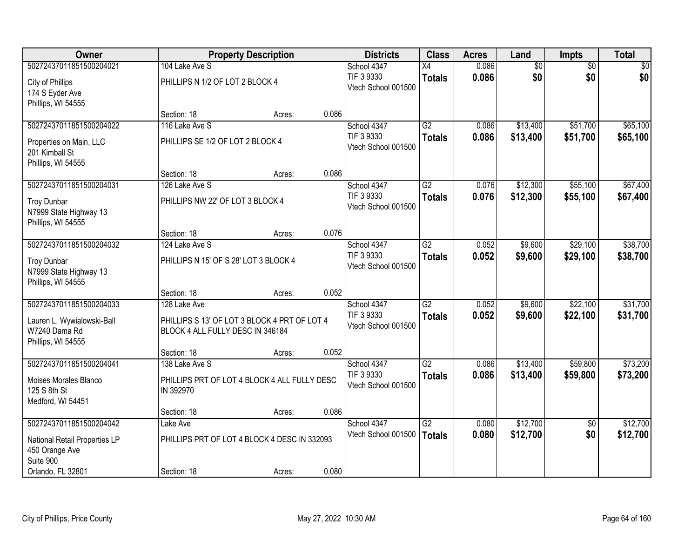| <b>Owner</b>                                                       |                                                                                  | <b>Property Description</b> |       | <b>Districts</b>                  | <b>Class</b>    | <b>Acres</b> | Land     | <b>Impts</b>    | <b>Total</b> |
|--------------------------------------------------------------------|----------------------------------------------------------------------------------|-----------------------------|-------|-----------------------------------|-----------------|--------------|----------|-----------------|--------------|
| 50272437011851500204021                                            | 104 Lake Ave S                                                                   |                             |       | School 4347                       | X4              | 0.086        | \$0      | $\overline{50}$ | \$0          |
| City of Phillips<br>174 S Eyder Ave<br>Phillips, WI 54555          | PHILLIPS N 1/2 OF LOT 2 BLOCK 4                                                  |                             |       | TIF 3 9330<br>Vtech School 001500 | <b>Totals</b>   | 0.086        | \$0      | \$0             | \$0          |
|                                                                    | Section: 18                                                                      | Acres:                      | 0.086 |                                   |                 |              |          |                 |              |
| 50272437011851500204022                                            | 116 Lake Ave S                                                                   |                             |       | School 4347                       | $\overline{G2}$ | 0.086        | \$13,400 | \$51,700        | \$65,100     |
| Properties on Main, LLC<br>201 Kimball St<br>Phillips, WI 54555    | PHILLIPS SE 1/2 OF LOT 2 BLOCK 4                                                 |                             |       | TIF 3 9330<br>Vtech School 001500 | <b>Totals</b>   | 0.086        | \$13,400 | \$51,700        | \$65,100     |
|                                                                    | Section: 18                                                                      | Acres:                      | 0.086 |                                   |                 |              |          |                 |              |
| 50272437011851500204031                                            | 126 Lake Ave S                                                                   |                             |       | School 4347                       | $\overline{G2}$ | 0.076        | \$12,300 | \$55,100        | \$67,400     |
| <b>Troy Dunbar</b><br>N7999 State Highway 13<br>Phillips, WI 54555 | PHILLIPS NW 22' OF LOT 3 BLOCK 4                                                 |                             |       | TIF 3 9330<br>Vtech School 001500 | <b>Totals</b>   | 0.076        | \$12,300 | \$55,100        | \$67,400     |
|                                                                    | Section: 18                                                                      | Acres:                      | 0.076 |                                   |                 |              |          |                 |              |
| 50272437011851500204032                                            | 124 Lake Ave S                                                                   |                             |       | School 4347                       | $\overline{G2}$ | 0.052        | \$9,600  | \$29,100        | \$38,700     |
| <b>Troy Dunbar</b><br>N7999 State Highway 13<br>Phillips, WI 54555 | PHILLIPS N 15' OF S 28' LOT 3 BLOCK 4                                            |                             |       | TIF 3 9330<br>Vtech School 001500 | <b>Totals</b>   | 0.052        | \$9,600  | \$29,100        | \$38,700     |
|                                                                    | Section: 18                                                                      | Acres:                      | 0.052 |                                   |                 |              |          |                 |              |
| 50272437011851500204033                                            | 128 Lake Ave                                                                     |                             |       | School 4347                       | $\overline{G2}$ | 0.052        | \$9,600  | \$22,100        | \$31,700     |
| Lauren L. Wywialowski-Ball<br>W7240 Dama Rd<br>Phillips, WI 54555  | PHILLIPS S 13' OF LOT 3 BLOCK 4 PRT OF LOT 4<br>BLOCK 4 ALL FULLY DESC IN 346184 |                             |       | TIF 3 9330<br>Vtech School 001500 | <b>Totals</b>   | 0.052        | \$9,600  | \$22,100        | \$31,700     |
|                                                                    | Section: 18                                                                      | Acres:                      | 0.052 |                                   |                 |              |          |                 |              |
| 50272437011851500204041                                            | 138 Lake Ave S                                                                   |                             |       | School 4347                       | $\overline{G2}$ | 0.086        | \$13,400 | \$59,800        | \$73,200     |
| Moises Morales Blanco<br>125 S 8th St<br>Medford, WI 54451         | PHILLIPS PRT OF LOT 4 BLOCK 4 ALL FULLY DESC<br>IN 392970                        |                             |       | TIF 3 9330<br>Vtech School 001500 | <b>Totals</b>   | 0.086        | \$13,400 | \$59,800        | \$73,200     |
|                                                                    | Section: 18                                                                      | Acres:                      | 0.086 |                                   |                 |              |          |                 |              |
| 50272437011851500204042                                            | Lake Ave                                                                         |                             |       | School 4347                       | $\overline{G2}$ | 0.080        | \$12,700 | $\overline{50}$ | \$12,700     |
| National Retail Properties LP<br>450 Orange Ave<br>Suite 900       | PHILLIPS PRT OF LOT 4 BLOCK 4 DESC IN 332093                                     |                             |       | Vtech School 001500               | <b>Totals</b>   | 0.080        | \$12,700 | \$0             | \$12,700     |
| Orlando, FL 32801                                                  | Section: 18                                                                      | Acres:                      | 0.080 |                                   |                 |              |          |                 |              |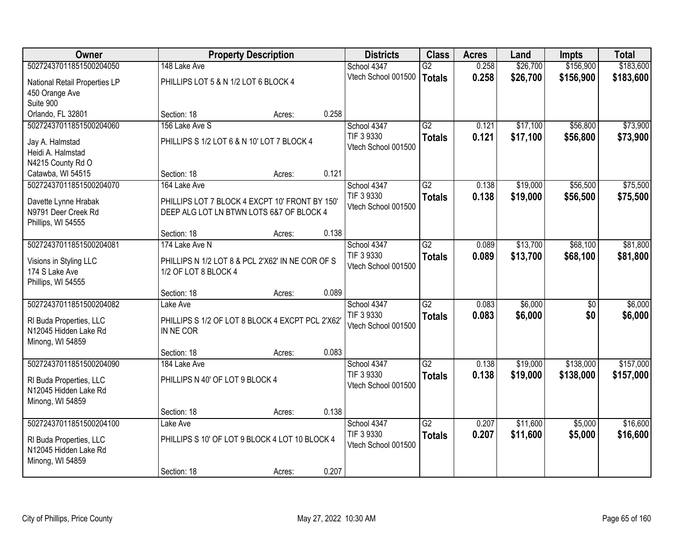| Owner                         |                                                  | <b>Property Description</b> |       | <b>Districts</b>                  | <b>Class</b>    | <b>Acres</b> | Land     | <b>Impts</b>    | <b>Total</b> |
|-------------------------------|--------------------------------------------------|-----------------------------|-------|-----------------------------------|-----------------|--------------|----------|-----------------|--------------|
| 50272437011851500204050       | 148 Lake Ave                                     |                             |       | School 4347                       | G2              | 0.258        | \$26,700 | \$156,900       | \$183,600    |
| National Retail Properties LP | PHILLIPS LOT 5 & N 1/2 LOT 6 BLOCK 4             |                             |       | Vtech School 001500               | <b>Totals</b>   | 0.258        | \$26,700 | \$156,900       | \$183,600    |
| 450 Orange Ave                |                                                  |                             |       |                                   |                 |              |          |                 |              |
| Suite 900                     |                                                  |                             |       |                                   |                 |              |          |                 |              |
| Orlando, FL 32801             | Section: 18                                      | Acres:                      | 0.258 |                                   |                 |              |          |                 |              |
| 50272437011851500204060       | 156 Lake Ave S                                   |                             |       | School 4347                       | $\overline{G2}$ | 0.121        | \$17,100 | \$56,800        | \$73,900     |
| Jay A. Halmstad               | PHILLIPS S 1/2 LOT 6 & N 10' LOT 7 BLOCK 4       |                             |       | TIF 3 9330                        | <b>Totals</b>   | 0.121        | \$17,100 | \$56,800        | \$73,900     |
| Heidi A. Halmstad             |                                                  |                             |       | Vtech School 001500               |                 |              |          |                 |              |
| N4215 County Rd O             |                                                  |                             |       |                                   |                 |              |          |                 |              |
| Catawba, WI 54515             | Section: 18                                      | Acres:                      | 0.121 |                                   |                 |              |          |                 |              |
| 50272437011851500204070       | 164 Lake Ave                                     |                             |       | School 4347                       | G2              | 0.138        | \$19,000 | \$56,500        | \$75,500     |
| Davette Lynne Hrabak          | PHILLIPS LOT 7 BLOCK 4 EXCPT 10' FRONT BY 150'   |                             |       | TIF 3 9330                        | <b>Totals</b>   | 0.138        | \$19,000 | \$56,500        | \$75,500     |
| N9791 Deer Creek Rd           | DEEP ALG LOT LN BTWN LOTS 6&7 OF BLOCK 4         |                             |       | Vtech School 001500               |                 |              |          |                 |              |
| Phillips, WI 54555            |                                                  |                             |       |                                   |                 |              |          |                 |              |
|                               | Section: 18                                      | Acres:                      | 0.138 |                                   |                 |              |          |                 |              |
| 50272437011851500204081       | 174 Lake Ave N                                   |                             |       | School 4347                       | $\overline{G2}$ | 0.089        | \$13,700 | \$68,100        | \$81,800     |
| Visions in Styling LLC        | PHILLIPS N 1/2 LOT 8 & PCL 2'X62' IN NE COR OF S |                             |       | TIF 3 9330                        | <b>Totals</b>   | 0.089        | \$13,700 | \$68,100        | \$81,800     |
| 174 S Lake Ave                | 1/2 OF LOT 8 BLOCK 4                             |                             |       | Vtech School 001500               |                 |              |          |                 |              |
| Phillips, WI 54555            |                                                  |                             |       |                                   |                 |              |          |                 |              |
|                               | Section: 18                                      | Acres:                      | 0.089 |                                   |                 |              |          |                 |              |
| 50272437011851500204082       | Lake Ave                                         |                             |       | School 4347                       | $\overline{G2}$ | 0.083        | \$6,000  | $\overline{50}$ | \$6,000      |
| RI Buda Properties, LLC       | PHILLIPS S 1/2 OF LOT 8 BLOCK 4 EXCPT PCL 2'X62' |                             |       | TIF 3 9330                        | <b>Totals</b>   | 0.083        | \$6,000  | \$0             | \$6,000      |
| N12045 Hidden Lake Rd         | IN NE COR                                        |                             |       | Vtech School 001500               |                 |              |          |                 |              |
| Minong, WI 54859              |                                                  |                             |       |                                   |                 |              |          |                 |              |
|                               | Section: 18                                      | Acres:                      | 0.083 |                                   |                 |              |          |                 |              |
| 50272437011851500204090       | 184 Lake Ave                                     |                             |       | School 4347                       | $\overline{G2}$ | 0.138        | \$19,000 | \$138,000       | \$157,000    |
| RI Buda Properties, LLC       | PHILLIPS N 40' OF LOT 9 BLOCK 4                  |                             |       | TIF 3 9330                        | <b>Totals</b>   | 0.138        | \$19,000 | \$138,000       | \$157,000    |
| N12045 Hidden Lake Rd         |                                                  |                             |       | Vtech School 001500               |                 |              |          |                 |              |
| Minong, WI 54859              |                                                  |                             |       |                                   |                 |              |          |                 |              |
|                               | Section: 18                                      | Acres:                      | 0.138 |                                   |                 |              |          |                 |              |
| 50272437011851500204100       | Lake Ave                                         |                             |       | School 4347                       | $\overline{G2}$ | 0.207        | \$11,600 | \$5,000         | \$16,600     |
| RI Buda Properties, LLC       | PHILLIPS S 10' OF LOT 9 BLOCK 4 LOT 10 BLOCK 4   |                             |       | TIF 3 9330<br>Vtech School 001500 | <b>Totals</b>   | 0.207        | \$11,600 | \$5,000         | \$16,600     |
| N12045 Hidden Lake Rd         |                                                  |                             |       |                                   |                 |              |          |                 |              |
| Minong, WI 54859              |                                                  |                             |       |                                   |                 |              |          |                 |              |
|                               | Section: 18                                      | Acres:                      | 0.207 |                                   |                 |              |          |                 |              |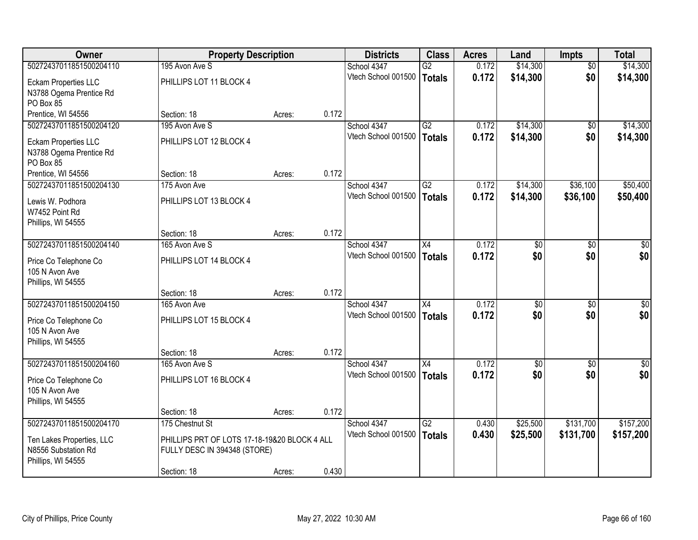| <b>Owner</b>              | <b>Property Description</b>                  |        |       | <b>Districts</b>    | <b>Class</b>    | <b>Acres</b> | Land            | <b>Impts</b>    | <b>Total</b>    |
|---------------------------|----------------------------------------------|--------|-------|---------------------|-----------------|--------------|-----------------|-----------------|-----------------|
| 50272437011851500204110   | 195 Avon Ave S                               |        |       | School 4347         | $\overline{G2}$ | 0.172        | \$14,300        | $\overline{50}$ | \$14,300        |
| Eckam Properties LLC      | PHILLIPS LOT 11 BLOCK 4                      |        |       | Vtech School 001500 | Totals          | 0.172        | \$14,300        | \$0             | \$14,300        |
| N3788 Ogema Prentice Rd   |                                              |        |       |                     |                 |              |                 |                 |                 |
| PO Box 85                 |                                              |        |       |                     |                 |              |                 |                 |                 |
| Prentice, WI 54556        | Section: 18                                  | Acres: | 0.172 |                     |                 |              |                 |                 |                 |
| 50272437011851500204120   | 195 Avon Ave S                               |        |       | School 4347         | G2              | 0.172        | \$14,300        | $\overline{50}$ | \$14,300        |
| Eckam Properties LLC      | PHILLIPS LOT 12 BLOCK 4                      |        |       | Vtech School 001500 | <b>Totals</b>   | 0.172        | \$14,300        | \$0             | \$14,300        |
| N3788 Ogema Prentice Rd   |                                              |        |       |                     |                 |              |                 |                 |                 |
| PO Box 85                 |                                              |        |       |                     |                 |              |                 |                 |                 |
| Prentice, WI 54556        | Section: 18                                  | Acres: | 0.172 |                     |                 |              |                 |                 |                 |
| 50272437011851500204130   | 175 Avon Ave                                 |        |       | School 4347         | G2              | 0.172        | \$14,300        | \$36,100        | \$50,400        |
| Lewis W. Podhora          | PHILLIPS LOT 13 BLOCK 4                      |        |       | Vtech School 001500 | Totals          | 0.172        | \$14,300        | \$36,100        | \$50,400        |
| W7452 Point Rd            |                                              |        |       |                     |                 |              |                 |                 |                 |
| Phillips, WI 54555        |                                              |        |       |                     |                 |              |                 |                 |                 |
|                           | Section: 18                                  | Acres: | 0.172 |                     |                 |              |                 |                 |                 |
| 50272437011851500204140   | 165 Avon Ave S                               |        |       | School 4347         | $\overline{X4}$ | 0.172        | $\overline{50}$ | $\overline{30}$ | $\overline{50}$ |
| Price Co Telephone Co     | PHILLIPS LOT 14 BLOCK 4                      |        |       | Vtech School 001500 | <b>Totals</b>   | 0.172        | \$0             | \$0             | \$0             |
| 105 N Avon Ave            |                                              |        |       |                     |                 |              |                 |                 |                 |
| Phillips, WI 54555        |                                              |        |       |                     |                 |              |                 |                 |                 |
|                           | Section: 18                                  | Acres: | 0.172 |                     |                 |              |                 |                 |                 |
| 50272437011851500204150   | 165 Avon Ave                                 |        |       | School 4347         | $\overline{X4}$ | 0.172        | \$0             | \$0             | $\overline{30}$ |
| Price Co Telephone Co     | PHILLIPS LOT 15 BLOCK 4                      |        |       | Vtech School 001500 | Totals          | 0.172        | \$0             | \$0             | \$0             |
| 105 N Avon Ave            |                                              |        |       |                     |                 |              |                 |                 |                 |
| Phillips, WI 54555        |                                              |        |       |                     |                 |              |                 |                 |                 |
|                           | Section: 18                                  | Acres: | 0.172 |                     |                 |              |                 |                 |                 |
| 50272437011851500204160   | 165 Avon Ave S                               |        |       | School 4347         | $\overline{X4}$ | 0.172        | $\overline{50}$ | \$0             | $\sqrt{50}$     |
| Price Co Telephone Co     | PHILLIPS LOT 16 BLOCK 4                      |        |       | Vtech School 001500 | Totals          | 0.172        | \$0             | \$0             | \$0             |
| 105 N Avon Ave            |                                              |        |       |                     |                 |              |                 |                 |                 |
| Phillips, WI 54555        |                                              |        |       |                     |                 |              |                 |                 |                 |
|                           | Section: 18                                  | Acres: | 0.172 |                     |                 |              |                 |                 |                 |
| 50272437011851500204170   | 175 Chestnut St                              |        |       | School 4347         | G2              | 0.430        | \$25,500        | \$131,700       | \$157,200       |
| Ten Lakes Properties, LLC | PHILLIPS PRT OF LOTS 17-18-19&20 BLOCK 4 ALL |        |       | Vtech School 001500 | Totals          | 0.430        | \$25,500        | \$131,700       | \$157,200       |
| N8556 Substation Rd       | FULLY DESC IN 394348 (STORE)                 |        |       |                     |                 |              |                 |                 |                 |
| Phillips, WI 54555        |                                              |        |       |                     |                 |              |                 |                 |                 |
|                           | Section: 18                                  | Acres: | 0.430 |                     |                 |              |                 |                 |                 |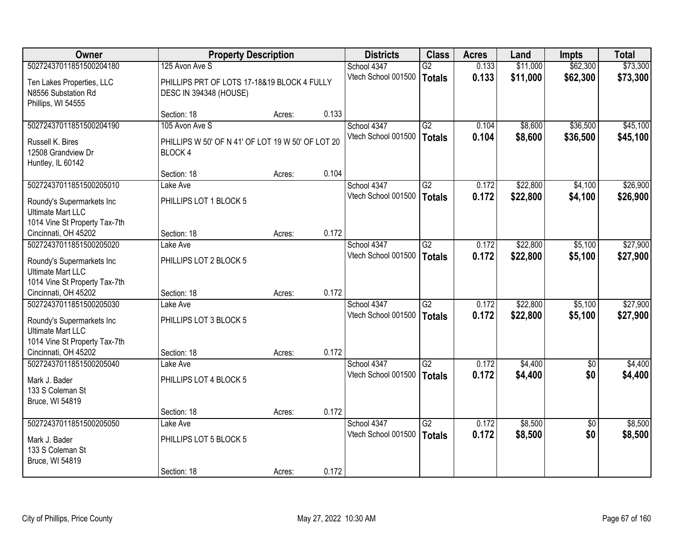| <b>Owner</b>                                                                                                      | <b>Property Description</b>                                           |        |       | <b>Districts</b>                   | <b>Class</b>                     | <b>Acres</b>   | Land                 | Impts              | <b>Total</b>         |
|-------------------------------------------------------------------------------------------------------------------|-----------------------------------------------------------------------|--------|-------|------------------------------------|----------------------------------|----------------|----------------------|--------------------|----------------------|
| 50272437011851500204180                                                                                           | 125 Avon Ave S                                                        |        |       | School 4347                        | $\overline{G2}$                  | 0.133          | \$11,000             | \$62,300           | \$73,300             |
| Ten Lakes Properties, LLC<br>N8556 Substation Rd<br>Phillips, WI 54555                                            | PHILLIPS PRT OF LOTS 17-18&19 BLOCK 4 FULLY<br>DESC IN 394348 (HOUSE) |        |       | Vtech School 001500                | <b>Totals</b>                    | 0.133          | \$11,000             | \$62,300           | \$73,300             |
|                                                                                                                   | Section: 18                                                           | Acres: | 0.133 |                                    |                                  |                |                      |                    |                      |
| 50272437011851500204190                                                                                           | 105 Avon Ave S                                                        |        |       | School 4347                        | G2                               | 0.104          | \$8,600              | \$36,500           | \$45,100             |
| Russell K. Bires<br>12508 Grandview Dr<br>Huntley, IL 60142                                                       | PHILLIPS W 50' OF N 41' OF LOT 19 W 50' OF LOT 20<br>BLOCK 4          |        |       | Vtech School 001500                | <b>Totals</b>                    | 0.104          | \$8,600              | \$36,500           | \$45,100             |
|                                                                                                                   | Section: 18                                                           | Acres: | 0.104 |                                    |                                  |                |                      |                    |                      |
| 50272437011851500205010                                                                                           | Lake Ave                                                              |        |       | School 4347                        | G2                               | 0.172          | \$22,800             | \$4,100            | \$26,900             |
| Roundy's Supermarkets Inc<br><b>Ultimate Mart LLC</b><br>1014 Vine St Property Tax-7th                            | PHILLIPS LOT 1 BLOCK 5                                                |        |       | Vtech School 001500                | <b>Totals</b>                    | 0.172          | \$22,800             | \$4,100            | \$26,900             |
| Cincinnati, OH 45202                                                                                              | Section: 18                                                           | Acres: | 0.172 |                                    |                                  |                |                      |                    |                      |
| 50272437011851500205020                                                                                           | Lake Ave                                                              |        |       | School 4347                        | $\overline{G2}$                  | 0.172          | \$22,800             | \$5,100            | \$27,900             |
| Roundy's Supermarkets Inc<br><b>Ultimate Mart LLC</b><br>1014 Vine St Property Tax-7th                            | PHILLIPS LOT 2 BLOCK 5                                                |        |       | Vtech School 001500                | <b>Totals</b>                    | 0.172          | \$22,800             | \$5,100            | \$27,900             |
| Cincinnati, OH 45202                                                                                              | Section: 18                                                           | Acres: | 0.172 |                                    |                                  |                |                      |                    |                      |
| 50272437011851500205030<br>Roundy's Supermarkets Inc<br><b>Ultimate Mart LLC</b><br>1014 Vine St Property Tax-7th | Lake Ave<br>PHILLIPS LOT 3 BLOCK 5                                    |        |       | School 4347<br>Vtech School 001500 | $\overline{G2}$<br><b>Totals</b> | 0.172<br>0.172 | \$22,800<br>\$22,800 | \$5,100<br>\$5,100 | \$27,900<br>\$27,900 |
| Cincinnati, OH 45202                                                                                              | Section: 18                                                           | Acres: | 0.172 |                                    |                                  |                |                      |                    |                      |
| 50272437011851500205040<br>Mark J. Bader<br>133 S Coleman St<br>Bruce, WI 54819                                   | Lake Ave<br>PHILLIPS LOT 4 BLOCK 5                                    |        |       | School 4347<br>Vtech School 001500 | $\overline{G2}$<br><b>Totals</b> | 0.172<br>0.172 | \$4,400<br>\$4,400   | $\sqrt{6}$<br>\$0  | \$4,400<br>\$4,400   |
|                                                                                                                   | Section: 18                                                           | Acres: | 0.172 |                                    |                                  |                |                      |                    |                      |
| 50272437011851500205050                                                                                           | Lake Ave                                                              |        |       | School 4347                        | $\overline{G2}$                  | 0.172          | \$8,500              | $\overline{50}$    | \$8,500              |
| Mark J. Bader<br>133 S Coleman St<br>Bruce, WI 54819                                                              | PHILLIPS LOT 5 BLOCK 5<br>Section: 18                                 | Acres: | 0.172 | Vtech School 001500                | <b>Totals</b>                    | 0.172          | \$8,500              | \$0                | \$8,500              |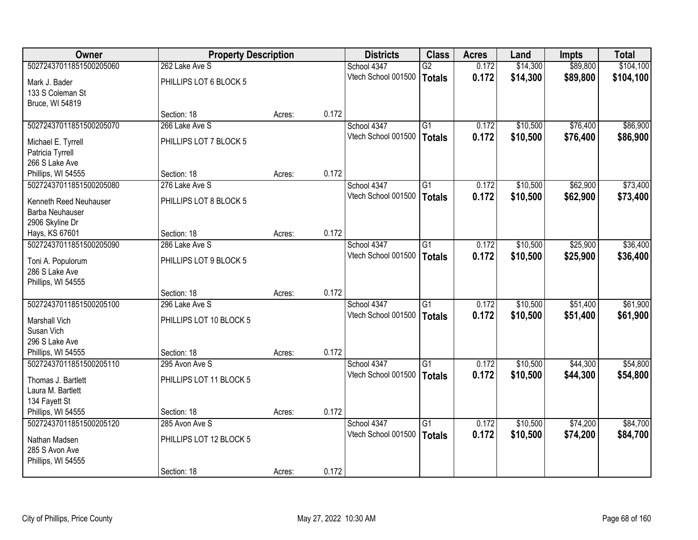| Owner                   | <b>Property Description</b> |        |       | <b>Districts</b>    | <b>Class</b>    | <b>Acres</b> | Land     | <b>Impts</b> | <b>Total</b> |
|-------------------------|-----------------------------|--------|-------|---------------------|-----------------|--------------|----------|--------------|--------------|
| 50272437011851500205060 | 262 Lake Ave S              |        |       | School 4347         | $\overline{G2}$ | 0.172        | \$14,300 | \$89,800     | \$104,100    |
| Mark J. Bader           | PHILLIPS LOT 6 BLOCK 5      |        |       | Vtech School 001500 | <b>Totals</b>   | 0.172        | \$14,300 | \$89,800     | \$104,100    |
| 133 S Coleman St        |                             |        |       |                     |                 |              |          |              |              |
| Bruce, WI 54819         |                             |        |       |                     |                 |              |          |              |              |
|                         | Section: 18                 | Acres: | 0.172 |                     |                 |              |          |              |              |
| 50272437011851500205070 | 266 Lake Ave S              |        |       | School 4347         | $\overline{G1}$ | 0.172        | \$10,500 | \$76,400     | \$86,900     |
| Michael E. Tyrrell      | PHILLIPS LOT 7 BLOCK 5      |        |       | Vtech School 001500 | <b>Totals</b>   | 0.172        | \$10,500 | \$76,400     | \$86,900     |
| Patricia Tyrrell        |                             |        |       |                     |                 |              |          |              |              |
| 266 S Lake Ave          |                             |        |       |                     |                 |              |          |              |              |
| Phillips, WI 54555      | Section: 18                 | Acres: | 0.172 |                     |                 |              |          |              |              |
| 50272437011851500205080 | 276 Lake Ave S              |        |       | School 4347         | $\overline{G1}$ | 0.172        | \$10,500 | \$62,900     | \$73,400     |
| Kenneth Reed Neuhauser  | PHILLIPS LOT 8 BLOCK 5      |        |       | Vtech School 001500 | <b>Totals</b>   | 0.172        | \$10,500 | \$62,900     | \$73,400     |
| Barba Neuhauser         |                             |        |       |                     |                 |              |          |              |              |
| 2906 Skyline Dr         |                             |        |       |                     |                 |              |          |              |              |
| Hays, KS 67601          | Section: 18                 | Acres: | 0.172 |                     |                 |              |          |              |              |
| 50272437011851500205090 | 286 Lake Ave S              |        |       | School 4347         | G1              | 0.172        | \$10,500 | \$25,900     | \$36,400     |
| Toni A. Populorum       | PHILLIPS LOT 9 BLOCK 5      |        |       | Vtech School 001500 | <b>Totals</b>   | 0.172        | \$10,500 | \$25,900     | \$36,400     |
| 286 S Lake Ave          |                             |        |       |                     |                 |              |          |              |              |
| Phillips, WI 54555      |                             |        |       |                     |                 |              |          |              |              |
|                         | Section: 18                 | Acres: | 0.172 |                     |                 |              |          |              |              |
| 50272437011851500205100 | 296 Lake Ave S              |        |       | School 4347         | $\overline{G1}$ | 0.172        | \$10,500 | \$51,400     | \$61,900     |
| Marshall Vich           | PHILLIPS LOT 10 BLOCK 5     |        |       | Vtech School 001500 | <b>Totals</b>   | 0.172        | \$10,500 | \$51,400     | \$61,900     |
| Susan Vich              |                             |        |       |                     |                 |              |          |              |              |
| 296 S Lake Ave          |                             |        |       |                     |                 |              |          |              |              |
| Phillips, WI 54555      | Section: 18                 | Acres: | 0.172 |                     |                 |              |          |              |              |
| 50272437011851500205110 | 295 Avon Ave S              |        |       | School 4347         | G1              | 0.172        | \$10,500 | \$44,300     | \$54,800     |
| Thomas J. Bartlett      | PHILLIPS LOT 11 BLOCK 5     |        |       | Vtech School 001500 | <b>Totals</b>   | 0.172        | \$10,500 | \$44,300     | \$54,800     |
| Laura M. Bartlett       |                             |        |       |                     |                 |              |          |              |              |
| 134 Fayett St           |                             |        |       |                     |                 |              |          |              |              |
| Phillips, WI 54555      | Section: 18                 | Acres: | 0.172 |                     |                 |              |          |              |              |
| 50272437011851500205120 | 285 Avon Ave S              |        |       | School 4347         | $\overline{G1}$ | 0.172        | \$10,500 | \$74,200     | \$84,700     |
| Nathan Madsen           | PHILLIPS LOT 12 BLOCK 5     |        |       | Vtech School 001500 | <b>Totals</b>   | 0.172        | \$10,500 | \$74,200     | \$84,700     |
| 285 S Avon Ave          |                             |        |       |                     |                 |              |          |              |              |
| Phillips, WI 54555      |                             |        |       |                     |                 |              |          |              |              |
|                         | Section: 18                 | Acres: | 0.172 |                     |                 |              |          |              |              |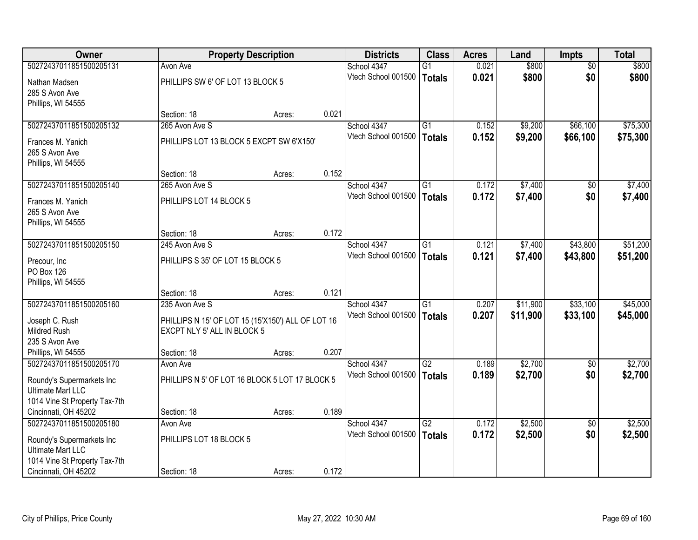| <b>Owner</b>                  |                                                   | <b>Property Description</b> |       | <b>Districts</b>    | <b>Class</b>    | <b>Acres</b> | Land     | <b>Impts</b>    | <b>Total</b> |
|-------------------------------|---------------------------------------------------|-----------------------------|-------|---------------------|-----------------|--------------|----------|-----------------|--------------|
| 50272437011851500205131       | Avon Ave                                          |                             |       | School 4347         | G1              | 0.021        | \$800    | $\overline{50}$ | \$800        |
| Nathan Madsen                 | PHILLIPS SW 6' OF LOT 13 BLOCK 5                  |                             |       | Vtech School 001500 | <b>Totals</b>   | 0.021        | \$800    | \$0             | \$800        |
| 285 S Avon Ave                |                                                   |                             |       |                     |                 |              |          |                 |              |
| Phillips, WI 54555            |                                                   |                             |       |                     |                 |              |          |                 |              |
|                               | Section: 18                                       | Acres:                      | 0.021 |                     |                 |              |          |                 |              |
| 50272437011851500205132       | 265 Avon Ave S                                    |                             |       | School 4347         | $\overline{G1}$ | 0.152        | \$9,200  | \$66,100        | \$75,300     |
| Frances M. Yanich             | PHILLIPS LOT 13 BLOCK 5 EXCPT SW 6'X150'          |                             |       | Vtech School 001500 | <b>Totals</b>   | 0.152        | \$9,200  | \$66,100        | \$75,300     |
| 265 S Avon Ave                |                                                   |                             |       |                     |                 |              |          |                 |              |
| Phillips, WI 54555            |                                                   |                             |       |                     |                 |              |          |                 |              |
|                               | Section: 18                                       | Acres:                      | 0.152 |                     |                 |              |          |                 |              |
| 50272437011851500205140       | 265 Avon Ave S                                    |                             |       | School 4347         | G1              | 0.172        | \$7,400  | \$0             | \$7,400      |
| Frances M. Yanich             | PHILLIPS LOT 14 BLOCK 5                           |                             |       | Vtech School 001500 | Totals          | 0.172        | \$7,400  | \$0             | \$7,400      |
| 265 S Avon Ave                |                                                   |                             |       |                     |                 |              |          |                 |              |
| Phillips, WI 54555            |                                                   |                             |       |                     |                 |              |          |                 |              |
|                               | Section: 18                                       | Acres:                      | 0.172 |                     |                 |              |          |                 |              |
| 50272437011851500205150       | 245 Avon Ave S                                    |                             |       | School 4347         | G1              | 0.121        | \$7,400  | \$43,800        | \$51,200     |
| Precour, Inc.                 | PHILLIPS S 35' OF LOT 15 BLOCK 5                  |                             |       | Vtech School 001500 | <b>Totals</b>   | 0.121        | \$7,400  | \$43,800        | \$51,200     |
| PO Box 126                    |                                                   |                             |       |                     |                 |              |          |                 |              |
| Phillips, WI 54555            |                                                   |                             |       |                     |                 |              |          |                 |              |
|                               | Section: 18                                       | Acres:                      | 0.121 |                     |                 |              |          |                 |              |
| 50272437011851500205160       | 235 Avon Ave S                                    |                             |       | School 4347         | $\overline{G1}$ | 0.207        | \$11,900 | \$33,100        | \$45,000     |
| Joseph C. Rush                | PHILLIPS N 15' OF LOT 15 (15'X150') ALL OF LOT 16 |                             |       | Vtech School 001500 | Totals          | 0.207        | \$11,900 | \$33,100        | \$45,000     |
| <b>Mildred Rush</b>           | EXCPT NLY 5' ALL IN BLOCK 5                       |                             |       |                     |                 |              |          |                 |              |
| 235 S Avon Ave                |                                                   |                             |       |                     |                 |              |          |                 |              |
| Phillips, WI 54555            | Section: 18                                       | Acres:                      | 0.207 |                     |                 |              |          |                 |              |
| 50272437011851500205170       | Avon Ave                                          |                             |       | School 4347         | G2              | 0.189        | \$2,700  | \$0             | \$2,700      |
| Roundy's Supermarkets Inc     | PHILLIPS N 5' OF LOT 16 BLOCK 5 LOT 17 BLOCK 5    |                             |       | Vtech School 001500 | <b>Totals</b>   | 0.189        | \$2,700  | \$0             | \$2,700      |
| <b>Ultimate Mart LLC</b>      |                                                   |                             |       |                     |                 |              |          |                 |              |
| 1014 Vine St Property Tax-7th |                                                   |                             |       |                     |                 |              |          |                 |              |
| Cincinnati, OH 45202          | Section: 18                                       | Acres:                      | 0.189 |                     |                 |              |          |                 |              |
| 50272437011851500205180       | Avon Ave                                          |                             |       | School 4347         | $\overline{G2}$ | 0.172        | \$2,500  | $\overline{50}$ | \$2,500      |
| Roundy's Supermarkets Inc     | PHILLIPS LOT 18 BLOCK 5                           |                             |       | Vtech School 001500 | <b>Totals</b>   | 0.172        | \$2,500  | \$0             | \$2,500      |
| <b>Ultimate Mart LLC</b>      |                                                   |                             |       |                     |                 |              |          |                 |              |
| 1014 Vine St Property Tax-7th |                                                   |                             |       |                     |                 |              |          |                 |              |
| Cincinnati, OH 45202          | Section: 18                                       | Acres:                      | 0.172 |                     |                 |              |          |                 |              |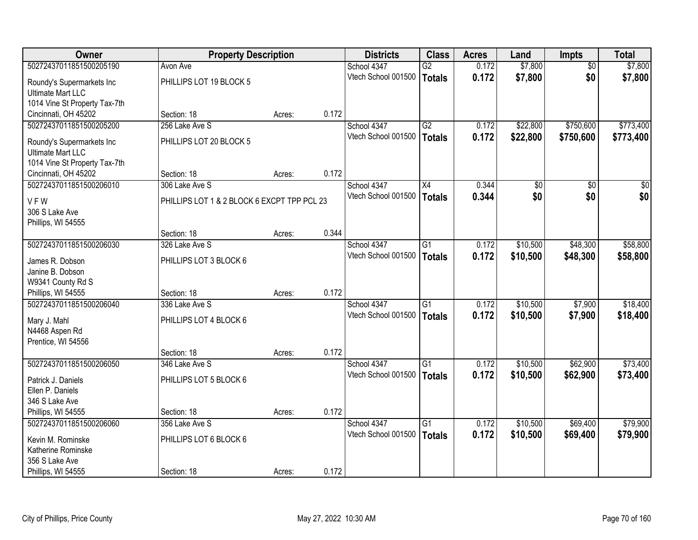| Owner                         | <b>Property Description</b>                 |        |       | <b>Districts</b>    | <b>Class</b>    | <b>Acres</b> | Land            | <b>Impts</b>    | <b>Total</b> |
|-------------------------------|---------------------------------------------|--------|-------|---------------------|-----------------|--------------|-----------------|-----------------|--------------|
| 50272437011851500205190       | Avon Ave                                    |        |       | School 4347         | $\overline{G2}$ | 0.172        | \$7,800         | $\overline{50}$ | \$7,800      |
| Roundy's Supermarkets Inc     | PHILLIPS LOT 19 BLOCK 5                     |        |       | Vtech School 001500 | <b>Totals</b>   | 0.172        | \$7,800         | \$0             | \$7,800      |
| <b>Ultimate Mart LLC</b>      |                                             |        |       |                     |                 |              |                 |                 |              |
| 1014 Vine St Property Tax-7th |                                             |        |       |                     |                 |              |                 |                 |              |
| Cincinnati, OH 45202          | Section: 18                                 | Acres: | 0.172 |                     |                 |              |                 |                 |              |
| 50272437011851500205200       | 256 Lake Ave S                              |        |       | School 4347         | $\overline{G2}$ | 0.172        | \$22,800        | \$750,600       | \$773,400    |
| Roundy's Supermarkets Inc     | PHILLIPS LOT 20 BLOCK 5                     |        |       | Vtech School 001500 | <b>Totals</b>   | 0.172        | \$22,800        | \$750,600       | \$773,400    |
| <b>Ultimate Mart LLC</b>      |                                             |        |       |                     |                 |              |                 |                 |              |
| 1014 Vine St Property Tax-7th |                                             |        |       |                     |                 |              |                 |                 |              |
| Cincinnati, OH 45202          | Section: 18                                 | Acres: | 0.172 |                     |                 |              |                 |                 |              |
| 50272437011851500206010       | 306 Lake Ave S                              |        |       | School 4347         | X4              | 0.344        | $\overline{50}$ | \$0             | $\sqrt{50}$  |
| <b>VFW</b>                    | PHILLIPS LOT 1 & 2 BLOCK 6 EXCPT TPP PCL 23 |        |       | Vtech School 001500 | <b>Totals</b>   | 0.344        | \$0             | \$0             | \$0          |
| 306 S Lake Ave                |                                             |        |       |                     |                 |              |                 |                 |              |
| Phillips, WI 54555            |                                             |        |       |                     |                 |              |                 |                 |              |
|                               | Section: 18                                 | Acres: | 0.344 |                     |                 |              |                 |                 |              |
| 50272437011851500206030       | 326 Lake Ave S                              |        |       | School 4347         | G1              | 0.172        | \$10,500        | \$48,300        | \$58,800     |
| James R. Dobson               | PHILLIPS LOT 3 BLOCK 6                      |        |       | Vtech School 001500 | <b>Totals</b>   | 0.172        | \$10,500        | \$48,300        | \$58,800     |
| Janine B. Dobson              |                                             |        |       |                     |                 |              |                 |                 |              |
| W9341 County Rd S             |                                             |        |       |                     |                 |              |                 |                 |              |
| Phillips, WI 54555            | Section: 18                                 | Acres: | 0.172 |                     |                 |              |                 |                 |              |
| 50272437011851500206040       | 336 Lake Ave S                              |        |       | School 4347         | $\overline{G1}$ | 0.172        | \$10,500        | \$7,900         | \$18,400     |
| Mary J. Mahl                  | PHILLIPS LOT 4 BLOCK 6                      |        |       | Vtech School 001500 | <b>Totals</b>   | 0.172        | \$10,500        | \$7,900         | \$18,400     |
| N4468 Aspen Rd                |                                             |        |       |                     |                 |              |                 |                 |              |
| Prentice, WI 54556            |                                             |        |       |                     |                 |              |                 |                 |              |
|                               | Section: 18                                 | Acres: | 0.172 |                     |                 |              |                 |                 |              |
| 50272437011851500206050       | 346 Lake Ave S                              |        |       | School 4347         | G1              | 0.172        | \$10,500        | \$62,900        | \$73,400     |
| Patrick J. Daniels            | PHILLIPS LOT 5 BLOCK 6                      |        |       | Vtech School 001500 | <b>Totals</b>   | 0.172        | \$10,500        | \$62,900        | \$73,400     |
| Ellen P. Daniels              |                                             |        |       |                     |                 |              |                 |                 |              |
| 346 S Lake Ave                |                                             |        |       |                     |                 |              |                 |                 |              |
| Phillips, WI 54555            | Section: 18                                 | Acres: | 0.172 |                     |                 |              |                 |                 |              |
| 50272437011851500206060       | 356 Lake Ave S                              |        |       | School 4347         | $\overline{G1}$ | 0.172        | \$10,500        | \$69,400        | \$79,900     |
| Kevin M. Rominske             | PHILLIPS LOT 6 BLOCK 6                      |        |       | Vtech School 001500 | <b>Totals</b>   | 0.172        | \$10,500        | \$69,400        | \$79,900     |
| Katherine Rominske            |                                             |        |       |                     |                 |              |                 |                 |              |
| 356 S Lake Ave                |                                             |        |       |                     |                 |              |                 |                 |              |
| Phillips, WI 54555            | Section: 18                                 | Acres: | 0.172 |                     |                 |              |                 |                 |              |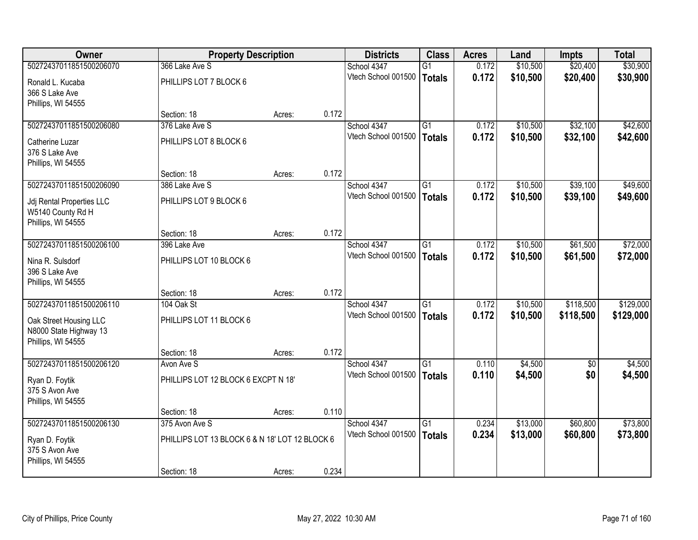| Owner                     | <b>Property Description</b>                    |        |       | <b>Districts</b>    | <b>Class</b>    | <b>Acres</b> | Land     | <b>Impts</b>    | <b>Total</b> |
|---------------------------|------------------------------------------------|--------|-------|---------------------|-----------------|--------------|----------|-----------------|--------------|
| 50272437011851500206070   | 366 Lake Ave S                                 |        |       | School 4347         | $\overline{G1}$ | 0.172        | \$10,500 | \$20,400        | \$30,900     |
| Ronald L. Kucaba          | PHILLIPS LOT 7 BLOCK 6                         |        |       | Vtech School 001500 | <b>Totals</b>   | 0.172        | \$10,500 | \$20,400        | \$30,900     |
| 366 S Lake Ave            |                                                |        |       |                     |                 |              |          |                 |              |
| Phillips, WI 54555        |                                                |        |       |                     |                 |              |          |                 |              |
|                           | Section: 18                                    | Acres: | 0.172 |                     |                 |              |          |                 |              |
| 50272437011851500206080   | 376 Lake Ave S                                 |        |       | School 4347         | G1              | 0.172        | \$10,500 | \$32,100        | \$42,600     |
| Catherine Luzar           | PHILLIPS LOT 8 BLOCK 6                         |        |       | Vtech School 001500 | <b>Totals</b>   | 0.172        | \$10,500 | \$32,100        | \$42,600     |
| 376 S Lake Ave            |                                                |        |       |                     |                 |              |          |                 |              |
| Phillips, WI 54555        |                                                |        |       |                     |                 |              |          |                 |              |
|                           | Section: 18                                    | Acres: | 0.172 |                     |                 |              |          |                 |              |
| 50272437011851500206090   | 386 Lake Ave S                                 |        |       | School 4347         | G1              | 0.172        | \$10,500 | \$39,100        | \$49,600     |
| Jdj Rental Properties LLC | PHILLIPS LOT 9 BLOCK 6                         |        |       | Vtech School 001500 | <b>Totals</b>   | 0.172        | \$10,500 | \$39,100        | \$49,600     |
| W5140 County Rd H         |                                                |        |       |                     |                 |              |          |                 |              |
| Phillips, WI 54555        |                                                |        |       |                     |                 |              |          |                 |              |
|                           | Section: 18                                    | Acres: | 0.172 |                     |                 |              |          |                 |              |
| 50272437011851500206100   | 396 Lake Ave                                   |        |       | School 4347         | $\overline{G1}$ | 0.172        | \$10,500 | \$61,500        | \$72,000     |
| Nina R. Sulsdorf          | PHILLIPS LOT 10 BLOCK 6                        |        |       | Vtech School 001500 | <b>Totals</b>   | 0.172        | \$10,500 | \$61,500        | \$72,000     |
| 396 S Lake Ave            |                                                |        |       |                     |                 |              |          |                 |              |
| Phillips, WI 54555        |                                                |        |       |                     |                 |              |          |                 |              |
|                           | Section: 18                                    | Acres: | 0.172 |                     |                 |              |          |                 |              |
| 50272437011851500206110   | 104 Oak St                                     |        |       | School 4347         | $\overline{G1}$ | 0.172        | \$10,500 | \$118,500       | \$129,000    |
| Oak Street Housing LLC    | PHILLIPS LOT 11 BLOCK 6                        |        |       | Vtech School 001500 | <b>Totals</b>   | 0.172        | \$10,500 | \$118,500       | \$129,000    |
| N8000 State Highway 13    |                                                |        |       |                     |                 |              |          |                 |              |
| Phillips, WI 54555        |                                                |        |       |                     |                 |              |          |                 |              |
| 50272437011851500206120   | Section: 18<br>Avon Ave S                      | Acres: | 0.172 | School 4347         | G1              | 0.110        | \$4,500  | $\overline{50}$ | \$4,500      |
|                           |                                                |        |       | Vtech School 001500 | <b>Totals</b>   | 0.110        | \$4,500  | \$0             | \$4,500      |
| Ryan D. Foytik            | PHILLIPS LOT 12 BLOCK 6 EXCPT N 18'            |        |       |                     |                 |              |          |                 |              |
| 375 S Avon Ave            |                                                |        |       |                     |                 |              |          |                 |              |
| Phillips, WI 54555        | Section: 18                                    |        | 0.110 |                     |                 |              |          |                 |              |
| 50272437011851500206130   | 375 Avon Ave S                                 | Acres: |       | School 4347         | $\overline{G1}$ | 0.234        | \$13,000 | \$60,800        | \$73,800     |
|                           |                                                |        |       | Vtech School 001500 | <b>Totals</b>   | 0.234        | \$13,000 | \$60,800        | \$73,800     |
| Ryan D. Foytik            | PHILLIPS LOT 13 BLOCK 6 & N 18' LOT 12 BLOCK 6 |        |       |                     |                 |              |          |                 |              |
| 375 S Avon Ave            |                                                |        |       |                     |                 |              |          |                 |              |
| Phillips, WI 54555        | Section: 18                                    | Acres: | 0.234 |                     |                 |              |          |                 |              |
|                           |                                                |        |       |                     |                 |              |          |                 |              |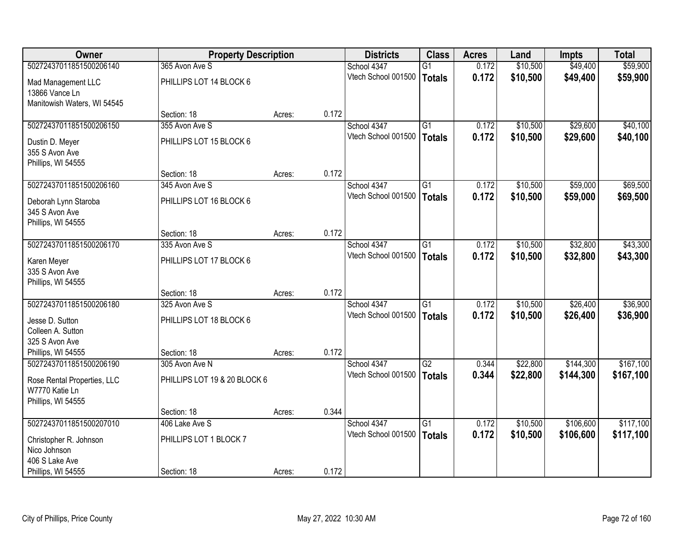| <b>Owner</b>                                                        |                              | <b>Property Description</b> |       | <b>Districts</b>    | <b>Class</b>    | <b>Acres</b> | Land     | Impts     | <b>Total</b> |
|---------------------------------------------------------------------|------------------------------|-----------------------------|-------|---------------------|-----------------|--------------|----------|-----------|--------------|
| 50272437011851500206140                                             | 365 Avon Ave S               |                             |       | School 4347         | $\overline{G1}$ | 0.172        | \$10,500 | \$49,400  | \$59,900     |
| Mad Management LLC<br>13866 Vance Ln                                | PHILLIPS LOT 14 BLOCK 6      |                             |       | Vtech School 001500 | <b>Totals</b>   | 0.172        | \$10,500 | \$49,400  | \$59,900     |
| Manitowish Waters, WI 54545                                         |                              |                             |       |                     |                 |              |          |           |              |
|                                                                     | Section: 18                  | Acres:                      | 0.172 |                     |                 |              |          |           |              |
| 50272437011851500206150                                             | 355 Avon Ave S               |                             |       | School 4347         | $\overline{G1}$ | 0.172        | \$10,500 | \$29,600  | \$40,100     |
| Dustin D. Meyer<br>355 S Avon Ave<br>Phillips, WI 54555             | PHILLIPS LOT 15 BLOCK 6      |                             |       | Vtech School 001500 | <b>Totals</b>   | 0.172        | \$10,500 | \$29,600  | \$40,100     |
|                                                                     | Section: 18                  | Acres:                      | 0.172 |                     |                 |              |          |           |              |
| 50272437011851500206160                                             | 345 Avon Ave S               |                             |       | School 4347         | $\overline{G1}$ | 0.172        | \$10,500 | \$59,000  | \$69,500     |
| Deborah Lynn Staroba<br>345 S Avon Ave<br>Phillips, WI 54555        | PHILLIPS LOT 16 BLOCK 6      |                             |       | Vtech School 001500 | <b>Totals</b>   | 0.172        | \$10,500 | \$59,000  | \$69,500     |
|                                                                     | Section: 18                  | Acres:                      | 0.172 |                     |                 |              |          |           |              |
| 50272437011851500206170                                             | 335 Avon Ave S               |                             |       | School 4347         | $\overline{G1}$ | 0.172        | \$10,500 | \$32,800  | \$43,300     |
| Karen Meyer<br>335 S Avon Ave<br>Phillips, WI 54555                 | PHILLIPS LOT 17 BLOCK 6      |                             |       | Vtech School 001500 | <b>Totals</b>   | 0.172        | \$10,500 | \$32,800  | \$43,300     |
|                                                                     | Section: 18                  | Acres:                      | 0.172 |                     |                 |              |          |           |              |
| 50272437011851500206180                                             | 325 Avon Ave S               |                             |       | School 4347         | $\overline{G1}$ | 0.172        | \$10,500 | \$26,400  | \$36,900     |
|                                                                     |                              |                             |       | Vtech School 001500 | <b>Totals</b>   | 0.172        | \$10,500 | \$26,400  | \$36,900     |
| Jesse D. Sutton<br>Colleen A. Sutton                                | PHILLIPS LOT 18 BLOCK 6      |                             |       |                     |                 |              |          |           |              |
| 325 S Avon Ave                                                      |                              |                             |       |                     |                 |              |          |           |              |
| Phillips, WI 54555                                                  | Section: 18                  | Acres:                      | 0.172 |                     |                 |              |          |           |              |
| 50272437011851500206190                                             | 305 Avon Ave N               |                             |       | School 4347         | G2              | 0.344        | \$22,800 | \$144,300 | \$167,100    |
| Rose Rental Properties, LLC<br>W7770 Katie Ln<br>Phillips, WI 54555 | PHILLIPS LOT 19 & 20 BLOCK 6 |                             |       | Vtech School 001500 | <b>Totals</b>   | 0.344        | \$22,800 | \$144,300 | \$167,100    |
|                                                                     | Section: 18                  | Acres:                      | 0.344 |                     |                 |              |          |           |              |
| 50272437011851500207010                                             | 406 Lake Ave S               |                             |       | School 4347         | $\overline{G1}$ | 0.172        | \$10,500 | \$106,600 | \$117,100    |
| Christopher R. Johnson<br>Nico Johnson                              | PHILLIPS LOT 1 BLOCK 7       |                             |       | Vtech School 001500 | <b>Totals</b>   | 0.172        | \$10,500 | \$106,600 | \$117,100    |
| 406 S Lake Ave                                                      |                              |                             |       |                     |                 |              |          |           |              |
| Phillips, WI 54555                                                  | Section: 18                  | Acres:                      | 0.172 |                     |                 |              |          |           |              |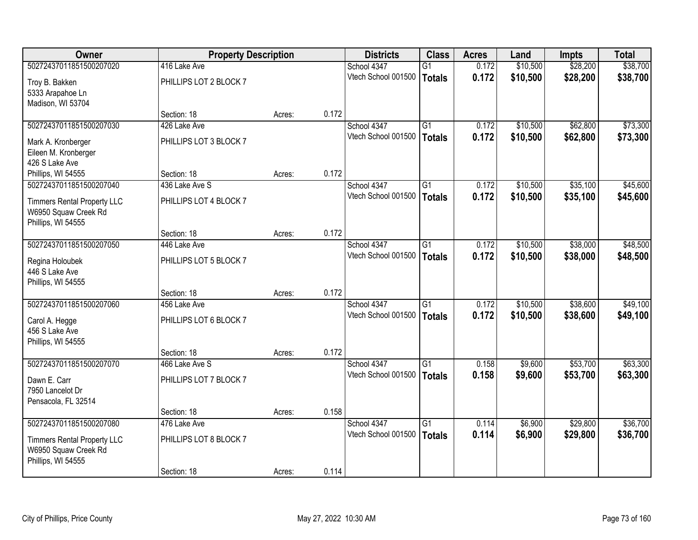| Owner                              | <b>Property Description</b> |        |       | <b>Districts</b>    | <b>Class</b>    | <b>Acres</b> | Land     | <b>Impts</b> | <b>Total</b> |
|------------------------------------|-----------------------------|--------|-------|---------------------|-----------------|--------------|----------|--------------|--------------|
| 50272437011851500207020            | 416 Lake Ave                |        |       | School 4347         | $\overline{G1}$ | 0.172        | \$10,500 | \$28,200     | \$38,700     |
| Troy B. Bakken                     | PHILLIPS LOT 2 BLOCK 7      |        |       | Vtech School 001500 | <b>Totals</b>   | 0.172        | \$10,500 | \$28,200     | \$38,700     |
| 5333 Arapahoe Ln                   |                             |        |       |                     |                 |              |          |              |              |
| Madison, WI 53704                  |                             |        |       |                     |                 |              |          |              |              |
|                                    | Section: 18                 | Acres: | 0.172 |                     |                 |              |          |              |              |
| 50272437011851500207030            | 426 Lake Ave                |        |       | School 4347         | $\overline{G1}$ | 0.172        | \$10,500 | \$62,800     | \$73,300     |
| Mark A. Kronberger                 | PHILLIPS LOT 3 BLOCK 7      |        |       | Vtech School 001500 | <b>Totals</b>   | 0.172        | \$10,500 | \$62,800     | \$73,300     |
| Eileen M. Kronberger               |                             |        |       |                     |                 |              |          |              |              |
| 426 S Lake Ave                     |                             |        |       |                     |                 |              |          |              |              |
| Phillips, WI 54555                 | Section: 18                 | Acres: | 0.172 |                     |                 |              |          |              |              |
| 50272437011851500207040            | 436 Lake Ave S              |        |       | School 4347         | $\overline{G1}$ | 0.172        | \$10,500 | \$35,100     | \$45,600     |
| <b>Timmers Rental Property LLC</b> | PHILLIPS LOT 4 BLOCK 7      |        |       | Vtech School 001500 | <b>Totals</b>   | 0.172        | \$10,500 | \$35,100     | \$45,600     |
| W6950 Squaw Creek Rd               |                             |        |       |                     |                 |              |          |              |              |
| Phillips, WI 54555                 |                             |        |       |                     |                 |              |          |              |              |
|                                    | Section: 18                 | Acres: | 0.172 |                     |                 |              |          |              |              |
| 50272437011851500207050            | 446 Lake Ave                |        |       | School 4347         | G1              | 0.172        | \$10,500 | \$38,000     | \$48,500     |
| Regina Holoubek                    | PHILLIPS LOT 5 BLOCK 7      |        |       | Vtech School 001500 | <b>Totals</b>   | 0.172        | \$10,500 | \$38,000     | \$48,500     |
| 446 S Lake Ave                     |                             |        |       |                     |                 |              |          |              |              |
| Phillips, WI 54555                 |                             |        |       |                     |                 |              |          |              |              |
|                                    | Section: 18                 | Acres: | 0.172 |                     |                 |              |          |              |              |
| 50272437011851500207060            | 456 Lake Ave                |        |       | School 4347         | $\overline{G1}$ | 0.172        | \$10,500 | \$38,600     | \$49,100     |
| Carol A. Hegge                     | PHILLIPS LOT 6 BLOCK 7      |        |       | Vtech School 001500 | <b>Totals</b>   | 0.172        | \$10,500 | \$38,600     | \$49,100     |
| 456 S Lake Ave                     |                             |        |       |                     |                 |              |          |              |              |
| Phillips, WI 54555                 |                             |        |       |                     |                 |              |          |              |              |
|                                    | Section: 18                 | Acres: | 0.172 |                     |                 |              |          |              |              |
| 50272437011851500207070            | 466 Lake Ave S              |        |       | School 4347         | $\overline{G1}$ | 0.158        | \$9,600  | \$53,700     | \$63,300     |
| Dawn E. Carr                       | PHILLIPS LOT 7 BLOCK 7      |        |       | Vtech School 001500 | <b>Totals</b>   | 0.158        | \$9,600  | \$53,700     | \$63,300     |
| 7950 Lancelot Dr                   |                             |        |       |                     |                 |              |          |              |              |
| Pensacola, FL 32514                |                             |        |       |                     |                 |              |          |              |              |
|                                    | Section: 18                 | Acres: | 0.158 |                     |                 |              |          |              |              |
| 50272437011851500207080            | 476 Lake Ave                |        |       | School 4347         | $\overline{G1}$ | 0.114        | \$6,900  | \$29,800     | \$36,700     |
| <b>Timmers Rental Property LLC</b> | PHILLIPS LOT 8 BLOCK 7      |        |       | Vtech School 001500 | <b>Totals</b>   | 0.114        | \$6,900  | \$29,800     | \$36,700     |
| W6950 Squaw Creek Rd               |                             |        |       |                     |                 |              |          |              |              |
| Phillips, WI 54555                 |                             |        |       |                     |                 |              |          |              |              |
|                                    | Section: 18                 | Acres: | 0.114 |                     |                 |              |          |              |              |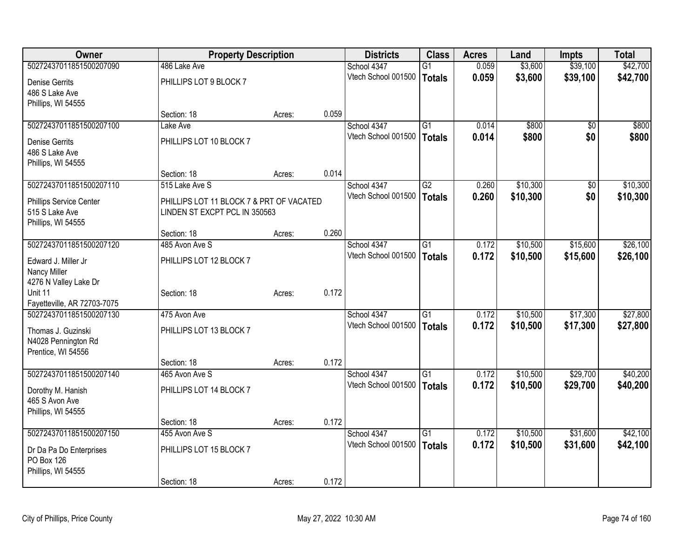| Owner                       | <b>Property Description</b>              |        |       | <b>Districts</b>    | <b>Class</b>    | <b>Acres</b> | Land     | Impts           | <b>Total</b> |
|-----------------------------|------------------------------------------|--------|-------|---------------------|-----------------|--------------|----------|-----------------|--------------|
| 50272437011851500207090     | 486 Lake Ave                             |        |       | School 4347         | $\overline{G1}$ | 0.059        | \$3,600  | \$39,100        | \$42,700     |
| <b>Denise Gerrits</b>       | PHILLIPS LOT 9 BLOCK 7                   |        |       | Vtech School 001500 | <b>Totals</b>   | 0.059        | \$3,600  | \$39,100        | \$42,700     |
| 486 S Lake Ave              |                                          |        |       |                     |                 |              |          |                 |              |
| Phillips, WI 54555          |                                          |        |       |                     |                 |              |          |                 |              |
|                             | Section: 18                              | Acres: | 0.059 |                     |                 |              |          |                 |              |
| 50272437011851500207100     | Lake Ave                                 |        |       | School 4347         | $\overline{G1}$ | 0.014        | \$800    | \$0             | \$800        |
| <b>Denise Gerrits</b>       | PHILLIPS LOT 10 BLOCK 7                  |        |       | Vtech School 001500 | <b>Totals</b>   | 0.014        | \$800    | \$0             | \$800        |
| 486 S Lake Ave              |                                          |        |       |                     |                 |              |          |                 |              |
| Phillips, WI 54555          |                                          |        |       |                     |                 |              |          |                 |              |
|                             | Section: 18                              | Acres: | 0.014 |                     |                 |              |          |                 |              |
| 50272437011851500207110     | 515 Lake Ave S                           |        |       | School 4347         | $\overline{G2}$ | 0.260        | \$10,300 | $\overline{50}$ | \$10,300     |
| Phillips Service Center     | PHILLIPS LOT 11 BLOCK 7 & PRT OF VACATED |        |       | Vtech School 001500 | <b>Totals</b>   | 0.260        | \$10,300 | \$0             | \$10,300     |
| 515 S Lake Ave              | LINDEN ST EXCPT PCL IN 350563            |        |       |                     |                 |              |          |                 |              |
| Phillips, WI 54555          |                                          |        |       |                     |                 |              |          |                 |              |
|                             | Section: 18                              | Acres: | 0.260 |                     |                 |              |          |                 |              |
| 50272437011851500207120     | 485 Avon Ave S                           |        |       | School 4347         | $\overline{G1}$ | 0.172        | \$10,500 | \$15,600        | \$26,100     |
| Edward J. Miller Jr         | PHILLIPS LOT 12 BLOCK 7                  |        |       | Vtech School 001500 | <b>Totals</b>   | 0.172        | \$10,500 | \$15,600        | \$26,100     |
| Nancy Miller                |                                          |        |       |                     |                 |              |          |                 |              |
| 4276 N Valley Lake Dr       |                                          |        |       |                     |                 |              |          |                 |              |
| Unit 11                     | Section: 18                              | Acres: | 0.172 |                     |                 |              |          |                 |              |
| Fayetteville, AR 72703-7075 |                                          |        |       |                     |                 |              |          |                 |              |
| 50272437011851500207130     | 475 Avon Ave                             |        |       | School 4347         | G1              | 0.172        | \$10,500 | \$17,300        | \$27,800     |
| Thomas J. Guzinski          | PHILLIPS LOT 13 BLOCK 7                  |        |       | Vtech School 001500 | <b>Totals</b>   | 0.172        | \$10,500 | \$17,300        | \$27,800     |
| N4028 Pennington Rd         |                                          |        |       |                     |                 |              |          |                 |              |
| Prentice, WI 54556          |                                          |        |       |                     |                 |              |          |                 |              |
|                             | Section: 18                              | Acres: | 0.172 |                     |                 |              |          |                 |              |
| 50272437011851500207140     | 465 Avon Ave S                           |        |       | School 4347         | $\overline{G1}$ | 0.172        | \$10,500 | \$29,700        | \$40,200     |
| Dorothy M. Hanish           | PHILLIPS LOT 14 BLOCK 7                  |        |       | Vtech School 001500 | <b>Totals</b>   | 0.172        | \$10,500 | \$29,700        | \$40,200     |
| 465 S Avon Ave              |                                          |        |       |                     |                 |              |          |                 |              |
| Phillips, WI 54555          |                                          |        |       |                     |                 |              |          |                 |              |
|                             | Section: 18                              | Acres: | 0.172 |                     |                 |              |          |                 |              |
| 50272437011851500207150     | 455 Avon Ave S                           |        |       | School 4347         | $\overline{G1}$ | 0.172        | \$10,500 | \$31,600        | \$42,100     |
| Dr Da Pa Do Enterprises     | PHILLIPS LOT 15 BLOCK 7                  |        |       | Vtech School 001500 | <b>Totals</b>   | 0.172        | \$10,500 | \$31,600        | \$42,100     |
| PO Box 126                  |                                          |        |       |                     |                 |              |          |                 |              |
| Phillips, WI 54555          |                                          |        |       |                     |                 |              |          |                 |              |
|                             | Section: 18                              | Acres: | 0.172 |                     |                 |              |          |                 |              |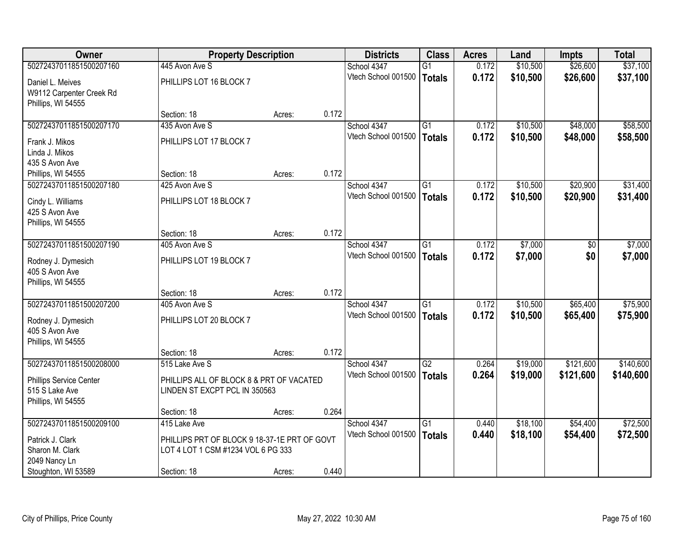| <b>Owner</b>                         | <b>Property Description</b>                                                        |        |       | <b>Districts</b>                   | <b>Class</b>    | <b>Acres</b>   | Land     | <b>Impts</b> | <b>Total</b> |
|--------------------------------------|------------------------------------------------------------------------------------|--------|-------|------------------------------------|-----------------|----------------|----------|--------------|--------------|
| 50272437011851500207160              | 445 Avon Ave S                                                                     |        |       | School 4347                        | $\overline{G1}$ | 0.172          | \$10,500 | \$26,600     | \$37,100     |
| Daniel L. Meives                     | PHILLIPS LOT 16 BLOCK 7                                                            |        |       | Vtech School 001500                | <b>Totals</b>   | 0.172          | \$10,500 | \$26,600     | \$37,100     |
| W9112 Carpenter Creek Rd             |                                                                                    |        |       |                                    |                 |                |          |              |              |
| Phillips, WI 54555                   |                                                                                    |        |       |                                    |                 |                |          |              |              |
|                                      | Section: 18                                                                        | Acres: | 0.172 |                                    |                 |                |          |              |              |
| 50272437011851500207170              | 435 Avon Ave S                                                                     |        |       | School 4347                        | $\overline{G1}$ | 0.172          | \$10,500 | \$48,000     | \$58,500     |
| Frank J. Mikos                       | PHILLIPS LOT 17 BLOCK 7                                                            |        |       | Vtech School 001500                | <b>Totals</b>   | 0.172          | \$10,500 | \$48,000     | \$58,500     |
| Linda J. Mikos                       |                                                                                    |        |       |                                    |                 |                |          |              |              |
| 435 S Avon Ave                       |                                                                                    |        |       |                                    |                 |                |          |              |              |
| Phillips, WI 54555                   | Section: 18                                                                        | Acres: | 0.172 |                                    |                 |                |          |              |              |
| 50272437011851500207180              | 425 Avon Ave S                                                                     |        |       | School 4347                        | G1              | 0.172          | \$10,500 | \$20,900     | \$31,400     |
| Cindy L. Williams                    | PHILLIPS LOT 18 BLOCK 7                                                            |        |       | Vtech School 001500                | <b>Totals</b>   | 0.172          | \$10,500 | \$20,900     | \$31,400     |
| 425 S Avon Ave                       |                                                                                    |        |       |                                    |                 |                |          |              |              |
| Phillips, WI 54555                   |                                                                                    |        |       |                                    |                 |                |          |              |              |
|                                      | Section: 18                                                                        | Acres: | 0.172 |                                    |                 |                |          |              |              |
| 50272437011851500207190              | 405 Avon Ave S                                                                     |        |       | School 4347<br>Vtech School 001500 | $\overline{G1}$ | 0.172<br>0.172 | \$7,000  | \$0<br>\$0   | \$7,000      |
| Rodney J. Dymesich                   | PHILLIPS LOT 19 BLOCK 7                                                            |        |       |                                    | <b>Totals</b>   |                | \$7,000  |              | \$7,000      |
| 405 S Avon Ave                       |                                                                                    |        |       |                                    |                 |                |          |              |              |
| Phillips, WI 54555                   |                                                                                    |        | 0.172 |                                    |                 |                |          |              |              |
| 50272437011851500207200              | Section: 18<br>405 Avon Ave S                                                      | Acres: |       | School 4347                        | $\overline{G1}$ | 0.172          | \$10,500 | \$65,400     | \$75,900     |
|                                      |                                                                                    |        |       | Vtech School 001500                | <b>Totals</b>   | 0.172          | \$10,500 | \$65,400     | \$75,900     |
| Rodney J. Dymesich                   | PHILLIPS LOT 20 BLOCK 7                                                            |        |       |                                    |                 |                |          |              |              |
| 405 S Avon Ave                       |                                                                                    |        |       |                                    |                 |                |          |              |              |
| Phillips, WI 54555                   | Section: 18                                                                        | Acres: | 0.172 |                                    |                 |                |          |              |              |
| 50272437011851500208000              | 515 Lake Ave S                                                                     |        |       | School 4347                        | $\overline{G2}$ | 0.264          | \$19,000 | \$121,600    | \$140,600    |
|                                      |                                                                                    |        |       | Vtech School 001500                | <b>Totals</b>   | 0.264          | \$19,000 | \$121,600    | \$140,600    |
| Phillips Service Center              | PHILLIPS ALL OF BLOCK 8 & PRT OF VACATED                                           |        |       |                                    |                 |                |          |              |              |
| 515 S Lake Ave<br>Phillips, WI 54555 | LINDEN ST EXCPT PCL IN 350563                                                      |        |       |                                    |                 |                |          |              |              |
|                                      | Section: 18                                                                        | Acres: | 0.264 |                                    |                 |                |          |              |              |
| 50272437011851500209100              | 415 Lake Ave                                                                       |        |       | School 4347                        | $\overline{G1}$ | 0.440          | \$18,100 | \$54,400     | \$72,500     |
|                                      |                                                                                    |        |       | Vtech School 001500                | <b>Totals</b>   | 0.440          | \$18,100 | \$54,400     | \$72,500     |
| Patrick J. Clark<br>Sharon M. Clark  | PHILLIPS PRT OF BLOCK 9 18-37-1E PRT OF GOVT<br>LOT 4 LOT 1 CSM #1234 VOL 6 PG 333 |        |       |                                    |                 |                |          |              |              |
| 2049 Nancy Ln                        |                                                                                    |        |       |                                    |                 |                |          |              |              |
| Stoughton, WI 53589                  | Section: 18                                                                        | Acres: | 0.440 |                                    |                 |                |          |              |              |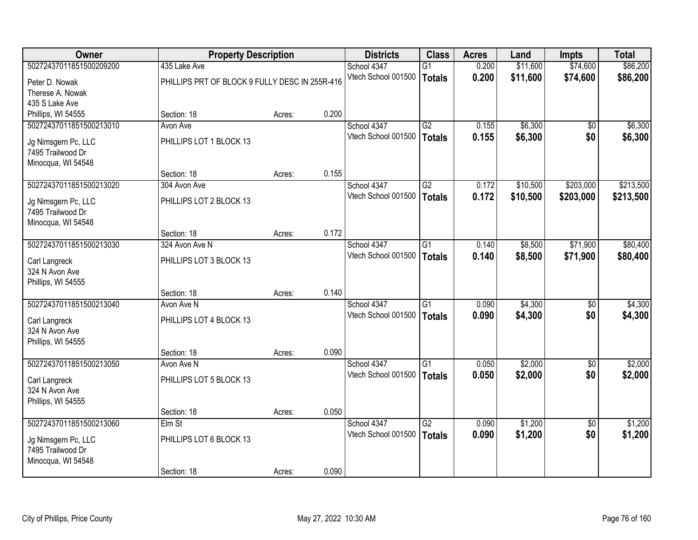| <b>Owner</b>            | <b>Property Description</b>                    |        |       | <b>Districts</b>    | <b>Class</b>    | <b>Acres</b> | Land     | <b>Impts</b>    | <b>Total</b> |
|-------------------------|------------------------------------------------|--------|-------|---------------------|-----------------|--------------|----------|-----------------|--------------|
| 50272437011851500209200 | 435 Lake Ave                                   |        |       | School 4347         | $\overline{G1}$ | 0.200        | \$11,600 | \$74,600        | \$86,200     |
| Peter D. Nowak          | PHILLIPS PRT OF BLOCK 9 FULLY DESC IN 255R-416 |        |       | Vtech School 001500 | <b>Totals</b>   | 0.200        | \$11,600 | \$74,600        | \$86,200     |
| Therese A. Nowak        |                                                |        |       |                     |                 |              |          |                 |              |
| 435 S Lake Ave          |                                                |        |       |                     |                 |              |          |                 |              |
| Phillips, WI 54555      | Section: 18                                    | Acres: | 0.200 |                     |                 |              |          |                 |              |
| 50272437011851500213010 | Avon Ave                                       |        |       | School 4347         | G2              | 0.155        | \$6,300  | \$0             | \$6,300      |
| Jg Nimsgern Pc, LLC     | PHILLIPS LOT 1 BLOCK 13                        |        |       | Vtech School 001500 | <b>Totals</b>   | 0.155        | \$6,300  | \$0             | \$6,300      |
| 7495 Trailwood Dr       |                                                |        |       |                     |                 |              |          |                 |              |
| Minocqua, WI 54548      |                                                |        |       |                     |                 |              |          |                 |              |
|                         | Section: 18                                    | Acres: | 0.155 |                     |                 |              |          |                 |              |
| 50272437011851500213020 | 304 Avon Ave                                   |        |       | School 4347         | G2              | 0.172        | \$10,500 | \$203,000       | \$213,500    |
| Jg Nimsgern Pc, LLC     | PHILLIPS LOT 2 BLOCK 13                        |        |       | Vtech School 001500 | <b>Totals</b>   | 0.172        | \$10,500 | \$203,000       | \$213,500    |
| 7495 Trailwood Dr       |                                                |        |       |                     |                 |              |          |                 |              |
| Minocqua, WI 54548      |                                                |        |       |                     |                 |              |          |                 |              |
|                         | Section: 18                                    | Acres: | 0.172 |                     |                 |              |          |                 |              |
| 50272437011851500213030 | 324 Avon Ave N                                 |        |       | School 4347         | $\overline{G1}$ | 0.140        | \$8,500  | \$71,900        | \$80,400     |
| Carl Langreck           | PHILLIPS LOT 3 BLOCK 13                        |        |       | Vtech School 001500 | <b>Totals</b>   | 0.140        | \$8,500  | \$71,900        | \$80,400     |
| 324 N Avon Ave          |                                                |        |       |                     |                 |              |          |                 |              |
| Phillips, WI 54555      |                                                |        |       |                     |                 |              |          |                 |              |
|                         | Section: 18                                    | Acres: | 0.140 |                     |                 |              |          |                 |              |
| 50272437011851500213040 | Avon Ave N                                     |        |       | School 4347         | $\overline{G1}$ | 0.090        | \$4,300  | \$0             | \$4,300      |
| Carl Langreck           | PHILLIPS LOT 4 BLOCK 13                        |        |       | Vtech School 001500 | <b>Totals</b>   | 0.090        | \$4,300  | \$0             | \$4,300      |
| 324 N Avon Ave          |                                                |        |       |                     |                 |              |          |                 |              |
| Phillips, WI 54555      |                                                |        |       |                     |                 |              |          |                 |              |
|                         | Section: 18                                    | Acres: | 0.090 |                     |                 |              |          |                 |              |
| 50272437011851500213050 | Avon Ave N                                     |        |       | School 4347         | G1              | 0.050        | \$2,000  | $\sqrt{6}$      | \$2,000      |
| Carl Langreck           | PHILLIPS LOT 5 BLOCK 13                        |        |       | Vtech School 001500 | <b>Totals</b>   | 0.050        | \$2,000  | \$0             | \$2,000      |
| 324 N Avon Ave          |                                                |        |       |                     |                 |              |          |                 |              |
| Phillips, WI 54555      |                                                |        |       |                     |                 |              |          |                 |              |
|                         | Section: 18                                    | Acres: | 0.050 |                     |                 |              |          |                 |              |
| 50272437011851500213060 | Elm St                                         |        |       | School 4347         | $\overline{G2}$ | 0.090        | \$1,200  | $\overline{50}$ | \$1,200      |
| Jg Nimsgern Pc, LLC     | PHILLIPS LOT 6 BLOCK 13                        |        |       | Vtech School 001500 | <b>Totals</b>   | 0.090        | \$1,200  | \$0             | \$1,200      |
| 7495 Trailwood Dr       |                                                |        |       |                     |                 |              |          |                 |              |
| Minocqua, WI 54548      |                                                |        |       |                     |                 |              |          |                 |              |
|                         | Section: 18                                    | Acres: | 0.090 |                     |                 |              |          |                 |              |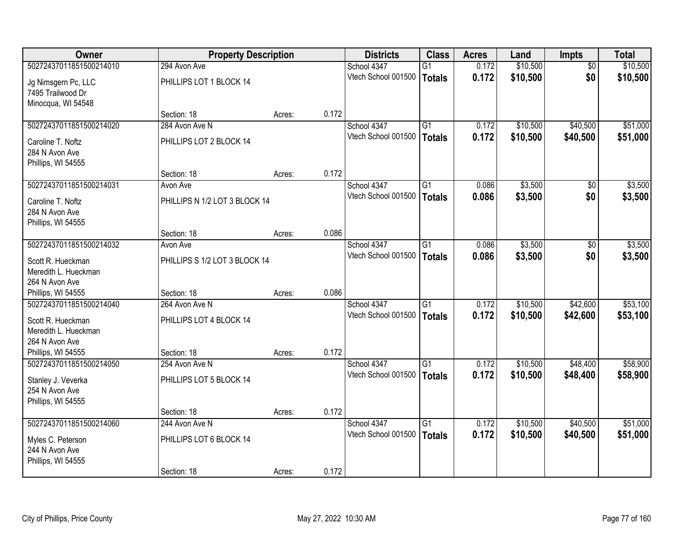| <b>Owner</b>                              | <b>Property Description</b>   |        |       | <b>Districts</b>    | <b>Class</b>    | <b>Acres</b> | Land     | <b>Impts</b>    | <b>Total</b> |
|-------------------------------------------|-------------------------------|--------|-------|---------------------|-----------------|--------------|----------|-----------------|--------------|
| 50272437011851500214010                   | 294 Avon Ave                  |        |       | School 4347         | G1              | 0.172        | \$10,500 | $\overline{50}$ | \$10,500     |
| Jg Nimsgern Pc, LLC<br>7495 Trailwood Dr  | PHILLIPS LOT 1 BLOCK 14       |        |       | Vtech School 001500 | Totals          | 0.172        | \$10,500 | \$0             | \$10,500     |
| Minocqua, WI 54548                        |                               |        |       |                     |                 |              |          |                 |              |
|                                           | Section: 18                   | Acres: | 0.172 |                     |                 |              |          |                 |              |
| 50272437011851500214020                   | 284 Avon Ave N                |        |       | School 4347         | $\overline{G1}$ | 0.172        | \$10,500 | \$40,500        | \$51,000     |
| Caroline T. Noftz                         | PHILLIPS LOT 2 BLOCK 14       |        |       | Vtech School 001500 | <b>Totals</b>   | 0.172        | \$10,500 | \$40,500        | \$51,000     |
| 284 N Avon Ave                            |                               |        |       |                     |                 |              |          |                 |              |
| Phillips, WI 54555                        |                               |        |       |                     |                 |              |          |                 |              |
|                                           | Section: 18                   | Acres: | 0.172 |                     |                 |              |          |                 |              |
| 50272437011851500214031                   | Avon Ave                      |        |       | School 4347         | $\overline{G1}$ | 0.086        | \$3,500  | \$0             | \$3,500      |
| Caroline T. Noftz                         | PHILLIPS N 1/2 LOT 3 BLOCK 14 |        |       | Vtech School 001500 | Totals          | 0.086        | \$3,500  | \$0             | \$3,500      |
| 284 N Avon Ave                            |                               |        |       |                     |                 |              |          |                 |              |
| Phillips, WI 54555                        |                               |        |       |                     |                 |              |          |                 |              |
|                                           | Section: 18                   | Acres: | 0.086 |                     |                 |              |          |                 |              |
| 50272437011851500214032                   | Avon Ave                      |        |       | School 4347         | $\overline{G1}$ | 0.086        | \$3,500  | $\overline{50}$ | \$3,500      |
| Scott R. Hueckman                         | PHILLIPS S 1/2 LOT 3 BLOCK 14 |        |       | Vtech School 001500 | <b>Totals</b>   | 0.086        | \$3,500  | \$0             | \$3,500      |
| Meredith L. Hueckman                      |                               |        |       |                     |                 |              |          |                 |              |
| 264 N Avon Ave                            |                               |        |       |                     |                 |              |          |                 |              |
| Phillips, WI 54555                        | Section: 18                   | Acres: | 0.086 |                     |                 |              |          |                 |              |
| 50272437011851500214040                   | 264 Avon Ave N                |        |       | School 4347         | $\overline{G1}$ | 0.172        | \$10,500 | \$42,600        | \$53,100     |
|                                           |                               |        |       | Vtech School 001500 | <b>Totals</b>   | 0.172        | \$10,500 | \$42,600        | \$53,100     |
| Scott R. Hueckman<br>Meredith L. Hueckman | PHILLIPS LOT 4 BLOCK 14       |        |       |                     |                 |              |          |                 |              |
| 264 N Avon Ave                            |                               |        |       |                     |                 |              |          |                 |              |
| Phillips, WI 54555                        | Section: 18                   | Acres: | 0.172 |                     |                 |              |          |                 |              |
| 50272437011851500214050                   | 254 Avon Ave N                |        |       | School 4347         | G1              | 0.172        | \$10,500 | \$48,400        | \$58,900     |
|                                           |                               |        |       | Vtech School 001500 | Totals          | 0.172        | \$10,500 | \$48,400        | \$58,900     |
| Stanley J. Veverka                        | PHILLIPS LOT 5 BLOCK 14       |        |       |                     |                 |              |          |                 |              |
| 254 N Avon Ave                            |                               |        |       |                     |                 |              |          |                 |              |
| Phillips, WI 54555                        | Section: 18                   | Acres: | 0.172 |                     |                 |              |          |                 |              |
| 50272437011851500214060                   | 244 Avon Ave N                |        |       | School 4347         | $\overline{G1}$ | 0.172        | \$10,500 | \$40,500        | \$51,000     |
|                                           |                               |        |       | Vtech School 001500 | Totals          | 0.172        | \$10,500 | \$40,500        | \$51,000     |
| Myles C. Peterson                         | PHILLIPS LOT 6 BLOCK 14       |        |       |                     |                 |              |          |                 |              |
| 244 N Avon Ave                            |                               |        |       |                     |                 |              |          |                 |              |
| Phillips, WI 54555                        |                               |        |       |                     |                 |              |          |                 |              |
|                                           | Section: 18                   | Acres: | 0.172 |                     |                 |              |          |                 |              |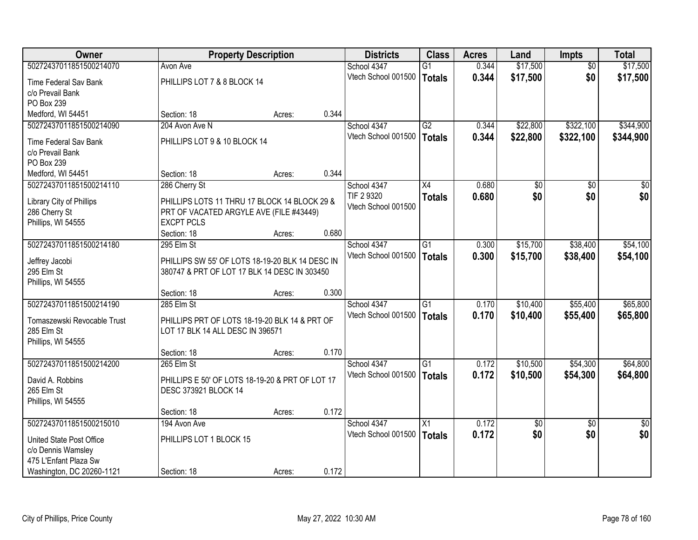| <b>Owner</b>                        | <b>Property Description</b>                                  |        |       | <b>Districts</b>    | <b>Class</b>    | <b>Acres</b> | Land            | <b>Impts</b>    | <b>Total</b>    |
|-------------------------------------|--------------------------------------------------------------|--------|-------|---------------------|-----------------|--------------|-----------------|-----------------|-----------------|
| 50272437011851500214070             | Avon Ave                                                     |        |       | School 4347         | $\overline{G1}$ | 0.344        | \$17,500        | $\overline{30}$ | \$17,500        |
| Time Federal Sav Bank               | PHILLIPS LOT 7 & 8 BLOCK 14                                  |        |       | Vtech School 001500 | Totals          | 0.344        | \$17,500        | \$0             | \$17,500        |
| c/o Prevail Bank                    |                                                              |        |       |                     |                 |              |                 |                 |                 |
| PO Box 239                          |                                                              |        |       |                     |                 |              |                 |                 |                 |
| Medford, WI 54451                   | Section: 18                                                  | Acres: | 0.344 |                     |                 |              |                 |                 |                 |
| 50272437011851500214090             | 204 Avon Ave N                                               |        |       | School 4347         | G2              | 0.344        | \$22,800        | \$322,100       | \$344,900       |
| Time Federal Sav Bank               | PHILLIPS LOT 9 & 10 BLOCK 14                                 |        |       | Vtech School 001500 | <b>Totals</b>   | 0.344        | \$22,800        | \$322,100       | \$344,900       |
| c/o Prevail Bank                    |                                                              |        |       |                     |                 |              |                 |                 |                 |
| PO Box 239                          |                                                              |        |       |                     |                 |              |                 |                 |                 |
| Medford, WI 54451                   | Section: 18                                                  | Acres: | 0.344 |                     |                 |              |                 |                 |                 |
| 50272437011851500214110             | 286 Cherry St                                                |        |       | School 4347         | X4              | 0.680        | \$0             | \$0             | $\overline{30}$ |
|                                     |                                                              |        |       | TIF 2 9320          | <b>Totals</b>   | 0.680        | \$0             | \$0             | \$0             |
| Library City of Phillips            | PHILLIPS LOTS 11 THRU 17 BLOCK 14 BLOCK 29 &                 |        |       | Vtech School 001500 |                 |              |                 |                 |                 |
| 286 Cherry St<br>Phillips, WI 54555 | PRT OF VACATED ARGYLE AVE (FILE #43449)<br><b>EXCPT PCLS</b> |        |       |                     |                 |              |                 |                 |                 |
|                                     | Section: 18                                                  | Acres: | 0.680 |                     |                 |              |                 |                 |                 |
| 50272437011851500214180             | 295 Elm St                                                   |        |       | School 4347         | G1              | 0.300        | \$15,700        | \$38,400        | \$54,100        |
|                                     |                                                              |        |       | Vtech School 001500 | <b>Totals</b>   | 0.300        | \$15,700        | \$38,400        | \$54,100        |
| Jeffrey Jacobi                      | PHILLIPS SW 55' OF LOTS 18-19-20 BLK 14 DESC IN              |        |       |                     |                 |              |                 |                 |                 |
| 295 Elm St                          | 380747 & PRT OF LOT 17 BLK 14 DESC IN 303450                 |        |       |                     |                 |              |                 |                 |                 |
| Phillips, WI 54555                  | Section: 18                                                  |        | 0.300 |                     |                 |              |                 |                 |                 |
| 50272437011851500214190             | 285 Elm St                                                   | Acres: |       | School 4347         | $\overline{G1}$ | 0.170        | \$10,400        | \$55,400        | \$65,800        |
|                                     |                                                              |        |       | Vtech School 001500 | Totals          | 0.170        | \$10,400        | \$55,400        | \$65,800        |
| Tomaszewski Revocable Trust         | PHILLIPS PRT OF LOTS 18-19-20 BLK 14 & PRT OF                |        |       |                     |                 |              |                 |                 |                 |
| 285 Elm St                          | LOT 17 BLK 14 ALL DESC IN 396571                             |        |       |                     |                 |              |                 |                 |                 |
| Phillips, WI 54555                  |                                                              |        |       |                     |                 |              |                 |                 |                 |
|                                     | Section: 18                                                  | Acres: | 0.170 |                     |                 |              |                 |                 |                 |
| 50272437011851500214200             | 265 Elm St                                                   |        |       | School 4347         | $\overline{G1}$ | 0.172        | \$10,500        | \$54,300        | \$64,800        |
| David A. Robbins                    | PHILLIPS E 50' OF LOTS 18-19-20 & PRT OF LOT 17              |        |       | Vtech School 001500 | Totals          | 0.172        | \$10,500        | \$54,300        | \$64,800        |
| 265 Elm St                          | DESC 373921 BLOCK 14                                         |        |       |                     |                 |              |                 |                 |                 |
| Phillips, WI 54555                  |                                                              |        |       |                     |                 |              |                 |                 |                 |
|                                     | Section: 18                                                  | Acres: | 0.172 |                     |                 |              |                 |                 |                 |
| 50272437011851500215010             | 194 Avon Ave                                                 |        |       | School 4347         | $\overline{X1}$ | 0.172        | $\overline{60}$ | $\overline{30}$ | $\sqrt{30}$     |
| United State Post Office            | PHILLIPS LOT 1 BLOCK 15                                      |        |       | Vtech School 001500 | Totals          | 0.172        | \$0             | \$0             | \$0             |
| c/o Dennis Wamsley                  |                                                              |        |       |                     |                 |              |                 |                 |                 |
| 475 L'Enfant Plaza Sw               |                                                              |        |       |                     |                 |              |                 |                 |                 |
| Washington, DC 20260-1121           | Section: 18                                                  | Acres: | 0.172 |                     |                 |              |                 |                 |                 |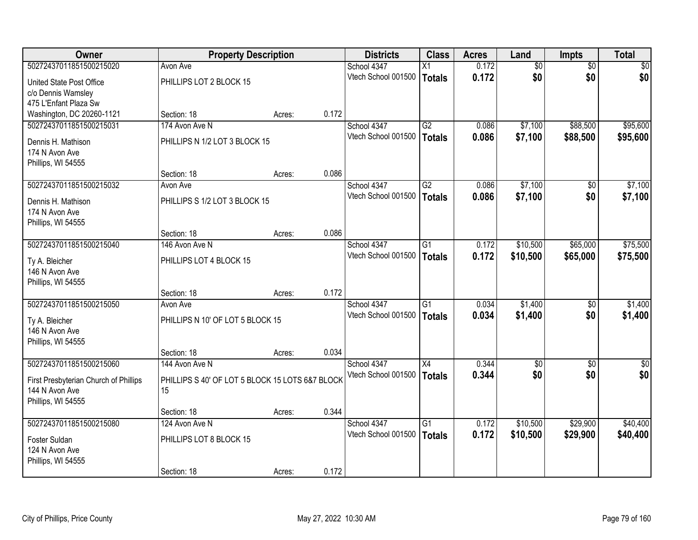| <b>Owner</b>                          | <b>Property Description</b>                     |        |       | <b>Districts</b>    | <b>Class</b>    | <b>Acres</b> | Land            | <b>Impts</b>    | <b>Total</b>    |
|---------------------------------------|-------------------------------------------------|--------|-------|---------------------|-----------------|--------------|-----------------|-----------------|-----------------|
| 50272437011851500215020               | Avon Ave                                        |        |       | School 4347         | X1              | 0.172        | $\overline{50}$ | $\overline{50}$ | $\overline{30}$ |
| United State Post Office              | PHILLIPS LOT 2 BLOCK 15                         |        |       | Vtech School 001500 | Totals          | 0.172        | \$0             | \$0             | \$0             |
| c/o Dennis Wamsley                    |                                                 |        |       |                     |                 |              |                 |                 |                 |
| 475 L'Enfant Plaza Sw                 |                                                 |        |       |                     |                 |              |                 |                 |                 |
| Washington, DC 20260-1121             | Section: 18                                     | Acres: | 0.172 |                     |                 |              |                 |                 |                 |
| 50272437011851500215031               | 174 Avon Ave N                                  |        |       | School 4347         | G2              | 0.086        | \$7,100         | \$88,500        | \$95,600        |
| Dennis H. Mathison                    | PHILLIPS N 1/2 LOT 3 BLOCK 15                   |        |       | Vtech School 001500 | <b>Totals</b>   | 0.086        | \$7,100         | \$88,500        | \$95,600        |
| 174 N Avon Ave                        |                                                 |        |       |                     |                 |              |                 |                 |                 |
| Phillips, WI 54555                    |                                                 |        |       |                     |                 |              |                 |                 |                 |
|                                       | Section: 18                                     | Acres: | 0.086 |                     |                 |              |                 |                 |                 |
| 50272437011851500215032               | Avon Ave                                        |        |       | School 4347         | G2              | 0.086        | \$7,100         | \$0             | \$7,100         |
| Dennis H. Mathison                    | PHILLIPS S 1/2 LOT 3 BLOCK 15                   |        |       | Vtech School 001500 | Totals          | 0.086        | \$7,100         | \$0             | \$7,100         |
| 174 N Avon Ave                        |                                                 |        |       |                     |                 |              |                 |                 |                 |
| Phillips, WI 54555                    |                                                 |        |       |                     |                 |              |                 |                 |                 |
|                                       | Section: 18                                     | Acres: | 0.086 |                     |                 |              |                 |                 |                 |
| 50272437011851500215040               | 146 Avon Ave N                                  |        |       | School 4347         | $\overline{G1}$ | 0.172        | \$10,500        | \$65,000        | \$75,500        |
| Ty A. Bleicher                        | PHILLIPS LOT 4 BLOCK 15                         |        |       | Vtech School 001500 | <b>Totals</b>   | 0.172        | \$10,500        | \$65,000        | \$75,500        |
| 146 N Avon Ave                        |                                                 |        |       |                     |                 |              |                 |                 |                 |
| Phillips, WI 54555                    |                                                 |        |       |                     |                 |              |                 |                 |                 |
|                                       | Section: 18                                     | Acres: | 0.172 |                     |                 |              |                 |                 |                 |
| 50272437011851500215050               | Avon Ave                                        |        |       | School 4347         | $\overline{G1}$ | 0.034        | \$1,400         | \$0             | \$1,400         |
| Ty A. Bleicher                        | PHILLIPS N 10' OF LOT 5 BLOCK 15                |        |       | Vtech School 001500 | Totals          | 0.034        | \$1,400         | \$0             | \$1,400         |
| 146 N Avon Ave                        |                                                 |        |       |                     |                 |              |                 |                 |                 |
| Phillips, WI 54555                    |                                                 |        |       |                     |                 |              |                 |                 |                 |
|                                       | Section: 18                                     | Acres: | 0.034 |                     |                 |              |                 |                 |                 |
| 50272437011851500215060               | 144 Avon Ave N                                  |        |       | School 4347         | $\overline{X4}$ | 0.344        | $\overline{50}$ | \$0             | $\overline{50}$ |
| First Presbyterian Church of Phillips | PHILLIPS S 40' OF LOT 5 BLOCK 15 LOTS 6&7 BLOCK |        |       | Vtech School 001500 | <b>Totals</b>   | 0.344        | \$0             | \$0             | \$0             |
| 144 N Avon Ave                        | 15                                              |        |       |                     |                 |              |                 |                 |                 |
| Phillips, WI 54555                    |                                                 |        |       |                     |                 |              |                 |                 |                 |
|                                       | Section: 18                                     | Acres: | 0.344 |                     |                 |              |                 |                 |                 |
| 50272437011851500215080               | 124 Avon Ave N                                  |        |       | School 4347         | $\overline{G1}$ | 0.172        | \$10,500        | \$29,900        | \$40,400        |
| Foster Suldan                         | PHILLIPS LOT 8 BLOCK 15                         |        |       | Vtech School 001500 | Totals          | 0.172        | \$10,500        | \$29,900        | \$40,400        |
| 124 N Avon Ave                        |                                                 |        |       |                     |                 |              |                 |                 |                 |
| Phillips, WI 54555                    |                                                 |        |       |                     |                 |              |                 |                 |                 |
|                                       | Section: 18                                     | Acres: | 0.172 |                     |                 |              |                 |                 |                 |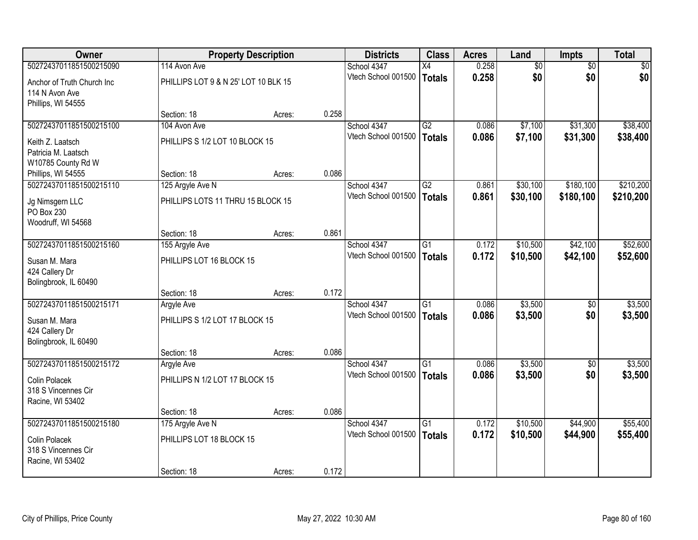| <b>Owner</b>                                 |                                      | <b>Property Description</b> |       | <b>Districts</b>    | <b>Class</b>    | <b>Acres</b> | Land     | Impts           | <b>Total</b> |
|----------------------------------------------|--------------------------------------|-----------------------------|-------|---------------------|-----------------|--------------|----------|-----------------|--------------|
| 50272437011851500215090                      | 114 Avon Ave                         |                             |       | School 4347         | $\overline{X4}$ | 0.258        | \$0      | $\overline{50}$ | \$0          |
| Anchor of Truth Church Inc<br>114 N Avon Ave | PHILLIPS LOT 9 & N 25' LOT 10 BLK 15 |                             |       | Vtech School 001500 | <b>Totals</b>   | 0.258        | \$0      | \$0             | \$0          |
| Phillips, WI 54555                           |                                      |                             |       |                     |                 |              |          |                 |              |
|                                              | Section: 18                          | Acres:                      | 0.258 |                     |                 |              |          |                 |              |
| 50272437011851500215100                      | 104 Avon Ave                         |                             |       | School 4347         | G2              | 0.086        | \$7,100  | \$31,300        | \$38,400     |
| Keith Z. Laatsch                             | PHILLIPS S 1/2 LOT 10 BLOCK 15       |                             |       | Vtech School 001500 | <b>Totals</b>   | 0.086        | \$7,100  | \$31,300        | \$38,400     |
| Patricia M. Laatsch                          |                                      |                             |       |                     |                 |              |          |                 |              |
| W10785 County Rd W                           |                                      |                             |       |                     |                 |              |          |                 |              |
| Phillips, WI 54555                           | Section: 18                          | Acres:                      | 0.086 |                     |                 |              |          |                 |              |
| 50272437011851500215110                      | 125 Argyle Ave N                     |                             |       | School 4347         | G2              | 0.861        | \$30,100 | \$180,100       | \$210,200    |
| Jg Nimsgern LLC                              | PHILLIPS LOTS 11 THRU 15 BLOCK 15    |                             |       | Vtech School 001500 | <b>Totals</b>   | 0.861        | \$30,100 | \$180,100       | \$210,200    |
| PO Box 230                                   |                                      |                             |       |                     |                 |              |          |                 |              |
| Woodruff, WI 54568                           |                                      |                             |       |                     |                 |              |          |                 |              |
|                                              | Section: 18                          | Acres:                      | 0.861 |                     |                 |              |          |                 |              |
| 50272437011851500215160                      | 155 Argyle Ave                       |                             |       | School 4347         | $\overline{G1}$ | 0.172        | \$10,500 | \$42,100        | \$52,600     |
| Susan M. Mara                                | PHILLIPS LOT 16 BLOCK 15             |                             |       | Vtech School 001500 | <b>Totals</b>   | 0.172        | \$10,500 | \$42,100        | \$52,600     |
| 424 Callery Dr                               |                                      |                             |       |                     |                 |              |          |                 |              |
| Bolingbrook, IL 60490                        |                                      |                             |       |                     |                 |              |          |                 |              |
|                                              | Section: 18                          | Acres:                      | 0.172 |                     |                 |              |          |                 |              |
| 50272437011851500215171                      | <b>Argyle Ave</b>                    |                             |       | School 4347         | $\overline{G1}$ | 0.086        | \$3,500  | \$0             | \$3,500      |
| Susan M. Mara                                | PHILLIPS S 1/2 LOT 17 BLOCK 15       |                             |       | Vtech School 001500 | <b>Totals</b>   | 0.086        | \$3,500  | \$0             | \$3,500      |
| 424 Callery Dr                               |                                      |                             |       |                     |                 |              |          |                 |              |
| Bolingbrook, IL 60490                        |                                      |                             |       |                     |                 |              |          |                 |              |
|                                              | Section: 18                          | Acres:                      | 0.086 |                     |                 |              |          |                 |              |
| 50272437011851500215172                      | Argyle Ave                           |                             |       | School 4347         | G1              | 0.086        | \$3,500  | $\sqrt{6}$      | \$3,500      |
| <b>Colin Polacek</b>                         | PHILLIPS N 1/2 LOT 17 BLOCK 15       |                             |       | Vtech School 001500 | <b>Totals</b>   | 0.086        | \$3,500  | \$0             | \$3,500      |
| 318 S Vincennes Cir                          |                                      |                             |       |                     |                 |              |          |                 |              |
| Racine, WI 53402                             |                                      |                             |       |                     |                 |              |          |                 |              |
|                                              | Section: 18                          | Acres:                      | 0.086 |                     |                 |              |          |                 |              |
| 50272437011851500215180                      | 175 Argyle Ave N                     |                             |       | School 4347         | $\overline{G1}$ | 0.172        | \$10,500 | \$44,900        | \$55,400     |
| Colin Polacek                                | PHILLIPS LOT 18 BLOCK 15             |                             |       | Vtech School 001500 | <b>Totals</b>   | 0.172        | \$10,500 | \$44,900        | \$55,400     |
| 318 S Vincennes Cir                          |                                      |                             |       |                     |                 |              |          |                 |              |
| Racine, WI 53402                             |                                      |                             |       |                     |                 |              |          |                 |              |
|                                              | Section: 18                          | Acres:                      | 0.172 |                     |                 |              |          |                 |              |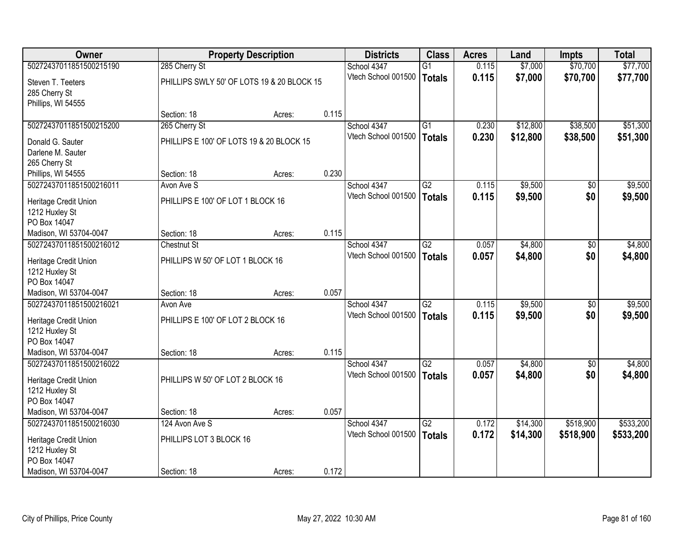| <b>Owner</b>            |                                   | <b>Property Description</b>                |       | <b>Districts</b>    | <b>Class</b>    | <b>Acres</b> | Land     | <b>Impts</b>    | <b>Total</b> |
|-------------------------|-----------------------------------|--------------------------------------------|-------|---------------------|-----------------|--------------|----------|-----------------|--------------|
| 50272437011851500215190 | 285 Cherry St                     |                                            |       | School 4347         | $\overline{G1}$ | 0.115        | \$7,000  | \$70,700        | \$77,700     |
| Steven T. Teeters       |                                   | PHILLIPS SWLY 50' OF LOTS 19 & 20 BLOCK 15 |       | Vtech School 001500 | Totals          | 0.115        | \$7,000  | \$70,700        | \$77,700     |
| 285 Cherry St           |                                   |                                            |       |                     |                 |              |          |                 |              |
| Phillips, WI 54555      |                                   |                                            |       |                     |                 |              |          |                 |              |
|                         | Section: 18                       | Acres:                                     | 0.115 |                     |                 |              |          |                 |              |
| 50272437011851500215200 | 265 Cherry St                     |                                            |       | School 4347         | $\overline{G1}$ | 0.230        | \$12,800 | \$38,500        | \$51,300     |
| Donald G. Sauter        |                                   | PHILLIPS E 100' OF LOTS 19 & 20 BLOCK 15   |       | Vtech School 001500 | <b>Totals</b>   | 0.230        | \$12,800 | \$38,500        | \$51,300     |
| Darlene M. Sauter       |                                   |                                            |       |                     |                 |              |          |                 |              |
| 265 Cherry St           |                                   |                                            |       |                     |                 |              |          |                 |              |
| Phillips, WI 54555      | Section: 18                       | Acres:                                     | 0.230 |                     |                 |              |          |                 |              |
| 50272437011851500216011 | Avon Ave S                        |                                            |       | School 4347         | G2              | 0.115        | \$9,500  | \$0             | \$9,500      |
| Heritage Credit Union   | PHILLIPS E 100' OF LOT 1 BLOCK 16 |                                            |       | Vtech School 001500 | Totals          | 0.115        | \$9,500  | \$0             | \$9,500      |
| 1212 Huxley St          |                                   |                                            |       |                     |                 |              |          |                 |              |
| PO Box 14047            |                                   |                                            |       |                     |                 |              |          |                 |              |
| Madison, WI 53704-0047  | Section: 18                       | Acres:                                     | 0.115 |                     |                 |              |          |                 |              |
| 50272437011851500216012 | <b>Chestnut St</b>                |                                            |       | School 4347         | $\overline{G2}$ | 0.057        | \$4,800  | $\overline{50}$ | \$4,800      |
| Heritage Credit Union   | PHILLIPS W 50' OF LOT 1 BLOCK 16  |                                            |       | Vtech School 001500 | Totals          | 0.057        | \$4,800  | \$0             | \$4,800      |
| 1212 Huxley St          |                                   |                                            |       |                     |                 |              |          |                 |              |
| PO Box 14047            |                                   |                                            |       |                     |                 |              |          |                 |              |
| Madison, WI 53704-0047  | Section: 18                       | Acres:                                     | 0.057 |                     |                 |              |          |                 |              |
| 50272437011851500216021 | Avon Ave                          |                                            |       | School 4347         | $\overline{G2}$ | 0.115        | \$9,500  | \$0             | \$9,500      |
| Heritage Credit Union   | PHILLIPS E 100' OF LOT 2 BLOCK 16 |                                            |       | Vtech School 001500 | <b>Totals</b>   | 0.115        | \$9,500  | \$0             | \$9,500      |
| 1212 Huxley St          |                                   |                                            |       |                     |                 |              |          |                 |              |
| PO Box 14047            |                                   |                                            |       |                     |                 |              |          |                 |              |
| Madison, WI 53704-0047  | Section: 18                       | Acres:                                     | 0.115 |                     |                 |              |          |                 |              |
| 50272437011851500216022 |                                   |                                            |       | School 4347         | G2              | 0.057        | \$4,800  | \$0             | \$4,800      |
| Heritage Credit Union   | PHILLIPS W 50' OF LOT 2 BLOCK 16  |                                            |       | Vtech School 001500 | Totals          | 0.057        | \$4,800  | \$0             | \$4,800      |
| 1212 Huxley St          |                                   |                                            |       |                     |                 |              |          |                 |              |
| PO Box 14047            |                                   |                                            |       |                     |                 |              |          |                 |              |
| Madison, WI 53704-0047  | Section: 18                       | Acres:                                     | 0.057 |                     |                 |              |          |                 |              |
| 50272437011851500216030 | 124 Avon Ave S                    |                                            |       | School 4347         | G2              | 0.172        | \$14,300 | \$518,900       | \$533,200    |
| Heritage Credit Union   | PHILLIPS LOT 3 BLOCK 16           |                                            |       | Vtech School 001500 | Totals          | 0.172        | \$14,300 | \$518,900       | \$533,200    |
| 1212 Huxley St          |                                   |                                            |       |                     |                 |              |          |                 |              |
| PO Box 14047            |                                   |                                            |       |                     |                 |              |          |                 |              |
| Madison, WI 53704-0047  | Section: 18                       | Acres:                                     | 0.172 |                     |                 |              |          |                 |              |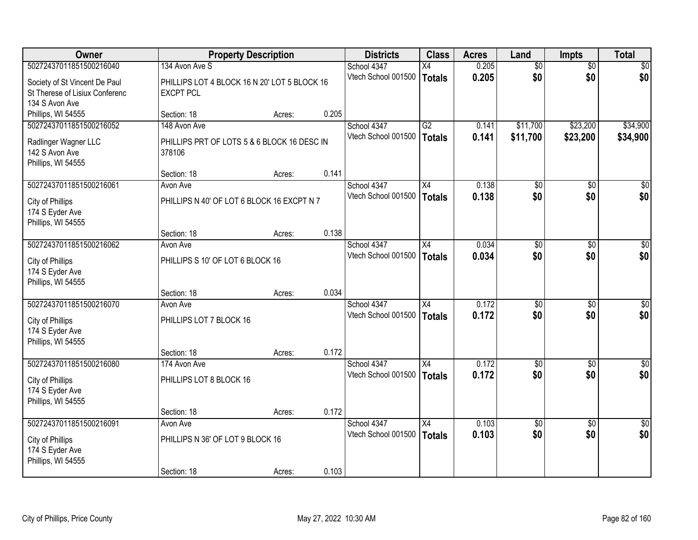| <b>Owner</b>                                                                         |                                                                  | <b>Property Description</b> |       | <b>Districts</b>                   | <b>Class</b>                     | <b>Acres</b>   | Land                 | <b>Impts</b>         | <b>Total</b>         |
|--------------------------------------------------------------------------------------|------------------------------------------------------------------|-----------------------------|-------|------------------------------------|----------------------------------|----------------|----------------------|----------------------|----------------------|
| 50272437011851500216040                                                              | 134 Avon Ave S                                                   |                             |       | School 4347                        | X4                               | 0.205          | $\overline{50}$      | $\overline{50}$      | $\overline{30}$      |
| Society of St Vincent De Paul<br>St Therese of Lisiux Conferenc<br>134 S Avon Ave    | PHILLIPS LOT 4 BLOCK 16 N 20' LOT 5 BLOCK 16<br><b>EXCPT PCL</b> |                             |       | Vtech School 001500                | Totals                           | 0.205          | \$0                  | \$0                  | \$0                  |
| Phillips, WI 54555                                                                   | Section: 18                                                      | Acres:                      | 0.205 |                                    |                                  |                |                      |                      |                      |
| 50272437011851500216052<br>Radlinger Wagner LLC                                      | 148 Avon Ave<br>PHILLIPS PRT OF LOTS 5 & 6 BLOCK 16 DESC IN      |                             |       | School 4347<br>Vtech School 001500 | $\overline{G2}$<br><b>Totals</b> | 0.141<br>0.141 | \$11,700<br>\$11,700 | \$23,200<br>\$23,200 | \$34,900<br>\$34,900 |
| 142 S Avon Ave<br>Phillips, WI 54555                                                 | 378106<br>Section: 18                                            | Acres:                      | 0.141 |                                    |                                  |                |                      |                      |                      |
| 50272437011851500216061                                                              | Avon Ave                                                         |                             |       | School 4347                        | X4                               | 0.138          | $\overline{50}$      | \$0                  | $\overline{30}$      |
| City of Phillips<br>174 S Eyder Ave<br>Phillips, WI 54555                            | PHILLIPS N 40' OF LOT 6 BLOCK 16 EXCPT N 7                       |                             |       | Vtech School 001500                | Totals                           | 0.138          | \$0                  | \$0                  | \$0                  |
|                                                                                      | Section: 18                                                      | Acres:                      | 0.138 |                                    |                                  |                |                      |                      |                      |
| 50272437011851500216062                                                              | Avon Ave                                                         |                             |       | School 4347                        | $\overline{X4}$                  | 0.034          | $\overline{50}$      | $\overline{30}$      | $\overline{50}$      |
| City of Phillips<br>174 S Eyder Ave<br>Phillips, WI 54555                            | PHILLIPS S 10' OF LOT 6 BLOCK 16                                 |                             |       | Vtech School 001500                | <b>Totals</b>                    | 0.034          | \$0                  | \$0                  | \$0                  |
|                                                                                      | Section: 18                                                      | Acres:                      | 0.034 |                                    |                                  |                |                      |                      |                      |
| 50272437011851500216070<br>City of Phillips<br>174 S Eyder Ave<br>Phillips, WI 54555 | Avon Ave<br>PHILLIPS LOT 7 BLOCK 16                              |                             |       | School 4347<br>Vtech School 001500 | $\overline{X4}$<br>Totals        | 0.172<br>0.172 | \$0<br>\$0           | \$0<br>\$0           | $\sqrt{30}$<br>\$0   |
|                                                                                      | Section: 18                                                      | Acres:                      | 0.172 |                                    |                                  |                |                      |                      |                      |
| 50272437011851500216080                                                              | 174 Avon Ave                                                     |                             |       | School 4347                        | $\overline{X4}$                  | 0.172          | $\overline{50}$      | \$0                  | $\sqrt{50}$          |
| City of Phillips<br>174 S Eyder Ave<br>Phillips, WI 54555                            | PHILLIPS LOT 8 BLOCK 16                                          |                             |       | Vtech School 001500                | <b>Totals</b>                    | 0.172          | \$0                  | \$0                  | \$0                  |
|                                                                                      | Section: 18                                                      | Acres:                      | 0.172 |                                    |                                  |                |                      |                      |                      |
| 50272437011851500216091                                                              | Avon Ave                                                         |                             |       | School 4347                        | X4                               | 0.103          | $\overline{50}$      | $\overline{50}$      | $\overline{50}$      |
| City of Phillips<br>174 S Eyder Ave<br>Phillips, WI 54555                            | PHILLIPS N 36' OF LOT 9 BLOCK 16                                 |                             |       | Vtech School 001500                | Totals                           | 0.103          | \$0                  | \$0                  | \$0                  |
|                                                                                      | Section: 18                                                      | Acres:                      | 0.103 |                                    |                                  |                |                      |                      |                      |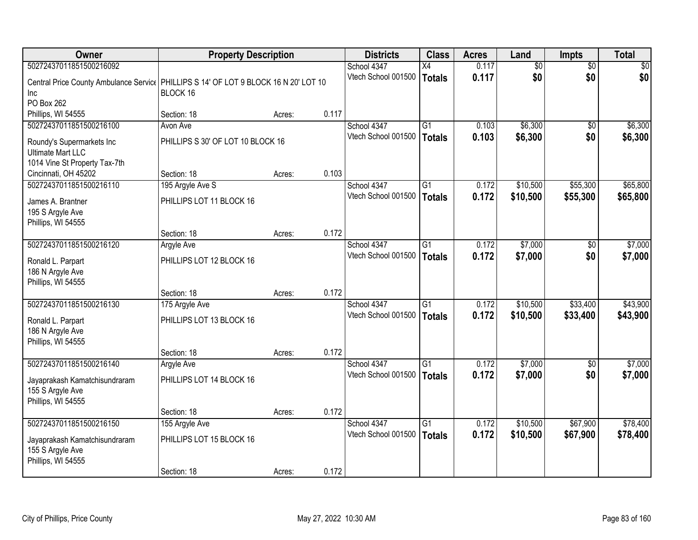| 50272437011851500216092<br>School 4347<br>0.117<br>$\overline{50}$<br>$\overline{50}$<br>$\sqrt{50}$<br>X4<br>\$0<br>0.117<br>\$0<br>\$0<br>Vtech School 001500<br>Totals<br>Central Price County Ambulance Servic   PHILLIPS S 14' OF LOT 9 BLOCK 16 N 20' LOT 10<br>BLOCK 16<br>Inc<br>PO Box 262<br>0.117<br>Phillips, WI 54555<br>Section: 18<br>Acres:<br>50272437011851500216100<br>\$6,300<br>School 4347<br>G1<br>0.103<br>Avon Ave<br>$\overline{50}$<br>Vtech School 001500<br>0.103<br>\$6,300<br>\$0<br><b>Totals</b><br>PHILLIPS S 30' OF LOT 10 BLOCK 16<br>Roundy's Supermarkets Inc<br><b>Ultimate Mart LLC</b><br>1014 Vine St Property Tax-7th<br>0.103<br>Cincinnati, OH 45202<br>Section: 18<br>Acres:<br>50272437011851500216110<br>School 4347<br>G1<br>\$10,500<br>\$55,300<br>0.172<br>195 Argyle Ave S<br>Vtech School 001500<br>0.172<br>\$10,500<br>\$55,300<br>Totals<br>PHILLIPS LOT 11 BLOCK 16<br>James A. Brantner<br>195 S Argyle Ave<br>Phillips, WI 54555<br>0.172<br>Section: 18<br>Acres:<br>\$7,000<br>50272437011851500216120<br>School 4347<br>$\overline{G1}$<br>0.172<br>\$0<br><b>Argyle Ave</b><br>Vtech School 001500<br>0.172<br>\$7,000<br>\$0<br>Totals<br>PHILLIPS LOT 12 BLOCK 16<br>Ronald L. Parpart<br>186 N Argyle Ave<br>Phillips, WI 54555<br>0.172<br>Section: 18<br>Acres:<br>50272437011851500216130<br>\$33,400<br>School 4347<br>$\overline{G1}$<br>0.172<br>\$10,500<br>175 Argyle Ave<br>Vtech School 001500<br>0.172<br>\$10,500<br>\$33,400<br>Totals<br>PHILLIPS LOT 13 BLOCK 16<br>Ronald L. Parpart<br>186 N Argyle Ave<br>Phillips, WI 54555<br>0.172<br>Section: 18<br>Acres:<br>50272437011851500216140<br>\$7,000<br>School 4347<br>G1<br>0.172<br>Argyle Ave<br>\$0<br>\$0<br>Vtech School 001500<br>0.172<br>\$7,000<br>\$7,000<br>Totals<br>PHILLIPS LOT 14 BLOCK 16<br>Jayaprakash Kamatchisundraram<br>155 S Argyle Ave<br>Phillips, WI 54555<br>0.172<br>Section: 18<br>Acres:<br>50272437011851500216150<br>\$67,900<br>School 4347<br>$\overline{G1}$<br>0.172<br>\$10,500<br>155 Argyle Ave<br>0.172<br>Vtech School 001500<br>\$10,500<br>\$67,900<br>\$78,400<br>Totals<br>PHILLIPS LOT 15 BLOCK 16<br>Jayaprakash Kamatchisundraram<br>155 S Argyle Ave<br>Phillips, WI 54555 | Owner | <b>Property Description</b> |  | <b>Districts</b> | <b>Class</b> | <b>Acres</b> | Land | <b>Impts</b> | <b>Total</b> |
|-------------------------------------------------------------------------------------------------------------------------------------------------------------------------------------------------------------------------------------------------------------------------------------------------------------------------------------------------------------------------------------------------------------------------------------------------------------------------------------------------------------------------------------------------------------------------------------------------------------------------------------------------------------------------------------------------------------------------------------------------------------------------------------------------------------------------------------------------------------------------------------------------------------------------------------------------------------------------------------------------------------------------------------------------------------------------------------------------------------------------------------------------------------------------------------------------------------------------------------------------------------------------------------------------------------------------------------------------------------------------------------------------------------------------------------------------------------------------------------------------------------------------------------------------------------------------------------------------------------------------------------------------------------------------------------------------------------------------------------------------------------------------------------------------------------------------------------------------------------------------------------------------------------------------------------------------------------------------------------------------------------------------------------------------------------------------------------------------------------------------------------------------------------------------------------------------------------------------------------------------------------------|-------|-----------------------------|--|------------------|--------------|--------------|------|--------------|--------------|
|                                                                                                                                                                                                                                                                                                                                                                                                                                                                                                                                                                                                                                                                                                                                                                                                                                                                                                                                                                                                                                                                                                                                                                                                                                                                                                                                                                                                                                                                                                                                                                                                                                                                                                                                                                                                                                                                                                                                                                                                                                                                                                                                                                                                                                                                   |       |                             |  |                  |              |              |      |              |              |
| \$6,300<br>\$6,300<br>\$65,800<br>\$65,800<br>\$7,000<br>\$7,000<br>\$43,900                                                                                                                                                                                                                                                                                                                                                                                                                                                                                                                                                                                                                                                                                                                                                                                                                                                                                                                                                                                                                                                                                                                                                                                                                                                                                                                                                                                                                                                                                                                                                                                                                                                                                                                                                                                                                                                                                                                                                                                                                                                                                                                                                                                      |       |                             |  |                  |              |              |      |              |              |
|                                                                                                                                                                                                                                                                                                                                                                                                                                                                                                                                                                                                                                                                                                                                                                                                                                                                                                                                                                                                                                                                                                                                                                                                                                                                                                                                                                                                                                                                                                                                                                                                                                                                                                                                                                                                                                                                                                                                                                                                                                                                                                                                                                                                                                                                   |       |                             |  |                  |              |              |      |              |              |
|                                                                                                                                                                                                                                                                                                                                                                                                                                                                                                                                                                                                                                                                                                                                                                                                                                                                                                                                                                                                                                                                                                                                                                                                                                                                                                                                                                                                                                                                                                                                                                                                                                                                                                                                                                                                                                                                                                                                                                                                                                                                                                                                                                                                                                                                   |       |                             |  |                  |              |              |      |              |              |
|                                                                                                                                                                                                                                                                                                                                                                                                                                                                                                                                                                                                                                                                                                                                                                                                                                                                                                                                                                                                                                                                                                                                                                                                                                                                                                                                                                                                                                                                                                                                                                                                                                                                                                                                                                                                                                                                                                                                                                                                                                                                                                                                                                                                                                                                   |       |                             |  |                  |              |              |      |              |              |
|                                                                                                                                                                                                                                                                                                                                                                                                                                                                                                                                                                                                                                                                                                                                                                                                                                                                                                                                                                                                                                                                                                                                                                                                                                                                                                                                                                                                                                                                                                                                                                                                                                                                                                                                                                                                                                                                                                                                                                                                                                                                                                                                                                                                                                                                   |       |                             |  |                  |              |              |      |              |              |
|                                                                                                                                                                                                                                                                                                                                                                                                                                                                                                                                                                                                                                                                                                                                                                                                                                                                                                                                                                                                                                                                                                                                                                                                                                                                                                                                                                                                                                                                                                                                                                                                                                                                                                                                                                                                                                                                                                                                                                                                                                                                                                                                                                                                                                                                   |       |                             |  |                  |              |              |      |              |              |
|                                                                                                                                                                                                                                                                                                                                                                                                                                                                                                                                                                                                                                                                                                                                                                                                                                                                                                                                                                                                                                                                                                                                                                                                                                                                                                                                                                                                                                                                                                                                                                                                                                                                                                                                                                                                                                                                                                                                                                                                                                                                                                                                                                                                                                                                   |       |                             |  |                  |              |              |      |              |              |
|                                                                                                                                                                                                                                                                                                                                                                                                                                                                                                                                                                                                                                                                                                                                                                                                                                                                                                                                                                                                                                                                                                                                                                                                                                                                                                                                                                                                                                                                                                                                                                                                                                                                                                                                                                                                                                                                                                                                                                                                                                                                                                                                                                                                                                                                   |       |                             |  |                  |              |              |      |              |              |
|                                                                                                                                                                                                                                                                                                                                                                                                                                                                                                                                                                                                                                                                                                                                                                                                                                                                                                                                                                                                                                                                                                                                                                                                                                                                                                                                                                                                                                                                                                                                                                                                                                                                                                                                                                                                                                                                                                                                                                                                                                                                                                                                                                                                                                                                   |       |                             |  |                  |              |              |      |              |              |
|                                                                                                                                                                                                                                                                                                                                                                                                                                                                                                                                                                                                                                                                                                                                                                                                                                                                                                                                                                                                                                                                                                                                                                                                                                                                                                                                                                                                                                                                                                                                                                                                                                                                                                                                                                                                                                                                                                                                                                                                                                                                                                                                                                                                                                                                   |       |                             |  |                  |              |              |      |              |              |
|                                                                                                                                                                                                                                                                                                                                                                                                                                                                                                                                                                                                                                                                                                                                                                                                                                                                                                                                                                                                                                                                                                                                                                                                                                                                                                                                                                                                                                                                                                                                                                                                                                                                                                                                                                                                                                                                                                                                                                                                                                                                                                                                                                                                                                                                   |       |                             |  |                  |              |              |      |              |              |
|                                                                                                                                                                                                                                                                                                                                                                                                                                                                                                                                                                                                                                                                                                                                                                                                                                                                                                                                                                                                                                                                                                                                                                                                                                                                                                                                                                                                                                                                                                                                                                                                                                                                                                                                                                                                                                                                                                                                                                                                                                                                                                                                                                                                                                                                   |       |                             |  |                  |              |              |      |              |              |
|                                                                                                                                                                                                                                                                                                                                                                                                                                                                                                                                                                                                                                                                                                                                                                                                                                                                                                                                                                                                                                                                                                                                                                                                                                                                                                                                                                                                                                                                                                                                                                                                                                                                                                                                                                                                                                                                                                                                                                                                                                                                                                                                                                                                                                                                   |       |                             |  |                  |              |              |      |              |              |
|                                                                                                                                                                                                                                                                                                                                                                                                                                                                                                                                                                                                                                                                                                                                                                                                                                                                                                                                                                                                                                                                                                                                                                                                                                                                                                                                                                                                                                                                                                                                                                                                                                                                                                                                                                                                                                                                                                                                                                                                                                                                                                                                                                                                                                                                   |       |                             |  |                  |              |              |      |              |              |
|                                                                                                                                                                                                                                                                                                                                                                                                                                                                                                                                                                                                                                                                                                                                                                                                                                                                                                                                                                                                                                                                                                                                                                                                                                                                                                                                                                                                                                                                                                                                                                                                                                                                                                                                                                                                                                                                                                                                                                                                                                                                                                                                                                                                                                                                   |       |                             |  |                  |              |              |      |              |              |
|                                                                                                                                                                                                                                                                                                                                                                                                                                                                                                                                                                                                                                                                                                                                                                                                                                                                                                                                                                                                                                                                                                                                                                                                                                                                                                                                                                                                                                                                                                                                                                                                                                                                                                                                                                                                                                                                                                                                                                                                                                                                                                                                                                                                                                                                   |       |                             |  |                  |              |              |      |              |              |
|                                                                                                                                                                                                                                                                                                                                                                                                                                                                                                                                                                                                                                                                                                                                                                                                                                                                                                                                                                                                                                                                                                                                                                                                                                                                                                                                                                                                                                                                                                                                                                                                                                                                                                                                                                                                                                                                                                                                                                                                                                                                                                                                                                                                                                                                   |       |                             |  |                  |              |              |      |              |              |
| \$43,900<br>\$7,000<br>\$78,400                                                                                                                                                                                                                                                                                                                                                                                                                                                                                                                                                                                                                                                                                                                                                                                                                                                                                                                                                                                                                                                                                                                                                                                                                                                                                                                                                                                                                                                                                                                                                                                                                                                                                                                                                                                                                                                                                                                                                                                                                                                                                                                                                                                                                                   |       |                             |  |                  |              |              |      |              |              |
|                                                                                                                                                                                                                                                                                                                                                                                                                                                                                                                                                                                                                                                                                                                                                                                                                                                                                                                                                                                                                                                                                                                                                                                                                                                                                                                                                                                                                                                                                                                                                                                                                                                                                                                                                                                                                                                                                                                                                                                                                                                                                                                                                                                                                                                                   |       |                             |  |                  |              |              |      |              |              |
|                                                                                                                                                                                                                                                                                                                                                                                                                                                                                                                                                                                                                                                                                                                                                                                                                                                                                                                                                                                                                                                                                                                                                                                                                                                                                                                                                                                                                                                                                                                                                                                                                                                                                                                                                                                                                                                                                                                                                                                                                                                                                                                                                                                                                                                                   |       |                             |  |                  |              |              |      |              |              |
|                                                                                                                                                                                                                                                                                                                                                                                                                                                                                                                                                                                                                                                                                                                                                                                                                                                                                                                                                                                                                                                                                                                                                                                                                                                                                                                                                                                                                                                                                                                                                                                                                                                                                                                                                                                                                                                                                                                                                                                                                                                                                                                                                                                                                                                                   |       |                             |  |                  |              |              |      |              |              |
|                                                                                                                                                                                                                                                                                                                                                                                                                                                                                                                                                                                                                                                                                                                                                                                                                                                                                                                                                                                                                                                                                                                                                                                                                                                                                                                                                                                                                                                                                                                                                                                                                                                                                                                                                                                                                                                                                                                                                                                                                                                                                                                                                                                                                                                                   |       |                             |  |                  |              |              |      |              |              |
|                                                                                                                                                                                                                                                                                                                                                                                                                                                                                                                                                                                                                                                                                                                                                                                                                                                                                                                                                                                                                                                                                                                                                                                                                                                                                                                                                                                                                                                                                                                                                                                                                                                                                                                                                                                                                                                                                                                                                                                                                                                                                                                                                                                                                                                                   |       |                             |  |                  |              |              |      |              |              |
|                                                                                                                                                                                                                                                                                                                                                                                                                                                                                                                                                                                                                                                                                                                                                                                                                                                                                                                                                                                                                                                                                                                                                                                                                                                                                                                                                                                                                                                                                                                                                                                                                                                                                                                                                                                                                                                                                                                                                                                                                                                                                                                                                                                                                                                                   |       |                             |  |                  |              |              |      |              |              |
|                                                                                                                                                                                                                                                                                                                                                                                                                                                                                                                                                                                                                                                                                                                                                                                                                                                                                                                                                                                                                                                                                                                                                                                                                                                                                                                                                                                                                                                                                                                                                                                                                                                                                                                                                                                                                                                                                                                                                                                                                                                                                                                                                                                                                                                                   |       |                             |  |                  |              |              |      |              |              |
|                                                                                                                                                                                                                                                                                                                                                                                                                                                                                                                                                                                                                                                                                                                                                                                                                                                                                                                                                                                                                                                                                                                                                                                                                                                                                                                                                                                                                                                                                                                                                                                                                                                                                                                                                                                                                                                                                                                                                                                                                                                                                                                                                                                                                                                                   |       |                             |  |                  |              |              |      |              |              |
|                                                                                                                                                                                                                                                                                                                                                                                                                                                                                                                                                                                                                                                                                                                                                                                                                                                                                                                                                                                                                                                                                                                                                                                                                                                                                                                                                                                                                                                                                                                                                                                                                                                                                                                                                                                                                                                                                                                                                                                                                                                                                                                                                                                                                                                                   |       |                             |  |                  |              |              |      |              |              |
|                                                                                                                                                                                                                                                                                                                                                                                                                                                                                                                                                                                                                                                                                                                                                                                                                                                                                                                                                                                                                                                                                                                                                                                                                                                                                                                                                                                                                                                                                                                                                                                                                                                                                                                                                                                                                                                                                                                                                                                                                                                                                                                                                                                                                                                                   |       |                             |  |                  |              |              |      |              |              |
|                                                                                                                                                                                                                                                                                                                                                                                                                                                                                                                                                                                                                                                                                                                                                                                                                                                                                                                                                                                                                                                                                                                                                                                                                                                                                                                                                                                                                                                                                                                                                                                                                                                                                                                                                                                                                                                                                                                                                                                                                                                                                                                                                                                                                                                                   |       |                             |  |                  |              |              |      |              |              |
|                                                                                                                                                                                                                                                                                                                                                                                                                                                                                                                                                                                                                                                                                                                                                                                                                                                                                                                                                                                                                                                                                                                                                                                                                                                                                                                                                                                                                                                                                                                                                                                                                                                                                                                                                                                                                                                                                                                                                                                                                                                                                                                                                                                                                                                                   |       |                             |  |                  |              |              |      |              |              |
|                                                                                                                                                                                                                                                                                                                                                                                                                                                                                                                                                                                                                                                                                                                                                                                                                                                                                                                                                                                                                                                                                                                                                                                                                                                                                                                                                                                                                                                                                                                                                                                                                                                                                                                                                                                                                                                                                                                                                                                                                                                                                                                                                                                                                                                                   |       |                             |  |                  |              |              |      |              |              |
|                                                                                                                                                                                                                                                                                                                                                                                                                                                                                                                                                                                                                                                                                                                                                                                                                                                                                                                                                                                                                                                                                                                                                                                                                                                                                                                                                                                                                                                                                                                                                                                                                                                                                                                                                                                                                                                                                                                                                                                                                                                                                                                                                                                                                                                                   |       |                             |  |                  |              |              |      |              |              |
|                                                                                                                                                                                                                                                                                                                                                                                                                                                                                                                                                                                                                                                                                                                                                                                                                                                                                                                                                                                                                                                                                                                                                                                                                                                                                                                                                                                                                                                                                                                                                                                                                                                                                                                                                                                                                                                                                                                                                                                                                                                                                                                                                                                                                                                                   |       |                             |  |                  |              |              |      |              |              |
| 0.172<br>Section: 18<br>Acres:                                                                                                                                                                                                                                                                                                                                                                                                                                                                                                                                                                                                                                                                                                                                                                                                                                                                                                                                                                                                                                                                                                                                                                                                                                                                                                                                                                                                                                                                                                                                                                                                                                                                                                                                                                                                                                                                                                                                                                                                                                                                                                                                                                                                                                    |       |                             |  |                  |              |              |      |              |              |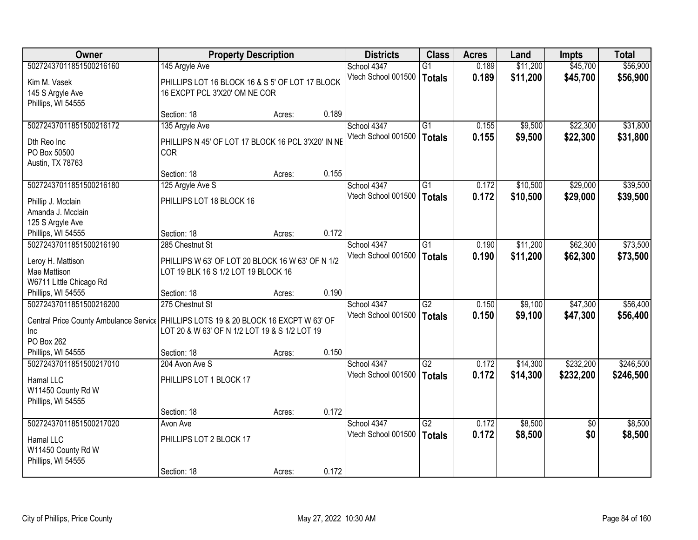| <b>Owner</b>                                                                                                                                 | <b>Property Description</b>                                                             |        |       | <b>Districts</b>                   | <b>Class</b>                     | <b>Acres</b>   | Land                 | Impts                  | <b>Total</b>           |
|----------------------------------------------------------------------------------------------------------------------------------------------|-----------------------------------------------------------------------------------------|--------|-------|------------------------------------|----------------------------------|----------------|----------------------|------------------------|------------------------|
| 50272437011851500216160                                                                                                                      | 145 Argyle Ave                                                                          |        |       | School 4347                        | $\overline{G1}$                  | 0.189          | \$11,200             | \$45,700               | \$56,900               |
| Kim M. Vasek<br>145 S Argyle Ave<br>Phillips, WI 54555                                                                                       | PHILLIPS LOT 16 BLOCK 16 & S 5' OF LOT 17 BLOCK<br>16 EXCPT PCL 3'X20' OM NE COR        |        |       | Vtech School 001500                | <b>Totals</b>                    | 0.189          | \$11,200             | \$45,700               | \$56,900               |
|                                                                                                                                              | Section: 18                                                                             | Acres: | 0.189 |                                    |                                  |                |                      |                        |                        |
| 50272437011851500216172                                                                                                                      | 135 Argyle Ave                                                                          |        |       | School 4347                        | $\overline{G1}$                  | 0.155          | \$9,500              | \$22,300               | \$31,800               |
| Dth Reo Inc<br>PO Box 50500<br>Austin, TX 78763                                                                                              | PHILLIPS N 45' OF LOT 17 BLOCK 16 PCL 3'X20' IN NE<br>COR                               |        |       | Vtech School 001500                | <b>Totals</b>                    | 0.155          | \$9,500              | \$22,300               | \$31,800               |
|                                                                                                                                              | Section: 18                                                                             | Acres: | 0.155 |                                    |                                  |                |                      |                        |                        |
| 50272437011851500216180                                                                                                                      | 125 Argyle Ave S                                                                        |        |       | School 4347                        | $\overline{G1}$                  | 0.172          | \$10,500             | \$29,000               | \$39,500               |
| Phillip J. Mcclain<br>Amanda J. Mcclain<br>125 S Argyle Ave                                                                                  | PHILLIPS LOT 18 BLOCK 16                                                                |        |       | Vtech School 001500                | <b>Totals</b>                    | 0.172          | \$10,500             | \$29,000               | \$39,500               |
| Phillips, WI 54555                                                                                                                           | Section: 18                                                                             | Acres: | 0.172 |                                    |                                  |                |                      |                        |                        |
| 50272437011851500216190                                                                                                                      | 285 Chestnut St                                                                         |        |       | School 4347                        | $\overline{G1}$                  | 0.190          | \$11,200             | \$62,300               | \$73,500               |
| Leroy H. Mattison<br>Mae Mattison<br>W6711 Little Chicago Rd                                                                                 | PHILLIPS W 63' OF LOT 20 BLOCK 16 W 63' OF N 1/2<br>LOT 19 BLK 16 S 1/2 LOT 19 BLOCK 16 |        |       | Vtech School 001500                | <b>Totals</b>                    | 0.190          | \$11,200             | \$62,300               | \$73,500               |
| Phillips, WI 54555                                                                                                                           | Section: 18                                                                             | Acres: | 0.190 |                                    |                                  |                |                      |                        |                        |
| 50272437011851500216200<br>Central Price County Ambulance Servic   PHILLIPS LOTS 19 & 20 BLOCK 16 EXCPT W 63' OF<br><b>Inc</b><br>PO Box 262 | 275 Chestnut St<br>LOT 20 & W 63' OF N 1/2 LOT 19 & S 1/2 LOT 19                        |        |       | School 4347<br>Vtech School 001500 | $\overline{G2}$<br><b>Totals</b> | 0.150<br>0.150 | \$9,100<br>\$9,100   | \$47,300<br>\$47,300   | \$56,400<br>\$56,400   |
| Phillips, WI 54555                                                                                                                           | Section: 18                                                                             | Acres: | 0.150 |                                    |                                  |                |                      |                        |                        |
| 50272437011851500217010<br>Hamal LLC<br>W11450 County Rd W<br>Phillips, WI 54555                                                             | 204 Avon Ave S<br>PHILLIPS LOT 1 BLOCK 17                                               |        |       | School 4347<br>Vtech School 001500 | G2<br><b>Totals</b>              | 0.172<br>0.172 | \$14,300<br>\$14,300 | \$232,200<br>\$232,200 | \$246,500<br>\$246,500 |
|                                                                                                                                              | Section: 18                                                                             | Acres: | 0.172 |                                    |                                  |                |                      |                        |                        |
| 50272437011851500217020                                                                                                                      | Avon Ave                                                                                |        |       | School 4347                        | $\overline{G2}$                  | 0.172          | \$8,500              | $\overline{50}$        | \$8,500                |
| Hamal LLC<br>W11450 County Rd W<br>Phillips, WI 54555                                                                                        | PHILLIPS LOT 2 BLOCK 17                                                                 |        |       | Vtech School 001500                | <b>Totals</b>                    | 0.172          | \$8,500              | \$0                    | \$8,500                |
|                                                                                                                                              | Section: 18                                                                             | Acres: | 0.172 |                                    |                                  |                |                      |                        |                        |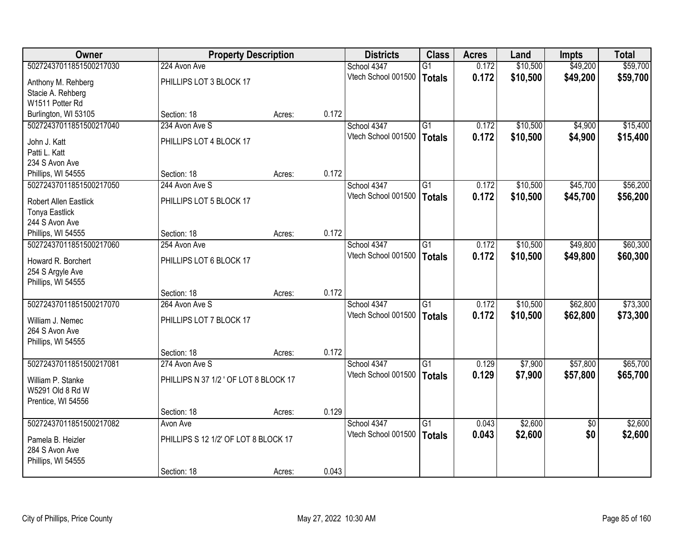| Owner                   |                                       | <b>Property Description</b> |       | <b>Districts</b>    | <b>Class</b>    | <b>Acres</b> | Land     | Impts           | <b>Total</b> |
|-------------------------|---------------------------------------|-----------------------------|-------|---------------------|-----------------|--------------|----------|-----------------|--------------|
| 50272437011851500217030 | 224 Avon Ave                          |                             |       | School 4347         | $\overline{G1}$ | 0.172        | \$10,500 | \$49,200        | \$59,700     |
| Anthony M. Rehberg      | PHILLIPS LOT 3 BLOCK 17               |                             |       | Vtech School 001500 | <b>Totals</b>   | 0.172        | \$10,500 | \$49,200        | \$59,700     |
| Stacie A. Rehberg       |                                       |                             |       |                     |                 |              |          |                 |              |
| W1511 Potter Rd         |                                       |                             |       |                     |                 |              |          |                 |              |
| Burlington, WI 53105    | Section: 18                           | Acres:                      | 0.172 |                     |                 |              |          |                 |              |
| 50272437011851500217040 | 234 Avon Ave S                        |                             |       | School 4347         | $\overline{G1}$ | 0.172        | \$10,500 | \$4,900         | \$15,400     |
| John J. Katt            | PHILLIPS LOT 4 BLOCK 17               |                             |       | Vtech School 001500 | <b>Totals</b>   | 0.172        | \$10,500 | \$4,900         | \$15,400     |
| Patti L. Katt           |                                       |                             |       |                     |                 |              |          |                 |              |
| 234 S Avon Ave          |                                       |                             |       |                     |                 |              |          |                 |              |
| Phillips, WI 54555      | Section: 18                           | Acres:                      | 0.172 |                     |                 |              |          |                 |              |
| 50272437011851500217050 | 244 Avon Ave S                        |                             |       | School 4347         | G1              | 0.172        | \$10,500 | \$45,700        | \$56,200     |
| Robert Allen Eastlick   | PHILLIPS LOT 5 BLOCK 17               |                             |       | Vtech School 001500 | <b>Totals</b>   | 0.172        | \$10,500 | \$45,700        | \$56,200     |
| <b>Tonya Eastlick</b>   |                                       |                             |       |                     |                 |              |          |                 |              |
| 244 S Avon Ave          |                                       |                             |       |                     |                 |              |          |                 |              |
| Phillips, WI 54555      | Section: 18                           | Acres:                      | 0.172 |                     |                 |              |          |                 |              |
| 50272437011851500217060 | 254 Avon Ave                          |                             |       | School 4347         | $\overline{G1}$ | 0.172        | \$10,500 | \$49,800        | \$60,300     |
| Howard R. Borchert      | PHILLIPS LOT 6 BLOCK 17               |                             |       | Vtech School 001500 | <b>Totals</b>   | 0.172        | \$10,500 | \$49,800        | \$60,300     |
| 254 S Argyle Ave        |                                       |                             |       |                     |                 |              |          |                 |              |
| Phillips, WI 54555      |                                       |                             |       |                     |                 |              |          |                 |              |
|                         | Section: 18                           | Acres:                      | 0.172 |                     |                 |              |          |                 |              |
| 50272437011851500217070 | 264 Avon Ave S                        |                             |       | School 4347         | $\overline{G1}$ | 0.172        | \$10,500 | \$62,800        | \$73,300     |
| William J. Nemec        | PHILLIPS LOT 7 BLOCK 17               |                             |       | Vtech School 001500 | <b>Totals</b>   | 0.172        | \$10,500 | \$62,800        | \$73,300     |
| 264 S Avon Ave          |                                       |                             |       |                     |                 |              |          |                 |              |
| Phillips, WI 54555      |                                       |                             |       |                     |                 |              |          |                 |              |
|                         | Section: 18                           | Acres:                      | 0.172 |                     |                 |              |          |                 |              |
| 50272437011851500217081 | 274 Avon Ave S                        |                             |       | School 4347         | G1              | 0.129        | \$7,900  | \$57,800        | \$65,700     |
| William P. Stanke       | PHILLIPS N 37 1/2 ' OF LOT 8 BLOCK 17 |                             |       | Vtech School 001500 | <b>Totals</b>   | 0.129        | \$7,900  | \$57,800        | \$65,700     |
| W5291 Old 8 Rd W        |                                       |                             |       |                     |                 |              |          |                 |              |
| Prentice, WI 54556      |                                       |                             |       |                     |                 |              |          |                 |              |
|                         | Section: 18                           | Acres:                      | 0.129 |                     |                 |              |          |                 |              |
| 50272437011851500217082 | Avon Ave                              |                             |       | School 4347         | $\overline{G1}$ | 0.043        | \$2,600  | $\overline{50}$ | \$2,600      |
| Pamela B. Heizler       | PHILLIPS S 12 1/2' OF LOT 8 BLOCK 17  |                             |       | Vtech School 001500 | <b>Totals</b>   | 0.043        | \$2,600  | \$0             | \$2,600      |
| 284 S Avon Ave          |                                       |                             |       |                     |                 |              |          |                 |              |
| Phillips, WI 54555      |                                       |                             |       |                     |                 |              |          |                 |              |
|                         | Section: 18                           | Acres:                      | 0.043 |                     |                 |              |          |                 |              |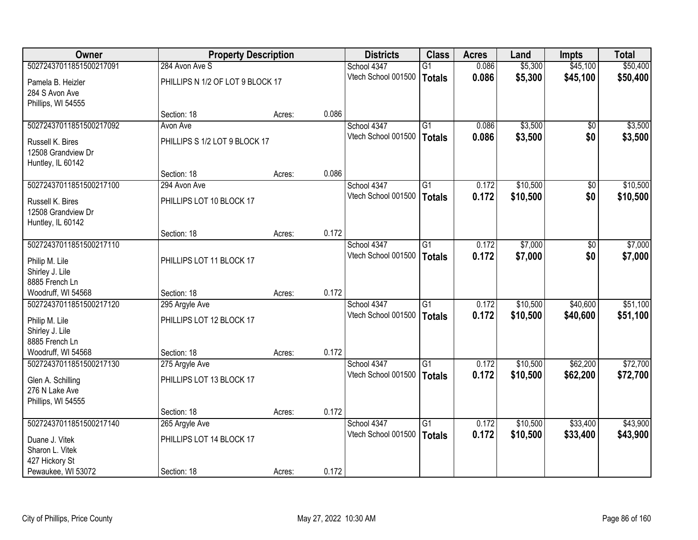| <b>Owner</b>            |                                  | <b>Property Description</b> |       | <b>Districts</b>                   | <b>Class</b>    | <b>Acres</b>   | Land                 | Impts                  | <b>Total</b> |
|-------------------------|----------------------------------|-----------------------------|-------|------------------------------------|-----------------|----------------|----------------------|------------------------|--------------|
| 50272437011851500217091 | 284 Avon Ave S                   |                             |       | School 4347                        | $\overline{G1}$ | 0.086          | \$5,300              | \$45,100               | \$50,400     |
| Pamela B. Heizler       | PHILLIPS N 1/2 OF LOT 9 BLOCK 17 |                             |       | Vtech School 001500                | <b>Totals</b>   | 0.086          | \$5,300              | \$45,100               | \$50,400     |
| 284 S Avon Ave          |                                  |                             |       |                                    |                 |                |                      |                        |              |
| Phillips, WI 54555      |                                  |                             |       |                                    |                 |                |                      |                        |              |
|                         | Section: 18                      | Acres:                      | 0.086 |                                    |                 |                |                      |                        |              |
| 50272437011851500217092 | Avon Ave                         |                             |       | School 4347                        | $\overline{G1}$ | 0.086          | \$3,500              | \$0                    | \$3,500      |
| Russell K. Bires        | PHILLIPS S 1/2 LOT 9 BLOCK 17    |                             |       | Vtech School 001500                | <b>Totals</b>   | 0.086          | \$3,500              | \$0                    | \$3,500      |
| 12508 Grandview Dr      |                                  |                             |       |                                    |                 |                |                      |                        |              |
| Huntley, IL 60142       |                                  |                             |       |                                    |                 |                |                      |                        |              |
|                         | Section: 18                      | Acres:                      | 0.086 |                                    |                 |                |                      |                        |              |
| 50272437011851500217100 | 294 Avon Ave                     |                             |       | School 4347<br>Vtech School 001500 | $\overline{G1}$ | 0.172          | \$10,500             | $\overline{50}$        | \$10,500     |
| Russell K. Bires        | PHILLIPS LOT 10 BLOCK 17         |                             |       |                                    | <b>Totals</b>   | 0.172          | \$10,500             | \$0                    | \$10,500     |
| 12508 Grandview Dr      |                                  |                             |       |                                    |                 |                |                      |                        |              |
| Huntley, IL 60142       |                                  |                             |       |                                    |                 |                |                      |                        |              |
| 50272437011851500217110 | Section: 18                      | Acres:                      | 0.172 | School 4347                        | $\overline{G1}$ | 0.172          | \$7,000              |                        | \$7,000      |
|                         |                                  |                             |       | Vtech School 001500                |                 | 0.172          |                      | $\overline{30}$<br>\$0 |              |
| Philip M. Lile          | PHILLIPS LOT 11 BLOCK 17         |                             |       |                                    | <b>Totals</b>   |                | \$7,000              |                        | \$7,000      |
| Shirley J. Lile         |                                  |                             |       |                                    |                 |                |                      |                        |              |
| 8885 French Ln          |                                  |                             |       |                                    |                 |                |                      |                        |              |
| Woodruff, WI 54568      | Section: 18                      | Acres:                      | 0.172 |                                    |                 |                |                      |                        |              |
| 50272437011851500217120 | 295 Argyle Ave                   |                             |       | School 4347<br>Vtech School 001500 | $\overline{G1}$ | 0.172          | \$10,500             | \$40,600               | \$51,100     |
| Philip M. Lile          | PHILLIPS LOT 12 BLOCK 17         |                             |       |                                    | <b>Totals</b>   | 0.172          | \$10,500             | \$40,600               | \$51,100     |
| Shirley J. Lile         |                                  |                             |       |                                    |                 |                |                      |                        |              |
| 8885 French Ln          |                                  |                             |       |                                    |                 |                |                      |                        |              |
| Woodruff, WI 54568      | Section: 18                      | Acres:                      | 0.172 |                                    |                 |                |                      |                        |              |
| 50272437011851500217130 | 275 Argyle Ave                   |                             |       | School 4347<br>Vtech School 001500 | G1              | 0.172<br>0.172 | \$10,500<br>\$10,500 | \$62,200<br>\$62,200   | \$72,700     |
| Glen A. Schilling       | PHILLIPS LOT 13 BLOCK 17         |                             |       |                                    | <b>Totals</b>   |                |                      |                        | \$72,700     |
| 276 N Lake Ave          |                                  |                             |       |                                    |                 |                |                      |                        |              |
| Phillips, WI 54555      |                                  |                             |       |                                    |                 |                |                      |                        |              |
| 50272437011851500217140 | Section: 18                      | Acres:                      | 0.172 | School 4347                        | $\overline{G1}$ | 0.172          | \$10,500             | \$33,400               | \$43,900     |
|                         | 265 Argyle Ave                   |                             |       | Vtech School 001500                | <b>Totals</b>   | 0.172          | \$10,500             | \$33,400               | \$43,900     |
| Duane J. Vitek          | PHILLIPS LOT 14 BLOCK 17         |                             |       |                                    |                 |                |                      |                        |              |
| Sharon L. Vitek         |                                  |                             |       |                                    |                 |                |                      |                        |              |
| 427 Hickory St          |                                  |                             | 0.172 |                                    |                 |                |                      |                        |              |
| Pewaukee, WI 53072      | Section: 18                      | Acres:                      |       |                                    |                 |                |                      |                        |              |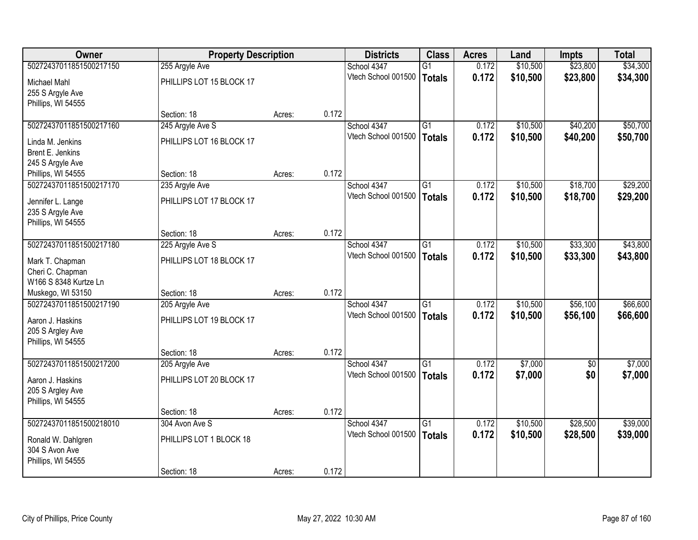| Owner                   |                          | <b>Property Description</b> |       | <b>Districts</b>    | <b>Class</b>    | <b>Acres</b> | Land     | Impts      | <b>Total</b> |
|-------------------------|--------------------------|-----------------------------|-------|---------------------|-----------------|--------------|----------|------------|--------------|
| 50272437011851500217150 | 255 Argyle Ave           |                             |       | School 4347         | $\overline{G1}$ | 0.172        | \$10,500 | \$23,800   | \$34,300     |
| Michael Mahl            | PHILLIPS LOT 15 BLOCK 17 |                             |       | Vtech School 001500 | <b>Totals</b>   | 0.172        | \$10,500 | \$23,800   | \$34,300     |
| 255 S Argyle Ave        |                          |                             |       |                     |                 |              |          |            |              |
| Phillips, WI 54555      |                          |                             |       |                     |                 |              |          |            |              |
|                         | Section: 18              | Acres:                      | 0.172 |                     |                 |              |          |            |              |
| 50272437011851500217160 | 245 Argyle Ave S         |                             |       | School 4347         | $\overline{G1}$ | 0.172        | \$10,500 | \$40,200   | \$50,700     |
| Linda M. Jenkins        | PHILLIPS LOT 16 BLOCK 17 |                             |       | Vtech School 001500 | <b>Totals</b>   | 0.172        | \$10,500 | \$40,200   | \$50,700     |
| Brent E. Jenkins        |                          |                             |       |                     |                 |              |          |            |              |
| 245 S Argyle Ave        |                          |                             |       |                     |                 |              |          |            |              |
| Phillips, WI 54555      | Section: 18              | Acres:                      | 0.172 |                     |                 |              |          |            |              |
| 50272437011851500217170 | 235 Argyle Ave           |                             |       | School 4347         | $\overline{G1}$ | 0.172        | \$10,500 | \$18,700   | \$29,200     |
| Jennifer L. Lange       | PHILLIPS LOT 17 BLOCK 17 |                             |       | Vtech School 001500 | <b>Totals</b>   | 0.172        | \$10,500 | \$18,700   | \$29,200     |
| 235 S Argyle Ave        |                          |                             |       |                     |                 |              |          |            |              |
| Phillips, WI 54555      |                          |                             |       |                     |                 |              |          |            |              |
|                         | Section: 18              | Acres:                      | 0.172 |                     |                 |              |          |            |              |
| 50272437011851500217180 | 225 Argyle Ave S         |                             |       | School 4347         | $\overline{G1}$ | 0.172        | \$10,500 | \$33,300   | \$43,800     |
| Mark T. Chapman         | PHILLIPS LOT 18 BLOCK 17 |                             |       | Vtech School 001500 | <b>Totals</b>   | 0.172        | \$10,500 | \$33,300   | \$43,800     |
| Cheri C. Chapman        |                          |                             |       |                     |                 |              |          |            |              |
| W166 S 8348 Kurtze Ln   |                          |                             |       |                     |                 |              |          |            |              |
| Muskego, WI 53150       | Section: 18              | Acres:                      | 0.172 |                     |                 |              |          |            |              |
| 50272437011851500217190 | 205 Argyle Ave           |                             |       | School 4347         | $\overline{G1}$ | 0.172        | \$10,500 | \$56,100   | \$66,600     |
| Aaron J. Haskins        | PHILLIPS LOT 19 BLOCK 17 |                             |       | Vtech School 001500 | <b>Totals</b>   | 0.172        | \$10,500 | \$56,100   | \$66,600     |
| 205 S Argley Ave        |                          |                             |       |                     |                 |              |          |            |              |
| Phillips, WI 54555      |                          |                             |       |                     |                 |              |          |            |              |
|                         | Section: 18              | Acres:                      | 0.172 |                     |                 |              |          |            |              |
| 50272437011851500217200 | 205 Argyle Ave           |                             |       | School 4347         | G1              | 0.172        | \$7,000  | $\sqrt{6}$ | \$7,000      |
| Aaron J. Haskins        | PHILLIPS LOT 20 BLOCK 17 |                             |       | Vtech School 001500 | <b>Totals</b>   | 0.172        | \$7,000  | \$0        | \$7,000      |
| 205 S Argley Ave        |                          |                             |       |                     |                 |              |          |            |              |
| Phillips, WI 54555      |                          |                             |       |                     |                 |              |          |            |              |
|                         | Section: 18              | Acres:                      | 0.172 |                     |                 |              |          |            |              |
| 50272437011851500218010 | 304 Avon Ave S           |                             |       | School 4347         | $\overline{G1}$ | 0.172        | \$10,500 | \$28,500   | \$39,000     |
| Ronald W. Dahlgren      | PHILLIPS LOT 1 BLOCK 18  |                             |       | Vtech School 001500 | <b>Totals</b>   | 0.172        | \$10,500 | \$28,500   | \$39,000     |
| 304 S Avon Ave          |                          |                             |       |                     |                 |              |          |            |              |
| Phillips, WI 54555      |                          |                             |       |                     |                 |              |          |            |              |
|                         | Section: 18              | Acres:                      | 0.172 |                     |                 |              |          |            |              |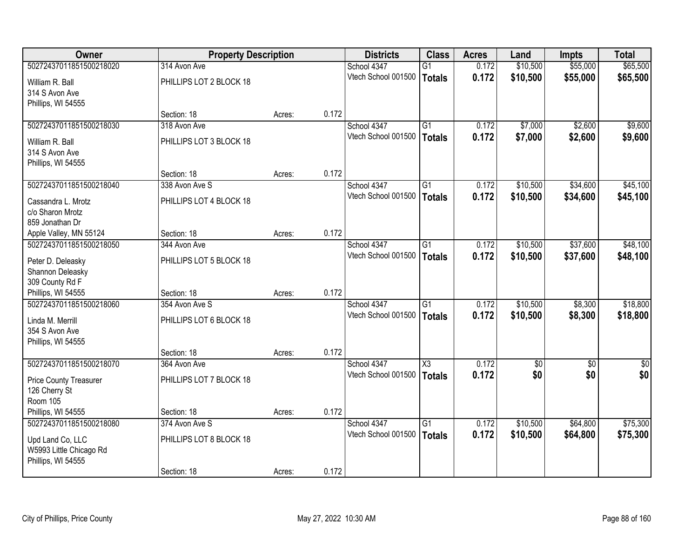| <b>Owner</b>                           |                         | <b>Property Description</b> |       | <b>Districts</b>    | <b>Class</b>           | <b>Acres</b> | Land     | Impts      | <b>Total</b>    |
|----------------------------------------|-------------------------|-----------------------------|-------|---------------------|------------------------|--------------|----------|------------|-----------------|
| 50272437011851500218020                | 314 Avon Ave            |                             |       | School 4347         | $\overline{G1}$        | 0.172        | \$10,500 | \$55,000   | \$65,500        |
| William R. Ball<br>314 S Avon Ave      | PHILLIPS LOT 2 BLOCK 18 |                             |       | Vtech School 001500 | <b>Totals</b>          | 0.172        | \$10,500 | \$55,000   | \$65,500        |
| Phillips, WI 54555                     |                         |                             |       |                     |                        |              |          |            |                 |
|                                        | Section: 18             | Acres:                      | 0.172 |                     |                        |              |          |            |                 |
| 50272437011851500218030                | 318 Avon Ave            |                             |       | School 4347         | $\overline{G1}$        | 0.172        | \$7,000  | \$2,600    | \$9,600         |
| William R. Ball                        | PHILLIPS LOT 3 BLOCK 18 |                             |       | Vtech School 001500 | <b>Totals</b>          | 0.172        | \$7,000  | \$2,600    | \$9,600         |
| 314 S Avon Ave<br>Phillips, WI 54555   |                         |                             |       |                     |                        |              |          |            |                 |
|                                        | Section: 18             | Acres:                      | 0.172 |                     |                        |              |          |            |                 |
| 50272437011851500218040                | 338 Avon Ave S          |                             |       | School 4347         | $\overline{G1}$        | 0.172        | \$10,500 | \$34,600   | \$45,100        |
|                                        |                         |                             |       | Vtech School 001500 | <b>Totals</b>          | 0.172        | \$10,500 | \$34,600   | \$45,100        |
| Cassandra L. Mrotz<br>c/o Sharon Mrotz | PHILLIPS LOT 4 BLOCK 18 |                             |       |                     |                        |              |          |            |                 |
| 859 Jonathan Dr                        |                         |                             |       |                     |                        |              |          |            |                 |
| Apple Valley, MN 55124                 | Section: 18             | Acres:                      | 0.172 |                     |                        |              |          |            |                 |
| 50272437011851500218050                | 344 Avon Ave            |                             |       | School 4347         | $\overline{G1}$        | 0.172        | \$10,500 | \$37,600   | \$48,100        |
| Peter D. Deleasky                      | PHILLIPS LOT 5 BLOCK 18 |                             |       | Vtech School 001500 | <b>Totals</b>          | 0.172        | \$10,500 | \$37,600   | \$48,100        |
| Shannon Deleasky                       |                         |                             |       |                     |                        |              |          |            |                 |
| 309 County Rd F                        |                         |                             |       |                     |                        |              |          |            |                 |
| Phillips, WI 54555                     | Section: 18             | Acres:                      | 0.172 |                     |                        |              |          |            |                 |
| 50272437011851500218060                | 354 Avon Ave S          |                             |       | School 4347         | $\overline{G1}$        | 0.172        | \$10,500 | \$8,300    | \$18,800        |
| Linda M. Merrill                       | PHILLIPS LOT 6 BLOCK 18 |                             |       | Vtech School 001500 | <b>Totals</b>          | 0.172        | \$10,500 | \$8,300    | \$18,800        |
| 354 S Avon Ave                         |                         |                             |       |                     |                        |              |          |            |                 |
| Phillips, WI 54555                     |                         |                             |       |                     |                        |              |          |            |                 |
|                                        | Section: 18             | Acres:                      | 0.172 |                     |                        |              |          |            |                 |
| 50272437011851500218070                | 364 Avon Ave            |                             |       | School 4347         | $\overline{\text{X3}}$ | 0.172        | \$0      | $\sqrt{6}$ | $\overline{50}$ |
| <b>Price County Treasurer</b>          | PHILLIPS LOT 7 BLOCK 18 |                             |       | Vtech School 001500 | <b>Totals</b>          | 0.172        | \$0      | \$0        | \$0             |
| 126 Cherry St                          |                         |                             |       |                     |                        |              |          |            |                 |
| <b>Room 105</b>                        |                         |                             |       |                     |                        |              |          |            |                 |
| Phillips, WI 54555                     | Section: 18             | Acres:                      | 0.172 |                     |                        |              |          |            |                 |
| 50272437011851500218080                | 374 Avon Ave S          |                             |       | School 4347         | $\overline{G1}$        | 0.172        | \$10,500 | \$64,800   | \$75,300        |
| Upd Land Co, LLC                       | PHILLIPS LOT 8 BLOCK 18 |                             |       | Vtech School 001500 | <b>Totals</b>          | 0.172        | \$10,500 | \$64,800   | \$75,300        |
| W5993 Little Chicago Rd                |                         |                             |       |                     |                        |              |          |            |                 |
| Phillips, WI 54555                     |                         |                             |       |                     |                        |              |          |            |                 |
|                                        | Section: 18             | Acres:                      | 0.172 |                     |                        |              |          |            |                 |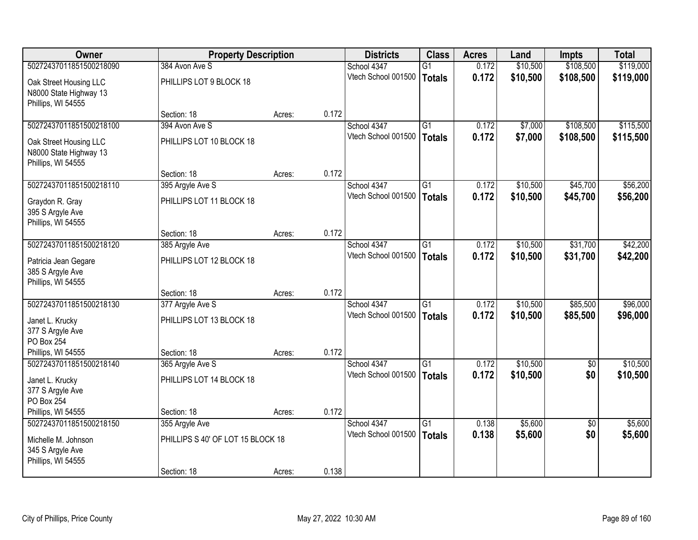| <b>Owner</b>                                                                 |                                                  | <b>Property Description</b> |       | <b>Districts</b>                   | <b>Class</b>                     | <b>Acres</b>   | Land                 | <b>Impts</b>         | <b>Total</b>         |
|------------------------------------------------------------------------------|--------------------------------------------------|-----------------------------|-------|------------------------------------|----------------------------------|----------------|----------------------|----------------------|----------------------|
| 50272437011851500218090                                                      | 384 Avon Ave S                                   |                             |       | School 4347                        | $\overline{G1}$                  | 0.172          | \$10,500             | \$108,500            | \$119,000            |
| Oak Street Housing LLC<br>N8000 State Highway 13<br>Phillips, WI 54555       | PHILLIPS LOT 9 BLOCK 18                          |                             |       | Vtech School 001500                | <b>Totals</b>                    | 0.172          | \$10,500             | \$108,500            | \$119,000            |
|                                                                              | Section: 18                                      | Acres:                      | 0.172 |                                    |                                  |                |                      |                      |                      |
| 50272437011851500218100                                                      | 394 Avon Ave S                                   |                             |       | School 4347                        | $\overline{G1}$                  | 0.172          | \$7,000              | \$108,500            | \$115,500            |
| Oak Street Housing LLC<br>N8000 State Highway 13<br>Phillips, WI 54555       | PHILLIPS LOT 10 BLOCK 18                         |                             |       | Vtech School 001500                | <b>Totals</b>                    | 0.172          | \$7,000              | \$108,500            | \$115,500            |
|                                                                              | Section: 18                                      | Acres:                      | 0.172 |                                    |                                  |                |                      |                      |                      |
| 50272437011851500218110                                                      | 395 Argyle Ave S                                 |                             |       | School 4347                        | $\overline{G1}$                  | 0.172          | \$10,500             | \$45,700             | \$56,200             |
| Graydon R. Gray<br>395 S Argyle Ave<br>Phillips, WI 54555                    | PHILLIPS LOT 11 BLOCK 18                         |                             |       | Vtech School 001500                | <b>Totals</b>                    | 0.172          | \$10,500             | \$45,700             | \$56,200             |
|                                                                              | Section: 18                                      | Acres:                      | 0.172 |                                    |                                  |                |                      |                      |                      |
| 50272437011851500218120                                                      | 385 Argyle Ave                                   |                             |       | School 4347                        | $\overline{G1}$                  | 0.172          | \$10,500             | \$31,700             | \$42,200             |
| Patricia Jean Gegare<br>385 S Argyle Ave<br>Phillips, WI 54555               | PHILLIPS LOT 12 BLOCK 18                         |                             |       | Vtech School 001500                | <b>Totals</b>                    | 0.172          | \$10,500             | \$31,700             | \$42,200             |
|                                                                              | Section: 18                                      | Acres:                      | 0.172 |                                    |                                  |                |                      |                      |                      |
| 50272437011851500218130<br>Janet L. Krucky<br>377 S Argyle Ave<br>PO Box 254 | 377 Argyle Ave S<br>PHILLIPS LOT 13 BLOCK 18     |                             |       | School 4347<br>Vtech School 001500 | $\overline{G1}$<br><b>Totals</b> | 0.172<br>0.172 | \$10,500<br>\$10,500 | \$85,500<br>\$85,500 | \$96,000<br>\$96,000 |
| Phillips, WI 54555                                                           | Section: 18                                      | Acres:                      | 0.172 |                                    |                                  |                |                      |                      |                      |
| 50272437011851500218140                                                      | 365 Argyle Ave S                                 |                             |       | School 4347                        | G1                               | 0.172          | \$10,500             | $\sqrt{6}$           | \$10,500             |
| Janet L. Krucky<br>377 S Argyle Ave<br>PO Box 254                            | PHILLIPS LOT 14 BLOCK 18                         |                             |       | Vtech School 001500                | <b>Totals</b>                    | 0.172          | \$10,500             | \$0                  | \$10,500             |
| Phillips, WI 54555                                                           | Section: 18                                      | Acres:                      | 0.172 |                                    |                                  |                |                      |                      |                      |
| 50272437011851500218150                                                      | 355 Argyle Ave                                   |                             |       | School 4347                        | $\overline{G1}$                  | 0.138          | \$5,600              | $\overline{50}$      | \$5,600              |
| Michelle M. Johnson<br>345 S Argyle Ave<br>Phillips, WI 54555                | PHILLIPS S 40' OF LOT 15 BLOCK 18<br>Section: 18 | Acres:                      | 0.138 | Vtech School 001500                | <b>Totals</b>                    | 0.138          | \$5,600              | \$0                  | \$5,600              |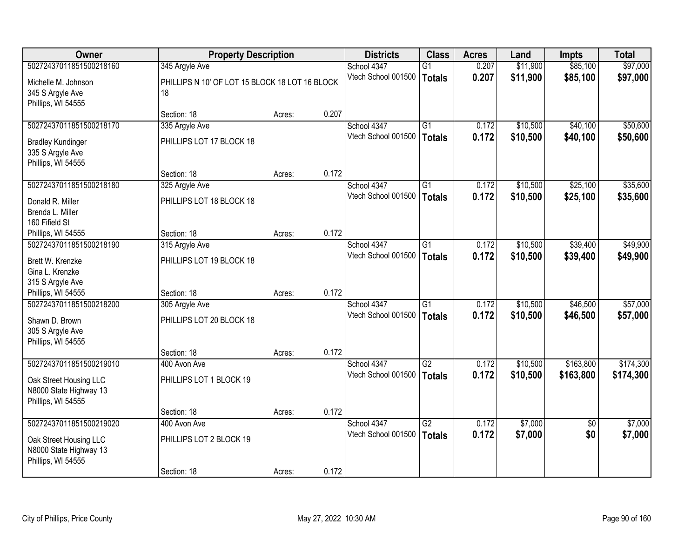| Owner                    | <b>Property Description</b>                    |        |       | <b>Districts</b>    | <b>Class</b>    | <b>Acres</b> | Land     | Impts           | <b>Total</b> |
|--------------------------|------------------------------------------------|--------|-------|---------------------|-----------------|--------------|----------|-----------------|--------------|
| 50272437011851500218160  | 345 Argyle Ave                                 |        |       | School 4347         | $\overline{G1}$ | 0.207        | \$11,900 | \$85,100        | \$97,000     |
| Michelle M. Johnson      | PHILLIPS N 10' OF LOT 15 BLOCK 18 LOT 16 BLOCK |        |       | Vtech School 001500 | <b>Totals</b>   | 0.207        | \$11,900 | \$85,100        | \$97,000     |
| 345 S Argyle Ave         | 18                                             |        |       |                     |                 |              |          |                 |              |
| Phillips, WI 54555       |                                                |        |       |                     |                 |              |          |                 |              |
|                          | Section: 18                                    | Acres: | 0.207 |                     |                 |              |          |                 |              |
| 50272437011851500218170  | 335 Argyle Ave                                 |        |       | School 4347         | G1              | 0.172        | \$10,500 | \$40,100        | \$50,600     |
| <b>Bradley Kundinger</b> | PHILLIPS LOT 17 BLOCK 18                       |        |       | Vtech School 001500 | <b>Totals</b>   | 0.172        | \$10,500 | \$40,100        | \$50,600     |
| 335 S Argyle Ave         |                                                |        |       |                     |                 |              |          |                 |              |
| Phillips, WI 54555       |                                                |        |       |                     |                 |              |          |                 |              |
|                          | Section: 18                                    | Acres: | 0.172 |                     |                 |              |          |                 |              |
| 50272437011851500218180  | 325 Argyle Ave                                 |        |       | School 4347         | $\overline{G1}$ | 0.172        | \$10,500 | \$25,100        | \$35,600     |
| Donald R. Miller         | PHILLIPS LOT 18 BLOCK 18                       |        |       | Vtech School 001500 | <b>Totals</b>   | 0.172        | \$10,500 | \$25,100        | \$35,600     |
| Brenda L. Miller         |                                                |        |       |                     |                 |              |          |                 |              |
| 160 Fifield St           |                                                |        |       |                     |                 |              |          |                 |              |
| Phillips, WI 54555       | Section: 18                                    | Acres: | 0.172 |                     |                 |              |          |                 |              |
| 50272437011851500218190  | 315 Argyle Ave                                 |        |       | School 4347         | $\overline{G1}$ | 0.172        | \$10,500 | \$39,400        | \$49,900     |
| Brett W. Krenzke         | PHILLIPS LOT 19 BLOCK 18                       |        |       | Vtech School 001500 | <b>Totals</b>   | 0.172        | \$10,500 | \$39,400        | \$49,900     |
| Gina L. Krenzke          |                                                |        |       |                     |                 |              |          |                 |              |
| 315 S Argyle Ave         |                                                |        |       |                     |                 |              |          |                 |              |
| Phillips, WI 54555       | Section: 18                                    | Acres: | 0.172 |                     |                 |              |          |                 |              |
| 50272437011851500218200  | 305 Argyle Ave                                 |        |       | School 4347         | $\overline{G1}$ | 0.172        | \$10,500 | \$46,500        | \$57,000     |
| Shawn D. Brown           | PHILLIPS LOT 20 BLOCK 18                       |        |       | Vtech School 001500 | <b>Totals</b>   | 0.172        | \$10,500 | \$46,500        | \$57,000     |
| 305 S Argyle Ave         |                                                |        |       |                     |                 |              |          |                 |              |
| Phillips, WI 54555       |                                                |        |       |                     |                 |              |          |                 |              |
|                          | Section: 18                                    | Acres: | 0.172 |                     |                 |              |          |                 |              |
| 50272437011851500219010  | 400 Avon Ave                                   |        |       | School 4347         | $\overline{G2}$ | 0.172        | \$10,500 | \$163,800       | \$174,300    |
| Oak Street Housing LLC   | PHILLIPS LOT 1 BLOCK 19                        |        |       | Vtech School 001500 | <b>Totals</b>   | 0.172        | \$10,500 | \$163,800       | \$174,300    |
| N8000 State Highway 13   |                                                |        |       |                     |                 |              |          |                 |              |
| Phillips, WI 54555       |                                                |        |       |                     |                 |              |          |                 |              |
|                          | Section: 18                                    | Acres: | 0.172 |                     |                 |              |          |                 |              |
| 50272437011851500219020  | 400 Avon Ave                                   |        |       | School 4347         | $\overline{G2}$ | 0.172        | \$7,000  | $\overline{50}$ | \$7,000      |
| Oak Street Housing LLC   | PHILLIPS LOT 2 BLOCK 19                        |        |       | Vtech School 001500 | <b>Totals</b>   | 0.172        | \$7,000  | \$0             | \$7,000      |
| N8000 State Highway 13   |                                                |        |       |                     |                 |              |          |                 |              |
| Phillips, WI 54555       |                                                |        |       |                     |                 |              |          |                 |              |
|                          | Section: 18                                    | Acres: | 0.172 |                     |                 |              |          |                 |              |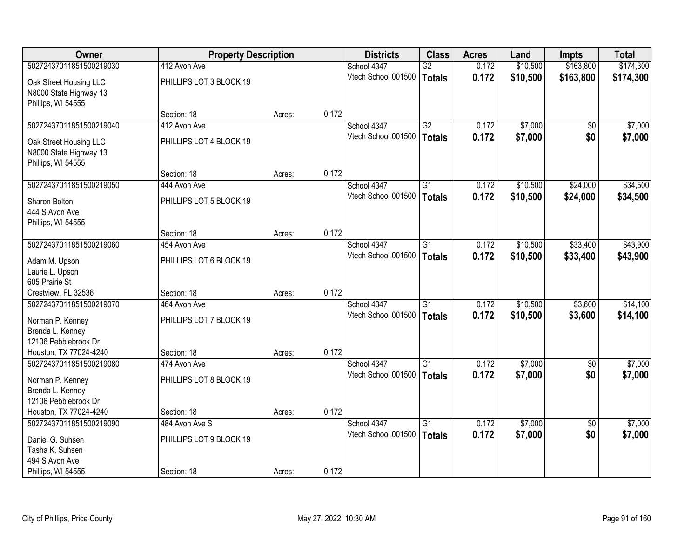| <b>Owner</b>                                                                            |                                         | <b>Property Description</b> |       | <b>Districts</b>                   | <b>Class</b>                     | <b>Acres</b>   | Land                 | <b>Impts</b>       | <b>Total</b>         |
|-----------------------------------------------------------------------------------------|-----------------------------------------|-----------------------------|-------|------------------------------------|----------------------------------|----------------|----------------------|--------------------|----------------------|
| 50272437011851500219030                                                                 | 412 Avon Ave                            |                             |       | School 4347                        | $\overline{G2}$                  | 0.172          | \$10,500             | \$163,800          | \$174,300            |
| Oak Street Housing LLC<br>N8000 State Highway 13<br>Phillips, WI 54555                  | PHILLIPS LOT 3 BLOCK 19                 |                             |       | Vtech School 001500                | <b>Totals</b>                    | 0.172          | \$10,500             | \$163,800          | \$174,300            |
|                                                                                         | Section: 18                             | Acres:                      | 0.172 |                                    |                                  |                |                      |                    |                      |
| 50272437011851500219040                                                                 | 412 Avon Ave                            |                             |       | School 4347                        | G2                               | 0.172          | \$7,000              | $\sqrt{$0}$        | \$7,000              |
| Oak Street Housing LLC<br>N8000 State Highway 13<br>Phillips, WI 54555                  | PHILLIPS LOT 4 BLOCK 19                 |                             |       | Vtech School 001500                | <b>Totals</b>                    | 0.172          | \$7,000              | \$0                | \$7,000              |
|                                                                                         | Section: 18                             | Acres:                      | 0.172 |                                    |                                  |                |                      |                    |                      |
| 50272437011851500219050                                                                 | 444 Avon Ave                            |                             |       | School 4347                        | G1                               | 0.172          | \$10,500             | \$24,000           | \$34,500             |
| Sharon Bolton<br>444 S Avon Ave<br>Phillips, WI 54555                                   | PHILLIPS LOT 5 BLOCK 19                 |                             |       | Vtech School 001500                | <b>Totals</b>                    | 0.172          | \$10,500             | \$24,000           | \$34,500             |
|                                                                                         | Section: 18                             | Acres:                      | 0.172 |                                    |                                  |                |                      |                    |                      |
| 50272437011851500219060                                                                 | 454 Avon Ave                            |                             |       | School 4347                        | G1                               | 0.172          | \$10,500             | \$33,400           | \$43,900             |
| Adam M. Upson<br>Laurie L. Upson<br>605 Prairie St                                      | PHILLIPS LOT 6 BLOCK 19                 |                             |       | Vtech School 001500                | <b>Totals</b>                    | 0.172          | \$10,500             | \$33,400           | \$43,900             |
| Crestview, FL 32536                                                                     | Section: 18                             | Acres:                      | 0.172 |                                    |                                  |                |                      |                    |                      |
| 50272437011851500219070<br>Norman P. Kenney<br>Brenda L. Kenney<br>12106 Pebblebrook Dr | 464 Avon Ave<br>PHILLIPS LOT 7 BLOCK 19 |                             |       | School 4347<br>Vtech School 001500 | $\overline{G1}$<br><b>Totals</b> | 0.172<br>0.172 | \$10,500<br>\$10,500 | \$3,600<br>\$3,600 | \$14,100<br>\$14,100 |
| Houston, TX 77024-4240                                                                  | Section: 18                             | Acres:                      | 0.172 |                                    |                                  |                |                      |                    |                      |
| 50272437011851500219080<br>Norman P. Kenney<br>Brenda L. Kenney<br>12106 Pebblebrook Dr | 474 Avon Ave<br>PHILLIPS LOT 8 BLOCK 19 |                             |       | School 4347<br>Vtech School 001500 | $\overline{G1}$<br><b>Totals</b> | 0.172<br>0.172 | \$7,000<br>\$7,000   | \$0<br>\$0         | \$7,000<br>\$7,000   |
| Houston, TX 77024-4240                                                                  | Section: 18                             | Acres:                      | 0.172 |                                    |                                  |                |                      |                    |                      |
| 50272437011851500219090                                                                 | 484 Avon Ave S                          |                             |       | School 4347                        | $\overline{G1}$                  | 0.172          | \$7,000              | $\overline{50}$    | \$7,000              |
| Daniel G. Suhsen<br>Tasha K. Suhsen<br>494 S Avon Ave<br>Phillips, WI 54555             | PHILLIPS LOT 9 BLOCK 19<br>Section: 18  |                             | 0.172 | Vtech School 001500                | <b>Totals</b>                    | 0.172          | \$7,000              | \$0                | \$7,000              |
|                                                                                         |                                         | Acres:                      |       |                                    |                                  |                |                      |                    |                      |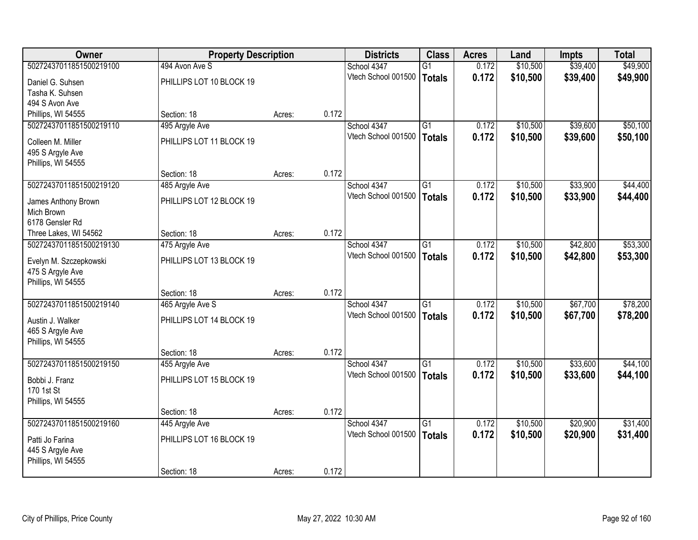| <b>Owner</b>            |                          | <b>Property Description</b> |       | <b>Districts</b>    | <b>Class</b>    | <b>Acres</b> | Land     | Impts    | <b>Total</b> |
|-------------------------|--------------------------|-----------------------------|-------|---------------------|-----------------|--------------|----------|----------|--------------|
| 50272437011851500219100 | 494 Avon Ave S           |                             |       | School 4347         | $\overline{G1}$ | 0.172        | \$10,500 | \$39,400 | \$49,900     |
| Daniel G. Suhsen        | PHILLIPS LOT 10 BLOCK 19 |                             |       | Vtech School 001500 | <b>Totals</b>   | 0.172        | \$10,500 | \$39,400 | \$49,900     |
| Tasha K. Suhsen         |                          |                             |       |                     |                 |              |          |          |              |
| 494 S Avon Ave          |                          |                             |       |                     |                 |              |          |          |              |
| Phillips, WI 54555      | Section: 18              | Acres:                      | 0.172 |                     |                 |              |          |          |              |
| 50272437011851500219110 | 495 Argyle Ave           |                             |       | School 4347         | $\overline{G1}$ | 0.172        | \$10,500 | \$39,600 | \$50,100     |
| Colleen M. Miller       | PHILLIPS LOT 11 BLOCK 19 |                             |       | Vtech School 001500 | <b>Totals</b>   | 0.172        | \$10,500 | \$39,600 | \$50,100     |
| 495 S Argyle Ave        |                          |                             |       |                     |                 |              |          |          |              |
| Phillips, WI 54555      |                          |                             |       |                     |                 |              |          |          |              |
|                         | Section: 18              | Acres:                      | 0.172 |                     |                 |              |          |          |              |
| 50272437011851500219120 | 485 Argyle Ave           |                             |       | School 4347         | $\overline{G1}$ | 0.172        | \$10,500 | \$33,900 | \$44,400     |
| James Anthony Brown     | PHILLIPS LOT 12 BLOCK 19 |                             |       | Vtech School 001500 | <b>Totals</b>   | 0.172        | \$10,500 | \$33,900 | \$44,400     |
| Mich Brown              |                          |                             |       |                     |                 |              |          |          |              |
| 6178 Gensler Rd         |                          |                             |       |                     |                 |              |          |          |              |
| Three Lakes, WI 54562   | Section: 18              | Acres:                      | 0.172 |                     |                 |              |          |          |              |
| 50272437011851500219130 | 475 Argyle Ave           |                             |       | School 4347         | $\overline{G1}$ | 0.172        | \$10,500 | \$42,800 | \$53,300     |
| Evelyn M. Szczepkowski  | PHILLIPS LOT 13 BLOCK 19 |                             |       | Vtech School 001500 | <b>Totals</b>   | 0.172        | \$10,500 | \$42,800 | \$53,300     |
| 475 S Argyle Ave        |                          |                             |       |                     |                 |              |          |          |              |
| Phillips, WI 54555      |                          |                             |       |                     |                 |              |          |          |              |
|                         | Section: 18              | Acres:                      | 0.172 |                     |                 |              |          |          |              |
| 50272437011851500219140 | 465 Argyle Ave S         |                             |       | School 4347         | $\overline{G1}$ | 0.172        | \$10,500 | \$67,700 | \$78,200     |
| Austin J. Walker        | PHILLIPS LOT 14 BLOCK 19 |                             |       | Vtech School 001500 | <b>Totals</b>   | 0.172        | \$10,500 | \$67,700 | \$78,200     |
| 465 S Argyle Ave        |                          |                             |       |                     |                 |              |          |          |              |
| Phillips, WI 54555      |                          |                             |       |                     |                 |              |          |          |              |
|                         | Section: 18              | Acres:                      | 0.172 |                     |                 |              |          |          |              |
| 50272437011851500219150 | 455 Argyle Ave           |                             |       | School 4347         | G1              | 0.172        | \$10,500 | \$33,600 | \$44,100     |
| Bobbi J. Franz          | PHILLIPS LOT 15 BLOCK 19 |                             |       | Vtech School 001500 | <b>Totals</b>   | 0.172        | \$10,500 | \$33,600 | \$44,100     |
| 170 1st St              |                          |                             |       |                     |                 |              |          |          |              |
| Phillips, WI 54555      |                          |                             |       |                     |                 |              |          |          |              |
|                         | Section: 18              | Acres:                      | 0.172 |                     |                 |              |          |          |              |
| 50272437011851500219160 | 445 Argyle Ave           |                             |       | School 4347         | $\overline{G1}$ | 0.172        | \$10,500 | \$20,900 | \$31,400     |
| Patti Jo Farina         | PHILLIPS LOT 16 BLOCK 19 |                             |       | Vtech School 001500 | <b>Totals</b>   | 0.172        | \$10,500 | \$20,900 | \$31,400     |
| 445 S Argyle Ave        |                          |                             |       |                     |                 |              |          |          |              |
| Phillips, WI 54555      |                          |                             |       |                     |                 |              |          |          |              |
|                         | Section: 18              | Acres:                      | 0.172 |                     |                 |              |          |          |              |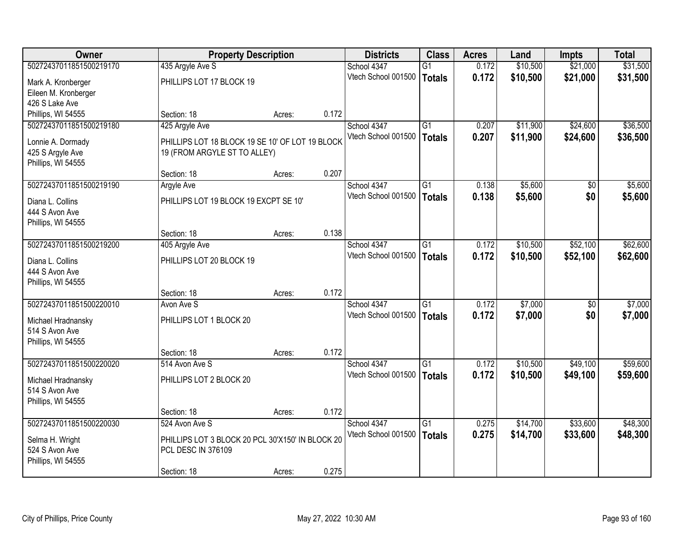| <b>Owner</b>            |                                                  | <b>Property Description</b> |       |                     | <b>Class</b>    | <b>Acres</b> | Land     | <b>Impts</b> | <b>Total</b> |
|-------------------------|--------------------------------------------------|-----------------------------|-------|---------------------|-----------------|--------------|----------|--------------|--------------|
| 50272437011851500219170 | 435 Argyle Ave S                                 |                             |       | School 4347         | G1              | 0.172        | \$10,500 | \$21,000     | \$31,500     |
| Mark A. Kronberger      | PHILLIPS LOT 17 BLOCK 19                         |                             |       | Vtech School 001500 | <b>Totals</b>   | 0.172        | \$10,500 | \$21,000     | \$31,500     |
| Eileen M. Kronberger    |                                                  |                             |       |                     |                 |              |          |              |              |
| 426 S Lake Ave          |                                                  |                             |       |                     |                 |              |          |              |              |
| Phillips, WI 54555      | Section: 18                                      | Acres:                      | 0.172 |                     |                 |              |          |              |              |
| 50272437011851500219180 | 425 Argyle Ave                                   |                             |       | School 4347         | $\overline{G1}$ | 0.207        | \$11,900 | \$24,600     | \$36,500     |
| Lonnie A. Dormady       | PHILLIPS LOT 18 BLOCK 19 SE 10' OF LOT 19 BLOCK  |                             |       | Vtech School 001500 | <b>Totals</b>   | 0.207        | \$11,900 | \$24,600     | \$36,500     |
| 425 S Argyle Ave        | 19 (FROM ARGYLE ST TO ALLEY)                     |                             |       |                     |                 |              |          |              |              |
| Phillips, WI 54555      |                                                  |                             |       |                     |                 |              |          |              |              |
|                         | Section: 18                                      | Acres:                      | 0.207 |                     |                 |              |          |              |              |
| 50272437011851500219190 | <b>Argyle Ave</b>                                |                             |       | School 4347         | G <sub>1</sub>  | 0.138        | \$5,600  | \$0          | \$5,600      |
| Diana L. Collins        | PHILLIPS LOT 19 BLOCK 19 EXCPT SE 10'            |                             |       | Vtech School 001500 | <b>Totals</b>   | 0.138        | \$5,600  | \$0          | \$5,600      |
| 444 S Avon Ave          |                                                  |                             |       |                     |                 |              |          |              |              |
| Phillips, WI 54555      |                                                  |                             |       |                     |                 |              |          |              |              |
|                         | Section: 18                                      | Acres:                      | 0.138 |                     |                 |              |          |              |              |
| 50272437011851500219200 | 405 Argyle Ave                                   |                             |       | School 4347         | G1              | 0.172        | \$10,500 | \$52,100     | \$62,600     |
| Diana L. Collins        | PHILLIPS LOT 20 BLOCK 19                         |                             |       | Vtech School 001500 | <b>Totals</b>   | 0.172        | \$10,500 | \$52,100     | \$62,600     |
| 444 S Avon Ave          |                                                  |                             |       |                     |                 |              |          |              |              |
| Phillips, WI 54555      |                                                  |                             |       |                     |                 |              |          |              |              |
|                         | Section: 18                                      | Acres:                      | 0.172 |                     |                 |              |          |              |              |
| 50272437011851500220010 | Avon Ave S                                       |                             |       | School 4347         | $\overline{G1}$ | 0.172        | \$7,000  | \$0          | \$7,000      |
| Michael Hradnansky      | PHILLIPS LOT 1 BLOCK 20                          |                             |       | Vtech School 001500 | <b>Totals</b>   | 0.172        | \$7,000  | \$0          | \$7,000      |
| 514 S Avon Ave          |                                                  |                             |       |                     |                 |              |          |              |              |
| Phillips, WI 54555      |                                                  |                             |       |                     |                 |              |          |              |              |
|                         | Section: 18                                      | Acres:                      | 0.172 |                     |                 |              |          |              |              |
| 50272437011851500220020 | 514 Avon Ave S                                   |                             |       | School 4347         | G1              | 0.172        | \$10,500 | \$49,100     | \$59,600     |
| Michael Hradnansky      | PHILLIPS LOT 2 BLOCK 20                          |                             |       | Vtech School 001500 | <b>Totals</b>   | 0.172        | \$10,500 | \$49,100     | \$59,600     |
| 514 S Avon Ave          |                                                  |                             |       |                     |                 |              |          |              |              |
| Phillips, WI 54555      |                                                  |                             |       |                     |                 |              |          |              |              |
|                         | Section: 18                                      | Acres:                      | 0.172 |                     |                 |              |          |              |              |
| 50272437011851500220030 | 524 Avon Ave S                                   |                             |       | School 4347         | G1              | 0.275        | \$14,700 | \$33,600     | \$48,300     |
| Selma H. Wright         | PHILLIPS LOT 3 BLOCK 20 PCL 30'X150' IN BLOCK 20 |                             |       | Vtech School 001500 | <b>Totals</b>   | 0.275        | \$14,700 | \$33,600     | \$48,300     |
| 524 S Avon Ave          | <b>PCL DESC IN 376109</b>                        |                             |       |                     |                 |              |          |              |              |
| Phillips, WI 54555      |                                                  |                             |       |                     |                 |              |          |              |              |
|                         | Section: 18                                      | Acres:                      | 0.275 |                     |                 |              |          |              |              |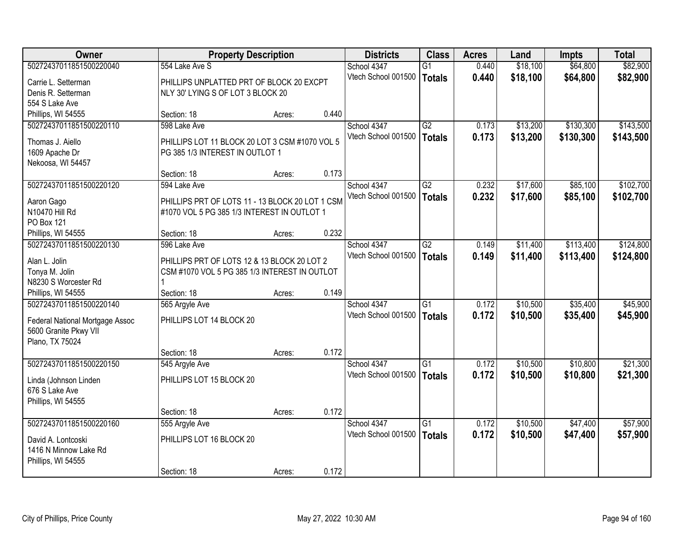| <b>Owner</b>                    | <b>Property Description</b>                     | <b>Districts</b> | <b>Class</b> | <b>Acres</b>        | Land            | <b>Impts</b> | <b>Total</b> |           |           |
|---------------------------------|-------------------------------------------------|------------------|--------------|---------------------|-----------------|--------------|--------------|-----------|-----------|
| 50272437011851500220040         | 554 Lake Ave S                                  |                  |              | School 4347         | $\overline{G1}$ | 0.440        | \$18,100     | \$64,800  | \$82,900  |
| Carrie L. Setterman             | PHILLIPS UNPLATTED PRT OF BLOCK 20 EXCPT        |                  |              | Vtech School 001500 | Totals          | 0.440        | \$18,100     | \$64,800  | \$82,900  |
| Denis R. Setterman              | NLY 30' LYING S OF LOT 3 BLOCK 20               |                  |              |                     |                 |              |              |           |           |
| 554 S Lake Ave                  |                                                 |                  |              |                     |                 |              |              |           |           |
| Phillips, WI 54555              | Section: 18                                     | Acres:           | 0.440        |                     |                 |              |              |           |           |
| 50272437011851500220110         | 598 Lake Ave                                    |                  |              | School 4347         | G2              | 0.173        | \$13,200     | \$130,300 | \$143,500 |
|                                 |                                                 |                  |              | Vtech School 001500 | <b>Totals</b>   | 0.173        | \$13,200     | \$130,300 | \$143,500 |
| Thomas J. Aiello                | PHILLIPS LOT 11 BLOCK 20 LOT 3 CSM #1070 VOL 5  |                  |              |                     |                 |              |              |           |           |
| 1609 Apache Dr                  | PG 385 1/3 INTEREST IN OUTLOT 1                 |                  |              |                     |                 |              |              |           |           |
| Nekoosa, WI 54457               |                                                 |                  | 0.173        |                     |                 |              |              |           |           |
| 50272437011851500220120         | Section: 18<br>594 Lake Ave                     | Acres:           |              | School 4347         | G2              | 0.232        | \$17,600     | \$85,100  | \$102,700 |
|                                 |                                                 |                  |              | Vtech School 001500 |                 |              |              |           |           |
| Aaron Gago                      | PHILLIPS PRT OF LOTS 11 - 13 BLOCK 20 LOT 1 CSM |                  |              |                     | Totals          | 0.232        | \$17,600     | \$85,100  | \$102,700 |
| N10470 Hill Rd                  | #1070 VOL 5 PG 385 1/3 INTEREST IN OUTLOT 1     |                  |              |                     |                 |              |              |           |           |
| PO Box 121                      |                                                 |                  |              |                     |                 |              |              |           |           |
| Phillips, WI 54555              | Section: 18                                     | Acres:           | 0.232        |                     |                 |              |              |           |           |
| 50272437011851500220130         | 596 Lake Ave                                    |                  |              | School 4347         | $\overline{G2}$ | 0.149        | \$11,400     | \$113,400 | \$124,800 |
| Alan L. Jolin                   | PHILLIPS PRT OF LOTS 12 & 13 BLOCK 20 LOT 2     |                  |              | Vtech School 001500 | Totals          | 0.149        | \$11,400     | \$113,400 | \$124,800 |
| Tonya M. Jolin                  | CSM #1070 VOL 5 PG 385 1/3 INTEREST IN OUTLOT   |                  |              |                     |                 |              |              |           |           |
| N8230 S Worcester Rd            |                                                 |                  |              |                     |                 |              |              |           |           |
| Phillips, WI 54555              | Section: 18                                     | Acres:           | 0.149        |                     |                 |              |              |           |           |
| 50272437011851500220140         | 565 Argyle Ave                                  |                  |              | School 4347         | $\overline{G1}$ | 0.172        | \$10,500     | \$35,400  | \$45,900  |
|                                 |                                                 |                  |              | Vtech School 001500 | <b>Totals</b>   | 0.172        | \$10,500     | \$35,400  | \$45,900  |
| Federal National Mortgage Assoc | PHILLIPS LOT 14 BLOCK 20                        |                  |              |                     |                 |              |              |           |           |
| 5600 Granite Pkwy VII           |                                                 |                  |              |                     |                 |              |              |           |           |
| Plano, TX 75024                 |                                                 |                  |              |                     |                 |              |              |           |           |
|                                 | Section: 18                                     | Acres:           | 0.172        |                     |                 |              |              |           |           |
| 50272437011851500220150         | 545 Argyle Ave                                  |                  |              | School 4347         | G1              | 0.172        | \$10,500     | \$10,800  | \$21,300  |
| Linda (Johnson Linden           | PHILLIPS LOT 15 BLOCK 20                        |                  |              | Vtech School 001500 | <b>Totals</b>   | 0.172        | \$10,500     | \$10,800  | \$21,300  |
| 676 S Lake Ave                  |                                                 |                  |              |                     |                 |              |              |           |           |
| Phillips, WI 54555              |                                                 |                  |              |                     |                 |              |              |           |           |
|                                 | Section: 18                                     | Acres:           | 0.172        |                     |                 |              |              |           |           |
| 50272437011851500220160         | 555 Argyle Ave                                  |                  |              | School 4347         | $\overline{G1}$ | 0.172        | \$10,500     | \$47,400  | \$57,900  |
| David A. Lontcoski              | PHILLIPS LOT 16 BLOCK 20                        |                  |              | Vtech School 001500 | Totals          | 0.172        | \$10,500     | \$47,400  | \$57,900  |
| 1416 N Minnow Lake Rd           |                                                 |                  |              |                     |                 |              |              |           |           |
| Phillips, WI 54555              |                                                 |                  |              |                     |                 |              |              |           |           |
|                                 | Section: 18                                     | Acres:           | 0.172        |                     |                 |              |              |           |           |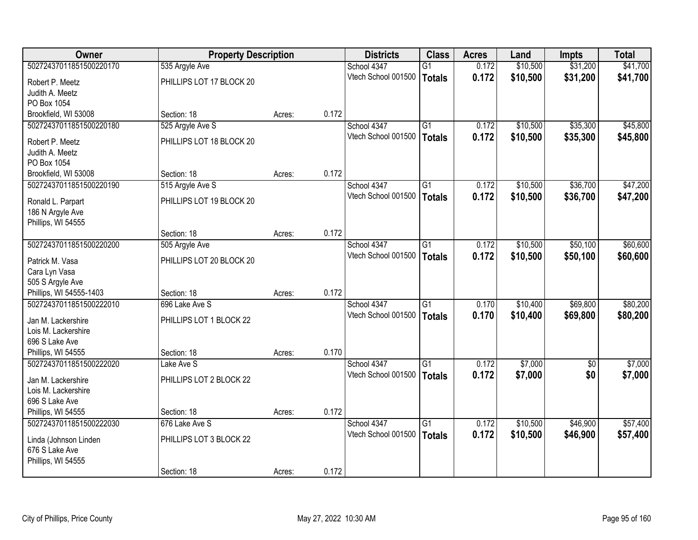| \$31,200<br>50272437011851500220170<br>535 Argyle Ave<br>$\overline{G1}$<br>0.172<br>\$10,500<br>\$41,700<br>School 4347<br>0.172<br>Vtech School 001500<br>\$10,500<br>\$31,200<br>\$41,700<br><b>Totals</b><br>PHILLIPS LOT 17 BLOCK 20<br>Robert P. Meetz<br>Judith A. Meetz<br>PO Box 1054<br>0.172<br>Brookfield, WI 53008<br>Section: 18<br>Acres:<br>50272437011851500220180<br>525 Argyle Ave S<br>\$10,500<br>\$35,300<br>School 4347<br>$\overline{G1}$<br>0.172<br>0.172<br>Vtech School 001500<br>\$10,500<br>\$35,300<br><b>Totals</b><br>PHILLIPS LOT 18 BLOCK 20<br>Robert P. Meetz<br>Judith A. Meetz<br>PO Box 1054<br>0.172<br>Section: 18<br>Brookfield, WI 53008<br>Acres:<br>\$10,500<br>\$36,700<br>50272437011851500220190<br>515 Argyle Ave S<br>School 4347<br>$\overline{G1}$<br>0.172<br>Vtech School 001500<br>0.172<br>\$10,500<br>\$36,700<br><b>Totals</b><br>PHILLIPS LOT 19 BLOCK 20<br>Ronald L. Parpart<br>186 N Argyle Ave<br>Phillips, WI 54555<br>0.172<br>Section: 18<br>Acres:<br>50272437011851500220200<br>School 4347<br>\$10,500<br>\$50,100<br>$\overline{G1}$<br>0.172<br>505 Argyle Ave<br>Vtech School 001500<br>0.172<br>\$10,500<br>\$50,100<br><b>Totals</b><br>PHILLIPS LOT 20 BLOCK 20<br>Patrick M. Vasa<br>Cara Lyn Vasa<br>505 S Argyle Ave<br>0.172<br>Phillips, WI 54555-1403<br>Section: 18<br>Acres:<br>50272437011851500222010<br>$\overline{G1}$<br>\$10,400<br>\$69,800<br>696 Lake Ave S<br>School 4347<br>0.170<br>Vtech School 001500<br>0.170<br>\$10,400<br>\$69,800<br><b>Totals</b><br>PHILLIPS LOT 1 BLOCK 22<br>Jan M. Lackershire<br>Lois M. Lackershire<br>696 S Lake Ave |
|-----------------------------------------------------------------------------------------------------------------------------------------------------------------------------------------------------------------------------------------------------------------------------------------------------------------------------------------------------------------------------------------------------------------------------------------------------------------------------------------------------------------------------------------------------------------------------------------------------------------------------------------------------------------------------------------------------------------------------------------------------------------------------------------------------------------------------------------------------------------------------------------------------------------------------------------------------------------------------------------------------------------------------------------------------------------------------------------------------------------------------------------------------------------------------------------------------------------------------------------------------------------------------------------------------------------------------------------------------------------------------------------------------------------------------------------------------------------------------------------------------------------------------------------------------------------------------------------------------------------------------------------------------|
|                                                                                                                                                                                                                                                                                                                                                                                                                                                                                                                                                                                                                                                                                                                                                                                                                                                                                                                                                                                                                                                                                                                                                                                                                                                                                                                                                                                                                                                                                                                                                                                                                                                     |
| \$45,800<br>\$45,800<br>\$47,200<br>\$47,200<br>\$60,600<br>\$60,600<br>\$80,200<br>\$80,200                                                                                                                                                                                                                                                                                                                                                                                                                                                                                                                                                                                                                                                                                                                                                                                                                                                                                                                                                                                                                                                                                                                                                                                                                                                                                                                                                                                                                                                                                                                                                        |
|                                                                                                                                                                                                                                                                                                                                                                                                                                                                                                                                                                                                                                                                                                                                                                                                                                                                                                                                                                                                                                                                                                                                                                                                                                                                                                                                                                                                                                                                                                                                                                                                                                                     |
|                                                                                                                                                                                                                                                                                                                                                                                                                                                                                                                                                                                                                                                                                                                                                                                                                                                                                                                                                                                                                                                                                                                                                                                                                                                                                                                                                                                                                                                                                                                                                                                                                                                     |
|                                                                                                                                                                                                                                                                                                                                                                                                                                                                                                                                                                                                                                                                                                                                                                                                                                                                                                                                                                                                                                                                                                                                                                                                                                                                                                                                                                                                                                                                                                                                                                                                                                                     |
|                                                                                                                                                                                                                                                                                                                                                                                                                                                                                                                                                                                                                                                                                                                                                                                                                                                                                                                                                                                                                                                                                                                                                                                                                                                                                                                                                                                                                                                                                                                                                                                                                                                     |
|                                                                                                                                                                                                                                                                                                                                                                                                                                                                                                                                                                                                                                                                                                                                                                                                                                                                                                                                                                                                                                                                                                                                                                                                                                                                                                                                                                                                                                                                                                                                                                                                                                                     |
|                                                                                                                                                                                                                                                                                                                                                                                                                                                                                                                                                                                                                                                                                                                                                                                                                                                                                                                                                                                                                                                                                                                                                                                                                                                                                                                                                                                                                                                                                                                                                                                                                                                     |
|                                                                                                                                                                                                                                                                                                                                                                                                                                                                                                                                                                                                                                                                                                                                                                                                                                                                                                                                                                                                                                                                                                                                                                                                                                                                                                                                                                                                                                                                                                                                                                                                                                                     |
|                                                                                                                                                                                                                                                                                                                                                                                                                                                                                                                                                                                                                                                                                                                                                                                                                                                                                                                                                                                                                                                                                                                                                                                                                                                                                                                                                                                                                                                                                                                                                                                                                                                     |
|                                                                                                                                                                                                                                                                                                                                                                                                                                                                                                                                                                                                                                                                                                                                                                                                                                                                                                                                                                                                                                                                                                                                                                                                                                                                                                                                                                                                                                                                                                                                                                                                                                                     |
|                                                                                                                                                                                                                                                                                                                                                                                                                                                                                                                                                                                                                                                                                                                                                                                                                                                                                                                                                                                                                                                                                                                                                                                                                                                                                                                                                                                                                                                                                                                                                                                                                                                     |
|                                                                                                                                                                                                                                                                                                                                                                                                                                                                                                                                                                                                                                                                                                                                                                                                                                                                                                                                                                                                                                                                                                                                                                                                                                                                                                                                                                                                                                                                                                                                                                                                                                                     |
|                                                                                                                                                                                                                                                                                                                                                                                                                                                                                                                                                                                                                                                                                                                                                                                                                                                                                                                                                                                                                                                                                                                                                                                                                                                                                                                                                                                                                                                                                                                                                                                                                                                     |
|                                                                                                                                                                                                                                                                                                                                                                                                                                                                                                                                                                                                                                                                                                                                                                                                                                                                                                                                                                                                                                                                                                                                                                                                                                                                                                                                                                                                                                                                                                                                                                                                                                                     |
|                                                                                                                                                                                                                                                                                                                                                                                                                                                                                                                                                                                                                                                                                                                                                                                                                                                                                                                                                                                                                                                                                                                                                                                                                                                                                                                                                                                                                                                                                                                                                                                                                                                     |
|                                                                                                                                                                                                                                                                                                                                                                                                                                                                                                                                                                                                                                                                                                                                                                                                                                                                                                                                                                                                                                                                                                                                                                                                                                                                                                                                                                                                                                                                                                                                                                                                                                                     |
|                                                                                                                                                                                                                                                                                                                                                                                                                                                                                                                                                                                                                                                                                                                                                                                                                                                                                                                                                                                                                                                                                                                                                                                                                                                                                                                                                                                                                                                                                                                                                                                                                                                     |
|                                                                                                                                                                                                                                                                                                                                                                                                                                                                                                                                                                                                                                                                                                                                                                                                                                                                                                                                                                                                                                                                                                                                                                                                                                                                                                                                                                                                                                                                                                                                                                                                                                                     |
|                                                                                                                                                                                                                                                                                                                                                                                                                                                                                                                                                                                                                                                                                                                                                                                                                                                                                                                                                                                                                                                                                                                                                                                                                                                                                                                                                                                                                                                                                                                                                                                                                                                     |
|                                                                                                                                                                                                                                                                                                                                                                                                                                                                                                                                                                                                                                                                                                                                                                                                                                                                                                                                                                                                                                                                                                                                                                                                                                                                                                                                                                                                                                                                                                                                                                                                                                                     |
|                                                                                                                                                                                                                                                                                                                                                                                                                                                                                                                                                                                                                                                                                                                                                                                                                                                                                                                                                                                                                                                                                                                                                                                                                                                                                                                                                                                                                                                                                                                                                                                                                                                     |
|                                                                                                                                                                                                                                                                                                                                                                                                                                                                                                                                                                                                                                                                                                                                                                                                                                                                                                                                                                                                                                                                                                                                                                                                                                                                                                                                                                                                                                                                                                                                                                                                                                                     |
|                                                                                                                                                                                                                                                                                                                                                                                                                                                                                                                                                                                                                                                                                                                                                                                                                                                                                                                                                                                                                                                                                                                                                                                                                                                                                                                                                                                                                                                                                                                                                                                                                                                     |
| 0.170<br>Phillips, WI 54555<br>Section: 18<br>Acres:                                                                                                                                                                                                                                                                                                                                                                                                                                                                                                                                                                                                                                                                                                                                                                                                                                                                                                                                                                                                                                                                                                                                                                                                                                                                                                                                                                                                                                                                                                                                                                                                |
| \$7,000<br>\$7,000<br>50272437011851500222020<br>School 4347<br>0.172<br>Lake Ave S<br>G1<br>$\sqrt{6}$                                                                                                                                                                                                                                                                                                                                                                                                                                                                                                                                                                                                                                                                                                                                                                                                                                                                                                                                                                                                                                                                                                                                                                                                                                                                                                                                                                                                                                                                                                                                             |
| Vtech School 001500<br>0.172<br>\$7,000<br>\$0<br>\$7,000<br><b>Totals</b>                                                                                                                                                                                                                                                                                                                                                                                                                                                                                                                                                                                                                                                                                                                                                                                                                                                                                                                                                                                                                                                                                                                                                                                                                                                                                                                                                                                                                                                                                                                                                                          |
| PHILLIPS LOT 2 BLOCK 22<br>Jan M. Lackershire<br>Lois M. Lackershire                                                                                                                                                                                                                                                                                                                                                                                                                                                                                                                                                                                                                                                                                                                                                                                                                                                                                                                                                                                                                                                                                                                                                                                                                                                                                                                                                                                                                                                                                                                                                                                |
| 696 S Lake Ave                                                                                                                                                                                                                                                                                                                                                                                                                                                                                                                                                                                                                                                                                                                                                                                                                                                                                                                                                                                                                                                                                                                                                                                                                                                                                                                                                                                                                                                                                                                                                                                                                                      |
| 0.172<br>Phillips, WI 54555<br>Section: 18<br>Acres:                                                                                                                                                                                                                                                                                                                                                                                                                                                                                                                                                                                                                                                                                                                                                                                                                                                                                                                                                                                                                                                                                                                                                                                                                                                                                                                                                                                                                                                                                                                                                                                                |
| 50272437011851500222030<br>\$46,900<br>\$57,400<br>676 Lake Ave S<br>School 4347<br>$\overline{G1}$<br>0.172<br>\$10,500                                                                                                                                                                                                                                                                                                                                                                                                                                                                                                                                                                                                                                                                                                                                                                                                                                                                                                                                                                                                                                                                                                                                                                                                                                                                                                                                                                                                                                                                                                                            |
| 0.172<br>Vtech School 001500<br>\$10,500<br>\$46,900<br>\$57,400<br><b>Totals</b>                                                                                                                                                                                                                                                                                                                                                                                                                                                                                                                                                                                                                                                                                                                                                                                                                                                                                                                                                                                                                                                                                                                                                                                                                                                                                                                                                                                                                                                                                                                                                                   |
| PHILLIPS LOT 3 BLOCK 22<br>Linda (Johnson Linden<br>676 S Lake Ave                                                                                                                                                                                                                                                                                                                                                                                                                                                                                                                                                                                                                                                                                                                                                                                                                                                                                                                                                                                                                                                                                                                                                                                                                                                                                                                                                                                                                                                                                                                                                                                  |
| Phillips, WI 54555                                                                                                                                                                                                                                                                                                                                                                                                                                                                                                                                                                                                                                                                                                                                                                                                                                                                                                                                                                                                                                                                                                                                                                                                                                                                                                                                                                                                                                                                                                                                                                                                                                  |
| 0.172<br>Section: 18<br>Acres:                                                                                                                                                                                                                                                                                                                                                                                                                                                                                                                                                                                                                                                                                                                                                                                                                                                                                                                                                                                                                                                                                                                                                                                                                                                                                                                                                                                                                                                                                                                                                                                                                      |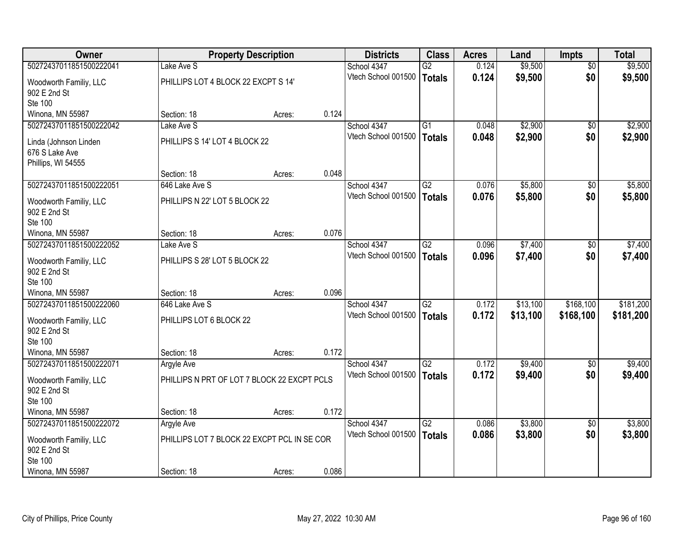| <b>Owner</b>            |                                             | <b>Property Description</b> |       | <b>Districts</b>    | <b>Class</b>    | <b>Acres</b> | Land     | <b>Impts</b>    | <b>Total</b> |
|-------------------------|---------------------------------------------|-----------------------------|-------|---------------------|-----------------|--------------|----------|-----------------|--------------|
| 50272437011851500222041 | Lake Ave S                                  |                             |       | School 4347         | $\overline{G2}$ | 0.124        | \$9,500  | $\overline{50}$ | \$9,500      |
| Woodworth Familiy, LLC  | PHILLIPS LOT 4 BLOCK 22 EXCPT S 14'         |                             |       | Vtech School 001500 | Totals          | 0.124        | \$9,500  | \$0             | \$9,500      |
| 902 E 2nd St            |                                             |                             |       |                     |                 |              |          |                 |              |
| Ste 100                 |                                             |                             |       |                     |                 |              |          |                 |              |
| Winona, MN 55987        | Section: 18                                 | Acres:                      | 0.124 |                     |                 |              |          |                 |              |
| 50272437011851500222042 | Lake Ave S                                  |                             |       | School 4347         | $\overline{G1}$ | 0.048        | \$2,900  | $\overline{50}$ | \$2,900      |
| Linda (Johnson Linden   | PHILLIPS S 14' LOT 4 BLOCK 22               |                             |       | Vtech School 001500 | <b>Totals</b>   | 0.048        | \$2,900  | \$0             | \$2,900      |
| 676 S Lake Ave          |                                             |                             |       |                     |                 |              |          |                 |              |
| Phillips, WI 54555      |                                             |                             |       |                     |                 |              |          |                 |              |
|                         | Section: 18                                 | Acres:                      | 0.048 |                     |                 |              |          |                 |              |
| 50272437011851500222051 | 646 Lake Ave S                              |                             |       | School 4347         | G2              | 0.076        | \$5,800  | \$0             | \$5,800      |
| Woodworth Familiy, LLC  | PHILLIPS N 22' LOT 5 BLOCK 22               |                             |       | Vtech School 001500 | Totals          | 0.076        | \$5,800  | \$0             | \$5,800      |
| 902 E 2nd St            |                                             |                             |       |                     |                 |              |          |                 |              |
| Ste 100                 |                                             |                             |       |                     |                 |              |          |                 |              |
| Winona, MN 55987        | Section: 18                                 | Acres:                      | 0.076 |                     |                 |              |          |                 |              |
| 50272437011851500222052 | Lake Ave S                                  |                             |       | School 4347         | $\overline{G2}$ | 0.096        | \$7,400  | \$0             | \$7,400      |
| Woodworth Familiy, LLC  | PHILLIPS S 28' LOT 5 BLOCK 22               |                             |       | Vtech School 001500 | Totals          | 0.096        | \$7,400  | \$0             | \$7,400      |
| 902 E 2nd St            |                                             |                             |       |                     |                 |              |          |                 |              |
| Ste 100                 |                                             |                             |       |                     |                 |              |          |                 |              |
| Winona, MN 55987        | Section: 18                                 | Acres:                      | 0.096 |                     |                 |              |          |                 |              |
| 50272437011851500222060 | 646 Lake Ave S                              |                             |       | School 4347         | $\overline{G2}$ | 0.172        | \$13,100 | \$168,100       | \$181,200    |
| Woodworth Familiy, LLC  | PHILLIPS LOT 6 BLOCK 22                     |                             |       | Vtech School 001500 | Totals          | 0.172        | \$13,100 | \$168,100       | \$181,200    |
| 902 E 2nd St            |                                             |                             |       |                     |                 |              |          |                 |              |
| Ste 100                 |                                             |                             |       |                     |                 |              |          |                 |              |
| Winona, MN 55987        | Section: 18                                 | Acres:                      | 0.172 |                     |                 |              |          |                 |              |
| 50272437011851500222071 | Argyle Ave                                  |                             |       | School 4347         | G2              | 0.172        | \$9,400  | $\sqrt{6}$      | \$9,400      |
| Woodworth Familiy, LLC  | PHILLIPS N PRT OF LOT 7 BLOCK 22 EXCPT PCLS |                             |       | Vtech School 001500 | Totals          | 0.172        | \$9,400  | \$0             | \$9,400      |
| 902 E 2nd St            |                                             |                             |       |                     |                 |              |          |                 |              |
| Ste 100                 |                                             |                             |       |                     |                 |              |          |                 |              |
| Winona, MN 55987        | Section: 18                                 | Acres:                      | 0.172 |                     |                 |              |          |                 |              |
| 50272437011851500222072 | Argyle Ave                                  |                             |       | School 4347         | $\overline{G2}$ | 0.086        | \$3,800  | $\overline{30}$ | \$3,800      |
| Woodworth Familiy, LLC  | PHILLIPS LOT 7 BLOCK 22 EXCPT PCL IN SE COR |                             |       | Vtech School 001500 | Totals          | 0.086        | \$3,800  | \$0             | \$3,800      |
| 902 E 2nd St            |                                             |                             |       |                     |                 |              |          |                 |              |
| Ste 100                 |                                             |                             |       |                     |                 |              |          |                 |              |
| Winona, MN 55987        | Section: 18                                 | Acres:                      | 0.086 |                     |                 |              |          |                 |              |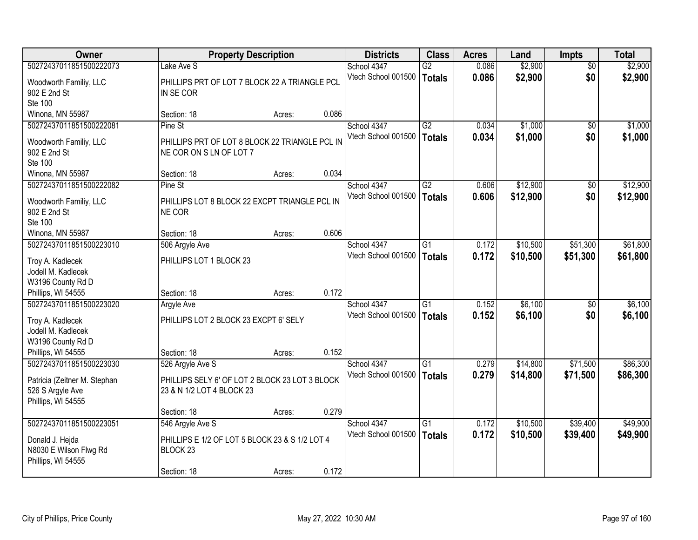| Owner                                   |                                                            | <b>Property Description</b> |       | <b>Districts</b>    | <b>Class</b>    | <b>Acres</b> | Land     | <b>Impts</b>    | <b>Total</b> |
|-----------------------------------------|------------------------------------------------------------|-----------------------------|-------|---------------------|-----------------|--------------|----------|-----------------|--------------|
| 50272437011851500222073                 | Lake Ave S                                                 |                             |       | School 4347         | $\overline{G2}$ | 0.086        | \$2,900  | $\overline{30}$ | \$2,900      |
| Woodworth Familiy, LLC<br>902 E 2nd St  | PHILLIPS PRT OF LOT 7 BLOCK 22 A TRIANGLE PCL<br>IN SE COR |                             |       | Vtech School 001500 | Totals          | 0.086        | \$2,900  | \$0             | \$2,900      |
| Ste 100                                 |                                                            |                             |       |                     |                 |              |          |                 |              |
| Winona, MN 55987                        | Section: 18                                                | Acres:                      | 0.086 |                     |                 |              |          |                 |              |
| 50272437011851500222081                 | Pine St                                                    |                             |       | School 4347         | G2              | 0.034        | \$1,000  | $\overline{50}$ | \$1,000      |
| Woodworth Familiy, LLC                  | PHILLIPS PRT OF LOT 8 BLOCK 22 TRIANGLE PCL IN             |                             |       | Vtech School 001500 | <b>Totals</b>   | 0.034        | \$1,000  | \$0             | \$1,000      |
| 902 E 2nd St                            | NE COR ON S LN OF LOT 7                                    |                             |       |                     |                 |              |          |                 |              |
| Ste 100                                 |                                                            |                             |       |                     |                 |              |          |                 |              |
| Winona, MN 55987                        | Section: 18                                                | Acres:                      | 0.034 |                     |                 |              |          |                 |              |
| 50272437011851500222082                 | Pine St                                                    |                             |       | School 4347         | G2              | 0.606        | \$12,900 | \$0             | \$12,900     |
| Woodworth Familiy, LLC                  | PHILLIPS LOT 8 BLOCK 22 EXCPT TRIANGLE PCL IN              |                             |       | Vtech School 001500 | Totals          | 0.606        | \$12,900 | \$0             | \$12,900     |
| 902 E 2nd St                            | NE COR                                                     |                             |       |                     |                 |              |          |                 |              |
| <b>Ste 100</b>                          |                                                            |                             |       |                     |                 |              |          |                 |              |
| Winona, MN 55987                        | Section: 18                                                | Acres:                      | 0.606 |                     |                 |              |          |                 |              |
| 50272437011851500223010                 | 506 Argyle Ave                                             |                             |       | School 4347         | G1              | 0.172        | \$10,500 | \$51,300        | \$61,800     |
|                                         |                                                            |                             |       | Vtech School 001500 | <b>Totals</b>   | 0.172        | \$10,500 | \$51,300        | \$61,800     |
| Troy A. Kadlecek                        | PHILLIPS LOT 1 BLOCK 23                                    |                             |       |                     |                 |              |          |                 |              |
| Jodell M. Kadlecek<br>W3196 County Rd D |                                                            |                             |       |                     |                 |              |          |                 |              |
| Phillips, WI 54555                      | Section: 18                                                | Acres:                      | 0.172 |                     |                 |              |          |                 |              |
| 50272437011851500223020                 | <b>Argyle Ave</b>                                          |                             |       | School 4347         | $\overline{G1}$ | 0.152        | \$6,100  | \$0             | \$6,100      |
|                                         |                                                            |                             |       | Vtech School 001500 | Totals          | 0.152        | \$6,100  | \$0             | \$6,100      |
| Troy A. Kadlecek                        | PHILLIPS LOT 2 BLOCK 23 EXCPT 6' SELY                      |                             |       |                     |                 |              |          |                 |              |
| Jodell M. Kadlecek                      |                                                            |                             |       |                     |                 |              |          |                 |              |
| W3196 County Rd D                       |                                                            |                             |       |                     |                 |              |          |                 |              |
| Phillips, WI 54555                      | Section: 18                                                | Acres:                      | 0.152 |                     |                 |              |          |                 |              |
| 50272437011851500223030                 | 526 Argyle Ave S                                           |                             |       | School 4347         | $\overline{G1}$ | 0.279        | \$14,800 | \$71,500        | \$86,300     |
| Patricia (Zeitner M. Stephan            | PHILLIPS SELY 6' OF LOT 2 BLOCK 23 LOT 3 BLOCK             |                             |       | Vtech School 001500 | Totals          | 0.279        | \$14,800 | \$71,500        | \$86,300     |
| 526 S Argyle Ave                        | 23 & N 1/2 LOT 4 BLOCK 23                                  |                             |       |                     |                 |              |          |                 |              |
| Phillips, WI 54555                      |                                                            |                             |       |                     |                 |              |          |                 |              |
|                                         | Section: 18                                                | Acres:                      | 0.279 |                     |                 |              |          |                 |              |
| 50272437011851500223051                 | 546 Argyle Ave S                                           |                             |       | School 4347         | $\overline{G1}$ | 0.172        | \$10,500 | \$39,400        | \$49,900     |
| Donald J. Hejda                         | PHILLIPS E 1/2 OF LOT 5 BLOCK 23 & S 1/2 LOT 4             |                             |       | Vtech School 001500 | Totals          | 0.172        | \$10,500 | \$39,400        | \$49,900     |
| N8030 E Wilson Flwg Rd                  | BLOCK <sub>23</sub>                                        |                             |       |                     |                 |              |          |                 |              |
| Phillips, WI 54555                      |                                                            |                             |       |                     |                 |              |          |                 |              |
|                                         | Section: 18                                                | Acres:                      | 0.172 |                     |                 |              |          |                 |              |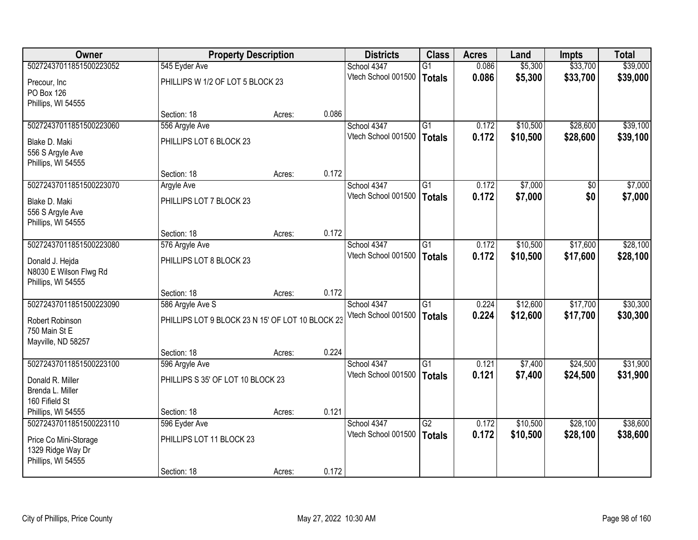| Owner                                   | <b>Property Description</b>                      |        |       | <b>Districts</b>                   | <b>Class</b>    | <b>Acres</b>   | Land                 | <b>Impts</b> | <b>Total</b> |
|-----------------------------------------|--------------------------------------------------|--------|-------|------------------------------------|-----------------|----------------|----------------------|--------------|--------------|
| 50272437011851500223052                 | 545 Eyder Ave                                    |        |       | School 4347                        | $\overline{G1}$ | 0.086          | \$5,300              | \$33,700     | \$39,000     |
| Precour, Inc                            | PHILLIPS W 1/2 OF LOT 5 BLOCK 23                 |        |       | Vtech School 001500                | <b>Totals</b>   | 0.086          | \$5,300              | \$33,700     | \$39,000     |
| PO Box 126                              |                                                  |        |       |                                    |                 |                |                      |              |              |
| Phillips, WI 54555                      |                                                  |        |       |                                    |                 |                |                      |              |              |
|                                         | Section: 18                                      | Acres: | 0.086 |                                    |                 |                |                      |              |              |
| 50272437011851500223060                 | 556 Argyle Ave                                   |        |       | School 4347                        | $\overline{G1}$ | 0.172          | \$10,500             | \$28,600     | \$39,100     |
| Blake D. Maki                           | PHILLIPS LOT 6 BLOCK 23                          |        |       | Vtech School 001500                | <b>Totals</b>   | 0.172          | \$10,500             | \$28,600     | \$39,100     |
| 556 S Argyle Ave                        |                                                  |        |       |                                    |                 |                |                      |              |              |
| Phillips, WI 54555                      |                                                  |        |       |                                    |                 |                |                      |              |              |
|                                         | Section: 18                                      | Acres: | 0.172 |                                    |                 |                |                      |              |              |
| 50272437011851500223070                 | Argyle Ave                                       |        |       | School 4347                        | $\overline{G1}$ | 0.172          | \$7,000              | \$0          | \$7,000      |
| Blake D. Maki                           | PHILLIPS LOT 7 BLOCK 23                          |        |       | Vtech School 001500                | <b>Totals</b>   | 0.172          | \$7,000              | \$0          | \$7,000      |
| 556 S Argyle Ave                        |                                                  |        |       |                                    |                 |                |                      |              |              |
| Phillips, WI 54555                      |                                                  |        |       |                                    |                 |                |                      |              |              |
|                                         | Section: 18                                      | Acres: | 0.172 |                                    |                 |                |                      |              |              |
| 50272437011851500223080                 | 576 Argyle Ave                                   |        |       | School 4347<br>Vtech School 001500 | $\overline{G1}$ | 0.172          | \$10,500             | \$17,600     | \$28,100     |
| Donald J. Hejda                         | PHILLIPS LOT 8 BLOCK 23                          |        |       |                                    | <b>Totals</b>   | 0.172          | \$10,500             | \$17,600     | \$28,100     |
| N8030 E Wilson Flwg Rd                  |                                                  |        |       |                                    |                 |                |                      |              |              |
| Phillips, WI 54555                      |                                                  |        |       |                                    |                 |                |                      |              |              |
| 50272437011851500223090                 | Section: 18                                      | Acres: | 0.172 |                                    | $\overline{G1}$ |                |                      | \$17,700     |              |
|                                         | 586 Argyle Ave S                                 |        |       | School 4347<br>Vtech School 001500 |                 | 0.224<br>0.224 | \$12,600<br>\$12,600 |              | \$30,300     |
| Robert Robinson                         | PHILLIPS LOT 9 BLOCK 23 N 15' OF LOT 10 BLOCK 23 |        |       |                                    | <b>Totals</b>   |                |                      | \$17,700     | \$30,300     |
| 750 Main St E                           |                                                  |        |       |                                    |                 |                |                      |              |              |
| Mayville, ND 58257                      |                                                  |        |       |                                    |                 |                |                      |              |              |
| 50272437011851500223100                 | Section: 18<br>596 Argyle Ave                    | Acres: | 0.224 | School 4347                        | G1              | 0.121          | \$7,400              | \$24,500     | \$31,900     |
|                                         |                                                  |        |       | Vtech School 001500                | <b>Totals</b>   | 0.121          | \$7,400              | \$24,500     | \$31,900     |
| Donald R. Miller                        | PHILLIPS S 35' OF LOT 10 BLOCK 23                |        |       |                                    |                 |                |                      |              |              |
| Brenda L. Miller                        |                                                  |        |       |                                    |                 |                |                      |              |              |
| 160 Fifield St<br>Phillips, WI 54555    | Section: 18                                      | Acres: | 0.121 |                                    |                 |                |                      |              |              |
| 50272437011851500223110                 | 596 Eyder Ave                                    |        |       | School 4347                        | $\overline{G2}$ | 0.172          | \$10,500             | \$28,100     | \$38,600     |
|                                         |                                                  |        |       | Vtech School 001500                | <b>Totals</b>   | 0.172          | \$10,500             | \$28,100     | \$38,600     |
| Price Co Mini-Storage                   | PHILLIPS LOT 11 BLOCK 23                         |        |       |                                    |                 |                |                      |              |              |
| 1329 Ridge Way Dr<br>Phillips, WI 54555 |                                                  |        |       |                                    |                 |                |                      |              |              |
|                                         | Section: 18                                      | Acres: | 0.172 |                                    |                 |                |                      |              |              |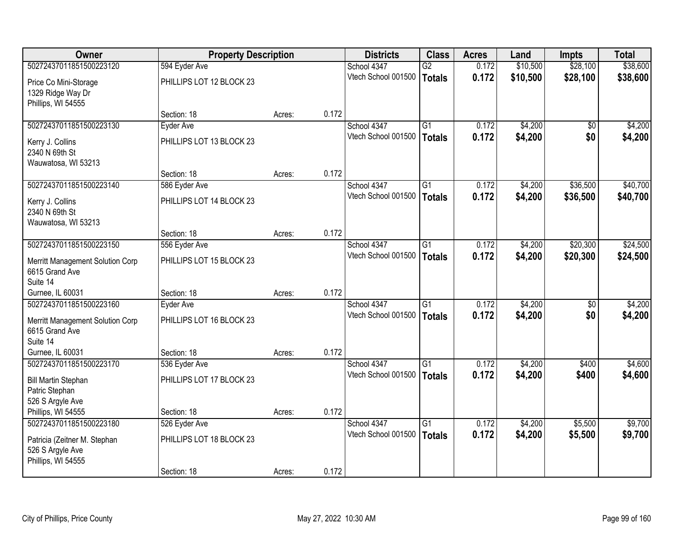| <b>Owner</b>                                                                                | <b>Property Description</b>               |        |       | <b>Districts</b>                   | <b>Class</b>                     | <b>Acres</b>   | Land               | Impts          | <b>Total</b>       |
|---------------------------------------------------------------------------------------------|-------------------------------------------|--------|-------|------------------------------------|----------------------------------|----------------|--------------------|----------------|--------------------|
| 50272437011851500223120                                                                     | 594 Eyder Ave                             |        |       | School 4347                        | $\overline{G2}$                  | 0.172          | \$10,500           | \$28,100       | \$38,600           |
| Price Co Mini-Storage<br>1329 Ridge Way Dr<br>Phillips, WI 54555                            | PHILLIPS LOT 12 BLOCK 23                  |        |       | Vtech School 001500                | <b>Totals</b>                    | 0.172          | \$10,500           | \$28,100       | \$38,600           |
|                                                                                             | Section: 18                               | Acres: | 0.172 |                                    |                                  |                |                    |                |                    |
| 50272437011851500223130                                                                     | Eyder Ave                                 |        |       | School 4347                        | $\overline{G1}$                  | 0.172          | \$4,200            | \$0            | \$4,200            |
| Kerry J. Collins<br>2340 N 69th St<br>Wauwatosa, WI 53213                                   | PHILLIPS LOT 13 BLOCK 23                  |        |       | Vtech School 001500                | <b>Totals</b>                    | 0.172          | \$4,200            | \$0            | \$4,200            |
|                                                                                             | Section: 18                               | Acres: | 0.172 |                                    |                                  |                |                    |                |                    |
| 50272437011851500223140                                                                     | 586 Eyder Ave                             |        |       | School 4347                        | $\overline{G1}$                  | 0.172          | \$4,200            | \$36,500       | \$40,700           |
| Kerry J. Collins<br>2340 N 69th St<br>Wauwatosa, WI 53213                                   | PHILLIPS LOT 14 BLOCK 23                  |        |       | Vtech School 001500                | <b>Totals</b>                    | 0.172          | \$4,200            | \$36,500       | \$40,700           |
|                                                                                             | Section: 18                               | Acres: | 0.172 |                                    |                                  |                |                    |                |                    |
| 50272437011851500223150                                                                     | 556 Eyder Ave                             |        |       | School 4347                        | $\overline{G1}$                  | 0.172          | \$4,200            | \$20,300       | \$24,500           |
| Merritt Management Solution Corp<br>6615 Grand Ave<br>Suite 14                              | PHILLIPS LOT 15 BLOCK 23                  |        |       | Vtech School 001500                | <b>Totals</b>                    | 0.172          | \$4,200            | \$20,300       | \$24,500           |
| Gurnee, IL 60031                                                                            | Section: 18                               | Acres: | 0.172 |                                    |                                  |                |                    |                |                    |
| 50272437011851500223160<br>Merritt Management Solution Corp<br>6615 Grand Ave<br>Suite 14   | Eyder Ave<br>PHILLIPS LOT 16 BLOCK 23     |        |       | School 4347<br>Vtech School 001500 | $\overline{G1}$<br><b>Totals</b> | 0.172<br>0.172 | \$4,200<br>\$4,200 | \$0<br>\$0     | \$4,200<br>\$4,200 |
| Gurnee, IL 60031                                                                            | Section: 18                               | Acres: | 0.172 |                                    |                                  |                |                    |                |                    |
| 50272437011851500223170<br><b>Bill Martin Stephan</b><br>Patric Stephan<br>526 S Argyle Ave | 536 Eyder Ave<br>PHILLIPS LOT 17 BLOCK 23 |        |       | School 4347<br>Vtech School 001500 | G1<br><b>Totals</b>              | 0.172<br>0.172 | \$4,200<br>\$4,200 | \$400<br>\$400 | \$4,600<br>\$4,600 |
| Phillips, WI 54555                                                                          | Section: 18                               | Acres: | 0.172 |                                    |                                  |                |                    |                |                    |
| 50272437011851500223180                                                                     | 526 Eyder Ave                             |        |       | School 4347                        | $\overline{G1}$                  | 0.172          | \$4,200            | \$5,500        | \$9,700            |
| Patricia (Zeitner M. Stephan<br>526 S Argyle Ave<br>Phillips, WI 54555                      | PHILLIPS LOT 18 BLOCK 23<br>Section: 18   | Acres: | 0.172 | Vtech School 001500                | <b>Totals</b>                    | 0.172          | \$4,200            | \$5,500        | \$9,700            |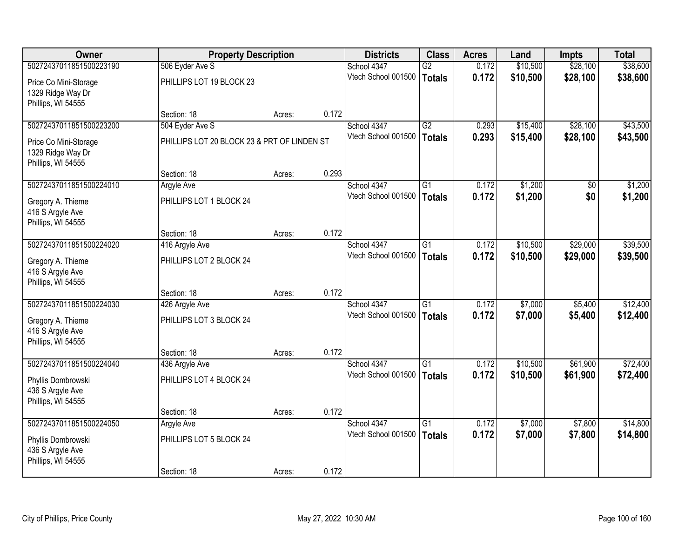| <b>Owner</b>                                                                           | <b>Property Description</b>                 |        |       | <b>Districts</b>                   | <b>Class</b>                     | <b>Acres</b>   | Land               | <b>Impts</b>       | <b>Total</b>         |
|----------------------------------------------------------------------------------------|---------------------------------------------|--------|-------|------------------------------------|----------------------------------|----------------|--------------------|--------------------|----------------------|
| 50272437011851500223190                                                                | 506 Eyder Ave S                             |        |       | School 4347                        | $\overline{G2}$                  | 0.172          | \$10,500           | \$28,100           | \$38,600             |
| Price Co Mini-Storage<br>1329 Ridge Way Dr<br>Phillips, WI 54555                       | PHILLIPS LOT 19 BLOCK 23                    |        |       | Vtech School 001500                | <b>Totals</b>                    | 0.172          | \$10,500           | \$28,100           | \$38,600             |
|                                                                                        | Section: 18                                 | Acres: | 0.172 |                                    |                                  |                |                    |                    |                      |
| 50272437011851500223200                                                                | 504 Eyder Ave S                             |        |       | School 4347                        | G2                               | 0.293          | \$15,400           | \$28,100           | \$43,500             |
| Price Co Mini-Storage<br>1329 Ridge Way Dr<br>Phillips, WI 54555                       | PHILLIPS LOT 20 BLOCK 23 & PRT OF LINDEN ST |        |       | Vtech School 001500                | <b>Totals</b>                    | 0.293          | \$15,400           | \$28,100           | \$43,500             |
|                                                                                        | Section: 18                                 | Acres: | 0.293 |                                    |                                  |                |                    |                    |                      |
| 50272437011851500224010                                                                | Argyle Ave                                  |        |       | School 4347                        | $\overline{G1}$                  | 0.172          | \$1,200            | \$0                | \$1,200              |
| Gregory A. Thieme<br>416 S Argyle Ave<br>Phillips, WI 54555                            | PHILLIPS LOT 1 BLOCK 24                     |        |       | Vtech School 001500                | <b>Totals</b>                    | 0.172          | \$1,200            | \$0                | \$1,200              |
|                                                                                        | Section: 18                                 | Acres: | 0.172 |                                    |                                  |                |                    |                    |                      |
| 50272437011851500224020                                                                | 416 Argyle Ave                              |        |       | School 4347                        | $\overline{G1}$                  | 0.172          | \$10,500           | \$29,000           | \$39,500             |
| Gregory A. Thieme<br>416 S Argyle Ave<br>Phillips, WI 54555                            | PHILLIPS LOT 2 BLOCK 24                     |        |       | Vtech School 001500                | <b>Totals</b>                    | 0.172          | \$10,500           | \$29,000           | \$39,500             |
|                                                                                        | Section: 18                                 | Acres: | 0.172 |                                    |                                  |                |                    |                    |                      |
| 50272437011851500224030<br>Gregory A. Thieme<br>416 S Argyle Ave<br>Phillips, WI 54555 | 426 Argyle Ave<br>PHILLIPS LOT 3 BLOCK 24   |        |       | School 4347<br>Vtech School 001500 | $\overline{G1}$<br><b>Totals</b> | 0.172<br>0.172 | \$7,000<br>\$7,000 | \$5,400<br>\$5,400 | \$12,400<br>\$12,400 |
|                                                                                        | Section: 18                                 | Acres: | 0.172 |                                    |                                  |                |                    |                    |                      |
| 50272437011851500224040                                                                | 436 Argyle Ave                              |        |       | School 4347                        | G1                               | 0.172          | \$10,500           | \$61,900           | \$72,400             |
| Phyllis Dombrowski<br>436 S Argyle Ave<br>Phillips, WI 54555                           | PHILLIPS LOT 4 BLOCK 24                     |        |       | Vtech School 001500                | <b>Totals</b>                    | 0.172          | \$10,500           | \$61,900           | \$72,400             |
|                                                                                        | Section: 18                                 | Acres: | 0.172 |                                    |                                  |                |                    |                    |                      |
| 50272437011851500224050                                                                | <b>Argyle Ave</b>                           |        |       | School 4347                        | $\overline{G1}$                  | 0.172          | \$7,000            | \$7,800            | \$14,800             |
| Phyllis Dombrowski<br>436 S Argyle Ave<br>Phillips, WI 54555                           | PHILLIPS LOT 5 BLOCK 24                     |        |       | Vtech School 001500                | <b>Totals</b>                    | 0.172          | \$7,000            | \$7,800            | \$14,800             |
|                                                                                        | Section: 18                                 | Acres: | 0.172 |                                    |                                  |                |                    |                    |                      |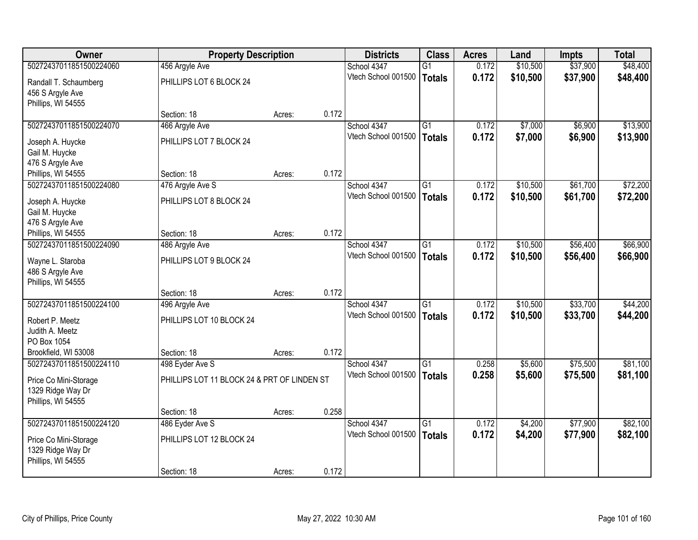| <b>Owner</b>            | <b>Property Description</b>                 |        |       | <b>Districts</b>    | <b>Class</b>    | <b>Acres</b> | Land     | <b>Impts</b> | <b>Total</b> |
|-------------------------|---------------------------------------------|--------|-------|---------------------|-----------------|--------------|----------|--------------|--------------|
| 50272437011851500224060 | 456 Argyle Ave                              |        |       | School 4347         | $\overline{G1}$ | 0.172        | \$10,500 | \$37,900     | \$48,400     |
| Randall T. Schaumberg   | PHILLIPS LOT 6 BLOCK 24                     |        |       | Vtech School 001500 | <b>Totals</b>   | 0.172        | \$10,500 | \$37,900     | \$48,400     |
| 456 S Argyle Ave        |                                             |        |       |                     |                 |              |          |              |              |
| Phillips, WI 54555      |                                             |        |       |                     |                 |              |          |              |              |
|                         | Section: 18                                 | Acres: | 0.172 |                     |                 |              |          |              |              |
| 50272437011851500224070 | 466 Argyle Ave                              |        |       | School 4347         | $\overline{G1}$ | 0.172        | \$7,000  | \$6,900      | \$13,900     |
| Joseph A. Huycke        | PHILLIPS LOT 7 BLOCK 24                     |        |       | Vtech School 001500 | <b>Totals</b>   | 0.172        | \$7,000  | \$6,900      | \$13,900     |
| Gail M. Huycke          |                                             |        |       |                     |                 |              |          |              |              |
| 476 S Argyle Ave        |                                             |        |       |                     |                 |              |          |              |              |
| Phillips, WI 54555      | Section: 18                                 | Acres: | 0.172 |                     |                 |              |          |              |              |
| 50272437011851500224080 | 476 Argyle Ave S                            |        |       | School 4347         | $\overline{G1}$ | 0.172        | \$10,500 | \$61,700     | \$72,200     |
| Joseph A. Huycke        | PHILLIPS LOT 8 BLOCK 24                     |        |       | Vtech School 001500 | <b>Totals</b>   | 0.172        | \$10,500 | \$61,700     | \$72,200     |
| Gail M. Huycke          |                                             |        |       |                     |                 |              |          |              |              |
| 476 S Argyle Ave        |                                             |        |       |                     |                 |              |          |              |              |
| Phillips, WI 54555      | Section: 18                                 | Acres: | 0.172 |                     |                 |              |          |              |              |
| 50272437011851500224090 | 486 Argyle Ave                              |        |       | School 4347         | $\overline{G1}$ | 0.172        | \$10,500 | \$56,400     | \$66,900     |
| Wayne L. Staroba        | PHILLIPS LOT 9 BLOCK 24                     |        |       | Vtech School 001500 | <b>Totals</b>   | 0.172        | \$10,500 | \$56,400     | \$66,900     |
| 486 S Argyle Ave        |                                             |        |       |                     |                 |              |          |              |              |
| Phillips, WI 54555      |                                             |        |       |                     |                 |              |          |              |              |
|                         | Section: 18                                 | Acres: | 0.172 |                     |                 |              |          |              |              |
| 50272437011851500224100 | 496 Argyle Ave                              |        |       | School 4347         | $\overline{G1}$ | 0.172        | \$10,500 | \$33,700     | \$44,200     |
| Robert P. Meetz         | PHILLIPS LOT 10 BLOCK 24                    |        |       | Vtech School 001500 | <b>Totals</b>   | 0.172        | \$10,500 | \$33,700     | \$44,200     |
| Judith A. Meetz         |                                             |        |       |                     |                 |              |          |              |              |
| PO Box 1054             |                                             |        |       |                     |                 |              |          |              |              |
| Brookfield, WI 53008    | Section: 18                                 | Acres: | 0.172 |                     |                 |              |          |              |              |
| 50272437011851500224110 | 498 Eyder Ave S                             |        |       | School 4347         | G1              | 0.258        | \$5,600  | \$75,500     | \$81,100     |
| Price Co Mini-Storage   | PHILLIPS LOT 11 BLOCK 24 & PRT OF LINDEN ST |        |       | Vtech School 001500 | <b>Totals</b>   | 0.258        | \$5,600  | \$75,500     | \$81,100     |
| 1329 Ridge Way Dr       |                                             |        |       |                     |                 |              |          |              |              |
| Phillips, WI 54555      |                                             |        |       |                     |                 |              |          |              |              |
|                         | Section: 18                                 | Acres: | 0.258 |                     |                 |              |          |              |              |
| 50272437011851500224120 | 486 Eyder Ave S                             |        |       | School 4347         | $\overline{G1}$ | 0.172        | \$4,200  | \$77,900     | \$82,100     |
| Price Co Mini-Storage   | PHILLIPS LOT 12 BLOCK 24                    |        |       | Vtech School 001500 | <b>Totals</b>   | 0.172        | \$4,200  | \$77,900     | \$82,100     |
| 1329 Ridge Way Dr       |                                             |        |       |                     |                 |              |          |              |              |
| Phillips, WI 54555      |                                             |        |       |                     |                 |              |          |              |              |
|                         | Section: 18                                 | Acres: | 0.172 |                     |                 |              |          |              |              |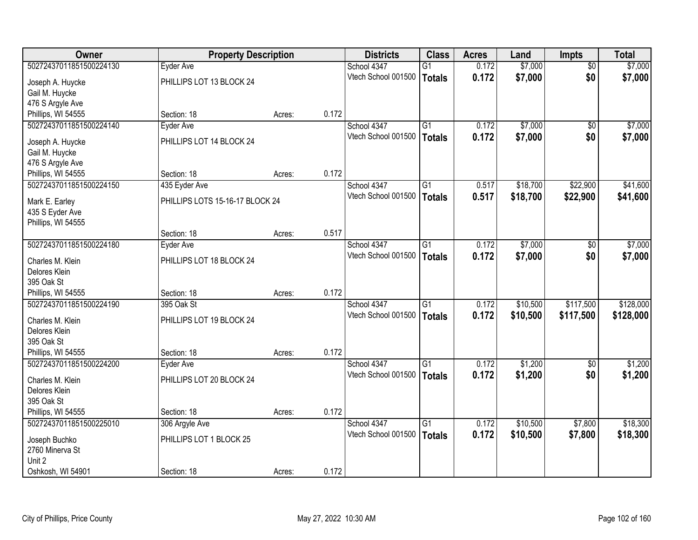| Owner                                         | <b>Property Description</b>     |        |       | <b>Districts</b>    | <b>Class</b>    | <b>Acres</b> | Land     | Impts             | <b>Total</b> |
|-----------------------------------------------|---------------------------------|--------|-------|---------------------|-----------------|--------------|----------|-------------------|--------------|
| 50272437011851500224130                       | Eyder Ave                       |        |       | School 4347         | $\overline{G1}$ | 0.172        | \$7,000  | $\overline{50}$   | \$7,000      |
| Joseph A. Huycke                              | PHILLIPS LOT 13 BLOCK 24        |        |       | Vtech School 001500 | <b>Totals</b>   | 0.172        | \$7,000  | \$0               | \$7,000      |
| Gail M. Huycke                                |                                 |        |       |                     |                 |              |          |                   |              |
| 476 S Argyle Ave                              |                                 |        |       |                     |                 |              |          |                   |              |
| Phillips, WI 54555                            | Section: 18                     | Acres: | 0.172 |                     |                 |              |          |                   |              |
| 50272437011851500224140                       | Eyder Ave                       |        |       | School 4347         | $\overline{G1}$ | 0.172        | \$7,000  | \$0               | \$7,000      |
| Joseph A. Huycke                              | PHILLIPS LOT 14 BLOCK 24        |        |       | Vtech School 001500 | <b>Totals</b>   | 0.172        | \$7,000  | \$0               | \$7,000      |
| Gail M. Huycke                                |                                 |        |       |                     |                 |              |          |                   |              |
| 476 S Argyle Ave                              |                                 |        |       |                     |                 |              |          |                   |              |
| Phillips, WI 54555                            | Section: 18                     | Acres: | 0.172 |                     |                 |              |          |                   |              |
| 50272437011851500224150                       | 435 Eyder Ave                   |        |       | School 4347         | $\overline{G1}$ | 0.517        | \$18,700 | \$22,900          | \$41,600     |
|                                               |                                 |        |       | Vtech School 001500 | <b>Totals</b>   | 0.517        | \$18,700 | \$22,900          | \$41,600     |
| Mark E. Earley<br>435 S Eyder Ave             | PHILLIPS LOTS 15-16-17 BLOCK 24 |        |       |                     |                 |              |          |                   |              |
| Phillips, WI 54555                            |                                 |        |       |                     |                 |              |          |                   |              |
|                                               | Section: 18                     | Acres: | 0.517 |                     |                 |              |          |                   |              |
| 50272437011851500224180                       | Eyder Ave                       |        |       | School 4347         | $\overline{G1}$ | 0.172        | \$7,000  | \$0               | \$7,000      |
|                                               |                                 |        |       | Vtech School 001500 | <b>Totals</b>   | 0.172        | \$7,000  | \$0               | \$7,000      |
| Charles M. Klein                              | PHILLIPS LOT 18 BLOCK 24        |        |       |                     |                 |              |          |                   |              |
| Delores Klein<br>395 Oak St                   |                                 |        |       |                     |                 |              |          |                   |              |
| Phillips, WI 54555                            | Section: 18                     | Acres: | 0.172 |                     |                 |              |          |                   |              |
| 50272437011851500224190                       | 395 Oak St                      |        |       | School 4347         | $\overline{G1}$ | 0.172        | \$10,500 | \$117,500         | \$128,000    |
|                                               |                                 |        |       | Vtech School 001500 | <b>Totals</b>   | 0.172        | \$10,500 | \$117,500         | \$128,000    |
| Charles M. Klein                              | PHILLIPS LOT 19 BLOCK 24        |        |       |                     |                 |              |          |                   |              |
| Delores Klein                                 |                                 |        |       |                     |                 |              |          |                   |              |
| 395 Oak St                                    |                                 |        | 0.172 |                     |                 |              |          |                   |              |
| Phillips, WI 54555<br>50272437011851500224200 | Section: 18                     | Acres: |       | School 4347         | $\overline{G1}$ | 0.172        | \$1,200  |                   | \$1,200      |
|                                               | <b>Eyder Ave</b>                |        |       | Vtech School 001500 |                 | 0.172        | \$1,200  | $\sqrt{6}$<br>\$0 | \$1,200      |
| Charles M. Klein                              | PHILLIPS LOT 20 BLOCK 24        |        |       |                     | <b>Totals</b>   |              |          |                   |              |
| Delores Klein                                 |                                 |        |       |                     |                 |              |          |                   |              |
| 395 Oak St                                    |                                 |        |       |                     |                 |              |          |                   |              |
| Phillips, WI 54555                            | Section: 18                     | Acres: | 0.172 |                     |                 |              |          |                   |              |
| 50272437011851500225010                       | 306 Argyle Ave                  |        |       | School 4347         | $\overline{G1}$ | 0.172        | \$10,500 | \$7,800           | \$18,300     |
| Joseph Buchko                                 | PHILLIPS LOT 1 BLOCK 25         |        |       | Vtech School 001500 | <b>Totals</b>   | 0.172        | \$10,500 | \$7,800           | \$18,300     |
| 2760 Minerva St                               |                                 |        |       |                     |                 |              |          |                   |              |
| Unit 2                                        |                                 |        |       |                     |                 |              |          |                   |              |
| Oshkosh, WI 54901                             | Section: 18                     | Acres: | 0.172 |                     |                 |              |          |                   |              |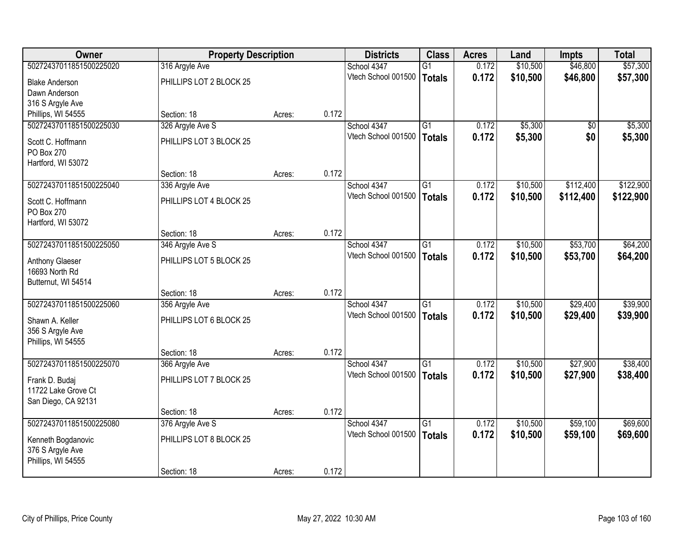| Owner                   | <b>Property Description</b> |        |       | <b>Districts</b>    | <b>Class</b>    | <b>Acres</b> | Land     | Impts     | <b>Total</b> |
|-------------------------|-----------------------------|--------|-------|---------------------|-----------------|--------------|----------|-----------|--------------|
| 50272437011851500225020 | 316 Argyle Ave              |        |       | School 4347         | $\overline{G1}$ | 0.172        | \$10,500 | \$46,800  | \$57,300     |
| <b>Blake Anderson</b>   | PHILLIPS LOT 2 BLOCK 25     |        |       | Vtech School 001500 | <b>Totals</b>   | 0.172        | \$10,500 | \$46,800  | \$57,300     |
| Dawn Anderson           |                             |        |       |                     |                 |              |          |           |              |
| 316 S Argyle Ave        |                             |        |       |                     |                 |              |          |           |              |
| Phillips, WI 54555      | Section: 18                 | Acres: | 0.172 |                     |                 |              |          |           |              |
| 50272437011851500225030 | 326 Argyle Ave S            |        |       | School 4347         | $\overline{G1}$ | 0.172        | \$5,300  | \$0       | \$5,300      |
| Scott C. Hoffmann       | PHILLIPS LOT 3 BLOCK 25     |        |       | Vtech School 001500 | <b>Totals</b>   | 0.172        | \$5,300  | \$0       | \$5,300      |
| <b>PO Box 270</b>       |                             |        |       |                     |                 |              |          |           |              |
| Hartford, WI 53072      |                             |        |       |                     |                 |              |          |           |              |
|                         | Section: 18                 | Acres: | 0.172 |                     |                 |              |          |           |              |
| 50272437011851500225040 | 336 Argyle Ave              |        |       | School 4347         | $\overline{G1}$ | 0.172        | \$10,500 | \$112,400 | \$122,900    |
| Scott C. Hoffmann       | PHILLIPS LOT 4 BLOCK 25     |        |       | Vtech School 001500 | <b>Totals</b>   | 0.172        | \$10,500 | \$112,400 | \$122,900    |
| <b>PO Box 270</b>       |                             |        |       |                     |                 |              |          |           |              |
| Hartford, WI 53072      |                             |        |       |                     |                 |              |          |           |              |
|                         | Section: 18                 | Acres: | 0.172 |                     |                 |              |          |           |              |
| 50272437011851500225050 | 346 Argyle Ave S            |        |       | School 4347         | $\overline{G1}$ | 0.172        | \$10,500 | \$53,700  | \$64,200     |
| Anthony Glaeser         | PHILLIPS LOT 5 BLOCK 25     |        |       | Vtech School 001500 | <b>Totals</b>   | 0.172        | \$10,500 | \$53,700  | \$64,200     |
| 16693 North Rd          |                             |        |       |                     |                 |              |          |           |              |
| Butternut, WI 54514     |                             |        |       |                     |                 |              |          |           |              |
|                         | Section: 18                 | Acres: | 0.172 |                     |                 |              |          |           |              |
| 50272437011851500225060 | 356 Argyle Ave              |        |       | School 4347         | $\overline{G1}$ | 0.172        | \$10,500 | \$29,400  | \$39,900     |
| Shawn A. Keller         | PHILLIPS LOT 6 BLOCK 25     |        |       | Vtech School 001500 | <b>Totals</b>   | 0.172        | \$10,500 | \$29,400  | \$39,900     |
| 356 S Argyle Ave        |                             |        |       |                     |                 |              |          |           |              |
| Phillips, WI 54555      |                             |        |       |                     |                 |              |          |           |              |
|                         | Section: 18                 | Acres: | 0.172 |                     |                 |              |          |           |              |
| 50272437011851500225070 | 366 Argyle Ave              |        |       | School 4347         | G1              | 0.172        | \$10,500 | \$27,900  | \$38,400     |
| Frank D. Budaj          | PHILLIPS LOT 7 BLOCK 25     |        |       | Vtech School 001500 | <b>Totals</b>   | 0.172        | \$10,500 | \$27,900  | \$38,400     |
| 11722 Lake Grove Ct     |                             |        |       |                     |                 |              |          |           |              |
| San Diego, CA 92131     |                             |        |       |                     |                 |              |          |           |              |
|                         | Section: 18                 | Acres: | 0.172 |                     |                 |              |          |           |              |
| 50272437011851500225080 | 376 Argyle Ave S            |        |       | School 4347         | $\overline{G1}$ | 0.172        | \$10,500 | \$59,100  | \$69,600     |
| Kenneth Bogdanovic      | PHILLIPS LOT 8 BLOCK 25     |        |       | Vtech School 001500 | <b>Totals</b>   | 0.172        | \$10,500 | \$59,100  | \$69,600     |
| 376 S Argyle Ave        |                             |        |       |                     |                 |              |          |           |              |
| Phillips, WI 54555      |                             |        |       |                     |                 |              |          |           |              |
|                         | Section: 18                 | Acres: | 0.172 |                     |                 |              |          |           |              |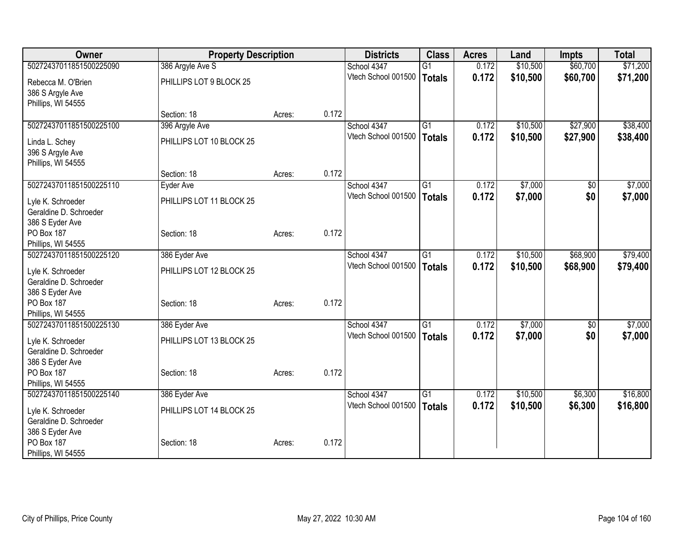| <b>Owner</b>                                  | <b>Property Description</b> |        |       | <b>Districts</b>                   | <b>Class</b>    | <b>Acres</b> | Land     | <b>Impts</b> | <b>Total</b> |
|-----------------------------------------------|-----------------------------|--------|-------|------------------------------------|-----------------|--------------|----------|--------------|--------------|
| 50272437011851500225090                       | 386 Argyle Ave S            |        |       | School 4347                        | $\overline{G1}$ | 0.172        | \$10,500 | \$60,700     | \$71,200     |
| Rebecca M. O'Brien                            | PHILLIPS LOT 9 BLOCK 25     |        |       | Vtech School 001500                | Totals          | 0.172        | \$10,500 | \$60,700     | \$71,200     |
| 386 S Argyle Ave                              |                             |        |       |                                    |                 |              |          |              |              |
| Phillips, WI 54555                            |                             |        |       |                                    |                 |              |          |              |              |
|                                               | Section: 18                 | Acres: | 0.172 |                                    |                 |              |          |              |              |
| 50272437011851500225100                       | 396 Argyle Ave              |        |       | School 4347                        | G1              | 0.172        | \$10,500 | \$27,900     | \$38,400     |
| Linda L. Schey                                | PHILLIPS LOT 10 BLOCK 25    |        |       | Vtech School 001500                | Totals          | 0.172        | \$10,500 | \$27,900     | \$38,400     |
| 396 S Argyle Ave                              |                             |        |       |                                    |                 |              |          |              |              |
| Phillips, WI 54555                            |                             |        |       |                                    |                 |              |          |              |              |
|                                               | Section: 18                 | Acres: | 0.172 |                                    |                 |              |          |              |              |
| 50272437011851500225110                       | Eyder Ave                   |        |       | School 4347                        | G1              | 0.172        | \$7,000  | \$0          | \$7,000      |
| Lyle K. Schroeder                             | PHILLIPS LOT 11 BLOCK 25    |        |       | Vtech School 001500                | Totals          | 0.172        | \$7,000  | \$0          | \$7,000      |
| Geraldine D. Schroeder                        |                             |        |       |                                    |                 |              |          |              |              |
| 386 S Eyder Ave                               |                             |        |       |                                    |                 |              |          |              |              |
| <b>PO Box 187</b>                             | Section: 18                 | Acres: | 0.172 |                                    |                 |              |          |              |              |
| Phillips, WI 54555                            |                             |        |       |                                    |                 |              |          |              |              |
| 50272437011851500225120                       | 386 Eyder Ave               |        |       | School 4347<br>Vtech School 001500 | G1              | 0.172        | \$10,500 | \$68,900     | \$79,400     |
| Lyle K. Schroeder                             | PHILLIPS LOT 12 BLOCK 25    |        |       |                                    | <b>Totals</b>   | 0.172        | \$10,500 | \$68,900     | \$79,400     |
| Geraldine D. Schroeder                        |                             |        |       |                                    |                 |              |          |              |              |
| 386 S Eyder Ave                               |                             |        |       |                                    |                 |              |          |              |              |
| <b>PO Box 187</b>                             | Section: 18                 | Acres: | 0.172 |                                    |                 |              |          |              |              |
| Phillips, WI 54555<br>50272437011851500225130 | 386 Eyder Ave               |        |       | School 4347                        | G1              | 0.172        | \$7,000  | \$0          | \$7,000      |
|                                               |                             |        |       | Vtech School 001500                | <b>Totals</b>   | 0.172        | \$7,000  | \$0          | \$7,000      |
| Lyle K. Schroeder                             | PHILLIPS LOT 13 BLOCK 25    |        |       |                                    |                 |              |          |              |              |
| Geraldine D. Schroeder                        |                             |        |       |                                    |                 |              |          |              |              |
| 386 S Eyder Ave<br>PO Box 187                 | Section: 18                 | Acres: | 0.172 |                                    |                 |              |          |              |              |
| Phillips, WI 54555                            |                             |        |       |                                    |                 |              |          |              |              |
| 50272437011851500225140                       | 386 Eyder Ave               |        |       | School 4347                        | $\overline{G1}$ | 0.172        | \$10,500 | \$6,300      | \$16,800     |
|                                               |                             |        |       | Vtech School 001500                | <b>Totals</b>   | 0.172        | \$10,500 | \$6,300      | \$16,800     |
| Lyle K. Schroeder<br>Geraldine D. Schroeder   | PHILLIPS LOT 14 BLOCK 25    |        |       |                                    |                 |              |          |              |              |
| 386 S Eyder Ave                               |                             |        |       |                                    |                 |              |          |              |              |
| PO Box 187                                    | Section: 18                 | Acres: | 0.172 |                                    |                 |              |          |              |              |
| Phillips, WI 54555                            |                             |        |       |                                    |                 |              |          |              |              |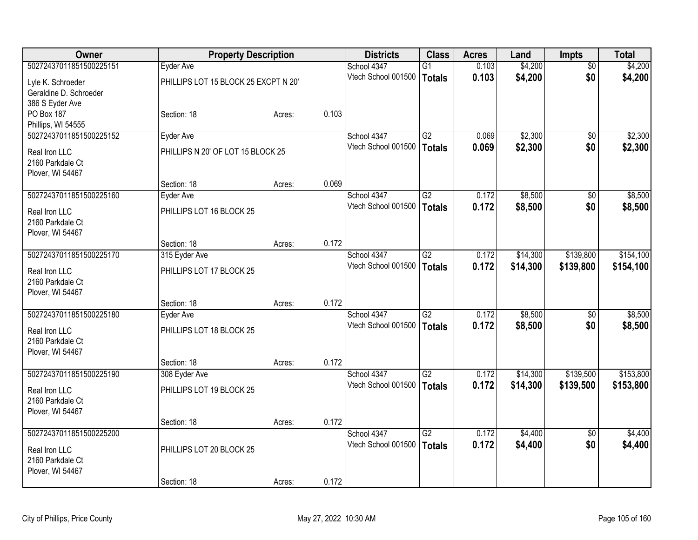| Owner                   | <b>Property Description</b>          |        |       | <b>Districts</b>    | <b>Class</b>    | <b>Acres</b> | Land     | <b>Impts</b>    | <b>Total</b> |
|-------------------------|--------------------------------------|--------|-------|---------------------|-----------------|--------------|----------|-----------------|--------------|
| 50272437011851500225151 | Eyder Ave                            |        |       | School 4347         | $\overline{G1}$ | 0.103        | \$4,200  | $\overline{50}$ | \$4,200      |
| Lyle K. Schroeder       | PHILLIPS LOT 15 BLOCK 25 EXCPT N 20' |        |       | Vtech School 001500 | <b>Totals</b>   | 0.103        | \$4,200  | \$0             | \$4,200      |
| Geraldine D. Schroeder  |                                      |        |       |                     |                 |              |          |                 |              |
| 386 S Eyder Ave         |                                      |        |       |                     |                 |              |          |                 |              |
| <b>PO Box 187</b>       | Section: 18                          | Acres: | 0.103 |                     |                 |              |          |                 |              |
| Phillips, WI 54555      |                                      |        |       |                     |                 |              |          |                 |              |
| 50272437011851500225152 | Eyder Ave                            |        |       | School 4347         | G2              | 0.069        | \$2,300  | \$0             | \$2,300      |
| Real Iron LLC           | PHILLIPS N 20' OF LOT 15 BLOCK 25    |        |       | Vtech School 001500 | <b>Totals</b>   | 0.069        | \$2,300  | \$0             | \$2,300      |
| 2160 Parkdale Ct        |                                      |        |       |                     |                 |              |          |                 |              |
| Plover, WI 54467        |                                      |        |       |                     |                 |              |          |                 |              |
|                         | Section: 18                          | Acres: | 0.069 |                     |                 |              |          |                 |              |
| 50272437011851500225160 | Eyder Ave                            |        |       | School 4347         | $\overline{G2}$ | 0.172        | \$8,500  | \$0             | \$8,500      |
|                         |                                      |        |       | Vtech School 001500 | <b>Totals</b>   | 0.172        | \$8,500  | \$0             | \$8,500      |
| Real Iron LLC           | PHILLIPS LOT 16 BLOCK 25             |        |       |                     |                 |              |          |                 |              |
| 2160 Parkdale Ct        |                                      |        |       |                     |                 |              |          |                 |              |
| Plover, WI 54467        |                                      |        |       |                     |                 |              |          |                 |              |
|                         | Section: 18                          | Acres: | 0.172 |                     |                 |              |          |                 |              |
| 50272437011851500225170 | 315 Eyder Ave                        |        |       | School 4347         | G2              | 0.172        | \$14,300 | \$139,800       | \$154,100    |
| Real Iron LLC           | PHILLIPS LOT 17 BLOCK 25             |        |       | Vtech School 001500 | <b>Totals</b>   | 0.172        | \$14,300 | \$139,800       | \$154,100    |
| 2160 Parkdale Ct        |                                      |        |       |                     |                 |              |          |                 |              |
| Plover, WI 54467        |                                      |        |       |                     |                 |              |          |                 |              |
|                         | Section: 18                          | Acres: | 0.172 |                     |                 |              |          |                 |              |
| 50272437011851500225180 | Eyder Ave                            |        |       | School 4347         | $\overline{G2}$ | 0.172        | \$8,500  | \$0             | \$8,500      |
| Real Iron LLC           | PHILLIPS LOT 18 BLOCK 25             |        |       | Vtech School 001500 | <b>Totals</b>   | 0.172        | \$8,500  | \$0             | \$8,500      |
| 2160 Parkdale Ct        |                                      |        |       |                     |                 |              |          |                 |              |
| Plover, WI 54467        |                                      |        |       |                     |                 |              |          |                 |              |
|                         | Section: 18                          | Acres: | 0.172 |                     |                 |              |          |                 |              |
| 50272437011851500225190 | 308 Eyder Ave                        |        |       | School 4347         | $\overline{G2}$ | 0.172        | \$14,300 | \$139,500       | \$153,800    |
| Real Iron LLC           | PHILLIPS LOT 19 BLOCK 25             |        |       | Vtech School 001500 | <b>Totals</b>   | 0.172        | \$14,300 | \$139,500       | \$153,800    |
| 2160 Parkdale Ct        |                                      |        |       |                     |                 |              |          |                 |              |
| Plover, WI 54467        |                                      |        |       |                     |                 |              |          |                 |              |
|                         | Section: 18                          | Acres: | 0.172 |                     |                 |              |          |                 |              |
| 50272437011851500225200 |                                      |        |       | School 4347         | $\overline{G2}$ | 0.172        | \$4,400  | $\overline{50}$ | \$4,400      |
|                         |                                      |        |       | Vtech School 001500 | <b>Totals</b>   | 0.172        | \$4,400  | \$0             | \$4,400      |
| Real Iron LLC           | PHILLIPS LOT 20 BLOCK 25             |        |       |                     |                 |              |          |                 |              |
| 2160 Parkdale Ct        |                                      |        |       |                     |                 |              |          |                 |              |
| Plover, WI 54467        |                                      |        |       |                     |                 |              |          |                 |              |
|                         | Section: 18                          | Acres: | 0.172 |                     |                 |              |          |                 |              |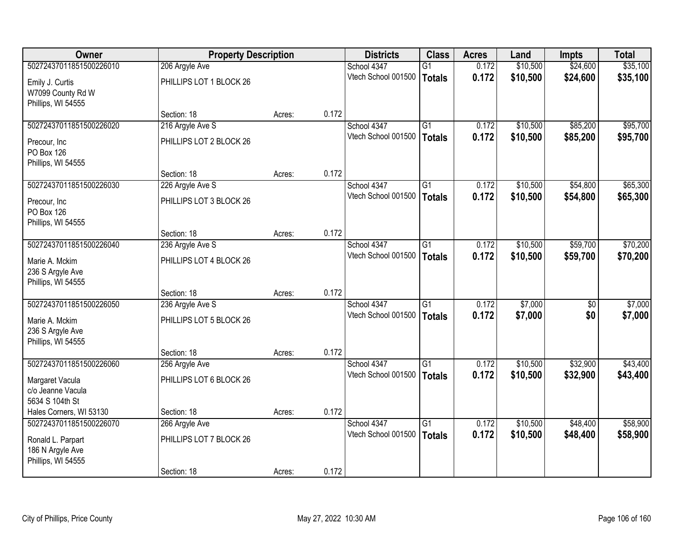| <b>Owner</b>            | <b>Property Description</b> |        |       | <b>Districts</b>    | <b>Class</b>    | <b>Acres</b> | Land     | Impts    | <b>Total</b> |
|-------------------------|-----------------------------|--------|-------|---------------------|-----------------|--------------|----------|----------|--------------|
| 50272437011851500226010 | 206 Argyle Ave              |        |       | School 4347         | $\overline{G1}$ | 0.172        | \$10,500 | \$24,600 | \$35,100     |
| Emily J. Curtis         | PHILLIPS LOT 1 BLOCK 26     |        |       | Vtech School 001500 | <b>Totals</b>   | 0.172        | \$10,500 | \$24,600 | \$35,100     |
| W7099 County Rd W       |                             |        |       |                     |                 |              |          |          |              |
| Phillips, WI 54555      |                             |        |       |                     |                 |              |          |          |              |
|                         | Section: 18                 | Acres: | 0.172 |                     |                 |              |          |          |              |
| 50272437011851500226020 | 216 Argyle Ave S            |        |       | School 4347         | $\overline{G1}$ | 0.172        | \$10,500 | \$85,200 | \$95,700     |
| Precour, Inc            | PHILLIPS LOT 2 BLOCK 26     |        |       | Vtech School 001500 | <b>Totals</b>   | 0.172        | \$10,500 | \$85,200 | \$95,700     |
| <b>PO Box 126</b>       |                             |        |       |                     |                 |              |          |          |              |
| Phillips, WI 54555      |                             |        |       |                     |                 |              |          |          |              |
|                         | Section: 18                 | Acres: | 0.172 |                     |                 |              |          |          |              |
| 50272437011851500226030 | 226 Argyle Ave S            |        |       | School 4347         | $\overline{G1}$ | 0.172        | \$10,500 | \$54,800 | \$65,300     |
| Precour, Inc.           | PHILLIPS LOT 3 BLOCK 26     |        |       | Vtech School 001500 | <b>Totals</b>   | 0.172        | \$10,500 | \$54,800 | \$65,300     |
| PO Box 126              |                             |        |       |                     |                 |              |          |          |              |
| Phillips, WI 54555      |                             |        |       |                     |                 |              |          |          |              |
|                         | Section: 18                 | Acres: | 0.172 |                     |                 |              |          |          |              |
| 50272437011851500226040 | 236 Argyle Ave S            |        |       | School 4347         | $\overline{G1}$ | 0.172        | \$10,500 | \$59,700 | \$70,200     |
| Marie A. Mckim          | PHILLIPS LOT 4 BLOCK 26     |        |       | Vtech School 001500 | <b>Totals</b>   | 0.172        | \$10,500 | \$59,700 | \$70,200     |
| 236 S Argyle Ave        |                             |        |       |                     |                 |              |          |          |              |
| Phillips, WI 54555      |                             |        |       |                     |                 |              |          |          |              |
|                         | Section: 18                 | Acres: | 0.172 |                     |                 |              |          |          |              |
| 50272437011851500226050 | 236 Argyle Ave S            |        |       | School 4347         | $\overline{G1}$ | 0.172        | \$7,000  | \$0      | \$7,000      |
| Marie A. Mckim          | PHILLIPS LOT 5 BLOCK 26     |        |       | Vtech School 001500 | <b>Totals</b>   | 0.172        | \$7,000  | \$0      | \$7,000      |
| 236 S Argyle Ave        |                             |        |       |                     |                 |              |          |          |              |
| Phillips, WI 54555      |                             |        |       |                     |                 |              |          |          |              |
|                         | Section: 18                 | Acres: | 0.172 |                     |                 |              |          |          |              |
| 50272437011851500226060 | 256 Argyle Ave              |        |       | School 4347         | G1              | 0.172        | \$10,500 | \$32,900 | \$43,400     |
| Margaret Vacula         | PHILLIPS LOT 6 BLOCK 26     |        |       | Vtech School 001500 | <b>Totals</b>   | 0.172        | \$10,500 | \$32,900 | \$43,400     |
| c/o Jeanne Vacula       |                             |        |       |                     |                 |              |          |          |              |
| 5634 S 104th St         |                             |        |       |                     |                 |              |          |          |              |
| Hales Corners, WI 53130 | Section: 18                 | Acres: | 0.172 |                     |                 |              |          |          |              |
| 50272437011851500226070 | 266 Argyle Ave              |        |       | School 4347         | $\overline{G1}$ | 0.172        | \$10,500 | \$48,400 | \$58,900     |
| Ronald L. Parpart       | PHILLIPS LOT 7 BLOCK 26     |        |       | Vtech School 001500 | <b>Totals</b>   | 0.172        | \$10,500 | \$48,400 | \$58,900     |
| 186 N Argyle Ave        |                             |        |       |                     |                 |              |          |          |              |
| Phillips, WI 54555      |                             |        |       |                     |                 |              |          |          |              |
|                         | Section: 18                 | Acres: | 0.172 |                     |                 |              |          |          |              |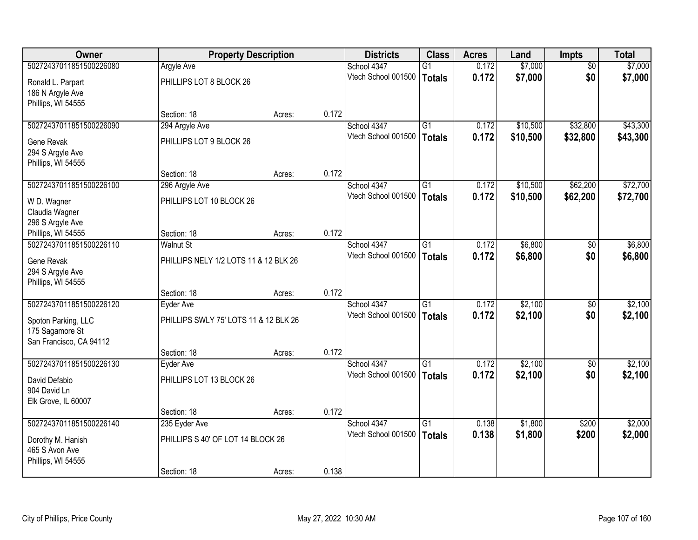| <b>Owner</b>            |                                       | <b>Property Description</b> |       | <b>Districts</b>    | <b>Class</b>    | <b>Acres</b> | Land     | <b>Impts</b>    | <b>Total</b> |
|-------------------------|---------------------------------------|-----------------------------|-------|---------------------|-----------------|--------------|----------|-----------------|--------------|
| 50272437011851500226080 | <b>Argyle Ave</b>                     |                             |       | School 4347         | $\overline{G1}$ | 0.172        | \$7,000  | $\overline{50}$ | \$7,000      |
| Ronald L. Parpart       | PHILLIPS LOT 8 BLOCK 26               |                             |       | Vtech School 001500 | Totals          | 0.172        | \$7,000  | \$0             | \$7,000      |
| 186 N Argyle Ave        |                                       |                             |       |                     |                 |              |          |                 |              |
| Phillips, WI 54555      |                                       |                             |       |                     |                 |              |          |                 |              |
|                         | Section: 18                           | Acres:                      | 0.172 |                     |                 |              |          |                 |              |
| 50272437011851500226090 | 294 Argyle Ave                        |                             |       | School 4347         | $\overline{G1}$ | 0.172        | \$10,500 | \$32,800        | \$43,300     |
| Gene Revak              | PHILLIPS LOT 9 BLOCK 26               |                             |       | Vtech School 001500 | <b>Totals</b>   | 0.172        | \$10,500 | \$32,800        | \$43,300     |
| 294 S Argyle Ave        |                                       |                             |       |                     |                 |              |          |                 |              |
| Phillips, WI 54555      |                                       |                             |       |                     |                 |              |          |                 |              |
|                         | Section: 18                           | Acres:                      | 0.172 |                     |                 |              |          |                 |              |
| 50272437011851500226100 | 296 Argyle Ave                        |                             |       | School 4347         | $\overline{G1}$ | 0.172        | \$10,500 | \$62,200        | \$72,700     |
| W D. Wagner             | PHILLIPS LOT 10 BLOCK 26              |                             |       | Vtech School 001500 | Totals          | 0.172        | \$10,500 | \$62,200        | \$72,700     |
| Claudia Wagner          |                                       |                             |       |                     |                 |              |          |                 |              |
| 296 S Argyle Ave        |                                       |                             |       |                     |                 |              |          |                 |              |
| Phillips, WI 54555      | Section: 18                           | Acres:                      | 0.172 |                     |                 |              |          |                 |              |
| 50272437011851500226110 | Walnut St                             |                             |       | School 4347         | $\overline{G1}$ | 0.172        | \$6,800  | $\sqrt{6}$      | \$6,800      |
| Gene Revak              | PHILLIPS NELY 1/2 LOTS 11 & 12 BLK 26 |                             |       | Vtech School 001500 | <b>Totals</b>   | 0.172        | \$6,800  | \$0             | \$6,800      |
| 294 S Argyle Ave        |                                       |                             |       |                     |                 |              |          |                 |              |
| Phillips, WI 54555      |                                       |                             |       |                     |                 |              |          |                 |              |
|                         | Section: 18                           | Acres:                      | 0.172 |                     |                 |              |          |                 |              |
| 50272437011851500226120 | Eyder Ave                             |                             |       | School 4347         | $\overline{G1}$ | 0.172        | \$2,100  | \$0             | \$2,100      |
| Spoton Parking, LLC     | PHILLIPS SWLY 75' LOTS 11 & 12 BLK 26 |                             |       | Vtech School 001500 | <b>Totals</b>   | 0.172        | \$2,100  | \$0             | \$2,100      |
| 175 Sagamore St         |                                       |                             |       |                     |                 |              |          |                 |              |
| San Francisco, CA 94112 |                                       |                             |       |                     |                 |              |          |                 |              |
|                         | Section: 18                           | Acres:                      | 0.172 |                     |                 |              |          |                 |              |
| 50272437011851500226130 | Eyder Ave                             |                             |       | School 4347         | G1              | 0.172        | \$2,100  | \$0             | \$2,100      |
| David Defabio           | PHILLIPS LOT 13 BLOCK 26              |                             |       | Vtech School 001500 | Totals          | 0.172        | \$2,100  | \$0             | \$2,100      |
| 904 David Ln            |                                       |                             |       |                     |                 |              |          |                 |              |
| Elk Grove, IL 60007     |                                       |                             |       |                     |                 |              |          |                 |              |
|                         | Section: 18                           | Acres:                      | 0.172 |                     |                 |              |          |                 |              |
| 50272437011851500226140 | 235 Eyder Ave                         |                             |       | School 4347         | $\overline{G1}$ | 0.138        | \$1,800  | \$200           | \$2,000      |
| Dorothy M. Hanish       | PHILLIPS S 40' OF LOT 14 BLOCK 26     |                             |       | Vtech School 001500 | Totals          | 0.138        | \$1,800  | \$200           | \$2,000      |
| 465 S Avon Ave          |                                       |                             |       |                     |                 |              |          |                 |              |
| Phillips, WI 54555      |                                       |                             |       |                     |                 |              |          |                 |              |
|                         | Section: 18                           | Acres:                      | 0.138 |                     |                 |              |          |                 |              |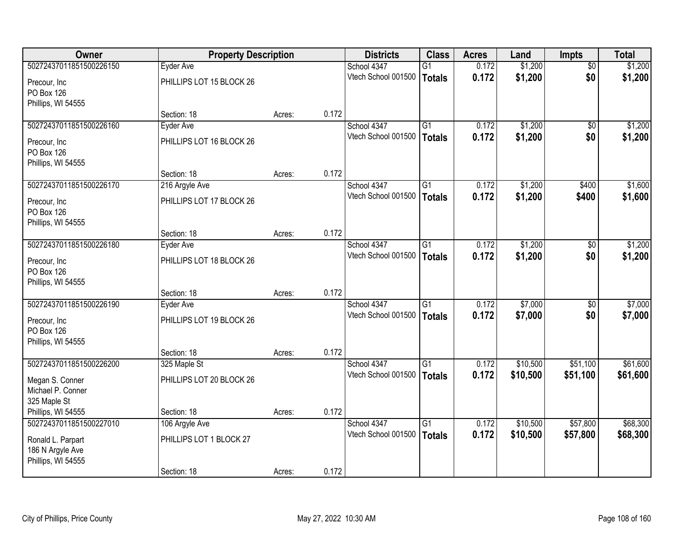| Owner                   | <b>Property Description</b> |        |       | <b>Districts</b>    | <b>Class</b>    | <b>Acres</b> | Land     | <b>Impts</b>    | <b>Total</b> |
|-------------------------|-----------------------------|--------|-------|---------------------|-----------------|--------------|----------|-----------------|--------------|
| 50272437011851500226150 | <b>Eyder Ave</b>            |        |       | School 4347         | G1              | 0.172        | \$1,200  | $\overline{30}$ | \$1,200      |
| Precour, Inc            | PHILLIPS LOT 15 BLOCK 26    |        |       | Vtech School 001500 | <b>Totals</b>   | 0.172        | \$1,200  | \$0             | \$1,200      |
| PO Box 126              |                             |        |       |                     |                 |              |          |                 |              |
| Phillips, WI 54555      |                             |        |       |                     |                 |              |          |                 |              |
|                         | Section: 18                 | Acres: | 0.172 |                     |                 |              |          |                 |              |
| 50272437011851500226160 | Eyder Ave                   |        |       | School 4347         | $\overline{G1}$ | 0.172        | \$1,200  | $\overline{50}$ | \$1,200      |
| Precour, Inc.           | PHILLIPS LOT 16 BLOCK 26    |        |       | Vtech School 001500 | <b>Totals</b>   | 0.172        | \$1,200  | \$0             | \$1,200      |
| <b>PO Box 126</b>       |                             |        |       |                     |                 |              |          |                 |              |
| Phillips, WI 54555      |                             |        |       |                     |                 |              |          |                 |              |
|                         | Section: 18                 | Acres: | 0.172 |                     |                 |              |          |                 |              |
| 50272437011851500226170 | 216 Argyle Ave              |        |       | School 4347         | G1              | 0.172        | \$1,200  | \$400           | \$1,600      |
| Precour, Inc.           | PHILLIPS LOT 17 BLOCK 26    |        |       | Vtech School 001500 | <b>Totals</b>   | 0.172        | \$1,200  | \$400           | \$1,600      |
| <b>PO Box 126</b>       |                             |        |       |                     |                 |              |          |                 |              |
| Phillips, WI 54555      |                             |        |       |                     |                 |              |          |                 |              |
|                         | Section: 18                 | Acres: | 0.172 |                     |                 |              |          |                 |              |
| 50272437011851500226180 | Eyder Ave                   |        |       | School 4347         | G1              | 0.172        | \$1,200  | $\overline{30}$ | \$1,200      |
| Precour, Inc.           | PHILLIPS LOT 18 BLOCK 26    |        |       | Vtech School 001500 | <b>Totals</b>   | 0.172        | \$1,200  | \$0             | \$1,200      |
| PO Box 126              |                             |        |       |                     |                 |              |          |                 |              |
| Phillips, WI 54555      |                             |        |       |                     |                 |              |          |                 |              |
|                         | Section: 18                 | Acres: | 0.172 |                     |                 |              |          |                 |              |
| 50272437011851500226190 | Eyder Ave                   |        |       | School 4347         | $\overline{G1}$ | 0.172        | \$7,000  | \$0             | \$7,000      |
| Precour, Inc.           | PHILLIPS LOT 19 BLOCK 26    |        |       | Vtech School 001500 | <b>Totals</b>   | 0.172        | \$7,000  | \$0             | \$7,000      |
| <b>PO Box 126</b>       |                             |        |       |                     |                 |              |          |                 |              |
| Phillips, WI 54555      |                             |        |       |                     |                 |              |          |                 |              |
|                         | Section: 18                 | Acres: | 0.172 |                     |                 |              |          |                 |              |
| 50272437011851500226200 | 325 Maple St                |        |       | School 4347         | G1              | 0.172        | \$10,500 | \$51,100        | \$61,600     |
| Megan S. Conner         | PHILLIPS LOT 20 BLOCK 26    |        |       | Vtech School 001500 | <b>Totals</b>   | 0.172        | \$10,500 | \$51,100        | \$61,600     |
| Michael P. Conner       |                             |        |       |                     |                 |              |          |                 |              |
| 325 Maple St            |                             |        |       |                     |                 |              |          |                 |              |
| Phillips, WI 54555      | Section: 18                 | Acres: | 0.172 |                     |                 |              |          |                 |              |
| 50272437011851500227010 | 106 Argyle Ave              |        |       | School 4347         | $\overline{G1}$ | 0.172        | \$10,500 | \$57,800        | \$68,300     |
| Ronald L. Parpart       | PHILLIPS LOT 1 BLOCK 27     |        |       | Vtech School 001500 | <b>Totals</b>   | 0.172        | \$10,500 | \$57,800        | \$68,300     |
| 186 N Argyle Ave        |                             |        |       |                     |                 |              |          |                 |              |
| Phillips, WI 54555      |                             |        |       |                     |                 |              |          |                 |              |
|                         | Section: 18                 | Acres: | 0.172 |                     |                 |              |          |                 |              |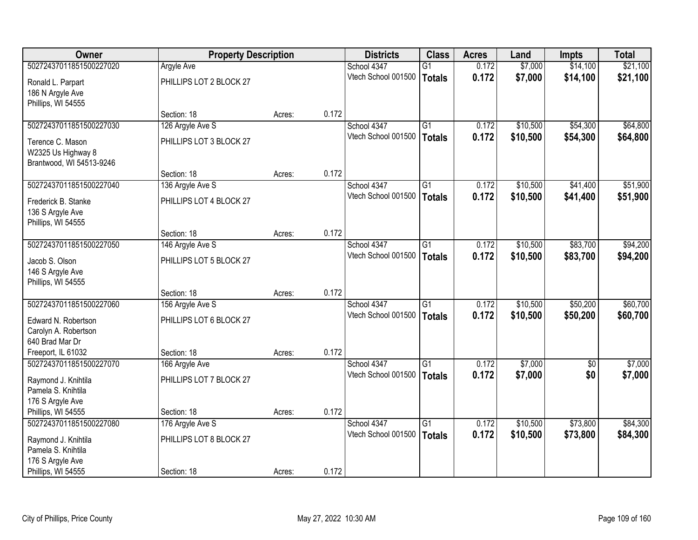| Owner                                                              | <b>Property Description</b> |        |       | <b>Districts</b>    | <b>Class</b>    | <b>Acres</b> | Land     | <b>Impts</b> | <b>Total</b> |
|--------------------------------------------------------------------|-----------------------------|--------|-------|---------------------|-----------------|--------------|----------|--------------|--------------|
| 50272437011851500227020                                            | <b>Argyle Ave</b>           |        |       | School 4347         | $\overline{G1}$ | 0.172        | \$7,000  | \$14,100     | \$21,100     |
| Ronald L. Parpart<br>186 N Argyle Ave                              | PHILLIPS LOT 2 BLOCK 27     |        |       | Vtech School 001500 | <b>Totals</b>   | 0.172        | \$7,000  | \$14,100     | \$21,100     |
| Phillips, WI 54555                                                 | Section: 18                 | Acres: | 0.172 |                     |                 |              |          |              |              |
| 50272437011851500227030                                            | 126 Argyle Ave S            |        |       | School 4347         | $\overline{G1}$ | 0.172        | \$10,500 | \$54,300     | \$64,800     |
|                                                                    |                             |        |       | Vtech School 001500 | <b>Totals</b>   | 0.172        | \$10,500 | \$54,300     | \$64,800     |
| Terence C. Mason<br>W2325 Us Highway 8<br>Brantwood, WI 54513-9246 | PHILLIPS LOT 3 BLOCK 27     |        |       |                     |                 |              |          |              |              |
|                                                                    | Section: 18                 | Acres: | 0.172 |                     |                 |              |          |              |              |
| 50272437011851500227040                                            | 136 Argyle Ave S            |        |       | School 4347         | G1              | 0.172        | \$10,500 | \$41,400     | \$51,900     |
| Frederick B. Stanke<br>136 S Argyle Ave                            | PHILLIPS LOT 4 BLOCK 27     |        |       | Vtech School 001500 | <b>Totals</b>   | 0.172        | \$10,500 | \$41,400     | \$51,900     |
| Phillips, WI 54555                                                 | Section: 18                 | Acres: | 0.172 |                     |                 |              |          |              |              |
| 50272437011851500227050                                            | 146 Argyle Ave S            |        |       | School 4347         | G1              | 0.172        | \$10,500 | \$83,700     | \$94,200     |
|                                                                    |                             |        |       | Vtech School 001500 | <b>Totals</b>   | 0.172        | \$10,500 | \$83,700     | \$94,200     |
| Jacob S. Olson<br>146 S Argyle Ave                                 | PHILLIPS LOT 5 BLOCK 27     |        |       |                     |                 |              |          |              |              |
| Phillips, WI 54555                                                 | Section: 18                 | Acres: | 0.172 |                     |                 |              |          |              |              |
| 50272437011851500227060                                            | 156 Argyle Ave S            |        |       | School 4347         | $\overline{G1}$ | 0.172        | \$10,500 | \$50,200     | \$60,700     |
|                                                                    |                             |        |       | Vtech School 001500 | <b>Totals</b>   | 0.172        | \$10,500 | \$50,200     | \$60,700     |
| Edward N. Robertson                                                | PHILLIPS LOT 6 BLOCK 27     |        |       |                     |                 |              |          |              |              |
| Carolyn A. Robertson<br>640 Brad Mar Dr                            |                             |        |       |                     |                 |              |          |              |              |
| Freeport, IL 61032                                                 | Section: 18                 | Acres: | 0.172 |                     |                 |              |          |              |              |
| 50272437011851500227070                                            | 166 Argyle Ave              |        |       | School 4347         | $\overline{G1}$ | 0.172        | \$7,000  | \$0          | \$7,000      |
|                                                                    |                             |        |       | Vtech School 001500 | <b>Totals</b>   | 0.172        | \$7,000  | \$0          | \$7,000      |
| Raymond J. Knihtila                                                | PHILLIPS LOT 7 BLOCK 27     |        |       |                     |                 |              |          |              |              |
| Pamela S. Knihtila<br>176 S Argyle Ave                             |                             |        |       |                     |                 |              |          |              |              |
| Phillips, WI 54555                                                 | Section: 18                 | Acres: | 0.172 |                     |                 |              |          |              |              |
| 50272437011851500227080                                            | 176 Argyle Ave S            |        |       | School 4347         | $\overline{G1}$ | 0.172        | \$10,500 | \$73,800     | \$84,300     |
|                                                                    |                             |        |       | Vtech School 001500 | <b>Totals</b>   | 0.172        | \$10,500 | \$73,800     | \$84,300     |
| Raymond J. Knihtila<br>Pamela S. Knihtila                          | PHILLIPS LOT 8 BLOCK 27     |        |       |                     |                 |              |          |              |              |
| 176 S Argyle Ave                                                   |                             |        |       |                     |                 |              |          |              |              |
| Phillips, WI 54555                                                 | Section: 18                 | Acres: | 0.172 |                     |                 |              |          |              |              |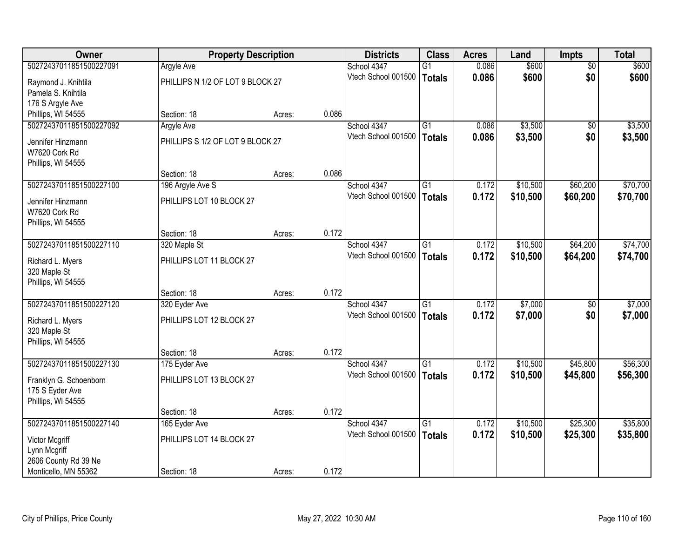| Owner                          |                                  | <b>Property Description</b> |       | <b>Districts</b>    | <b>Class</b>    | <b>Acres</b> | Land     | <b>Impts</b>    | <b>Total</b> |
|--------------------------------|----------------------------------|-----------------------------|-------|---------------------|-----------------|--------------|----------|-----------------|--------------|
| 50272437011851500227091        | <b>Argyle Ave</b>                |                             |       | School 4347         | $\overline{G1}$ | 0.086        | \$600    | $\overline{50}$ | \$600        |
| Raymond J. Knihtila            | PHILLIPS N 1/2 OF LOT 9 BLOCK 27 |                             |       | Vtech School 001500 | <b>Totals</b>   | 0.086        | \$600    | \$0             | \$600        |
| Pamela S. Knihtila             |                                  |                             |       |                     |                 |              |          |                 |              |
| 176 S Argyle Ave               |                                  |                             |       |                     |                 |              |          |                 |              |
| Phillips, WI 54555             | Section: 18                      | Acres:                      | 0.086 |                     |                 |              |          |                 |              |
| 50272437011851500227092        | <b>Argyle Ave</b>                |                             |       | School 4347         | G1              | 0.086        | \$3,500  | \$0             | \$3,500      |
| Jennifer Hinzmann              | PHILLIPS S 1/2 OF LOT 9 BLOCK 27 |                             |       | Vtech School 001500 | <b>Totals</b>   | 0.086        | \$3,500  | \$0             | \$3,500      |
| W7620 Cork Rd                  |                                  |                             |       |                     |                 |              |          |                 |              |
| Phillips, WI 54555             |                                  |                             |       |                     |                 |              |          |                 |              |
|                                | Section: 18                      | Acres:                      | 0.086 |                     |                 |              |          |                 |              |
| 50272437011851500227100        | 196 Argyle Ave S                 |                             |       | School 4347         | G1              | 0.172        | \$10,500 | \$60,200        | \$70,700     |
| Jennifer Hinzmann              | PHILLIPS LOT 10 BLOCK 27         |                             |       | Vtech School 001500 | <b>Totals</b>   | 0.172        | \$10,500 | \$60,200        | \$70,700     |
| W7620 Cork Rd                  |                                  |                             |       |                     |                 |              |          |                 |              |
| Phillips, WI 54555             |                                  |                             |       |                     |                 |              |          |                 |              |
|                                | Section: 18                      | Acres:                      | 0.172 |                     |                 |              |          |                 |              |
| 50272437011851500227110        | 320 Maple St                     |                             |       | School 4347         | $\overline{G1}$ | 0.172        | \$10,500 | \$64,200        | \$74,700     |
| Richard L. Myers               | PHILLIPS LOT 11 BLOCK 27         |                             |       | Vtech School 001500 | <b>Totals</b>   | 0.172        | \$10,500 | \$64,200        | \$74,700     |
| 320 Maple St                   |                                  |                             |       |                     |                 |              |          |                 |              |
| Phillips, WI 54555             |                                  |                             |       |                     |                 |              |          |                 |              |
|                                | Section: 18                      | Acres:                      | 0.172 |                     |                 |              |          |                 |              |
| 50272437011851500227120        | 320 Eyder Ave                    |                             |       | School 4347         | $\overline{G1}$ | 0.172        | \$7,000  | \$0             | \$7,000      |
| Richard L. Myers               | PHILLIPS LOT 12 BLOCK 27         |                             |       | Vtech School 001500 | <b>Totals</b>   | 0.172        | \$7,000  | \$0             | \$7,000      |
| 320 Maple St                   |                                  |                             |       |                     |                 |              |          |                 |              |
| Phillips, WI 54555             |                                  |                             |       |                     |                 |              |          |                 |              |
|                                | Section: 18                      | Acres:                      | 0.172 |                     |                 |              |          |                 |              |
| 50272437011851500227130        | 175 Eyder Ave                    |                             |       | School 4347         | G1              | 0.172        | \$10,500 | \$45,800        | \$56,300     |
| Franklyn G. Schoenborn         | PHILLIPS LOT 13 BLOCK 27         |                             |       | Vtech School 001500 | <b>Totals</b>   | 0.172        | \$10,500 | \$45,800        | \$56,300     |
| 175 S Eyder Ave                |                                  |                             |       |                     |                 |              |          |                 |              |
| Phillips, WI 54555             |                                  |                             |       |                     |                 |              |          |                 |              |
|                                | Section: 18                      | Acres:                      | 0.172 |                     |                 |              |          |                 |              |
| 50272437011851500227140        | 165 Eyder Ave                    |                             |       | School 4347         | $\overline{G1}$ | 0.172        | \$10,500 | \$25,300        | \$35,800     |
|                                | PHILLIPS LOT 14 BLOCK 27         |                             |       | Vtech School 001500 | <b>Totals</b>   | 0.172        | \$10,500 | \$25,300        | \$35,800     |
| Victor Mcgriff<br>Lynn Mcgriff |                                  |                             |       |                     |                 |              |          |                 |              |
| 2606 County Rd 39 Ne           |                                  |                             |       |                     |                 |              |          |                 |              |
| Monticello, MN 55362           | Section: 18                      | Acres:                      | 0.172 |                     |                 |              |          |                 |              |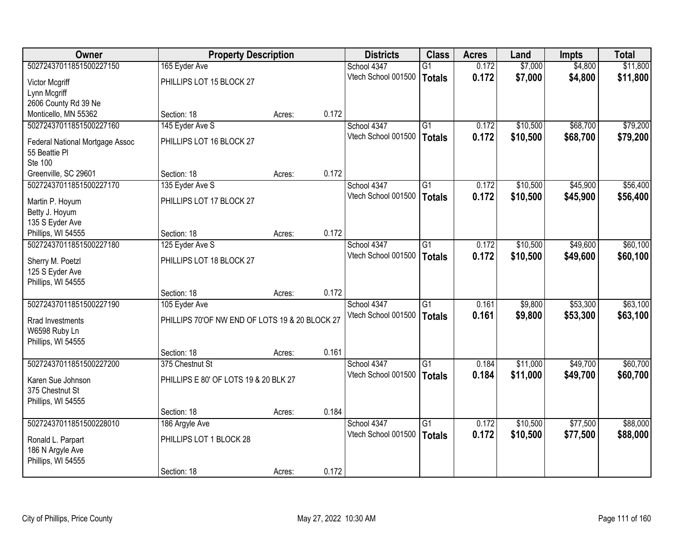| Owner                                 | <b>Property Description</b>                    |        |       | <b>Districts</b>    | <b>Class</b>    | <b>Acres</b> | Land     | <b>Impts</b> | <b>Total</b> |
|---------------------------------------|------------------------------------------------|--------|-------|---------------------|-----------------|--------------|----------|--------------|--------------|
| 50272437011851500227150               | 165 Eyder Ave                                  |        |       | School 4347         | $\overline{G1}$ | 0.172        | \$7,000  | \$4,800      | \$11,800     |
| Victor Mcgriff                        | PHILLIPS LOT 15 BLOCK 27                       |        |       | Vtech School 001500 | <b>Totals</b>   | 0.172        | \$7,000  | \$4,800      | \$11,800     |
| Lynn Mcgriff                          |                                                |        |       |                     |                 |              |          |              |              |
| 2606 County Rd 39 Ne                  |                                                |        |       |                     |                 |              |          |              |              |
| Monticello, MN 55362                  | Section: 18                                    | Acres: | 0.172 |                     |                 |              |          |              |              |
| 50272437011851500227160               | 145 Eyder Ave S                                |        |       | School 4347         | $\overline{G1}$ | 0.172        | \$10,500 | \$68,700     | \$79,200     |
| Federal National Mortgage Assoc       | PHILLIPS LOT 16 BLOCK 27                       |        |       | Vtech School 001500 | <b>Totals</b>   | 0.172        | \$10,500 | \$68,700     | \$79,200     |
| 55 Beattie Pl                         |                                                |        |       |                     |                 |              |          |              |              |
| <b>Ste 100</b>                        |                                                |        |       |                     |                 |              |          |              |              |
| Greenville, SC 29601                  | Section: 18                                    | Acres: | 0.172 |                     |                 |              |          |              |              |
| 50272437011851500227170               | 135 Eyder Ave S                                |        |       | School 4347         | $\overline{G1}$ | 0.172        | \$10,500 | \$45,900     | \$56,400     |
| Martin P. Hoyum                       | PHILLIPS LOT 17 BLOCK 27                       |        |       | Vtech School 001500 | <b>Totals</b>   | 0.172        | \$10,500 | \$45,900     | \$56,400     |
| Betty J. Hoyum                        |                                                |        |       |                     |                 |              |          |              |              |
| 135 S Eyder Ave                       |                                                |        |       |                     |                 |              |          |              |              |
| Phillips, WI 54555                    | Section: 18                                    | Acres: | 0.172 |                     |                 |              |          |              |              |
| 50272437011851500227180               | 125 Eyder Ave S                                |        |       | School 4347         | $\overline{G1}$ | 0.172        | \$10,500 | \$49,600     | \$60,100     |
| Sherry M. Poetzl                      | PHILLIPS LOT 18 BLOCK 27                       |        |       | Vtech School 001500 | <b>Totals</b>   | 0.172        | \$10,500 | \$49,600     | \$60,100     |
| 125 S Eyder Ave                       |                                                |        |       |                     |                 |              |          |              |              |
| Phillips, WI 54555                    |                                                |        |       |                     |                 |              |          |              |              |
|                                       | Section: 18                                    | Acres: | 0.172 |                     |                 |              |          |              |              |
| 50272437011851500227190               | 105 Eyder Ave                                  |        |       | School 4347         | $\overline{G1}$ | 0.161        | \$9,800  | \$53,300     | \$63,100     |
| Rrad Investments                      | PHILLIPS 70'OF NW END OF LOTS 19 & 20 BLOCK 27 |        |       | Vtech School 001500 | <b>Totals</b>   | 0.161        | \$9,800  | \$53,300     | \$63,100     |
| W6598 Ruby Ln                         |                                                |        |       |                     |                 |              |          |              |              |
| Phillips, WI 54555                    |                                                |        |       |                     |                 |              |          |              |              |
|                                       | Section: 18                                    | Acres: | 0.161 |                     |                 |              |          |              |              |
| 50272437011851500227200               | 375 Chestnut St                                |        |       | School 4347         | G1              | 0.184        | \$11,000 | \$49,700     | \$60,700     |
| Karen Sue Johnson                     | PHILLIPS E 80' OF LOTS 19 & 20 BLK 27          |        |       | Vtech School 001500 | <b>Totals</b>   | 0.184        | \$11,000 | \$49,700     | \$60,700     |
| 375 Chestnut St                       |                                                |        |       |                     |                 |              |          |              |              |
| Phillips, WI 54555                    |                                                |        |       |                     |                 |              |          |              |              |
|                                       | Section: 18                                    | Acres: | 0.184 |                     |                 |              |          |              |              |
| 50272437011851500228010               | 186 Argyle Ave                                 |        |       | School 4347         | $\overline{G1}$ | 0.172        | \$10,500 | \$77,500     | \$88,000     |
|                                       | PHILLIPS LOT 1 BLOCK 28                        |        |       | Vtech School 001500 | <b>Totals</b>   | 0.172        | \$10,500 | \$77,500     | \$88,000     |
| Ronald L. Parpart<br>186 N Argyle Ave |                                                |        |       |                     |                 |              |          |              |              |
| Phillips, WI 54555                    |                                                |        |       |                     |                 |              |          |              |              |
|                                       | Section: 18                                    | Acres: | 0.172 |                     |                 |              |          |              |              |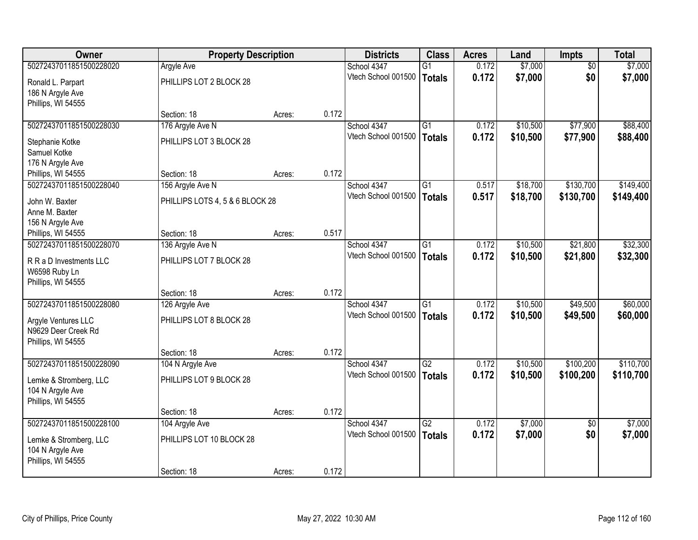| Owner                   | <b>Property Description</b>     |        |       | <b>Districts</b>    | <b>Class</b>    | <b>Acres</b> | Land     | <b>Impts</b>    | <b>Total</b> |
|-------------------------|---------------------------------|--------|-------|---------------------|-----------------|--------------|----------|-----------------|--------------|
| 50272437011851500228020 | <b>Argyle Ave</b>               |        |       | School 4347         | $\overline{G1}$ | 0.172        | \$7,000  | $\overline{50}$ | \$7,000      |
| Ronald L. Parpart       | PHILLIPS LOT 2 BLOCK 28         |        |       | Vtech School 001500 | <b>Totals</b>   | 0.172        | \$7,000  | \$0             | \$7,000      |
| 186 N Argyle Ave        |                                 |        |       |                     |                 |              |          |                 |              |
| Phillips, WI 54555      |                                 |        |       |                     |                 |              |          |                 |              |
|                         | Section: 18                     | Acres: | 0.172 |                     |                 |              |          |                 |              |
| 50272437011851500228030 | 176 Argyle Ave N                |        |       | School 4347         | $\overline{G1}$ | 0.172        | \$10,500 | \$77,900        | \$88,400     |
| Stephanie Kotke         | PHILLIPS LOT 3 BLOCK 28         |        |       | Vtech School 001500 | <b>Totals</b>   | 0.172        | \$10,500 | \$77,900        | \$88,400     |
| Samuel Kotke            |                                 |        |       |                     |                 |              |          |                 |              |
| 176 N Argyle Ave        |                                 |        |       |                     |                 |              |          |                 |              |
| Phillips, WI 54555      | Section: 18                     | Acres: | 0.172 |                     |                 |              |          |                 |              |
| 50272437011851500228040 | 156 Argyle Ave N                |        |       | School 4347         | G1              | 0.517        | \$18,700 | \$130,700       | \$149,400    |
| John W. Baxter          | PHILLIPS LOTS 4, 5 & 6 BLOCK 28 |        |       | Vtech School 001500 | <b>Totals</b>   | 0.517        | \$18,700 | \$130,700       | \$149,400    |
| Anne M. Baxter          |                                 |        |       |                     |                 |              |          |                 |              |
| 156 N Argyle Ave        |                                 |        |       |                     |                 |              |          |                 |              |
| Phillips, WI 54555      | Section: 18                     | Acres: | 0.517 |                     |                 |              |          |                 |              |
| 50272437011851500228070 | 136 Argyle Ave N                |        |       | School 4347         | G1              | 0.172        | \$10,500 | \$21,800        | \$32,300     |
| R R a D Investments LLC | PHILLIPS LOT 7 BLOCK 28         |        |       | Vtech School 001500 | <b>Totals</b>   | 0.172        | \$10,500 | \$21,800        | \$32,300     |
| W6598 Ruby Ln           |                                 |        |       |                     |                 |              |          |                 |              |
| Phillips, WI 54555      |                                 |        |       |                     |                 |              |          |                 |              |
|                         | Section: 18                     | Acres: | 0.172 |                     |                 |              |          |                 |              |
| 50272437011851500228080 | 126 Argyle Ave                  |        |       | School 4347         | $\overline{G1}$ | 0.172        | \$10,500 | \$49,500        | \$60,000     |
| Argyle Ventures LLC     | PHILLIPS LOT 8 BLOCK 28         |        |       | Vtech School 001500 | <b>Totals</b>   | 0.172        | \$10,500 | \$49,500        | \$60,000     |
| N9629 Deer Creek Rd     |                                 |        |       |                     |                 |              |          |                 |              |
| Phillips, WI 54555      |                                 |        |       |                     |                 |              |          |                 |              |
|                         | Section: 18                     | Acres: | 0.172 |                     |                 |              |          |                 |              |
| 50272437011851500228090 | 104 N Argyle Ave                |        |       | School 4347         | $\overline{G2}$ | 0.172        | \$10,500 | \$100,200       | \$110,700    |
| Lemke & Stromberg, LLC  | PHILLIPS LOT 9 BLOCK 28         |        |       | Vtech School 001500 | <b>Totals</b>   | 0.172        | \$10,500 | \$100,200       | \$110,700    |
| 104 N Argyle Ave        |                                 |        |       |                     |                 |              |          |                 |              |
| Phillips, WI 54555      |                                 |        |       |                     |                 |              |          |                 |              |
|                         | Section: 18                     | Acres: | 0.172 |                     |                 |              |          |                 |              |
| 50272437011851500228100 | 104 Argyle Ave                  |        |       | School 4347         | $\overline{G2}$ | 0.172        | \$7,000  | $\overline{50}$ | \$7,000      |
| Lemke & Stromberg, LLC  | PHILLIPS LOT 10 BLOCK 28        |        |       | Vtech School 001500 | <b>Totals</b>   | 0.172        | \$7,000  | \$0             | \$7,000      |
| 104 N Argyle Ave        |                                 |        |       |                     |                 |              |          |                 |              |
| Phillips, WI 54555      |                                 |        |       |                     |                 |              |          |                 |              |
|                         | Section: 18                     | Acres: | 0.172 |                     |                 |              |          |                 |              |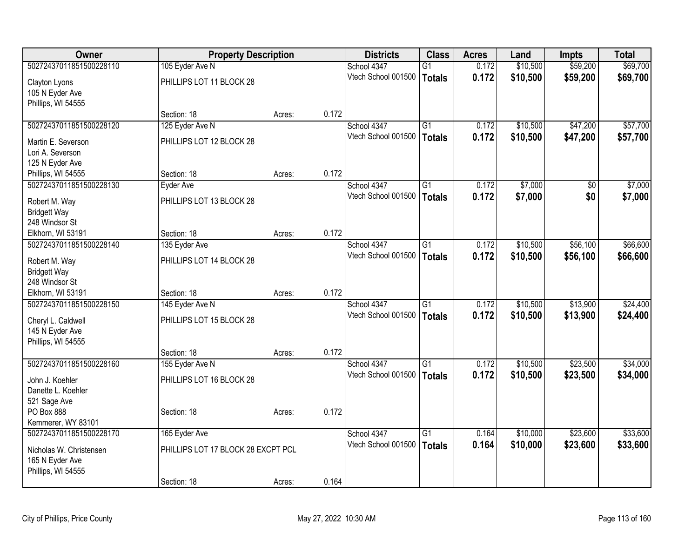| Owner                   | <b>Property Description</b>        |        |       | <b>Districts</b>    | <b>Class</b>    | <b>Acres</b> | Land     | <b>Impts</b> | <b>Total</b> |
|-------------------------|------------------------------------|--------|-------|---------------------|-----------------|--------------|----------|--------------|--------------|
| 50272437011851500228110 | 105 Eyder Ave N                    |        |       | School 4347         | $\overline{G1}$ | 0.172        | \$10,500 | \$59,200     | \$69,700     |
| Clayton Lyons           | PHILLIPS LOT 11 BLOCK 28           |        |       | Vtech School 001500 | <b>Totals</b>   | 0.172        | \$10,500 | \$59,200     | \$69,700     |
| 105 N Eyder Ave         |                                    |        |       |                     |                 |              |          |              |              |
| Phillips, WI 54555      |                                    |        |       |                     |                 |              |          |              |              |
|                         | Section: 18                        | Acres: | 0.172 |                     |                 |              |          |              |              |
| 50272437011851500228120 | 125 Eyder Ave N                    |        |       | School 4347         | $\overline{G1}$ | 0.172        | \$10,500 | \$47,200     | \$57,700     |
| Martin E. Severson      | PHILLIPS LOT 12 BLOCK 28           |        |       | Vtech School 001500 | <b>Totals</b>   | 0.172        | \$10,500 | \$47,200     | \$57,700     |
| Lori A. Severson        |                                    |        |       |                     |                 |              |          |              |              |
| 125 N Eyder Ave         |                                    |        |       |                     |                 |              |          |              |              |
| Phillips, WI 54555      | Section: 18                        | Acres: | 0.172 |                     |                 |              |          |              |              |
| 50272437011851500228130 | Eyder Ave                          |        |       | School 4347         | G1              | 0.172        | \$7,000  | \$0          | \$7,000      |
| Robert M. Way           | PHILLIPS LOT 13 BLOCK 28           |        |       | Vtech School 001500 | <b>Totals</b>   | 0.172        | \$7,000  | \$0          | \$7,000      |
| <b>Bridgett Way</b>     |                                    |        |       |                     |                 |              |          |              |              |
| 248 Windsor St          |                                    |        |       |                     |                 |              |          |              |              |
| Elkhorn, WI 53191       | Section: 18                        | Acres: | 0.172 |                     |                 |              |          |              |              |
| 50272437011851500228140 | 135 Eyder Ave                      |        |       | School 4347         | $\overline{G1}$ | 0.172        | \$10,500 | \$56,100     | \$66,600     |
| Robert M. Way           | PHILLIPS LOT 14 BLOCK 28           |        |       | Vtech School 001500 | <b>Totals</b>   | 0.172        | \$10,500 | \$56,100     | \$66,600     |
| <b>Bridgett Way</b>     |                                    |        |       |                     |                 |              |          |              |              |
| 248 Windsor St          |                                    |        |       |                     |                 |              |          |              |              |
| Elkhorn, WI 53191       | Section: 18                        | Acres: | 0.172 |                     |                 |              |          |              |              |
| 50272437011851500228150 | 145 Eyder Ave N                    |        |       | School 4347         | $\overline{G1}$ | 0.172        | \$10,500 | \$13,900     | \$24,400     |
| Cheryl L. Caldwell      | PHILLIPS LOT 15 BLOCK 28           |        |       | Vtech School 001500 | <b>Totals</b>   | 0.172        | \$10,500 | \$13,900     | \$24,400     |
| 145 N Eyder Ave         |                                    |        |       |                     |                 |              |          |              |              |
| Phillips, WI 54555      |                                    |        |       |                     |                 |              |          |              |              |
|                         | Section: 18                        | Acres: | 0.172 |                     |                 |              |          |              |              |
| 50272437011851500228160 | 155 Eyder Ave N                    |        |       | School 4347         | $\overline{G1}$ | 0.172        | \$10,500 | \$23,500     | \$34,000     |
| John J. Koehler         | PHILLIPS LOT 16 BLOCK 28           |        |       | Vtech School 001500 | <b>Totals</b>   | 0.172        | \$10,500 | \$23,500     | \$34,000     |
| Danette L. Koehler      |                                    |        |       |                     |                 |              |          |              |              |
| 521 Sage Ave            |                                    |        |       |                     |                 |              |          |              |              |
| PO Box 888              | Section: 18                        | Acres: | 0.172 |                     |                 |              |          |              |              |
| Kemmerer, WY 83101      |                                    |        |       |                     |                 |              |          |              |              |
| 50272437011851500228170 | 165 Eyder Ave                      |        |       | School 4347         | $\overline{G1}$ | 0.164        | \$10,000 | \$23,600     | \$33,600     |
| Nicholas W. Christensen | PHILLIPS LOT 17 BLOCK 28 EXCPT PCL |        |       | Vtech School 001500 | <b>Totals</b>   | 0.164        | \$10,000 | \$23,600     | \$33,600     |
| 165 N Eyder Ave         |                                    |        |       |                     |                 |              |          |              |              |
| Phillips, WI 54555      |                                    |        |       |                     |                 |              |          |              |              |
|                         | Section: 18                        | Acres: | 0.164 |                     |                 |              |          |              |              |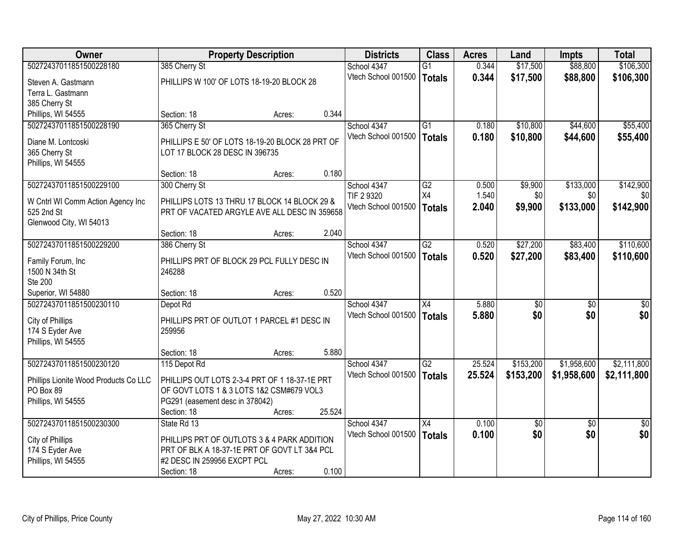| <b>Owner</b>                          | <b>Property Description</b>                     |        |        | <b>Districts</b>    | <b>Class</b>    | <b>Acres</b> | Land            | <b>Impts</b>    | <b>Total</b>    |
|---------------------------------------|-------------------------------------------------|--------|--------|---------------------|-----------------|--------------|-----------------|-----------------|-----------------|
| 50272437011851500228180               | 385 Cherry St                                   |        |        | School 4347         | $\overline{G1}$ | 0.344        | \$17,500        | \$88,800        | \$106,300       |
| Steven A. Gastmann                    | PHILLIPS W 100' OF LOTS 18-19-20 BLOCK 28       |        |        | Vtech School 001500 | Totals          | 0.344        | \$17,500        | \$88,800        | \$106,300       |
| Terra L. Gastmann                     |                                                 |        |        |                     |                 |              |                 |                 |                 |
| 385 Cherry St                         |                                                 |        |        |                     |                 |              |                 |                 |                 |
| Phillips, WI 54555                    | Section: 18                                     | Acres: | 0.344  |                     |                 |              |                 |                 |                 |
| 50272437011851500228190               | 365 Cherry St                                   |        |        | School 4347         | $\overline{G1}$ | 0.180        | \$10,800        | \$44,600        | \$55,400        |
| Diane M. Lontcoski                    | PHILLIPS E 50' OF LOTS 18-19-20 BLOCK 28 PRT OF |        |        | Vtech School 001500 | <b>Totals</b>   | 0.180        | \$10,800        | \$44,600        | \$55,400        |
| 365 Cherry St                         | LOT 17 BLOCK 28 DESC IN 396735                  |        |        |                     |                 |              |                 |                 |                 |
| Phillips, WI 54555                    |                                                 |        |        |                     |                 |              |                 |                 |                 |
|                                       | Section: 18                                     | Acres: | 0.180  |                     |                 |              |                 |                 |                 |
| 50272437011851500229100               | 300 Cherry St                                   |        |        | School 4347         | $\overline{G2}$ | 0.500        | \$9,900         | \$133,000       | \$142,900       |
| W Cntrl WI Comm Action Agency Inc     | PHILLIPS LOTS 13 THRU 17 BLOCK 14 BLOCK 29 &    |        |        | TIF 2 9320          | X4              | 1.540        | \$0             | \$0             | \$0             |
| 525 2nd St                            | PRT OF VACATED ARGYLE AVE ALL DESC IN 359658    |        |        | Vtech School 001500 | Totals          | 2.040        | \$9,900         | \$133,000       | \$142,900       |
| Glenwood City, WI 54013               |                                                 |        |        |                     |                 |              |                 |                 |                 |
|                                       | Section: 18                                     | Acres: | 2.040  |                     |                 |              |                 |                 |                 |
| 50272437011851500229200               | 386 Cherry St                                   |        |        | School 4347         | $\overline{G2}$ | 0.520        | \$27,200        | \$83,400        | \$110,600       |
| Family Forum, Inc                     | PHILLIPS PRT OF BLOCK 29 PCL FULLY DESC IN      |        |        | Vtech School 001500 | <b>Totals</b>   | 0.520        | \$27,200        | \$83,400        | \$110,600       |
| 1500 N 34th St                        | 246288                                          |        |        |                     |                 |              |                 |                 |                 |
| <b>Ste 200</b>                        |                                                 |        |        |                     |                 |              |                 |                 |                 |
| Superior, WI 54880                    | Section: 18                                     | Acres: | 0.520  |                     |                 |              |                 |                 |                 |
| 50272437011851500230110               | Depot Rd                                        |        |        | School 4347         | $\overline{X4}$ | 5.880        | $\overline{50}$ | $\overline{50}$ | $\overline{50}$ |
| City of Phillips                      | PHILLIPS PRT OF OUTLOT 1 PARCEL #1 DESC IN      |        |        | Vtech School 001500 | Totals          | 5.880        | \$0             | \$0             | \$0             |
| 174 S Eyder Ave                       | 259956                                          |        |        |                     |                 |              |                 |                 |                 |
| Phillips, WI 54555                    |                                                 |        |        |                     |                 |              |                 |                 |                 |
|                                       | Section: 18                                     | Acres: | 5.880  |                     |                 |              |                 |                 |                 |
| 50272437011851500230120               | 115 Depot Rd                                    |        |        | School 4347         | G2              | 25.524       | \$153,200       | \$1,958,600     | \$2,111,800     |
| Phillips Lionite Wood Products Co LLC | PHILLIPS OUT LOTS 2-3-4 PRT OF 1 18-37-1E PRT   |        |        | Vtech School 001500 | Totals          | 25.524       | \$153,200       | \$1,958,600     | \$2,111,800     |
| PO Box 89                             | OF GOVT LOTS 1 & 3 LOTS 1&2 CSM#679 VOL3        |        |        |                     |                 |              |                 |                 |                 |
| Phillips, WI 54555                    | PG291 (easement desc in 378042)                 |        |        |                     |                 |              |                 |                 |                 |
|                                       | Section: 18                                     | Acres: | 25.524 |                     |                 |              |                 |                 |                 |
| 50272437011851500230300               | State Rd 13                                     |        |        | School 4347         | X4              | 0.100        | $\overline{50}$ | $\overline{50}$ | $\overline{30}$ |
| City of Phillips                      | PHILLIPS PRT OF OUTLOTS 3 & 4 PARK ADDITION     |        |        | Vtech School 001500 | Totals          | 0.100        | \$0             | \$0             | \$0             |
| 174 S Eyder Ave                       | PRT OF BLK A 18-37-1E PRT OF GOVT LT 3&4 PCL    |        |        |                     |                 |              |                 |                 |                 |
| Phillips, WI 54555                    | #2 DESC IN 259956 EXCPT PCL                     |        |        |                     |                 |              |                 |                 |                 |
|                                       | Section: 18                                     | Acres: | 0.100  |                     |                 |              |                 |                 |                 |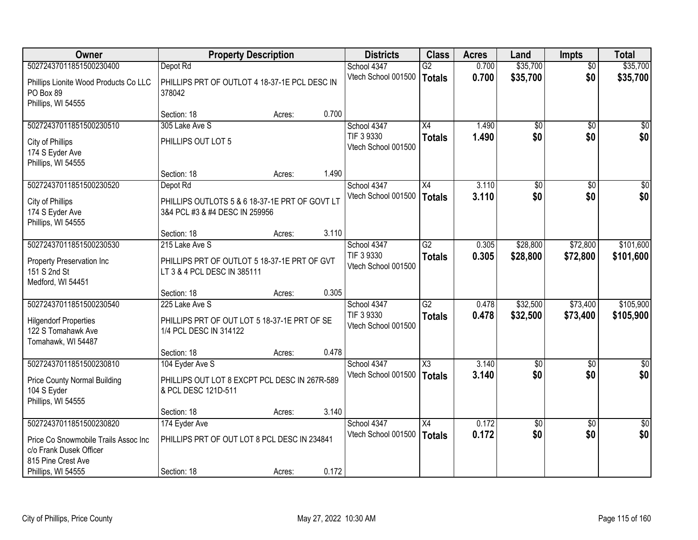| <b>Owner</b>                                                                                        |                                                                                          | <b>Property Description</b> |       | <b>Districts</b>                                 | <b>Class</b>                     | <b>Acres</b>   | Land                 | <b>Impts</b>         | <b>Total</b>           |
|-----------------------------------------------------------------------------------------------------|------------------------------------------------------------------------------------------|-----------------------------|-------|--------------------------------------------------|----------------------------------|----------------|----------------------|----------------------|------------------------|
| 50272437011851500230400                                                                             | Depot Rd                                                                                 |                             |       | School 4347                                      | $\overline{G2}$                  | 0.700          | \$35,700             | $\overline{50}$      | \$35,700               |
| Phillips Lionite Wood Products Co LLC<br>PO Box 89<br>Phillips, WI 54555                            | PHILLIPS PRT OF OUTLOT 4 18-37-1E PCL DESC IN<br>378042                                  |                             |       | Vtech School 001500                              | Totals                           | 0.700          | \$35,700             | \$0                  | \$35,700               |
|                                                                                                     | Section: 18                                                                              | Acres:                      | 0.700 |                                                  |                                  |                |                      |                      |                        |
| 50272437011851500230510                                                                             | 305 Lake Ave S                                                                           |                             |       | School 4347                                      | $\overline{X4}$                  | 1.490          | $\overline{50}$      | $\overline{50}$      | $\overline{\$0}$       |
| City of Phillips<br>174 S Eyder Ave<br>Phillips, WI 54555                                           | PHILLIPS OUT LOT 5                                                                       |                             |       | TIF 3 9330<br>Vtech School 001500                | <b>Totals</b>                    | 1.490          | \$0                  | \$0                  | \$0                    |
|                                                                                                     | Section: 18                                                                              | Acres:                      | 1.490 |                                                  |                                  |                |                      |                      |                        |
| 50272437011851500230520                                                                             | Depot Rd                                                                                 |                             |       | School 4347                                      | X4                               | 3.110          | $\overline{50}$      | $\overline{50}$      | $\overline{\$0}$       |
| City of Phillips<br>174 S Eyder Ave<br>Phillips, WI 54555                                           | PHILLIPS OUTLOTS 5 & 6 18-37-1E PRT OF GOVT LT<br>3&4 PCL #3 & #4 DESC IN 259956         |                             |       | Vtech School 001500                              | <b>Totals</b>                    | 3.110          | \$0                  | \$0                  | \$0                    |
|                                                                                                     | Section: 18                                                                              | Acres:                      | 3.110 |                                                  |                                  |                |                      |                      |                        |
| 50272437011851500230530                                                                             | 215 Lake Ave S                                                                           |                             |       | School 4347                                      | $\overline{G2}$                  | 0.305          | \$28,800             | \$72,800             | \$101,600              |
| Property Preservation Inc<br>151 S 2nd St<br>Medford, WI 54451                                      | PHILLIPS PRT OF OUTLOT 5 18-37-1E PRT OF GVT<br>LT 3 & 4 PCL DESC IN 385111              |                             |       | TIF 3 9330<br>Vtech School 001500                | <b>Totals</b>                    | 0.305          | \$28,800             | \$72,800             | \$101,600              |
|                                                                                                     | Section: 18                                                                              | Acres:                      | 0.305 |                                                  |                                  |                |                      |                      |                        |
| 50272437011851500230540<br><b>Hilgendorf Properties</b><br>122 S Tomahawk Ave<br>Tomahawk, WI 54487 | 225 Lake Ave S<br>PHILLIPS PRT OF OUT LOT 5 18-37-1E PRT OF SE<br>1/4 PCL DESC IN 314122 |                             |       | School 4347<br>TIF 3 9330<br>Vtech School 001500 | $\overline{G2}$<br><b>Totals</b> | 0.478<br>0.478 | \$32,500<br>\$32,500 | \$73,400<br>\$73,400 | \$105,900<br>\$105,900 |
|                                                                                                     | Section: 18                                                                              | Acres:                      | 0.478 |                                                  |                                  |                |                      |                      |                        |
| 50272437011851500230810                                                                             | 104 Eyder Ave S                                                                          |                             |       | School 4347                                      | $\overline{\text{X3}}$           | 3.140          | $\overline{50}$      | \$0                  | $\frac{1}{2}$          |
| <b>Price County Normal Building</b><br>104 S Eyder<br>Phillips, WI 54555                            | PHILLIPS OUT LOT 8 EXCPT PCL DESC IN 267R-589<br>& PCL DESC 121D-511                     |                             |       | Vtech School 001500                              | <b>Totals</b>                    | 3.140          | \$0                  | \$0                  | \$0                    |
|                                                                                                     | Section: 18                                                                              | Acres:                      | 3.140 |                                                  |                                  |                |                      |                      |                        |
| 50272437011851500230820                                                                             | 174 Eyder Ave                                                                            |                             |       | School 4347                                      | $\overline{X4}$                  | 0.172          | $\overline{60}$      | $\overline{30}$      | $\sqrt{50}$            |
| Price Co Snowmobile Trails Assoc Inc<br>c/o Frank Dusek Officer<br>815 Pine Crest Ave               | PHILLIPS PRT OF OUT LOT 8 PCL DESC IN 234841                                             |                             |       | Vtech School 001500                              | Totals                           | 0.172          | \$0                  | \$0                  | \$0                    |
| Phillips, WI 54555                                                                                  | Section: 18                                                                              | Acres:                      | 0.172 |                                                  |                                  |                |                      |                      |                        |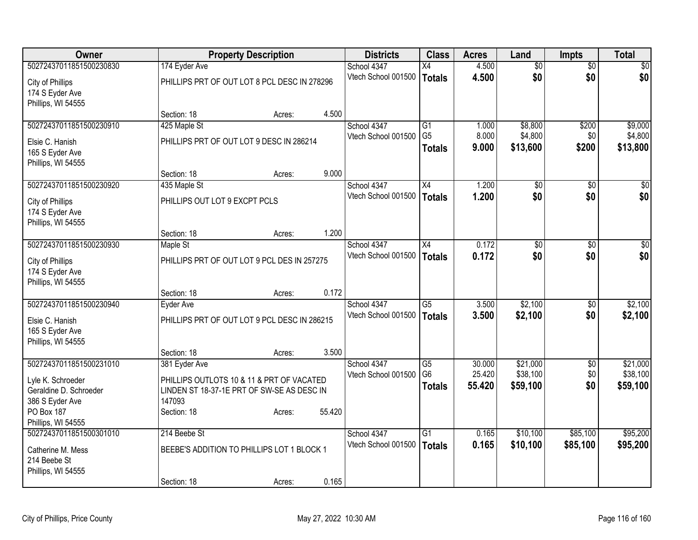| Owner                   |                                              | <b>Property Description</b> |        | <b>Districts</b>    | <b>Class</b>    | <b>Acres</b> | Land            | <b>Impts</b>    | <b>Total</b>     |
|-------------------------|----------------------------------------------|-----------------------------|--------|---------------------|-----------------|--------------|-----------------|-----------------|------------------|
| 50272437011851500230830 | 174 Eyder Ave                                |                             |        | School 4347         | $\overline{X4}$ | 4.500        | $\overline{50}$ | $\overline{50}$ | $\overline{50}$  |
| City of Phillips        | PHILLIPS PRT OF OUT LOT 8 PCL DESC IN 278296 |                             |        | Vtech School 001500 | <b>Totals</b>   | 4.500        | \$0             | \$0             | \$0              |
| 174 S Eyder Ave         |                                              |                             |        |                     |                 |              |                 |                 |                  |
| Phillips, WI 54555      |                                              |                             |        |                     |                 |              |                 |                 |                  |
|                         | Section: 18                                  | Acres:                      | 4.500  |                     |                 |              |                 |                 |                  |
| 50272437011851500230910 | 425 Maple St                                 |                             |        | School 4347         | G1              | 1.000        | \$8,800         | \$200           | \$9,000          |
| Elsie C. Hanish         | PHILLIPS PRT OF OUT LOT 9 DESC IN 286214     |                             |        | Vtech School 001500 | G <sub>5</sub>  | 8.000        | \$4,800         | \$0             | \$4,800          |
| 165 S Eyder Ave         |                                              |                             |        |                     | <b>Totals</b>   | 9.000        | \$13,600        | \$200           | \$13,800         |
| Phillips, WI 54555      |                                              |                             |        |                     |                 |              |                 |                 |                  |
|                         | Section: 18                                  | Acres:                      | 9.000  |                     |                 |              |                 |                 |                  |
| 50272437011851500230920 | 435 Maple St                                 |                             |        | School 4347         | X4              | 1.200        | \$0             | \$0             | \$0              |
| City of Phillips        | PHILLIPS OUT LOT 9 EXCPT PCLS                |                             |        | Vtech School 001500 | Totals          | 1.200        | \$0             | \$0             | \$0              |
| 174 S Eyder Ave         |                                              |                             |        |                     |                 |              |                 |                 |                  |
| Phillips, WI 54555      |                                              |                             |        |                     |                 |              |                 |                 |                  |
|                         | Section: 18                                  | Acres:                      | 1.200  |                     |                 |              |                 |                 |                  |
| 50272437011851500230930 | Maple St                                     |                             |        | School 4347         | $\overline{X4}$ | 0.172        | $\overline{30}$ | $\overline{30}$ | $\overline{\$0}$ |
| City of Phillips        | PHILLIPS PRT OF OUT LOT 9 PCL DES IN 257275  |                             |        | Vtech School 001500 | <b>Totals</b>   | 0.172        | \$0             | \$0             | \$0              |
| 174 S Eyder Ave         |                                              |                             |        |                     |                 |              |                 |                 |                  |
| Phillips, WI 54555      |                                              |                             |        |                     |                 |              |                 |                 |                  |
|                         | Section: 18                                  | Acres:                      | 0.172  |                     |                 |              |                 |                 |                  |
| 50272437011851500230940 | Eyder Ave                                    |                             |        | School 4347         | $\overline{G5}$ | 3.500        | \$2,100         | $\overline{30}$ | \$2,100          |
| Elsie C. Hanish         | PHILLIPS PRT OF OUT LOT 9 PCL DESC IN 286215 |                             |        | Vtech School 001500 | Totals          | 3.500        | \$2,100         | \$0             | \$2,100          |
| 165 S Eyder Ave         |                                              |                             |        |                     |                 |              |                 |                 |                  |
| Phillips, WI 54555      |                                              |                             |        |                     |                 |              |                 |                 |                  |
|                         | Section: 18                                  | Acres:                      | 3.500  |                     |                 |              |                 |                 |                  |
| 50272437011851500231010 | 381 Eyder Ave                                |                             |        | School 4347         | $\overline{G5}$ | 30.000       | \$21,000        | $\sqrt{6}$      | \$21,000         |
| Lyle K. Schroeder       | PHILLIPS OUTLOTS 10 & 11 & PRT OF VACATED    |                             |        | Vtech School 001500 | G <sub>6</sub>  | 25.420       | \$38,100        | \$0             | \$38,100         |
| Geraldine D. Schroeder  | LINDEN ST 18-37-1E PRT OF SW-SE AS DESC IN   |                             |        |                     | <b>Totals</b>   | 55.420       | \$59,100        | \$0             | \$59,100         |
| 386 S Eyder Ave         | 147093                                       |                             |        |                     |                 |              |                 |                 |                  |
| <b>PO Box 187</b>       | Section: 18                                  | Acres:                      | 55.420 |                     |                 |              |                 |                 |                  |
| Phillips, WI 54555      |                                              |                             |        |                     |                 |              |                 |                 |                  |
| 50272437011851500301010 | 214 Beebe St                                 |                             |        | School 4347         | $\overline{G1}$ | 0.165        | \$10,100        | \$85,100        | \$95,200         |
| Catherine M. Mess       | BEEBE'S ADDITION TO PHILLIPS LOT 1 BLOCK 1   |                             |        | Vtech School 001500 | <b>Totals</b>   | 0.165        | \$10,100        | \$85,100        | \$95,200         |
| 214 Beebe St            |                                              |                             |        |                     |                 |              |                 |                 |                  |
| Phillips, WI 54555      |                                              |                             |        |                     |                 |              |                 |                 |                  |
|                         | Section: 18                                  | Acres:                      | 0.165  |                     |                 |              |                 |                 |                  |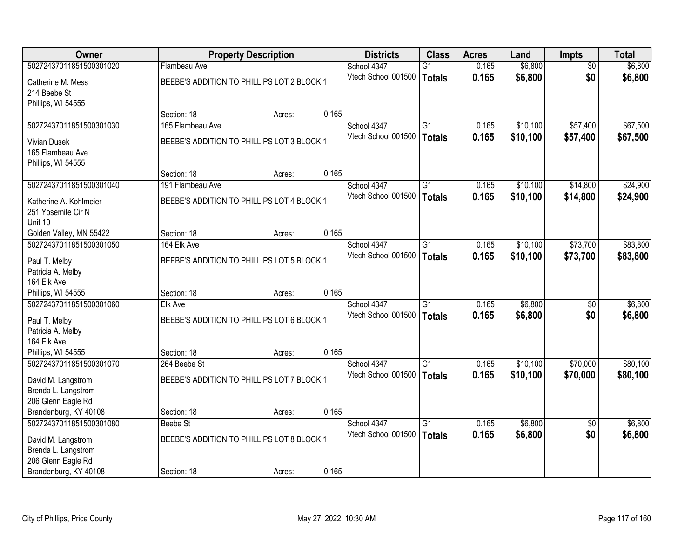| <b>Owner</b>            |                                            | <b>Property Description</b> |       | <b>Districts</b>    | <b>Class</b>    | <b>Acres</b> | Land     | <b>Impts</b>    | <b>Total</b> |
|-------------------------|--------------------------------------------|-----------------------------|-------|---------------------|-----------------|--------------|----------|-----------------|--------------|
| 50272437011851500301020 | Flambeau Ave                               |                             |       | School 4347         | $\overline{G1}$ | 0.165        | \$6,800  | $\overline{50}$ | \$6,800      |
| Catherine M. Mess       | BEEBE'S ADDITION TO PHILLIPS LOT 2 BLOCK 1 |                             |       | Vtech School 001500 | Totals          | 0.165        | \$6,800  | \$0             | \$6,800      |
| 214 Beebe St            |                                            |                             |       |                     |                 |              |          |                 |              |
| Phillips, WI 54555      |                                            |                             |       |                     |                 |              |          |                 |              |
|                         | Section: 18                                | Acres:                      | 0.165 |                     |                 |              |          |                 |              |
| 50272437011851500301030 | 165 Flambeau Ave                           |                             |       | School 4347         | $\overline{G1}$ | 0.165        | \$10,100 | \$57,400        | \$67,500     |
| <b>Vivian Dusek</b>     | BEEBE'S ADDITION TO PHILLIPS LOT 3 BLOCK 1 |                             |       | Vtech School 001500 | <b>Totals</b>   | 0.165        | \$10,100 | \$57,400        | \$67,500     |
| 165 Flambeau Ave        |                                            |                             |       |                     |                 |              |          |                 |              |
| Phillips, WI 54555      |                                            |                             |       |                     |                 |              |          |                 |              |
|                         | Section: 18                                | Acres:                      | 0.165 |                     |                 |              |          |                 |              |
| 50272437011851500301040 | 191 Flambeau Ave                           |                             |       | School 4347         | $\overline{G1}$ | 0.165        | \$10,100 | \$14,800        | \$24,900     |
| Katherine A. Kohlmeier  | BEEBE'S ADDITION TO PHILLIPS LOT 4 BLOCK 1 |                             |       | Vtech School 001500 | Totals          | 0.165        | \$10,100 | \$14,800        | \$24,900     |
| 251 Yosemite Cir N      |                                            |                             |       |                     |                 |              |          |                 |              |
| Unit 10                 |                                            |                             |       |                     |                 |              |          |                 |              |
| Golden Valley, MN 55422 | Section: 18                                | Acres:                      | 0.165 |                     |                 |              |          |                 |              |
| 50272437011851500301050 | 164 Elk Ave                                |                             |       | School 4347         | $\overline{G1}$ | 0.165        | \$10,100 | \$73,700        | \$83,800     |
| Paul T. Melby           | BEEBE'S ADDITION TO PHILLIPS LOT 5 BLOCK 1 |                             |       | Vtech School 001500 | Totals          | 0.165        | \$10,100 | \$73,700        | \$83,800     |
| Patricia A. Melby       |                                            |                             |       |                     |                 |              |          |                 |              |
| 164 Elk Ave             |                                            |                             |       |                     |                 |              |          |                 |              |
| Phillips, WI 54555      | Section: 18                                | Acres:                      | 0.165 |                     |                 |              |          |                 |              |
| 50272437011851500301060 | Elk Ave                                    |                             |       | School 4347         | $\overline{G1}$ | 0.165        | \$6,800  | \$0             | \$6,800      |
| Paul T. Melby           | BEEBE'S ADDITION TO PHILLIPS LOT 6 BLOCK 1 |                             |       | Vtech School 001500 | Totals          | 0.165        | \$6,800  | \$0             | \$6,800      |
| Patricia A. Melby       |                                            |                             |       |                     |                 |              |          |                 |              |
| 164 Elk Ave             |                                            |                             |       |                     |                 |              |          |                 |              |
| Phillips, WI 54555      | Section: 18                                | Acres:                      | 0.165 |                     |                 |              |          |                 |              |
| 50272437011851500301070 | 264 Beebe St                               |                             |       | School 4347         | $\overline{G1}$ | 0.165        | \$10,100 | \$70,000        | \$80,100     |
| David M. Langstrom      | BEEBE'S ADDITION TO PHILLIPS LOT 7 BLOCK 1 |                             |       | Vtech School 001500 | <b>Totals</b>   | 0.165        | \$10,100 | \$70,000        | \$80,100     |
| Brenda L. Langstrom     |                                            |                             |       |                     |                 |              |          |                 |              |
| 206 Glenn Eagle Rd      |                                            |                             |       |                     |                 |              |          |                 |              |
| Brandenburg, KY 40108   | Section: 18                                | Acres:                      | 0.165 |                     |                 |              |          |                 |              |
| 50272437011851500301080 | Beebe St                                   |                             |       | School 4347         | $\overline{G1}$ | 0.165        | \$6,800  | $\overline{30}$ | \$6,800      |
| David M. Langstrom      | BEEBE'S ADDITION TO PHILLIPS LOT 8 BLOCK 1 |                             |       | Vtech School 001500 | Totals          | 0.165        | \$6,800  | \$0             | \$6,800      |
| Brenda L. Langstrom     |                                            |                             |       |                     |                 |              |          |                 |              |
| 206 Glenn Eagle Rd      |                                            |                             |       |                     |                 |              |          |                 |              |
| Brandenburg, KY 40108   | Section: 18                                | Acres:                      | 0.165 |                     |                 |              |          |                 |              |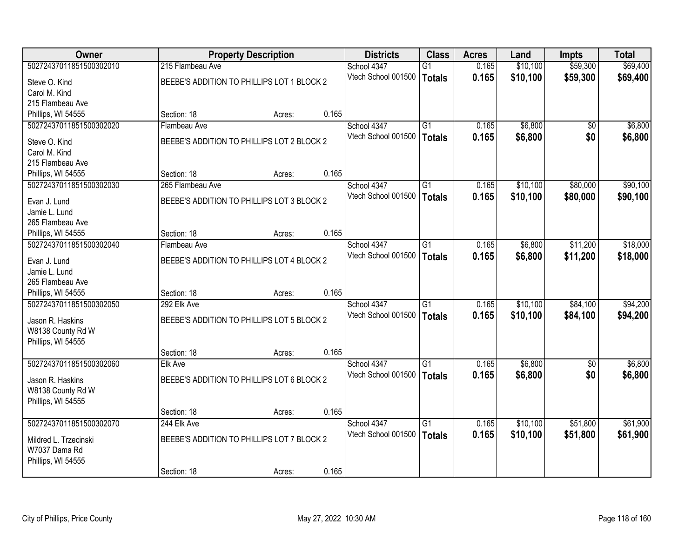| <b>Owner</b>                      |                                            | <b>Property Description</b> |       | <b>Districts</b>                   | <b>Class</b>    | <b>Acres</b>   | Land     | <b>Impts</b>    | <b>Total</b> |
|-----------------------------------|--------------------------------------------|-----------------------------|-------|------------------------------------|-----------------|----------------|----------|-----------------|--------------|
| 50272437011851500302010           | 215 Flambeau Ave                           |                             |       | School 4347                        | $\overline{G1}$ | 0.165          | \$10,100 | \$59,300        | \$69,400     |
| Steve O. Kind                     | BEEBE'S ADDITION TO PHILLIPS LOT 1 BLOCK 2 |                             |       | Vtech School 001500                | Totals          | 0.165          | \$10,100 | \$59,300        | \$69,400     |
| Carol M. Kind                     |                                            |                             |       |                                    |                 |                |          |                 |              |
| 215 Flambeau Ave                  |                                            |                             |       |                                    |                 |                |          |                 |              |
| Phillips, WI 54555                | Section: 18                                | Acres:                      | 0.165 |                                    |                 |                |          |                 |              |
| 50272437011851500302020           | Flambeau Ave                               |                             |       | School 4347                        | G1              | 0.165          | \$6,800  | \$0             | \$6,800      |
| Steve O. Kind                     | BEEBE'S ADDITION TO PHILLIPS LOT 2 BLOCK 2 |                             |       | Vtech School 001500                | <b>Totals</b>   | 0.165          | \$6,800  | \$0             | \$6,800      |
| Carol M. Kind                     |                                            |                             |       |                                    |                 |                |          |                 |              |
| 215 Flambeau Ave                  |                                            |                             |       |                                    |                 |                |          |                 |              |
| Phillips, WI 54555                | Section: 18                                | Acres:                      | 0.165 |                                    |                 |                |          |                 |              |
| 50272437011851500302030           | 265 Flambeau Ave                           |                             |       | School 4347                        | G1              | 0.165          | \$10,100 | \$80,000        | \$90,100     |
|                                   |                                            |                             |       | Vtech School 001500                | Totals          | 0.165          | \$10,100 | \$80,000        | \$90,100     |
| Evan J. Lund<br>Jamie L. Lund     | BEEBE'S ADDITION TO PHILLIPS LOT 3 BLOCK 2 |                             |       |                                    |                 |                |          |                 |              |
| 265 Flambeau Ave                  |                                            |                             |       |                                    |                 |                |          |                 |              |
| Phillips, WI 54555                | Section: 18                                | Acres:                      | 0.165 |                                    |                 |                |          |                 |              |
| 50272437011851500302040           | Flambeau Ave                               |                             |       | School 4347                        | $\overline{G1}$ | 0.165          | \$6,800  | \$11,200        | \$18,000     |
|                                   |                                            |                             |       | Vtech School 001500                | Totals          | 0.165          | \$6,800  | \$11,200        | \$18,000     |
| Evan J. Lund                      | BEEBE'S ADDITION TO PHILLIPS LOT 4 BLOCK 2 |                             |       |                                    |                 |                |          |                 |              |
| Jamie L. Lund<br>265 Flambeau Ave |                                            |                             |       |                                    |                 |                |          |                 |              |
| Phillips, WI 54555                | Section: 18                                | Acres:                      | 0.165 |                                    |                 |                |          |                 |              |
| 50272437011851500302050           | 292 Elk Ave                                |                             |       | School 4347                        | $\overline{G1}$ | 0.165          | \$10,100 | \$84,100        | \$94,200     |
|                                   |                                            |                             |       | Vtech School 001500                | <b>Totals</b>   | 0.165          | \$10,100 | \$84,100        | \$94,200     |
| Jason R. Haskins                  | BEEBE'S ADDITION TO PHILLIPS LOT 5 BLOCK 2 |                             |       |                                    |                 |                |          |                 |              |
| W8138 County Rd W                 |                                            |                             |       |                                    |                 |                |          |                 |              |
| Phillips, WI 54555                | Section: 18                                |                             | 0.165 |                                    |                 |                |          |                 |              |
| 50272437011851500302060           | Elk Ave                                    | Acres:                      |       | School 4347                        | G1              | 0.165          | \$6,800  | $\overline{50}$ | \$6,800      |
|                                   |                                            |                             |       | Vtech School 001500                | Totals          | 0.165          | \$6,800  | \$0             | \$6,800      |
| Jason R. Haskins                  | BEEBE'S ADDITION TO PHILLIPS LOT 6 BLOCK 2 |                             |       |                                    |                 |                |          |                 |              |
| W8138 County Rd W                 |                                            |                             |       |                                    |                 |                |          |                 |              |
| Phillips, WI 54555                |                                            |                             |       |                                    |                 |                |          |                 |              |
| 50272437011851500302070           | Section: 18                                | Acres:                      | 0.165 |                                    |                 |                |          |                 |              |
|                                   | 244 Elk Ave                                |                             |       | School 4347<br>Vtech School 001500 | $\overline{G1}$ | 0.165<br>0.165 | \$10,100 | \$51,800        | \$61,900     |
| Mildred L. Trzecinski             | BEEBE'S ADDITION TO PHILLIPS LOT 7 BLOCK 2 |                             |       |                                    | Totals          |                | \$10,100 | \$51,800        | \$61,900     |
| W7037 Dama Rd                     |                                            |                             |       |                                    |                 |                |          |                 |              |
| Phillips, WI 54555                |                                            |                             |       |                                    |                 |                |          |                 |              |
|                                   | Section: 18                                | Acres:                      | 0.165 |                                    |                 |                |          |                 |              |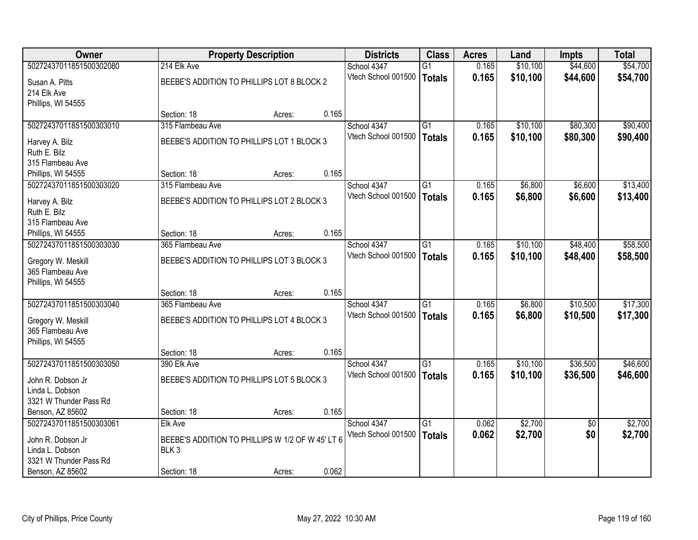| Owner                   |                                                  | <b>Property Description</b> |       | <b>Districts</b>    | <b>Class</b>    | <b>Acres</b> | Land     | <b>Impts</b>    | <b>Total</b> |
|-------------------------|--------------------------------------------------|-----------------------------|-------|---------------------|-----------------|--------------|----------|-----------------|--------------|
| 50272437011851500302080 | 214 Elk Ave                                      |                             |       | School 4347         | $\overline{G1}$ | 0.165        | \$10,100 | \$44,600        | \$54,700     |
| Susan A. Pitts          | BEEBE'S ADDITION TO PHILLIPS LOT 8 BLOCK 2       |                             |       | Vtech School 001500 | <b>Totals</b>   | 0.165        | \$10,100 | \$44,600        | \$54,700     |
| 214 Elk Ave             |                                                  |                             |       |                     |                 |              |          |                 |              |
| Phillips, WI 54555      |                                                  |                             |       |                     |                 |              |          |                 |              |
|                         | Section: 18                                      | Acres:                      | 0.165 |                     |                 |              |          |                 |              |
| 50272437011851500303010 | 315 Flambeau Ave                                 |                             |       | School 4347         | G1              | 0.165        | \$10,100 | \$80,300        | \$90,400     |
| Harvey A. Bilz          | BEEBE'S ADDITION TO PHILLIPS LOT 1 BLOCK 3       |                             |       | Vtech School 001500 | <b>Totals</b>   | 0.165        | \$10,100 | \$80,300        | \$90,400     |
| Ruth E. Bilz            |                                                  |                             |       |                     |                 |              |          |                 |              |
| 315 Flambeau Ave        |                                                  |                             |       |                     |                 |              |          |                 |              |
| Phillips, WI 54555      | Section: 18                                      | Acres:                      | 0.165 |                     |                 |              |          |                 |              |
| 50272437011851500303020 | 315 Flambeau Ave                                 |                             |       | School 4347         | $\overline{G1}$ | 0.165        | \$6,800  | \$6,600         | \$13,400     |
| Harvey A. Bilz          | BEEBE'S ADDITION TO PHILLIPS LOT 2 BLOCK 3       |                             |       | Vtech School 001500 | <b>Totals</b>   | 0.165        | \$6,800  | \$6,600         | \$13,400     |
| Ruth E. Bilz            |                                                  |                             |       |                     |                 |              |          |                 |              |
| 315 Flambeau Ave        |                                                  |                             |       |                     |                 |              |          |                 |              |
| Phillips, WI 54555      | Section: 18                                      | Acres:                      | 0.165 |                     |                 |              |          |                 |              |
| 50272437011851500303030 | 365 Flambeau Ave                                 |                             |       | School 4347         | $\overline{G1}$ | 0.165        | \$10,100 | \$48,400        | \$58,500     |
| Gregory W. Meskill      | BEEBE'S ADDITION TO PHILLIPS LOT 3 BLOCK 3       |                             |       | Vtech School 001500 | <b>Totals</b>   | 0.165        | \$10,100 | \$48,400        | \$58,500     |
| 365 Flambeau Ave        |                                                  |                             |       |                     |                 |              |          |                 |              |
| Phillips, WI 54555      |                                                  |                             |       |                     |                 |              |          |                 |              |
|                         | Section: 18                                      | Acres:                      | 0.165 |                     |                 |              |          |                 |              |
| 50272437011851500303040 | 365 Flambeau Ave                                 |                             |       | School 4347         | $\overline{G1}$ | 0.165        | \$6,800  | \$10,500        | \$17,300     |
| Gregory W. Meskill      | BEEBE'S ADDITION TO PHILLIPS LOT 4 BLOCK 3       |                             |       | Vtech School 001500 | <b>Totals</b>   | 0.165        | \$6,800  | \$10,500        | \$17,300     |
| 365 Flambeau Ave        |                                                  |                             |       |                     |                 |              |          |                 |              |
| Phillips, WI 54555      |                                                  |                             |       |                     |                 |              |          |                 |              |
|                         | Section: 18                                      | Acres:                      | 0.165 |                     |                 |              |          |                 |              |
| 50272437011851500303050 | 390 Elk Ave                                      |                             |       | School 4347         | $\overline{G1}$ | 0.165        | \$10,100 | \$36,500        | \$46,600     |
| John R. Dobson Jr       | BEEBE'S ADDITION TO PHILLIPS LOT 5 BLOCK 3       |                             |       | Vtech School 001500 | <b>Totals</b>   | 0.165        | \$10,100 | \$36,500        | \$46,600     |
| Linda L. Dobson         |                                                  |                             |       |                     |                 |              |          |                 |              |
| 3321 W Thunder Pass Rd  |                                                  |                             |       |                     |                 |              |          |                 |              |
| Benson, AZ 85602        | Section: 18                                      | Acres:                      | 0.165 |                     |                 |              |          |                 |              |
| 50272437011851500303061 | <b>Elk Ave</b>                                   |                             |       | School 4347         | $\overline{G1}$ | 0.062        | \$2,700  | $\overline{50}$ | \$2,700      |
| John R. Dobson Jr       | BEEBE'S ADDITION TO PHILLIPS W 1/2 OF W 45' LT 6 |                             |       | Vtech School 001500 | <b>Totals</b>   | 0.062        | \$2,700  | \$0             | \$2,700      |
| Linda L. Dobson         | BLK <sub>3</sub>                                 |                             |       |                     |                 |              |          |                 |              |
| 3321 W Thunder Pass Rd  |                                                  |                             |       |                     |                 |              |          |                 |              |
| Benson, AZ 85602        | Section: 18                                      | Acres:                      | 0.062 |                     |                 |              |          |                 |              |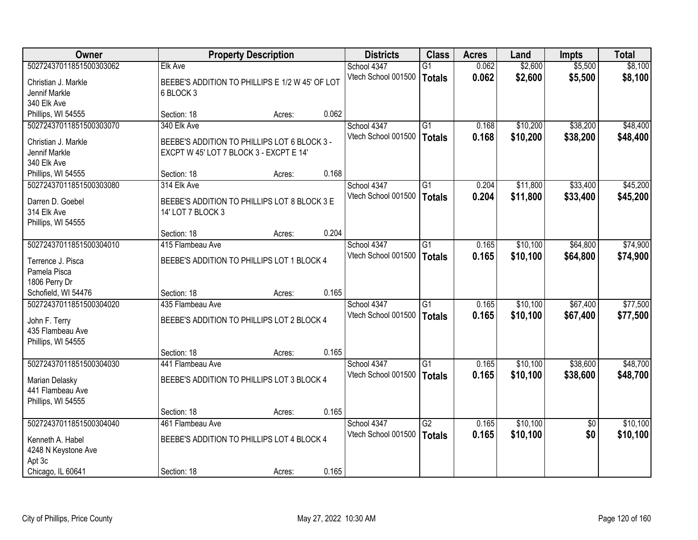| Owner                                   |                                                 | <b>Property Description</b> |       | <b>Districts</b>    | <b>Class</b>    | <b>Acres</b> | Land     | Impts      | <b>Total</b> |
|-----------------------------------------|-------------------------------------------------|-----------------------------|-------|---------------------|-----------------|--------------|----------|------------|--------------|
| 50272437011851500303062                 | <b>Elk Ave</b>                                  |                             |       | School 4347         | $\overline{G1}$ | 0.062        | \$2,600  | \$5,500    | \$8,100      |
| Christian J. Markle                     | BEEBE'S ADDITION TO PHILLIPS E 1/2 W 45' OF LOT |                             |       | Vtech School 001500 | <b>Totals</b>   | 0.062        | \$2,600  | \$5,500    | \$8,100      |
| Jennif Markle                           | 6 BLOCK 3                                       |                             |       |                     |                 |              |          |            |              |
| 340 Elk Ave                             |                                                 |                             |       |                     |                 |              |          |            |              |
| Phillips, WI 54555                      | Section: 18                                     | Acres:                      | 0.062 |                     |                 |              |          |            |              |
| 50272437011851500303070                 | 340 Elk Ave                                     |                             |       | School 4347         | $\overline{G1}$ | 0.168        | \$10,200 | \$38,200   | \$48,400     |
| Christian J. Markle                     | BEEBE'S ADDITION TO PHILLIPS LOT 6 BLOCK 3 -    |                             |       | Vtech School 001500 | <b>Totals</b>   | 0.168        | \$10,200 | \$38,200   | \$48,400     |
| Jennif Markle                           | EXCPT W 45' LOT 7 BLOCK 3 - EXCPT E 14'         |                             |       |                     |                 |              |          |            |              |
| 340 Elk Ave                             |                                                 |                             |       |                     |                 |              |          |            |              |
| Phillips, WI 54555                      | Section: 18                                     | Acres:                      | 0.168 |                     |                 |              |          |            |              |
| 50272437011851500303080                 | 314 Elk Ave                                     |                             |       | School 4347         | G1              | 0.204        | \$11,800 | \$33,400   | \$45,200     |
| Darren D. Goebel                        | BEEBE'S ADDITION TO PHILLIPS LOT 8 BLOCK 3 E    |                             |       | Vtech School 001500 | <b>Totals</b>   | 0.204        | \$11,800 | \$33,400   | \$45,200     |
| 314 Elk Ave                             | 14' LOT 7 BLOCK 3                               |                             |       |                     |                 |              |          |            |              |
| Phillips, WI 54555                      |                                                 |                             |       |                     |                 |              |          |            |              |
|                                         | Section: 18                                     | Acres:                      | 0.204 |                     |                 |              |          |            |              |
| 50272437011851500304010                 | 415 Flambeau Ave                                |                             |       | School 4347         | $\overline{G1}$ | 0.165        | \$10,100 | \$64,800   | \$74,900     |
| Terrence J. Pisca                       | BEEBE'S ADDITION TO PHILLIPS LOT 1 BLOCK 4      |                             |       | Vtech School 001500 | <b>Totals</b>   | 0.165        | \$10,100 | \$64,800   | \$74,900     |
| Pamela Pisca                            |                                                 |                             |       |                     |                 |              |          |            |              |
| 1806 Perry Dr                           |                                                 |                             |       |                     |                 |              |          |            |              |
| Schofield, WI 54476                     | Section: 18                                     | Acres:                      | 0.165 |                     |                 |              |          |            |              |
| 50272437011851500304020                 | 435 Flambeau Ave                                |                             |       | School 4347         | $\overline{G1}$ | 0.165        | \$10,100 | \$67,400   | \$77,500     |
|                                         |                                                 |                             |       | Vtech School 001500 | <b>Totals</b>   | 0.165        | \$10,100 | \$67,400   | \$77,500     |
| John F. Terry<br>435 Flambeau Ave       | BEEBE'S ADDITION TO PHILLIPS LOT 2 BLOCK 4      |                             |       |                     |                 |              |          |            |              |
| Phillips, WI 54555                      |                                                 |                             |       |                     |                 |              |          |            |              |
|                                         | Section: 18                                     | Acres:                      | 0.165 |                     |                 |              |          |            |              |
| 50272437011851500304030                 | 441 Flambeau Ave                                |                             |       | School 4347         | G1              | 0.165        | \$10,100 | \$38,600   | \$48,700     |
|                                         | BEEBE'S ADDITION TO PHILLIPS LOT 3 BLOCK 4      |                             |       | Vtech School 001500 | <b>Totals</b>   | 0.165        | \$10,100 | \$38,600   | \$48,700     |
| Marian Delasky<br>441 Flambeau Ave      |                                                 |                             |       |                     |                 |              |          |            |              |
| Phillips, WI 54555                      |                                                 |                             |       |                     |                 |              |          |            |              |
|                                         | Section: 18                                     | Acres:                      | 0.165 |                     |                 |              |          |            |              |
| 50272437011851500304040                 | 461 Flambeau Ave                                |                             |       | School 4347         | $\overline{G2}$ | 0.165        | \$10,100 | $\sqrt{6}$ | \$10,100     |
|                                         | BEEBE'S ADDITION TO PHILLIPS LOT 4 BLOCK 4      |                             |       | Vtech School 001500 | <b>Totals</b>   | 0.165        | \$10,100 | \$0        | \$10,100     |
| Kenneth A. Habel<br>4248 N Keystone Ave |                                                 |                             |       |                     |                 |              |          |            |              |
| Apt 3c                                  |                                                 |                             |       |                     |                 |              |          |            |              |
| Chicago, IL 60641                       | Section: 18                                     | Acres:                      | 0.165 |                     |                 |              |          |            |              |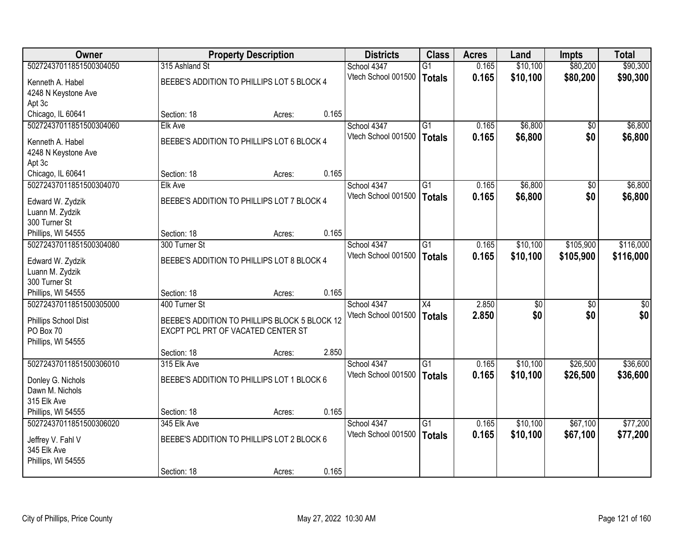| <b>Owner</b>            |                                               | <b>Property Description</b> |       | <b>Districts</b>    | <b>Class</b>    | <b>Acres</b> | Land     | <b>Impts</b>    | <b>Total</b> |
|-------------------------|-----------------------------------------------|-----------------------------|-------|---------------------|-----------------|--------------|----------|-----------------|--------------|
| 50272437011851500304050 | 315 Ashland St                                |                             |       | School 4347         | $\overline{G1}$ | 0.165        | \$10,100 | \$80,200        | \$90,300     |
| Kenneth A. Habel        | BEEBE'S ADDITION TO PHILLIPS LOT 5 BLOCK 4    |                             |       | Vtech School 001500 | Totals          | 0.165        | \$10,100 | \$80,200        | \$90,300     |
| 4248 N Keystone Ave     |                                               |                             |       |                     |                 |              |          |                 |              |
| Apt 3c                  |                                               |                             |       |                     |                 |              |          |                 |              |
| Chicago, IL 60641       | Section: 18                                   | Acres:                      | 0.165 |                     |                 |              |          |                 |              |
| 50272437011851500304060 | <b>Elk Ave</b>                                |                             |       | School 4347         | $\overline{G1}$ | 0.165        | \$6,800  | $\overline{50}$ | \$6,800      |
| Kenneth A. Habel        | BEEBE'S ADDITION TO PHILLIPS LOT 6 BLOCK 4    |                             |       | Vtech School 001500 | <b>Totals</b>   | 0.165        | \$6,800  | \$0             | \$6,800      |
| 4248 N Keystone Ave     |                                               |                             |       |                     |                 |              |          |                 |              |
| Apt 3c                  |                                               |                             |       |                     |                 |              |          |                 |              |
| Chicago, IL 60641       | Section: 18                                   | Acres:                      | 0.165 |                     |                 |              |          |                 |              |
| 50272437011851500304070 | <b>Elk Ave</b>                                |                             |       | School 4347         | G1              | 0.165        | \$6,800  | \$0             | \$6,800      |
| Edward W. Zydzik        | BEEBE'S ADDITION TO PHILLIPS LOT 7 BLOCK 4    |                             |       | Vtech School 001500 | Totals          | 0.165        | \$6,800  | \$0             | \$6,800      |
| Luann M. Zydzik         |                                               |                             |       |                     |                 |              |          |                 |              |
| 300 Turner St           |                                               |                             |       |                     |                 |              |          |                 |              |
| Phillips, WI 54555      | Section: 18                                   | Acres:                      | 0.165 |                     |                 |              |          |                 |              |
| 50272437011851500304080 | 300 Turner St                                 |                             |       | School 4347         | $\overline{G1}$ | 0.165        | \$10,100 | \$105,900       | \$116,000    |
| Edward W. Zydzik        | BEEBE'S ADDITION TO PHILLIPS LOT 8 BLOCK 4    |                             |       | Vtech School 001500 | <b>Totals</b>   | 0.165        | \$10,100 | \$105,900       | \$116,000    |
| Luann M. Zydzik         |                                               |                             |       |                     |                 |              |          |                 |              |
| 300 Turner St           |                                               |                             |       |                     |                 |              |          |                 |              |
| Phillips, WI 54555      | Section: 18                                   | Acres:                      | 0.165 |                     |                 |              |          |                 |              |
| 50272437011851500305000 | 400 Turner St                                 |                             |       | School 4347         | $\overline{X4}$ | 2.850        | \$0      | \$0             | $\sqrt{50}$  |
| Phillips School Dist    | BEEBE'S ADDITION TO PHILLIPS BLOCK 5 BLOCK 12 |                             |       | Vtech School 001500 | Totals          | 2.850        | \$0      | \$0             | \$0          |
| PO Box 70               | EXCPT PCL PRT OF VACATED CENTER ST            |                             |       |                     |                 |              |          |                 |              |
| Phillips, WI 54555      |                                               |                             |       |                     |                 |              |          |                 |              |
|                         | Section: 18                                   | Acres:                      | 2.850 |                     |                 |              |          |                 |              |
| 50272437011851500306010 | 315 Elk Ave                                   |                             |       | School 4347         | G1              | 0.165        | \$10,100 | \$26,500        | \$36,600     |
| Donley G. Nichols       | BEEBE'S ADDITION TO PHILLIPS LOT 1 BLOCK 6    |                             |       | Vtech School 001500 | Totals          | 0.165        | \$10,100 | \$26,500        | \$36,600     |
| Dawn M. Nichols         |                                               |                             |       |                     |                 |              |          |                 |              |
| 315 Elk Ave             |                                               |                             |       |                     |                 |              |          |                 |              |
| Phillips, WI 54555      | Section: 18                                   | Acres:                      | 0.165 |                     |                 |              |          |                 |              |
| 50272437011851500306020 | 345 Elk Ave                                   |                             |       | School 4347         | $\overline{G1}$ | 0.165        | \$10,100 | \$67,100        | \$77,200     |
| Jeffrey V. Fahl V       | BEEBE'S ADDITION TO PHILLIPS LOT 2 BLOCK 6    |                             |       | Vtech School 001500 | Totals          | 0.165        | \$10,100 | \$67,100        | \$77,200     |
| 345 Elk Ave             |                                               |                             |       |                     |                 |              |          |                 |              |
| Phillips, WI 54555      |                                               |                             |       |                     |                 |              |          |                 |              |
|                         | Section: 18                                   | Acres:                      | 0.165 |                     |                 |              |          |                 |              |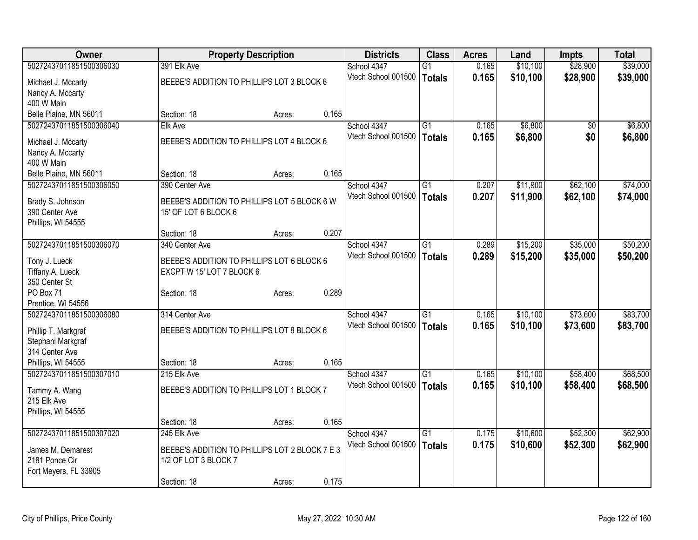| Owner                               |                                                | <b>Property Description</b> |       | <b>Districts</b>    | <b>Class</b>    | <b>Acres</b> | Land     | <b>Impts</b>    | <b>Total</b> |
|-------------------------------------|------------------------------------------------|-----------------------------|-------|---------------------|-----------------|--------------|----------|-----------------|--------------|
| 50272437011851500306030             | 391 Elk Ave                                    |                             |       | School 4347         | $\overline{G1}$ | 0.165        | \$10,100 | \$28,900        | \$39,000     |
| Michael J. Mccarty                  | BEEBE'S ADDITION TO PHILLIPS LOT 3 BLOCK 6     |                             |       | Vtech School 001500 | <b>Totals</b>   | 0.165        | \$10,100 | \$28,900        | \$39,000     |
| Nancy A. Mccarty                    |                                                |                             |       |                     |                 |              |          |                 |              |
| 400 W Main                          |                                                |                             |       |                     |                 |              |          |                 |              |
| Belle Plaine, MN 56011              | Section: 18                                    | Acres:                      | 0.165 |                     |                 |              |          |                 |              |
| 50272437011851500306040             | <b>Elk Ave</b>                                 |                             |       | School 4347         | G1              | 0.165        | \$6,800  | $\overline{50}$ | \$6,800      |
| Michael J. Mccarty                  | BEEBE'S ADDITION TO PHILLIPS LOT 4 BLOCK 6     |                             |       | Vtech School 001500 | Totals          | 0.165        | \$6,800  | \$0             | \$6,800      |
| Nancy A. Mccarty                    |                                                |                             |       |                     |                 |              |          |                 |              |
| 400 W Main                          |                                                |                             |       |                     |                 |              |          |                 |              |
| Belle Plaine, MN 56011              | Section: 18                                    | Acres:                      | 0.165 |                     |                 |              |          |                 |              |
| 50272437011851500306050             | 390 Center Ave                                 |                             |       | School 4347         | $\overline{G1}$ | 0.207        | \$11,900 | \$62,100        | \$74,000     |
|                                     | BEEBE'S ADDITION TO PHILLIPS LOT 5 BLOCK 6 W   |                             |       | Vtech School 001500 | Totals          | 0.207        | \$11,900 | \$62,100        | \$74,000     |
| Brady S. Johnson<br>390 Center Ave  | 15' OF LOT 6 BLOCK 6                           |                             |       |                     |                 |              |          |                 |              |
| Phillips, WI 54555                  |                                                |                             |       |                     |                 |              |          |                 |              |
|                                     | Section: 18                                    | Acres:                      | 0.207 |                     |                 |              |          |                 |              |
| 50272437011851500306070             | 340 Center Ave                                 |                             |       | School 4347         | $\overline{G1}$ | 0.289        | \$15,200 | \$35,000        | \$50,200     |
|                                     |                                                |                             |       | Vtech School 001500 | Totals          | 0.289        | \$15,200 | \$35,000        | \$50,200     |
| Tony J. Lueck                       | BEEBE'S ADDITION TO PHILLIPS LOT 6 BLOCK 6     |                             |       |                     |                 |              |          |                 |              |
| Tiffany A. Lueck<br>350 Center St   | EXCPT W 15' LOT 7 BLOCK 6                      |                             |       |                     |                 |              |          |                 |              |
| PO Box 71                           | Section: 18                                    | Acres:                      | 0.289 |                     |                 |              |          |                 |              |
| Prentice, WI 54556                  |                                                |                             |       |                     |                 |              |          |                 |              |
| 50272437011851500306080             | 314 Center Ave                                 |                             |       | School 4347         | G1              | 0.165        | \$10,100 | \$73,600        | \$83,700     |
|                                     |                                                |                             |       | Vtech School 001500 | <b>Totals</b>   | 0.165        | \$10,100 | \$73,600        | \$83,700     |
| Phillip T. Markgraf                 | BEEBE'S ADDITION TO PHILLIPS LOT 8 BLOCK 6     |                             |       |                     |                 |              |          |                 |              |
| Stephani Markgraf<br>314 Center Ave |                                                |                             |       |                     |                 |              |          |                 |              |
| Phillips, WI 54555                  | Section: 18                                    | Acres:                      | 0.165 |                     |                 |              |          |                 |              |
| 50272437011851500307010             | 215 Elk Ave                                    |                             |       | School 4347         | $\overline{G1}$ | 0.165        | \$10,100 | \$58,400        | \$68,500     |
|                                     |                                                |                             |       | Vtech School 001500 | Totals          | 0.165        | \$10,100 | \$58,400        | \$68,500     |
| Tammy A. Wang                       | BEEBE'S ADDITION TO PHILLIPS LOT 1 BLOCK 7     |                             |       |                     |                 |              |          |                 |              |
| 215 Elk Ave                         |                                                |                             |       |                     |                 |              |          |                 |              |
| Phillips, WI 54555                  | Section: 18                                    | Acres:                      | 0.165 |                     |                 |              |          |                 |              |
| 50272437011851500307020             | 245 Elk Ave                                    |                             |       | School 4347         | $\overline{G1}$ | 0.175        | \$10,600 | \$52,300        | \$62,900     |
|                                     |                                                |                             |       | Vtech School 001500 | Totals          | 0.175        | \$10,600 | \$52,300        | \$62,900     |
| James M. Demarest                   | BEEBE'S ADDITION TO PHILLIPS LOT 2 BLOCK 7 E 3 |                             |       |                     |                 |              |          |                 |              |
| 2181 Ponce Cir                      | 1/2 OF LOT 3 BLOCK 7                           |                             |       |                     |                 |              |          |                 |              |
| Fort Meyers, FL 33905               |                                                |                             |       |                     |                 |              |          |                 |              |
|                                     | Section: 18                                    | Acres:                      | 0.175 |                     |                 |              |          |                 |              |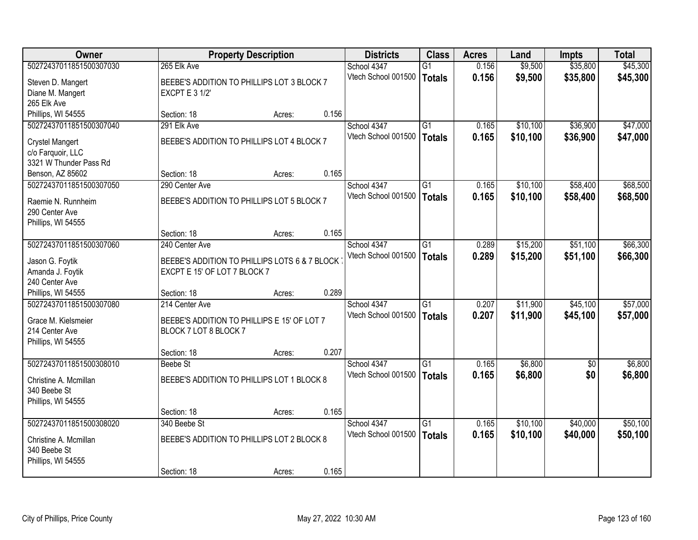| Owner                                 |                                                                      | <b>Property Description</b> |       | <b>Districts</b>    | <b>Class</b>    | <b>Acres</b> | Land     | <b>Impts</b> | <b>Total</b> |
|---------------------------------------|----------------------------------------------------------------------|-----------------------------|-------|---------------------|-----------------|--------------|----------|--------------|--------------|
| 50272437011851500307030               | 265 Elk Ave                                                          |                             |       | School 4347         | G1              | 0.156        | \$9,500  | \$35,800     | \$45,300     |
| Steven D. Mangert                     | BEEBE'S ADDITION TO PHILLIPS LOT 3 BLOCK 7                           |                             |       | Vtech School 001500 | <b>Totals</b>   | 0.156        | \$9,500  | \$35,800     | \$45,300     |
| Diane M. Mangert                      | <b>EXCPT E 3 1/2'</b>                                                |                             |       |                     |                 |              |          |              |              |
| 265 Elk Ave                           |                                                                      |                             |       |                     |                 |              |          |              |              |
| Phillips, WI 54555                    | Section: 18                                                          | Acres:                      | 0.156 |                     |                 |              |          |              |              |
| 50272437011851500307040               | 291 Elk Ave                                                          |                             |       | School 4347         | $\overline{G1}$ | 0.165        | \$10,100 | \$36,900     | \$47,000     |
| Crystel Mangert                       | BEEBE'S ADDITION TO PHILLIPS LOT 4 BLOCK 7                           |                             |       | Vtech School 001500 | <b>Totals</b>   | 0.165        | \$10,100 | \$36,900     | \$47,000     |
| c/o Farquoir, LLC                     |                                                                      |                             |       |                     |                 |              |          |              |              |
| 3321 W Thunder Pass Rd                |                                                                      |                             |       |                     |                 |              |          |              |              |
| Benson, AZ 85602                      | Section: 18                                                          | Acres:                      | 0.165 |                     |                 |              |          |              |              |
| 50272437011851500307050               | 290 Center Ave                                                       |                             |       | School 4347         | $\overline{G1}$ | 0.165        | \$10,100 | \$58,400     | \$68,500     |
| Raemie N. Runnheim                    | BEEBE'S ADDITION TO PHILLIPS LOT 5 BLOCK 7                           |                             |       | Vtech School 001500 | <b>Totals</b>   | 0.165        | \$10,100 | \$58,400     | \$68,500     |
| 290 Center Ave                        |                                                                      |                             |       |                     |                 |              |          |              |              |
| Phillips, WI 54555                    |                                                                      |                             |       |                     |                 |              |          |              |              |
|                                       | Section: 18                                                          | Acres:                      | 0.165 |                     |                 |              |          |              |              |
| 50272437011851500307060               | 240 Center Ave                                                       |                             |       | School 4347         | G1              | 0.289        | \$15,200 | \$51,100     | \$66,300     |
| Jason G. Foytik                       | BEEBE'S ADDITION TO PHILLIPS LOTS 6 & 7 BLOCK                        |                             |       | Vtech School 001500 | <b>Totals</b>   | 0.289        | \$15,200 | \$51,100     | \$66,300     |
| Amanda J. Foytik                      | EXCPT E 15' OF LOT 7 BLOCK 7                                         |                             |       |                     |                 |              |          |              |              |
| 240 Center Ave                        |                                                                      |                             |       |                     |                 |              |          |              |              |
| Phillips, WI 54555                    | Section: 18                                                          | Acres:                      | 0.289 |                     |                 |              |          |              |              |
| 50272437011851500307080               | 214 Center Ave                                                       |                             |       | School 4347         | $\overline{G1}$ | 0.207        | \$11,900 | \$45,100     | \$57,000     |
|                                       |                                                                      |                             |       | Vtech School 001500 | <b>Totals</b>   | 0.207        | \$11,900 | \$45,100     | \$57,000     |
| Grace M. Kielsmeier<br>214 Center Ave | BEEBE'S ADDITION TO PHILLIPS E 15' OF LOT 7<br>BLOCK 7 LOT 8 BLOCK 7 |                             |       |                     |                 |              |          |              |              |
| Phillips, WI 54555                    |                                                                      |                             |       |                     |                 |              |          |              |              |
|                                       | Section: 18                                                          | Acres:                      | 0.207 |                     |                 |              |          |              |              |
| 50272437011851500308010               | <b>Beebe St</b>                                                      |                             |       | School 4347         | $\overline{G1}$ | 0.165        | \$6,800  | $\sqrt{6}$   | \$6,800      |
|                                       |                                                                      |                             |       | Vtech School 001500 | <b>Totals</b>   | 0.165        | \$6,800  | \$0          | \$6,800      |
| Christine A. Mcmillan<br>340 Beebe St | BEEBE'S ADDITION TO PHILLIPS LOT 1 BLOCK 8                           |                             |       |                     |                 |              |          |              |              |
| Phillips, WI 54555                    |                                                                      |                             |       |                     |                 |              |          |              |              |
|                                       | Section: 18                                                          | Acres:                      | 0.165 |                     |                 |              |          |              |              |
| 50272437011851500308020               | 340 Beebe St                                                         |                             |       | School 4347         | $\overline{G1}$ | 0.165        | \$10,100 | \$40,000     | \$50,100     |
|                                       |                                                                      |                             |       | Vtech School 001500 | <b>Totals</b>   | 0.165        | \$10,100 | \$40,000     | \$50,100     |
| Christine A. Mcmillan<br>340 Beebe St | BEEBE'S ADDITION TO PHILLIPS LOT 2 BLOCK 8                           |                             |       |                     |                 |              |          |              |              |
| Phillips, WI 54555                    |                                                                      |                             |       |                     |                 |              |          |              |              |
|                                       | Section: 18                                                          | Acres:                      | 0.165 |                     |                 |              |          |              |              |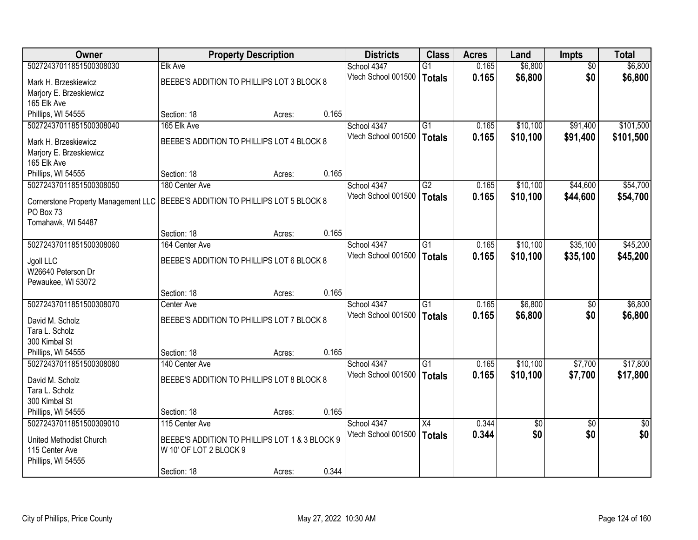| Owner                                                                            |                                                | <b>Property Description</b> |       | <b>Districts</b>    | <b>Class</b>    | <b>Acres</b> | Land            | <b>Impts</b>    | <b>Total</b>    |
|----------------------------------------------------------------------------------|------------------------------------------------|-----------------------------|-------|---------------------|-----------------|--------------|-----------------|-----------------|-----------------|
| 50272437011851500308030                                                          | <b>Elk Ave</b>                                 |                             |       | School 4347         | $\overline{G1}$ | 0.165        | \$6,800         | \$0             | \$6,800         |
| Mark H. Brzeskiewicz                                                             | BEEBE'S ADDITION TO PHILLIPS LOT 3 BLOCK 8     |                             |       | Vtech School 001500 | Totals          | 0.165        | \$6,800         | \$0             | \$6,800         |
| Marjory E. Brzeskiewicz                                                          |                                                |                             |       |                     |                 |              |                 |                 |                 |
| 165 Elk Ave                                                                      |                                                |                             |       |                     |                 |              |                 |                 |                 |
| Phillips, WI 54555                                                               | Section: 18                                    | Acres:                      | 0.165 |                     |                 |              |                 |                 |                 |
| 50272437011851500308040                                                          | 165 Elk Ave                                    |                             |       | School 4347         | $\overline{G1}$ | 0.165        | \$10,100        | \$91,400        | \$101,500       |
| Mark H. Brzeskiewicz                                                             | BEEBE'S ADDITION TO PHILLIPS LOT 4 BLOCK 8     |                             |       | Vtech School 001500 | Totals          | 0.165        | \$10,100        | \$91,400        | \$101,500       |
| Marjory E. Brzeskiewicz                                                          |                                                |                             |       |                     |                 |              |                 |                 |                 |
| 165 Elk Ave                                                                      |                                                |                             |       |                     |                 |              |                 |                 |                 |
| Phillips, WI 54555                                                               | Section: 18                                    | Acres:                      | 0.165 |                     |                 |              |                 |                 |                 |
| 50272437011851500308050                                                          | 180 Center Ave                                 |                             |       | School 4347         | G2              | 0.165        | \$10,100        | \$44,600        | \$54,700        |
| Cornerstone Property Management LLC   BEEBE'S ADDITION TO PHILLIPS LOT 5 BLOCK 8 |                                                |                             |       | Vtech School 001500 | Totals          | 0.165        | \$10,100        | \$44,600        | \$54,700        |
| PO Box 73                                                                        |                                                |                             |       |                     |                 |              |                 |                 |                 |
| Tomahawk, WI 54487                                                               |                                                |                             |       |                     |                 |              |                 |                 |                 |
|                                                                                  | Section: 18                                    | Acres:                      | 0.165 |                     |                 |              |                 |                 |                 |
| 50272437011851500308060                                                          | 164 Center Ave                                 |                             |       | School 4347         | G1              | 0.165        | \$10,100        | \$35,100        | \$45,200        |
| Jgoll LLC                                                                        | BEEBE'S ADDITION TO PHILLIPS LOT 6 BLOCK 8     |                             |       | Vtech School 001500 | <b>Totals</b>   | 0.165        | \$10,100        | \$35,100        | \$45,200        |
| W26640 Peterson Dr                                                               |                                                |                             |       |                     |                 |              |                 |                 |                 |
| Pewaukee, WI 53072                                                               |                                                |                             |       |                     |                 |              |                 |                 |                 |
|                                                                                  | Section: 18                                    | Acres:                      | 0.165 |                     |                 |              |                 |                 |                 |
| 50272437011851500308070                                                          | Center Ave                                     |                             |       | School 4347         | $\overline{G1}$ | 0.165        | \$6,800         | \$0             | \$6,800         |
| David M. Scholz                                                                  | BEEBE'S ADDITION TO PHILLIPS LOT 7 BLOCK 8     |                             |       | Vtech School 001500 | Totals          | 0.165        | \$6,800         | \$0             | \$6,800         |
| Tara L. Scholz                                                                   |                                                |                             |       |                     |                 |              |                 |                 |                 |
| 300 Kimbal St                                                                    |                                                |                             |       |                     |                 |              |                 |                 |                 |
| Phillips, WI 54555                                                               | Section: 18                                    | Acres:                      | 0.165 |                     |                 |              |                 |                 |                 |
| 50272437011851500308080                                                          | 140 Center Ave                                 |                             |       | School 4347         | $\overline{G1}$ | 0.165        | \$10,100        | \$7,700         | \$17,800        |
| David M. Scholz                                                                  | BEEBE'S ADDITION TO PHILLIPS LOT 8 BLOCK 8     |                             |       | Vtech School 001500 | Totals          | 0.165        | \$10,100        | \$7,700         | \$17,800        |
| Tara L. Scholz                                                                   |                                                |                             |       |                     |                 |              |                 |                 |                 |
| 300 Kimbal St                                                                    |                                                |                             |       |                     |                 |              |                 |                 |                 |
| Phillips, WI 54555                                                               | Section: 18                                    | Acres:                      | 0.165 |                     |                 |              |                 |                 |                 |
| 50272437011851500309010                                                          | 115 Center Ave                                 |                             |       | School 4347         | X4              | 0.344        | $\overline{60}$ | $\overline{50}$ | $\overline{50}$ |
| United Methodist Church                                                          | BEEBE'S ADDITION TO PHILLIPS LOT 1 & 3 BLOCK 9 |                             |       | Vtech School 001500 | Totals          | 0.344        | \$0             | \$0             | \$0             |
| 115 Center Ave                                                                   | W 10' OF LOT 2 BLOCK 9                         |                             |       |                     |                 |              |                 |                 |                 |
| Phillips, WI 54555                                                               |                                                |                             |       |                     |                 |              |                 |                 |                 |
|                                                                                  | Section: 18                                    | Acres:                      | 0.344 |                     |                 |              |                 |                 |                 |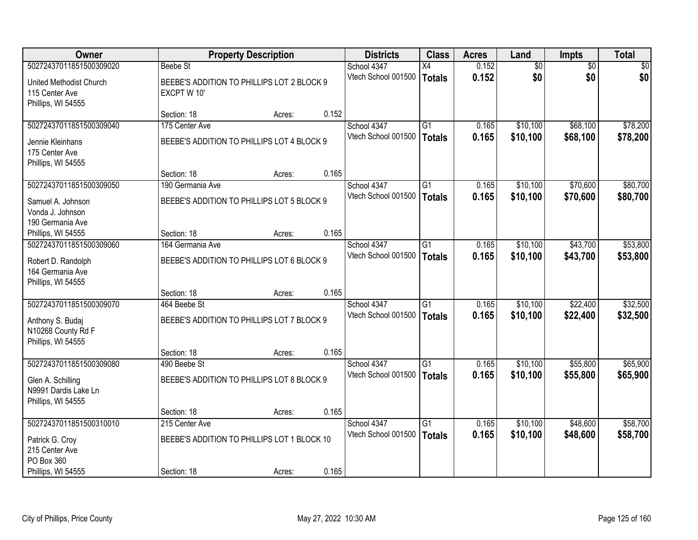| <b>Owner</b>                                                                            |                                                            | <b>Property Description</b> |       | <b>Districts</b>                   | <b>Class</b>                     | <b>Acres</b>   | Land                 | Impts                | <b>Total</b>         |
|-----------------------------------------------------------------------------------------|------------------------------------------------------------|-----------------------------|-------|------------------------------------|----------------------------------|----------------|----------------------|----------------------|----------------------|
| 50272437011851500309020                                                                 | <b>Beebe St</b>                                            |                             |       | School 4347                        | $\overline{X4}$                  | 0.152          | $\overline{60}$      | $\overline{50}$      | \$0                  |
| United Methodist Church<br>115 Center Ave<br>Phillips, WI 54555                         | BEEBE'S ADDITION TO PHILLIPS LOT 2 BLOCK 9<br>EXCPT W 10'  |                             |       | Vtech School 001500                | <b>Totals</b>                    | 0.152          | \$0                  | \$0                  | \$0                  |
|                                                                                         | Section: 18                                                | Acres:                      | 0.152 |                                    |                                  |                |                      |                      |                      |
| 50272437011851500309040                                                                 | 175 Center Ave                                             |                             |       | School 4347                        | $\overline{G1}$                  | 0.165          | \$10,100             | \$68,100             | \$78,200             |
| Jennie Kleinhans<br>175 Center Ave<br>Phillips, WI 54555                                | BEEBE'S ADDITION TO PHILLIPS LOT 4 BLOCK 9                 |                             |       | Vtech School 001500                | <b>Totals</b>                    | 0.165          | \$10,100             | \$68,100             | \$78,200             |
|                                                                                         | Section: 18                                                | Acres:                      | 0.165 |                                    |                                  |                |                      |                      |                      |
| 50272437011851500309050                                                                 | 190 Germania Ave                                           |                             |       | School 4347                        | $\overline{G1}$                  | 0.165          | \$10,100             | \$70,600             | \$80,700             |
| Samuel A. Johnson<br>Vonda J. Johnson<br>190 Germania Ave                               | BEEBE'S ADDITION TO PHILLIPS LOT 5 BLOCK 9                 |                             |       | Vtech School 001500                | <b>Totals</b>                    | 0.165          | \$10,100             | \$70,600             | \$80,700             |
| Phillips, WI 54555                                                                      | Section: 18                                                | Acres:                      | 0.165 |                                    |                                  |                |                      |                      |                      |
| 50272437011851500309060                                                                 | 164 Germania Ave                                           |                             |       | School 4347                        | $\overline{G1}$                  | 0.165          | \$10,100             | \$43,700             | \$53,800             |
| Robert D. Randolph<br>164 Germania Ave<br>Phillips, WI 54555                            | BEEBE'S ADDITION TO PHILLIPS LOT 6 BLOCK 9                 |                             |       | Vtech School 001500                | <b>Totals</b>                    | 0.165          | \$10,100             | \$43,700             | \$53,800             |
|                                                                                         | Section: 18                                                | Acres:                      | 0.165 |                                    |                                  |                |                      |                      |                      |
| 50272437011851500309070<br>Anthony S. Budaj<br>N10268 County Rd F<br>Phillips, WI 54555 | 464 Beebe St<br>BEEBE'S ADDITION TO PHILLIPS LOT 7 BLOCK 9 |                             |       | School 4347<br>Vtech School 001500 | $\overline{G1}$<br><b>Totals</b> | 0.165<br>0.165 | \$10,100<br>\$10,100 | \$22,400<br>\$22,400 | \$32,500<br>\$32,500 |
|                                                                                         | Section: 18                                                | Acres:                      | 0.165 |                                    |                                  |                |                      |                      |                      |
| 50272437011851500309080                                                                 | 490 Beebe St                                               |                             |       | School 4347                        | G1                               | 0.165          | \$10,100             | \$55,800             | \$65,900             |
| Glen A. Schilling<br>N9991 Dardis Lake Ln<br>Phillips, WI 54555                         | BEEBE'S ADDITION TO PHILLIPS LOT 8 BLOCK 9                 |                             |       | Vtech School 001500                | <b>Totals</b>                    | 0.165          | \$10,100             | \$55,800             | \$65,900             |
|                                                                                         | Section: 18                                                | Acres:                      | 0.165 |                                    |                                  |                |                      |                      |                      |
| 50272437011851500310010                                                                 | 215 Center Ave                                             |                             |       | School 4347                        | $\overline{G1}$                  | 0.165          | \$10,100             | \$48,600             | \$58,700             |
| Patrick G. Croy<br>215 Center Ave<br>PO Box 360                                         | BEEBE'S ADDITION TO PHILLIPS LOT 1 BLOCK 10                |                             |       | Vtech School 001500                | <b>Totals</b>                    | 0.165          | \$10,100             | \$48,600             | \$58,700             |
| Phillips, WI 54555                                                                      | Section: 18                                                | Acres:                      | 0.165 |                                    |                                  |                |                      |                      |                      |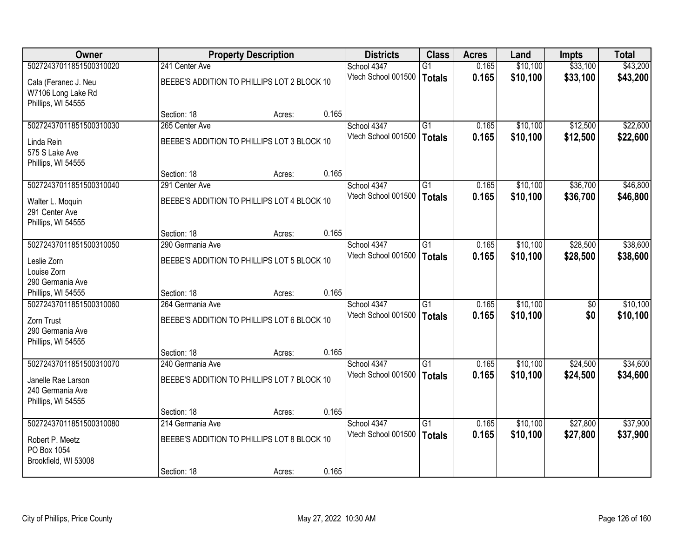| <b>Owner</b>                                                                    |                                                                 | <b>Property Description</b> |       | <b>Districts</b>                   | <b>Class</b>                     | <b>Acres</b>   | Land                 | Impts                  | <b>Total</b>         |
|---------------------------------------------------------------------------------|-----------------------------------------------------------------|-----------------------------|-------|------------------------------------|----------------------------------|----------------|----------------------|------------------------|----------------------|
| 50272437011851500310020                                                         | 241 Center Ave                                                  |                             |       | School 4347                        | $\overline{G1}$                  | 0.165          | \$10,100             | \$33,100               | \$43,200             |
| Cala (Feranec J. Neu<br>W7106 Long Lake Rd<br>Phillips, WI 54555                | BEEBE'S ADDITION TO PHILLIPS LOT 2 BLOCK 10                     |                             |       | Vtech School 001500                | <b>Totals</b>                    | 0.165          | \$10,100             | \$33,100               | \$43,200             |
|                                                                                 | Section: 18                                                     | Acres:                      | 0.165 |                                    |                                  |                |                      |                        |                      |
| 50272437011851500310030                                                         | 265 Center Ave                                                  |                             |       | School 4347                        | $\overline{G1}$                  | 0.165          | \$10,100             | \$12,500               | \$22,600             |
| Linda Rein<br>575 S Lake Ave<br>Phillips, WI 54555                              | BEEBE'S ADDITION TO PHILLIPS LOT 3 BLOCK 10                     |                             |       | Vtech School 001500                | <b>Totals</b>                    | 0.165          | \$10,100             | \$12,500               | \$22,600             |
|                                                                                 | Section: 18                                                     | Acres:                      | 0.165 |                                    |                                  |                |                      |                        |                      |
| 50272437011851500310040                                                         | 291 Center Ave                                                  |                             |       | School 4347                        | G1                               | 0.165          | \$10,100             | \$36,700               | \$46,800             |
| Walter L. Moquin<br>291 Center Ave<br>Phillips, WI 54555                        | BEEBE'S ADDITION TO PHILLIPS LOT 4 BLOCK 10                     |                             |       | Vtech School 001500                | <b>Totals</b>                    | 0.165          | \$10,100             | \$36,700               | \$46,800             |
|                                                                                 | Section: 18                                                     | Acres:                      | 0.165 |                                    |                                  |                |                      |                        |                      |
| 50272437011851500310050                                                         | 290 Germania Ave                                                |                             |       | School 4347                        | $\overline{G1}$                  | 0.165          | \$10,100             | \$28,500               | \$38,600             |
| Leslie Zorn<br>Louise Zorn<br>290 Germania Ave                                  | BEEBE'S ADDITION TO PHILLIPS LOT 5 BLOCK 10                     |                             |       | Vtech School 001500                | <b>Totals</b>                    | 0.165          | \$10,100             | \$28,500               | \$38,600             |
| Phillips, WI 54555                                                              | Section: 18                                                     | Acres:                      | 0.165 |                                    |                                  |                |                      |                        |                      |
| 50272437011851500310060<br>Zorn Trust<br>290 Germania Ave<br>Phillips, WI 54555 | 264 Germania Ave<br>BEEBE'S ADDITION TO PHILLIPS LOT 6 BLOCK 10 |                             | 0.165 | School 4347<br>Vtech School 001500 | $\overline{G1}$<br><b>Totals</b> | 0.165<br>0.165 | \$10,100<br>\$10,100 | $\overline{50}$<br>\$0 | \$10,100<br>\$10,100 |
| 50272437011851500310070                                                         | Section: 18<br>240 Germania Ave                                 | Acres:                      |       | School 4347                        | G1                               | 0.165          | \$10,100             | \$24,500               | \$34,600             |
| Janelle Rae Larson<br>240 Germania Ave<br>Phillips, WI 54555                    | BEEBE'S ADDITION TO PHILLIPS LOT 7 BLOCK 10                     |                             |       | Vtech School 001500                | <b>Totals</b>                    | 0.165          | \$10,100             | \$24,500               | \$34,600             |
|                                                                                 | Section: 18                                                     | Acres:                      | 0.165 |                                    |                                  |                |                      |                        |                      |
| 50272437011851500310080                                                         | 214 Germania Ave                                                |                             |       | School 4347                        | $\overline{G1}$                  | 0.165          | \$10,100             | \$27,800               | \$37,900             |
| Robert P. Meetz<br>PO Box 1054<br>Brookfield, WI 53008                          | BEEBE'S ADDITION TO PHILLIPS LOT 8 BLOCK 10                     |                             |       | Vtech School 001500                | <b>Totals</b>                    | 0.165          | \$10,100             | \$27,800               | \$37,900             |
|                                                                                 | Section: 18                                                     | Acres:                      | 0.165 |                                    |                                  |                |                      |                        |                      |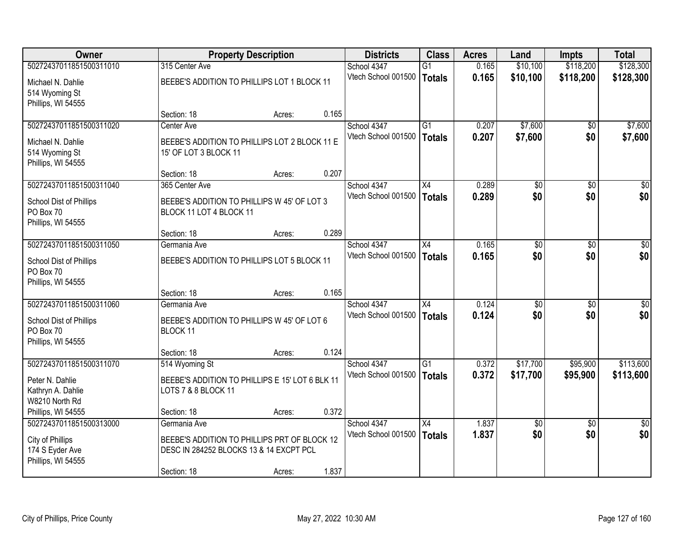| <b>Owner</b>                                               |                                                                        | <b>Property Description</b> |       | <b>Districts</b>                   | <b>Class</b>    | <b>Acres</b> | Land                   | <b>Impts</b>           | <b>Total</b>     |
|------------------------------------------------------------|------------------------------------------------------------------------|-----------------------------|-------|------------------------------------|-----------------|--------------|------------------------|------------------------|------------------|
| 50272437011851500311010                                    | 315 Center Ave                                                         |                             |       | School 4347                        | $\overline{G1}$ | 0.165        | \$10,100               | \$118,200              | \$128,300        |
| Michael N. Dahlie<br>514 Wyoming St                        | BEEBE'S ADDITION TO PHILLIPS LOT 1 BLOCK 11                            |                             |       | Vtech School 001500                | Totals          | 0.165        | \$10,100               | \$118,200              | \$128,300        |
| Phillips, WI 54555                                         |                                                                        |                             |       |                                    |                 |              |                        |                        |                  |
|                                                            | Section: 18                                                            | Acres:                      | 0.165 |                                    |                 |              |                        |                        |                  |
| 50272437011851500311020                                    | Center Ave                                                             |                             |       | School 4347                        | $\overline{G1}$ | 0.207        | \$7,600                | $\overline{50}$        | \$7,600          |
| Michael N. Dahlie<br>514 Wyoming St<br>Phillips, WI 54555  | BEEBE'S ADDITION TO PHILLIPS LOT 2 BLOCK 11 E<br>15' OF LOT 3 BLOCK 11 |                             |       | Vtech School 001500                | Totals          | 0.207        | \$7,600                | \$0                    | \$7,600          |
|                                                            | Section: 18                                                            | Acres:                      | 0.207 |                                    |                 |              |                        |                        |                  |
| 50272437011851500311040                                    | 365 Center Ave                                                         |                             |       | School 4347                        | X4              | 0.289        | $\overline{50}$        | $\overline{50}$        | $\overline{\$0}$ |
| School Dist of Phillips<br>PO Box 70<br>Phillips, WI 54555 | BEEBE'S ADDITION TO PHILLIPS W 45' OF LOT 3<br>BLOCK 11 LOT 4 BLOCK 11 |                             |       | Vtech School 001500                | <b>Totals</b>   | 0.289        | \$0                    | \$0                    | \$0              |
|                                                            | Section: 18                                                            | Acres:                      | 0.289 |                                    |                 |              |                        |                        |                  |
| 50272437011851500311050                                    | Germania Ave                                                           |                             |       | School 4347                        | $\overline{X4}$ | 0.165        | $\overline{30}$        | $\overline{30}$        | $\overline{50}$  |
| <b>School Dist of Phillips</b><br>PO Box 70                | BEEBE'S ADDITION TO PHILLIPS LOT 5 BLOCK 11                            |                             |       | Vtech School 001500                | Totals          | 0.165        | \$0                    | \$0                    | \$0              |
| Phillips, WI 54555                                         |                                                                        |                             |       |                                    |                 |              |                        |                        |                  |
|                                                            | Section: 18                                                            | Acres:                      | 0.165 |                                    |                 |              |                        |                        |                  |
| 50272437011851500311060                                    | Germania Ave                                                           |                             |       | School 4347                        | $\overline{X4}$ | 0.124        | \$0                    | $\overline{50}$        | $\overline{30}$  |
| School Dist of Phillips                                    | BEEBE'S ADDITION TO PHILLIPS W 45' OF LOT 6                            |                             |       | Vtech School 001500                | <b>Totals</b>   | 0.124        | \$0                    | \$0                    | \$0              |
| PO Box 70                                                  | BLOCK 11                                                               |                             |       |                                    |                 |              |                        |                        |                  |
| Phillips, WI 54555                                         |                                                                        |                             |       |                                    |                 |              |                        |                        |                  |
|                                                            | Section: 18                                                            | Acres:                      | 0.124 |                                    |                 |              |                        |                        |                  |
| 50272437011851500311070                                    | 514 Wyoming St                                                         |                             |       | School 4347                        | G1              | 0.372        | \$17,700               | \$95,900               | \$113,600        |
| Peter N. Dahlie                                            | BEEBE'S ADDITION TO PHILLIPS E 15' LOT 6 BLK 11                        |                             |       | Vtech School 001500                | Totals          | 0.372        | \$17,700               | \$95,900               | \$113,600        |
| Kathryn A. Dahlie                                          | LOTS 7 & 8 BLOCK 11                                                    |                             |       |                                    |                 |              |                        |                        |                  |
| W8210 North Rd                                             |                                                                        |                             |       |                                    |                 |              |                        |                        |                  |
| Phillips, WI 54555<br>50272437011851500313000              | Section: 18<br>Germania Ave                                            | Acres:                      | 0.372 |                                    | $\overline{X4}$ | 1.837        |                        |                        | $\overline{50}$  |
|                                                            |                                                                        |                             |       | School 4347<br>Vtech School 001500 | Totals          | 1.837        | $\overline{50}$<br>\$0 | $\overline{30}$<br>\$0 | \$0              |
| City of Phillips                                           | BEEBE'S ADDITION TO PHILLIPS PRT OF BLOCK 12                           |                             |       |                                    |                 |              |                        |                        |                  |
| 174 S Eyder Ave                                            | DESC IN 284252 BLOCKS 13 & 14 EXCPT PCL                                |                             |       |                                    |                 |              |                        |                        |                  |
| Phillips, WI 54555                                         | Section: 18                                                            | Acres:                      | 1.837 |                                    |                 |              |                        |                        |                  |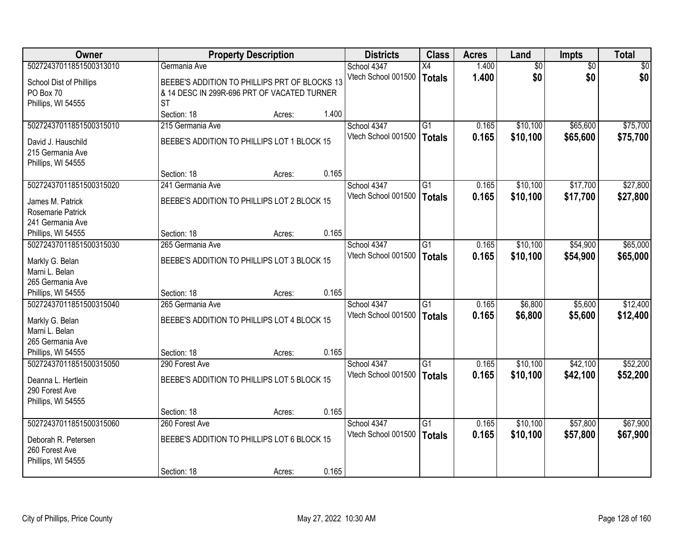| <b>Owner</b>                                                                          |                                                                                                           | <b>Property Description</b> |       | <b>Districts</b>                   | <b>Class</b>                     | <b>Acres</b>   | Land                 | Impts                | <b>Total</b>         |
|---------------------------------------------------------------------------------------|-----------------------------------------------------------------------------------------------------------|-----------------------------|-------|------------------------------------|----------------------------------|----------------|----------------------|----------------------|----------------------|
| 50272437011851500313010                                                               | Germania Ave                                                                                              |                             |       | School 4347                        | $\overline{X4}$                  | 1.400          | $\overline{60}$      | $\overline{50}$      | \$0                  |
| School Dist of Phillips<br>PO Box 70<br>Phillips, WI 54555                            | BEEBE'S ADDITION TO PHILLIPS PRT OF BLOCKS 13<br>& 14 DESC IN 299R-696 PRT OF VACATED TURNER<br><b>ST</b> |                             |       | Vtech School 001500                | <b>Totals</b>                    | 1.400          | \$0                  | \$0                  | \$0                  |
|                                                                                       | Section: 18                                                                                               | Acres:                      | 1.400 |                                    |                                  |                |                      |                      |                      |
| 50272437011851500315010                                                               | 215 Germania Ave                                                                                          |                             |       | School 4347                        | $\overline{G1}$                  | 0.165          | \$10,100             | \$65,600             | \$75,700             |
| David J. Hauschild<br>215 Germania Ave<br>Phillips, WI 54555                          | BEEBE'S ADDITION TO PHILLIPS LOT 1 BLOCK 15                                                               |                             |       | Vtech School 001500                | <b>Totals</b>                    | 0.165          | \$10,100             | \$65,600             | \$75,700             |
|                                                                                       | Section: 18                                                                                               | Acres:                      | 0.165 |                                    |                                  |                |                      |                      |                      |
| 50272437011851500315020                                                               | 241 Germania Ave                                                                                          |                             |       | School 4347                        | $\overline{G1}$                  | 0.165          | \$10,100             | \$17,700             | \$27,800             |
| James M. Patrick<br>Rosemarie Patrick<br>241 Germania Ave                             | BEEBE'S ADDITION TO PHILLIPS LOT 2 BLOCK 15                                                               |                             |       | Vtech School 001500                | <b>Totals</b>                    | 0.165          | \$10,100             | \$17,700             | \$27,800             |
| Phillips, WI 54555                                                                    | Section: 18                                                                                               | Acres:                      | 0.165 |                                    |                                  |                |                      |                      |                      |
| 50272437011851500315030                                                               | 265 Germania Ave                                                                                          |                             |       | School 4347                        | $\overline{G1}$                  | 0.165          | \$10,100             | \$54,900             | \$65,000             |
| Markly G. Belan<br>Marni L. Belan<br>265 Germania Ave                                 | BEEBE'S ADDITION TO PHILLIPS LOT 3 BLOCK 15                                                               |                             |       | Vtech School 001500                | <b>Totals</b>                    | 0.165          | \$10,100             | \$54,900             | \$65,000             |
| Phillips, WI 54555                                                                    | Section: 18                                                                                               | Acres:                      | 0.165 |                                    |                                  |                |                      |                      |                      |
| 50272437011851500315040<br>Markly G. Belan<br>Marni L. Belan<br>265 Germania Ave      | 265 Germania Ave<br>BEEBE'S ADDITION TO PHILLIPS LOT 4 BLOCK 15                                           |                             |       | School 4347<br>Vtech School 001500 | $\overline{G1}$<br><b>Totals</b> | 0.165<br>0.165 | \$6,800<br>\$6,800   | \$5,600<br>\$5,600   | \$12,400<br>\$12,400 |
| Phillips, WI 54555                                                                    | Section: 18                                                                                               | Acres:                      | 0.165 |                                    |                                  |                |                      |                      |                      |
| 50272437011851500315050<br>Deanna L. Hertlein<br>290 Forest Ave<br>Phillips, WI 54555 | 290 Forest Ave<br>BEEBE'S ADDITION TO PHILLIPS LOT 5 BLOCK 15                                             |                             |       | School 4347<br>Vtech School 001500 | G1<br><b>Totals</b>              | 0.165<br>0.165 | \$10,100<br>\$10,100 | \$42,100<br>\$42,100 | \$52,200<br>\$52,200 |
|                                                                                       | Section: 18                                                                                               | Acres:                      | 0.165 |                                    |                                  |                |                      |                      |                      |
| 50272437011851500315060                                                               | 260 Forest Ave                                                                                            |                             |       | School 4347                        | $\overline{G1}$                  | 0.165          | \$10,100             | \$57,800             | \$67,900             |
| Deborah R. Petersen<br>260 Forest Ave<br>Phillips, WI 54555                           | BEEBE'S ADDITION TO PHILLIPS LOT 6 BLOCK 15<br>Section: 18                                                | Acres:                      | 0.165 | Vtech School 001500                | <b>Totals</b>                    | 0.165          | \$10,100             | \$57,800             | \$67,900             |
|                                                                                       |                                                                                                           |                             |       |                                    |                                  |                |                      |                      |                      |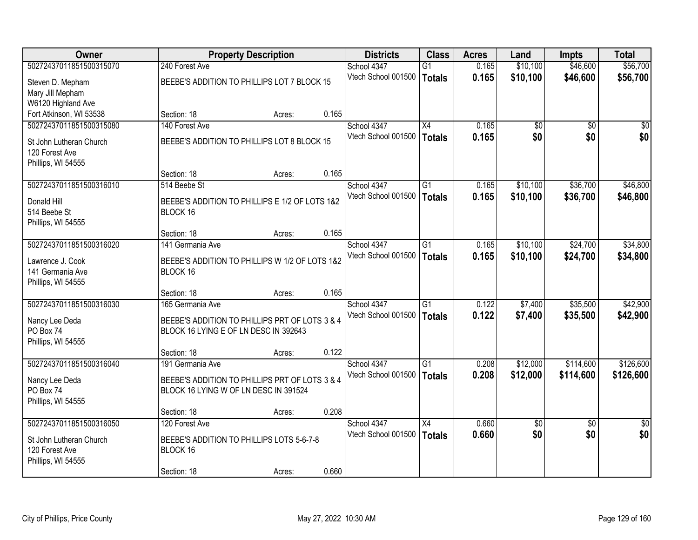| Owner                           |                                                | <b>Property Description</b> |       | <b>Districts</b>                   | <b>Class</b>    | <b>Acres</b> | Land            | <b>Impts</b>    | <b>Total</b>    |
|---------------------------------|------------------------------------------------|-----------------------------|-------|------------------------------------|-----------------|--------------|-----------------|-----------------|-----------------|
| 50272437011851500315070         | 240 Forest Ave                                 |                             |       | School 4347                        | $\overline{G1}$ | 0.165        | \$10,100        | \$46,600        | \$56,700        |
| Steven D. Mepham                | BEEBE'S ADDITION TO PHILLIPS LOT 7 BLOCK 15    |                             |       | Vtech School 001500                | <b>Totals</b>   | 0.165        | \$10,100        | \$46,600        | \$56,700        |
| Mary Jill Mepham                |                                                |                             |       |                                    |                 |              |                 |                 |                 |
| W6120 Highland Ave              |                                                |                             |       |                                    |                 |              |                 |                 |                 |
| Fort Atkinson, WI 53538         | Section: 18                                    | Acres:                      | 0.165 |                                    |                 |              |                 |                 |                 |
| 50272437011851500315080         | 140 Forest Ave                                 |                             |       | School 4347                        | X4              | 0.165        | \$0             | $\overline{50}$ | \$0             |
| St John Lutheran Church         | BEEBE'S ADDITION TO PHILLIPS LOT 8 BLOCK 15    |                             |       | Vtech School 001500                | <b>Totals</b>   | 0.165        | \$0             | \$0             | \$0             |
| 120 Forest Ave                  |                                                |                             |       |                                    |                 |              |                 |                 |                 |
| Phillips, WI 54555              |                                                |                             |       |                                    |                 |              |                 |                 |                 |
|                                 | Section: 18                                    | Acres:                      | 0.165 |                                    |                 |              |                 |                 |                 |
| 50272437011851500316010         | 514 Beebe St                                   |                             |       | School 4347<br>Vtech School 001500 | G1              | 0.165        | \$10,100        | \$36,700        | \$46,800        |
| Donald Hill                     | BEEBE'S ADDITION TO PHILLIPS E 1/2 OF LOTS 1&2 |                             |       |                                    | <b>Totals</b>   | 0.165        | \$10,100        | \$36,700        | \$46,800        |
| 514 Beebe St                    | BLOCK 16                                       |                             |       |                                    |                 |              |                 |                 |                 |
| Phillips, WI 54555              |                                                |                             |       |                                    |                 |              |                 |                 |                 |
| 50272437011851500316020         | Section: 18<br>141 Germania Ave                | Acres:                      | 0.165 | School 4347                        | G1              | 0.165        | \$10,100        | \$24,700        | \$34,800        |
|                                 |                                                |                             |       | Vtech School 001500                | <b>Totals</b>   | 0.165        | \$10,100        | \$24,700        | \$34,800        |
| Lawrence J. Cook                | BEEBE'S ADDITION TO PHILLIPS W 1/2 OF LOTS 1&2 |                             |       |                                    |                 |              |                 |                 |                 |
| 141 Germania Ave                | BLOCK 16                                       |                             |       |                                    |                 |              |                 |                 |                 |
| Phillips, WI 54555              | Section: 18                                    |                             | 0.165 |                                    |                 |              |                 |                 |                 |
| 50272437011851500316030         | 165 Germania Ave                               | Acres:                      |       | School 4347                        | $\overline{G1}$ | 0.122        | \$7,400         | \$35,500        | \$42,900        |
|                                 |                                                |                             |       | Vtech School 001500                | <b>Totals</b>   | 0.122        | \$7,400         | \$35,500        | \$42,900        |
| Nancy Lee Deda                  | BEEBE'S ADDITION TO PHILLIPS PRT OF LOTS 3 & 4 |                             |       |                                    |                 |              |                 |                 |                 |
| PO Box 74                       | BLOCK 16 LYING E OF LN DESC IN 392643          |                             |       |                                    |                 |              |                 |                 |                 |
| Phillips, WI 54555              | Section: 18                                    | Acres:                      | 0.122 |                                    |                 |              |                 |                 |                 |
| 50272437011851500316040         | 191 Germania Ave                               |                             |       | School 4347                        | $\overline{G1}$ | 0.208        | \$12,000        | \$114,600       | \$126,600       |
|                                 |                                                |                             |       | Vtech School 001500                | <b>Totals</b>   | 0.208        | \$12,000        | \$114,600       | \$126,600       |
| Nancy Lee Deda                  | BEEBE'S ADDITION TO PHILLIPS PRT OF LOTS 3 & 4 |                             |       |                                    |                 |              |                 |                 |                 |
| PO Box 74<br>Phillips, WI 54555 | BLOCK 16 LYING W OF LN DESC IN 391524          |                             |       |                                    |                 |              |                 |                 |                 |
|                                 | Section: 18                                    | Acres:                      | 0.208 |                                    |                 |              |                 |                 |                 |
| 50272437011851500316050         | 120 Forest Ave                                 |                             |       | School 4347                        | $\overline{X4}$ | 0.660        | $\overline{50}$ | $\overline{30}$ | $\overline{50}$ |
| St John Lutheran Church         | BEEBE'S ADDITION TO PHILLIPS LOTS 5-6-7-8      |                             |       | Vtech School 001500                | <b>Totals</b>   | 0.660        | \$0             | \$0             | \$0             |
| 120 Forest Ave                  | BLOCK 16                                       |                             |       |                                    |                 |              |                 |                 |                 |
| Phillips, WI 54555              |                                                |                             |       |                                    |                 |              |                 |                 |                 |
|                                 | Section: 18                                    | Acres:                      | 0.660 |                                    |                 |              |                 |                 |                 |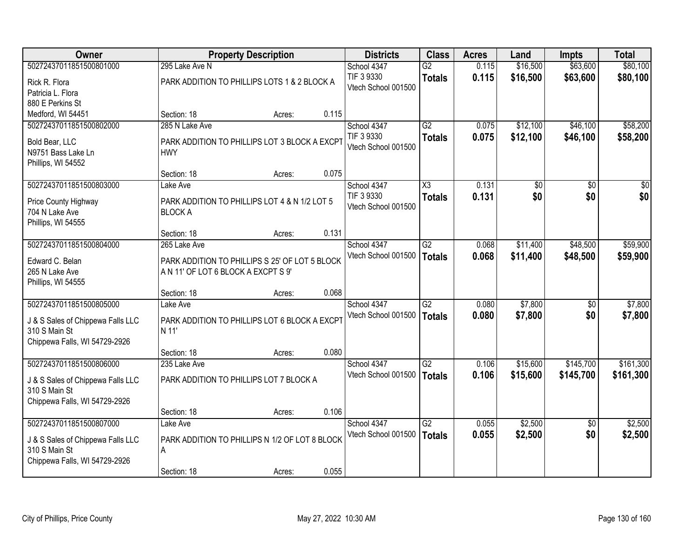| <b>Owner</b>                      |                                                | <b>Property Description</b> |       | <b>Districts</b>    | <b>Class</b>           | <b>Acres</b> | Land     | <b>Impts</b>    | <b>Total</b> |
|-----------------------------------|------------------------------------------------|-----------------------------|-------|---------------------|------------------------|--------------|----------|-----------------|--------------|
| 50272437011851500801000           | 295 Lake Ave N                                 |                             |       | School 4347         | $\overline{G2}$        | 0.115        | \$16,500 | \$63,600        | \$80,100     |
| Rick R. Flora                     | PARK ADDITION TO PHILLIPS LOTS 1 & 2 BLOCK A   |                             |       | TIF 3 9330          | <b>Totals</b>          | 0.115        | \$16,500 | \$63,600        | \$80,100     |
| Patricia L. Flora                 |                                                |                             |       | Vtech School 001500 |                        |              |          |                 |              |
| 880 E Perkins St                  |                                                |                             |       |                     |                        |              |          |                 |              |
| Medford, WI 54451                 | Section: 18                                    | Acres:                      | 0.115 |                     |                        |              |          |                 |              |
| 50272437011851500802000           | 285 N Lake Ave                                 |                             |       | School 4347         | $\overline{G2}$        | 0.075        | \$12,100 | \$46,100        | \$58,200     |
| Bold Bear, LLC                    | PARK ADDITION TO PHILLIPS LOT 3 BLOCK A EXCPT  |                             |       | TIF 3 9330          | <b>Totals</b>          | 0.075        | \$12,100 | \$46,100        | \$58,200     |
| N9751 Bass Lake Ln                | <b>HWY</b>                                     |                             |       | Vtech School 001500 |                        |              |          |                 |              |
| Phillips, WI 54552                |                                                |                             |       |                     |                        |              |          |                 |              |
|                                   | Section: 18                                    | Acres:                      | 0.075 |                     |                        |              |          |                 |              |
| 50272437011851500803000           | Lake Ave                                       |                             |       | School 4347         | $\overline{\text{X3}}$ | 0.131        | \$0      | \$0             | \$0          |
| Price County Highway              | PARK ADDITION TO PHILLIPS LOT 4 & N 1/2 LOT 5  |                             |       | TIF 3 9330          | <b>Totals</b>          | 0.131        | \$0      | \$0             | \$0          |
| 704 N Lake Ave                    | <b>BLOCK A</b>                                 |                             |       | Vtech School 001500 |                        |              |          |                 |              |
| Phillips, WI 54555                |                                                |                             |       |                     |                        |              |          |                 |              |
|                                   | Section: 18                                    | Acres:                      | 0.131 |                     |                        |              |          |                 |              |
| 50272437011851500804000           | 265 Lake Ave                                   |                             |       | School 4347         | $\overline{G2}$        | 0.068        | \$11,400 | \$48,500        | \$59,900     |
| Edward C. Belan                   | PARK ADDITION TO PHILLIPS S 25' OF LOT 5 BLOCK |                             |       | Vtech School 001500 | <b>Totals</b>          | 0.068        | \$11,400 | \$48,500        | \$59,900     |
| 265 N Lake Ave                    | A N 11' OF LOT 6 BLOCK A EXCPT S 9'            |                             |       |                     |                        |              |          |                 |              |
| Phillips, WI 54555                |                                                |                             |       |                     |                        |              |          |                 |              |
|                                   | Section: 18                                    | Acres:                      | 0.068 |                     |                        |              |          |                 |              |
| 50272437011851500805000           | Lake Ave                                       |                             |       | School 4347         | $\overline{G2}$        | 0.080        | \$7,800  | \$0             | \$7,800      |
| J & S Sales of Chippewa Falls LLC | PARK ADDITION TO PHILLIPS LOT 6 BLOCK A EXCPT  |                             |       | Vtech School 001500 | Totals                 | 0.080        | \$7,800  | \$0             | \$7,800      |
| 310 S Main St                     | N 11'                                          |                             |       |                     |                        |              |          |                 |              |
| Chippewa Falls, WI 54729-2926     |                                                |                             |       |                     |                        |              |          |                 |              |
|                                   | Section: 18                                    | Acres:                      | 0.080 |                     |                        |              |          |                 |              |
| 50272437011851500806000           | 235 Lake Ave                                   |                             |       | School 4347         | G2                     | 0.106        | \$15,600 | \$145,700       | \$161,300    |
| J & S Sales of Chippewa Falls LLC | PARK ADDITION TO PHILLIPS LOT 7 BLOCK A        |                             |       | Vtech School 001500 | Totals                 | 0.106        | \$15,600 | \$145,700       | \$161,300    |
| 310 S Main St                     |                                                |                             |       |                     |                        |              |          |                 |              |
| Chippewa Falls, WI 54729-2926     |                                                |                             |       |                     |                        |              |          |                 |              |
|                                   | Section: 18                                    | Acres:                      | 0.106 |                     |                        |              |          |                 |              |
| 50272437011851500807000           | Lake Ave                                       |                             |       | School 4347         | $\overline{G2}$        | 0.055        | \$2,500  | $\overline{30}$ | \$2,500      |
| J & S Sales of Chippewa Falls LLC | PARK ADDITION TO PHILLIPS N 1/2 OF LOT 8 BLOCK |                             |       | Vtech School 001500 | Totals                 | 0.055        | \$2,500  | \$0             | \$2,500      |
| 310 S Main St                     | A                                              |                             |       |                     |                        |              |          |                 |              |
| Chippewa Falls, WI 54729-2926     |                                                |                             |       |                     |                        |              |          |                 |              |
|                                   | Section: 18                                    | Acres:                      | 0.055 |                     |                        |              |          |                 |              |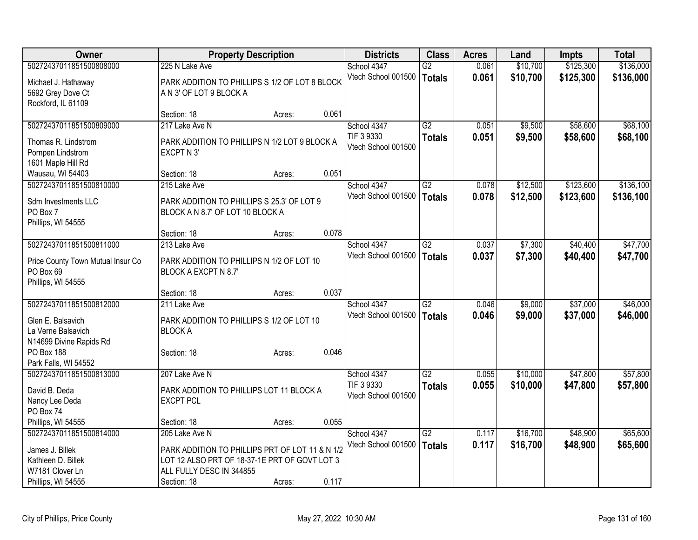| <b>Owner</b>                          |                                                                           | <b>Property Description</b> |       | <b>Districts</b>    | <b>Class</b>    | <b>Acres</b> | Land     | <b>Impts</b> | <b>Total</b> |
|---------------------------------------|---------------------------------------------------------------------------|-----------------------------|-------|---------------------|-----------------|--------------|----------|--------------|--------------|
| 50272437011851500808000               | 225 N Lake Ave                                                            |                             |       | School 4347         | $\overline{G2}$ | 0.061        | \$10,700 | \$125,300    | \$136,000    |
| Michael J. Hathaway                   | PARK ADDITION TO PHILLIPS S 1/2 OF LOT 8 BLOCK                            |                             |       | Vtech School 001500 | <b>Totals</b>   | 0.061        | \$10,700 | \$125,300    | \$136,000    |
| 5692 Grey Dove Ct                     | A N 3' OF LOT 9 BLOCK A                                                   |                             |       |                     |                 |              |          |              |              |
| Rockford, IL 61109                    |                                                                           |                             |       |                     |                 |              |          |              |              |
|                                       | Section: 18                                                               | Acres:                      | 0.061 |                     |                 |              |          |              |              |
| 50272437011851500809000               | 217 Lake Ave N                                                            |                             |       | School 4347         | G2              | 0.051        | \$9,500  | \$58,600     | \$68,100     |
| Thomas R. Lindstrom                   | PARK ADDITION TO PHILLIPS N 1/2 LOT 9 BLOCK A                             |                             |       | TIF 3 9330          | <b>Totals</b>   | 0.051        | \$9,500  | \$58,600     | \$68,100     |
| Pornpen Lindstrom                     | EXCPT N 3'                                                                |                             |       | Vtech School 001500 |                 |              |          |              |              |
| 1601 Maple Hill Rd                    |                                                                           |                             |       |                     |                 |              |          |              |              |
| Wausau, WI 54403                      | Section: 18                                                               | Acres:                      | 0.051 |                     |                 |              |          |              |              |
| 50272437011851500810000               | 215 Lake Ave                                                              |                             |       | School 4347         | $\overline{G2}$ | 0.078        | \$12,500 | \$123,600    | \$136,100    |
|                                       |                                                                           |                             |       | Vtech School 001500 | <b>Totals</b>   | 0.078        | \$12,500 | \$123,600    | \$136,100    |
| Sdm Investments LLC                   | PARK ADDITION TO PHILLIPS S 25.3' OF LOT 9                                |                             |       |                     |                 |              |          |              |              |
| PO Box 7                              | BLOCK A N 8.7' OF LOT 10 BLOCK A                                          |                             |       |                     |                 |              |          |              |              |
| Phillips, WI 54555                    | Section: 18                                                               | Acres:                      | 0.078 |                     |                 |              |          |              |              |
| 50272437011851500811000               | 213 Lake Ave                                                              |                             |       | School 4347         | $\overline{G2}$ | 0.037        | \$7,300  | \$40,400     | \$47,700     |
|                                       |                                                                           |                             |       | Vtech School 001500 |                 | 0.037        |          | \$40,400     |              |
| Price County Town Mutual Insur Co     | PARK ADDITION TO PHILLIPS N 1/2 OF LOT 10                                 |                             |       |                     | Totals          |              | \$7,300  |              | \$47,700     |
| PO Box 69                             | BLOCK A EXCPT N 8.7'                                                      |                             |       |                     |                 |              |          |              |              |
| Phillips, WI 54555                    |                                                                           |                             |       |                     |                 |              |          |              |              |
|                                       | Section: 18                                                               | Acres:                      | 0.037 |                     |                 |              |          |              |              |
| 50272437011851500812000               | 211 Lake Ave                                                              |                             |       | School 4347         | $\overline{G2}$ | 0.046        | \$9,000  | \$37,000     | \$46,000     |
| Glen E. Balsavich                     | PARK ADDITION TO PHILLIPS S 1/2 OF LOT 10                                 |                             |       | Vtech School 001500 | Totals          | 0.046        | \$9,000  | \$37,000     | \$46,000     |
| La Verne Balsavich                    | <b>BLOCK A</b>                                                            |                             |       |                     |                 |              |          |              |              |
| N14699 Divine Rapids Rd               |                                                                           |                             |       |                     |                 |              |          |              |              |
| PO Box 188                            | Section: 18                                                               | Acres:                      | 0.046 |                     |                 |              |          |              |              |
| Park Falls, WI 54552                  |                                                                           |                             |       |                     |                 |              |          |              |              |
| 50272437011851500813000               | 207 Lake Ave N                                                            |                             |       | School 4347         | G2              | 0.055        | \$10,000 | \$47,800     | \$57,800     |
| David B. Deda                         | PARK ADDITION TO PHILLIPS LOT 11 BLOCK A                                  |                             |       | TIF 3 9330          | <b>Totals</b>   | 0.055        | \$10,000 | \$47,800     | \$57,800     |
| Nancy Lee Deda                        | <b>EXCPT PCL</b>                                                          |                             |       | Vtech School 001500 |                 |              |          |              |              |
| PO Box 74                             |                                                                           |                             |       |                     |                 |              |          |              |              |
| Phillips, WI 54555                    | Section: 18                                                               | Acres:                      | 0.055 |                     |                 |              |          |              |              |
| 50272437011851500814000               | 205 Lake Ave N                                                            |                             |       | School 4347         | $\overline{G2}$ | 0.117        | \$16,700 | \$48,900     | \$65,600     |
|                                       |                                                                           |                             |       | Vtech School 001500 | Totals          | 0.117        | \$16,700 | \$48,900     | \$65,600     |
| James J. Billek                       | PARK ADDITION TO PHILLIPS PRT OF LOT 11 & N 1/2                           |                             |       |                     |                 |              |          |              |              |
| Kathleen D. Billek<br>W7181 Clover Ln | LOT 12 ALSO PRT OF 18-37-1E PRT OF GOVT LOT 3<br>ALL FULLY DESC IN 344855 |                             |       |                     |                 |              |          |              |              |
| Phillips, WI 54555                    | Section: 18                                                               | Acres:                      | 0.117 |                     |                 |              |          |              |              |
|                                       |                                                                           |                             |       |                     |                 |              |          |              |              |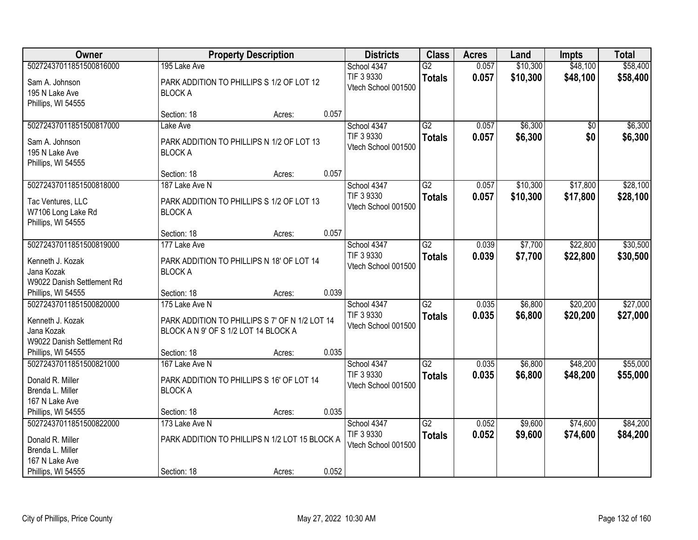| Owner                              |                                                | <b>Property Description</b> |       | <b>Districts</b>                  | <b>Class</b>    | <b>Acres</b> | Land     | <b>Impts</b>    | <b>Total</b> |
|------------------------------------|------------------------------------------------|-----------------------------|-------|-----------------------------------|-----------------|--------------|----------|-----------------|--------------|
| 50272437011851500816000            | 195 Lake Ave                                   |                             |       | School 4347                       | $\overline{G2}$ | 0.057        | \$10,300 | \$48,100        | \$58,400     |
| Sam A. Johnson                     | PARK ADDITION TO PHILLIPS S 1/2 OF LOT 12      |                             |       | TIF 3 9330<br>Vtech School 001500 | <b>Totals</b>   | 0.057        | \$10,300 | \$48,100        | \$58,400     |
| 195 N Lake Ave                     | <b>BLOCK A</b>                                 |                             |       |                                   |                 |              |          |                 |              |
| Phillips, WI 54555                 |                                                |                             |       |                                   |                 |              |          |                 |              |
|                                    | Section: 18                                    | Acres:                      | 0.057 |                                   |                 |              |          |                 |              |
| 50272437011851500817000            | Lake Ave                                       |                             |       | School 4347<br>TIF 3 9330         | $\overline{G2}$ | 0.057        | \$6,300  | $\overline{50}$ | \$6,300      |
| Sam A. Johnson                     | PARK ADDITION TO PHILLIPS N 1/2 OF LOT 13      |                             |       | Vtech School 001500               | <b>Totals</b>   | 0.057        | \$6,300  | \$0             | \$6,300      |
| 195 N Lake Ave                     | <b>BLOCK A</b>                                 |                             |       |                                   |                 |              |          |                 |              |
| Phillips, WI 54555                 |                                                |                             |       |                                   |                 |              |          |                 |              |
|                                    | Section: 18                                    | Acres:                      | 0.057 |                                   |                 |              |          |                 |              |
| 50272437011851500818000            | 187 Lake Ave N                                 |                             |       | School 4347                       | $\overline{G2}$ | 0.057        | \$10,300 | \$17,800        | \$28,100     |
| Tac Ventures, LLC                  | PARK ADDITION TO PHILLIPS S 1/2 OF LOT 13      |                             |       | TIF 3 9330                        | <b>Totals</b>   | 0.057        | \$10,300 | \$17,800        | \$28,100     |
| W7106 Long Lake Rd                 | <b>BLOCK A</b>                                 |                             |       | Vtech School 001500               |                 |              |          |                 |              |
| Phillips, WI 54555                 |                                                |                             |       |                                   |                 |              |          |                 |              |
|                                    | Section: 18                                    | Acres:                      | 0.057 |                                   |                 |              |          |                 |              |
| 50272437011851500819000            | 177 Lake Ave                                   |                             |       | School 4347                       | $\overline{G2}$ | 0.039        | \$7,700  | \$22,800        | \$30,500     |
| Kenneth J. Kozak                   | PARK ADDITION TO PHILLIPS N 18' OF LOT 14      |                             |       | TIF 3 9330                        | <b>Totals</b>   | 0.039        | \$7,700  | \$22,800        | \$30,500     |
| Jana Kozak                         | <b>BLOCK A</b>                                 |                             |       | Vtech School 001500               |                 |              |          |                 |              |
| W9022 Danish Settlement Rd         |                                                |                             |       |                                   |                 |              |          |                 |              |
| Phillips, WI 54555                 | Section: 18                                    | Acres:                      | 0.039 |                                   |                 |              |          |                 |              |
| 50272437011851500820000            | 175 Lake Ave N                                 |                             |       | School 4347                       | $\overline{G2}$ | 0.035        | \$6,800  | \$20,200        | \$27,000     |
| Kenneth J. Kozak                   | PARK ADDITION TO PHILLIPS S 7' OF N 1/2 LOT 14 |                             |       | TIF 3 9330                        | <b>Totals</b>   | 0.035        | \$6,800  | \$20,200        | \$27,000     |
| Jana Kozak                         | BLOCK A N 9' OF S 1/2 LOT 14 BLOCK A           |                             |       | Vtech School 001500               |                 |              |          |                 |              |
| W9022 Danish Settlement Rd         |                                                |                             |       |                                   |                 |              |          |                 |              |
| Phillips, WI 54555                 | Section: 18                                    | Acres:                      | 0.035 |                                   |                 |              |          |                 |              |
| 50272437011851500821000            | 167 Lake Ave N                                 |                             |       | School 4347                       | $\overline{G2}$ | 0.035        | \$6,800  | \$48,200        | \$55,000     |
|                                    |                                                |                             |       | TIF 3 9330                        | <b>Totals</b>   | 0.035        | \$6,800  | \$48,200        | \$55,000     |
| Donald R. Miller                   | PARK ADDITION TO PHILLIPS S 16' OF LOT 14      |                             |       | Vtech School 001500               |                 |              |          |                 |              |
| Brenda L. Miller<br>167 N Lake Ave | <b>BLOCK A</b>                                 |                             |       |                                   |                 |              |          |                 |              |
| Phillips, WI 54555                 | Section: 18                                    | Acres:                      | 0.035 |                                   |                 |              |          |                 |              |
| 50272437011851500822000            | 173 Lake Ave N                                 |                             |       | School 4347                       | $\overline{G2}$ | 0.052        | \$9,600  | \$74,600        | \$84,200     |
|                                    |                                                |                             |       | TIF 3 9330                        | <b>Totals</b>   | 0.052        | \$9,600  | \$74,600        | \$84,200     |
| Donald R. Miller                   | PARK ADDITION TO PHILLIPS N 1/2 LOT 15 BLOCK A |                             |       | Vtech School 001500               |                 |              |          |                 |              |
| Brenda L. Miller                   |                                                |                             |       |                                   |                 |              |          |                 |              |
| 167 N Lake Ave                     |                                                |                             |       |                                   |                 |              |          |                 |              |
| Phillips, WI 54555                 | Section: 18                                    | Acres:                      | 0.052 |                                   |                 |              |          |                 |              |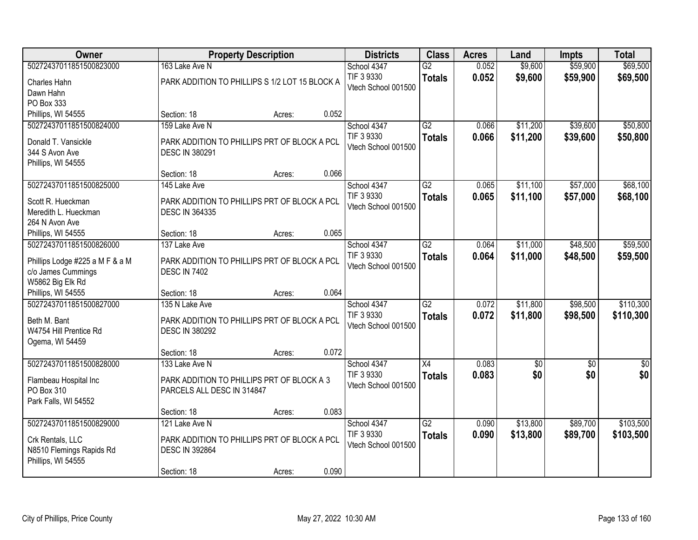| <b>Owner</b>                                 |                                                                       | <b>Property Description</b> |       |                     | <b>Class</b>    | <b>Acres</b> | Land            | <b>Impts</b> | <b>Total</b>  |
|----------------------------------------------|-----------------------------------------------------------------------|-----------------------------|-------|---------------------|-----------------|--------------|-----------------|--------------|---------------|
| 50272437011851500823000                      | 163 Lake Ave N                                                        |                             |       | School 4347         | $\overline{G2}$ | 0.052        | \$9,600         | \$59,900     | \$69,500      |
| Charles Hahn                                 | PARK ADDITION TO PHILLIPS S 1/2 LOT 15 BLOCK A                        |                             |       | TIF 3 9330          | <b>Totals</b>   | 0.052        | \$9,600         | \$59,900     | \$69,500      |
| Dawn Hahn                                    |                                                                       |                             |       | Vtech School 001500 |                 |              |                 |              |               |
| PO Box 333                                   |                                                                       |                             |       |                     |                 |              |                 |              |               |
| Phillips, WI 54555                           | Section: 18                                                           | Acres:                      | 0.052 |                     |                 |              |                 |              |               |
| 50272437011851500824000                      | 159 Lake Ave N                                                        |                             |       | School 4347         | $\overline{G2}$ | 0.066        | \$11,200        | \$39,600     | \$50,800      |
| Donald T. Vansickle                          | PARK ADDITION TO PHILLIPS PRT OF BLOCK A PCL                          |                             |       | TIF 3 9330          | <b>Totals</b>   | 0.066        | \$11,200        | \$39,600     | \$50,800      |
| 344 S Avon Ave                               | <b>DESC IN 380291</b>                                                 |                             |       | Vtech School 001500 |                 |              |                 |              |               |
| Phillips, WI 54555                           |                                                                       |                             |       |                     |                 |              |                 |              |               |
|                                              | Section: 18                                                           | Acres:                      | 0.066 |                     |                 |              |                 |              |               |
| 50272437011851500825000                      | 145 Lake Ave                                                          |                             |       | School 4347         | G2              | 0.065        | \$11,100        | \$57,000     | \$68,100      |
| Scott R. Hueckman                            | PARK ADDITION TO PHILLIPS PRT OF BLOCK A PCL                          |                             |       | TIF 3 9330          | <b>Totals</b>   | 0.065        | \$11,100        | \$57,000     | \$68,100      |
| Meredith L. Hueckman                         | <b>DESC IN 364335</b>                                                 |                             |       | Vtech School 001500 |                 |              |                 |              |               |
| 264 N Avon Ave                               |                                                                       |                             |       |                     |                 |              |                 |              |               |
| Phillips, WI 54555                           | Section: 18                                                           | Acres:                      | 0.065 |                     |                 |              |                 |              |               |
| 50272437011851500826000                      | 137 Lake Ave                                                          |                             |       | School 4347         | $\overline{G2}$ | 0.064        | \$11,000        | \$48,500     | \$59,500      |
| Phillips Lodge #225 a M F & a M              | PARK ADDITION TO PHILLIPS PRT OF BLOCK A PCL                          |                             |       | TIF 3 9330          | <b>Totals</b>   | 0.064        | \$11,000        | \$48,500     | \$59,500      |
| c/o James Cummings                           | <b>DESC IN 7402</b>                                                   |                             |       | Vtech School 001500 |                 |              |                 |              |               |
| W5862 Big Elk Rd                             |                                                                       |                             |       |                     |                 |              |                 |              |               |
| Phillips, WI 54555                           | Section: 18                                                           | Acres:                      | 0.064 |                     |                 |              |                 |              |               |
| 50272437011851500827000                      | 135 N Lake Ave                                                        |                             |       | School 4347         | $\overline{G2}$ | 0.072        | \$11,800        | \$98,500     | \$110,300     |
| Beth M. Bant                                 | PARK ADDITION TO PHILLIPS PRT OF BLOCK A PCL                          |                             |       | TIF 3 9330          | <b>Totals</b>   | 0.072        | \$11,800        | \$98,500     | \$110,300     |
| W4754 Hill Prentice Rd                       | <b>DESC IN 380292</b>                                                 |                             |       | Vtech School 001500 |                 |              |                 |              |               |
| Ogema, WI 54459                              |                                                                       |                             |       |                     |                 |              |                 |              |               |
|                                              | Section: 18                                                           | Acres:                      | 0.072 |                     |                 |              |                 |              |               |
| 50272437011851500828000                      | 133 Lake Ave N                                                        |                             |       | School 4347         | X4              | 0.083        | $\overline{50}$ | \$0          | $\frac{1}{2}$ |
| Flambeau Hospital Inc                        | PARK ADDITION TO PHILLIPS PRT OF BLOCK A 3                            |                             |       | TIF 3 9330          | <b>Totals</b>   | 0.083        | \$0             | \$0          | \$0           |
| PO Box 310                                   | PARCELS ALL DESC IN 314847                                            |                             |       | Vtech School 001500 |                 |              |                 |              |               |
| Park Falls, WI 54552                         |                                                                       |                             |       |                     |                 |              |                 |              |               |
|                                              | Section: 18                                                           | Acres:                      | 0.083 |                     |                 |              |                 |              |               |
| 50272437011851500829000                      | 121 Lake Ave N                                                        |                             |       | School 4347         | $\overline{G2}$ | 0.090        | \$13,800        | \$89,700     | \$103,500     |
|                                              |                                                                       |                             |       | TIF 3 9330          | <b>Totals</b>   | 0.090        | \$13,800        | \$89,700     | \$103,500     |
| Crk Rentals, LLC<br>N8510 Flemings Rapids Rd | PARK ADDITION TO PHILLIPS PRT OF BLOCK A PCL<br><b>DESC IN 392864</b> |                             |       | Vtech School 001500 |                 |              |                 |              |               |
| Phillips, WI 54555                           |                                                                       |                             |       |                     |                 |              |                 |              |               |
|                                              | Section: 18                                                           | Acres:                      | 0.090 |                     |                 |              |                 |              |               |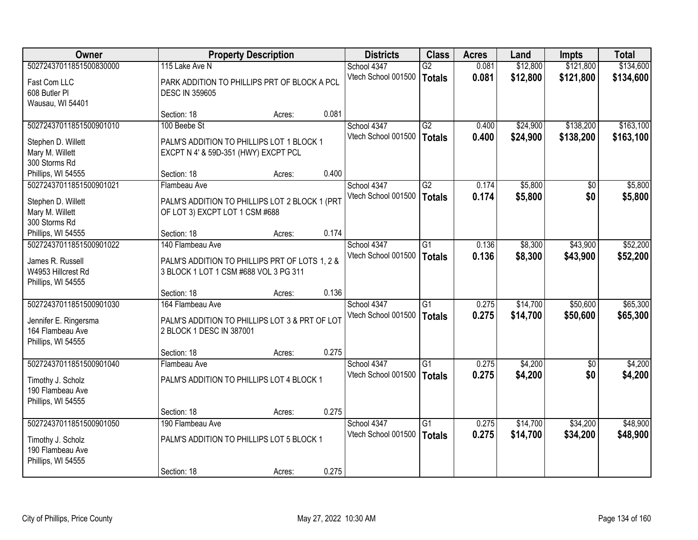| <b>Owner</b>            |                                                | <b>Property Description</b> |       |                     | <b>Class</b>    | <b>Acres</b> | Land     | <b>Impts</b> | <b>Total</b> |
|-------------------------|------------------------------------------------|-----------------------------|-------|---------------------|-----------------|--------------|----------|--------------|--------------|
| 50272437011851500830000 | 115 Lake Ave N                                 |                             |       | School 4347         | $\overline{G2}$ | 0.081        | \$12,800 | \$121,800    | \$134,600    |
| Fast Com LLC            | PARK ADDITION TO PHILLIPS PRT OF BLOCK A PCL   |                             |       | Vtech School 001500 | <b>Totals</b>   | 0.081        | \$12,800 | \$121,800    | \$134,600    |
| 608 Butler PI           | <b>DESC IN 359605</b>                          |                             |       |                     |                 |              |          |              |              |
| Wausau, WI 54401        |                                                |                             |       |                     |                 |              |          |              |              |
|                         | Section: 18                                    | Acres:                      | 0.081 |                     |                 |              |          |              |              |
| 50272437011851500901010 | 100 Beebe St                                   |                             |       | School 4347         | $\overline{G2}$ | 0.400        | \$24,900 | \$138,200    | \$163,100    |
| Stephen D. Willett      | PALM'S ADDITION TO PHILLIPS LOT 1 BLOCK 1      |                             |       | Vtech School 001500 | <b>Totals</b>   | 0.400        | \$24,900 | \$138,200    | \$163,100    |
| Mary M. Willett         | EXCPT N 4' & 59D-351 (HWY) EXCPT PCL           |                             |       |                     |                 |              |          |              |              |
| 300 Storms Rd           |                                                |                             |       |                     |                 |              |          |              |              |
| Phillips, WI 54555      | Section: 18                                    | Acres:                      | 0.400 |                     |                 |              |          |              |              |
| 50272437011851500901021 | Flambeau Ave                                   |                             |       | School 4347         | G2              | 0.174        | \$5,800  | \$0          | \$5,800      |
| Stephen D. Willett      | PALM'S ADDITION TO PHILLIPS LOT 2 BLOCK 1 (PRT |                             |       | Vtech School 001500 | <b>Totals</b>   | 0.174        | \$5,800  | \$0          | \$5,800      |
| Mary M. Willett         | OF LOT 3) EXCPT LOT 1 CSM #688                 |                             |       |                     |                 |              |          |              |              |
| 300 Storms Rd           |                                                |                             |       |                     |                 |              |          |              |              |
| Phillips, WI 54555      | Section: 18                                    | Acres:                      | 0.174 |                     |                 |              |          |              |              |
| 50272437011851500901022 | 140 Flambeau Ave                               |                             |       | School 4347         | $\overline{G1}$ | 0.136        | \$8,300  | \$43,900     | \$52,200     |
| James R. Russell        | PALM'S ADDITION TO PHILLIPS PRT OF LOTS 1, 2 & |                             |       | Vtech School 001500 | <b>Totals</b>   | 0.136        | \$8,300  | \$43,900     | \$52,200     |
| W4953 Hillcrest Rd      | 3 BLOCK 1 LOT 1 CSM #688 VOL 3 PG 311          |                             |       |                     |                 |              |          |              |              |
| Phillips, WI 54555      |                                                |                             |       |                     |                 |              |          |              |              |
|                         | Section: 18                                    | Acres:                      | 0.136 |                     |                 |              |          |              |              |
| 50272437011851500901030 | 164 Flambeau Ave                               |                             |       | School 4347         | $\overline{G1}$ | 0.275        | \$14,700 | \$50,600     | \$65,300     |
| Jennifer E. Ringersma   | PALM'S ADDITION TO PHILLIPS LOT 3 & PRT OF LOT |                             |       | Vtech School 001500 | <b>Totals</b>   | 0.275        | \$14,700 | \$50,600     | \$65,300     |
| 164 Flambeau Ave        | 2 BLOCK 1 DESC IN 387001                       |                             |       |                     |                 |              |          |              |              |
| Phillips, WI 54555      |                                                |                             |       |                     |                 |              |          |              |              |
|                         | Section: 18                                    | Acres:                      | 0.275 |                     |                 |              |          |              |              |
| 50272437011851500901040 | Flambeau Ave                                   |                             |       | School 4347         | G1              | 0.275        | \$4,200  | $\sqrt{6}$   | \$4,200      |
| Timothy J. Scholz       | PALM'S ADDITION TO PHILLIPS LOT 4 BLOCK 1      |                             |       | Vtech School 001500 | <b>Totals</b>   | 0.275        | \$4,200  | \$0          | \$4,200      |
| 190 Flambeau Ave        |                                                |                             |       |                     |                 |              |          |              |              |
| Phillips, WI 54555      |                                                |                             |       |                     |                 |              |          |              |              |
|                         | Section: 18                                    | Acres:                      | 0.275 |                     |                 |              |          |              |              |
| 50272437011851500901050 | 190 Flambeau Ave                               |                             |       | School 4347         | $\overline{G1}$ | 0.275        | \$14,700 | \$34,200     | \$48,900     |
| Timothy J. Scholz       | PALM'S ADDITION TO PHILLIPS LOT 5 BLOCK 1      |                             |       | Vtech School 001500 | <b>Totals</b>   | 0.275        | \$14,700 | \$34,200     | \$48,900     |
| 190 Flambeau Ave        |                                                |                             |       |                     |                 |              |          |              |              |
| Phillips, WI 54555      |                                                |                             |       |                     |                 |              |          |              |              |
|                         | Section: 18                                    | Acres:                      | 0.275 |                     |                 |              |          |              |              |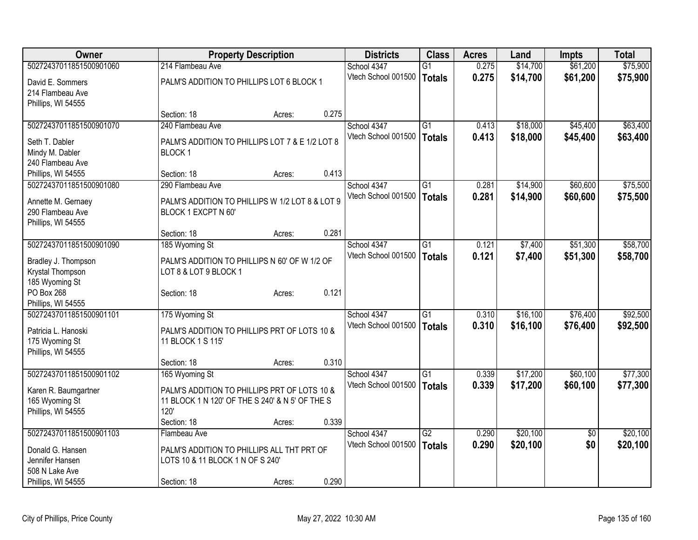| Owner                   | <b>Property Description</b>                     |        |       | <b>Districts</b>    | <b>Class</b>    | <b>Acres</b> | Land     | <b>Impts</b>    | <b>Total</b> |
|-------------------------|-------------------------------------------------|--------|-------|---------------------|-----------------|--------------|----------|-----------------|--------------|
| 50272437011851500901060 | 214 Flambeau Ave                                |        |       | School 4347         | $\overline{G1}$ | 0.275        | \$14,700 | \$61,200        | \$75,900     |
| David E. Sommers        | PALM'S ADDITION TO PHILLIPS LOT 6 BLOCK 1       |        |       | Vtech School 001500 | <b>Totals</b>   | 0.275        | \$14,700 | \$61,200        | \$75,900     |
| 214 Flambeau Ave        |                                                 |        |       |                     |                 |              |          |                 |              |
| Phillips, WI 54555      |                                                 |        |       |                     |                 |              |          |                 |              |
|                         | Section: 18                                     | Acres: | 0.275 |                     |                 |              |          |                 |              |
| 50272437011851500901070 | 240 Flambeau Ave                                |        |       | School 4347         | $\overline{G1}$ | 0.413        | \$18,000 | \$45,400        | \$63,400     |
| Seth T. Dabler          | PALM'S ADDITION TO PHILLIPS LOT 7 & E 1/2 LOT 8 |        |       | Vtech School 001500 | <b>Totals</b>   | 0.413        | \$18,000 | \$45,400        | \$63,400     |
| Mindy M. Dabler         | BLOCK <sub>1</sub>                              |        |       |                     |                 |              |          |                 |              |
| 240 Flambeau Ave        |                                                 |        |       |                     |                 |              |          |                 |              |
| Phillips, WI 54555      | Section: 18                                     | Acres: | 0.413 |                     |                 |              |          |                 |              |
| 50272437011851500901080 | 290 Flambeau Ave                                |        |       | School 4347         | $\overline{G1}$ | 0.281        | \$14,900 | \$60,600        | \$75,500     |
|                         |                                                 |        |       | Vtech School 001500 | <b>Totals</b>   | 0.281        | \$14,900 | \$60,600        | \$75,500     |
| Annette M. Gernaey      | PALM'S ADDITION TO PHILLIPS W 1/2 LOT 8 & LOT 9 |        |       |                     |                 |              |          |                 |              |
| 290 Flambeau Ave        | BLOCK 1 EXCPT N 60'                             |        |       |                     |                 |              |          |                 |              |
| Phillips, WI 54555      |                                                 |        | 0.281 |                     |                 |              |          |                 |              |
| 50272437011851500901090 | Section: 18<br>185 Wyoming St                   | Acres: |       | School 4347         | $\overline{G1}$ | 0.121        | \$7,400  | \$51,300        | \$58,700     |
|                         |                                                 |        |       | Vtech School 001500 |                 |              |          |                 |              |
| Bradley J. Thompson     | PALM'S ADDITION TO PHILLIPS N 60' OF W 1/2 OF   |        |       |                     | <b>Totals</b>   | 0.121        | \$7,400  | \$51,300        | \$58,700     |
| Krystal Thompson        | LOT 8 & LOT 9 BLOCK 1                           |        |       |                     |                 |              |          |                 |              |
| 185 Wyoming St          |                                                 |        |       |                     |                 |              |          |                 |              |
| PO Box 268              | Section: 18                                     | Acres: | 0.121 |                     |                 |              |          |                 |              |
| Phillips, WI 54555      |                                                 |        |       |                     |                 |              |          |                 |              |
| 50272437011851500901101 | 175 Wyoming St                                  |        |       | School 4347         | G1              | 0.310        | \$16,100 | \$76,400        | \$92,500     |
| Patricia L. Hanoski     | PALM'S ADDITION TO PHILLIPS PRT OF LOTS 10 &    |        |       | Vtech School 001500 | <b>Totals</b>   | 0.310        | \$16,100 | \$76,400        | \$92,500     |
| 175 Wyoming St          | 11 BLOCK 1 S 115'                               |        |       |                     |                 |              |          |                 |              |
| Phillips, WI 54555      |                                                 |        |       |                     |                 |              |          |                 |              |
|                         | Section: 18                                     | Acres: | 0.310 |                     |                 |              |          |                 |              |
| 50272437011851500901102 | 165 Wyoming St                                  |        |       | School 4347         | $\overline{G1}$ | 0.339        | \$17,200 | \$60,100        | \$77,300     |
| Karen R. Baumgartner    | PALM'S ADDITION TO PHILLIPS PRT OF LOTS 10 &    |        |       | Vtech School 001500 | <b>Totals</b>   | 0.339        | \$17,200 | \$60,100        | \$77,300     |
| 165 Wyoming St          | 11 BLOCK 1 N 120' OF THE S 240' & N 5' OF THE S |        |       |                     |                 |              |          |                 |              |
| Phillips, WI 54555      | 120'                                            |        |       |                     |                 |              |          |                 |              |
|                         | Section: 18                                     | Acres: | 0.339 |                     |                 |              |          |                 |              |
| 50272437011851500901103 | Flambeau Ave                                    |        |       | School 4347         | $\overline{G2}$ | 0.290        | \$20,100 | $\overline{50}$ | \$20,100     |
|                         |                                                 |        |       | Vtech School 001500 | <b>Totals</b>   | 0.290        | \$20,100 | \$0             | \$20,100     |
| Donald G. Hansen        | PALM'S ADDITION TO PHILLIPS ALL THT PRT OF      |        |       |                     |                 |              |          |                 |              |
| Jennifer Hansen         | LOTS 10 & 11 BLOCK 1 N OF S 240'                |        |       |                     |                 |              |          |                 |              |
| 508 N Lake Ave          |                                                 |        |       |                     |                 |              |          |                 |              |
| Phillips, WI 54555      | Section: 18                                     | Acres: | 0.290 |                     |                 |              |          |                 |              |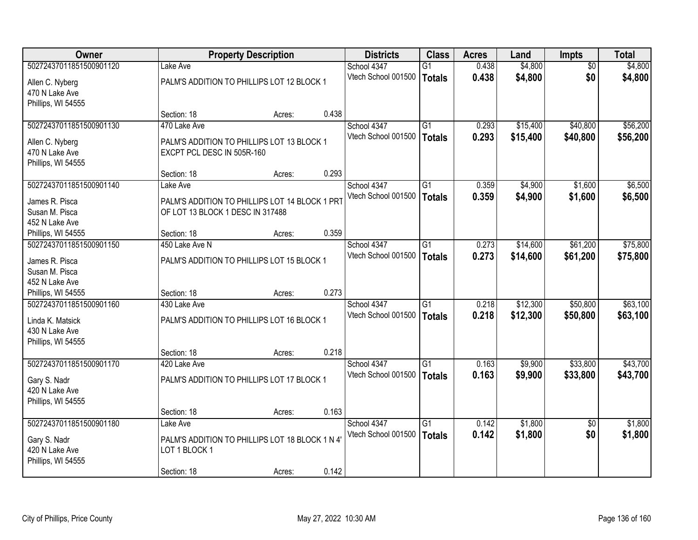| Owner                   | <b>Property Description</b>                    |        |       | <b>Districts</b>    | <b>Class</b>    | <b>Acres</b> | Land     | <b>Impts</b>    | <b>Total</b> |
|-------------------------|------------------------------------------------|--------|-------|---------------------|-----------------|--------------|----------|-----------------|--------------|
| 50272437011851500901120 | Lake Ave                                       |        |       | School 4347         | $\overline{G1}$ | 0.438        | \$4,800  | $\overline{50}$ | \$4,800      |
| Allen C. Nyberg         | PALM'S ADDITION TO PHILLIPS LOT 12 BLOCK 1     |        |       | Vtech School 001500 | Totals          | 0.438        | \$4,800  | \$0             | \$4,800      |
| 470 N Lake Ave          |                                                |        |       |                     |                 |              |          |                 |              |
| Phillips, WI 54555      |                                                |        |       |                     |                 |              |          |                 |              |
|                         | Section: 18                                    | Acres: | 0.438 |                     |                 |              |          |                 |              |
| 50272437011851500901130 | 470 Lake Ave                                   |        |       | School 4347         | $\overline{G1}$ | 0.293        | \$15,400 | \$40,800        | \$56,200     |
| Allen C. Nyberg         | PALM'S ADDITION TO PHILLIPS LOT 13 BLOCK 1     |        |       | Vtech School 001500 | <b>Totals</b>   | 0.293        | \$15,400 | \$40,800        | \$56,200     |
| 470 N Lake Ave          | EXCPT PCL DESC IN 505R-160                     |        |       |                     |                 |              |          |                 |              |
| Phillips, WI 54555      |                                                |        |       |                     |                 |              |          |                 |              |
|                         | Section: 18                                    | Acres: | 0.293 |                     |                 |              |          |                 |              |
| 50272437011851500901140 | Lake Ave                                       |        |       | School 4347         | G1              | 0.359        | \$4,900  | \$1,600         | \$6,500      |
| James R. Pisca          | PALM'S ADDITION TO PHILLIPS LOT 14 BLOCK 1 PRT |        |       | Vtech School 001500 | Totals          | 0.359        | \$4,900  | \$1,600         | \$6,500      |
| Susan M. Pisca          | OF LOT 13 BLOCK 1 DESC IN 317488               |        |       |                     |                 |              |          |                 |              |
| 452 N Lake Ave          |                                                |        |       |                     |                 |              |          |                 |              |
| Phillips, WI 54555      | Section: 18                                    | Acres: | 0.359 |                     |                 |              |          |                 |              |
| 50272437011851500901150 | 450 Lake Ave N                                 |        |       | School 4347         | $\overline{G1}$ | 0.273        | \$14,600 | \$61,200        | \$75,800     |
| James R. Pisca          | PALM'S ADDITION TO PHILLIPS LOT 15 BLOCK 1     |        |       | Vtech School 001500 | <b>Totals</b>   | 0.273        | \$14,600 | \$61,200        | \$75,800     |
| Susan M. Pisca          |                                                |        |       |                     |                 |              |          |                 |              |
| 452 N Lake Ave          |                                                |        |       |                     |                 |              |          |                 |              |
| Phillips, WI 54555      | Section: 18                                    | Acres: | 0.273 |                     |                 |              |          |                 |              |
| 50272437011851500901160 | 430 Lake Ave                                   |        |       | School 4347         | $\overline{G1}$ | 0.218        | \$12,300 | \$50,800        | \$63,100     |
| Linda K. Matsick        | PALM'S ADDITION TO PHILLIPS LOT 16 BLOCK 1     |        |       | Vtech School 001500 | <b>Totals</b>   | 0.218        | \$12,300 | \$50,800        | \$63,100     |
| 430 N Lake Ave          |                                                |        |       |                     |                 |              |          |                 |              |
| Phillips, WI 54555      |                                                |        |       |                     |                 |              |          |                 |              |
|                         | Section: 18                                    | Acres: | 0.218 |                     |                 |              |          |                 |              |
| 50272437011851500901170 | 420 Lake Ave                                   |        |       | School 4347         | G1              | 0.163        | \$9,900  | \$33,800        | \$43,700     |
| Gary S. Nadr            | PALM'S ADDITION TO PHILLIPS LOT 17 BLOCK 1     |        |       | Vtech School 001500 | Totals          | 0.163        | \$9,900  | \$33,800        | \$43,700     |
| 420 N Lake Ave          |                                                |        |       |                     |                 |              |          |                 |              |
| Phillips, WI 54555      |                                                |        |       |                     |                 |              |          |                 |              |
|                         | Section: 18                                    | Acres: | 0.163 |                     |                 |              |          |                 |              |
| 50272437011851500901180 | Lake Ave                                       |        |       | School 4347         | $\overline{G1}$ | 0.142        | \$1,800  | $\overline{50}$ | \$1,800      |
| Gary S. Nadr            | PALM'S ADDITION TO PHILLIPS LOT 18 BLOCK 1 N 4 |        |       | Vtech School 001500 | Totals          | 0.142        | \$1,800  | \$0             | \$1,800      |
| 420 N Lake Ave          | LOT 1 BLOCK 1                                  |        |       |                     |                 |              |          |                 |              |
| Phillips, WI 54555      |                                                |        |       |                     |                 |              |          |                 |              |
|                         | Section: 18                                    | Acres: | 0.142 |                     |                 |              |          |                 |              |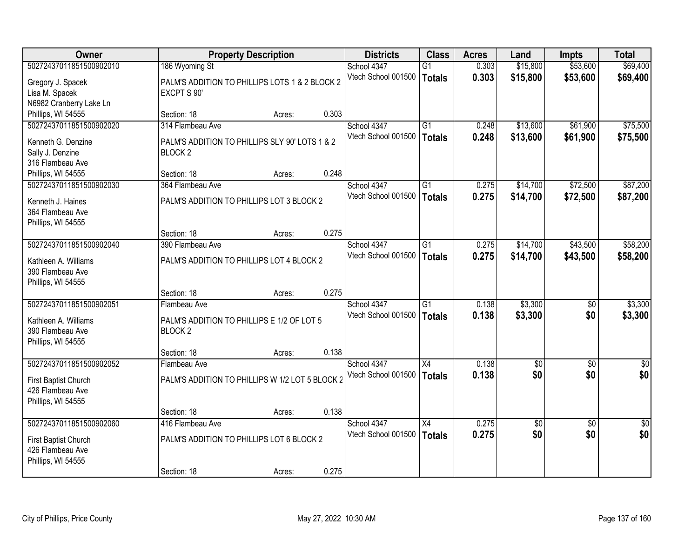| Owner                   |                                                 | <b>Property Description</b> |       |                     | <b>Class</b>    | <b>Acres</b> | Land       | <b>Impts</b>    | <b>Total</b>    |
|-------------------------|-------------------------------------------------|-----------------------------|-------|---------------------|-----------------|--------------|------------|-----------------|-----------------|
| 50272437011851500902010 | 186 Wyoming St                                  |                             |       | School 4347         | $\overline{G1}$ | 0.303        | \$15,800   | \$53,600        | \$69,400        |
| Gregory J. Spacek       | PALM'S ADDITION TO PHILLIPS LOTS 1 & 2 BLOCK 2  |                             |       | Vtech School 001500 | <b>Totals</b>   | 0.303        | \$15,800   | \$53,600        | \$69,400        |
| Lisa M. Spacek          | EXCPT S 90'                                     |                             |       |                     |                 |              |            |                 |                 |
| N6982 Cranberry Lake Ln |                                                 |                             |       |                     |                 |              |            |                 |                 |
| Phillips, WI 54555      | Section: 18                                     | Acres:                      | 0.303 |                     |                 |              |            |                 |                 |
| 50272437011851500902020 | 314 Flambeau Ave                                |                             |       | School 4347         | G1              | 0.248        | \$13,600   | \$61,900        | \$75,500        |
| Kenneth G. Denzine      | PALM'S ADDITION TO PHILLIPS SLY 90' LOTS 1 & 2  |                             |       | Vtech School 001500 | <b>Totals</b>   | 0.248        | \$13,600   | \$61,900        | \$75,500        |
| Sally J. Denzine        | <b>BLOCK2</b>                                   |                             |       |                     |                 |              |            |                 |                 |
| 316 Flambeau Ave        |                                                 |                             |       |                     |                 |              |            |                 |                 |
| Phillips, WI 54555      | Section: 18                                     | Acres:                      | 0.248 |                     |                 |              |            |                 |                 |
| 50272437011851500902030 | 364 Flambeau Ave                                |                             |       | School 4347         | G1              | 0.275        | \$14,700   | \$72,500        | \$87,200        |
| Kenneth J. Haines       | PALM'S ADDITION TO PHILLIPS LOT 3 BLOCK 2       |                             |       | Vtech School 001500 | <b>Totals</b>   | 0.275        | \$14,700   | \$72,500        | \$87,200        |
| 364 Flambeau Ave        |                                                 |                             |       |                     |                 |              |            |                 |                 |
| Phillips, WI 54555      |                                                 |                             |       |                     |                 |              |            |                 |                 |
|                         | Section: 18                                     | Acres:                      | 0.275 |                     |                 |              |            |                 |                 |
| 50272437011851500902040 | 390 Flambeau Ave                                |                             |       | School 4347         | $\overline{G1}$ | 0.275        | \$14,700   | \$43,500        | \$58,200        |
| Kathleen A. Williams    | PALM'S ADDITION TO PHILLIPS LOT 4 BLOCK 2       |                             |       | Vtech School 001500 | <b>Totals</b>   | 0.275        | \$14,700   | \$43,500        | \$58,200        |
| 390 Flambeau Ave        |                                                 |                             |       |                     |                 |              |            |                 |                 |
| Phillips, WI 54555      |                                                 |                             |       |                     |                 |              |            |                 |                 |
|                         | Section: 18                                     | Acres:                      | 0.275 |                     |                 |              |            |                 |                 |
| 50272437011851500902051 | Flambeau Ave                                    |                             |       | School 4347         | $\overline{G1}$ | 0.138        | \$3,300    | $\overline{50}$ | \$3,300         |
| Kathleen A. Williams    | PALM'S ADDITION TO PHILLIPS E 1/2 OF LOT 5      |                             |       | Vtech School 001500 | <b>Totals</b>   | 0.138        | \$3,300    | \$0             | \$3,300         |
| 390 Flambeau Ave        | BLOCK <sub>2</sub>                              |                             |       |                     |                 |              |            |                 |                 |
| Phillips, WI 54555      |                                                 |                             |       |                     |                 |              |            |                 |                 |
|                         | Section: 18                                     | Acres:                      | 0.138 |                     |                 |              |            |                 |                 |
| 50272437011851500902052 | Flambeau Ave                                    |                             |       | School 4347         | X4              | 0.138        | $\sqrt{6}$ | $\overline{50}$ | $\overline{50}$ |
| First Baptist Church    | PALM'S ADDITION TO PHILLIPS W 1/2 LOT 5 BLOCK 2 |                             |       | Vtech School 001500 | <b>Totals</b>   | 0.138        | \$0        | \$0             | \$0             |
| 426 Flambeau Ave        |                                                 |                             |       |                     |                 |              |            |                 |                 |
| Phillips, WI 54555      |                                                 |                             |       |                     |                 |              |            |                 |                 |
|                         | Section: 18                                     | Acres:                      | 0.138 |                     |                 |              |            |                 |                 |
| 50272437011851500902060 | 416 Flambeau Ave                                |                             |       | School 4347         | $\overline{X4}$ | 0.275        | \$0        | $\overline{30}$ | $\sqrt{50}$     |
| First Baptist Church    | PALM'S ADDITION TO PHILLIPS LOT 6 BLOCK 2       |                             |       | Vtech School 001500 | <b>Totals</b>   | 0.275        | \$0        | \$0             | \$0             |
| 426 Flambeau Ave        |                                                 |                             |       |                     |                 |              |            |                 |                 |
| Phillips, WI 54555      |                                                 |                             |       |                     |                 |              |            |                 |                 |
|                         | Section: 18                                     | Acres:                      | 0.275 |                     |                 |              |            |                 |                 |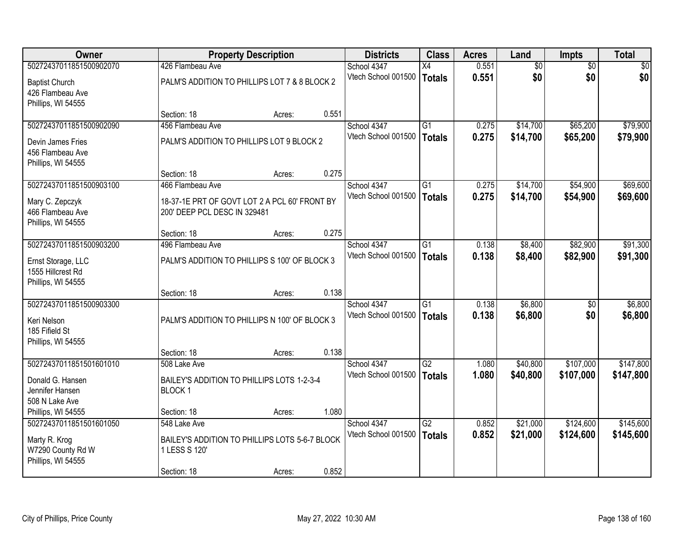| <b>Owner</b>                            |                                                | <b>Property Description</b> |       |                                    | <b>Class</b>    | <b>Acres</b> | Land            | <b>Impts</b>    | <b>Total</b> |
|-----------------------------------------|------------------------------------------------|-----------------------------|-------|------------------------------------|-----------------|--------------|-----------------|-----------------|--------------|
| 50272437011851500902070                 | 426 Flambeau Ave                               |                             |       | School 4347                        | $\overline{X4}$ | 0.551        | $\overline{60}$ | $\overline{50}$ | \$0          |
| <b>Baptist Church</b>                   | PALM'S ADDITION TO PHILLIPS LOT 7 & 8 BLOCK 2  |                             |       | Vtech School 001500                | <b>Totals</b>   | 0.551        | \$0             | \$0             | \$0          |
| 426 Flambeau Ave                        |                                                |                             |       |                                    |                 |              |                 |                 |              |
| Phillips, WI 54555                      |                                                |                             |       |                                    |                 |              |                 |                 |              |
|                                         | Section: 18                                    | Acres:                      | 0.551 |                                    |                 |              |                 |                 |              |
| 50272437011851500902090                 | 456 Flambeau Ave                               |                             |       | School 4347                        | G1              | 0.275        | \$14,700        | \$65,200        | \$79,900     |
| Devin James Fries                       | PALM'S ADDITION TO PHILLIPS LOT 9 BLOCK 2      |                             |       | Vtech School 001500                | <b>Totals</b>   | 0.275        | \$14,700        | \$65,200        | \$79,900     |
| 456 Flambeau Ave                        |                                                |                             |       |                                    |                 |              |                 |                 |              |
| Phillips, WI 54555                      |                                                |                             |       |                                    |                 |              |                 |                 |              |
|                                         | Section: 18                                    | Acres:                      | 0.275 |                                    |                 |              |                 |                 |              |
| 50272437011851500903100                 | 466 Flambeau Ave                               |                             |       | School 4347<br>Vtech School 001500 | G1              | 0.275        | \$14,700        | \$54,900        | \$69,600     |
| Mary C. Zepczyk                         | 18-37-1E PRT OF GOVT LOT 2 A PCL 60' FRONT BY  |                             |       |                                    | <b>Totals</b>   | 0.275        | \$14,700        | \$54,900        | \$69,600     |
| 466 Flambeau Ave                        | 200' DEEP PCL DESC IN 329481                   |                             |       |                                    |                 |              |                 |                 |              |
| Phillips, WI 54555                      | Section: 18                                    |                             | 0.275 |                                    |                 |              |                 |                 |              |
| 50272437011851500903200                 | 496 Flambeau Ave                               | Acres:                      |       | School 4347                        | G1              | 0.138        | \$8,400         | \$82,900        | \$91,300     |
|                                         |                                                |                             |       | Vtech School 001500                | <b>Totals</b>   | 0.138        | \$8,400         | \$82,900        | \$91,300     |
| Ernst Storage, LLC                      | PALM'S ADDITION TO PHILLIPS S 100' OF BLOCK 3  |                             |       |                                    |                 |              |                 |                 |              |
| 1555 Hillcrest Rd<br>Phillips, WI 54555 |                                                |                             |       |                                    |                 |              |                 |                 |              |
|                                         | Section: 18                                    | Acres:                      | 0.138 |                                    |                 |              |                 |                 |              |
| 50272437011851500903300                 |                                                |                             |       | School 4347                        | $\overline{G1}$ | 0.138        | \$6,800         | \$0             | \$6,800      |
|                                         | PALM'S ADDITION TO PHILLIPS N 100' OF BLOCK 3  |                             |       | Vtech School 001500                | <b>Totals</b>   | 0.138        | \$6,800         | \$0             | \$6,800      |
| Keri Nelson<br>185 Fifield St           |                                                |                             |       |                                    |                 |              |                 |                 |              |
| Phillips, WI 54555                      |                                                |                             |       |                                    |                 |              |                 |                 |              |
|                                         | Section: 18                                    | Acres:                      | 0.138 |                                    |                 |              |                 |                 |              |
| 50272437011851501601010                 | 508 Lake Ave                                   |                             |       | School 4347                        | $\overline{G2}$ | 1.080        | \$40,800        | \$107,000       | \$147,800    |
| Donald G. Hansen                        | BAILEY'S ADDITION TO PHILLIPS LOTS 1-2-3-4     |                             |       | Vtech School 001500                | <b>Totals</b>   | 1.080        | \$40,800        | \$107,000       | \$147,800    |
| Jennifer Hansen                         | BLOCK <sub>1</sub>                             |                             |       |                                    |                 |              |                 |                 |              |
| 508 N Lake Ave                          |                                                |                             |       |                                    |                 |              |                 |                 |              |
| Phillips, WI 54555                      | Section: 18                                    | Acres:                      | 1.080 |                                    |                 |              |                 |                 |              |
| 50272437011851501601050                 | 548 Lake Ave                                   |                             |       | School 4347                        | $\overline{G2}$ | 0.852        | \$21,000        | \$124,600       | \$145,600    |
| Marty R. Krog                           | BAILEY'S ADDITION TO PHILLIPS LOTS 5-6-7 BLOCK |                             |       | Vtech School 001500                | <b>Totals</b>   | 0.852        | \$21,000        | \$124,600       | \$145,600    |
| W7290 County Rd W                       | 1 LESS S 120'                                  |                             |       |                                    |                 |              |                 |                 |              |
| Phillips, WI 54555                      |                                                |                             |       |                                    |                 |              |                 |                 |              |
|                                         | Section: 18                                    | Acres:                      | 0.852 |                                    |                 |              |                 |                 |              |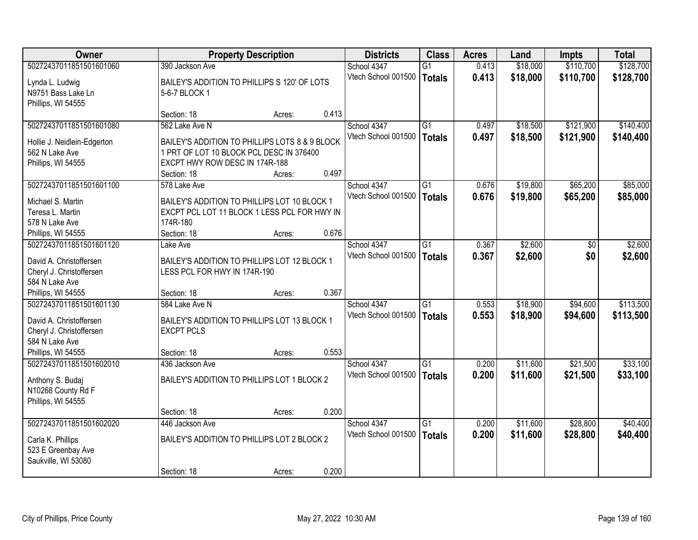| <b>Owner</b>                                        |                                                                              | <b>Property Description</b> |       |                     |                 | <b>Acres</b> | Land     | <b>Impts</b>    | <b>Total</b> |
|-----------------------------------------------------|------------------------------------------------------------------------------|-----------------------------|-------|---------------------|-----------------|--------------|----------|-----------------|--------------|
| 50272437011851501601060                             | 390 Jackson Ave                                                              |                             |       | School 4347         | $\overline{G1}$ | 0.413        | \$18,000 | \$110,700       | \$128,700    |
| Lynda L. Ludwig                                     | BAILEY'S ADDITION TO PHILLIPS S 120' OF LOTS                                 |                             |       | Vtech School 001500 | <b>Totals</b>   | 0.413        | \$18,000 | \$110,700       | \$128,700    |
| N9751 Bass Lake Ln                                  | 5-6-7 BLOCK 1                                                                |                             |       |                     |                 |              |          |                 |              |
| Phillips, WI 54555                                  |                                                                              |                             |       |                     |                 |              |          |                 |              |
|                                                     | Section: 18                                                                  | Acres:                      | 0.413 |                     |                 |              |          |                 |              |
| 50272437011851501601080                             | 562 Lake Ave N                                                               |                             |       | School 4347         | $\overline{G1}$ | 0.497        | \$18,500 | \$121,900       | \$140,400    |
| Hollie J. Neidlein-Edgerton                         | BAILEY'S ADDITION TO PHILLIPS LOTS 8 & 9 BLOCK                               |                             |       | Vtech School 001500 | <b>Totals</b>   | 0.497        | \$18,500 | \$121,900       | \$140,400    |
| 562 N Lake Ave                                      | 1 PRT OF LOT 10 BLOCK PCL DESC IN 376400                                     |                             |       |                     |                 |              |          |                 |              |
| Phillips, WI 54555                                  | EXCPT HWY ROW DESC IN 174R-188                                               |                             |       |                     |                 |              |          |                 |              |
|                                                     | Section: 18                                                                  | Acres:                      | 0.497 |                     |                 |              |          |                 |              |
| 50272437011851501601100                             | 578 Lake Ave                                                                 |                             |       | School 4347         | $\overline{G1}$ | 0.676        | \$19,800 | \$65,200        | \$85,000     |
| Michael S. Martin                                   | BAILEY'S ADDITION TO PHILLIPS LOT 10 BLOCK 1                                 |                             |       | Vtech School 001500 | <b>Totals</b>   | 0.676        | \$19,800 | \$65,200        | \$85,000     |
| Teresa L. Martin                                    | EXCPT PCL LOT 11 BLOCK 1 LESS PCL FOR HWY IN                                 |                             |       |                     |                 |              |          |                 |              |
| 578 N Lake Ave                                      | 174R-180                                                                     |                             |       |                     |                 |              |          |                 |              |
| Phillips, WI 54555                                  | Section: 18                                                                  | Acres:                      | 0.676 |                     |                 |              |          |                 |              |
| 50272437011851501601120                             | Lake Ave                                                                     |                             |       | School 4347         | $\overline{G1}$ | 0.367        | \$2,600  | $\overline{30}$ | \$2,600      |
|                                                     |                                                                              |                             |       | Vtech School 001500 | <b>Totals</b>   | 0.367        | \$2,600  | \$0             | \$2,600      |
| David A. Christoffersen<br>Cheryl J. Christoffersen | BAILEY'S ADDITION TO PHILLIPS LOT 12 BLOCK 1<br>LESS PCL FOR HWY IN 174R-190 |                             |       |                     |                 |              |          |                 |              |
| 584 N Lake Ave                                      |                                                                              |                             |       |                     |                 |              |          |                 |              |
| Phillips, WI 54555                                  | Section: 18                                                                  | Acres:                      | 0.367 |                     |                 |              |          |                 |              |
| 50272437011851501601130                             | 584 Lake Ave N                                                               |                             |       | School 4347         | $\overline{G1}$ | 0.553        | \$18,900 | \$94,600        | \$113,500    |
|                                                     |                                                                              |                             |       | Vtech School 001500 | <b>Totals</b>   | 0.553        | \$18,900 | \$94,600        | \$113,500    |
| David A. Christoffersen                             | BAILEY'S ADDITION TO PHILLIPS LOT 13 BLOCK 1                                 |                             |       |                     |                 |              |          |                 |              |
| Cheryl J. Christoffersen<br>584 N Lake Ave          | <b>EXCPT PCLS</b>                                                            |                             |       |                     |                 |              |          |                 |              |
| Phillips, WI 54555                                  | Section: 18                                                                  | Acres:                      | 0.553 |                     |                 |              |          |                 |              |
| 50272437011851501602010                             | 436 Jackson Ave                                                              |                             |       | School 4347         | G1              | 0.200        | \$11,600 | \$21,500        | \$33,100     |
|                                                     |                                                                              |                             |       | Vtech School 001500 | <b>Totals</b>   | 0.200        | \$11,600 | \$21,500        | \$33,100     |
| Anthony S. Budaj                                    | BAILEY'S ADDITION TO PHILLIPS LOT 1 BLOCK 2                                  |                             |       |                     |                 |              |          |                 |              |
| N10268 County Rd F                                  |                                                                              |                             |       |                     |                 |              |          |                 |              |
| Phillips, WI 54555                                  | Section: 18                                                                  |                             | 0.200 |                     |                 |              |          |                 |              |
| 50272437011851501602020                             | 446 Jackson Ave                                                              | Acres:                      |       | School 4347         | $\overline{G1}$ | 0.200        | \$11,600 | \$28,800        | \$40,400     |
|                                                     |                                                                              |                             |       | Vtech School 001500 | <b>Totals</b>   | 0.200        | \$11,600 | \$28,800        | \$40,400     |
| Carla K. Phillips                                   | BAILEY'S ADDITION TO PHILLIPS LOT 2 BLOCK 2                                  |                             |       |                     |                 |              |          |                 |              |
| 523 E Greenbay Ave                                  |                                                                              |                             |       |                     |                 |              |          |                 |              |
| Saukville, WI 53080                                 |                                                                              |                             |       |                     |                 |              |          |                 |              |
|                                                     | Section: 18                                                                  | Acres:                      | 0.200 |                     |                 |              |          |                 |              |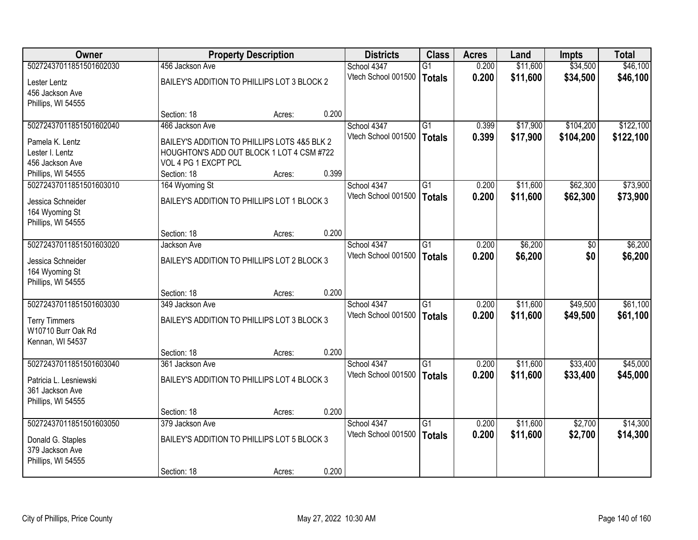| Owner                   |                                              | <b>Property Description</b> |       |                     | <b>Class</b>    | <b>Acres</b> | Land     | <b>Impts</b>    | <b>Total</b> |
|-------------------------|----------------------------------------------|-----------------------------|-------|---------------------|-----------------|--------------|----------|-----------------|--------------|
| 50272437011851501602030 | 456 Jackson Ave                              |                             |       | School 4347         | $\overline{G1}$ | 0.200        | \$11,600 | \$34,500        | \$46,100     |
| Lester Lentz            | BAILEY'S ADDITION TO PHILLIPS LOT 3 BLOCK 2  |                             |       | Vtech School 001500 | <b>Totals</b>   | 0.200        | \$11,600 | \$34,500        | \$46,100     |
| 456 Jackson Ave         |                                              |                             |       |                     |                 |              |          |                 |              |
| Phillips, WI 54555      |                                              |                             |       |                     |                 |              |          |                 |              |
|                         | Section: 18                                  | Acres:                      | 0.200 |                     |                 |              |          |                 |              |
| 50272437011851501602040 | 466 Jackson Ave                              |                             |       | School 4347         | $\overline{G1}$ | 0.399        | \$17,900 | \$104,200       | \$122,100    |
| Pamela K. Lentz         | BAILEY'S ADDITION TO PHILLIPS LOTS 4&5 BLK 2 |                             |       | Vtech School 001500 | <b>Totals</b>   | 0.399        | \$17,900 | \$104,200       | \$122,100    |
| Lester I. Lentz         | HOUGHTON'S ADD OUT BLOCK 1 LOT 4 CSM #722    |                             |       |                     |                 |              |          |                 |              |
| 456 Jackson Ave         | VOL 4 PG 1 EXCPT PCL                         |                             |       |                     |                 |              |          |                 |              |
| Phillips, WI 54555      | Section: 18                                  | Acres:                      | 0.399 |                     |                 |              |          |                 |              |
| 50272437011851501603010 | 164 Wyoming St                               |                             |       | School 4347         | $\overline{G1}$ | 0.200        | \$11,600 | \$62,300        | \$73,900     |
| Jessica Schneider       | BAILEY'S ADDITION TO PHILLIPS LOT 1 BLOCK 3  |                             |       | Vtech School 001500 | <b>Totals</b>   | 0.200        | \$11,600 | \$62,300        | \$73,900     |
| 164 Wyoming St          |                                              |                             |       |                     |                 |              |          |                 |              |
| Phillips, WI 54555      |                                              |                             |       |                     |                 |              |          |                 |              |
|                         | Section: 18                                  | Acres:                      | 0.200 |                     |                 |              |          |                 |              |
| 50272437011851501603020 | Jackson Ave                                  |                             |       | School 4347         | $\overline{G1}$ | 0.200        | \$6,200  | $\overline{50}$ | \$6,200      |
| Jessica Schneider       | BAILEY'S ADDITION TO PHILLIPS LOT 2 BLOCK 3  |                             |       | Vtech School 001500 | <b>Totals</b>   | 0.200        | \$6,200  | \$0             | \$6,200      |
| 164 Wyoming St          |                                              |                             |       |                     |                 |              |          |                 |              |
| Phillips, WI 54555      |                                              |                             |       |                     |                 |              |          |                 |              |
|                         | Section: 18                                  | Acres:                      | 0.200 |                     |                 |              |          |                 |              |
| 50272437011851501603030 | 349 Jackson Ave                              |                             |       | School 4347         | $\overline{G1}$ | 0.200        | \$11,600 | \$49,500        | \$61,100     |
| <b>Terry Timmers</b>    | BAILEY'S ADDITION TO PHILLIPS LOT 3 BLOCK 3  |                             |       | Vtech School 001500 | <b>Totals</b>   | 0.200        | \$11,600 | \$49,500        | \$61,100     |
| W10710 Burr Oak Rd      |                                              |                             |       |                     |                 |              |          |                 |              |
| Kennan, WI 54537        |                                              |                             |       |                     |                 |              |          |                 |              |
|                         | Section: 18                                  | Acres:                      | 0.200 |                     |                 |              |          |                 |              |
| 50272437011851501603040 | 361 Jackson Ave                              |                             |       | School 4347         | G1              | 0.200        | \$11,600 | \$33,400        | \$45,000     |
| Patricia L. Lesniewski  | BAILEY'S ADDITION TO PHILLIPS LOT 4 BLOCK 3  |                             |       | Vtech School 001500 | <b>Totals</b>   | 0.200        | \$11,600 | \$33,400        | \$45,000     |
| 361 Jackson Ave         |                                              |                             |       |                     |                 |              |          |                 |              |
| Phillips, WI 54555      |                                              |                             |       |                     |                 |              |          |                 |              |
|                         | Section: 18                                  | Acres:                      | 0.200 |                     |                 |              |          |                 |              |
| 50272437011851501603050 | 379 Jackson Ave                              |                             |       | School 4347         | $\overline{G1}$ | 0.200        | \$11,600 | \$2,700         | \$14,300     |
| Donald G. Staples       | BAILEY'S ADDITION TO PHILLIPS LOT 5 BLOCK 3  |                             |       | Vtech School 001500 | <b>Totals</b>   | 0.200        | \$11,600 | \$2,700         | \$14,300     |
| 379 Jackson Ave         |                                              |                             |       |                     |                 |              |          |                 |              |
| Phillips, WI 54555      |                                              |                             |       |                     |                 |              |          |                 |              |
|                         | Section: 18                                  | Acres:                      | 0.200 |                     |                 |              |          |                 |              |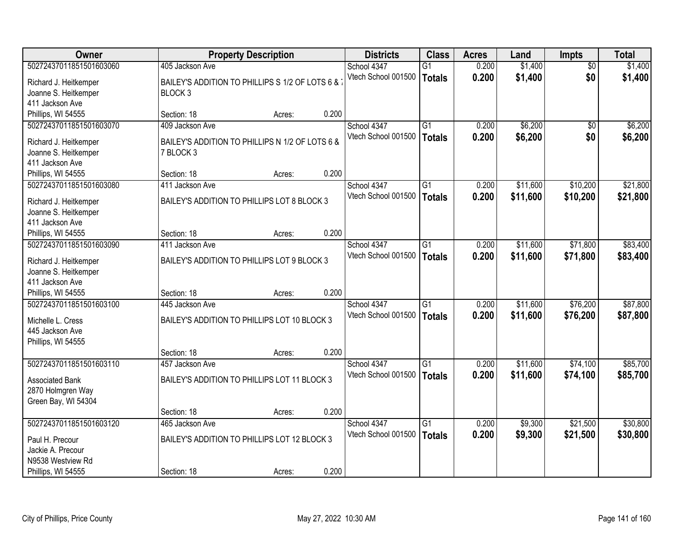| \$1,400<br>50272437011851501603060<br>0.200<br>$\overline{50}$<br>\$1,400<br>405 Jackson Ave<br>School 4347<br>$\overline{G1}$<br>\$0<br>Vtech School 001500<br>0.200<br>\$1,400<br>\$1,400<br><b>Totals</b><br>BAILEY'S ADDITION TO PHILLIPS S 1/2 OF LOTS 6 &<br>Richard J. Heitkemper<br>Joanne S. Heitkemper<br>BLOCK <sub>3</sub><br>411 Jackson Ave<br>0.200<br>Phillips, WI 54555<br>Section: 18<br>Acres:<br>50272437011851501603070<br>\$6,200<br>\$6,200<br>409 Jackson Ave<br>School 4347<br>G1<br>0.200<br>\$0<br>0.200<br>\$6,200<br>\$0<br>Vtech School 001500<br>\$6,200<br><b>Totals</b><br>BAILEY'S ADDITION TO PHILLIPS N 1/2 OF LOTS 6 &<br>Richard J. Heitkemper<br>Joanne S. Heitkemper<br>7 BLOCK 3<br>411 Jackson Ave |
|----------------------------------------------------------------------------------------------------------------------------------------------------------------------------------------------------------------------------------------------------------------------------------------------------------------------------------------------------------------------------------------------------------------------------------------------------------------------------------------------------------------------------------------------------------------------------------------------------------------------------------------------------------------------------------------------------------------------------------------------|
|                                                                                                                                                                                                                                                                                                                                                                                                                                                                                                                                                                                                                                                                                                                                              |
|                                                                                                                                                                                                                                                                                                                                                                                                                                                                                                                                                                                                                                                                                                                                              |
|                                                                                                                                                                                                                                                                                                                                                                                                                                                                                                                                                                                                                                                                                                                                              |
|                                                                                                                                                                                                                                                                                                                                                                                                                                                                                                                                                                                                                                                                                                                                              |
|                                                                                                                                                                                                                                                                                                                                                                                                                                                                                                                                                                                                                                                                                                                                              |
|                                                                                                                                                                                                                                                                                                                                                                                                                                                                                                                                                                                                                                                                                                                                              |
|                                                                                                                                                                                                                                                                                                                                                                                                                                                                                                                                                                                                                                                                                                                                              |
|                                                                                                                                                                                                                                                                                                                                                                                                                                                                                                                                                                                                                                                                                                                                              |
|                                                                                                                                                                                                                                                                                                                                                                                                                                                                                                                                                                                                                                                                                                                                              |
|                                                                                                                                                                                                                                                                                                                                                                                                                                                                                                                                                                                                                                                                                                                                              |
| 0.200<br>Phillips, WI 54555<br>Section: 18<br>Acres:<br>50272437011851501603080<br>\$11,600<br>\$10,200<br>\$21,800<br>School 4347<br>G1<br>0.200<br>411 Jackson Ave                                                                                                                                                                                                                                                                                                                                                                                                                                                                                                                                                                         |
| Vtech School 001500                                                                                                                                                                                                                                                                                                                                                                                                                                                                                                                                                                                                                                                                                                                          |
| 0.200<br>\$11,600<br>\$10,200<br>\$21,800<br><b>Totals</b><br>BAILEY'S ADDITION TO PHILLIPS LOT 8 BLOCK 3<br>Richard J. Heitkemper                                                                                                                                                                                                                                                                                                                                                                                                                                                                                                                                                                                                           |
| Joanne S. Heitkemper                                                                                                                                                                                                                                                                                                                                                                                                                                                                                                                                                                                                                                                                                                                         |
| 411 Jackson Ave                                                                                                                                                                                                                                                                                                                                                                                                                                                                                                                                                                                                                                                                                                                              |
| 0.200<br>Phillips, WI 54555<br>Section: 18<br>Acres:                                                                                                                                                                                                                                                                                                                                                                                                                                                                                                                                                                                                                                                                                         |
| \$71,800<br>50272437011851501603090<br>$\overline{G1}$<br>0.200<br>\$11,600<br>\$83,400<br>411 Jackson Ave<br>School 4347                                                                                                                                                                                                                                                                                                                                                                                                                                                                                                                                                                                                                    |
| Vtech School 001500<br>0.200<br>\$11,600<br>\$71,800<br>\$83,400<br><b>Totals</b><br>BAILEY'S ADDITION TO PHILLIPS LOT 9 BLOCK 3<br>Richard J. Heitkemper                                                                                                                                                                                                                                                                                                                                                                                                                                                                                                                                                                                    |
| Joanne S. Heitkemper                                                                                                                                                                                                                                                                                                                                                                                                                                                                                                                                                                                                                                                                                                                         |
| 411 Jackson Ave                                                                                                                                                                                                                                                                                                                                                                                                                                                                                                                                                                                                                                                                                                                              |
| 0.200<br>Phillips, WI 54555<br>Section: 18<br>Acres:                                                                                                                                                                                                                                                                                                                                                                                                                                                                                                                                                                                                                                                                                         |
| 50272437011851501603100<br>\$76,200<br>\$87,800<br>$\overline{G1}$<br>0.200<br>\$11,600<br>445 Jackson Ave<br>School 4347                                                                                                                                                                                                                                                                                                                                                                                                                                                                                                                                                                                                                    |
| Vtech School 001500<br>0.200<br>\$11,600<br>\$76,200<br>\$87,800<br><b>Totals</b>                                                                                                                                                                                                                                                                                                                                                                                                                                                                                                                                                                                                                                                            |
| Michelle L. Cress<br>BAILEY'S ADDITION TO PHILLIPS LOT 10 BLOCK 3                                                                                                                                                                                                                                                                                                                                                                                                                                                                                                                                                                                                                                                                            |
| 445 Jackson Ave                                                                                                                                                                                                                                                                                                                                                                                                                                                                                                                                                                                                                                                                                                                              |
| Phillips, WI 54555                                                                                                                                                                                                                                                                                                                                                                                                                                                                                                                                                                                                                                                                                                                           |
| 0.200<br>Section: 18<br>Acres:                                                                                                                                                                                                                                                                                                                                                                                                                                                                                                                                                                                                                                                                                                               |
| 50272437011851501603110<br>\$11,600<br>\$74,100<br>\$85,700<br>457 Jackson Ave<br>School 4347<br>G1<br>0.200                                                                                                                                                                                                                                                                                                                                                                                                                                                                                                                                                                                                                                 |
| \$11,600<br>Vtech School 001500<br>0.200<br>\$74,100<br>\$85,700<br><b>Totals</b><br>BAILEY'S ADDITION TO PHILLIPS LOT 11 BLOCK 3<br><b>Associated Bank</b>                                                                                                                                                                                                                                                                                                                                                                                                                                                                                                                                                                                  |
| 2870 Holmgren Way                                                                                                                                                                                                                                                                                                                                                                                                                                                                                                                                                                                                                                                                                                                            |
| Green Bay, WI 54304                                                                                                                                                                                                                                                                                                                                                                                                                                                                                                                                                                                                                                                                                                                          |
| 0.200<br>Section: 18<br>Acres:                                                                                                                                                                                                                                                                                                                                                                                                                                                                                                                                                                                                                                                                                                               |
| 50272437011851501603120<br>\$21,500<br>\$30,800<br>$\overline{G1}$<br>0.200<br>\$9,300<br>465 Jackson Ave<br>School 4347                                                                                                                                                                                                                                                                                                                                                                                                                                                                                                                                                                                                                     |
| 0.200<br>Vtech School 001500<br>\$9,300<br>\$21,500<br>\$30,800<br><b>Totals</b><br>BAILEY'S ADDITION TO PHILLIPS LOT 12 BLOCK 3                                                                                                                                                                                                                                                                                                                                                                                                                                                                                                                                                                                                             |
| Paul H. Precour<br>Jackie A. Precour                                                                                                                                                                                                                                                                                                                                                                                                                                                                                                                                                                                                                                                                                                         |
| N9538 Westview Rd                                                                                                                                                                                                                                                                                                                                                                                                                                                                                                                                                                                                                                                                                                                            |
| 0.200<br>Phillips, WI 54555<br>Section: 18<br>Acres:                                                                                                                                                                                                                                                                                                                                                                                                                                                                                                                                                                                                                                                                                         |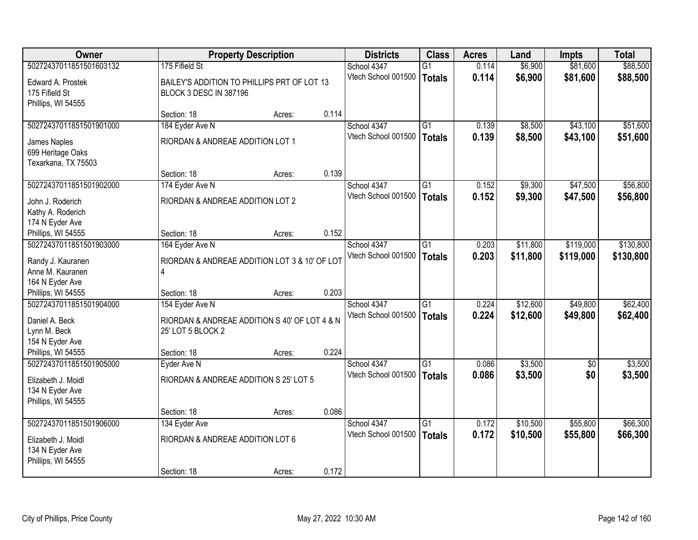| <b>Owner</b>            |                                               | <b>Property Description</b> |       |                     | <b>Class</b>    | <b>Acres</b> | Land     | <b>Impts</b> | <b>Total</b> |
|-------------------------|-----------------------------------------------|-----------------------------|-------|---------------------|-----------------|--------------|----------|--------------|--------------|
| 50272437011851501603132 | 175 Fifield St                                |                             |       | School 4347         | $\overline{G1}$ | 0.114        | \$6,900  | \$81,600     | \$88,500     |
| Edward A. Prostek       | BAILEY'S ADDITION TO PHILLIPS PRT OF LOT 13   |                             |       | Vtech School 001500 | Totals          | 0.114        | \$6,900  | \$81,600     | \$88,500     |
| 175 Fifield St          | BLOCK 3 DESC IN 387196                        |                             |       |                     |                 |              |          |              |              |
| Phillips, WI 54555      |                                               |                             |       |                     |                 |              |          |              |              |
|                         | Section: 18                                   | Acres:                      | 0.114 |                     |                 |              |          |              |              |
| 50272437011851501901000 | 184 Eyder Ave N                               |                             |       | School 4347         | $\overline{G1}$ | 0.139        | \$8,500  | \$43,100     | \$51,600     |
| James Naples            | RIORDAN & ANDREAE ADDITION LOT 1              |                             |       | Vtech School 001500 | <b>Totals</b>   | 0.139        | \$8,500  | \$43,100     | \$51,600     |
| 699 Heritage Oaks       |                                               |                             |       |                     |                 |              |          |              |              |
| Texarkana, TX 75503     |                                               |                             |       |                     |                 |              |          |              |              |
|                         | Section: 18                                   | Acres:                      | 0.139 |                     |                 |              |          |              |              |
| 50272437011851501902000 | 174 Eyder Ave N                               |                             |       | School 4347         | $\overline{G1}$ | 0.152        | \$9,300  | \$47,500     | \$56,800     |
| John J. Roderich        | RIORDAN & ANDREAE ADDITION LOT 2              |                             |       | Vtech School 001500 | Totals          | 0.152        | \$9,300  | \$47,500     | \$56,800     |
| Kathy A. Roderich       |                                               |                             |       |                     |                 |              |          |              |              |
| 174 N Eyder Ave         |                                               |                             |       |                     |                 |              |          |              |              |
| Phillips, WI 54555      | Section: 18                                   | Acres:                      | 0.152 |                     |                 |              |          |              |              |
| 50272437011851501903000 | 164 Eyder Ave N                               |                             |       | School 4347         | $\overline{G1}$ | 0.203        | \$11,800 | \$119,000    | \$130,800    |
| Randy J. Kauranen       | RIORDAN & ANDREAE ADDITION LOT 3 & 10' OF LOT |                             |       | Vtech School 001500 | Totals          | 0.203        | \$11,800 | \$119,000    | \$130,800    |
| Anne M. Kauranen        | 4                                             |                             |       |                     |                 |              |          |              |              |
| 164 N Eyder Ave         |                                               |                             |       |                     |                 |              |          |              |              |
| Phillips, WI 54555      | Section: 18                                   | Acres:                      | 0.203 |                     |                 |              |          |              |              |
| 50272437011851501904000 | 154 Eyder Ave N                               |                             |       | School 4347         | $\overline{G1}$ | 0.224        | \$12,600 | \$49,800     | \$62,400     |
| Daniel A. Beck          | RIORDAN & ANDREAE ADDITION S 40' OF LOT 4 & N |                             |       | Vtech School 001500 | <b>Totals</b>   | 0.224        | \$12,600 | \$49,800     | \$62,400     |
| Lynn M. Beck            | 25' LOT 5 BLOCK 2                             |                             |       |                     |                 |              |          |              |              |
| 154 N Eyder Ave         |                                               |                             |       |                     |                 |              |          |              |              |
| Phillips, WI 54555      | Section: 18                                   | Acres:                      | 0.224 |                     |                 |              |          |              |              |
| 50272437011851501905000 | Eyder Ave N                                   |                             |       | School 4347         | G1              | 0.086        | \$3,500  | \$0          | \$3,500      |
| Elizabeth J. Moidl      | RIORDAN & ANDREAE ADDITION S 25' LOT 5        |                             |       | Vtech School 001500 | Totals          | 0.086        | \$3,500  | \$0          | \$3,500      |
| 134 N Eyder Ave         |                                               |                             |       |                     |                 |              |          |              |              |
| Phillips, WI 54555      |                                               |                             |       |                     |                 |              |          |              |              |
|                         | Section: 18                                   | Acres:                      | 0.086 |                     |                 |              |          |              |              |
| 50272437011851501906000 | 134 Eyder Ave                                 |                             |       | School 4347         | $\overline{G1}$ | 0.172        | \$10,500 | \$55,800     | \$66,300     |
| Elizabeth J. Moidl      | RIORDAN & ANDREAE ADDITION LOT 6              |                             |       | Vtech School 001500 | Totals          | 0.172        | \$10,500 | \$55,800     | \$66,300     |
| 134 N Eyder Ave         |                                               |                             |       |                     |                 |              |          |              |              |
| Phillips, WI 54555      |                                               |                             |       |                     |                 |              |          |              |              |
|                         | Section: 18                                   | Acres:                      | 0.172 |                     |                 |              |          |              |              |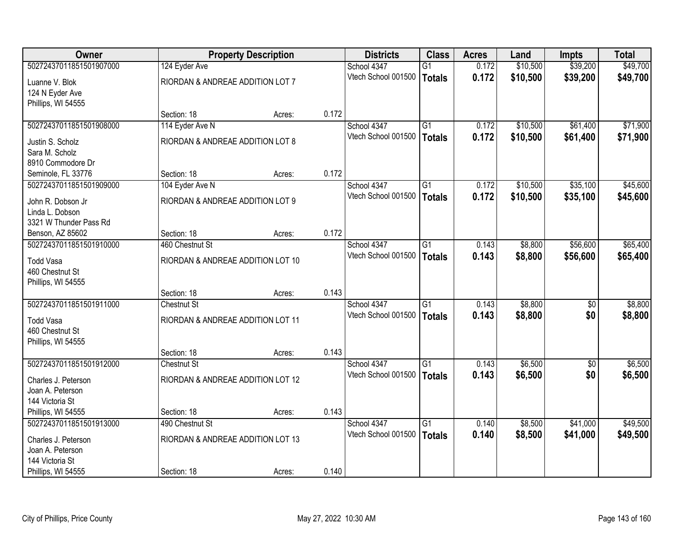| <b>Owner</b>            |                                   | <b>Property Description</b> |       | <b>Districts</b>    | <b>Class</b>    | <b>Acres</b> | Land     | <b>Impts</b> | <b>Total</b> |
|-------------------------|-----------------------------------|-----------------------------|-------|---------------------|-----------------|--------------|----------|--------------|--------------|
| 50272437011851501907000 | 124 Eyder Ave                     |                             |       | School 4347         | $\overline{G1}$ | 0.172        | \$10,500 | \$39,200     | \$49,700     |
| Luanne V. Blok          | RIORDAN & ANDREAE ADDITION LOT 7  |                             |       | Vtech School 001500 | Totals          | 0.172        | \$10,500 | \$39,200     | \$49,700     |
| 124 N Eyder Ave         |                                   |                             |       |                     |                 |              |          |              |              |
| Phillips, WI 54555      |                                   |                             |       |                     |                 |              |          |              |              |
|                         | Section: 18                       | Acres:                      | 0.172 |                     |                 |              |          |              |              |
| 50272437011851501908000 | 114 Eyder Ave N                   |                             |       | School 4347         | $\overline{G1}$ | 0.172        | \$10,500 | \$61,400     | \$71,900     |
| Justin S. Scholz        | RIORDAN & ANDREAE ADDITION LOT 8  |                             |       | Vtech School 001500 | <b>Totals</b>   | 0.172        | \$10,500 | \$61,400     | \$71,900     |
| Sara M. Scholz          |                                   |                             |       |                     |                 |              |          |              |              |
| 8910 Commodore Dr       |                                   |                             |       |                     |                 |              |          |              |              |
| Seminole, FL 33776      | Section: 18                       | Acres:                      | 0.172 |                     |                 |              |          |              |              |
| 50272437011851501909000 | 104 Eyder Ave N                   |                             |       | School 4347         | $\overline{G1}$ | 0.172        | \$10,500 | \$35,100     | \$45,600     |
| John R. Dobson Jr       | RIORDAN & ANDREAE ADDITION LOT 9  |                             |       | Vtech School 001500 | Totals          | 0.172        | \$10,500 | \$35,100     | \$45,600     |
| Linda L. Dobson         |                                   |                             |       |                     |                 |              |          |              |              |
| 3321 W Thunder Pass Rd  |                                   |                             |       |                     |                 |              |          |              |              |
| Benson, AZ 85602        | Section: 18                       | Acres:                      | 0.172 |                     |                 |              |          |              |              |
| 50272437011851501910000 | 460 Chestnut St                   |                             |       | School 4347         | $\overline{G1}$ | 0.143        | \$8,800  | \$56,600     | \$65,400     |
| <b>Todd Vasa</b>        | RIORDAN & ANDREAE ADDITION LOT 10 |                             |       | Vtech School 001500 | Totals          | 0.143        | \$8,800  | \$56,600     | \$65,400     |
| 460 Chestnut St         |                                   |                             |       |                     |                 |              |          |              |              |
| Phillips, WI 54555      |                                   |                             |       |                     |                 |              |          |              |              |
|                         | Section: 18                       | Acres:                      | 0.143 |                     |                 |              |          |              |              |
| 50272437011851501911000 | <b>Chestnut St</b>                |                             |       | School 4347         | $\overline{G1}$ | 0.143        | \$8,800  | \$0          | \$8,800      |
| <b>Todd Vasa</b>        | RIORDAN & ANDREAE ADDITION LOT 11 |                             |       | Vtech School 001500 | Totals          | 0.143        | \$8,800  | \$0          | \$8,800      |
| 460 Chestnut St         |                                   |                             |       |                     |                 |              |          |              |              |
| Phillips, WI 54555      |                                   |                             |       |                     |                 |              |          |              |              |
|                         | Section: 18                       | Acres:                      | 0.143 |                     |                 |              |          |              |              |
| 50272437011851501912000 | <b>Chestnut St</b>                |                             |       | School 4347         | $\overline{G1}$ | 0.143        | \$6,500  | $\sqrt{6}$   | \$6,500      |
| Charles J. Peterson     | RIORDAN & ANDREAE ADDITION LOT 12 |                             |       | Vtech School 001500 | Totals          | 0.143        | \$6,500  | \$0          | \$6,500      |
| Joan A. Peterson        |                                   |                             |       |                     |                 |              |          |              |              |
| 144 Victoria St         |                                   |                             |       |                     |                 |              |          |              |              |
| Phillips, WI 54555      | Section: 18                       | Acres:                      | 0.143 |                     |                 |              |          |              |              |
| 50272437011851501913000 | 490 Chestnut St                   |                             |       | School 4347         | $\overline{G1}$ | 0.140        | \$8,500  | \$41,000     | \$49,500     |
| Charles J. Peterson     | RIORDAN & ANDREAE ADDITION LOT 13 |                             |       | Vtech School 001500 | Totals          | 0.140        | \$8,500  | \$41,000     | \$49,500     |
| Joan A. Peterson        |                                   |                             |       |                     |                 |              |          |              |              |
| 144 Victoria St         |                                   |                             |       |                     |                 |              |          |              |              |
| Phillips, WI 54555      | Section: 18                       | Acres:                      | 0.140 |                     |                 |              |          |              |              |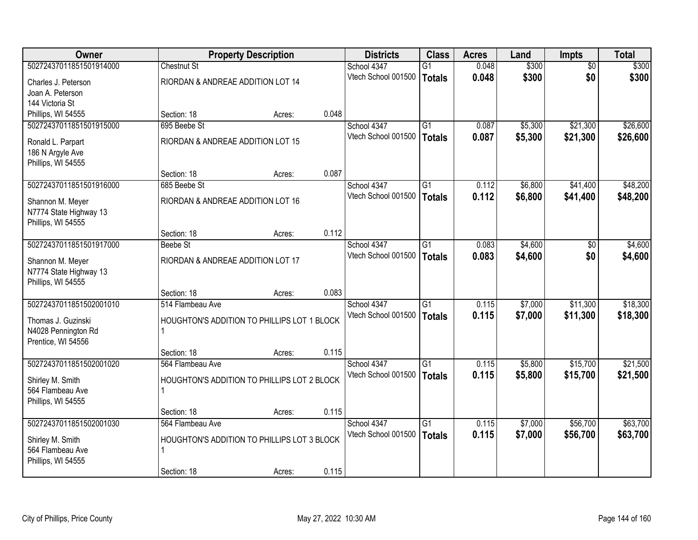| <b>Owner</b>            |                                             | <b>Property Description</b> |       | <b>Districts</b>    | <b>Class</b>    | <b>Acres</b> | Land    | <b>Impts</b>    | <b>Total</b> |
|-------------------------|---------------------------------------------|-----------------------------|-------|---------------------|-----------------|--------------|---------|-----------------|--------------|
| 50272437011851501914000 | <b>Chestnut St</b>                          |                             |       | School 4347         | $\overline{G1}$ | 0.048        | \$300   | $\overline{50}$ | \$300        |
| Charles J. Peterson     | RIORDAN & ANDREAE ADDITION LOT 14           |                             |       | Vtech School 001500 | <b>Totals</b>   | 0.048        | \$300   | \$0             | \$300        |
| Joan A. Peterson        |                                             |                             |       |                     |                 |              |         |                 |              |
| 144 Victoria St         |                                             |                             |       |                     |                 |              |         |                 |              |
| Phillips, WI 54555      | Section: 18                                 | Acres:                      | 0.048 |                     |                 |              |         |                 |              |
| 50272437011851501915000 | 695 Beebe St                                |                             |       | School 4347         | $\overline{G1}$ | 0.087        | \$5,300 | \$21,300        | \$26,600     |
| Ronald L. Parpart       | RIORDAN & ANDREAE ADDITION LOT 15           |                             |       | Vtech School 001500 | <b>Totals</b>   | 0.087        | \$5,300 | \$21,300        | \$26,600     |
| 186 N Argyle Ave        |                                             |                             |       |                     |                 |              |         |                 |              |
| Phillips, WI 54555      |                                             |                             |       |                     |                 |              |         |                 |              |
|                         | Section: 18                                 | Acres:                      | 0.087 |                     |                 |              |         |                 |              |
| 50272437011851501916000 | 685 Beebe St                                |                             |       | School 4347         | G1              | 0.112        | \$6,800 | \$41,400        | \$48,200     |
| Shannon M. Meyer        | RIORDAN & ANDREAE ADDITION LOT 16           |                             |       | Vtech School 001500 | Totals          | 0.112        | \$6,800 | \$41,400        | \$48,200     |
| N7774 State Highway 13  |                                             |                             |       |                     |                 |              |         |                 |              |
| Phillips, WI 54555      |                                             |                             |       |                     |                 |              |         |                 |              |
|                         | Section: 18                                 | Acres:                      | 0.112 |                     |                 |              |         |                 |              |
| 50272437011851501917000 | <b>Beebe St</b>                             |                             |       | School 4347         | $\overline{G1}$ | 0.083        | \$4,600 | $\sqrt{6}$      | \$4,600      |
| Shannon M. Meyer        | RIORDAN & ANDREAE ADDITION LOT 17           |                             |       | Vtech School 001500 | <b>Totals</b>   | 0.083        | \$4,600 | \$0             | \$4,600      |
| N7774 State Highway 13  |                                             |                             |       |                     |                 |              |         |                 |              |
| Phillips, WI 54555      |                                             |                             |       |                     |                 |              |         |                 |              |
|                         | Section: 18                                 | Acres:                      | 0.083 |                     |                 |              |         |                 |              |
| 50272437011851502001010 | 514 Flambeau Ave                            |                             |       | School 4347         | $\overline{G1}$ | 0.115        | \$7,000 | \$11,300        | \$18,300     |
| Thomas J. Guzinski      | HOUGHTON'S ADDITION TO PHILLIPS LOT 1 BLOCK |                             |       | Vtech School 001500 | Totals          | 0.115        | \$7,000 | \$11,300        | \$18,300     |
| N4028 Pennington Rd     |                                             |                             |       |                     |                 |              |         |                 |              |
| Prentice, WI 54556      |                                             |                             |       |                     |                 |              |         |                 |              |
|                         | Section: 18                                 | Acres:                      | 0.115 |                     |                 |              |         |                 |              |
| 50272437011851502001020 | 564 Flambeau Ave                            |                             |       | School 4347         | G1              | 0.115        | \$5,800 | \$15,700        | \$21,500     |
| Shirley M. Smith        | HOUGHTON'S ADDITION TO PHILLIPS LOT 2 BLOCK |                             |       | Vtech School 001500 | Totals          | 0.115        | \$5,800 | \$15,700        | \$21,500     |
| 564 Flambeau Ave        | 1                                           |                             |       |                     |                 |              |         |                 |              |
| Phillips, WI 54555      |                                             |                             |       |                     |                 |              |         |                 |              |
|                         | Section: 18                                 | Acres:                      | 0.115 |                     |                 |              |         |                 |              |
| 50272437011851502001030 | 564 Flambeau Ave                            |                             |       | School 4347         | $\overline{G1}$ | 0.115        | \$7,000 | \$56,700        | \$63,700     |
| Shirley M. Smith        | HOUGHTON'S ADDITION TO PHILLIPS LOT 3 BLOCK |                             |       | Vtech School 001500 | Totals          | 0.115        | \$7,000 | \$56,700        | \$63,700     |
| 564 Flambeau Ave        | 1                                           |                             |       |                     |                 |              |         |                 |              |
| Phillips, WI 54555      |                                             |                             |       |                     |                 |              |         |                 |              |
|                         | Section: 18                                 | Acres:                      | 0.115 |                     |                 |              |         |                 |              |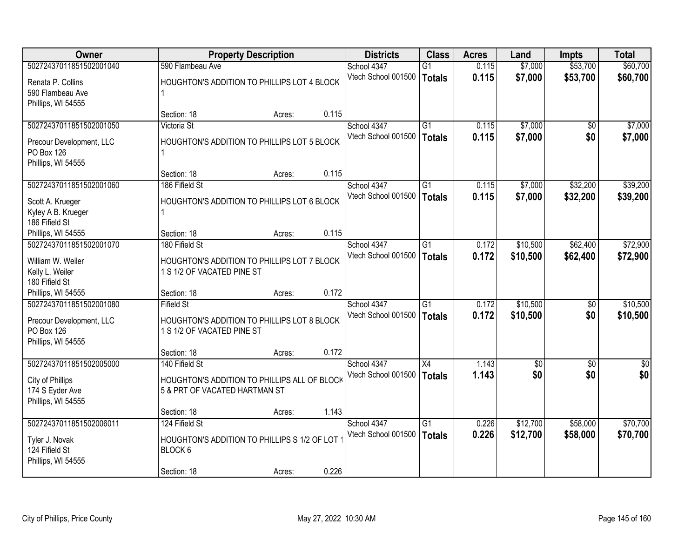| <b>Owner</b>             |                               | <b>Property Description</b>                  |       | <b>Districts</b>    | <b>Class</b>    | <b>Acres</b> | Land       | Impts      | <b>Total</b>    |
|--------------------------|-------------------------------|----------------------------------------------|-------|---------------------|-----------------|--------------|------------|------------|-----------------|
| 50272437011851502001040  | 590 Flambeau Ave              |                                              |       | School 4347         | $\overline{G1}$ | 0.115        | \$7,000    | \$53,700   | \$60,700        |
| Renata P. Collins        |                               | HOUGHTON'S ADDITION TO PHILLIPS LOT 4 BLOCK  |       | Vtech School 001500 | <b>Totals</b>   | 0.115        | \$7,000    | \$53,700   | \$60,700        |
| 590 Flambeau Ave         |                               |                                              |       |                     |                 |              |            |            |                 |
| Phillips, WI 54555       |                               |                                              |       |                     |                 |              |            |            |                 |
|                          | Section: 18                   | Acres:                                       | 0.115 |                     |                 |              |            |            |                 |
| 50272437011851502001050  | Victoria St                   |                                              |       | School 4347         | $\overline{G1}$ | 0.115        | \$7,000    | \$0        | \$7,000         |
| Precour Development, LLC |                               | HOUGHTON'S ADDITION TO PHILLIPS LOT 5 BLOCK  |       | Vtech School 001500 | <b>Totals</b>   | 0.115        | \$7,000    | \$0        | \$7,000         |
| <b>PO Box 126</b>        |                               |                                              |       |                     |                 |              |            |            |                 |
| Phillips, WI 54555       |                               |                                              |       |                     |                 |              |            |            |                 |
|                          | Section: 18                   | Acres:                                       | 0.115 |                     |                 |              |            |            |                 |
| 50272437011851502001060  | 186 Fifield St                |                                              |       | School 4347         | $\overline{G1}$ | 0.115        | \$7,000    | \$32,200   | \$39,200        |
| Scott A. Krueger         |                               | HOUGHTON'S ADDITION TO PHILLIPS LOT 6 BLOCK  |       | Vtech School 001500 | <b>Totals</b>   | 0.115        | \$7,000    | \$32,200   | \$39,200        |
| Kyley A B. Krueger       |                               |                                              |       |                     |                 |              |            |            |                 |
| 186 Fifield St           |                               |                                              |       |                     |                 |              |            |            |                 |
| Phillips, WI 54555       | Section: 18                   | Acres:                                       | 0.115 |                     |                 |              |            |            |                 |
| 50272437011851502001070  | 180 Fifield St                |                                              |       | School 4347         | $\overline{G1}$ | 0.172        | \$10,500   | \$62,400   | \$72,900        |
| William W. Weiler        |                               | HOUGHTON'S ADDITION TO PHILLIPS LOT 7 BLOCK  |       | Vtech School 001500 | <b>Totals</b>   | 0.172        | \$10,500   | \$62,400   | \$72,900        |
| Kelly L. Weiler          | 1 S 1/2 OF VACATED PINE ST    |                                              |       |                     |                 |              |            |            |                 |
| 180 Fifield St           |                               |                                              |       |                     |                 |              |            |            |                 |
| Phillips, WI 54555       | Section: 18                   | Acres:                                       | 0.172 |                     |                 |              |            |            |                 |
| 50272437011851502001080  | <b>Fifield St</b>             |                                              |       | School 4347         | $\overline{G1}$ | 0.172        | \$10,500   | \$0        | \$10,500        |
| Precour Development, LLC |                               | HOUGHTON'S ADDITION TO PHILLIPS LOT 8 BLOCK  |       | Vtech School 001500 | <b>Totals</b>   | 0.172        | \$10,500   | \$0        | \$10,500        |
| PO Box 126               | 1 S 1/2 OF VACATED PINE ST    |                                              |       |                     |                 |              |            |            |                 |
| Phillips, WI 54555       |                               |                                              |       |                     |                 |              |            |            |                 |
|                          | Section: 18                   | Acres:                                       | 0.172 |                     |                 |              |            |            |                 |
| 50272437011851502005000  | 140 Fifield St                |                                              |       | School 4347         | X4              | 1.143        | $\sqrt{6}$ | $\sqrt{6}$ | $\overline{50}$ |
| City of Phillips         |                               | HOUGHTON'S ADDITION TO PHILLIPS ALL OF BLOCK |       | Vtech School 001500 | <b>Totals</b>   | 1.143        | \$0        | \$0        | \$0             |
| 174 S Eyder Ave          | 5 & PRT OF VACATED HARTMAN ST |                                              |       |                     |                 |              |            |            |                 |
| Phillips, WI 54555       |                               |                                              |       |                     |                 |              |            |            |                 |
|                          | Section: 18                   | Acres:                                       | 1.143 |                     |                 |              |            |            |                 |
| 50272437011851502006011  | 124 Fifield St                |                                              |       | School 4347         | $\overline{G1}$ | 0.226        | \$12,700   | \$58,000   | \$70,700        |
| Tyler J. Novak           |                               | HOUGHTON'S ADDITION TO PHILLIPS S 1/2 OF LOT |       | Vtech School 001500 | <b>Totals</b>   | 0.226        | \$12,700   | \$58,000   | \$70,700        |
| 124 Fifield St           | BLOCK 6                       |                                              |       |                     |                 |              |            |            |                 |
| Phillips, WI 54555       |                               |                                              |       |                     |                 |              |            |            |                 |
|                          | Section: 18                   | Acres:                                       | 0.226 |                     |                 |              |            |            |                 |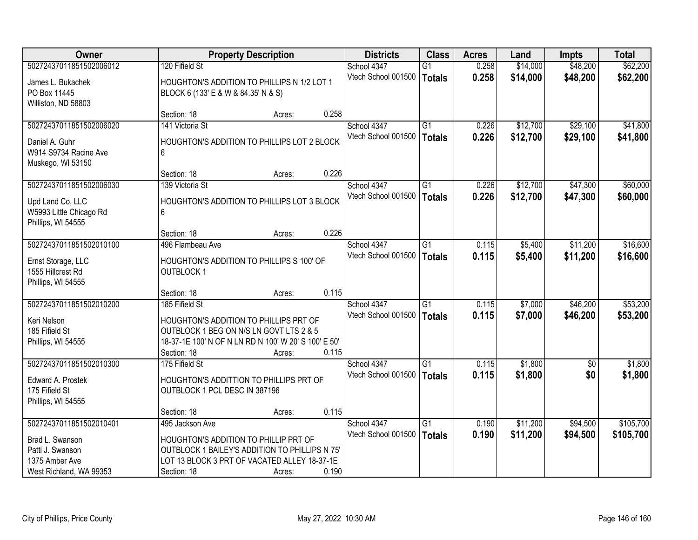| <b>Owner</b>                        |                                                      | <b>Property Description</b> |       | <b>Districts</b>    | <b>Class</b>    | <b>Acres</b> | Land     | <b>Impts</b> | <b>Total</b> |
|-------------------------------------|------------------------------------------------------|-----------------------------|-------|---------------------|-----------------|--------------|----------|--------------|--------------|
| 50272437011851502006012             | 120 Fifield St                                       |                             |       | School 4347         | $\overline{G1}$ | 0.258        | \$14,000 | \$48,200     | \$62,200     |
| James L. Bukachek                   | HOUGHTON'S ADDITION TO PHILLIPS N 1/2 LOT 1          |                             |       | Vtech School 001500 | Totals          | 0.258        | \$14,000 | \$48,200     | \$62,200     |
| PO Box 11445                        | BLOCK 6 (133' E & W & 84.35' N & S)                  |                             |       |                     |                 |              |          |              |              |
| Williston, ND 58803                 |                                                      |                             |       |                     |                 |              |          |              |              |
|                                     | Section: 18                                          | Acres:                      | 0.258 |                     |                 |              |          |              |              |
| 50272437011851502006020             | 141 Victoria St                                      |                             |       | School 4347         | $\overline{G1}$ | 0.226        | \$12,700 | \$29,100     | \$41,800     |
| Daniel A. Guhr                      | HOUGHTON'S ADDITION TO PHILLIPS LOT 2 BLOCK          |                             |       | Vtech School 001500 | Totals          | 0.226        | \$12,700 | \$29,100     | \$41,800     |
| W914 S9734 Racine Ave               | 6                                                    |                             |       |                     |                 |              |          |              |              |
| Muskego, WI 53150                   |                                                      |                             |       |                     |                 |              |          |              |              |
|                                     | Section: 18                                          | Acres:                      | 0.226 |                     |                 |              |          |              |              |
| 50272437011851502006030             | 139 Victoria St                                      |                             |       | School 4347         | G1              | 0.226        | \$12,700 | \$47,300     | \$60,000     |
| Upd Land Co, LLC                    | HOUGHTON'S ADDITION TO PHILLIPS LOT 3 BLOCK          |                             |       | Vtech School 001500 | <b>Totals</b>   | 0.226        | \$12,700 | \$47,300     | \$60,000     |
| W5993 Little Chicago Rd             | 6                                                    |                             |       |                     |                 |              |          |              |              |
| Phillips, WI 54555                  |                                                      |                             |       |                     |                 |              |          |              |              |
|                                     | Section: 18                                          | Acres:                      | 0.226 |                     |                 |              |          |              |              |
| 50272437011851502010100             | 496 Flambeau Ave                                     |                             |       | School 4347         | G1              | 0.115        | \$5,400  | \$11,200     | \$16,600     |
| Ernst Storage, LLC                  | HOUGHTON'S ADDITION TO PHILLIPS S 100' OF            |                             |       | Vtech School 001500 | <b>Totals</b>   | 0.115        | \$5,400  | \$11,200     | \$16,600     |
| 1555 Hillcrest Rd                   | <b>OUTBLOCK1</b>                                     |                             |       |                     |                 |              |          |              |              |
| Phillips, WI 54555                  |                                                      |                             |       |                     |                 |              |          |              |              |
|                                     | Section: 18                                          | Acres:                      | 0.115 |                     |                 |              |          |              |              |
| 50272437011851502010200             | 185 Fifield St                                       |                             |       | School 4347         | $\overline{G1}$ | 0.115        | \$7,000  | \$46,200     | \$53,200     |
| Keri Nelson                         | HOUGHTON'S ADDITION TO PHILLIPS PRT OF               |                             |       | Vtech School 001500 | Totals          | 0.115        | \$7,000  | \$46,200     | \$53,200     |
| 185 Fifield St                      | OUTBLOCK 1 BEG ON N/S LN GOVT LTS 2 & 5              |                             |       |                     |                 |              |          |              |              |
| Phillips, WI 54555                  | 18-37-1E 100' N OF N LN RD N 100' W 20' S 100' E 50' |                             |       |                     |                 |              |          |              |              |
|                                     | Section: 18                                          | Acres:                      | 0.115 |                     |                 |              |          |              |              |
| 50272437011851502010300             | 175 Fifield St                                       |                             |       | School 4347         | $\overline{G1}$ | 0.115        | \$1,800  | $\sqrt{6}$   | \$1,800      |
|                                     | HOUGHTON'S ADDITTION TO PHILLIPS PRT OF              |                             |       | Vtech School 001500 | Totals          | 0.115        | \$1,800  | \$0          | \$1,800      |
| Edward A. Prostek<br>175 Fifield St | OUTBLOCK 1 PCL DESC IN 387196                        |                             |       |                     |                 |              |          |              |              |
| Phillips, WI 54555                  |                                                      |                             |       |                     |                 |              |          |              |              |
|                                     | Section: 18                                          | Acres:                      | 0.115 |                     |                 |              |          |              |              |
| 50272437011851502010401             | 495 Jackson Ave                                      |                             |       | School 4347         | $\overline{G1}$ | 0.190        | \$11,200 | \$94,500     | \$105,700    |
| Brad L. Swanson                     | HOUGHTON'S ADDITION TO PHILLIP PRT OF                |                             |       | Vtech School 001500 | Totals          | 0.190        | \$11,200 | \$94,500     | \$105,700    |
| Patti J. Swanson                    | OUTBLOCK 1 BAILEY'S ADDITION TO PHILLIPS N 75'       |                             |       |                     |                 |              |          |              |              |
| 1375 Amber Ave                      | LOT 13 BLOCK 3 PRT OF VACATED ALLEY 18-37-1E         |                             |       |                     |                 |              |          |              |              |
| West Richland, WA 99353             | Section: 18                                          | Acres:                      | 0.190 |                     |                 |              |          |              |              |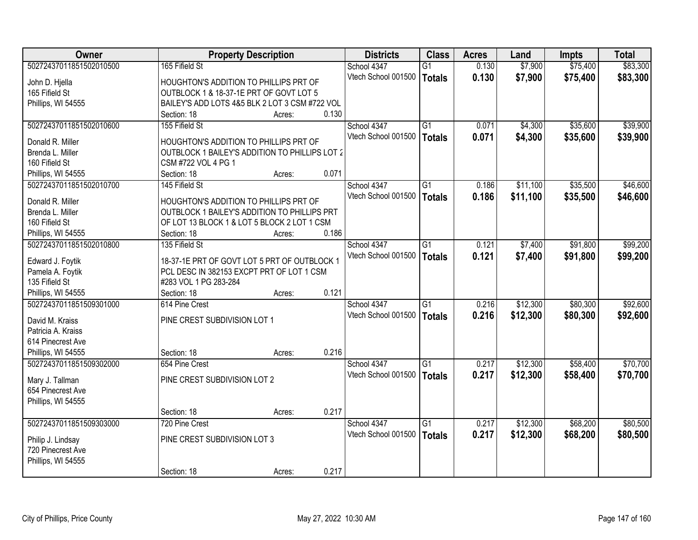| Owner                   |                                                       | <b>Property Description</b> |       | <b>Districts</b>    | <b>Class</b>    | <b>Acres</b> | Land     | <b>Impts</b> | <b>Total</b> |
|-------------------------|-------------------------------------------------------|-----------------------------|-------|---------------------|-----------------|--------------|----------|--------------|--------------|
| 50272437011851502010500 | 165 Fifield St                                        |                             |       | School 4347         | $\overline{G1}$ | 0.130        | \$7,900  | \$75,400     | \$83,300     |
| John D. Hjella          | HOUGHTON'S ADDITION TO PHILLIPS PRT OF                |                             |       | Vtech School 001500 | Totals          | 0.130        | \$7,900  | \$75,400     | \$83,300     |
| 165 Fifield St          | OUTBLOCK 1 & 18-37-1E PRT OF GOVT LOT 5               |                             |       |                     |                 |              |          |              |              |
| Phillips, WI 54555      | BAILEY'S ADD LOTS 4&5 BLK 2 LOT 3 CSM #722 VOL        |                             |       |                     |                 |              |          |              |              |
|                         | Section: 18                                           | Acres:                      | 0.130 |                     |                 |              |          |              |              |
| 50272437011851502010600 | 155 Fifield St                                        |                             |       | School 4347         | $\overline{G1}$ | 0.071        | \$4,300  | \$35,600     | \$39,900     |
|                         |                                                       |                             |       | Vtech School 001500 | <b>Totals</b>   | 0.071        | \$4,300  | \$35,600     | \$39,900     |
| Donald R. Miller        | HOUGHTON'S ADDITION TO PHILLIPS PRT OF                |                             |       |                     |                 |              |          |              |              |
| Brenda L. Miller        | <b>OUTBLOCK 1 BAILEY'S ADDITION TO PHILLIPS LOT 2</b> |                             |       |                     |                 |              |          |              |              |
| 160 Fifield St          | CSM #722 VOL 4 PG 1                                   |                             |       |                     |                 |              |          |              |              |
| Phillips, WI 54555      | Section: 18                                           | Acres:                      | 0.071 |                     |                 |              |          |              |              |
| 50272437011851502010700 | 145 Fifield St                                        |                             |       | School 4347         | G1              | 0.186        | \$11,100 | \$35,500     | \$46,600     |
| Donald R. Miller        | HOUGHTON'S ADDITION TO PHILLIPS PRT OF                |                             |       | Vtech School 001500 | Totals          | 0.186        | \$11,100 | \$35,500     | \$46,600     |
| Brenda L. Miller        | OUTBLOCK 1 BAILEY'S ADDITION TO PHILLIPS PRT          |                             |       |                     |                 |              |          |              |              |
| 160 Fifield St          | OF LOT 13 BLOCK 1 & LOT 5 BLOCK 2 LOT 1 CSM           |                             |       |                     |                 |              |          |              |              |
| Phillips, WI 54555      | Section: 18                                           | Acres:                      | 0.186 |                     |                 |              |          |              |              |
| 50272437011851502010800 | 135 Fifield St                                        |                             |       | School 4347         | G1              | 0.121        | \$7,400  | \$91,800     | \$99,200     |
|                         |                                                       |                             |       | Vtech School 001500 | <b>Totals</b>   | 0.121        | \$7,400  | \$91,800     | \$99,200     |
| Edward J. Foytik        | 18-37-1E PRT OF GOVT LOT 5 PRT OF OUTBLOCK 1          |                             |       |                     |                 |              |          |              |              |
| Pamela A. Foytik        | PCL DESC IN 382153 EXCPT PRT OF LOT 1 CSM             |                             |       |                     |                 |              |          |              |              |
| 135 Fifield St          | #283 VOL 1 PG 283-284                                 |                             |       |                     |                 |              |          |              |              |
| Phillips, WI 54555      | Section: 18                                           | Acres:                      | 0.121 |                     |                 |              |          |              |              |
| 50272437011851509301000 | 614 Pine Crest                                        |                             |       | School 4347         | $\overline{G1}$ | 0.216        | \$12,300 | \$80,300     | \$92,600     |
| David M. Kraiss         | PINE CREST SUBDIVISION LOT 1                          |                             |       | Vtech School 001500 | Totals          | 0.216        | \$12,300 | \$80,300     | \$92,600     |
| Patricia A. Kraiss      |                                                       |                             |       |                     |                 |              |          |              |              |
| 614 Pinecrest Ave       |                                                       |                             |       |                     |                 |              |          |              |              |
| Phillips, WI 54555      | Section: 18                                           | Acres:                      | 0.216 |                     |                 |              |          |              |              |
| 50272437011851509302000 | 654 Pine Crest                                        |                             |       | School 4347         | G1              | 0.217        | \$12,300 | \$58,400     | \$70,700     |
|                         |                                                       |                             |       | Vtech School 001500 | Totals          | 0.217        | \$12,300 | \$58,400     | \$70,700     |
| Mary J. Tallman         | PINE CREST SUBDIVISION LOT 2                          |                             |       |                     |                 |              |          |              |              |
| 654 Pinecrest Ave       |                                                       |                             |       |                     |                 |              |          |              |              |
| Phillips, WI 54555      |                                                       |                             |       |                     |                 |              |          |              |              |
|                         | Section: 18                                           | Acres:                      | 0.217 |                     |                 |              |          |              |              |
| 50272437011851509303000 | 720 Pine Crest                                        |                             |       | School 4347         | $\overline{G1}$ | 0.217        | \$12,300 | \$68,200     | \$80,500     |
| Philip J. Lindsay       | PINE CREST SUBDIVISION LOT 3                          |                             |       | Vtech School 001500 | Totals          | 0.217        | \$12,300 | \$68,200     | \$80,500     |
| 720 Pinecrest Ave       |                                                       |                             |       |                     |                 |              |          |              |              |
| Phillips, WI 54555      |                                                       |                             |       |                     |                 |              |          |              |              |
|                         | Section: 18                                           | Acres:                      | 0.217 |                     |                 |              |          |              |              |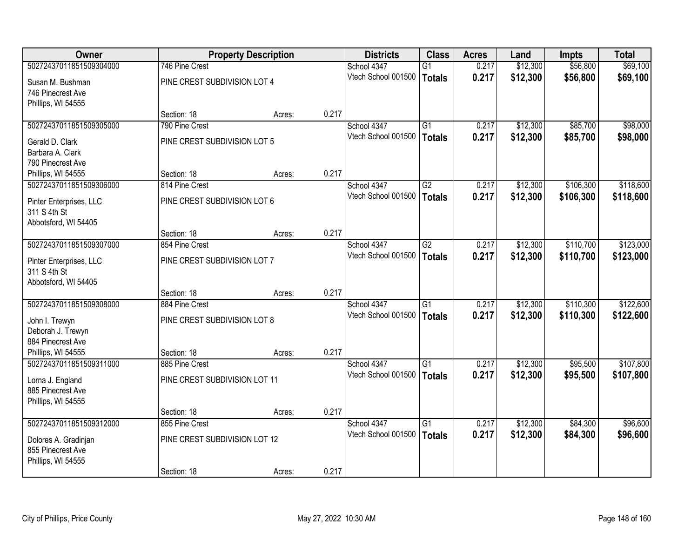| <b>Owner</b>                           |                               | <b>Property Description</b> |       | <b>Districts</b>                   | <b>Class</b>    | <b>Acres</b> | Land     | Impts     | <b>Total</b> |
|----------------------------------------|-------------------------------|-----------------------------|-------|------------------------------------|-----------------|--------------|----------|-----------|--------------|
| 50272437011851509304000                | 746 Pine Crest                |                             |       | School 4347                        | $\overline{G1}$ | 0.217        | \$12,300 | \$56,800  | \$69,100     |
| Susan M. Bushman                       | PINE CREST SUBDIVISION LOT 4  |                             |       | Vtech School 001500                | <b>Totals</b>   | 0.217        | \$12,300 | \$56,800  | \$69,100     |
| 746 Pinecrest Ave                      |                               |                             |       |                                    |                 |              |          |           |              |
| Phillips, WI 54555                     |                               |                             |       |                                    |                 |              |          |           |              |
|                                        | Section: 18                   | Acres:                      | 0.217 |                                    |                 |              |          |           |              |
| 50272437011851509305000                | 790 Pine Crest                |                             |       | School 4347                        | $\overline{G1}$ | 0.217        | \$12,300 | \$85,700  | \$98,000     |
| Gerald D. Clark                        | PINE CREST SUBDIVISION LOT 5  |                             |       | Vtech School 001500                | <b>Totals</b>   | 0.217        | \$12,300 | \$85,700  | \$98,000     |
| Barbara A. Clark                       |                               |                             |       |                                    |                 |              |          |           |              |
| 790 Pinecrest Ave                      |                               |                             |       |                                    |                 |              |          |           |              |
| Phillips, WI 54555                     | Section: 18                   | Acres:                      | 0.217 |                                    |                 |              |          |           |              |
| 50272437011851509306000                | 814 Pine Crest                |                             |       | School 4347<br>Vtech School 001500 | G2              | 0.217        | \$12,300 | \$106,300 | \$118,600    |
| Pinter Enterprises, LLC                | PINE CREST SUBDIVISION LOT 6  |                             |       |                                    | <b>Totals</b>   | 0.217        | \$12,300 | \$106,300 | \$118,600    |
| 311 S 4th St                           |                               |                             |       |                                    |                 |              |          |           |              |
| Abbotsford, WI 54405                   |                               |                             |       |                                    |                 |              |          |           |              |
| 50272437011851509307000                | Section: 18<br>854 Pine Crest | Acres:                      | 0.217 | School 4347                        | $\overline{G2}$ | 0.217        | \$12,300 | \$110,700 | \$123,000    |
|                                        |                               |                             |       | Vtech School 001500                | <b>Totals</b>   | 0.217        | \$12,300 | \$110,700 | \$123,000    |
| Pinter Enterprises, LLC                | PINE CREST SUBDIVISION LOT 7  |                             |       |                                    |                 |              |          |           |              |
| 311 S 4th St                           |                               |                             |       |                                    |                 |              |          |           |              |
| Abbotsford, WI 54405                   | Section: 18                   | Acres:                      | 0.217 |                                    |                 |              |          |           |              |
| 50272437011851509308000                | 884 Pine Crest                |                             |       | School 4347                        | $\overline{G1}$ | 0.217        | \$12,300 | \$110,300 | \$122,600    |
|                                        |                               |                             |       | Vtech School 001500                | <b>Totals</b>   | 0.217        | \$12,300 | \$110,300 | \$122,600    |
| John I. Trewyn                         | PINE CREST SUBDIVISION LOT 8  |                             |       |                                    |                 |              |          |           |              |
| Deborah J. Trewyn<br>884 Pinecrest Ave |                               |                             |       |                                    |                 |              |          |           |              |
| Phillips, WI 54555                     | Section: 18                   | Acres:                      | 0.217 |                                    |                 |              |          |           |              |
| 50272437011851509311000                | 885 Pine Crest                |                             |       | School 4347                        | G1              | 0.217        | \$12,300 | \$95,500  | \$107,800    |
| Lorna J. England                       | PINE CREST SUBDIVISION LOT 11 |                             |       | Vtech School 001500                | <b>Totals</b>   | 0.217        | \$12,300 | \$95,500  | \$107,800    |
| 885 Pinecrest Ave                      |                               |                             |       |                                    |                 |              |          |           |              |
| Phillips, WI 54555                     |                               |                             |       |                                    |                 |              |          |           |              |
|                                        | Section: 18                   | Acres:                      | 0.217 |                                    |                 |              |          |           |              |
| 50272437011851509312000                | 855 Pine Crest                |                             |       | School 4347                        | $\overline{G1}$ | 0.217        | \$12,300 | \$84,300  | \$96,600     |
| Dolores A. Gradinjan                   | PINE CREST SUBDIVISION LOT 12 |                             |       | Vtech School 001500                | <b>Totals</b>   | 0.217        | \$12,300 | \$84,300  | \$96,600     |
| 855 Pinecrest Ave                      |                               |                             |       |                                    |                 |              |          |           |              |
| Phillips, WI 54555                     |                               |                             |       |                                    |                 |              |          |           |              |
|                                        | Section: 18                   | Acres:                      | 0.217 |                                    |                 |              |          |           |              |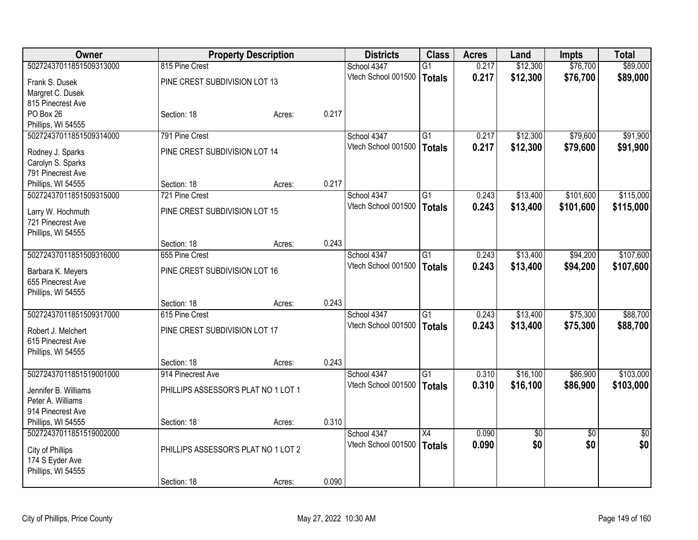| Owner                                 |                                     | <b>Property Description</b> |       | <b>Districts</b>    | <b>Class</b>    | <b>Acres</b> | Land     | <b>Impts</b>    | <b>Total</b>    |
|---------------------------------------|-------------------------------------|-----------------------------|-------|---------------------|-----------------|--------------|----------|-----------------|-----------------|
| 50272437011851509313000               | 815 Pine Crest                      |                             |       | School 4347         | $\overline{G1}$ | 0.217        | \$12,300 | \$76,700        | \$89,000        |
| Frank S. Dusek                        | PINE CREST SUBDIVISION LOT 13       |                             |       | Vtech School 001500 | <b>Totals</b>   | 0.217        | \$12,300 | \$76,700        | \$89,000        |
| Margret C. Dusek                      |                                     |                             |       |                     |                 |              |          |                 |                 |
| 815 Pinecrest Ave                     |                                     |                             |       |                     |                 |              |          |                 |                 |
| PO Box 26                             | Section: 18                         | Acres:                      | 0.217 |                     |                 |              |          |                 |                 |
| Phillips, WI 54555                    |                                     |                             |       |                     |                 |              |          |                 |                 |
| 50272437011851509314000               | 791 Pine Crest                      |                             |       | School 4347         | $\overline{G1}$ | 0.217        | \$12,300 | \$79,600        | \$91,900        |
|                                       | PINE CREST SUBDIVISION LOT 14       |                             |       | Vtech School 001500 | <b>Totals</b>   | 0.217        | \$12,300 | \$79,600        | \$91,900        |
| Rodney J. Sparks<br>Carolyn S. Sparks |                                     |                             |       |                     |                 |              |          |                 |                 |
| 791 Pinecrest Ave                     |                                     |                             |       |                     |                 |              |          |                 |                 |
| Phillips, WI 54555                    | Section: 18                         | Acres:                      | 0.217 |                     |                 |              |          |                 |                 |
| 50272437011851509315000               | 721 Pine Crest                      |                             |       | School 4347         | $\overline{G1}$ | 0.243        | \$13,400 | \$101,600       | \$115,000       |
|                                       |                                     |                             |       | Vtech School 001500 | <b>Totals</b>   | 0.243        | \$13,400 | \$101,600       | \$115,000       |
| Larry W. Hochmuth                     | PINE CREST SUBDIVISION LOT 15       |                             |       |                     |                 |              |          |                 |                 |
| 721 Pinecrest Ave                     |                                     |                             |       |                     |                 |              |          |                 |                 |
| Phillips, WI 54555                    |                                     |                             |       |                     |                 |              |          |                 |                 |
|                                       | Section: 18                         | Acres:                      | 0.243 |                     |                 |              |          |                 |                 |
| 50272437011851509316000               | 655 Pine Crest                      |                             |       | School 4347         | G1              | 0.243        | \$13,400 | \$94,200        | \$107,600       |
| Barbara K. Meyers                     | PINE CREST SUBDIVISION LOT 16       |                             |       | Vtech School 001500 | <b>Totals</b>   | 0.243        | \$13,400 | \$94,200        | \$107,600       |
| 655 Pinecrest Ave                     |                                     |                             |       |                     |                 |              |          |                 |                 |
| Phillips, WI 54555                    |                                     |                             |       |                     |                 |              |          |                 |                 |
|                                       | Section: 18                         | Acres:                      | 0.243 |                     |                 |              |          |                 |                 |
| 50272437011851509317000               | 615 Pine Crest                      |                             |       | School 4347         | G1              | 0.243        | \$13,400 | \$75,300        | \$88,700        |
| Robert J. Melchert                    | PINE CREST SUBDIVISION LOT 17       |                             |       | Vtech School 001500 | <b>Totals</b>   | 0.243        | \$13,400 | \$75,300        | \$88,700        |
| 615 Pinecrest Ave                     |                                     |                             |       |                     |                 |              |          |                 |                 |
| Phillips, WI 54555                    |                                     |                             |       |                     |                 |              |          |                 |                 |
|                                       | Section: 18                         | Acres:                      | 0.243 |                     |                 |              |          |                 |                 |
| 50272437011851519001000               | 914 Pinecrest Ave                   |                             |       | School 4347         | $\overline{G1}$ | 0.310        | \$16,100 | \$86,900        | \$103,000       |
|                                       |                                     |                             |       | Vtech School 001500 | <b>Totals</b>   | 0.310        | \$16,100 | \$86,900        | \$103,000       |
| Jennifer B. Williams                  | PHILLIPS ASSESSOR'S PLAT NO 1 LOT 1 |                             |       |                     |                 |              |          |                 |                 |
| Peter A. Williams                     |                                     |                             |       |                     |                 |              |          |                 |                 |
| 914 Pinecrest Ave                     |                                     |                             |       |                     |                 |              |          |                 |                 |
| Phillips, WI 54555                    | Section: 18                         | Acres:                      | 0.310 |                     |                 |              |          |                 |                 |
| 50272437011851519002000               |                                     |                             |       | School 4347         | $\overline{X4}$ | 0.090        | \$0      | $\overline{50}$ | $\overline{50}$ |
| City of Phillips                      | PHILLIPS ASSESSOR'S PLAT NO 1 LOT 2 |                             |       | Vtech School 001500 | <b>Totals</b>   | 0.090        | \$0      | \$0             | \$0             |
| 174 S Eyder Ave                       |                                     |                             |       |                     |                 |              |          |                 |                 |
| Phillips, WI 54555                    |                                     |                             |       |                     |                 |              |          |                 |                 |
|                                       | Section: 18                         | Acres:                      | 0.090 |                     |                 |              |          |                 |                 |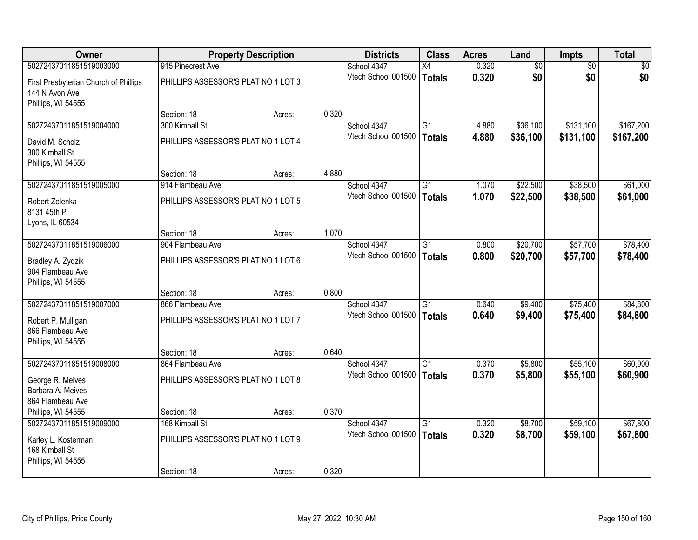| Owner                                                                                   |                                                         | <b>Property Description</b> |       | <b>Districts</b>                   | <b>Class</b>                     | <b>Acres</b>   | Land               | Impts                | <b>Total</b>         |
|-----------------------------------------------------------------------------------------|---------------------------------------------------------|-----------------------------|-------|------------------------------------|----------------------------------|----------------|--------------------|----------------------|----------------------|
| 50272437011851519003000                                                                 | 915 Pinecrest Ave                                       |                             |       | School 4347                        | X4                               | 0.320          | $\overline{60}$    | $\overline{50}$      | $\overline{50}$      |
| First Presbyterian Church of Phillips<br>144 N Avon Ave<br>Phillips, WI 54555           | PHILLIPS ASSESSOR'S PLAT NO 1 LOT 3                     |                             |       | Vtech School 001500                | <b>Totals</b>                    | 0.320          | \$0                | \$0                  | \$0                  |
|                                                                                         | Section: 18                                             | Acres:                      | 0.320 |                                    |                                  |                |                    |                      |                      |
| 50272437011851519004000                                                                 | 300 Kimball St                                          |                             |       | School 4347                        | $\overline{G1}$                  | 4.880          | \$36,100           | \$131,100            | \$167,200            |
| David M. Scholz<br>300 Kimball St<br>Phillips, WI 54555                                 | PHILLIPS ASSESSOR'S PLAT NO 1 LOT 4                     |                             |       | Vtech School 001500                | <b>Totals</b>                    | 4.880          | \$36,100           | \$131,100            | \$167,200            |
|                                                                                         | Section: 18                                             | Acres:                      | 4.880 |                                    |                                  |                |                    |                      |                      |
| 50272437011851519005000                                                                 | 914 Flambeau Ave                                        |                             |       | School 4347                        | G1                               | 1.070          | \$22,500           | \$38,500             | \$61,000             |
| Robert Zelenka<br>8131 45th PI<br>Lyons, IL 60534                                       | PHILLIPS ASSESSOR'S PLAT NO 1 LOT 5                     |                             |       | Vtech School 001500                | <b>Totals</b>                    | 1.070          | \$22,500           | \$38,500             | \$61,000             |
|                                                                                         | Section: 18                                             | Acres:                      | 1.070 |                                    |                                  |                |                    |                      |                      |
| 50272437011851519006000                                                                 | 904 Flambeau Ave                                        |                             |       | School 4347                        | $\overline{G1}$                  | 0.800          | \$20,700           | \$57,700             | \$78,400             |
| Bradley A. Zydzik<br>904 Flambeau Ave<br>Phillips, WI 54555                             | PHILLIPS ASSESSOR'S PLAT NO 1 LOT 6                     |                             |       | Vtech School 001500                | <b>Totals</b>                    | 0.800          | \$20,700           | \$57,700             | \$78,400             |
|                                                                                         | Section: 18                                             | Acres:                      | 0.800 |                                    |                                  |                |                    |                      |                      |
| 50272437011851519007000<br>Robert P. Mulligan<br>866 Flambeau Ave<br>Phillips, WI 54555 | 866 Flambeau Ave<br>PHILLIPS ASSESSOR'S PLAT NO 1 LOT 7 |                             |       | School 4347<br>Vtech School 001500 | $\overline{G1}$<br><b>Totals</b> | 0.640<br>0.640 | \$9,400<br>\$9,400 | \$75,400<br>\$75,400 | \$84,800<br>\$84,800 |
|                                                                                         | Section: 18                                             | Acres:                      | 0.640 |                                    |                                  |                |                    |                      |                      |
| 50272437011851519008000                                                                 | 864 Flambeau Ave                                        |                             |       | School 4347                        | G1                               | 0.370          | \$5,800            | \$55,100             | \$60,900             |
| George R. Meives<br>Barbara A. Meives<br>864 Flambeau Ave                               | PHILLIPS ASSESSOR'S PLAT NO 1 LOT 8                     |                             |       | Vtech School 001500                | <b>Totals</b>                    | 0.370          | \$5,800            | \$55,100             | \$60,900             |
| Phillips, WI 54555                                                                      | Section: 18                                             | Acres:                      | 0.370 |                                    |                                  |                |                    |                      |                      |
| 50272437011851519009000                                                                 | 168 Kimball St                                          |                             |       | School 4347                        | $\overline{G1}$                  | 0.320          | \$8,700            | \$59,100             | \$67,800             |
| Karley L. Kosterman<br>168 Kimball St<br>Phillips, WI 54555                             | PHILLIPS ASSESSOR'S PLAT NO 1 LOT 9                     |                             |       | Vtech School 001500                | <b>Totals</b>                    | 0.320          | \$8,700            | \$59,100             | \$67,800             |
|                                                                                         | Section: 18                                             | Acres:                      | 0.320 |                                    |                                  |                |                    |                      |                      |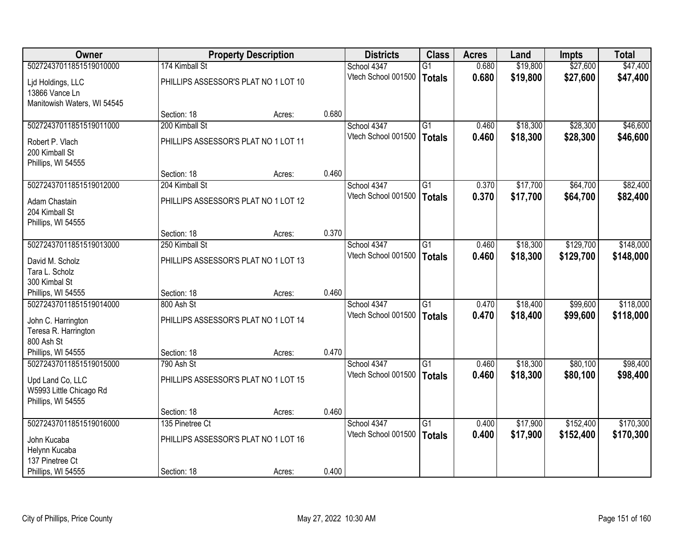| Owner                       |                                      | <b>Property Description</b> |       | <b>Districts</b>    | <b>Class</b>    | <b>Acres</b> | Land     | <b>Impts</b> | <b>Total</b> |
|-----------------------------|--------------------------------------|-----------------------------|-------|---------------------|-----------------|--------------|----------|--------------|--------------|
| 50272437011851519010000     | 174 Kimball St                       |                             |       | School 4347         | $\overline{G1}$ | 0.680        | \$19,800 | \$27,600     | \$47,400     |
| Lid Holdings, LLC           | PHILLIPS ASSESSOR'S PLAT NO 1 LOT 10 |                             |       | Vtech School 001500 | <b>Totals</b>   | 0.680        | \$19,800 | \$27,600     | \$47,400     |
| 13866 Vance Ln              |                                      |                             |       |                     |                 |              |          |              |              |
| Manitowish Waters, WI 54545 |                                      |                             |       |                     |                 |              |          |              |              |
|                             | Section: 18                          | Acres:                      | 0.680 |                     |                 |              |          |              |              |
| 50272437011851519011000     | 200 Kimball St                       |                             |       | School 4347         | G1              | 0.460        | \$18,300 | \$28,300     | \$46,600     |
| Robert P. Vlach             | PHILLIPS ASSESSOR'S PLAT NO 1 LOT 11 |                             |       | Vtech School 001500 | <b>Totals</b>   | 0.460        | \$18,300 | \$28,300     | \$46,600     |
| 200 Kimball St              |                                      |                             |       |                     |                 |              |          |              |              |
| Phillips, WI 54555          |                                      |                             |       |                     |                 |              |          |              |              |
|                             | Section: 18                          | Acres:                      | 0.460 |                     |                 |              |          |              |              |
| 50272437011851519012000     | 204 Kimball St                       |                             |       | School 4347         | $\overline{G1}$ | 0.370        | \$17,700 | \$64,700     | \$82,400     |
| Adam Chastain               | PHILLIPS ASSESSOR'S PLAT NO 1 LOT 12 |                             |       | Vtech School 001500 | <b>Totals</b>   | 0.370        | \$17,700 | \$64,700     | \$82,400     |
| 204 Kimball St              |                                      |                             |       |                     |                 |              |          |              |              |
| Phillips, WI 54555          |                                      |                             |       |                     |                 |              |          |              |              |
|                             | Section: 18                          | Acres:                      | 0.370 |                     |                 |              |          |              |              |
| 50272437011851519013000     | 250 Kimball St                       |                             |       | School 4347         | $\overline{G1}$ | 0.460        | \$18,300 | \$129,700    | \$148,000    |
| David M. Scholz             | PHILLIPS ASSESSOR'S PLAT NO 1 LOT 13 |                             |       | Vtech School 001500 | <b>Totals</b>   | 0.460        | \$18,300 | \$129,700    | \$148,000    |
| Tara L. Scholz              |                                      |                             |       |                     |                 |              |          |              |              |
| 300 Kimbal St               |                                      |                             |       |                     |                 |              |          |              |              |
| Phillips, WI 54555          | Section: 18                          | Acres:                      | 0.460 |                     |                 |              |          |              |              |
| 50272437011851519014000     | 800 Ash St                           |                             |       | School 4347         | $\overline{G1}$ | 0.470        | \$18,400 | \$99,600     | \$118,000    |
| John C. Harrington          | PHILLIPS ASSESSOR'S PLAT NO 1 LOT 14 |                             |       | Vtech School 001500 | <b>Totals</b>   | 0.470        | \$18,400 | \$99,600     | \$118,000    |
| Teresa R. Harrington        |                                      |                             |       |                     |                 |              |          |              |              |
| 800 Ash St                  |                                      |                             |       |                     |                 |              |          |              |              |
| Phillips, WI 54555          | Section: 18                          | Acres:                      | 0.470 |                     |                 |              |          |              |              |
| 50272437011851519015000     | 790 Ash St                           |                             |       | School 4347         | $\overline{G1}$ | 0.460        | \$18,300 | \$80,100     | \$98,400     |
| Upd Land Co, LLC            | PHILLIPS ASSESSOR'S PLAT NO 1 LOT 15 |                             |       | Vtech School 001500 | <b>Totals</b>   | 0.460        | \$18,300 | \$80,100     | \$98,400     |
| W5993 Little Chicago Rd     |                                      |                             |       |                     |                 |              |          |              |              |
| Phillips, WI 54555          |                                      |                             |       |                     |                 |              |          |              |              |
|                             | Section: 18                          | Acres:                      | 0.460 |                     |                 |              |          |              |              |
| 50272437011851519016000     | 135 Pinetree Ct                      |                             |       | School 4347         | G1              | 0.400        | \$17,900 | \$152,400    | \$170,300    |
| John Kucaba                 | PHILLIPS ASSESSOR'S PLAT NO 1 LOT 16 |                             |       | Vtech School 001500 | <b>Totals</b>   | 0.400        | \$17,900 | \$152,400    | \$170,300    |
| Helynn Kucaba               |                                      |                             |       |                     |                 |              |          |              |              |
| 137 Pinetree Ct             |                                      |                             |       |                     |                 |              |          |              |              |
| Phillips, WI 54555          | Section: 18                          | Acres:                      | 0.400 |                     |                 |              |          |              |              |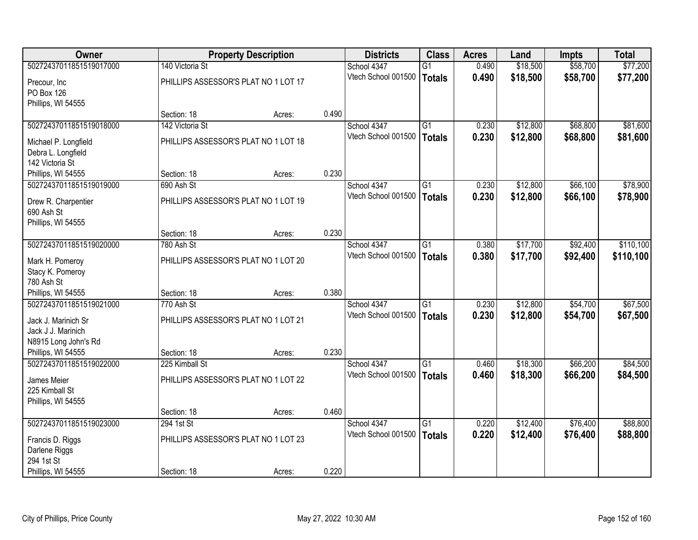| Owner                   |                                      | <b>Property Description</b> |       | <b>Districts</b>    | <b>Class</b>    | <b>Acres</b> | Land     | Impts    | <b>Total</b> |
|-------------------------|--------------------------------------|-----------------------------|-------|---------------------|-----------------|--------------|----------|----------|--------------|
| 50272437011851519017000 | 140 Victoria St                      |                             |       | School 4347         | $\overline{G1}$ | 0.490        | \$18,500 | \$58,700 | \$77,200     |
| Precour, Inc            | PHILLIPS ASSESSOR'S PLAT NO 1 LOT 17 |                             |       | Vtech School 001500 | <b>Totals</b>   | 0.490        | \$18,500 | \$58,700 | \$77,200     |
| PO Box 126              |                                      |                             |       |                     |                 |              |          |          |              |
| Phillips, WI 54555      |                                      |                             |       |                     |                 |              |          |          |              |
|                         | Section: 18                          | Acres:                      | 0.490 |                     |                 |              |          |          |              |
| 50272437011851519018000 | 142 Victoria St                      |                             |       | School 4347         | $\overline{G1}$ | 0.230        | \$12,800 | \$68,800 | \$81,600     |
| Michael P. Longfield    | PHILLIPS ASSESSOR'S PLAT NO 1 LOT 18 |                             |       | Vtech School 001500 | <b>Totals</b>   | 0.230        | \$12,800 | \$68,800 | \$81,600     |
| Debra L. Longfield      |                                      |                             |       |                     |                 |              |          |          |              |
| 142 Victoria St         |                                      |                             |       |                     |                 |              |          |          |              |
| Phillips, WI 54555      | Section: 18                          | Acres:                      | 0.230 |                     |                 |              |          |          |              |
| 50272437011851519019000 | 690 Ash St                           |                             |       | School 4347         | $\overline{G1}$ | 0.230        | \$12,800 | \$66,100 | \$78,900     |
| Drew R. Charpentier     | PHILLIPS ASSESSOR'S PLAT NO 1 LOT 19 |                             |       | Vtech School 001500 | <b>Totals</b>   | 0.230        | \$12,800 | \$66,100 | \$78,900     |
| 690 Ash St              |                                      |                             |       |                     |                 |              |          |          |              |
| Phillips, WI 54555      |                                      |                             |       |                     |                 |              |          |          |              |
|                         | Section: 18                          | Acres:                      | 0.230 |                     |                 |              |          |          |              |
| 50272437011851519020000 | 780 Ash St                           |                             |       | School 4347         | $\overline{G1}$ | 0.380        | \$17,700 | \$92,400 | \$110,100    |
| Mark H. Pomeroy         | PHILLIPS ASSESSOR'S PLAT NO 1 LOT 20 |                             |       | Vtech School 001500 | <b>Totals</b>   | 0.380        | \$17,700 | \$92,400 | \$110,100    |
| Stacy K. Pomeroy        |                                      |                             |       |                     |                 |              |          |          |              |
| 780 Ash St              |                                      |                             |       |                     |                 |              |          |          |              |
| Phillips, WI 54555      | Section: 18                          | Acres:                      | 0.380 |                     |                 |              |          |          |              |
| 50272437011851519021000 | 770 Ash St                           |                             |       | School 4347         | $\overline{G1}$ | 0.230        | \$12,800 | \$54,700 | \$67,500     |
| Jack J. Marinich Sr     | PHILLIPS ASSESSOR'S PLAT NO 1 LOT 21 |                             |       | Vtech School 001500 | <b>Totals</b>   | 0.230        | \$12,800 | \$54,700 | \$67,500     |
| Jack J J. Marinich      |                                      |                             |       |                     |                 |              |          |          |              |
| N8915 Long John's Rd    |                                      |                             |       |                     |                 |              |          |          |              |
| Phillips, WI 54555      | Section: 18                          | Acres:                      | 0.230 |                     |                 |              |          |          |              |
| 50272437011851519022000 | 225 Kimball St                       |                             |       | School 4347         | G1              | 0.460        | \$18,300 | \$66,200 | \$84,500     |
| James Meier             | PHILLIPS ASSESSOR'S PLAT NO 1 LOT 22 |                             |       | Vtech School 001500 | <b>Totals</b>   | 0.460        | \$18,300 | \$66,200 | \$84,500     |
| 225 Kimball St          |                                      |                             |       |                     |                 |              |          |          |              |
| Phillips, WI 54555      |                                      |                             |       |                     |                 |              |          |          |              |
|                         | Section: 18                          | Acres:                      | 0.460 |                     |                 |              |          |          |              |
| 50272437011851519023000 | 294 1st St                           |                             |       | School 4347         | $\overline{G1}$ | 0.220        | \$12,400 | \$76,400 | \$88,800     |
| Francis D. Riggs        | PHILLIPS ASSESSOR'S PLAT NO 1 LOT 23 |                             |       | Vtech School 001500 | <b>Totals</b>   | 0.220        | \$12,400 | \$76,400 | \$88,800     |
| Darlene Riggs           |                                      |                             |       |                     |                 |              |          |          |              |
| 294 1st St              |                                      |                             |       |                     |                 |              |          |          |              |
| Phillips, WI 54555      | Section: 18                          | Acres:                      | 0.220 |                     |                 |              |          |          |              |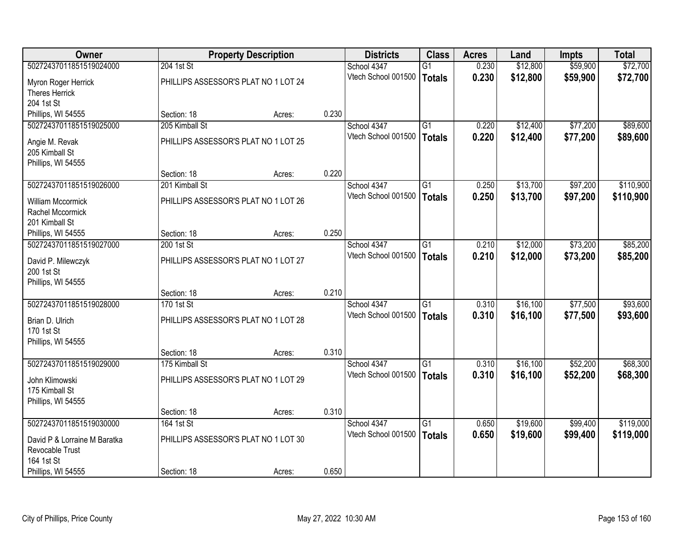| Owner                        |                                      | <b>Property Description</b> |       | <b>Districts</b>    | <b>Class</b>    | <b>Acres</b> | Land     | <b>Impts</b> | <b>Total</b> |
|------------------------------|--------------------------------------|-----------------------------|-------|---------------------|-----------------|--------------|----------|--------------|--------------|
| 50272437011851519024000      | 204 1st St                           |                             |       | School 4347         | $\overline{G1}$ | 0.230        | \$12,800 | \$59,900     | \$72,700     |
| Myron Roger Herrick          | PHILLIPS ASSESSOR'S PLAT NO 1 LOT 24 |                             |       | Vtech School 001500 | <b>Totals</b>   | 0.230        | \$12,800 | \$59,900     | \$72,700     |
| <b>Theres Herrick</b>        |                                      |                             |       |                     |                 |              |          |              |              |
| 204 1st St                   |                                      |                             |       |                     |                 |              |          |              |              |
| Phillips, WI 54555           | Section: 18                          | Acres:                      | 0.230 |                     |                 |              |          |              |              |
| 50272437011851519025000      | 205 Kimball St                       |                             |       | School 4347         | $\overline{G1}$ | 0.220        | \$12,400 | \$77,200     | \$89,600     |
| Angie M. Revak               | PHILLIPS ASSESSOR'S PLAT NO 1 LOT 25 |                             |       | Vtech School 001500 | <b>Totals</b>   | 0.220        | \$12,400 | \$77,200     | \$89,600     |
| 205 Kimball St               |                                      |                             |       |                     |                 |              |          |              |              |
| Phillips, WI 54555           |                                      |                             |       |                     |                 |              |          |              |              |
|                              | Section: 18                          | Acres:                      | 0.220 |                     |                 |              |          |              |              |
| 50272437011851519026000      | 201 Kimball St                       |                             |       | School 4347         | G1              | 0.250        | \$13,700 | \$97,200     | \$110,900    |
| <b>William Mccormick</b>     | PHILLIPS ASSESSOR'S PLAT NO 1 LOT 26 |                             |       | Vtech School 001500 | <b>Totals</b>   | 0.250        | \$13,700 | \$97,200     | \$110,900    |
| Rachel Mccormick             |                                      |                             |       |                     |                 |              |          |              |              |
| 201 Kimball St               |                                      |                             |       |                     |                 |              |          |              |              |
| Phillips, WI 54555           | Section: 18                          | Acres:                      | 0.250 |                     |                 |              |          |              |              |
| 50272437011851519027000      | 200 1st St                           |                             |       | School 4347         | G1              | 0.210        | \$12,000 | \$73,200     | \$85,200     |
| David P. Milewczyk           | PHILLIPS ASSESSOR'S PLAT NO 1 LOT 27 |                             |       | Vtech School 001500 | <b>Totals</b>   | 0.210        | \$12,000 | \$73,200     | \$85,200     |
| 200 1st St                   |                                      |                             |       |                     |                 |              |          |              |              |
| Phillips, WI 54555           |                                      |                             |       |                     |                 |              |          |              |              |
|                              | Section: 18                          | Acres:                      | 0.210 |                     |                 |              |          |              |              |
| 50272437011851519028000      | 170 1st St                           |                             |       | School 4347         | $\overline{G1}$ | 0.310        | \$16,100 | \$77,500     | \$93,600     |
| Brian D. Ulrich              | PHILLIPS ASSESSOR'S PLAT NO 1 LOT 28 |                             |       | Vtech School 001500 | <b>Totals</b>   | 0.310        | \$16,100 | \$77,500     | \$93,600     |
| 170 1st St                   |                                      |                             |       |                     |                 |              |          |              |              |
| Phillips, WI 54555           |                                      |                             |       |                     |                 |              |          |              |              |
|                              | Section: 18                          | Acres:                      | 0.310 |                     |                 |              |          |              |              |
| 50272437011851519029000      | 175 Kimball St                       |                             |       | School 4347         | $\overline{G1}$ | 0.310        | \$16,100 | \$52,200     | \$68,300     |
| John Klimowski               | PHILLIPS ASSESSOR'S PLAT NO 1 LOT 29 |                             |       | Vtech School 001500 | <b>Totals</b>   | 0.310        | \$16,100 | \$52,200     | \$68,300     |
| 175 Kimball St               |                                      |                             |       |                     |                 |              |          |              |              |
| Phillips, WI 54555           |                                      |                             |       |                     |                 |              |          |              |              |
|                              | Section: 18                          | Acres:                      | 0.310 |                     |                 |              |          |              |              |
| 50272437011851519030000      | 164 1st St                           |                             |       | School 4347         | G1              | 0.650        | \$19,600 | \$99,400     | \$119,000    |
| David P & Lorraine M Baratka | PHILLIPS ASSESSOR'S PLAT NO 1 LOT 30 |                             |       | Vtech School 001500 | <b>Totals</b>   | 0.650        | \$19,600 | \$99,400     | \$119,000    |
| Revocable Trust              |                                      |                             |       |                     |                 |              |          |              |              |
| 164 1st St                   |                                      |                             |       |                     |                 |              |          |              |              |
| Phillips, WI 54555           | Section: 18                          | Acres:                      | 0.650 |                     |                 |              |          |              |              |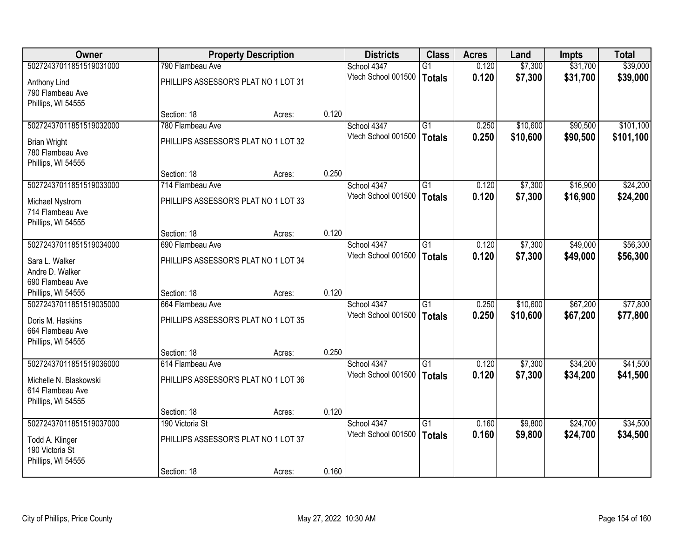| Owner                   |                                      | <b>Property Description</b> |       | <b>Districts</b>    | <b>Class</b>    | <b>Acres</b> | Land     | Impts    | <b>Total</b> |
|-------------------------|--------------------------------------|-----------------------------|-------|---------------------|-----------------|--------------|----------|----------|--------------|
| 50272437011851519031000 | 790 Flambeau Ave                     |                             |       | School 4347         | $\overline{G1}$ | 0.120        | \$7,300  | \$31,700 | \$39,000     |
| Anthony Lind            | PHILLIPS ASSESSOR'S PLAT NO 1 LOT 31 |                             |       | Vtech School 001500 | <b>Totals</b>   | 0.120        | \$7,300  | \$31,700 | \$39,000     |
| 790 Flambeau Ave        |                                      |                             |       |                     |                 |              |          |          |              |
| Phillips, WI 54555      |                                      |                             |       |                     |                 |              |          |          |              |
|                         | Section: 18                          | Acres:                      | 0.120 |                     |                 |              |          |          |              |
| 50272437011851519032000 | 780 Flambeau Ave                     |                             |       | School 4347         | $\overline{G1}$ | 0.250        | \$10,600 | \$90,500 | \$101,100    |
| <b>Brian Wright</b>     | PHILLIPS ASSESSOR'S PLAT NO 1 LOT 32 |                             |       | Vtech School 001500 | <b>Totals</b>   | 0.250        | \$10,600 | \$90,500 | \$101,100    |
| 780 Flambeau Ave        |                                      |                             |       |                     |                 |              |          |          |              |
| Phillips, WI 54555      |                                      |                             |       |                     |                 |              |          |          |              |
|                         | Section: 18                          | Acres:                      | 0.250 |                     |                 |              |          |          |              |
| 50272437011851519033000 | 714 Flambeau Ave                     |                             |       | School 4347         | G1              | 0.120        | \$7,300  | \$16,900 | \$24,200     |
| Michael Nystrom         | PHILLIPS ASSESSOR'S PLAT NO 1 LOT 33 |                             |       | Vtech School 001500 | <b>Totals</b>   | 0.120        | \$7,300  | \$16,900 | \$24,200     |
| 714 Flambeau Ave        |                                      |                             |       |                     |                 |              |          |          |              |
| Phillips, WI 54555      |                                      |                             |       |                     |                 |              |          |          |              |
|                         | Section: 18                          | Acres:                      | 0.120 |                     |                 |              |          |          |              |
| 50272437011851519034000 | 690 Flambeau Ave                     |                             |       | School 4347         | $\overline{G1}$ | 0.120        | \$7,300  | \$49,000 | \$56,300     |
| Sara L. Walker          | PHILLIPS ASSESSOR'S PLAT NO 1 LOT 34 |                             |       | Vtech School 001500 | <b>Totals</b>   | 0.120        | \$7,300  | \$49,000 | \$56,300     |
| Andre D. Walker         |                                      |                             |       |                     |                 |              |          |          |              |
| 690 Flambeau Ave        |                                      |                             |       |                     |                 |              |          |          |              |
| Phillips, WI 54555      | Section: 18                          | Acres:                      | 0.120 |                     |                 |              |          |          |              |
| 50272437011851519035000 | 664 Flambeau Ave                     |                             |       | School 4347         | $\overline{G1}$ | 0.250        | \$10,600 | \$67,200 | \$77,800     |
| Doris M. Haskins        | PHILLIPS ASSESSOR'S PLAT NO 1 LOT 35 |                             |       | Vtech School 001500 | <b>Totals</b>   | 0.250        | \$10,600 | \$67,200 | \$77,800     |
| 664 Flambeau Ave        |                                      |                             |       |                     |                 |              |          |          |              |
| Phillips, WI 54555      |                                      |                             |       |                     |                 |              |          |          |              |
|                         | Section: 18                          | Acres:                      | 0.250 |                     |                 |              |          |          |              |
| 50272437011851519036000 | 614 Flambeau Ave                     |                             |       | School 4347         | G1              | 0.120        | \$7,300  | \$34,200 | \$41,500     |
| Michelle N. Blaskowski  | PHILLIPS ASSESSOR'S PLAT NO 1 LOT 36 |                             |       | Vtech School 001500 | <b>Totals</b>   | 0.120        | \$7,300  | \$34,200 | \$41,500     |
| 614 Flambeau Ave        |                                      |                             |       |                     |                 |              |          |          |              |
| Phillips, WI 54555      |                                      |                             |       |                     |                 |              |          |          |              |
|                         | Section: 18                          | Acres:                      | 0.120 |                     |                 |              |          |          |              |
| 50272437011851519037000 | 190 Victoria St                      |                             |       | School 4347         | $\overline{G1}$ | 0.160        | \$9,800  | \$24,700 | \$34,500     |
| Todd A. Klinger         | PHILLIPS ASSESSOR'S PLAT NO 1 LOT 37 |                             |       | Vtech School 001500 | <b>Totals</b>   | 0.160        | \$9,800  | \$24,700 | \$34,500     |
| 190 Victoria St         |                                      |                             |       |                     |                 |              |          |          |              |
| Phillips, WI 54555      |                                      |                             |       |                     |                 |              |          |          |              |
|                         | Section: 18                          | Acres:                      | 0.160 |                     |                 |              |          |          |              |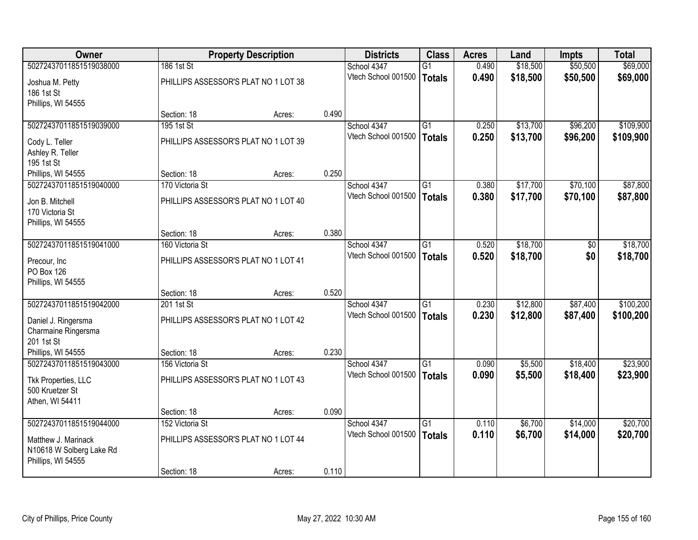| <b>Owner</b>             |                                      | <b>Property Description</b> |       | <b>Districts</b>    | <b>Class</b>    | <b>Acres</b> | Land     | Impts           | <b>Total</b> |
|--------------------------|--------------------------------------|-----------------------------|-------|---------------------|-----------------|--------------|----------|-----------------|--------------|
| 50272437011851519038000  | 186 1st St                           |                             |       | School 4347         | $\overline{G1}$ | 0.490        | \$18,500 | \$50,500        | \$69,000     |
| Joshua M. Petty          | PHILLIPS ASSESSOR'S PLAT NO 1 LOT 38 |                             |       | Vtech School 001500 | <b>Totals</b>   | 0.490        | \$18,500 | \$50,500        | \$69,000     |
| 186 1st St               |                                      |                             |       |                     |                 |              |          |                 |              |
| Phillips, WI 54555       |                                      |                             |       |                     |                 |              |          |                 |              |
|                          | Section: 18                          | Acres:                      | 0.490 |                     |                 |              |          |                 |              |
| 50272437011851519039000  | 195 1st St                           |                             |       | School 4347         | $\overline{G1}$ | 0.250        | \$13,700 | \$96,200        | \$109,900    |
| Cody L. Teller           | PHILLIPS ASSESSOR'S PLAT NO 1 LOT 39 |                             |       | Vtech School 001500 | <b>Totals</b>   | 0.250        | \$13,700 | \$96,200        | \$109,900    |
| Ashley R. Teller         |                                      |                             |       |                     |                 |              |          |                 |              |
| 195 1st St               |                                      |                             |       |                     |                 |              |          |                 |              |
| Phillips, WI 54555       | Section: 18                          | Acres:                      | 0.250 |                     |                 |              |          |                 |              |
| 50272437011851519040000  | 170 Victoria St                      |                             |       | School 4347         | $\overline{G1}$ | 0.380        | \$17,700 | \$70,100        | \$87,800     |
| Jon B. Mitchell          | PHILLIPS ASSESSOR'S PLAT NO 1 LOT 40 |                             |       | Vtech School 001500 | <b>Totals</b>   | 0.380        | \$17,700 | \$70,100        | \$87,800     |
| 170 Victoria St          |                                      |                             |       |                     |                 |              |          |                 |              |
| Phillips, WI 54555       |                                      |                             |       |                     |                 |              |          |                 |              |
|                          | Section: 18                          | Acres:                      | 0.380 |                     |                 |              |          |                 |              |
| 50272437011851519041000  | 160 Victoria St                      |                             |       | School 4347         | $\overline{G1}$ | 0.520        | \$18,700 | $\overline{50}$ | \$18,700     |
| Precour, Inc.            | PHILLIPS ASSESSOR'S PLAT NO 1 LOT 41 |                             |       | Vtech School 001500 | <b>Totals</b>   | 0.520        | \$18,700 | \$0             | \$18,700     |
| PO Box 126               |                                      |                             |       |                     |                 |              |          |                 |              |
| Phillips, WI 54555       |                                      |                             |       |                     |                 |              |          |                 |              |
|                          | Section: 18                          | Acres:                      | 0.520 |                     |                 |              |          |                 |              |
| 50272437011851519042000  | 201 1st St                           |                             |       | School 4347         | $\overline{G1}$ | 0.230        | \$12,800 | \$87,400        | \$100,200    |
| Daniel J. Ringersma      | PHILLIPS ASSESSOR'S PLAT NO 1 LOT 42 |                             |       | Vtech School 001500 | <b>Totals</b>   | 0.230        | \$12,800 | \$87,400        | \$100,200    |
| Charmaine Ringersma      |                                      |                             |       |                     |                 |              |          |                 |              |
| 201 1st St               |                                      |                             |       |                     |                 |              |          |                 |              |
| Phillips, WI 54555       | Section: 18                          | Acres:                      | 0.230 |                     |                 |              |          |                 |              |
| 50272437011851519043000  | 156 Victoria St                      |                             |       | School 4347         | G1              | 0.090        | \$5,500  | \$18,400        | \$23,900     |
| Tkk Properties, LLC      | PHILLIPS ASSESSOR'S PLAT NO 1 LOT 43 |                             |       | Vtech School 001500 | <b>Totals</b>   | 0.090        | \$5,500  | \$18,400        | \$23,900     |
| 500 Kruetzer St          |                                      |                             |       |                     |                 |              |          |                 |              |
| Athen, WI 54411          |                                      |                             |       |                     |                 |              |          |                 |              |
|                          | Section: 18                          | Acres:                      | 0.090 |                     |                 |              |          |                 |              |
| 50272437011851519044000  | 152 Victoria St                      |                             |       | School 4347         | $\overline{G1}$ | 0.110        | \$6,700  | \$14,000        | \$20,700     |
| Matthew J. Marinack      | PHILLIPS ASSESSOR'S PLAT NO 1 LOT 44 |                             |       | Vtech School 001500 | <b>Totals</b>   | 0.110        | \$6,700  | \$14,000        | \$20,700     |
| N10618 W Solberg Lake Rd |                                      |                             |       |                     |                 |              |          |                 |              |
| Phillips, WI 54555       |                                      |                             |       |                     |                 |              |          |                 |              |
|                          | Section: 18                          | Acres:                      | 0.110 |                     |                 |              |          |                 |              |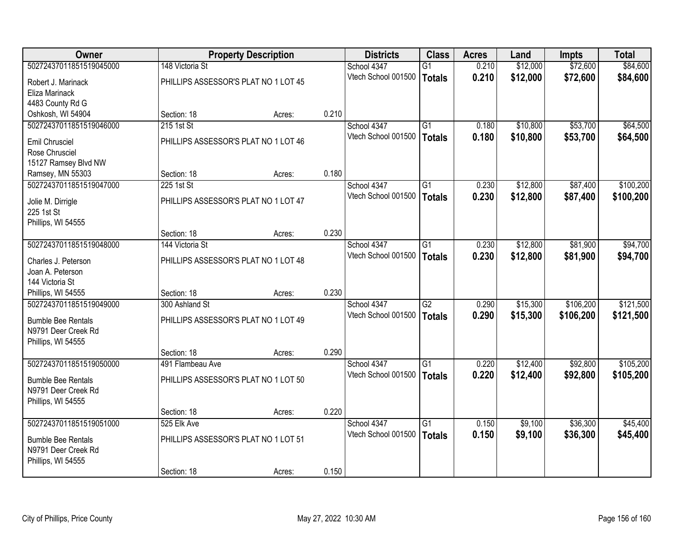| Owner                     |                                      | <b>Property Description</b> |       | <b>Districts</b>    | <b>Class</b>    | <b>Acres</b> | Land     | <b>Impts</b> | <b>Total</b> |
|---------------------------|--------------------------------------|-----------------------------|-------|---------------------|-----------------|--------------|----------|--------------|--------------|
| 50272437011851519045000   | 148 Victoria St                      |                             |       | School 4347         | $\overline{G1}$ | 0.210        | \$12,000 | \$72,600     | \$84,600     |
| Robert J. Marinack        | PHILLIPS ASSESSOR'S PLAT NO 1 LOT 45 |                             |       | Vtech School 001500 | <b>Totals</b>   | 0.210        | \$12,000 | \$72,600     | \$84,600     |
| Eliza Marinack            |                                      |                             |       |                     |                 |              |          |              |              |
| 4483 County Rd G          |                                      |                             |       |                     |                 |              |          |              |              |
| Oshkosh, WI 54904         | Section: 18                          | Acres:                      | 0.210 |                     |                 |              |          |              |              |
| 50272437011851519046000   | 215 1st St                           |                             |       | School 4347         | G1              | 0.180        | \$10,800 | \$53,700     | \$64,500     |
| Emil Chrusciel            | PHILLIPS ASSESSOR'S PLAT NO 1 LOT 46 |                             |       | Vtech School 001500 | <b>Totals</b>   | 0.180        | \$10,800 | \$53,700     | \$64,500     |
| Rose Chrusciel            |                                      |                             |       |                     |                 |              |          |              |              |
| 15127 Ramsey Blvd NW      |                                      |                             |       |                     |                 |              |          |              |              |
| Ramsey, MN 55303          | Section: 18                          | Acres:                      | 0.180 |                     |                 |              |          |              |              |
| 50272437011851519047000   | 225 1st St                           |                             |       | School 4347         | G1              | 0.230        | \$12,800 | \$87,400     | \$100,200    |
| Jolie M. Dirrigle         | PHILLIPS ASSESSOR'S PLAT NO 1 LOT 47 |                             |       | Vtech School 001500 | <b>Totals</b>   | 0.230        | \$12,800 | \$87,400     | \$100,200    |
| 225 1st St                |                                      |                             |       |                     |                 |              |          |              |              |
| Phillips, WI 54555        |                                      |                             |       |                     |                 |              |          |              |              |
|                           | Section: 18                          | Acres:                      | 0.230 |                     |                 |              |          |              |              |
| 50272437011851519048000   | 144 Victoria St                      |                             |       | School 4347         | $\overline{G1}$ | 0.230        | \$12,800 | \$81,900     | \$94,700     |
| Charles J. Peterson       | PHILLIPS ASSESSOR'S PLAT NO 1 LOT 48 |                             |       | Vtech School 001500 | <b>Totals</b>   | 0.230        | \$12,800 | \$81,900     | \$94,700     |
| Joan A. Peterson          |                                      |                             |       |                     |                 |              |          |              |              |
| 144 Victoria St           |                                      |                             |       |                     |                 |              |          |              |              |
| Phillips, WI 54555        | Section: 18                          | Acres:                      | 0.230 |                     |                 |              |          |              |              |
| 50272437011851519049000   | 300 Ashland St                       |                             |       | School 4347         | $\overline{G2}$ | 0.290        | \$15,300 | \$106,200    | \$121,500    |
| <b>Bumble Bee Rentals</b> | PHILLIPS ASSESSOR'S PLAT NO 1 LOT 49 |                             |       | Vtech School 001500 | <b>Totals</b>   | 0.290        | \$15,300 | \$106,200    | \$121,500    |
| N9791 Deer Creek Rd       |                                      |                             |       |                     |                 |              |          |              |              |
| Phillips, WI 54555        |                                      |                             |       |                     |                 |              |          |              |              |
|                           | Section: 18                          | Acres:                      | 0.290 |                     |                 |              |          |              |              |
| 50272437011851519050000   | 491 Flambeau Ave                     |                             |       | School 4347         | G1              | 0.220        | \$12,400 | \$92,800     | \$105,200    |
| <b>Bumble Bee Rentals</b> | PHILLIPS ASSESSOR'S PLAT NO 1 LOT 50 |                             |       | Vtech School 001500 | <b>Totals</b>   | 0.220        | \$12,400 | \$92,800     | \$105,200    |
| N9791 Deer Creek Rd       |                                      |                             |       |                     |                 |              |          |              |              |
| Phillips, WI 54555        |                                      |                             |       |                     |                 |              |          |              |              |
|                           | Section: 18                          | Acres:                      | 0.220 |                     |                 |              |          |              |              |
| 50272437011851519051000   | 525 Elk Ave                          |                             |       | School 4347         | $\overline{G1}$ | 0.150        | \$9,100  | \$36,300     | \$45,400     |
| <b>Bumble Bee Rentals</b> | PHILLIPS ASSESSOR'S PLAT NO 1 LOT 51 |                             |       | Vtech School 001500 | <b>Totals</b>   | 0.150        | \$9,100  | \$36,300     | \$45,400     |
| N9791 Deer Creek Rd       |                                      |                             |       |                     |                 |              |          |              |              |
| Phillips, WI 54555        |                                      |                             |       |                     |                 |              |          |              |              |
|                           | Section: 18                          | Acres:                      | 0.150 |                     |                 |              |          |              |              |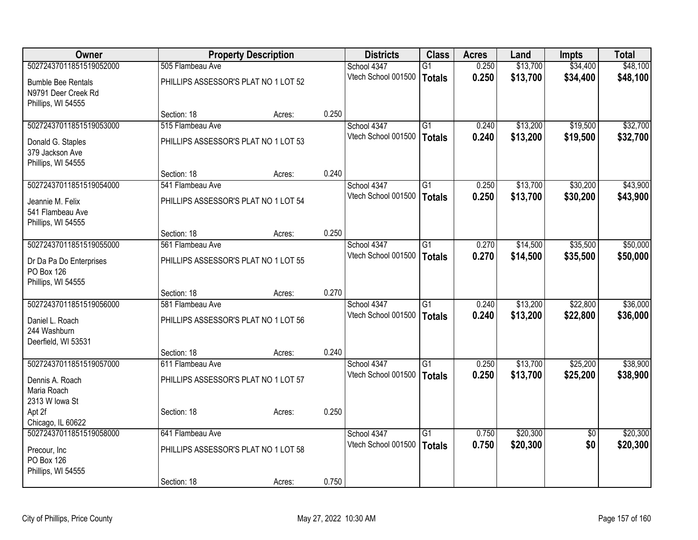| \$34,400<br>50272437011851519052000<br>505 Flambeau Ave<br>0.250<br>\$13,700<br>School 4347<br>$\overline{G1}$<br>Vtech School 001500<br>0.250<br>\$13,700<br>\$34,400<br>\$48,100<br><b>Totals</b><br>PHILLIPS ASSESSOR'S PLAT NO 1 LOT 52<br><b>Bumble Bee Rentals</b><br>N9791 Deer Creek Rd<br>Phillips, WI 54555<br>0.250<br>Section: 18<br>Acres:<br>\$13,200<br>\$19,500<br>50272437011851519053000<br>515 Flambeau Ave<br>School 4347<br>G1<br>0.240<br>Vtech School 001500<br>\$13,200<br>0.240<br>\$19,500<br><b>Totals</b><br>PHILLIPS ASSESSOR'S PLAT NO 1 LOT 53<br>Donald G. Staples<br>379 Jackson Ave<br>Phillips, WI 54555<br>0.240<br>Section: 18<br>Acres:<br>\$30,200<br>50272437011851519054000<br>541 Flambeau Ave<br>\$13,700<br>School 4347<br>G1<br>0.250<br>Vtech School 001500<br>0.250<br>\$13,700<br>\$30,200<br><b>Totals</b><br>PHILLIPS ASSESSOR'S PLAT NO 1 LOT 54<br>Jeannie M. Felix<br>541 Flambeau Ave<br>Phillips, WI 54555<br>0.250<br>Section: 18<br>Acres:<br>50272437011851519055000<br>$\overline{G1}$<br>\$14,500<br>\$35,500<br>561 Flambeau Ave<br>School 4347<br>0.270<br>Vtech School 001500<br>0.270<br>\$35,500<br><b>Totals</b><br>\$14,500<br>PHILLIPS ASSESSOR'S PLAT NO 1 LOT 55<br>Dr Da Pa Do Enterprises<br>PO Box 126<br>Phillips, WI 54555<br>0.270<br>Section: 18<br>Acres:<br>\$22,800<br>50272437011851519056000<br>\$13,200<br>581 Flambeau Ave<br>School 4347<br>$\overline{G1}$<br>0.240<br>0.240<br>Vtech School 001500<br>\$13,200<br>\$22,800<br><b>Totals</b><br>PHILLIPS ASSESSOR'S PLAT NO 1 LOT 56<br>Daniel L. Roach<br>244 Washburn<br>Deerfield, WI 53531<br>0.240<br>Section: 18<br>Acres:<br>50272437011851519057000<br>$\overline{G1}$<br>\$13,700<br>\$25,200<br>611 Flambeau Ave<br>School 4347<br>0.250<br>Vtech School 001500<br>0.250<br>\$25,200<br>\$13,700<br><b>Totals</b><br>PHILLIPS ASSESSOR'S PLAT NO 1 LOT 57<br>Dennis A. Roach<br>Maria Roach<br>2313 W lowa St<br>0.250<br>Apt 2f<br>Section: 18<br>Acres:<br>Chicago, IL 60622<br>50272437011851519058000<br>\$20,300<br>641 Flambeau Ave<br>School 4347<br>$\overline{G1}$<br>0.750<br>$\overline{50}$<br>Vtech School 001500<br>0.750<br>\$20,300<br>\$0<br><b>Totals</b><br>PHILLIPS ASSESSOR'S PLAT NO 1 LOT 58<br>Precour, Inc<br>PO Box 126<br>Phillips, WI 54555 | Owner | <b>Property Description</b> |        | <b>Districts</b> | <b>Class</b> | <b>Acres</b> | Land | <b>Impts</b> | <b>Total</b> |          |
|-------------------------------------------------------------------------------------------------------------------------------------------------------------------------------------------------------------------------------------------------------------------------------------------------------------------------------------------------------------------------------------------------------------------------------------------------------------------------------------------------------------------------------------------------------------------------------------------------------------------------------------------------------------------------------------------------------------------------------------------------------------------------------------------------------------------------------------------------------------------------------------------------------------------------------------------------------------------------------------------------------------------------------------------------------------------------------------------------------------------------------------------------------------------------------------------------------------------------------------------------------------------------------------------------------------------------------------------------------------------------------------------------------------------------------------------------------------------------------------------------------------------------------------------------------------------------------------------------------------------------------------------------------------------------------------------------------------------------------------------------------------------------------------------------------------------------------------------------------------------------------------------------------------------------------------------------------------------------------------------------------------------------------------------------------------------------------------------------------------------------------------------------------------------------------------------------------------------------------------------------------------------------------------------------------------------------|-------|-----------------------------|--------|------------------|--------------|--------------|------|--------------|--------------|----------|
|                                                                                                                                                                                                                                                                                                                                                                                                                                                                                                                                                                                                                                                                                                                                                                                                                                                                                                                                                                                                                                                                                                                                                                                                                                                                                                                                                                                                                                                                                                                                                                                                                                                                                                                                                                                                                                                                                                                                                                                                                                                                                                                                                                                                                                                                                                                         |       |                             |        |                  |              |              |      |              |              | \$48,100 |
| \$32,700<br>\$43,900<br>\$50,000<br>\$50,000<br>\$36,000<br>\$36,000<br>\$38,900<br>\$38,900<br>\$20,300<br>\$20,300                                                                                                                                                                                                                                                                                                                                                                                                                                                                                                                                                                                                                                                                                                                                                                                                                                                                                                                                                                                                                                                                                                                                                                                                                                                                                                                                                                                                                                                                                                                                                                                                                                                                                                                                                                                                                                                                                                                                                                                                                                                                                                                                                                                                    |       |                             |        |                  |              |              |      |              |              |          |
| \$32,700<br>\$43,900                                                                                                                                                                                                                                                                                                                                                                                                                                                                                                                                                                                                                                                                                                                                                                                                                                                                                                                                                                                                                                                                                                                                                                                                                                                                                                                                                                                                                                                                                                                                                                                                                                                                                                                                                                                                                                                                                                                                                                                                                                                                                                                                                                                                                                                                                                    |       |                             |        |                  |              |              |      |              |              |          |
|                                                                                                                                                                                                                                                                                                                                                                                                                                                                                                                                                                                                                                                                                                                                                                                                                                                                                                                                                                                                                                                                                                                                                                                                                                                                                                                                                                                                                                                                                                                                                                                                                                                                                                                                                                                                                                                                                                                                                                                                                                                                                                                                                                                                                                                                                                                         |       |                             |        |                  |              |              |      |              |              |          |
|                                                                                                                                                                                                                                                                                                                                                                                                                                                                                                                                                                                                                                                                                                                                                                                                                                                                                                                                                                                                                                                                                                                                                                                                                                                                                                                                                                                                                                                                                                                                                                                                                                                                                                                                                                                                                                                                                                                                                                                                                                                                                                                                                                                                                                                                                                                         |       |                             |        |                  |              |              |      |              |              |          |
|                                                                                                                                                                                                                                                                                                                                                                                                                                                                                                                                                                                                                                                                                                                                                                                                                                                                                                                                                                                                                                                                                                                                                                                                                                                                                                                                                                                                                                                                                                                                                                                                                                                                                                                                                                                                                                                                                                                                                                                                                                                                                                                                                                                                                                                                                                                         |       |                             |        |                  |              |              |      |              |              |          |
|                                                                                                                                                                                                                                                                                                                                                                                                                                                                                                                                                                                                                                                                                                                                                                                                                                                                                                                                                                                                                                                                                                                                                                                                                                                                                                                                                                                                                                                                                                                                                                                                                                                                                                                                                                                                                                                                                                                                                                                                                                                                                                                                                                                                                                                                                                                         |       |                             |        |                  |              |              |      |              |              |          |
|                                                                                                                                                                                                                                                                                                                                                                                                                                                                                                                                                                                                                                                                                                                                                                                                                                                                                                                                                                                                                                                                                                                                                                                                                                                                                                                                                                                                                                                                                                                                                                                                                                                                                                                                                                                                                                                                                                                                                                                                                                                                                                                                                                                                                                                                                                                         |       |                             |        |                  |              |              |      |              |              |          |
|                                                                                                                                                                                                                                                                                                                                                                                                                                                                                                                                                                                                                                                                                                                                                                                                                                                                                                                                                                                                                                                                                                                                                                                                                                                                                                                                                                                                                                                                                                                                                                                                                                                                                                                                                                                                                                                                                                                                                                                                                                                                                                                                                                                                                                                                                                                         |       |                             |        |                  |              |              |      |              |              |          |
|                                                                                                                                                                                                                                                                                                                                                                                                                                                                                                                                                                                                                                                                                                                                                                                                                                                                                                                                                                                                                                                                                                                                                                                                                                                                                                                                                                                                                                                                                                                                                                                                                                                                                                                                                                                                                                                                                                                                                                                                                                                                                                                                                                                                                                                                                                                         |       |                             |        |                  |              |              |      |              |              |          |
|                                                                                                                                                                                                                                                                                                                                                                                                                                                                                                                                                                                                                                                                                                                                                                                                                                                                                                                                                                                                                                                                                                                                                                                                                                                                                                                                                                                                                                                                                                                                                                                                                                                                                                                                                                                                                                                                                                                                                                                                                                                                                                                                                                                                                                                                                                                         |       |                             |        |                  |              |              |      |              |              |          |
|                                                                                                                                                                                                                                                                                                                                                                                                                                                                                                                                                                                                                                                                                                                                                                                                                                                                                                                                                                                                                                                                                                                                                                                                                                                                                                                                                                                                                                                                                                                                                                                                                                                                                                                                                                                                                                                                                                                                                                                                                                                                                                                                                                                                                                                                                                                         |       |                             |        |                  |              |              |      |              |              |          |
|                                                                                                                                                                                                                                                                                                                                                                                                                                                                                                                                                                                                                                                                                                                                                                                                                                                                                                                                                                                                                                                                                                                                                                                                                                                                                                                                                                                                                                                                                                                                                                                                                                                                                                                                                                                                                                                                                                                                                                                                                                                                                                                                                                                                                                                                                                                         |       |                             |        |                  |              |              |      |              |              |          |
|                                                                                                                                                                                                                                                                                                                                                                                                                                                                                                                                                                                                                                                                                                                                                                                                                                                                                                                                                                                                                                                                                                                                                                                                                                                                                                                                                                                                                                                                                                                                                                                                                                                                                                                                                                                                                                                                                                                                                                                                                                                                                                                                                                                                                                                                                                                         |       |                             |        |                  |              |              |      |              |              |          |
|                                                                                                                                                                                                                                                                                                                                                                                                                                                                                                                                                                                                                                                                                                                                                                                                                                                                                                                                                                                                                                                                                                                                                                                                                                                                                                                                                                                                                                                                                                                                                                                                                                                                                                                                                                                                                                                                                                                                                                                                                                                                                                                                                                                                                                                                                                                         |       |                             |        |                  |              |              |      |              |              |          |
|                                                                                                                                                                                                                                                                                                                                                                                                                                                                                                                                                                                                                                                                                                                                                                                                                                                                                                                                                                                                                                                                                                                                                                                                                                                                                                                                                                                                                                                                                                                                                                                                                                                                                                                                                                                                                                                                                                                                                                                                                                                                                                                                                                                                                                                                                                                         |       |                             |        |                  |              |              |      |              |              |          |
|                                                                                                                                                                                                                                                                                                                                                                                                                                                                                                                                                                                                                                                                                                                                                                                                                                                                                                                                                                                                                                                                                                                                                                                                                                                                                                                                                                                                                                                                                                                                                                                                                                                                                                                                                                                                                                                                                                                                                                                                                                                                                                                                                                                                                                                                                                                         |       |                             |        |                  |              |              |      |              |              |          |
|                                                                                                                                                                                                                                                                                                                                                                                                                                                                                                                                                                                                                                                                                                                                                                                                                                                                                                                                                                                                                                                                                                                                                                                                                                                                                                                                                                                                                                                                                                                                                                                                                                                                                                                                                                                                                                                                                                                                                                                                                                                                                                                                                                                                                                                                                                                         |       |                             |        |                  |              |              |      |              |              |          |
|                                                                                                                                                                                                                                                                                                                                                                                                                                                                                                                                                                                                                                                                                                                                                                                                                                                                                                                                                                                                                                                                                                                                                                                                                                                                                                                                                                                                                                                                                                                                                                                                                                                                                                                                                                                                                                                                                                                                                                                                                                                                                                                                                                                                                                                                                                                         |       |                             |        |                  |              |              |      |              |              |          |
|                                                                                                                                                                                                                                                                                                                                                                                                                                                                                                                                                                                                                                                                                                                                                                                                                                                                                                                                                                                                                                                                                                                                                                                                                                                                                                                                                                                                                                                                                                                                                                                                                                                                                                                                                                                                                                                                                                                                                                                                                                                                                                                                                                                                                                                                                                                         |       |                             |        |                  |              |              |      |              |              |          |
|                                                                                                                                                                                                                                                                                                                                                                                                                                                                                                                                                                                                                                                                                                                                                                                                                                                                                                                                                                                                                                                                                                                                                                                                                                                                                                                                                                                                                                                                                                                                                                                                                                                                                                                                                                                                                                                                                                                                                                                                                                                                                                                                                                                                                                                                                                                         |       |                             |        |                  |              |              |      |              |              |          |
|                                                                                                                                                                                                                                                                                                                                                                                                                                                                                                                                                                                                                                                                                                                                                                                                                                                                                                                                                                                                                                                                                                                                                                                                                                                                                                                                                                                                                                                                                                                                                                                                                                                                                                                                                                                                                                                                                                                                                                                                                                                                                                                                                                                                                                                                                                                         |       |                             |        |                  |              |              |      |              |              |          |
|                                                                                                                                                                                                                                                                                                                                                                                                                                                                                                                                                                                                                                                                                                                                                                                                                                                                                                                                                                                                                                                                                                                                                                                                                                                                                                                                                                                                                                                                                                                                                                                                                                                                                                                                                                                                                                                                                                                                                                                                                                                                                                                                                                                                                                                                                                                         |       |                             |        |                  |              |              |      |              |              |          |
|                                                                                                                                                                                                                                                                                                                                                                                                                                                                                                                                                                                                                                                                                                                                                                                                                                                                                                                                                                                                                                                                                                                                                                                                                                                                                                                                                                                                                                                                                                                                                                                                                                                                                                                                                                                                                                                                                                                                                                                                                                                                                                                                                                                                                                                                                                                         |       |                             |        |                  |              |              |      |              |              |          |
|                                                                                                                                                                                                                                                                                                                                                                                                                                                                                                                                                                                                                                                                                                                                                                                                                                                                                                                                                                                                                                                                                                                                                                                                                                                                                                                                                                                                                                                                                                                                                                                                                                                                                                                                                                                                                                                                                                                                                                                                                                                                                                                                                                                                                                                                                                                         |       |                             |        |                  |              |              |      |              |              |          |
|                                                                                                                                                                                                                                                                                                                                                                                                                                                                                                                                                                                                                                                                                                                                                                                                                                                                                                                                                                                                                                                                                                                                                                                                                                                                                                                                                                                                                                                                                                                                                                                                                                                                                                                                                                                                                                                                                                                                                                                                                                                                                                                                                                                                                                                                                                                         |       |                             |        |                  |              |              |      |              |              |          |
|                                                                                                                                                                                                                                                                                                                                                                                                                                                                                                                                                                                                                                                                                                                                                                                                                                                                                                                                                                                                                                                                                                                                                                                                                                                                                                                                                                                                                                                                                                                                                                                                                                                                                                                                                                                                                                                                                                                                                                                                                                                                                                                                                                                                                                                                                                                         |       |                             |        |                  |              |              |      |              |              |          |
|                                                                                                                                                                                                                                                                                                                                                                                                                                                                                                                                                                                                                                                                                                                                                                                                                                                                                                                                                                                                                                                                                                                                                                                                                                                                                                                                                                                                                                                                                                                                                                                                                                                                                                                                                                                                                                                                                                                                                                                                                                                                                                                                                                                                                                                                                                                         |       |                             |        |                  |              |              |      |              |              |          |
|                                                                                                                                                                                                                                                                                                                                                                                                                                                                                                                                                                                                                                                                                                                                                                                                                                                                                                                                                                                                                                                                                                                                                                                                                                                                                                                                                                                                                                                                                                                                                                                                                                                                                                                                                                                                                                                                                                                                                                                                                                                                                                                                                                                                                                                                                                                         |       |                             |        |                  |              |              |      |              |              |          |
|                                                                                                                                                                                                                                                                                                                                                                                                                                                                                                                                                                                                                                                                                                                                                                                                                                                                                                                                                                                                                                                                                                                                                                                                                                                                                                                                                                                                                                                                                                                                                                                                                                                                                                                                                                                                                                                                                                                                                                                                                                                                                                                                                                                                                                                                                                                         |       |                             |        |                  |              |              |      |              |              |          |
|                                                                                                                                                                                                                                                                                                                                                                                                                                                                                                                                                                                                                                                                                                                                                                                                                                                                                                                                                                                                                                                                                                                                                                                                                                                                                                                                                                                                                                                                                                                                                                                                                                                                                                                                                                                                                                                                                                                                                                                                                                                                                                                                                                                                                                                                                                                         |       |                             |        |                  |              |              |      |              |              |          |
|                                                                                                                                                                                                                                                                                                                                                                                                                                                                                                                                                                                                                                                                                                                                                                                                                                                                                                                                                                                                                                                                                                                                                                                                                                                                                                                                                                                                                                                                                                                                                                                                                                                                                                                                                                                                                                                                                                                                                                                                                                                                                                                                                                                                                                                                                                                         |       |                             |        |                  |              |              |      |              |              |          |
|                                                                                                                                                                                                                                                                                                                                                                                                                                                                                                                                                                                                                                                                                                                                                                                                                                                                                                                                                                                                                                                                                                                                                                                                                                                                                                                                                                                                                                                                                                                                                                                                                                                                                                                                                                                                                                                                                                                                                                                                                                                                                                                                                                                                                                                                                                                         |       |                             |        |                  |              |              |      |              |              |          |
|                                                                                                                                                                                                                                                                                                                                                                                                                                                                                                                                                                                                                                                                                                                                                                                                                                                                                                                                                                                                                                                                                                                                                                                                                                                                                                                                                                                                                                                                                                                                                                                                                                                                                                                                                                                                                                                                                                                                                                                                                                                                                                                                                                                                                                                                                                                         |       | Section: 18                 | Acres: | 0.750            |              |              |      |              |              |          |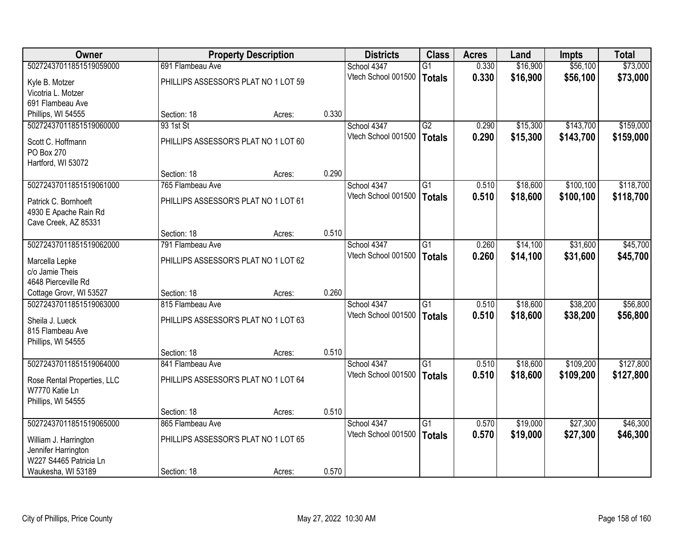| Owner                       |                                      | <b>Property Description</b> |       | <b>Districts</b>    | <b>Class</b>    | <b>Acres</b> | Land     | Impts     | <b>Total</b> |
|-----------------------------|--------------------------------------|-----------------------------|-------|---------------------|-----------------|--------------|----------|-----------|--------------|
| 50272437011851519059000     | 691 Flambeau Ave                     |                             |       | School 4347         | $\overline{G1}$ | 0.330        | \$16,900 | \$56,100  | \$73,000     |
| Kyle B. Motzer              | PHILLIPS ASSESSOR'S PLAT NO 1 LOT 59 |                             |       | Vtech School 001500 | <b>Totals</b>   | 0.330        | \$16,900 | \$56,100  | \$73,000     |
| Vicotria L. Motzer          |                                      |                             |       |                     |                 |              |          |           |              |
| 691 Flambeau Ave            |                                      |                             |       |                     |                 |              |          |           |              |
| Phillips, WI 54555          | Section: 18                          | Acres:                      | 0.330 |                     |                 |              |          |           |              |
| 50272437011851519060000     | 93 1st St                            |                             |       | School 4347         | $\overline{G2}$ | 0.290        | \$15,300 | \$143,700 | \$159,000    |
| Scott C. Hoffmann           | PHILLIPS ASSESSOR'S PLAT NO 1 LOT 60 |                             |       | Vtech School 001500 | <b>Totals</b>   | 0.290        | \$15,300 | \$143,700 | \$159,000    |
| <b>PO Box 270</b>           |                                      |                             |       |                     |                 |              |          |           |              |
| Hartford, WI 53072          |                                      |                             |       |                     |                 |              |          |           |              |
|                             | Section: 18                          | Acres:                      | 0.290 |                     |                 |              |          |           |              |
| 50272437011851519061000     | 765 Flambeau Ave                     |                             |       | School 4347         | G1              | 0.510        | \$18,600 | \$100,100 | \$118,700    |
| Patrick C. Bornhoeft        | PHILLIPS ASSESSOR'S PLAT NO 1 LOT 61 |                             |       | Vtech School 001500 | <b>Totals</b>   | 0.510        | \$18,600 | \$100,100 | \$118,700    |
| 4930 E Apache Rain Rd       |                                      |                             |       |                     |                 |              |          |           |              |
| Cave Creek, AZ 85331        |                                      |                             |       |                     |                 |              |          |           |              |
|                             | Section: 18                          | Acres:                      | 0.510 |                     |                 |              |          |           |              |
| 50272437011851519062000     | 791 Flambeau Ave                     |                             |       | School 4347         | $\overline{G1}$ | 0.260        | \$14,100 | \$31,600  | \$45,700     |
| Marcella Lepke              | PHILLIPS ASSESSOR'S PLAT NO 1 LOT 62 |                             |       | Vtech School 001500 | <b>Totals</b>   | 0.260        | \$14,100 | \$31,600  | \$45,700     |
| c/o Jamie Theis             |                                      |                             |       |                     |                 |              |          |           |              |
| 4648 Pierceville Rd         |                                      |                             |       |                     |                 |              |          |           |              |
| Cottage Grovr, WI 53527     | Section: 18                          | Acres:                      | 0.260 |                     |                 |              |          |           |              |
| 50272437011851519063000     | 815 Flambeau Ave                     |                             |       | School 4347         | $\overline{G1}$ | 0.510        | \$18,600 | \$38,200  | \$56,800     |
| Sheila J. Lueck             | PHILLIPS ASSESSOR'S PLAT NO 1 LOT 63 |                             |       | Vtech School 001500 | <b>Totals</b>   | 0.510        | \$18,600 | \$38,200  | \$56,800     |
| 815 Flambeau Ave            |                                      |                             |       |                     |                 |              |          |           |              |
| Phillips, WI 54555          |                                      |                             |       |                     |                 |              |          |           |              |
|                             | Section: 18                          | Acres:                      | 0.510 |                     |                 |              |          |           |              |
| 50272437011851519064000     | 841 Flambeau Ave                     |                             |       | School 4347         | G1              | 0.510        | \$18,600 | \$109,200 | \$127,800    |
| Rose Rental Properties, LLC | PHILLIPS ASSESSOR'S PLAT NO 1 LOT 64 |                             |       | Vtech School 001500 | <b>Totals</b>   | 0.510        | \$18,600 | \$109,200 | \$127,800    |
| W7770 Katie Ln              |                                      |                             |       |                     |                 |              |          |           |              |
| Phillips, WI 54555          |                                      |                             |       |                     |                 |              |          |           |              |
|                             | Section: 18                          | Acres:                      | 0.510 |                     |                 |              |          |           |              |
| 50272437011851519065000     | 865 Flambeau Ave                     |                             |       | School 4347         | $\overline{G1}$ | 0.570        | \$19,000 | \$27,300  | \$46,300     |
| William J. Harrington       | PHILLIPS ASSESSOR'S PLAT NO 1 LOT 65 |                             |       | Vtech School 001500 | <b>Totals</b>   | 0.570        | \$19,000 | \$27,300  | \$46,300     |
| Jennifer Harrington         |                                      |                             |       |                     |                 |              |          |           |              |
| W227 S4465 Patricia Ln      |                                      |                             |       |                     |                 |              |          |           |              |
| Waukesha, WI 53189          | Section: 18                          | Acres:                      | 0.570 |                     |                 |              |          |           |              |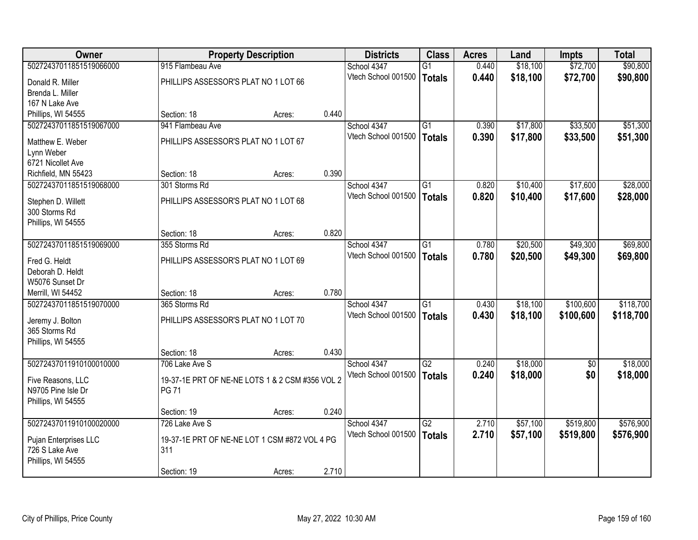| <b>Owner</b>            | <b>Property Description</b>                     |        | <b>Districts</b> | <b>Class</b>        | <b>Acres</b>    | Land  | Impts    | <b>Total</b> |           |
|-------------------------|-------------------------------------------------|--------|------------------|---------------------|-----------------|-------|----------|--------------|-----------|
| 50272437011851519066000 | 915 Flambeau Ave                                |        |                  | School 4347         | $\overline{G1}$ | 0.440 | \$18,100 | \$72,700     | \$90,800  |
| Donald R. Miller        | PHILLIPS ASSESSOR'S PLAT NO 1 LOT 66            |        |                  | Vtech School 001500 | <b>Totals</b>   | 0.440 | \$18,100 | \$72,700     | \$90,800  |
| Brenda L. Miller        |                                                 |        |                  |                     |                 |       |          |              |           |
| 167 N Lake Ave          |                                                 |        |                  |                     |                 |       |          |              |           |
| Phillips, WI 54555      | Section: 18                                     | Acres: | 0.440            |                     |                 |       |          |              |           |
| 50272437011851519067000 | 941 Flambeau Ave                                |        |                  | School 4347         | $\overline{G1}$ | 0.390 | \$17,800 | \$33,500     | \$51,300  |
| Matthew E. Weber        | PHILLIPS ASSESSOR'S PLAT NO 1 LOT 67            |        |                  | Vtech School 001500 | <b>Totals</b>   | 0.390 | \$17,800 | \$33,500     | \$51,300  |
| Lynn Weber              |                                                 |        |                  |                     |                 |       |          |              |           |
| 6721 Nicollet Ave       |                                                 |        |                  |                     |                 |       |          |              |           |
| Richfield, MN 55423     | Section: 18                                     | Acres: | 0.390            |                     |                 |       |          |              |           |
| 50272437011851519068000 | 301 Storms Rd                                   |        |                  | School 4347         | $\overline{G1}$ | 0.820 | \$10,400 | \$17,600     | \$28,000  |
| Stephen D. Willett      | PHILLIPS ASSESSOR'S PLAT NO 1 LOT 68            |        |                  | Vtech School 001500 | <b>Totals</b>   | 0.820 | \$10,400 | \$17,600     | \$28,000  |
| 300 Storms Rd           |                                                 |        |                  |                     |                 |       |          |              |           |
| Phillips, WI 54555      |                                                 |        |                  |                     |                 |       |          |              |           |
|                         | Section: 18                                     | Acres: | 0.820            |                     |                 |       |          |              |           |
| 50272437011851519069000 | 355 Storms Rd                                   |        |                  | School 4347         | $\overline{G1}$ | 0.780 | \$20,500 | \$49,300     | \$69,800  |
| Fred G. Heldt           | PHILLIPS ASSESSOR'S PLAT NO 1 LOT 69            |        |                  | Vtech School 001500 | <b>Totals</b>   | 0.780 | \$20,500 | \$49,300     | \$69,800  |
| Deborah D. Heldt        |                                                 |        |                  |                     |                 |       |          |              |           |
| W5076 Sunset Dr         |                                                 |        |                  |                     |                 |       |          |              |           |
| Merrill, WI 54452       | Section: 18                                     | Acres: | 0.780            |                     |                 |       |          |              |           |
| 50272437011851519070000 | 365 Storms Rd                                   |        |                  | School 4347         | $\overline{G1}$ | 0.430 | \$18,100 | \$100,600    | \$118,700 |
| Jeremy J. Bolton        | PHILLIPS ASSESSOR'S PLAT NO 1 LOT 70            |        |                  | Vtech School 001500 | <b>Totals</b>   | 0.430 | \$18,100 | \$100,600    | \$118,700 |
| 365 Storms Rd           |                                                 |        |                  |                     |                 |       |          |              |           |
| Phillips, WI 54555      |                                                 |        |                  |                     |                 |       |          |              |           |
|                         | Section: 18                                     | Acres: | 0.430            |                     |                 |       |          |              |           |
| 50272437011910100010000 | 706 Lake Ave S                                  |        |                  | School 4347         | G2              | 0.240 | \$18,000 | $\sqrt{6}$   | \$18,000  |
| Five Reasons, LLC       | 19-37-1E PRT OF NE-NE LOTS 1 & 2 CSM #356 VOL 2 |        |                  | Vtech School 001500 | <b>Totals</b>   | 0.240 | \$18,000 | \$0          | \$18,000  |
| N9705 Pine Isle Dr      | <b>PG 71</b>                                    |        |                  |                     |                 |       |          |              |           |
| Phillips, WI 54555      |                                                 |        |                  |                     |                 |       |          |              |           |
|                         | Section: 19                                     | Acres: | 0.240            |                     |                 |       |          |              |           |
| 50272437011910100020000 | 726 Lake Ave S                                  |        |                  | School 4347         | $\overline{G2}$ | 2.710 | \$57,100 | \$519,800    | \$576,900 |
| Pujan Enterprises LLC   | 19-37-1E PRT OF NE-NE LOT 1 CSM #872 VOL 4 PG   |        |                  | Vtech School 001500 | <b>Totals</b>   | 2.710 | \$57,100 | \$519,800    | \$576,900 |
| 726 S Lake Ave          | 311                                             |        |                  |                     |                 |       |          |              |           |
| Phillips, WI 54555      |                                                 |        |                  |                     |                 |       |          |              |           |
|                         | Section: 19                                     | Acres: | 2.710            |                     |                 |       |          |              |           |